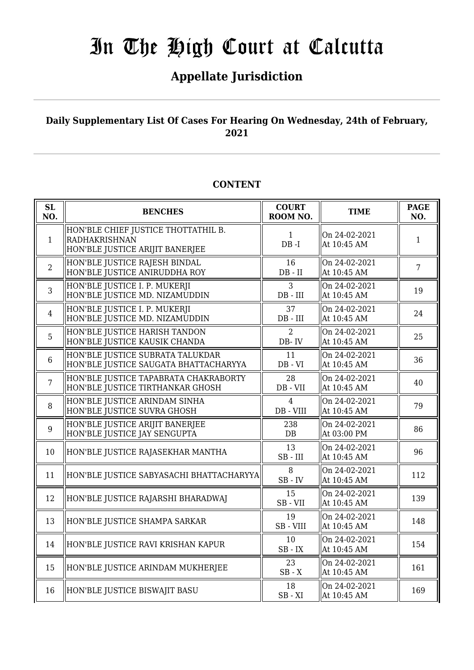## **Appellate Jurisdiction**

### **Daily Supplementary List Of Cases For Hearing On Wednesday, 24th of February, 2021**

#### **SL SL**<br> **NO. BENCHES COURT**<br> **ROOM** N **ROOM NO. TIME PAGE NO.** 1 HON'BLE CHIEF JUSTICE THOTTATHIL B. RADHAKRISHNAN HON'BLE JUSTICE ARIJIT BANERJEE 1 DB -I On 24-02-2021 Of  $24 - 22 - 2021$ <br>At 10:45 AM 1 2 HON'BLE JUSTICE RAJESH BINDAL HON'BLE JUSTICE ANIRUDDHA ROY 16 DB - II On 24-02-2021  $\left\{ \begin{array}{c} \n\text{Out } 24\text{-}02\text{-}2021 \\ \n\text{At } 10:45 \text{ AM} \n\end{array} \right.$  7 3 HON'BLE JUSTICE I. P. MUKERJI HON'BLE JUSTICE MD. NIZAMUDDIN 3 DB - III On 24-02-2021  $\left\{\begin{array}{ccc} \text{Out } 24 - 02 - 2021 \\ \text{At } 10:45 \text{ AM} \end{array}\right\}$  19 4 HON'BLE JUSTICE I. P. MUKERJI HON'BLE JUSTICE MD. NIZAMUDDIN 37 DB - III On 24-02-2021 At 10:45 AM  $\begin{array}{|l|} 24 \\ 4 \end{array}$ 5 HON'BLE JUSTICE HARISH TANDON HON'BLE JUSTICE KAUSIK CHANDA  $\Omega$ DB- IV On 24-02-2021  $\left\| \begin{array}{cc} 25 \\ \text{At } 10:45 \text{ AM} \end{array} \right\| \left\| 25 \right\|$ 6 HON'BLE JUSTICE SUBRATA TALUKDAR HON'BLE JUSTICE SAUGATA BHATTACHARYYA 11 DB - VI On 24-02-2021  $\left\| \begin{array}{cc} \text{Out } 24 - 0.2 - 2.021 \\ \text{At } 10:45 \text{ AM} \end{array} \right\| \quad 36$ 7 HON'BLE JUSTICE TAPABRATA CHAKRABORTY HON'BLE JUSTICE TIRTHANKAR GHOSH 28 DB - VII On 24-02-2021 At 10:45 AM  $40^{14}$ 8 HON'BLE JUSTICE ARINDAM SINHA HON'BLE JUSTICE SUVRA GHOSH  $\Lambda$ DB - VIII On 24-02-2021  $\left[\begin{array}{cc} \text{Out } 24\text{-}02\text{-}2021 \\ \text{At } 10:45 \text{ AM} \end{array}\right]$  79 9 HON'BLE JUSTICE ARIJIT BANERJEE HON'BLE JUSTICE JAY SENGUPTA 238 DB On 24-02-2021  $\begin{array}{c|c|c|c|c} \n\text{At } 03:00 \text{ PM} & & 86 \n\end{array}$ 10 HON'BLE JUSTICE RAJASEKHAR MANTHA  $\parallel$  13 SB - III On 24-02-2021 At 10:45 AM  $\begin{array}{|l|} \hline 96 \end{array}$ 11  $\Vert$ HON'BLE JUSTICE SABYASACHI BHATTACHARYYA $\Vert$   $^{8}$ SB - IV On 24-02-2021  $\begin{array}{c|c}\n\text{On } 24\text{-}02\text{-}2021 \\
\text{At } 10:45 \text{ AM}\n\end{array}$  112 12 HON'BLE JUSTICE RAJARSHI BHARADWAJ  $\parallel$  15 SB - VII On 24-02-2021  $\begin{array}{c|c}\n\text{Out } 24-\text{OL} & \text{I} \\
\text{At } 10:45 \text{ AM}\n\end{array}$  139 13 HON'BLE JUSTICE SHAMPA SARKAR  $\parallel$  19 SB - VIII On 24-02-2021 At  $10:45$  AM 148 14 HON'BLE JUSTICE RAVI KRISHAN KAPUR  $\parallel$  10 SB - IX On 24-02-2021  $\text{At } 10:45 \text{ AM}$  154 15 HON'BLE JUSTICE ARINDAM MUKHERJEE  $\begin{array}{|c|c|c|c|c|}\n\hline\n & 23 & 23\n\end{array}$ SB - X On 24-02-2021  $\begin{array}{|c|c|c|c|c|}\n\hline\n\text{At 10:45 AM} & & 161\n\end{array}$ 16 HON'BLE JUSTICE BISWAJIT BASU 20 SB - XI On 24-02-2021  $\begin{array}{c|c}\n\text{Out } 24-\text{OL} & \text{I} & 169 \\
\text{At } 10:45 \text{ AM}\n\end{array}$

### **CONTENT**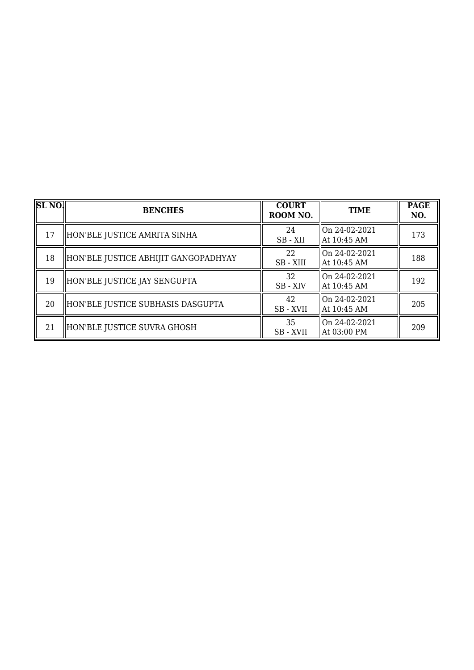| <b>SL NO.</b> | <b>BENCHES</b>                       | <b>COURT</b><br>ROOM NO. | <b>TIME</b>                    | <b>PAGE</b><br>NO. |
|---------------|--------------------------------------|--------------------------|--------------------------------|--------------------|
| 17            | HON'BLE JUSTICE AMRITA SINHA         | 24<br>SB-XII             | On 24-02-2021<br>  At 10:45 AM | 173                |
| 18            | HON'BLE JUSTICE ABHIJIT GANGOPADHYAY | 22<br>SB - XIII          | On 24-02-2021<br>  At 10:45 AM | 188                |
| 19            | HON'BLE JUSTICE JAY SENGUPTA         | 32<br>SB - XIV           | On 24-02-2021<br>  At 10:45 AM | 192                |
| 20            | HON'BLE JUSTICE SUBHASIS DASGUPTA    | 42<br>SB - XVII          | On 24-02-2021<br>  At 10:45 AM | 205                |
| 21            | HON'BLE JUSTICE SUVRA GHOSH          | 35<br>SB - XVII          | On 24-02-2021<br>  At 03:00 PM | 209                |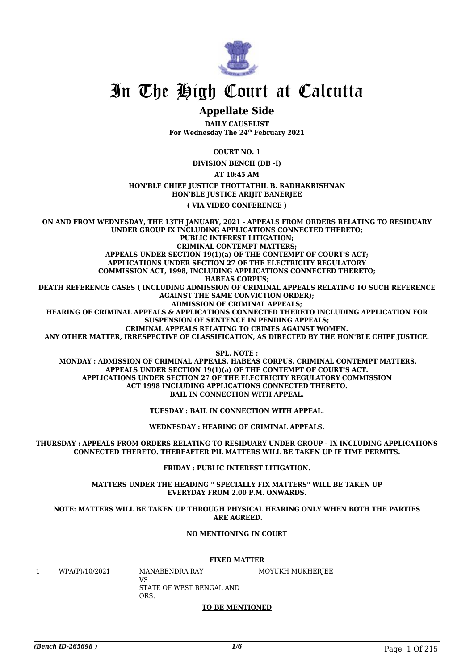

### **Appellate Side**

**DAILY CAUSELIST For Wednesday The 24th February 2021**

**COURT NO. 1**

**DIVISION BENCH (DB -I)**

**AT 10:45 AM**

**HON'BLE CHIEF JUSTICE THOTTATHIL B. RADHAKRISHNAN HON'BLE JUSTICE ARIJIT BANERJEE**

**( VIA VIDEO CONFERENCE )**

**ON AND FROM WEDNESDAY, THE 13TH JANUARY, 2021 - APPEALS FROM ORDERS RELATING TO RESIDUARY UNDER GROUP IX INCLUDING APPLICATIONS CONNECTED THERETO; PUBLIC INTEREST LITIGATION; CRIMINAL CONTEMPT MATTERS; APPEALS UNDER SECTION 19(1)(a) OF THE CONTEMPT OF COURT'S ACT; APPLICATIONS UNDER SECTION 27 OF THE ELECTRICITY REGULATORY COMMISSION ACT, 1998, INCLUDING APPLICATIONS CONNECTED THERETO; HABEAS CORPUS; DEATH REFERENCE CASES ( INCLUDING ADMISSION OF CRIMINAL APPEALS RELATING TO SUCH REFERENCE AGAINST THE SAME CONVICTION ORDER); ADMISSION OF CRIMINAL APPEALS; HEARING OF CRIMINAL APPEALS & APPLICATIONS CONNECTED THERETO INCLUDING APPLICATION FOR SUSPENSION OF SENTENCE IN PENDING APPEALS; CRIMINAL APPEALS RELATING TO CRIMES AGAINST WOMEN. ANY OTHER MATTER, IRRESPECTIVE OF CLASSIFICATION, AS DIRECTED BY THE HON'BLE CHIEF JUSTICE. SPL. NOTE :**

 **MONDAY : ADMISSION OF CRIMINAL APPEALS, HABEAS CORPUS, CRIMINAL CONTEMPT MATTERS, APPEALS UNDER SECTION 19(1)(a) OF THE CONTEMPT OF COURT'S ACT. APPLICATIONS UNDER SECTION 27 OF THE ELECTRICITY REGULATORY COMMISSION ACT 1998 INCLUDING APPLICATIONS CONNECTED THERETO. BAIL IN CONNECTION WITH APPEAL.**

**TUESDAY : BAIL IN CONNECTION WITH APPEAL.**

**WEDNESDAY : HEARING OF CRIMINAL APPEALS.**

**THURSDAY : APPEALS FROM ORDERS RELATING TO RESIDUARY UNDER GROUP - IX INCLUDING APPLICATIONS CONNECTED THERETO. THEREAFTER PIL MATTERS WILL BE TAKEN UP IF TIME PERMITS.**

**FRIDAY : PUBLIC INTEREST LITIGATION.**

**MATTERS UNDER THE HEADING " SPECIALLY FIX MATTERS" WILL BE TAKEN UP EVERYDAY FROM 2.00 P.M. ONWARDS.**

**NOTE: MATTERS WILL BE TAKEN UP THROUGH PHYSICAL HEARING ONLY WHEN BOTH THE PARTIES ARE AGREED.**

#### **NO MENTIONING IN COURT**

#### **FIXED MATTER**

1 WPA(P)/10/2021 MANABENDRA RAY

VS STATE OF WEST BENGAL AND ORS.

MOYUKH MUKHERJEE

### **TO BE MENTIONED**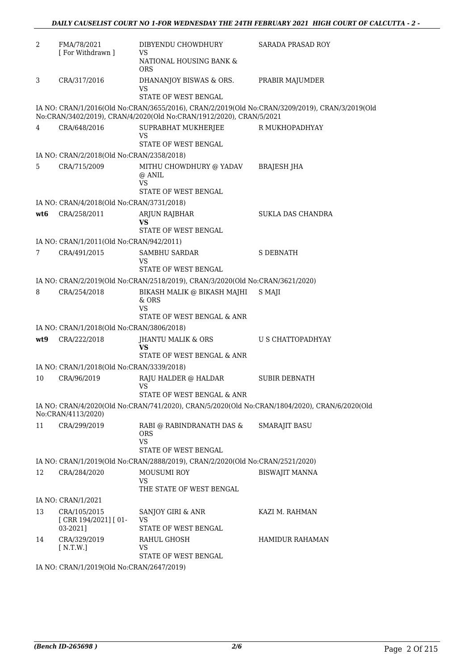| 2               | FMA/78/2021<br>[ For Withdrawn ]                | DIBYENDU CHOWDHURY<br><b>VS</b>                                                               | <b>SARADA PRASAD ROY</b>                                                                       |
|-----------------|-------------------------------------------------|-----------------------------------------------------------------------------------------------|------------------------------------------------------------------------------------------------|
|                 |                                                 | NATIONAL HOUSING BANK &<br><b>ORS</b>                                                         |                                                                                                |
| 3               | CRA/317/2016                                    | DHANANJOY BISWAS & ORS.<br>VS                                                                 | PRABIR MAJUMDER                                                                                |
|                 |                                                 | STATE OF WEST BENGAL                                                                          |                                                                                                |
|                 |                                                 | No:CRAN/3402/2019), CRAN/4/2020(Old No:CRAN/1912/2020), CRAN/5/2021                           | IA NO: CRAN/1/2016(Old No:CRAN/3655/2016), CRAN/2/2019(Old No:CRAN/3209/2019), CRAN/3/2019(Old |
| 4               | CRA/648/2016                                    | SUPRABHAT MUKHERJEE<br>VS                                                                     | R MUKHOPADHYAY                                                                                 |
|                 |                                                 | STATE OF WEST BENGAL                                                                          |                                                                                                |
|                 | IA NO: CRAN/2/2018(Old No:CRAN/2358/2018)       |                                                                                               |                                                                                                |
| 5               | CRA/715/2009                                    | MITHU CHOWDHURY @ YADAV BRAJESH JHA<br>@ ANIL<br>VS<br>STATE OF WEST BENGAL                   |                                                                                                |
|                 | IA NO: CRAN/4/2018(Old No:CRAN/3731/2018)       |                                                                                               |                                                                                                |
| wt <sub>6</sub> |                                                 | ARJUN RAJBHAR                                                                                 | SUKLA DAS CHANDRA                                                                              |
|                 | CRA/258/2011                                    | VS                                                                                            |                                                                                                |
|                 |                                                 | STATE OF WEST BENGAL                                                                          |                                                                                                |
|                 | IA NO: CRAN/1/2011(Old No:CRAN/942/2011)        |                                                                                               |                                                                                                |
| 7               | CRA/491/2015                                    | <b>SAMBHU SARDAR</b><br>VS                                                                    | <b>S DEBNATH</b>                                                                               |
|                 |                                                 | STATE OF WEST BENGAL                                                                          |                                                                                                |
|                 |                                                 | IA NO: CRAN/2/2019(Old No:CRAN/2518/2019), CRAN/3/2020(Old No:CRAN/3621/2020)                 |                                                                                                |
| 8               | CRA/254/2018                                    | BIKASH MALIK @ BIKASH MAJHI<br>$&$ ORS<br><b>VS</b>                                           | S MAJI                                                                                         |
|                 |                                                 | STATE OF WEST BENGAL & ANR                                                                    |                                                                                                |
|                 | IA NO: CRAN/1/2018(Old No:CRAN/3806/2018)       |                                                                                               |                                                                                                |
| wt9             | CRA/222/2018                                    | JHANTU MALIK & ORS<br>VS                                                                      | U S CHATTOPADHYAY                                                                              |
|                 |                                                 | STATE OF WEST BENGAL & ANR                                                                    |                                                                                                |
|                 | IA NO: CRAN/1/2018(Old No:CRAN/3339/2018)       |                                                                                               |                                                                                                |
| 10              | CRA/96/2019                                     | RAJU HALDER @ HALDAR<br>VS                                                                    | <b>SUBIR DEBNATH</b>                                                                           |
|                 |                                                 | STATE OF WEST BENGAL & ANR                                                                    |                                                                                                |
|                 | No:CRAN/4113/2020)                              | IA NO: CRAN/4/2020(Old No:CRAN/741/2020), CRAN/5/2020(Old No:CRAN/1804/2020), CRAN/6/2020(Old |                                                                                                |
| 11              | CRA/299/2019                                    | RABI @ RABINDRANATH DAS &<br>ORS.<br><b>VS</b>                                                | <b>SMARAJIT BASU</b>                                                                           |
|                 |                                                 | STATE OF WEST BENGAL                                                                          |                                                                                                |
|                 |                                                 | IA NO: CRAN/1/2019(Old No:CRAN/2888/2019), CRAN/2/2020(Old No:CRAN/2521/2020)                 |                                                                                                |
| 12              | CRA/284/2020                                    | <b>MOUSUMI ROY</b>                                                                            | <b>BISWAJIT MANNA</b>                                                                          |
|                 |                                                 | VS                                                                                            |                                                                                                |
|                 | IA NO: CRAN/1/2021                              | THE STATE OF WEST BENGAL                                                                      |                                                                                                |
|                 |                                                 |                                                                                               |                                                                                                |
| 13              | CRA/105/2015<br>[CRR 194/2021] [01-<br>03-2021] | SANJOY GIRI & ANR<br>VS<br>STATE OF WEST BENGAL                                               | KAZI M. RAHMAN                                                                                 |
| 14              | CRA/329/2019                                    | RAHUL GHOSH                                                                                   | <b>HAMIDUR RAHAMAN</b>                                                                         |
|                 | [ N.T.W.]                                       | VS<br>STATE OF WEST BENGAL                                                                    |                                                                                                |
|                 |                                                 |                                                                                               |                                                                                                |

IA NO: CRAN/1/2019(Old No:CRAN/2647/2019)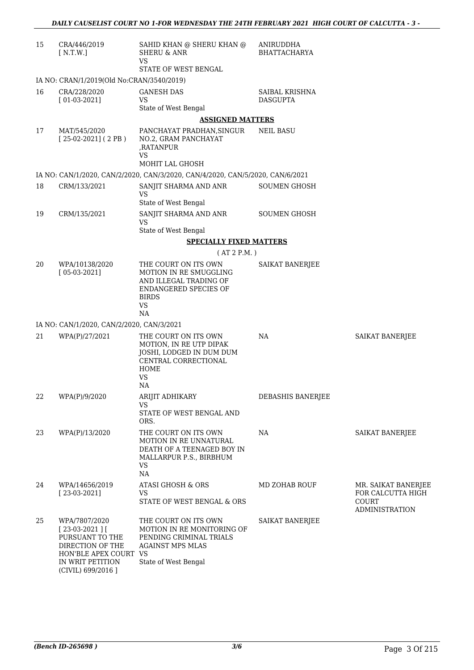| 15 | CRA/446/2019<br>[ N.T.W.]                                                                                                              | SAHID KHAN @ SHERU KHAN @<br><b>SHERU &amp; ANR</b><br><b>VS</b>                                                                                   | ANIRUDDHA<br><b>BHATTACHARYA</b>  |                                                                                   |
|----|----------------------------------------------------------------------------------------------------------------------------------------|----------------------------------------------------------------------------------------------------------------------------------------------------|-----------------------------------|-----------------------------------------------------------------------------------|
|    |                                                                                                                                        | STATE OF WEST BENGAL                                                                                                                               |                                   |                                                                                   |
|    | IA NO: CRAN/1/2019(Old No:CRAN/3540/2019)                                                                                              |                                                                                                                                                    |                                   |                                                                                   |
| 16 | CRA/228/2020<br>$[01-03-2021]$                                                                                                         | <b>GANESH DAS</b><br><b>VS</b><br>State of West Bengal                                                                                             | SAIBAL KRISHNA<br><b>DASGUPTA</b> |                                                                                   |
|    |                                                                                                                                        | <b>ASSIGNED MATTERS</b>                                                                                                                            |                                   |                                                                                   |
| 17 | MAT/545/2020<br>$[25-02-2021]$ (2PB)                                                                                                   | PANCHAYAT PRADHAN, SINGUR<br>NO.2, GRAM PANCHAYAT<br>,RATANPUR<br><b>VS</b><br><b>MOHIT LAL GHOSH</b>                                              | <b>NEIL BASU</b>                  |                                                                                   |
|    |                                                                                                                                        | IA NO: CAN/1/2020, CAN/2/2020, CAN/3/2020, CAN/4/2020, CAN/5/2020, CAN/6/2021                                                                      |                                   |                                                                                   |
| 18 | CRM/133/2021                                                                                                                           | SANJIT SHARMA AND ANR                                                                                                                              | <b>SOUMEN GHOSH</b>               |                                                                                   |
|    |                                                                                                                                        | <b>VS</b><br>State of West Bengal                                                                                                                  |                                   |                                                                                   |
| 19 | CRM/135/2021                                                                                                                           | SANJIT SHARMA AND ANR<br><b>VS</b>                                                                                                                 | <b>SOUMEN GHOSH</b>               |                                                                                   |
|    |                                                                                                                                        | State of West Bengal                                                                                                                               |                                   |                                                                                   |
|    |                                                                                                                                        | <b>SPECIALLY FIXED MATTERS</b>                                                                                                                     |                                   |                                                                                   |
|    |                                                                                                                                        | (AT 2 P.M.)                                                                                                                                        |                                   |                                                                                   |
| 20 | WPA/10138/2020<br>$[05-03-2021]$                                                                                                       | THE COURT ON ITS OWN<br><b>MOTION IN RE SMUGGLING</b><br>AND ILLEGAL TRADING OF<br><b>ENDANGERED SPECIES OF</b><br><b>BIRDS</b><br><b>VS</b><br>NA | SAIKAT BANERJEE                   |                                                                                   |
|    | IA NO: CAN/1/2020, CAN/2/2020, CAN/3/2021                                                                                              |                                                                                                                                                    |                                   |                                                                                   |
| 21 | WPA(P)/27/2021                                                                                                                         | THE COURT ON ITS OWN                                                                                                                               | NA                                | SAIKAT BANERJEE                                                                   |
|    |                                                                                                                                        | MOTION, IN RE UTP DIPAK<br>JOSHI, LODGED IN DUM DUM<br>CENTRAL CORRECTIONAL<br>HOME<br><b>VS</b><br>NA                                             |                                   |                                                                                   |
| 22 | WPA(P)/9/2020                                                                                                                          | ARIJIT ADHIKARY                                                                                                                                    | DEBASHIS BANERJEE                 |                                                                                   |
|    |                                                                                                                                        | VS<br>STATE OF WEST BENGAL AND<br>ORS.                                                                                                             |                                   |                                                                                   |
| 23 | WPA(P)/13/2020                                                                                                                         | THE COURT ON ITS OWN<br>MOTION IN RE UNNATURAL<br>DEATH OF A TEENAGED BOY IN<br>MALLARPUR P.S., BIRBHUM<br>VS<br>NA                                | NA                                | SAIKAT BANERJEE                                                                   |
| 24 | WPA/14656/2019<br>$[23-03-2021]$                                                                                                       | ATASI GHOSH & ORS<br><b>VS</b><br>STATE OF WEST BENGAL & ORS                                                                                       | MD ZOHAB ROUF                     | MR. SAIKAT BANERJEE<br>FOR CALCUTTA HIGH<br><b>COURT</b><br><b>ADMINISTRATION</b> |
| 25 | WPA/7807/2020<br>$[23-03-2021]$<br>PURSUANT TO THE<br>DIRECTION OF THE<br>HON'BLE APEX COURT<br>IN WRIT PETITION<br>(CIVIL) 699/2016 ] | THE COURT ON ITS OWN<br>MOTION IN RE MONITORING OF<br>PENDING CRIMINAL TRIALS<br><b>AGAINST MPS MLAS</b><br>VS<br>State of West Bengal             | SAIKAT BANERJEE                   |                                                                                   |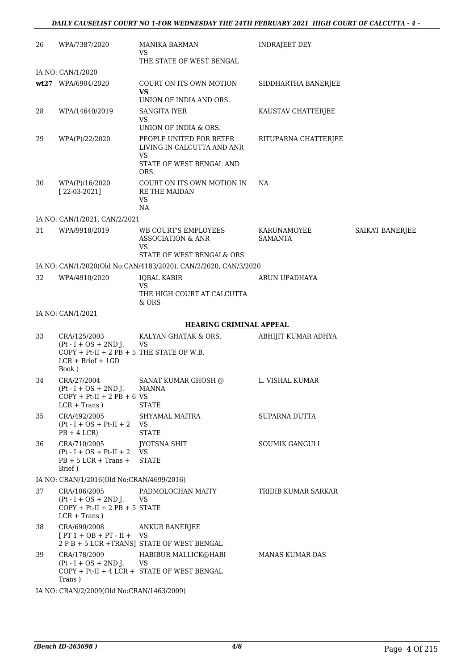| 26 | WPA/7387/2020                                                                                 | <b>MANIKA BARMAN</b><br>VS<br>THE STATE OF WEST BENGAL                                          | <b>INDRAJEET DEY</b>          |                 |
|----|-----------------------------------------------------------------------------------------------|-------------------------------------------------------------------------------------------------|-------------------------------|-----------------|
|    | IA NO: CAN/1/2020                                                                             |                                                                                                 |                               |                 |
|    |                                                                                               |                                                                                                 |                               |                 |
|    | wt27 WPA/6904/2020                                                                            | COURT ON ITS OWN MOTION<br>VS<br>UNION OF INDIA AND ORS.                                        | SIDDHARTHA BANERJEE           |                 |
| 28 | WPA/14640/2019                                                                                | <b>SANGITA IYER</b>                                                                             | KAUSTAV CHATTERJEE            |                 |
|    |                                                                                               | VS<br>UNION OF INDIA & ORS.                                                                     |                               |                 |
| 29 | WPA(P)/22/2020                                                                                | PEOPLE UNITED FOR BETER<br>LIVING IN CALCUTTA AND ANR<br>VS<br>STATE OF WEST BENGAL AND<br>ORS. | RITUPARNA CHATTERJEE          |                 |
| 30 | WPA(P)/16/2020<br>$[22-03-2021]$                                                              | COURT ON ITS OWN MOTION IN<br><b>RE THE MAIDAN</b><br><b>VS</b><br>NA                           | NA                            |                 |
|    | IA NO: CAN/1/2021, CAN/2/2021                                                                 |                                                                                                 |                               |                 |
| 31 | WPA/9918/2019                                                                                 | WB COURT'S EMPLOYEES<br>ASSOCIATION & ANR<br>VS<br>STATE OF WEST BENGAL& ORS                    | KARUNAMOYEE<br><b>SAMANTA</b> | SAIKAT BANERJEE |
|    |                                                                                               | IA NO: CAN/1/2020(Old No:CAN/4183/2020), CAN/2/2020, CAN/3/2020                                 |                               |                 |
| 32 | WPA/4910/2020                                                                                 | <b>IQBAL KABIR</b><br><b>VS</b>                                                                 | ARUN UPADHAYA                 |                 |
|    |                                                                                               | THE HIGH COURT AT CALCUTTA<br>& ORS                                                             |                               |                 |
|    | IA NO: CAN/1/2021                                                                             |                                                                                                 |                               |                 |
|    |                                                                                               | <b>HEARING CRIMINAL APPEAL</b>                                                                  |                               |                 |
| 33 | CRA/125/2003<br>$(Pt - I + OS + 2ND J.$                                                       | KALYAN GHATAK & ORS.<br><b>VS</b>                                                               | ABHIJIT KUMAR ADHYA           |                 |
|    | $COPY + Pt-II + 2 PB + 5$ THE STATE OF W.B.<br>$LCR + Brief + 1GD$<br>Book)                   |                                                                                                 |                               |                 |
| 34 | CRA/27/2004<br>$(Pt - I + OS + 2ND J.$<br>$COPY + Pt-II + 2 PB + 6 VS$<br>$LCR + Trans$ )     | SANAT KUMAR GHOSH @<br><b>MANNA</b><br><b>STATE</b>                                             | L. VISHAL KUMAR               |                 |
| 35 | CRA/492/2005<br>$(Pt - I + OS + Pt-II + 2$ VS<br>$PB + 4 LCR$                                 | SHYAMAL MAITRA<br><b>STATE</b>                                                                  | SUPARNA DUTTA                 |                 |
| 36 | CRA/710/2005<br>$(Pt - I + OS + Pt-II + 2$ VS<br>$PB + 5 LCR + Trans +$<br>Brief)             | <b>JYOTSNA SHIT</b><br><b>STATE</b>                                                             | SOUMIK GANGULI                |                 |
|    | IA NO: CRAN/1/2016(Old No:CRAN/4699/2016)                                                     |                                                                                                 |                               |                 |
| 37 | CRA/106/2005<br>$(Pt - I + OS + 2ND J.$<br>$COPY + Pt-II + 2 PB + 5 STATE$<br>$LCR + Trans$ ) | PADMOLOCHAN MAITY<br>VS                                                                         | TRIDIB KUMAR SARKAR           |                 |
| 38 | CRA/690/2008<br>$[PT 1 + OB + PT - II + VS$                                                   | <b>ANKUR BANERJEE</b><br>2 P B + 5 LCR +TRANS] STATE OF WEST BENGAL                             |                               |                 |
| 39 | CRA/178/2009<br>$(Pt - I + OS + 2ND J.$<br>Trans)                                             | HABIBUR MALLICK@HABI<br>VS<br>COPY + Pt-II + 4 LCR + STATE OF WEST BENGAL                       | MANAS KUMAR DAS               |                 |

IA NO: CRAN/2/2009(Old No:CRAN/1463/2009)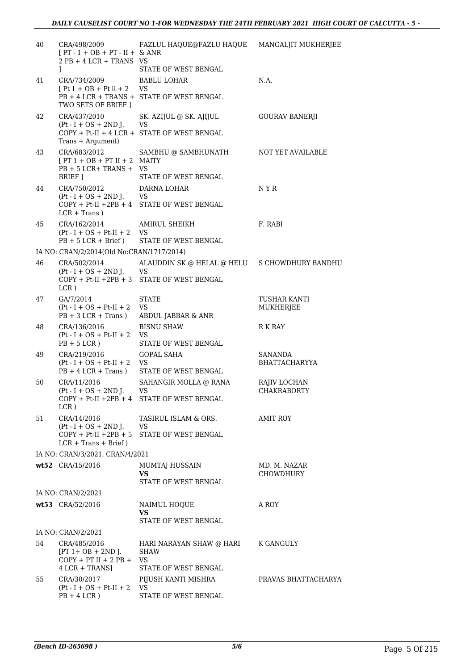| 40 | CRA/498/2009<br>$[PT - 1 + OB + PT - II + & ANR]$<br>$2$ PB + 4 LCR + TRANS VS | FAZLUL HAQUE@FAZLU HAQUE                            | MANGALJIT MUKHERJEE              |
|----|--------------------------------------------------------------------------------|-----------------------------------------------------|----------------------------------|
|    | 1                                                                              | STATE OF WEST BENGAL                                |                                  |
| 41 | CRA/734/2009                                                                   | <b>BABLU LOHAR</b>                                  | N.A.                             |
|    | $[Pt 1 + OB + Pt ii + 2]$<br>TWO SETS OF BRIEF ]                               | VS<br>PB + 4 LCR + TRANS + STATE OF WEST BENGAL     |                                  |
| 42 | CRA/437/2010                                                                   | SK. AZIJUL @ SK. AJIJUL                             | GOURAV BANERJI                   |
|    | $Pt-I + OS + 2ND J.$<br>Trans + Argument)                                      | VS<br>COPY + Pt-II + 4 LCR + STATE OF WEST BENGAL   |                                  |
| 43 | CRA/683/2012<br>$[PT 1 + OB + PT II + 2$ MAITY<br>$PB + 5 LCR + TRANS + VS$    | SAMBHU @ SAMBHUNATH                                 | NOT YET AVAILABLE                |
|    | BRIEF 1                                                                        | STATE OF WEST BENGAL                                |                                  |
| 44 | CRA/750/2012                                                                   | DARNA LOHAR                                         | N Y R                            |
|    | $(Pt - I + OS + 2ND J.$<br>$LCR + Trans$ )                                     | VS<br>$COPY + Pt-II + 2PB + 4$ STATE OF WEST BENGAL |                                  |
| 45 | CRA/162/2014                                                                   | AMIRUL SHEIKH                                       | F. RABI                          |
|    | $(Pt - I + OS + Pt-II + 2)$<br>$PB + 5 LCR + Brief)$                           | VS<br>STATE OF WEST BENGAL                          |                                  |
|    | IA NO: CRAN/2/2014(Old No:CRAN/1717/2014)                                      |                                                     |                                  |
| 46 | CRA/502/2014                                                                   | ALAUDDIN SK @ HELAL @ HELU S CHOWDHURY BANDHU       |                                  |
|    | $(Pt - I + OS + 2ND J.$<br>$LCR$ )                                             | VS<br>COPY + Pt-II +2PB + 3 STATE OF WEST BENGAL    |                                  |
| 47 | GA/7/2014                                                                      | <b>STATE</b>                                        | TUSHAR KANTI                     |
|    | $(Pt - I + OS + Pt-II + 2)$<br>$PB + 3 LCR + Trans)$                           | <b>VS</b><br>ABDUL JABBAR & ANR                     | MUKHERJEE                        |
| 48 | CRA/136/2016                                                                   | <b>BISNU SHAW</b>                                   | R K RAY                          |
|    | $Pt - I + OS + Pt - II + 2$<br>$PB + 5 LCR$ )                                  | VS<br>STATE OF WEST BENGAL                          |                                  |
| 49 | CRA/219/2016                                                                   | <b>GOPAL SAHA</b>                                   | SANANDA                          |
|    | $(Pt - I + OS + Pt-II + 2)$<br>$PB + 4 LCR + Trans$ )                          | <b>VS</b><br>STATE OF WEST BENGAL                   | BHATTACHARYYA                    |
| 50 | CRA/11/2016                                                                    | SAHANGIR MOLLA @ RANA                               | RAJIV LOCHAN                     |
|    | $Pt-I + OS + 2ND J.$<br>LCR)                                                   | VS<br>$COPY + Pt-II + 2PB + 4$ STATE OF WEST BENGAL | <b>CHAKRABORTY</b>               |
| 51 | CRA/14/2016                                                                    | TASIRUL ISLAM & ORS.                                | <b>AMIT ROY</b>                  |
|    | $(Pt - I + OS + 2ND J.$<br>$COPY + Pt-II +2PB + 5$<br>$LCR + Trans + Brief)$   | VS<br>STATE OF WEST BENGAL                          |                                  |
|    | IA NO: CRAN/3/2021, CRAN/4/2021                                                |                                                     |                                  |
|    | $wt52$ CRA/15/2016                                                             | MUMTAJ HUSSAIN<br>VS.                               | MD. M. NAZAR<br><b>CHOWDHURY</b> |
|    |                                                                                | STATE OF WEST BENGAL                                |                                  |
|    | IA NO: CRAN/2/2021                                                             |                                                     |                                  |
|    | wt53 CRA/52/2016                                                               | NAIMUL HOQUE<br>VS.<br>STATE OF WEST BENGAL         | A ROY                            |
|    | IA NO: CRAN/2/2021                                                             |                                                     |                                  |
| 54 | CRA/485/2016<br>$[PT 1 + OB + 2ND$ J.<br>$COPY + PT II + 2 PB +$               | HARI NARAYAN SHAW @ HARI<br><b>SHAW</b><br>VS       | K GANGULY                        |
|    | 4 LCR + TRANS]                                                                 | STATE OF WEST BENGAL                                |                                  |
| 55 | CRA/30/2017<br>$Pt-I + OS + Pt-II + 2$<br>$PB + 4 LCR$ )                       | PIJUSH KANTI MISHRA<br>VS<br>STATE OF WEST BENGAL   | PRAVAS BHATTACHARYA              |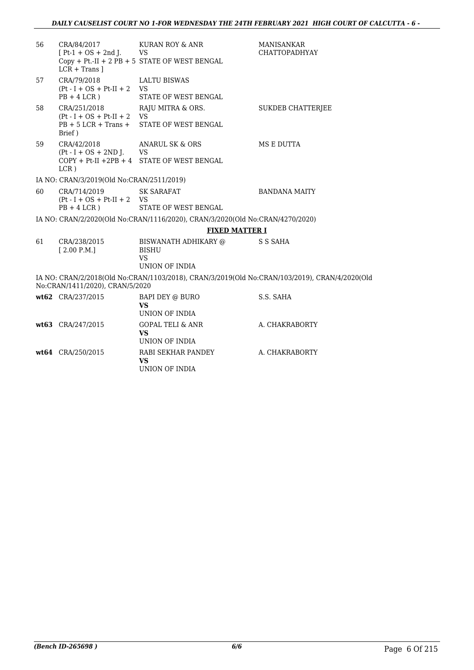| 56 | CRA/84/2017<br>$[Pt-1 + OS + 2nd J.$ VS                                           | KURAN ROY & ANR<br>$Copy + Pt.-II + 2 PB + 5 STATE OF WEST BENGAL$                            | <b>MANISANKAR</b><br><b>CHATTOPADHYAY</b> |
|----|-----------------------------------------------------------------------------------|-----------------------------------------------------------------------------------------------|-------------------------------------------|
|    | $LCR + Trans$                                                                     |                                                                                               |                                           |
| 57 | CRA/79/2018<br>$(Pt - I + OS + Pt-II + 2$ VS<br>$PB + 4 LCR$ )                    | <b>LALTU BISWAS</b><br><b>STATE OF WEST BENGAL</b>                                            |                                           |
| 58 | CRA/251/2018<br>$(Pt - I + OS + Pt-II + 2$ VS<br>$PB + 5 LCR + Trans +$<br>Brief) | RAJU MITRA & ORS.<br>STATE OF WEST BENGAL                                                     | <b>SUKDEB CHATTERJEE</b>                  |
| 59 | CRA/42/2018<br>$(Pt - I + OS + 2ND J.$ VS<br>$LCR$ )                              | ANARUL SK & ORS<br>$COPY + Pt-II + 2PB + 4$ STATE OF WEST BENGAL                              | <b>MS E DUTTA</b>                         |
|    | IA NO: CRAN/3/2019(Old No:CRAN/2511/2019)                                         |                                                                                               |                                           |
| 60 | CRA/714/2019<br>$(Pt - I + OS + Pt-II + 2$ VS<br>$PB + 4 LCR$ )                   | <b>SK SARAFAT</b><br><b>STATE OF WEST BENGAL</b>                                              | <b>BANDANA MAITY</b>                      |
|    |                                                                                   | IA NO: CRAN/2/2020(Old No:CRAN/1116/2020), CRAN/3/2020(Old No:CRAN/4270/2020)                 |                                           |
|    |                                                                                   | <b>FIXED MATTER I</b>                                                                         |                                           |
| 61 | CRA/238/2015<br>[2.00 P.M.]                                                       | BISWANATH ADHIKARY @<br>BISHU<br><b>VS</b><br>UNION OF INDIA                                  | S S SAHA                                  |
|    | No:CRAN/1411/2020), CRAN/5/2020                                                   | IA NO: CRAN/2/2018(Old No:CRAN/1103/2018), CRAN/3/2019(Old No:CRAN/103/2019), CRAN/4/2020(Old |                                           |
|    | wt62 CRA/237/2015                                                                 | BAPI DEY @ BURO<br><b>VS</b><br>UNION OF INDIA                                                | S.S. SAHA                                 |
|    | wt63 CRA/247/2015                                                                 | <b>GOPAL TELI &amp; ANR</b><br><b>VS</b><br>UNION OF INDIA                                    | A. CHAKRABORTY                            |
|    | wt64 CRA/250/2015                                                                 | RABI SEKHAR PANDEY<br><b>VS</b><br>UNION OF INDIA                                             | A. CHAKRABORTY                            |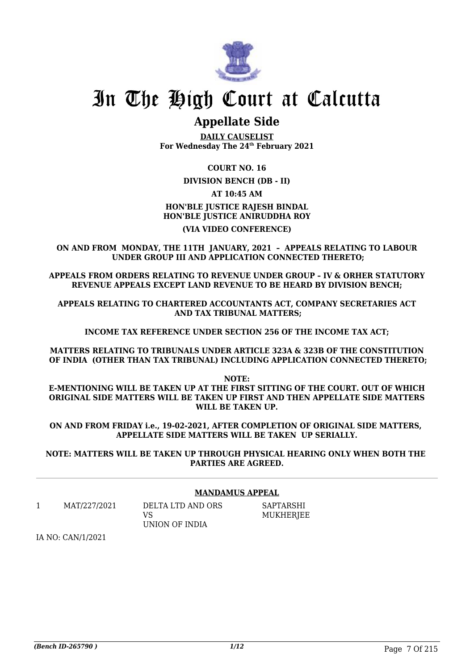

## **Appellate Side**

**DAILY CAUSELIST For Wednesday The 24th February 2021**

### **COURT NO. 16**

**DIVISION BENCH (DB - II)**

### **AT 10:45 AM**

## **HON'BLE JUSTICE RAJESH BINDAL HON'BLE JUSTICE ANIRUDDHA ROY**

## **(VIA VIDEO CONFERENCE)**

**ON AND FROM MONDAY, THE 11TH JANUARY, 2021 – APPEALS RELATING TO LABOUR UNDER GROUP III AND APPLICATION CONNECTED THERETO;**

**APPEALS FROM ORDERS RELATING TO REVENUE UNDER GROUP – IV & ORHER STATUTORY REVENUE APPEALS EXCEPT LAND REVENUE TO BE HEARD BY DIVISION BENCH;**

**APPEALS RELATING TO CHARTERED ACCOUNTANTS ACT, COMPANY SECRETARIES ACT AND TAX TRIBUNAL MATTERS;**

**INCOME TAX REFERENCE UNDER SECTION 256 OF THE INCOME TAX ACT;**

**MATTERS RELATING TO TRIBUNALS UNDER ARTICLE 323A & 323B OF THE CONSTITUTION OF INDIA (OTHER THAN TAX TRIBUNAL) INCLUDING APPLICATION CONNECTED THERETO;**

**NOTE: E-MENTIONING WILL BE TAKEN UP AT THE FIRST SITTING OF THE COURT. OUT OF WHICH ORIGINAL SIDE MATTERS WILL BE TAKEN UP FIRST AND THEN APPELLATE SIDE MATTERS WILL BE TAKEN UP.**

**ON AND FROM FRIDAY i.e., 19-02-2021, AFTER COMPLETION OF ORIGINAL SIDE MATTERS, APPELLATE SIDE MATTERS WILL BE TAKEN UP SERIALLY.**

**NOTE: MATTERS WILL BE TAKEN UP THROUGH PHYSICAL HEARING ONLY WHEN BOTH THE PARTIES ARE AGREED.**

#### **MANDAMUS APPEAL**

1 MAT/227/2021 DELTA LTD AND ORS

VS UNION OF INDIA SAPTARSHI MUKHERJEE

IA NO: CAN/1/2021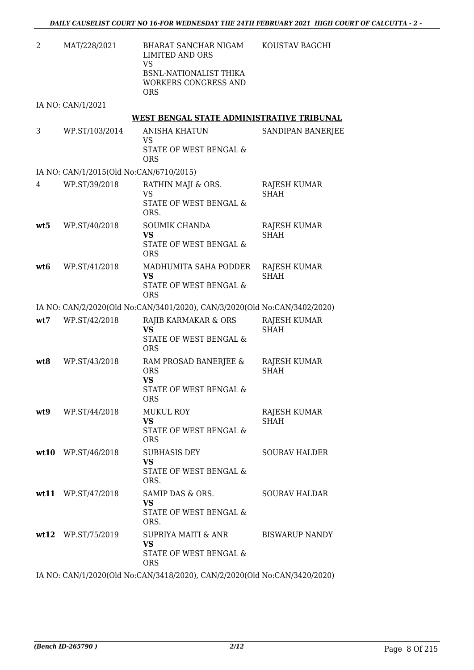2 MAT/228/2021 BHARAT SANCHAR NIGAM LIMITED AND ORS VS BSNL-NATIONALIST THIKA WORKERS CONGRESS AND ORS KOUSTAV BAGCHI

IA NO: CAN/1/2021

#### **WEST BENGAL STATE ADMINISTRATIVE TRIBUNAL**

3 WP.ST/103/2014 ANISHA KHATUN VS STATE OF WEST BENGAL & ORS SANDIPAN BANERJEE

#### IA NO: CAN/1/2015(Old No:CAN/6710/2015)

| 4   | WP.ST/39/2018 | RATHIN MAJI & ORS.<br>VS<br>STATE OF WEST BENGAL &<br>ORS.          | RAJESH KUMAR<br><b>SHAH</b> |
|-----|---------------|---------------------------------------------------------------------|-----------------------------|
| wt5 | WP.ST/40/2018 | <b>SOUMIK CHANDA</b><br>VS<br>STATE OF WEST BENGAL &<br><b>ORS</b>  | RAJESH KUMAR<br><b>SHAH</b> |
| wt6 | WP.ST/41/2018 | MADHUMITA SAHA PODDER<br>VS<br>STATE OF WEST BENGAL &<br><b>ORS</b> | RAJESH KUMAR<br><b>SHAH</b> |

#### IA NO: CAN/2/2020(Old No:CAN/3401/2020), CAN/3/2020(Old No:CAN/3402/2020)

| wt7  | WP.ST/42/2018        | RAJIB KARMAKAR & ORS<br><b>VS</b><br>STATE OF WEST BENGAL &<br>ORS                 | RAJESH KUMAR<br><b>SHAH</b> |
|------|----------------------|------------------------------------------------------------------------------------|-----------------------------|
| wt8  | WP.ST/43/2018        | RAM PROSAD BANERJEE &<br><b>ORS</b><br>VS.<br>STATE OF WEST BENGAL &<br><b>ORS</b> | RAJESH KUMAR<br><b>SHAH</b> |
| wt.9 | WP.ST/44/2018        | <b>MUKUL ROY</b><br>VS.<br>STATE OF WEST BENGAL &<br><b>ORS</b>                    | RAJESH KUMAR<br>SHAH        |
|      | $wt10$ WP.ST/46/2018 | <b>SUBHASIS DEY</b><br><b>VS</b><br>STATE OF WEST BENGAL &<br>ORS.                 | <b>SOURAV HALDER</b>        |
|      | wt11 $WPST/47/2018$  | SAMIP DAS & ORS.<br>VS.<br>STATE OF WEST BENGAL &<br>ORS.                          | <b>SOURAV HALDAR</b>        |
|      | wt12 WP.ST/75/2019   | SUPRIYA MAITI & ANR<br><b>VS</b><br>STATE OF WEST BENGAL &<br>ORS                  | <b>BISWARUP NANDY</b>       |

IA NO: CAN/1/2020(Old No:CAN/3418/2020), CAN/2/2020(Old No:CAN/3420/2020)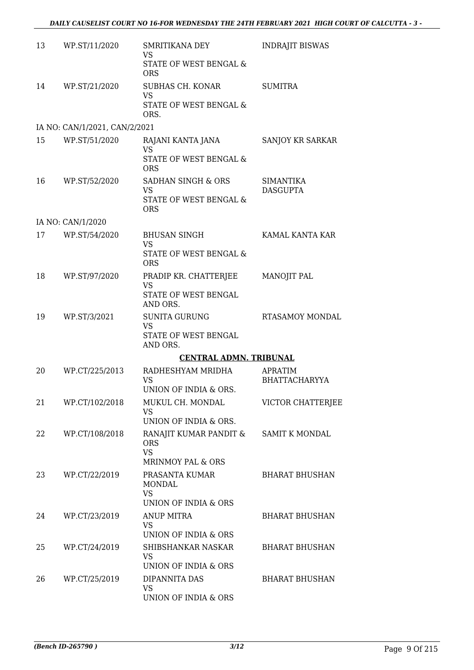| 13 | WP.ST/11/2020                 | SMRITIKANA DEY<br><b>VS</b>                | <b>INDRAJIT BISWAS</b>              |
|----|-------------------------------|--------------------------------------------|-------------------------------------|
|    |                               | STATE OF WEST BENGAL &<br><b>ORS</b>       |                                     |
| 14 | WP.ST/21/2020                 | SUBHAS CH. KONAR<br><b>VS</b>              | <b>SUMITRA</b>                      |
|    |                               | STATE OF WEST BENGAL &<br>ORS.             |                                     |
|    | IA NO: CAN/1/2021, CAN/2/2021 |                                            |                                     |
| 15 | WP.ST/51/2020                 | RAJANI KANTA JANA<br>VS                    | SANJOY KR SARKAR                    |
|    |                               | STATE OF WEST BENGAL &<br><b>ORS</b>       |                                     |
| 16 | WP.ST/52/2020                 | SADHAN SINGH & ORS<br>VS                   | <b>SIMANTIKA</b><br><b>DASGUPTA</b> |
|    |                               | STATE OF WEST BENGAL &<br><b>ORS</b>       |                                     |
|    | IA NO: CAN/1/2020             |                                            |                                     |
| 17 | WP.ST/54/2020                 | <b>BHUSAN SINGH</b><br><b>VS</b>           | KAMAL KANTA KAR                     |
|    |                               | STATE OF WEST BENGAL &<br><b>ORS</b>       |                                     |
| 18 | WP.ST/97/2020                 | PRADIP KR. CHATTERJEE<br><b>VS</b>         | <b>MANOJIT PAL</b>                  |
|    |                               | STATE OF WEST BENGAL<br>AND ORS.           |                                     |
| 19 | WP.ST/3/2021                  | <b>SUNITA GURUNG</b><br><b>VS</b>          | <b>RTASAMOY MONDAL</b>              |
|    |                               | STATE OF WEST BENGAL<br>AND ORS.           |                                     |
|    |                               | <b>CENTRAL ADMN. TRIBUNAL</b>              |                                     |
| 20 | WP.CT/225/2013                | RADHESHYAM MRIDHA<br>VS                    | APRATIM<br><b>BHATTACHARYYA</b>     |
| 21 | WP.CT/102/2018                | UNION OF INDIA & ORS.<br>MUKUL CH. MONDAL  | <b>VICTOR CHATTERJEE</b>            |
|    |                               | VS<br>UNION OF INDIA & ORS.                |                                     |
| 22 | WP.CT/108/2018                | RANAJIT KUMAR PANDIT &<br><b>ORS</b>       | <b>SAMIT K MONDAL</b>               |
|    |                               | <b>VS</b><br>MRINMOY PAL & ORS             |                                     |
| 23 | WP.CT/22/2019                 | PRASANTA KUMAR<br><b>MONDAL</b><br>VS      | <b>BHARAT BHUSHAN</b>               |
|    |                               | UNION OF INDIA & ORS                       |                                     |
| 24 | WP.CT/23/2019                 | <b>ANUP MITRA</b><br><b>VS</b>             | <b>BHARAT BHUSHAN</b>               |
| 25 | WP.CT/24/2019                 | UNION OF INDIA & ORS<br>SHIBSHANKAR NASKAR | <b>BHARAT BHUSHAN</b>               |
|    |                               | VS<br>UNION OF INDIA & ORS                 |                                     |
| 26 | WP.CT/25/2019                 | DIPANNITA DAS                              | <b>BHARAT BHUSHAN</b>               |
|    |                               | VS<br>UNION OF INDIA & ORS                 |                                     |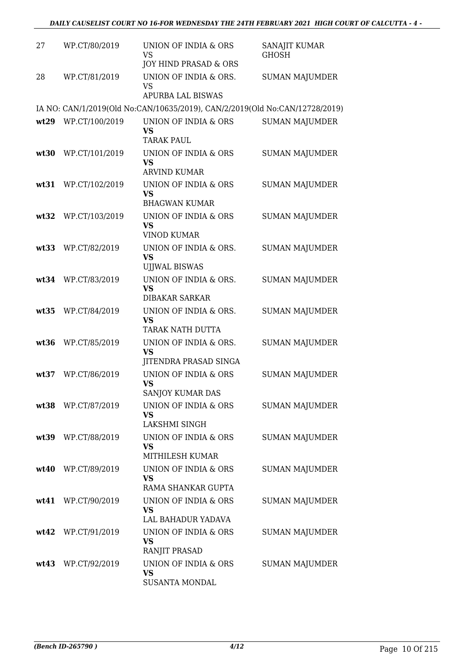| 27   | WP.CT/80/2019      | UNION OF INDIA & ORS<br><b>VS</b><br>JOY HIND PRASAD & ORS                  | SANAJIT KUMAR<br><b>GHOSH</b> |
|------|--------------------|-----------------------------------------------------------------------------|-------------------------------|
| 28   | WP.CT/81/2019      | UNION OF INDIA & ORS.<br><b>VS</b><br><b>APURBA LAL BISWAS</b>              | <b>SUMAN MAJUMDER</b>         |
|      |                    | IA NO: CAN/1/2019(Old No:CAN/10635/2019), CAN/2/2019(Old No:CAN/12728/2019) |                               |
| wt29 | WP.CT/100/2019     | UNION OF INDIA & ORS<br>VS<br><b>TARAK PAUL</b>                             | <b>SUMAN MAJUMDER</b>         |
| wt30 | WP.CT/101/2019     | UNION OF INDIA & ORS<br><b>VS</b><br><b>ARVIND KUMAR</b>                    | <b>SUMAN MAJUMDER</b>         |
| wt31 | WP.CT/102/2019     | UNION OF INDIA & ORS<br><b>VS</b><br><b>BHAGWAN KUMAR</b>                   | <b>SUMAN MAJUMDER</b>         |
| wt32 | WP.CT/103/2019     | UNION OF INDIA & ORS<br>VS<br><b>VINOD KUMAR</b>                            | <b>SUMAN MAJUMDER</b>         |
| wt33 | WP.CT/82/2019      | UNION OF INDIA & ORS.<br><b>VS</b><br><b>UJJWAL BISWAS</b>                  | <b>SUMAN MAJUMDER</b>         |
|      | wt34 WP.CT/83/2019 | UNION OF INDIA & ORS.<br><b>VS</b><br><b>DIBAKAR SARKAR</b>                 | <b>SUMAN MAJUMDER</b>         |
| wt35 | WP.CT/84/2019      | UNION OF INDIA & ORS.<br><b>VS</b><br>TARAK NATH DUTTA                      | <b>SUMAN MAJUMDER</b>         |
| wt36 | WP.CT/85/2019      | UNION OF INDIA & ORS.<br><b>VS</b><br>JITENDRA PRASAD SINGA                 | <b>SUMAN MAJUMDER</b>         |
| wt37 | WP.CT/86/2019      | UNION OF INDIA & ORS<br><b>VS</b><br>SANJOY KUMAR DAS                       | <b>SUMAN MAJUMDER</b>         |
|      | wt38 WP.CT/87/2019 | UNION OF INDIA & ORS<br>VS<br>LAKSHMI SINGH                                 | <b>SUMAN MAJUMDER</b>         |
|      | wt39 WP.CT/88/2019 | UNION OF INDIA & ORS<br><b>VS</b><br>MITHILESH KUMAR                        | <b>SUMAN MAJUMDER</b>         |
|      | wt40 WP.CT/89/2019 | UNION OF INDIA & ORS<br><b>VS</b><br>RAMA SHANKAR GUPTA                     | <b>SUMAN MAJUMDER</b>         |
|      | wt41 WP.CT/90/2019 | UNION OF INDIA & ORS<br><b>VS</b><br>LAL BAHADUR YADAVA                     | <b>SUMAN MAJUMDER</b>         |
|      | wt42 WP.CT/91/2019 | UNION OF INDIA & ORS<br><b>VS</b><br>RANJIT PRASAD                          | <b>SUMAN MAJUMDER</b>         |
|      | wt43 WP.CT/92/2019 | UNION OF INDIA & ORS<br><b>VS</b><br>SUSANTA MONDAL                         | <b>SUMAN MAJUMDER</b>         |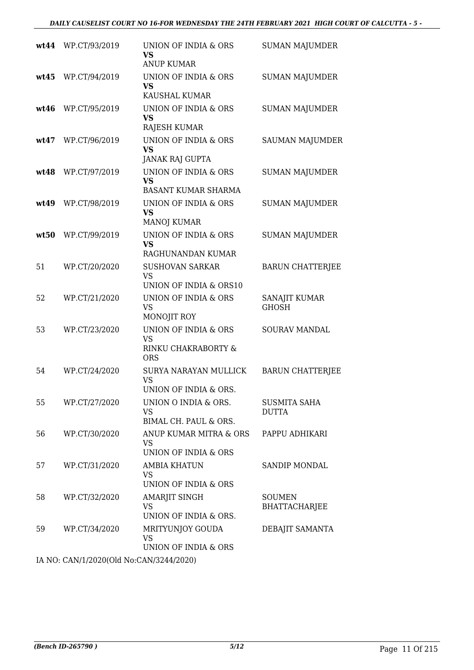|      | wt44 WP.CT/93/2019                        | UNION OF INDIA & ORS<br>VS<br><b>ANUP KUMAR</b>                        | <b>SUMAN MAJUMDER</b>                 |
|------|-------------------------------------------|------------------------------------------------------------------------|---------------------------------------|
| wt45 | WP.CT/94/2019                             | UNION OF INDIA & ORS<br><b>VS</b><br>KAUSHAL KUMAR                     | <b>SUMAN MAJUMDER</b>                 |
| wt46 | WP.CT/95/2019                             | UNION OF INDIA & ORS<br>VS<br>RAJESH KUMAR                             | <b>SUMAN MAJUMDER</b>                 |
| wt47 | WP.CT/96/2019                             | UNION OF INDIA & ORS<br><b>VS</b><br><b>JANAK RAJ GUPTA</b>            | <b>SAUMAN MAJUMDER</b>                |
| wt48 | WP.CT/97/2019                             | UNION OF INDIA & ORS<br><b>VS</b><br><b>BASANT KUMAR SHARMA</b>        | <b>SUMAN MAJUMDER</b>                 |
| wt49 | WP.CT/98/2019                             | UNION OF INDIA & ORS<br>VS<br><b>MANOJ KUMAR</b>                       | <b>SUMAN MAJUMDER</b>                 |
| wt50 | WP.CT/99/2019                             | UNION OF INDIA & ORS<br><b>VS</b><br>RAGHUNANDAN KUMAR                 | <b>SUMAN MAJUMDER</b>                 |
| 51   | WP.CT/20/2020                             | <b>SUSHOVAN SARKAR</b><br><b>VS</b><br>UNION OF INDIA & ORS10          | <b>BARUN CHATTERJEE</b>               |
| 52   | WP.CT/21/2020                             | UNION OF INDIA & ORS<br><b>VS</b><br>MONOJIT ROY                       | SANAJIT KUMAR<br><b>GHOSH</b>         |
| 53   | WP.CT/23/2020                             | UNION OF INDIA & ORS<br><b>VS</b><br>RINKU CHAKRABORTY &<br><b>ORS</b> | <b>SOURAV MANDAL</b>                  |
| 54   | WP.CT/24/2020                             | SURYA NARAYAN MULLICK<br><b>VS</b><br>UNION OF INDIA & ORS.            | <b>BARUN CHATTERJEE</b>               |
| 55   | WP.CT/27/2020                             | UNION O INDIA & ORS.<br><b>VS</b><br>BIMAL CH. PAUL & ORS.             | <b>SUSMITA SAHA</b><br><b>DUTTA</b>   |
| 56   | WP.CT/30/2020                             | ANUP KUMAR MITRA & ORS<br>VS<br>UNION OF INDIA & ORS                   | PAPPU ADHIKARI                        |
| 57   | WP.CT/31/2020                             | AMBIA KHATUN<br>VS<br>UNION OF INDIA & ORS                             | SANDIP MONDAL                         |
| 58   | WP.CT/32/2020                             | AMARJIT SINGH<br>VS<br>UNION OF INDIA & ORS.                           | <b>SOUMEN</b><br><b>BHATTACHARJEE</b> |
| 59   | WP.CT/34/2020                             | MRITYUNJOY GOUDA<br><b>VS</b><br>UNION OF INDIA & ORS                  | DEBAJIT SAMANTA                       |
|      | IA NO. CANIH 12020(OLL No. CANI224412020) |                                                                        |                                       |

IA NO: CAN/1/2020(Old No:CAN/3244/2020)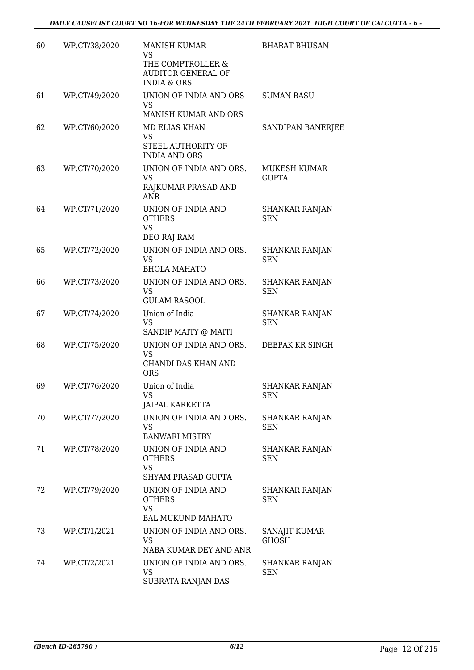| 60 | WP.CT/38/2020 | <b>MANISH KUMAR</b><br>VS<br>THE COMPTROLLER &                            | <b>BHARAT BHUSAN</b>                |
|----|---------------|---------------------------------------------------------------------------|-------------------------------------|
|    |               | <b>AUDITOR GENERAL OF</b><br><b>INDIA &amp; ORS</b>                       |                                     |
| 61 | WP.CT/49/2020 | UNION OF INDIA AND ORS<br>VS                                              | <b>SUMAN BASU</b>                   |
|    |               | MANISH KUMAR AND ORS                                                      |                                     |
| 62 | WP.CT/60/2020 | <b>MD ELIAS KHAN</b><br><b>VS</b>                                         | SANDIPAN BANERJEE                   |
|    |               | STEEL AUTHORITY OF<br><b>INDIA AND ORS</b>                                |                                     |
| 63 | WP.CT/70/2020 | UNION OF INDIA AND ORS.<br><b>VS</b><br>RAJKUMAR PRASAD AND<br><b>ANR</b> | MUKESH KUMAR<br><b>GUPTA</b>        |
| 64 | WP.CT/71/2020 | UNION OF INDIA AND<br><b>OTHERS</b><br><b>VS</b><br>DEO RAJ RAM           | <b>SHANKAR RANJAN</b><br><b>SEN</b> |
| 65 | WP.CT/72/2020 | UNION OF INDIA AND ORS.                                                   | <b>SHANKAR RANJAN</b>               |
|    |               | <b>VS</b><br><b>BHOLA MAHATO</b>                                          | <b>SEN</b>                          |
| 66 | WP.CT/73/2020 | UNION OF INDIA AND ORS.<br><b>VS</b><br><b>GULAM RASOOL</b>               | SHANKAR RANJAN<br><b>SEN</b>        |
| 67 | WP.CT/74/2020 | Union of India<br><b>VS</b>                                               | <b>SHANKAR RANJAN</b><br>SEN        |
| 68 | WP.CT/75/2020 | SANDIP MAITY @ MAITI<br>UNION OF INDIA AND ORS.                           | DEEPAK KR SINGH                     |
|    |               | <b>VS</b>                                                                 |                                     |
|    |               | <b>CHANDI DAS KHAN AND</b><br><b>ORS</b>                                  |                                     |
| 69 | WP.CT/76/2020 | Union of India<br><b>VS</b><br>JAIPAL KARKETTA                            | <b>SHANKAR RANJAN</b><br>SEN        |
| 70 | WP.CT/77/2020 | UNION OF INDIA AND ORS.<br><b>VS</b>                                      | <b>SHANKAR RANJAN</b><br>SEN        |
|    |               | <b>BANWARI MISTRY</b>                                                     |                                     |
| 71 | WP.CT/78/2020 | UNION OF INDIA AND<br><b>OTHERS</b><br><b>VS</b>                          | SHANKAR RANJAN<br>SEN               |
|    |               | <b>SHYAM PRASAD GUPTA</b>                                                 |                                     |
| 72 | WP.CT/79/2020 | UNION OF INDIA AND<br><b>OTHERS</b><br><b>VS</b>                          | <b>SHANKAR RANJAN</b><br>SEN        |
|    |               | <b>BAL MUKUND MAHATO</b>                                                  |                                     |
| 73 | WP.CT/1/2021  | UNION OF INDIA AND ORS.<br><b>VS</b><br>NABA KUMAR DEY AND ANR            | SANAJIT KUMAR<br><b>GHOSH</b>       |
| 74 | WP.CT/2/2021  | UNION OF INDIA AND ORS.                                                   | SHANKAR RANJAN                      |
|    |               | VS<br>SUBRATA RANJAN DAS                                                  | SEN                                 |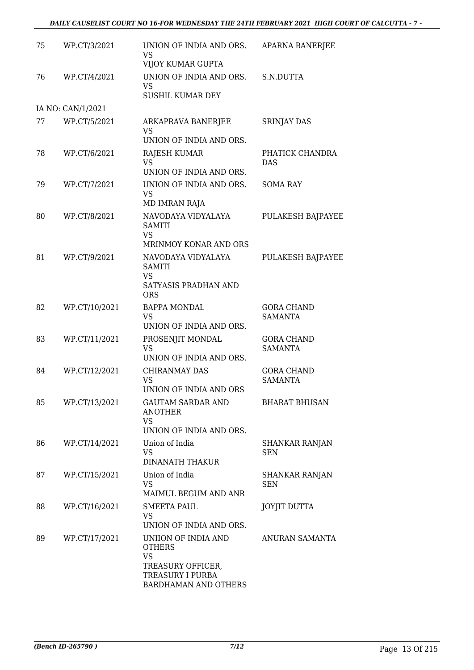| 75 | WP.CT/3/2021      | UNION OF INDIA AND ORS.<br>VS<br>VIJOY KUMAR GUPTA                                | <b>APARNA BANERJEE</b>              |
|----|-------------------|-----------------------------------------------------------------------------------|-------------------------------------|
| 76 | WP.CT/4/2021      | UNION OF INDIA AND ORS.<br>VS<br><b>SUSHIL KUMAR DEY</b>                          | S.N.DUTTA                           |
|    | IA NO: CAN/1/2021 |                                                                                   |                                     |
| 77 | WP.CT/5/2021      | ARKAPRAVA BANERJEE<br>VS<br>UNION OF INDIA AND ORS.                               | <b>SRINJAY DAS</b>                  |
|    |                   |                                                                                   |                                     |
| 78 | WP.CT/6/2021      | <b>RAJESH KUMAR</b><br><b>VS</b><br>UNION OF INDIA AND ORS.                       | PHATICK CHANDRA<br><b>DAS</b>       |
| 79 | WP.CT/7/2021      | UNION OF INDIA AND ORS.<br><b>VS</b>                                              | <b>SOMA RAY</b>                     |
|    |                   | MD IMRAN RAJA                                                                     |                                     |
| 80 | WP.CT/8/2021      | NAVODAYA VIDYALAYA<br><b>SAMITI</b><br><b>VS</b><br>MRINMOY KONAR AND ORS         | <b>PULAKESH BAJPAYEE</b>            |
|    |                   |                                                                                   |                                     |
| 81 | WP.CT/9/2021      | NAVODAYA VIDYALAYA<br><b>SAMITI</b><br>VS                                         | PULAKESH BAJPAYEE                   |
|    |                   | SATYASIS PRADHAN AND<br><b>ORS</b>                                                |                                     |
| 82 | WP.CT/10/2021     | <b>BAPPA MONDAL</b><br><b>VS</b><br>UNION OF INDIA AND ORS.                       | <b>GORA CHAND</b><br><b>SAMANTA</b> |
| 83 | WP.CT/11/2021     | PROSENJIT MONDAL<br><b>VS</b>                                                     | <b>GORA CHAND</b><br><b>SAMANTA</b> |
|    |                   | UNION OF INDIA AND ORS.                                                           |                                     |
| 84 | WP.CT/12/2021     | <b>CHIRANMAY DAS</b><br><b>VS</b><br>UNION OF INDIA AND ORS                       | <b>GORA CHAND</b><br><b>SAMANTA</b> |
| 85 | WP.CT/13/2021     | GAUTAM SARDAR AND<br><b>ANOTHER</b><br><b>VS</b><br>UNION OF INDIA AND ORS.       | <b>BHARAT BHUSAN</b>                |
| 86 | WP.CT/14/2021     | Union of India                                                                    | <b>SHANKAR RANJAN</b>               |
|    |                   | VS<br><b>DINANATH THAKUR</b>                                                      | <b>SEN</b>                          |
| 87 | WP.CT/15/2021     | Union of India<br><b>VS</b>                                                       | SHANKAR RANJAN<br><b>SEN</b>        |
|    |                   | MAIMUL BEGUM AND ANR                                                              |                                     |
| 88 | WP.CT/16/2021     | <b>SMEETA PAUL</b><br>VS<br>UNION OF INDIA AND ORS.                               | <b>JOYJIT DUTTA</b>                 |
| 89 | WP.CT/17/2021     | UNIION OF INDIA AND<br><b>OTHERS</b>                                              | ANURAN SAMANTA                      |
|    |                   | <b>VS</b><br>TREASURY OFFICER,<br>TREASURY I PURBA<br><b>BARDHAMAN AND OTHERS</b> |                                     |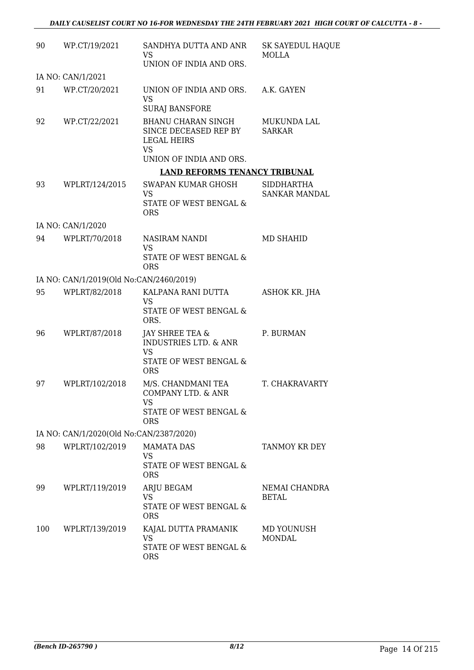| 90  | WP.CT/19/2021                           | SANDHYA DUTTA AND ANR<br>VS                                                                               | <b>SK SAYEDUL HAQUE</b><br>MOLLA |
|-----|-----------------------------------------|-----------------------------------------------------------------------------------------------------------|----------------------------------|
|     |                                         | UNION OF INDIA AND ORS.                                                                                   |                                  |
|     | IA NO: CAN/1/2021                       |                                                                                                           |                                  |
| 91  | WP.CT/20/2021                           | UNION OF INDIA AND ORS.<br><b>VS</b>                                                                      | A.K. GAYEN                       |
|     |                                         | <b>SURAJ BANSFORE</b>                                                                                     |                                  |
| 92  | WP.CT/22/2021                           | <b>BHANU CHARAN SINGH</b><br>SINCE DECEASED REP BY<br><b>LEGAL HEIRS</b><br>VS<br>UNION OF INDIA AND ORS. | MUKUNDA LAL<br><b>SARKAR</b>     |
|     |                                         | <b>LAND REFORMS TENANCY TRIBUNAL</b>                                                                      |                                  |
| 93  | WPLRT/124/2015                          | SWAPAN KUMAR GHOSH                                                                                        | SIDDHARTHA                       |
|     |                                         | VS<br>STATE OF WEST BENGAL &<br><b>ORS</b>                                                                | <b>SANKAR MANDAL</b>             |
|     | IA NO: CAN/1/2020                       |                                                                                                           |                                  |
| 94  | WPLRT/70/2018                           | NASIRAM NANDI<br><b>VS</b>                                                                                | <b>MD SHAHID</b>                 |
|     |                                         | STATE OF WEST BENGAL &<br><b>ORS</b>                                                                      |                                  |
|     | IA NO: CAN/1/2019(Old No:CAN/2460/2019) |                                                                                                           |                                  |
| 95  | WPLRT/82/2018                           | KALPANA RANI DUTTA<br>VS<br>STATE OF WEST BENGAL &<br>ORS.                                                | ASHOK KR. JHA                    |
| 96  | WPLRT/87/2018                           | JAY SHREE TEA &<br><b>INDUSTRIES LTD. &amp; ANR</b><br><b>VS</b>                                          | P. BURMAN                        |
|     |                                         | STATE OF WEST BENGAL &<br><b>ORS</b>                                                                      |                                  |
| 97  | WPLRT/102/2018                          | M/S. CHANDMANI TEA<br>COMPANY LTD. & ANR<br>VS<br>STATE OF WEST BENGAL &                                  | T. CHAKRAVARTY                   |
|     |                                         | <b>ORS</b>                                                                                                |                                  |
|     | IA NO: CAN/1/2020(Old No:CAN/2387/2020) |                                                                                                           |                                  |
| 98  | WPLRT/102/2019                          | <b>MAMATA DAS</b>                                                                                         | TANMOY KR DEY                    |
|     |                                         | VS<br>STATE OF WEST BENGAL &<br><b>ORS</b>                                                                |                                  |
| 99  | WPLRT/119/2019                          | ARJU BEGAM<br>VS<br>STATE OF WEST BENGAL &                                                                | NEMAI CHANDRA<br><b>BETAL</b>    |
| 100 | WPLRT/139/2019                          | <b>ORS</b><br>KAJAL DUTTA PRAMANIK                                                                        | MD YOUNUSH                       |
|     |                                         | <b>VS</b><br>STATE OF WEST BENGAL &<br><b>ORS</b>                                                         | <b>MONDAL</b>                    |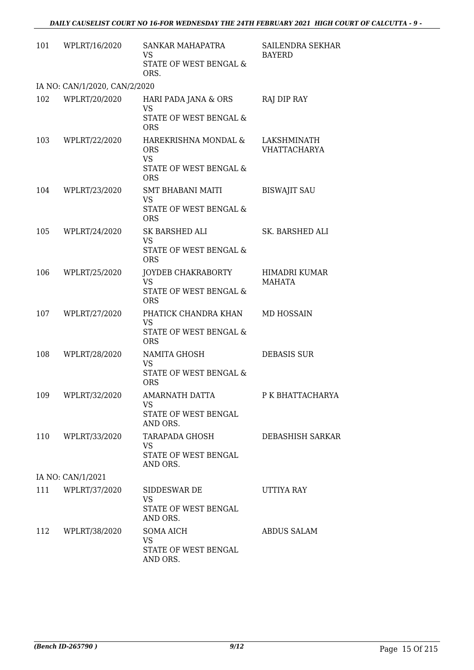| 101 | WPLRT/16/2020                 | SANKAR MAHAPATRA<br>VS.<br>STATE OF WEST BENGAL &<br>ORS.                               | SAILENDRA SEKHAR<br><b>BAYERD</b>  |
|-----|-------------------------------|-----------------------------------------------------------------------------------------|------------------------------------|
|     | IA NO: CAN/1/2020, CAN/2/2020 |                                                                                         |                                    |
| 102 | WPLRT/20/2020                 | HARI PADA JANA & ORS<br><b>VS</b><br>STATE OF WEST BENGAL &<br><b>ORS</b>               | RAJ DIP RAY                        |
| 103 | WPLRT/22/2020                 | HAREKRISHNA MONDAL &<br><b>ORS</b><br><b>VS</b><br>STATE OF WEST BENGAL &<br><b>ORS</b> | LAKSHMINATH<br><b>VHATTACHARYA</b> |
| 104 | WPLRT/23/2020                 | SMT BHABANI MAITI<br><b>VS</b><br>STATE OF WEST BENGAL &<br><b>ORS</b>                  | <b>BISWAJIT SAU</b>                |
| 105 | WPLRT/24/2020                 | SK BARSHED ALI<br><b>VS</b><br>STATE OF WEST BENGAL &<br><b>ORS</b>                     | SK. BARSHED ALI                    |
| 106 | WPLRT/25/2020                 | JOYDEB CHAKRABORTY<br><b>VS</b><br>STATE OF WEST BENGAL &<br><b>ORS</b>                 | HIMADRI KUMAR<br>MAHATA            |
| 107 | WPLRT/27/2020                 | PHATICK CHANDRA KHAN<br><b>VS</b><br>STATE OF WEST BENGAL &<br><b>ORS</b>               | <b>MD HOSSAIN</b>                  |
| 108 | WPLRT/28/2020                 | NAMITA GHOSH<br><b>VS</b><br>STATE OF WEST BENGAL &<br><b>ORS</b>                       | <b>DEBASIS SUR</b>                 |
|     | 109 WPLRT/32/2020             | <b>AMARNATH DATTA</b><br>VS<br>STATE OF WEST BENGAL<br>AND ORS.                         | P K BHATTACHARYA                   |
| 110 | WPLRT/33/2020                 | TARAPADA GHOSH<br>VS.<br>STATE OF WEST BENGAL<br>AND ORS.                               | <b>DEBASHISH SARKAR</b>            |
|     | IA NO: CAN/1/2021             |                                                                                         |                                    |
| 111 | WPLRT/37/2020                 | SIDDESWAR DE<br>VS.<br>STATE OF WEST BENGAL<br>AND ORS.                                 | UTTIYA RAY                         |
| 112 | WPLRT/38/2020                 | <b>SOMA AICH</b><br><b>VS</b><br>STATE OF WEST BENGAL<br>AND ORS.                       | <b>ABDUS SALAM</b>                 |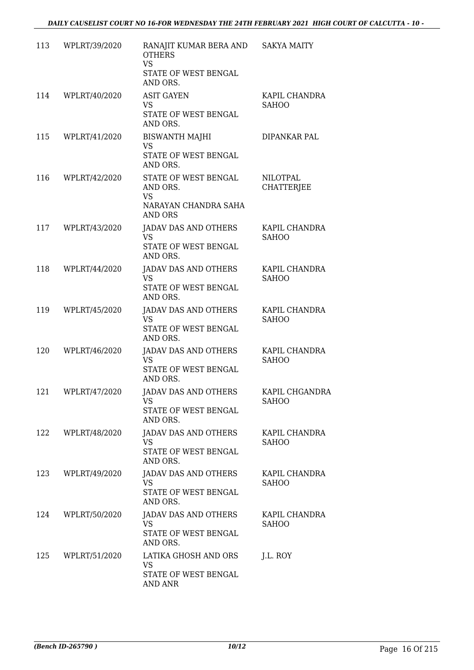| 113 | WPLRT/39/2020 | RANAJIT KUMAR BERA AND<br><b>OTHERS</b><br><b>VS</b><br>STATE OF WEST BENGAL<br>AND ORS. | <b>SAKYA MAITY</b>             |
|-----|---------------|------------------------------------------------------------------------------------------|--------------------------------|
| 114 | WPLRT/40/2020 | <b>ASIT GAYEN</b><br>VS<br>STATE OF WEST BENGAL<br>AND ORS.                              | KAPIL CHANDRA<br><b>SAHOO</b>  |
| 115 | WPLRT/41/2020 | <b>BISWANTH MAJHI</b><br><b>VS</b><br>STATE OF WEST BENGAL<br>AND ORS.                   | DIPANKAR PAL                   |
| 116 | WPLRT/42/2020 | STATE OF WEST BENGAL<br>AND ORS.<br><b>VS</b><br>NARAYAN CHANDRA SAHA<br>AND ORS         | NILOTPAL<br><b>CHATTERJEE</b>  |
| 117 | WPLRT/43/2020 | JADAV DAS AND OTHERS<br><b>VS</b><br>STATE OF WEST BENGAL<br>AND ORS.                    | KAPIL CHANDRA<br><b>SAHOO</b>  |
| 118 | WPLRT/44/2020 | <b>JADAV DAS AND OTHERS</b><br><b>VS</b><br>STATE OF WEST BENGAL<br>AND ORS.             | KAPIL CHANDRA<br><b>SAHOO</b>  |
| 119 | WPLRT/45/2020 | <b>JADAV DAS AND OTHERS</b><br><b>VS</b><br>STATE OF WEST BENGAL<br>AND ORS.             | KAPIL CHANDRA<br><b>SAHOO</b>  |
| 120 | WPLRT/46/2020 | JADAV DAS AND OTHERS<br>VS<br>STATE OF WEST BENGAL<br>AND ORS.                           | KAPIL CHANDRA<br><b>SAHOO</b>  |
| 121 | WPLRT/47/2020 | JADAV DAS AND OTHERS<br>VS<br>STATE OF WEST BENGAL<br>AND ORS.                           | KAPIL CHGANDRA<br><b>SAHOO</b> |
| 122 | WPLRT/48/2020 | JADAV DAS AND OTHERS<br>VS.<br>STATE OF WEST BENGAL<br>AND ORS.                          | KAPIL CHANDRA<br><b>SAHOO</b>  |
| 123 | WPLRT/49/2020 | JADAV DAS AND OTHERS<br>VS.<br>STATE OF WEST BENGAL<br>AND ORS.                          | KAPIL CHANDRA<br><b>SAHOO</b>  |
| 124 | WPLRT/50/2020 | JADAV DAS AND OTHERS<br><b>VS</b><br>STATE OF WEST BENGAL<br>AND ORS.                    | KAPIL CHANDRA<br><b>SAHOO</b>  |
| 125 | WPLRT/51/2020 | LATIKA GHOSH AND ORS<br><b>VS</b><br>STATE OF WEST BENGAL<br>AND ANR                     | J.L. ROY                       |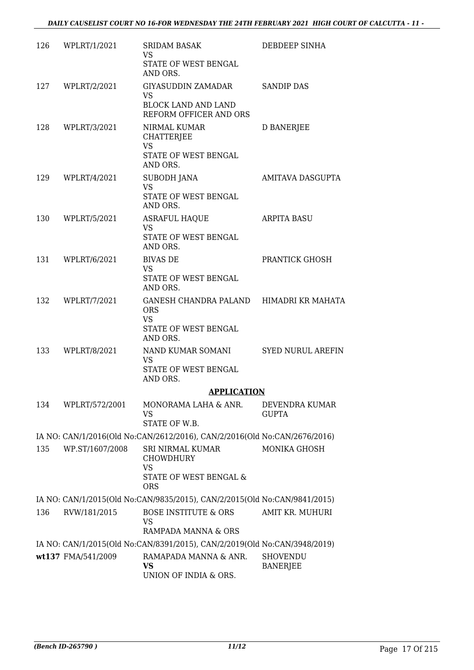|     | 126 WPLRT/1/2021   | <b>SRIDAM BASAK</b><br>VS.<br>STATE OF WEST BENGAL                        | DEBDEEP SINHA                      |
|-----|--------------------|---------------------------------------------------------------------------|------------------------------------|
|     |                    | AND ORS.                                                                  |                                    |
|     | 127 WPLRT/2/2021   | GIYASUDDIN ZAMADAR<br>VS<br>BLOCK LAND AND LAND                           | <b>SANDIP DAS</b>                  |
|     |                    | REFORM OFFICER AND ORS                                                    |                                    |
|     | 128 WPLRT/3/2021   | NIRMAL KUMAR<br><b>CHATTERJEE</b><br><b>VS</b>                            | D BANERJEE                         |
|     |                    | STATE OF WEST BENGAL<br>AND ORS.                                          |                                    |
|     | 129 WPLRT/4/2021   | SUBODH JANA<br><b>VS</b><br>STATE OF WEST BENGAL                          | AMITAVA DASGUPTA                   |
|     |                    | AND ORS.                                                                  |                                    |
|     | 130 WPLRT/5/2021   | <b>ASRAFUL HAQUE</b><br><b>VS</b>                                         | <b>ARPITA BASU</b>                 |
|     |                    | STATE OF WEST BENGAL<br>AND ORS.                                          |                                    |
| 131 | WPLRT/6/2021       | <b>BIVAS DE</b><br><b>VS</b>                                              | PRANTICK GHOSH                     |
|     |                    | STATE OF WEST BENGAL<br>AND ORS.                                          |                                    |
| 132 | WPLRT/7/2021       | GANESH CHANDRA PALAND HIMADRI KR MAHATA<br><b>ORS</b>                     |                                    |
|     |                    | <b>VS</b><br>STATE OF WEST BENGAL<br>AND ORS.                             |                                    |
|     | 133 WPLRT/8/2021   | NAND KUMAR SOMANI<br><b>VS</b>                                            | <b>SYED NURUL AREFIN</b>           |
|     |                    | STATE OF WEST BENGAL<br>AND ORS.                                          |                                    |
|     |                    | <b>APPLICATION</b>                                                        |                                    |
| 134 | WPLRT/572/2001     | MONORAMA LAHA & ANR.<br>VS<br>STATE OF W.B.                               | DEVENDRA KUMAR<br><b>GUPTA</b>     |
|     |                    | IA NO: CAN/1/2016(Old No:CAN/2612/2016), CAN/2/2016(Old No:CAN/2676/2016) |                                    |
| 135 | WP.ST/1607/2008    | SRI NIRMAL KUMAR<br><b>CHOWDHURY</b>                                      | MONIKA GHOSH                       |
|     |                    | <b>VS</b><br>STATE OF WEST BENGAL &<br><b>ORS</b>                         |                                    |
|     |                    | IA NO: CAN/1/2015(Old No:CAN/9835/2015), CAN/2/2015(Old No:CAN/9841/2015) |                                    |
| 136 | RVW/181/2015       | <b>BOSE INSTITUTE &amp; ORS</b><br>VS                                     | AMIT KR. MUHURI                    |
|     |                    | RAMPADA MANNA & ORS                                                       |                                    |
|     |                    | IA NO: CAN/1/2015(Old No:CAN/8391/2015), CAN/2/2019(Old No:CAN/3948/2019) |                                    |
|     | wt137 FMA/541/2009 | RAMAPADA MANNA & ANR.<br>VS<br>UNION OF INDIA & ORS.                      | <b>SHOVENDU</b><br><b>BANERJEE</b> |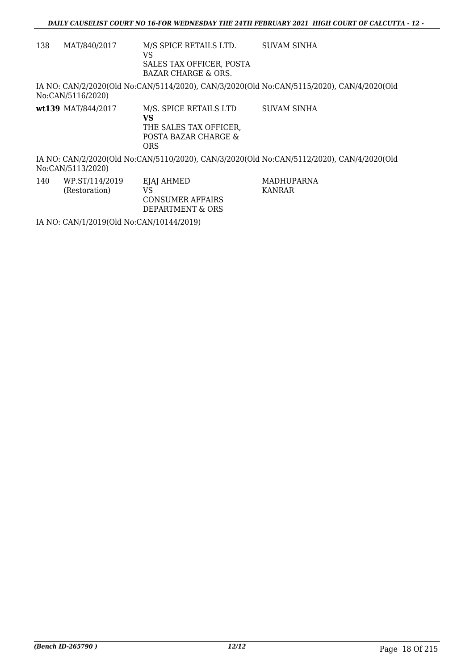138 MAT/840/2017 M/S SPICE RETAILS LTD. VS SALES TAX OFFICER, POSTA BAZAR CHARGE & ORS. SUVAM SINHA

IA NO: CAN/2/2020(Old No:CAN/5114/2020), CAN/3/2020(Old No:CAN/5115/2020), CAN/4/2020(Old No:CAN/5116/2020)

**wt139** MAT/844/2017 M/S. SPICE RETAILS LTD **VS** THE SALES TAX OFFICER, POSTA BAZAR CHARGE & ORS SUVAM SINHA

IA NO: CAN/2/2020(Old No:CAN/5110/2020), CAN/3/2020(Old No:CAN/5112/2020), CAN/4/2020(Old No:CAN/5113/2020)

> MADHUPARNA KANRAR

140 WP.ST/114/2019 (Restoration) EJAJ AHMED VS CONSUMER AFFAIRS DEPARTMENT & ORS

IA NO: CAN/1/2019(Old No:CAN/10144/2019)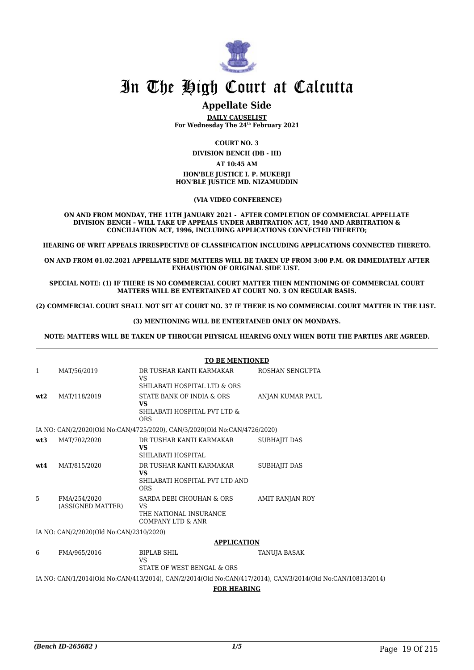

### **Appellate Side**

**DAILY CAUSELIST For Wednesday The 24th February 2021**

**COURT NO. 3**

**DIVISION BENCH (DB - III)**

#### **AT 10:45 AM**

#### **HON'BLE JUSTICE I. P. MUKERJI HON'BLE JUSTICE MD. NIZAMUDDIN**

 **(VIA VIDEO CONFERENCE)**

**ON AND FROM MONDAY, THE 11TH JANUARY 2021 - AFTER COMPLETION OF COMMERCIAL APPELLATE DIVISION BENCH – WILL TAKE UP APPEALS UNDER ARBITRATION ACT, 1940 AND ARBITRATION & CONCILIATION ACT, 1996, INCLUDING APPLICATIONS CONNECTED THERETO;**

**HEARING OF WRIT APPEALS IRRESPECTIVE OF CLASSIFICATION INCLUDING APPLICATIONS CONNECTED THERETO.**

**ON AND FROM 01.02.2021 APPELLATE SIDE MATTERS WILL BE TAKEN UP FROM 3:00 P.M. OR IMMEDIATELY AFTER EXHAUSTION OF ORIGINAL SIDE LIST.** 

**SPECIAL NOTE: (1) IF THERE IS NO COMMERCIAL COURT MATTER THEN MENTIONING OF COMMERCIAL COURT MATTERS WILL BE ENTERTAINED AT COURT NO. 3 ON REGULAR BASIS.**

**(2) COMMERCIAL COURT SHALL NOT SIT AT COURT NO. 37 IF THERE IS NO COMMERCIAL COURT MATTER IN THE LIST.** 

#### **(3) MENTIONING WILL BE ENTERTAINED ONLY ON MONDAYS.**

**NOTE: MATTERS WILL BE TAKEN UP THROUGH PHYSICAL HEARING ONLY WHEN BOTH THE PARTIES ARE AGREED.**

|     |                                         | <b>TO BE MENTIONED</b>                                                                   |                        |  |
|-----|-----------------------------------------|------------------------------------------------------------------------------------------|------------------------|--|
| 1   | MAT/56/2019                             | DR TUSHAR KANTI KARMAKAR<br>VS.                                                          | ROSHAN SENGUPTA        |  |
|     |                                         | SHILABATI HOSPITAL LTD & ORS                                                             |                        |  |
| wt2 | MAT/118/2019                            | STATE BANK OF INDIA & ORS<br>VS<br>SHILABATI HOSPITAL PVT LTD &<br><b>ORS</b>            | ANJAN KUMAR PAUL       |  |
|     |                                         | IA NO: CAN/2/2020(Old No:CAN/4725/2020), CAN/3/2020(Old No:CAN/4726/2020)                |                        |  |
| wt3 | MAT/702/2020                            | DR TUSHAR KANTI KARMAKAR<br>VS.<br>SHILABATI HOSPITAL                                    | <b>SUBHAJIT DAS</b>    |  |
| wt4 | MAT/815/2020                            | DR TUSHAR KANTI KARMAKAR<br>VS.<br>SHILABATI HOSPITAL PVT LTD AND<br><b>ORS</b>          | SUBHAJIT DAS           |  |
| 5   | FMA/254/2020<br>(ASSIGNED MATTER)       | SARDA DEBI CHOUHAN & ORS<br>VS<br>THE NATIONAL INSURANCE<br><b>COMPANY LTD &amp; ANR</b> | <b>AMIT RANJAN ROY</b> |  |
|     | IA NO: CAN/2/2020(Old No:CAN/2310/2020) |                                                                                          |                        |  |
|     |                                         | <b>APPLICATION</b>                                                                       |                        |  |
| 6   | FMA/965/2016                            | <b>BIPLAB SHIL</b>                                                                       | TANUJA BASAK           |  |

VS

IA NO: CAN/1/2014(Old No:CAN/413/2014), CAN/2/2014(Old No:CAN/417/2014), CAN/3/2014(Old No:CAN/10813/2014)

STATE OF WEST BENGAL & ORS

**FOR HEARING**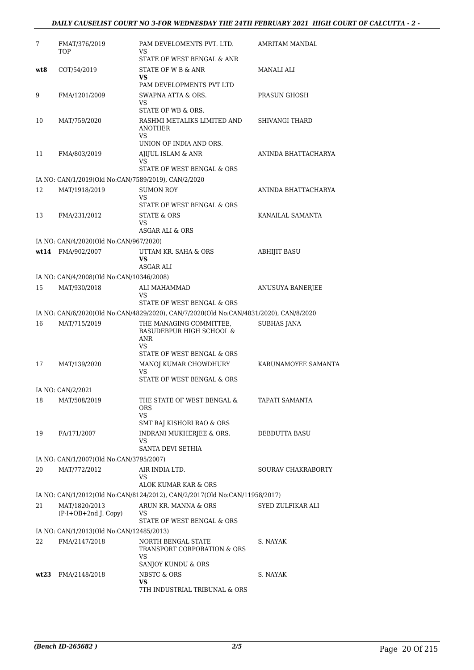| 7    | FMAT/376/2019<br>TOP                                | PAM DEVELOMENTS PVT. LTD.<br>VS                                                                                     | AMRITAM MANDAL            |
|------|-----------------------------------------------------|---------------------------------------------------------------------------------------------------------------------|---------------------------|
|      |                                                     | STATE OF WEST BENGAL & ANR                                                                                          |                           |
| wt8  | COT/54/2019                                         | STATE OF W B & ANR<br>VS                                                                                            | MANALI ALI                |
|      |                                                     | PAM DEVELOPMENTS PVT LTD                                                                                            |                           |
| 9    | FMA/1201/2009                                       | SWAPNA ATTA & ORS.<br>VS                                                                                            | PRASUN GHOSH              |
|      |                                                     | STATE OF WB & ORS.                                                                                                  |                           |
| 10   | MAT/759/2020                                        | RASHMI METALIKS LIMITED AND<br><b>ANOTHER</b><br>VS                                                                 | <b>SHIVANGI THARD</b>     |
|      |                                                     | UNION OF INDIA AND ORS.                                                                                             |                           |
| 11   | FMA/803/2019                                        | AJIJUL ISLAM & ANR<br>VS                                                                                            | ANINDA BHATTACHARYA       |
|      |                                                     | STATE OF WEST BENGAL & ORS                                                                                          |                           |
|      | IA NO: CAN/1/2019(Old No:CAN/7589/2019), CAN/2/2020 |                                                                                                                     |                           |
| 12   | MAT/1918/2019                                       | <b>SUMON ROY</b><br><b>VS</b>                                                                                       | ANINDA BHATTACHARYA       |
|      |                                                     | STATE OF WEST BENGAL & ORS                                                                                          |                           |
| 13   | FMA/231/2012                                        | STATE & ORS<br>VS                                                                                                   | KANAILAL SAMANTA          |
|      |                                                     | ASGAR ALI & ORS                                                                                                     |                           |
|      | IA NO: CAN/4/2020(Old No:CAN/967/2020)              |                                                                                                                     |                           |
|      | wt14 FMA/902/2007                                   | UTTAM KR. SAHA & ORS<br><b>VS</b><br>ASGAR ALI                                                                      | <b>ABHIJIT BASU</b>       |
|      | IA NO: CAN/4/2008(Old No:CAN/10346/2008)            |                                                                                                                     |                           |
| 15   | MAT/930/2018                                        | ALI MAHAMMAD                                                                                                        | ANUSUYA BANERJEE          |
|      |                                                     | VS                                                                                                                  |                           |
|      |                                                     | STATE OF WEST BENGAL & ORS<br>IA NO: CAN/6/2020(Old No:CAN/4829/2020), CAN/7/2020(Old No:CAN/4831/2020), CAN/8/2020 |                           |
| 16   | MAT/715/2019                                        | THE MANAGING COMMITTEE,                                                                                             | <b>SUBHAS JANA</b>        |
|      |                                                     | BASUDEBPUR HIGH SCHOOL &<br>ANR<br>VS                                                                               |                           |
|      |                                                     | STATE OF WEST BENGAL & ORS                                                                                          |                           |
| 17   | MAT/139/2020                                        | MANOJ KUMAR CHOWDHURY<br>VS                                                                                         | KARUNAMOYEE SAMANTA       |
|      |                                                     | STATE OF WEST BENGAL & ORS                                                                                          |                           |
|      | IA NO: CAN/2/2021                                   |                                                                                                                     |                           |
| 18   | MAT/508/2019                                        | THE STATE OF WEST BENGAL &<br><b>ORS</b><br>VS.                                                                     | TAPATI SAMANTA            |
|      |                                                     | SMT RAJ KISHORI RAO & ORS                                                                                           |                           |
| 19   | FA/171/2007                                         | INDRANI MUKHERJEE & ORS.<br>VS                                                                                      | DEBDUTTA BASU             |
|      |                                                     | SANTA DEVI SETHIA                                                                                                   |                           |
|      | IA NO: CAN/1/2007(Old No:CAN/3795/2007)             |                                                                                                                     |                           |
| 20   | MAT/772/2012                                        | AIR INDIA LTD.<br>VS<br>ALOK KUMAR KAR & ORS                                                                        | <b>SOURAV CHAKRABORTY</b> |
|      |                                                     | IA NO: CAN/1/2012(Old No:CAN/8124/2012), CAN/2/2017(Old No:CAN/11958/2017)                                          |                           |
| 21   | MAT/1820/2013                                       | ARUN KR. MANNA & ORS                                                                                                | SYED ZULFIKAR ALI         |
|      | (P-I+OB+2nd J. Copy)                                | VS<br>STATE OF WEST BENGAL & ORS                                                                                    |                           |
|      | IA NO: CAN/1/2013(Old No:CAN/12485/2013)            |                                                                                                                     |                           |
| 22   | FMA/2147/2018                                       | NORTH BENGAL STATE<br>TRANSPORT CORPORATION & ORS<br>VS                                                             | S. NAYAK                  |
|      |                                                     | SANJOY KUNDU & ORS                                                                                                  |                           |
| wt23 | FMA/2148/2018                                       | NBSTC & ORS<br>VS<br>7TH INDUSTRIAL TRIBUNAL & ORS                                                                  | S. NAYAK                  |
|      |                                                     |                                                                                                                     |                           |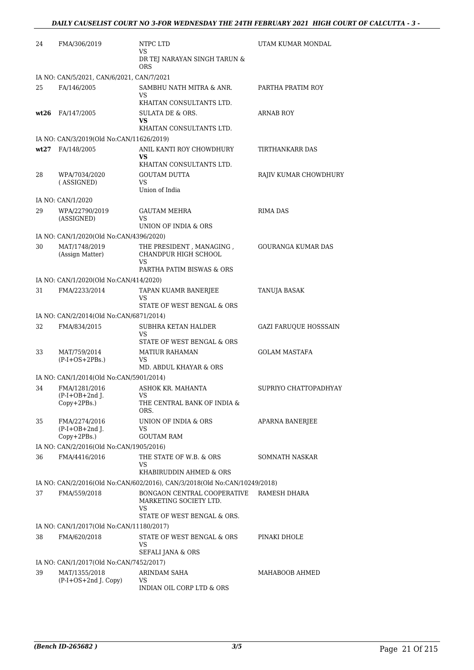| 24 | FMA/306/2019                                     | NTPC LTD                                                                                          | UTAM KUMAR MONDAL            |
|----|--------------------------------------------------|---------------------------------------------------------------------------------------------------|------------------------------|
|    |                                                  | VS<br>DR TEJ NARAYAN SINGH TARUN &<br><b>ORS</b>                                                  |                              |
|    | IA NO: CAN/5/2021, CAN/6/2021, CAN/7/2021        |                                                                                                   |                              |
| 25 | FA/146/2005                                      | SAMBHU NATH MITRA & ANR.<br>VS                                                                    | PARTHA PRATIM ROY            |
|    | $wt26$ FA/147/2005                               | KHAITAN CONSULTANTS LTD.<br>SULATA DE & ORS.<br>VS<br>KHAITAN CONSULTANTS LTD.                    | ARNAB ROY                    |
|    | IA NO: CAN/3/2019(Old No:CAN/11626/2019)         |                                                                                                   |                              |
|    | wt27 FA/148/2005                                 | ANIL KANTI ROY CHOWDHURY                                                                          | TIRTHANKARR DAS              |
|    |                                                  | <b>VS</b><br>KHAITAN CONSULTANTS LTD.                                                             |                              |
| 28 | WPA/7034/2020<br>(ASSIGNED)                      | <b>GOUTAM DUTTA</b><br>VS<br>Union of India                                                       | RAJIV KUMAR CHOWDHURY        |
|    | IA NO: CAN/1/2020                                |                                                                                                   |                              |
| 29 | WPA/22790/2019<br>(ASSIGNED)                     | <b>GAUTAM MEHRA</b><br>VS<br>UNION OF INDIA & ORS                                                 | <b>RIMA DAS</b>              |
|    | IA NO: CAN/1/2020(Old No:CAN/4396/2020)          |                                                                                                   |                              |
| 30 | MAT/1748/2019<br>(Assign Matter)                 | THE PRESIDENT, MANAGING,<br>CHANDPUR HIGH SCHOOL<br><b>VS</b>                                     | <b>GOURANGA KUMAR DAS</b>    |
|    |                                                  | PARTHA PATIM BISWAS & ORS                                                                         |                              |
|    | IA NO: CAN/1/2020(Old No:CAN/414/2020)           |                                                                                                   |                              |
| 31 | FMA/2233/2014                                    | TAPAN KUAMR BANERJEE<br>VS<br>STATE OF WEST BENGAL & ORS                                          | <b>TANUJA BASAK</b>          |
|    | IA NO: CAN/2/2014(Old No:CAN/6871/2014)          |                                                                                                   |                              |
| 32 | FMA/834/2015                                     | SUBHRA KETAN HALDER<br><b>VS</b><br>STATE OF WEST BENGAL & ORS                                    | <b>GAZI FARUQUE HOSSSAIN</b> |
| 33 | MAT/759/2014<br>$(P-I+OS+2PBs.)$                 | MATIUR RAHAMAN<br>VS<br>MD. ABDUL KHAYAR & ORS                                                    | <b>GOLAM MASTAFA</b>         |
|    | IA NO: CAN/1/2014(Old No:CAN/5901/2014)          |                                                                                                   |                              |
| 34 | FMA/1281/2016                                    | ASHOK KR. MAHANTA                                                                                 | SUPRIYO CHATTOPADHYAY        |
|    | $(P-I+OB+2nd J.$<br>Copy+2PBs.)                  | VS<br>THE CENTRAL BANK OF INDIA &<br>ORS.                                                         |                              |
| 35 | FMA/2274/2016<br>$(P-I+OB+2nd J.$<br>Copy+2PBs.) | UNION OF INDIA & ORS<br>VS<br><b>GOUTAM RAM</b>                                                   | <b>APARNA BANERJEE</b>       |
|    | IA NO: CAN/2/2016(Old No:CAN/1905/2016)          |                                                                                                   |                              |
| 36 | FMA/4416/2016                                    | THE STATE OF W.B. & ORS<br>VS                                                                     | SOMNATH NASKAR               |
|    |                                                  | KHABIRUDDIN AHMED & ORS                                                                           |                              |
|    |                                                  | IA NO: CAN/2/2016(Old No:CAN/602/2016), CAN/3/2018(Old No:CAN/10249/2018)                         |                              |
| 37 | FMA/559/2018                                     | BONGAON CENTRAL COOPERATIVE<br>MARKETING SOCIETY LTD.<br><b>VS</b><br>STATE OF WEST BENGAL & ORS. | RAMESH DHARA                 |
|    | IA NO: CAN/1/2017(Old No:CAN/11180/2017)         |                                                                                                   |                              |
| 38 | FMA/620/2018                                     | STATE OF WEST BENGAL & ORS<br>VS<br>SEFALI JANA & ORS                                             | PINAKI DHOLE                 |
|    | IA NO: CAN/1/2017(Old No:CAN/7452/2017)          |                                                                                                   |                              |
| 39 | MAT/1355/2018                                    | ARINDAM SAHA                                                                                      | MAHABOOB AHMED               |
|    | (P-I+OS+2nd J. Copy)                             | VS<br>INDIAN OIL CORP LTD & ORS                                                                   |                              |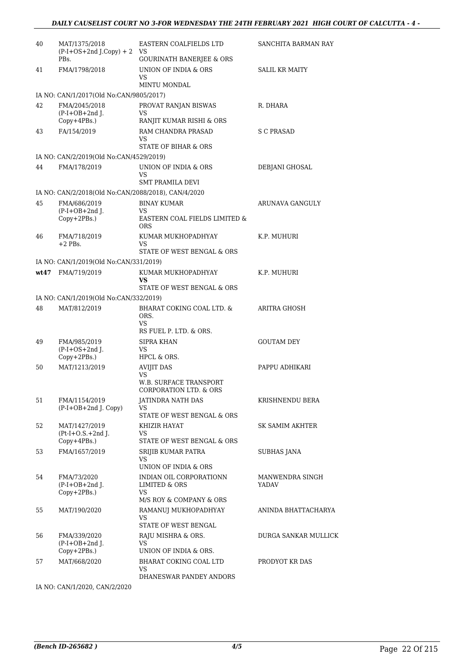| 40 | MAT/1375/2018<br>$(P-I+OS+2nd J.Copy) + 2$          | <b>EASTERN COALFIELDS LTD</b><br>VS                     | SANCHITA BARMAN RAY             |
|----|-----------------------------------------------------|---------------------------------------------------------|---------------------------------|
|    | PBs.                                                | <b>GOURINATH BANERJEE &amp; ORS</b>                     |                                 |
| 41 | FMA/1798/2018                                       | UNION OF INDIA & ORS<br>VS                              | <b>SALIL KR MAITY</b>           |
|    |                                                     | MINTU MONDAL                                            |                                 |
|    | IA NO: CAN/1/2017(Old No:CAN/9805/2017)             |                                                         |                                 |
| 42 | FMA/2045/2018<br>$(P-I+OB+2nd$ J.<br>Copy+4PBs.)    | PROVAT RANJAN BISWAS<br>VS<br>RANJIT KUMAR RISHI & ORS  | R. DHARA                        |
| 43 | FA/154/2019                                         | <b>RAM CHANDRA PRASAD</b>                               | S C PRASAD                      |
|    |                                                     | VS<br><b>STATE OF BIHAR &amp; ORS</b>                   |                                 |
|    | IA NO: CAN/2/2019(Old No:CAN/4529/2019)             |                                                         |                                 |
| 44 | FMA/178/2019                                        | UNION OF INDIA & ORS                                    | DEBJANI GHOSAL                  |
|    |                                                     | VS                                                      |                                 |
|    |                                                     | SMT PRAMILA DEVI                                        |                                 |
|    | IA NO: CAN/2/2018(Old No:CAN/2088/2018), CAN/4/2020 |                                                         |                                 |
| 45 | FMA/686/2019<br>$(P-I+OB+2nd I.$                    | <b>BINAY KUMAR</b><br>VS                                | ARUNAVA GANGULY                 |
|    | Copy+2PBs.)                                         | EASTERN COAL FIELDS LIMITED &<br>ORS                    |                                 |
| 46 | FMA/718/2019                                        | KUMAR MUKHOPADHYAY                                      | K.P. MUHURI                     |
|    | $+2$ PBs.                                           | <b>VS</b>                                               |                                 |
|    |                                                     | STATE OF WEST BENGAL & ORS                              |                                 |
|    | IA NO: CAN/1/2019(Old No:CAN/331/2019)              |                                                         |                                 |
|    | wt47 FMA/719/2019                                   | KUMAR MUKHOPADHYAY<br>VS<br>STATE OF WEST BENGAL & ORS  | K.P. MUHURI                     |
|    | IA NO: CAN/1/2019(Old No:CAN/332/2019)              |                                                         |                                 |
| 48 | MAT/812/2019                                        | BHARAT COKING COAL LTD. &                               | ARITRA GHOSH                    |
|    |                                                     | ORS.<br><b>VS</b>                                       |                                 |
|    |                                                     | RS FUEL P. LTD. & ORS.                                  |                                 |
| 49 | FMA/985/2019<br>$(P-I+OS+2nd$ J.                    | SIPRA KHAN<br>VS                                        | <b>GOUTAM DEY</b>               |
|    | Copy+2PBs.)                                         | HPCL & ORS.                                             |                                 |
| 50 | MAT/1213/2019                                       | <b>AVIJIT DAS</b><br>VS                                 | PAPPU ADHIKARI                  |
|    |                                                     | <b>W.B. SURFACE TRANSPORT</b><br>CORPORATION LTD. & ORS |                                 |
| 51 | FMA/1154/2019                                       | JATINDRA NATH DAS                                       | KRISHNENDU BERA                 |
|    | $(P-I+OB+2nd I. Copy)$                              | VS                                                      |                                 |
|    |                                                     | STATE OF WEST BENGAL & ORS                              |                                 |
| 52 | MAT/1427/2019<br>$Pt-I+O.S.+2nd$ J.                 | KHIZIR HAYAT<br>VS                                      | SK SAMIM AKHTER                 |
|    | $Copy+4PBs.$ )                                      | STATE OF WEST BENGAL & ORS                              |                                 |
| 53 | FMA/1657/2019                                       | SRIJIB KUMAR PATRA<br>VS                                | SUBHAS JANA                     |
|    |                                                     | UNION OF INDIA & ORS                                    |                                 |
| 54 | FMA/73/2020<br>$(P-I+OB+2nd I.$                     | INDIAN OIL CORPORATIONN<br>LIMITED & ORS                | MANWENDRA SINGH<br><b>YADAV</b> |
|    | $Copy+2PBs.$ )                                      | VS                                                      |                                 |
|    |                                                     | M/S ROY & COMPANY & ORS                                 |                                 |
| 55 | MAT/190/2020                                        | RAMANUJ MUKHOPADHYAY<br>VS                              | ANINDA BHATTACHARYA             |
|    |                                                     | STATE OF WEST BENGAL                                    |                                 |
| 56 | FMA/339/2020                                        | RAJU MISHRA & ORS.<br><b>VS</b>                         | DURGA SANKAR MULLICK            |
|    | $(P-I+OB+2nd$ J.<br>Copy+2PBs.)                     | UNION OF INDIA & ORS.                                   |                                 |
| 57 | MAT/668/2020                                        | BHARAT COKING COAL LTD                                  | PRODYOT KR DAS                  |
|    |                                                     | VS<br>DHANESWAR PANDEY ANDORS                           |                                 |
|    |                                                     |                                                         |                                 |

IA NO: CAN/1/2020, CAN/2/2020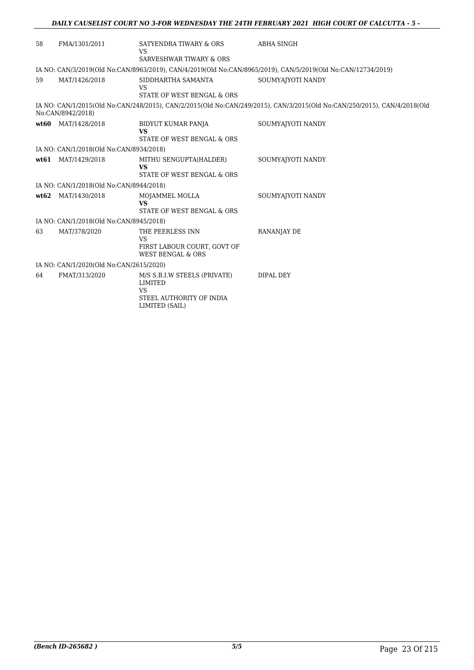| 58   | FMA/1301/2011                           | SATYENDRA TIWARY & ORS<br><b>VS</b><br><b>SARVESHWAR TIWARY &amp; ORS</b>                                 | <b>ABHA SINGH</b>                                                                                                        |  |  |
|------|-----------------------------------------|-----------------------------------------------------------------------------------------------------------|--------------------------------------------------------------------------------------------------------------------------|--|--|
|      |                                         |                                                                                                           |                                                                                                                          |  |  |
|      |                                         |                                                                                                           | IA NO: CAN/3/2019(Old No:CAN/8963/2019), CAN/4/2019(Old No:CAN/8965/2019), CAN/5/2019(Old No:CAN/12734/2019)             |  |  |
| 59   | MAT/1426/2018                           | SIDDHARTHA SAMANTA<br><b>VS</b><br>STATE OF WEST BENGAL & ORS                                             | SOUMYAJYOTI NANDY                                                                                                        |  |  |
|      |                                         |                                                                                                           |                                                                                                                          |  |  |
|      | No:CAN/8942/2018)                       |                                                                                                           | IA NO: CAN/1/2015(Old No:CAN/248/2015), CAN/2/2015(Old No:CAN/249/2015), CAN/3/2015(Old No:CAN/250/2015), CAN/4/2018(Old |  |  |
|      | wt60 MAT/1428/2018                      | BIDYUT KUMAR PANJA<br><b>VS</b>                                                                           | SOUMYAJYOTI NANDY                                                                                                        |  |  |
|      |                                         | STATE OF WEST BENGAL & ORS                                                                                |                                                                                                                          |  |  |
|      | IA NO: CAN/1/2018(Old No:CAN/8934/2018) |                                                                                                           |                                                                                                                          |  |  |
|      | wt61 MAT/1429/2018                      | MITHU SENGUPTA(HALDER)<br><b>VS</b>                                                                       | SOUMYAJYOTI NANDY                                                                                                        |  |  |
|      |                                         | STATE OF WEST BENGAL & ORS                                                                                |                                                                                                                          |  |  |
|      | IA NO: CAN/1/2018(Old No:CAN/8944/2018) |                                                                                                           |                                                                                                                          |  |  |
| wt62 | MAT/1430/2018                           | MOJAMMEL MOLLA<br><b>VS</b>                                                                               | SOUMYAJYOTI NANDY                                                                                                        |  |  |
|      |                                         | STATE OF WEST BENGAL & ORS                                                                                |                                                                                                                          |  |  |
|      | IA NO: CAN/1/2018(Old No:CAN/8945/2018) |                                                                                                           |                                                                                                                          |  |  |
| 63   | MAT/378/2020                            | THE PEERLESS INN                                                                                          | <b>RANANJAY DE</b>                                                                                                       |  |  |
|      |                                         | <b>VS</b><br>FIRST LABOUR COURT, GOVT OF<br><b>WEST BENGAL &amp; ORS</b>                                  |                                                                                                                          |  |  |
|      | IA NO: CAN/1/2020(Old No:CAN/2615/2020) |                                                                                                           |                                                                                                                          |  |  |
| 64   | FMAT/313/2020                           | M/S S.B.I.W STEELS (PRIVATE)<br><b>LIMITED</b><br><b>VS</b><br>STEEL AUTHORITY OF INDIA<br>LIMITED (SAIL) | DIPAL DEY                                                                                                                |  |  |
|      |                                         |                                                                                                           |                                                                                                                          |  |  |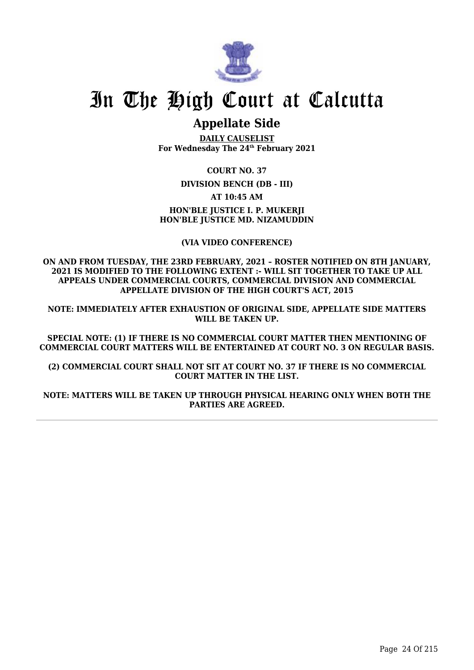

## **Appellate Side**

**DAILY CAUSELIST For Wednesday The 24th February 2021**

**COURT NO. 37**

**DIVISION BENCH (DB - III)**

**AT 10:45 AM**

**HON'BLE JUSTICE I. P. MUKERJI HON'BLE JUSTICE MD. NIZAMUDDIN**

**(VIA VIDEO CONFERENCE)**

**ON AND FROM TUESDAY, THE 23RD FEBRUARY, 2021 – ROSTER NOTIFIED ON 8TH JANUARY, 2021 IS MODIFIED TO THE FOLLOWING EXTENT :- WILL SIT TOGETHER TO TAKE UP ALL APPEALS UNDER COMMERCIAL COURTS, COMMERCIAL DIVISION AND COMMERCIAL APPELLATE DIVISION OF THE HIGH COURT'S ACT, 2015**

**NOTE: IMMEDIATELY AFTER EXHAUSTION OF ORIGINAL SIDE, APPELLATE SIDE MATTERS WILL BE TAKEN UP.**

**SPECIAL NOTE: (1) IF THERE IS NO COMMERCIAL COURT MATTER THEN MENTIONING OF COMMERCIAL COURT MATTERS WILL BE ENTERTAINED AT COURT NO. 3 ON REGULAR BASIS.**

**(2) COMMERCIAL COURT SHALL NOT SIT AT COURT NO. 37 IF THERE IS NO COMMERCIAL COURT MATTER IN THE LIST.**

**NOTE: MATTERS WILL BE TAKEN UP THROUGH PHYSICAL HEARING ONLY WHEN BOTH THE PARTIES ARE AGREED.**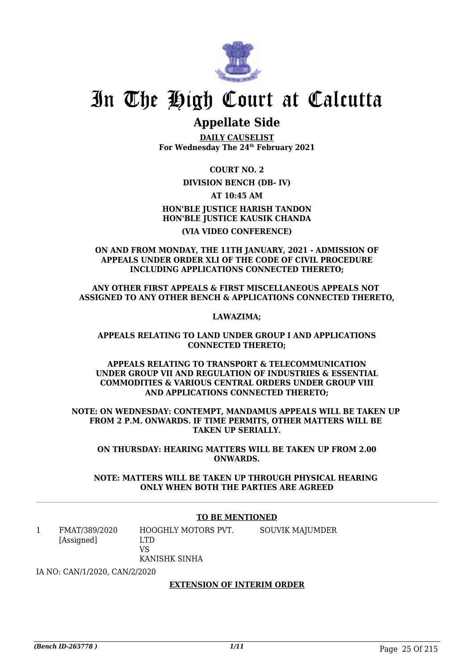

## **Appellate Side**

**DAILY CAUSELIST For Wednesday The 24th February 2021**

**COURT NO. 2**

### **DIVISION BENCH (DB- IV)**

**AT 10:45 AM**

**HON'BLE JUSTICE HARISH TANDON HON'BLE JUSTICE KAUSIK CHANDA (VIA VIDEO CONFERENCE)**

**ON AND FROM MONDAY, THE 11TH JANUARY, 2021 - ADMISSION OF APPEALS UNDER ORDER XLI OF THE CODE OF CIVIL PROCEDURE INCLUDING APPLICATIONS CONNECTED THERETO;**

**ANY OTHER FIRST APPEALS & FIRST MISCELLANEOUS APPEALS NOT ASSIGNED TO ANY OTHER BENCH & APPLICATIONS CONNECTED THERETO,**

**LAWAZIMA;**

**APPEALS RELATING TO LAND UNDER GROUP I AND APPLICATIONS CONNECTED THERETO;**

**APPEALS RELATING TO TRANSPORT & TELECOMMUNICATION UNDER GROUP VII AND REGULATION OF INDUSTRIES & ESSENTIAL COMMODITIES & VARIOUS CENTRAL ORDERS UNDER GROUP VIII AND APPLICATIONS CONNECTED THERETO;**

**NOTE: ON WEDNESDAY: CONTEMPT, MANDAMUS APPEALS WILL BE TAKEN UP FROM 2 P.M. ONWARDS. IF TIME PERMITS, OTHER MATTERS WILL BE TAKEN UP SERIALLY.**

**ON THURSDAY: HEARING MATTERS WILL BE TAKEN UP FROM 2.00 ONWARDS.**

**NOTE: MATTERS WILL BE TAKEN UP THROUGH PHYSICAL HEARING ONLY WHEN BOTH THE PARTIES ARE AGREED**

#### **TO BE MENTIONED**

1 FMAT/389/2020 [Assigned] HOOGHLY MOTORS PVT. LTD VS KANISHK SINHA SOUVIK MAJUMDER

IA NO: CAN/1/2020, CAN/2/2020

#### **EXTENSION OF INTERIM ORDER**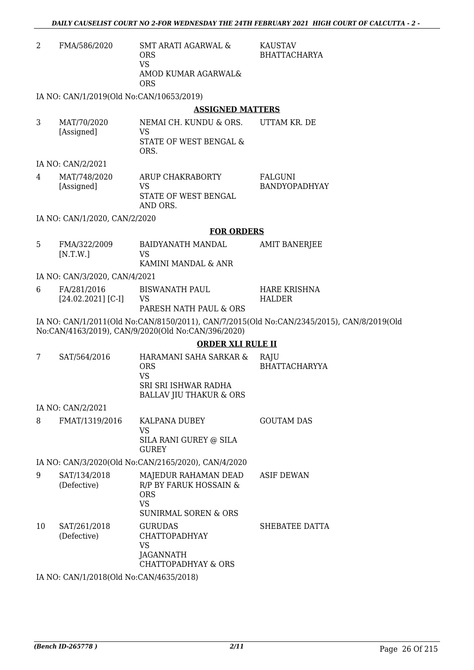- 2 FMA/586/2020 SMT ARATI AGARWAL & ORS VS AMOD KUMAR AGARWAL& ORS **KAUSTAV** BHATTACHARYA IA NO: CAN/1/2019(Old No:CAN/10653/2019) **ASSIGNED MATTERS** 3 MAT/70/2020 [Assigned] NEMAI CH. KUNDU & ORS. VS STATE OF WEST BENGAL & ORS. UTTAM KR. DE IA NO: CAN/2/2021 4 MAT/748/2020 [Assigned] ARUP CHAKRABORTY VS STATE OF WEST BENGAL AND ORS. FALGUNI BANDYOPADHYAY IA NO: CAN/1/2020, CAN/2/2020 **FOR ORDERS** 5 FMA/322/2009 [N.T.W.] BAIDYANATH MANDAL VS KAMINI MANDAL & ANR AMIT BANERJEE IA NO: CAN/3/2020, CAN/4/2021 6 FA/281/2016 [24.02.2021] [C-I] BISWANATH PAUL VS PARESH NATH PAUL & ORS HARE KRISHNA HALDER IA NO: CAN/1/2011(Old No:CAN/8150/2011), CAN/7/2015(Old No:CAN/2345/2015), CAN/8/2019(Old No:CAN/4163/2019), CAN/9/2020(Old No:CAN/396/2020) **ORDER XLI RULE II** 7 SAT/564/2016 HARAMANI SAHA SARKAR & ORS VS SRI SRI ISHWAR RADHA BALLAV JIU THAKUR & ORS **RAIU** BHATTACHARYYA IA NO: CAN/2/2021 8 FMAT/1319/2016 KALPANA DUBEY VS SILA RANI GUREY @ SILA GUREY GOUTAM DAS IA NO: CAN/3/2020(Old No:CAN/2165/2020), CAN/4/2020 9 SAT/134/2018 (Defective) MAJEDUR RAHAMAN DEAD R/P BY FARUK HOSSAIN & ASIF DEWAN
- ORS VS SUNIRMAL SOREN & ORS 10 SAT/261/2018 (Defective) GURUDAS CHATTOPADHYAY VS **JAGANNATH** CHATTOPADHYAY & ORS SHEBATEE DATTA

IA NO: CAN/1/2018(Old No:CAN/4635/2018)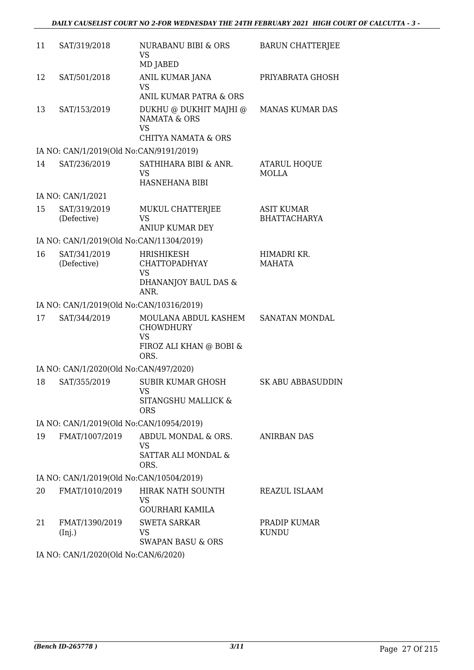| 11 | SAT/319/2018                             | NURABANU BIBI & ORS<br>VS                                                             | <b>BARUN CHATTERJEE</b>                  |
|----|------------------------------------------|---------------------------------------------------------------------------------------|------------------------------------------|
|    |                                          | MD JABED                                                                              |                                          |
| 12 | SAT/501/2018                             | ANIL KUMAR JANA<br><b>VS</b>                                                          | PRIYABRATA GHOSH                         |
|    |                                          | ANIL KUMAR PATRA & ORS                                                                |                                          |
| 13 | SAT/153/2019                             | DUKHU @ DUKHIT MAJHI @<br><b>NAMATA &amp; ORS</b><br><b>VS</b><br>CHITYA NAMATA & ORS | <b>MANAS KUMAR DAS</b>                   |
|    | IA NO: CAN/1/2019(Old No:CAN/9191/2019)  |                                                                                       |                                          |
| 14 | SAT/236/2019                             | SATHIHARA BIBI & ANR.<br><b>VS</b>                                                    | ATARUL HOQUE<br><b>MOLLA</b>             |
|    |                                          | HASNEHANA BIBI                                                                        |                                          |
|    | IA NO: CAN/1/2021                        |                                                                                       |                                          |
| 15 | SAT/319/2019<br>(Defective)              | MUKUL CHATTERJEE<br><b>VS</b><br><b>ANIUP KUMAR DEY</b>                               | <b>ASIT KUMAR</b><br><b>BHATTACHARYA</b> |
|    | IA NO: CAN/1/2019(Old No:CAN/11304/2019) |                                                                                       |                                          |
| 16 | SAT/341/2019<br>(Defective)              | <b>HRISHIKESH</b><br><b>CHATTOPADHYAY</b><br>VS<br>DHANANJOY BAUL DAS &<br>ANR.       | HIMADRI KR.<br><b>MAHATA</b>             |
|    | IA NO: CAN/1/2019(Old No:CAN/10316/2019) |                                                                                       |                                          |
| 17 | SAT/344/2019                             | MOULANA ABDUL KASHEM<br><b>CHOWDHURY</b>                                              | SANATAN MONDAL                           |
|    |                                          | <b>VS</b><br>FIROZ ALI KHAN @ BOBI &<br>ORS.                                          |                                          |
|    | IA NO: CAN/1/2020(Old No:CAN/497/2020)   |                                                                                       |                                          |
| 18 | SAT/355/2019                             | <b>SUBIR KUMAR GHOSH</b><br>VS FOR THE VS<br>SITANGSHU MALLICK &<br><b>ORS</b>        | <b>SK ABU ABBASUDDIN</b>                 |
|    | IA NO: CAN/1/2019(Old No:CAN/10954/2019) |                                                                                       |                                          |
| 19 | FMAT/1007/2019                           | ABDUL MONDAL & ORS.                                                                   | <b>ANIRBAN DAS</b>                       |
|    |                                          | <b>VS</b><br>SATTAR ALI MONDAL &<br>ORS.                                              |                                          |
|    | IA NO: CAN/1/2019(Old No:CAN/10504/2019) |                                                                                       |                                          |
| 20 | FMAT/1010/2019                           | HIRAK NATH SOUNTH                                                                     | REAZUL ISLAAM                            |
|    |                                          | <b>VS</b><br><b>GOURHARI KAMILA</b>                                                   |                                          |
| 21 | FMAT/1390/2019<br>(Inj.)                 | <b>SWETA SARKAR</b><br>VS.<br>SWAPAN BASU & ORS                                       | PRADIP KUMAR<br><b>KUNDU</b>             |
|    |                                          |                                                                                       |                                          |

IA NO: CAN/1/2020(Old No:CAN/6/2020)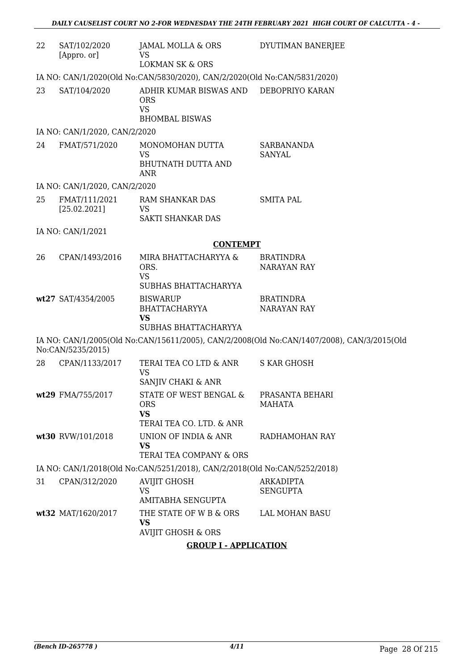| 22 | SAT/102/2020<br>[Appro. or]                                               | JAMAL MOLLA & ORS<br><b>VS</b><br><b>LOKMAN SK &amp; ORS</b>                                  | DYUTIMAN BANERJEE                                                                          |  |  |
|----|---------------------------------------------------------------------------|-----------------------------------------------------------------------------------------------|--------------------------------------------------------------------------------------------|--|--|
|    | IA NO: CAN/1/2020(Old No:CAN/5830/2020), CAN/2/2020(Old No:CAN/5831/2020) |                                                                                               |                                                                                            |  |  |
| 23 | SAT/104/2020                                                              | ADHIR KUMAR BISWAS AND DEBOPRIYO KARAN<br><b>ORS</b><br><b>VS</b><br><b>BHOMBAL BISWAS</b>    |                                                                                            |  |  |
|    | IA NO: CAN/1/2020, CAN/2/2020                                             |                                                                                               |                                                                                            |  |  |
| 24 | FMAT/571/2020                                                             | MONOMOHAN DUTTA<br><b>VS</b><br><b>BHUTNATH DUTTA AND</b>                                     | SARBANANDA<br><b>SANYAL</b>                                                                |  |  |
|    | IA NO: CAN/1/2020, CAN/2/2020                                             | <b>ANR</b>                                                                                    |                                                                                            |  |  |
| 25 | FMAT/111/2021<br>[25.02.2021]                                             | RAM SHANKAR DAS<br>VS<br>SAKTI SHANKAR DAS                                                    | <b>SMITA PAL</b>                                                                           |  |  |
|    | IA NO: CAN/1/2021                                                         |                                                                                               |                                                                                            |  |  |
|    |                                                                           | <b>CONTEMPT</b>                                                                               |                                                                                            |  |  |
| 26 | CPAN/1493/2016                                                            | MIRA BHATTACHARYYA &<br>ORS.<br><b>VS</b><br>SUBHAS BHATTACHARYYA                             | <b>BRATINDRA</b><br><b>NARAYAN RAY</b>                                                     |  |  |
|    | wt27 SAT/4354/2005                                                        | <b>BISWARUP</b><br><b>BHATTACHARYYA</b><br><b>VS</b><br>SUBHAS BHATTACHARYYA                  | <b>BRATINDRA</b><br><b>NARAYAN RAY</b>                                                     |  |  |
|    | No:CAN/5235/2015)                                                         |                                                                                               | IA NO: CAN/1/2005(Old No:CAN/15611/2005), CAN/2/2008(Old No:CAN/1407/2008), CAN/3/2015(Old |  |  |
| 28 | CPAN/1133/2017                                                            | TERAI TEA CO LTD & ANR<br><b>VS</b><br>SANJIV CHAKI & ANR                                     | <b>S KAR GHOSH</b>                                                                         |  |  |
|    | wt29 FMA/755/2017                                                         | STATE OF WEST BENGAL & PRASANTA BEHARI<br><b>ORS</b><br><b>VS</b><br>TERAI TEA CO. LTD. & ANR | MAHATA                                                                                     |  |  |
|    | wt30 RVW/101/2018                                                         | UNION OF INDIA & ANR<br><b>VS</b><br>TERAI TEA COMPANY & ORS                                  | RADHAMOHAN RAY                                                                             |  |  |
|    |                                                                           | IA NO: CAN/1/2018(Old No:CAN/5251/2018), CAN/2/2018(Old No:CAN/5252/2018)                     |                                                                                            |  |  |
| 31 | CPAN/312/2020                                                             | <b>AVIJIT GHOSH</b><br><b>VS</b><br><b>AMITABHA SENGUPTA</b>                                  | <b>ARKADIPTA</b><br><b>SENGUPTA</b>                                                        |  |  |
|    | wt32 MAT/1620/2017                                                        | THE STATE OF W B & ORS<br><b>VS</b><br><b>AVIJIT GHOSH &amp; ORS</b>                          | <b>LAL MOHAN BASU</b>                                                                      |  |  |
|    |                                                                           | <b>GROUP I - APPLICATION</b>                                                                  |                                                                                            |  |  |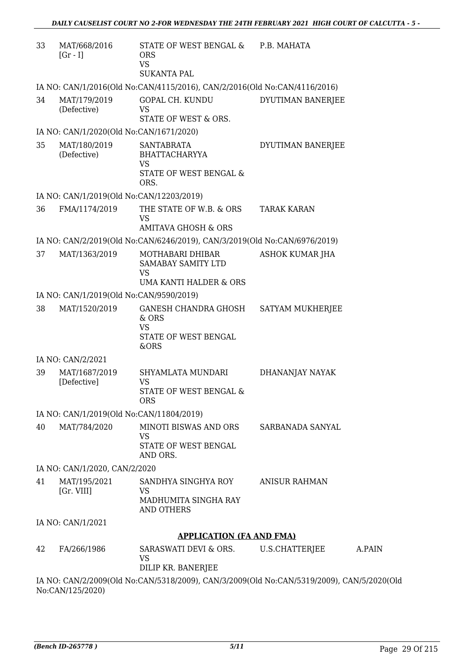| 33 | MAT/668/2016<br>$[Gr - I]$                                                | STATE OF WEST BENGAL & P.B. MAHATA<br><b>ORS</b><br><b>VS</b><br><b>SUKANTA PAL</b>                         |                                                                                           |  |
|----|---------------------------------------------------------------------------|-------------------------------------------------------------------------------------------------------------|-------------------------------------------------------------------------------------------|--|
|    | IA NO: CAN/1/2016(Old No:CAN/4115/2016), CAN/2/2016(Old No:CAN/4116/2016) |                                                                                                             |                                                                                           |  |
| 34 | MAT/179/2019<br>(Defective)                                               | GOPAL CH. KUNDU<br><b>VS</b>                                                                                | DYUTIMAN BANERJEE                                                                         |  |
|    | IA NO: CAN/1/2020(Old No:CAN/1671/2020)                                   | STATE OF WEST & ORS.                                                                                        |                                                                                           |  |
| 35 | MAT/180/2019                                                              | <b>SANTABRATA</b>                                                                                           | DYUTIMAN BANERJEE                                                                         |  |
|    | (Defective)                                                               | <b>BHATTACHARYYA</b><br><b>VS</b>                                                                           |                                                                                           |  |
|    |                                                                           | STATE OF WEST BENGAL &<br>ORS.                                                                              |                                                                                           |  |
|    | IA NO: CAN/1/2019(Old No:CAN/12203/2019)                                  |                                                                                                             |                                                                                           |  |
| 36 | FMA/1174/2019                                                             | THE STATE OF W.B. & ORS<br><b>VS</b>                                                                        | <b>TARAK KARAN</b>                                                                        |  |
|    |                                                                           | <b>AMITAVA GHOSH &amp; ORS</b><br>IA NO: CAN/2/2019(Old No:CAN/6246/2019), CAN/3/2019(Old No:CAN/6976/2019) |                                                                                           |  |
| 37 | MAT/1363/2019                                                             | MOTHABARI DHIBAR                                                                                            | ASHOK KUMAR JHA                                                                           |  |
|    |                                                                           | SAMABAY SAMITY LTD<br><b>VS</b>                                                                             |                                                                                           |  |
|    |                                                                           | UMA KANTI HALDER & ORS                                                                                      |                                                                                           |  |
|    | IA NO: CAN/1/2019(Old No:CAN/9590/2019)                                   |                                                                                                             |                                                                                           |  |
| 38 | MAT/1520/2019                                                             | GANESH CHANDRA GHOSH<br>& ORS<br><b>VS</b>                                                                  | SATYAM MUKHERJEE                                                                          |  |
|    |                                                                           | STATE OF WEST BENGAL<br>&ORS                                                                                |                                                                                           |  |
|    | IA NO: CAN/2/2021                                                         |                                                                                                             |                                                                                           |  |
| 39 | MAT/1687/2019<br>[Defective]                                              | SHYAMLATA MUNDARI<br><b>VS</b>                                                                              | DHANANJAY NAYAK                                                                           |  |
|    |                                                                           | STATE OF WEST BENGAL &<br><b>ORS</b>                                                                        |                                                                                           |  |
|    | IA NO: CAN/1/2019(Old No:CAN/11804/2019)                                  |                                                                                                             |                                                                                           |  |
| 40 | MAT/784/2020                                                              | MINOTI BISWAS AND ORS<br>VS<br>STATE OF WEST BENGAL                                                         | SARBANADA SANYAL                                                                          |  |
|    |                                                                           | AND ORS.                                                                                                    |                                                                                           |  |
|    | IA NO: CAN/1/2020, CAN/2/2020                                             |                                                                                                             |                                                                                           |  |
| 41 | MAT/195/2021<br>[Gr. VIII]                                                | SANDHYA SINGHYA ROY<br>VS                                                                                   | <b>ANISUR RAHMAN</b>                                                                      |  |
|    |                                                                           | MADHUMITA SINGHA RAY<br><b>AND OTHERS</b>                                                                   |                                                                                           |  |
|    | IA NO: CAN/1/2021                                                         |                                                                                                             |                                                                                           |  |
|    |                                                                           | <b>APPLICATION (FA AND FMA)</b>                                                                             |                                                                                           |  |
| 42 | FA/266/1986                                                               | SARASWATI DEVI & ORS.<br>VS                                                                                 | U.S.CHATTERJEE<br>A.PAIN                                                                  |  |
|    |                                                                           | DILIP KR. BANERJEE                                                                                          |                                                                                           |  |
|    | No:CAN/125/2020)                                                          |                                                                                                             | IA NO: CAN/2/2009(Old No:CAN/5318/2009), CAN/3/2009(Old No:CAN/5319/2009), CAN/5/2020(Old |  |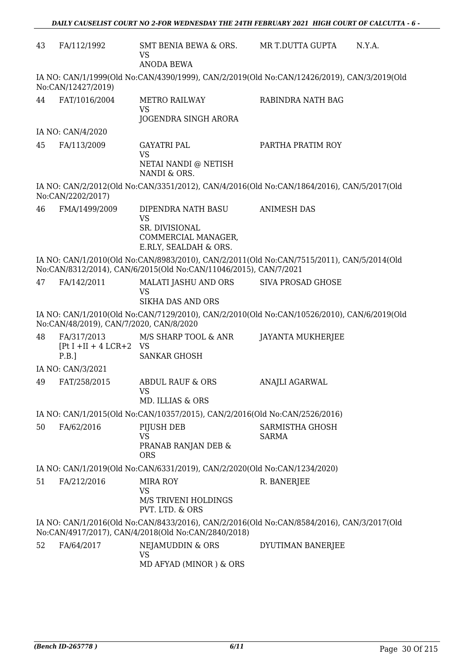| 43                                                                                                                                                            | FA/112/1992                                          | SMT BENIA BEWA & ORS.<br><b>VS</b><br><b>ANODA BEWA</b>                                                   | MR T.DUTTA GUPTA                | N.Y.A. |
|---------------------------------------------------------------------------------------------------------------------------------------------------------------|------------------------------------------------------|-----------------------------------------------------------------------------------------------------------|---------------------------------|--------|
|                                                                                                                                                               | No:CAN/12427/2019)                                   | IA NO: CAN/1/1999(Old No:CAN/4390/1999), CAN/2/2019(Old No:CAN/12426/2019), CAN/3/2019(Old                |                                 |        |
| 44                                                                                                                                                            | FAT/1016/2004                                        | <b>METRO RAILWAY</b><br><b>VS</b><br>JOGENDRA SINGH ARORA                                                 | RABINDRA NATH BAG               |        |
|                                                                                                                                                               | IA NO: CAN/4/2020                                    |                                                                                                           |                                 |        |
| 45                                                                                                                                                            | FA/113/2009                                          | <b>GAYATRI PAL</b><br><b>VS</b><br>NETAI NANDI @ NETISH                                                   | PARTHA PRATIM ROY               |        |
|                                                                                                                                                               |                                                      | NANDI & ORS.<br>IA NO: CAN/2/2012(Old No:CAN/3351/2012), CAN/4/2016(Old No:CAN/1864/2016), CAN/5/2017(Old |                                 |        |
|                                                                                                                                                               | No:CAN/2202/2017)                                    |                                                                                                           |                                 |        |
| 46                                                                                                                                                            | FMA/1499/2009                                        | DIPENDRA NATH BASU<br><b>VS</b><br>SR. DIVISIONAL<br>COMMERCIAL MANAGER,<br>E.RLY, SEALDAH & ORS.         | <b>ANIMESH DAS</b>              |        |
| IA NO: CAN/1/2010(Old No:CAN/8983/2010), CAN/2/2011(Old No:CAN/7515/2011), CAN/5/2014(Old<br>No:CAN/8312/2014), CAN/6/2015(Old No:CAN/11046/2015), CAN/7/2021 |                                                      |                                                                                                           |                                 |        |
| 47                                                                                                                                                            | FA/142/2011                                          | MALATI JASHU AND ORS<br><b>VS</b><br><b>SIKHA DAS AND ORS</b>                                             | <b>SIVA PROSAD GHOSE</b>        |        |
|                                                                                                                                                               | No:CAN/48/2019), CAN/7/2020, CAN/8/2020              | IA NO: CAN/1/2010(Old No:CAN/7129/2010), CAN/2/2010(Old No:CAN/10526/2010), CAN/6/2019(Old                |                                 |        |
| 48                                                                                                                                                            | FA/317/2013<br>$[Pt I + II + 4 LCR + 2 VS]$<br>P.B.] | M/S SHARP TOOL & ANR<br><b>SANKAR GHOSH</b>                                                               | <b>JAYANTA MUKHERJEE</b>        |        |
|                                                                                                                                                               | IA NO: CAN/3/2021                                    |                                                                                                           |                                 |        |
| 49                                                                                                                                                            | FAT/258/2015                                         | <b>ABDUL RAUF &amp; ORS</b><br><b>VS</b>                                                                  | ANAJLI AGARWAL                  |        |
|                                                                                                                                                               |                                                      | MD. ILLIAS & ORS                                                                                          |                                 |        |
| IA NO: CAN/1/2015(Old No:CAN/10357/2015), CAN/2/2016(Old No:CAN/2526/2016)                                                                                    |                                                      |                                                                                                           |                                 |        |
| 50                                                                                                                                                            | FA/62/2016                                           | PIJUSH DEB<br><b>VS</b><br>PRANAB RANJAN DEB &<br><b>ORS</b>                                              | SARMISTHA GHOSH<br><b>SARMA</b> |        |
| IA NO: CAN/1/2019(Old No:CAN/6331/2019), CAN/2/2020(Old No:CAN/1234/2020)                                                                                     |                                                      |                                                                                                           |                                 |        |
| 51                                                                                                                                                            | FA/212/2016                                          | <b>MIRA ROY</b><br><b>VS</b>                                                                              | R. BANERJEE                     |        |
|                                                                                                                                                               |                                                      | M/S TRIVENI HOLDINGS<br>PVT. LTD. & ORS                                                                   |                                 |        |
| IA NO: CAN/1/2016(Old No:CAN/8433/2016), CAN/2/2016(Old No:CAN/8584/2016), CAN/3/2017(Old<br>No:CAN/4917/2017), CAN/4/2018(Old No:CAN/2840/2018)              |                                                      |                                                                                                           |                                 |        |
| 52                                                                                                                                                            | FA/64/2017                                           | NEJAMUDDIN & ORS<br><b>VS</b><br>MD AFYAD (MINOR) & ORS                                                   | DYUTIMAN BANERJEE               |        |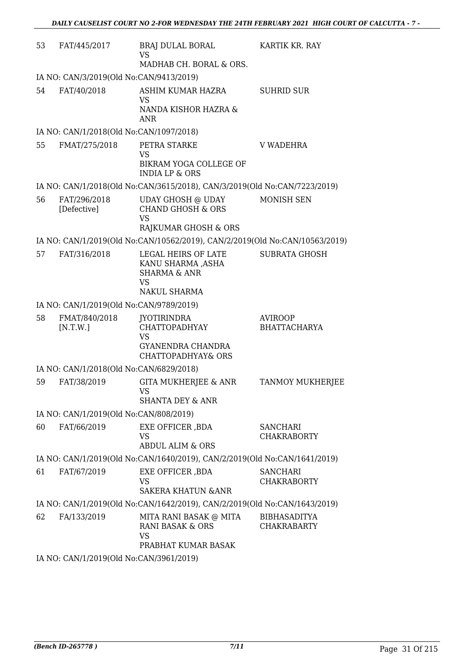| 53 | FAT/445/2017                                                              | BRAJ DULAL BORAL<br><b>VS</b><br>MADHAB CH. BORAL & ORS.                                            | KARTIK KR. RAY                            |
|----|---------------------------------------------------------------------------|-----------------------------------------------------------------------------------------------------|-------------------------------------------|
|    | IA NO: CAN/3/2019(Old No:CAN/9413/2019)                                   |                                                                                                     |                                           |
| 54 | FAT/40/2018                                                               | ASHIM KUMAR HAZRA<br><b>VS</b><br>NANDA KISHOR HAZRA &                                              | <b>SUHRID SUR</b>                         |
|    |                                                                           | <b>ANR</b>                                                                                          |                                           |
|    | IA NO: CAN/1/2018(Old No:CAN/1097/2018)                                   |                                                                                                     |                                           |
| 55 | FMAT/275/2018                                                             | PETRA STARKE<br><b>VS</b>                                                                           | V WADEHRA                                 |
|    |                                                                           | BIKRAM YOGA COLLEGE OF<br><b>INDIA LP &amp; ORS</b>                                                 |                                           |
|    |                                                                           | IA NO: CAN/1/2018(Old No:CAN/3615/2018), CAN/3/2019(Old No:CAN/7223/2019)                           |                                           |
| 56 | FAT/296/2018<br>[Defective]                                               | UDAY GHOSH @ UDAY<br><b>CHAND GHOSH &amp; ORS</b><br><b>VS</b>                                      | <b>MONISH SEN</b>                         |
|    |                                                                           | RAJKUMAR GHOSH & ORS<br>IA NO: CAN/1/2019(Old No:CAN/10562/2019), CAN/2/2019(Old No:CAN/10563/2019) |                                           |
| 57 | FAT/316/2018                                                              | LEGAL HEIRS OF LATE                                                                                 | <b>SUBRATA GHOSH</b>                      |
|    |                                                                           | KANU SHARMA ,ASHA<br><b>SHARMA &amp; ANR</b><br><b>VS</b><br>NAKUL SHARMA                           |                                           |
|    | IA NO: CAN/1/2019(Old No:CAN/9789/2019)                                   |                                                                                                     |                                           |
| 58 | FMAT/840/2018<br>[N.T.W.]                                                 | <b>JYOTIRINDRA</b><br><b>CHATTOPADHYAY</b><br><b>VS</b><br>GYANENDRA CHANDRA<br>CHATTOPADHYAY& ORS  | <b>AVIROOP</b><br><b>BHATTACHARYA</b>     |
|    | IA NO: CAN/1/2018(Old No:CAN/6829/2018)                                   |                                                                                                     |                                           |
| 59 | FAT/38/2019                                                               | <b>GITA MUKHERJEE &amp; ANR</b><br><b>VS</b><br><b>SHANTA DEY &amp; ANR</b>                         | TANMOY MUKHERJEE                          |
|    | IA NO: CAN/1/2019(Old No:CAN/808/2019)                                    |                                                                                                     |                                           |
| 60 | FAT/66/2019                                                               | EXE OFFICER , BDA<br><b>VS</b><br><b>ABDUL ALIM &amp; ORS</b>                                       | <b>SANCHARI</b><br><b>CHAKRABORTY</b>     |
|    |                                                                           | IA NO: CAN/1/2019(Old No:CAN/1640/2019), CAN/2/2019(Old No:CAN/1641/2019)                           |                                           |
| 61 | FAT/67/2019                                                               | EXE OFFICER , BDA<br><b>VS</b>                                                                      | <b>SANCHARI</b><br><b>CHAKRABORTY</b>     |
|    |                                                                           | <b>SAKERA KHATUN &amp; ANR</b>                                                                      |                                           |
|    |                                                                           | IA NO: CAN/1/2019(Old No:CAN/1642/2019), CAN/2/2019(Old No:CAN/1643/2019)                           |                                           |
| 62 | FA/133/2019                                                               | MITA RANI BASAK @ MITA<br><b>RANI BASAK &amp; ORS</b><br><b>VS</b>                                  | <b>BIBHASADITYA</b><br><b>CHAKRABARTY</b> |
|    | $14 \text{ NQ}$ , $CAM11/2010/014 \text{ N}$ <sub>2</sub> $CAM12061/2010$ | PRABHAT KUMAR BASAK                                                                                 |                                           |

IA NO: CAN/1/2019(Old No:CAN/3961/2019)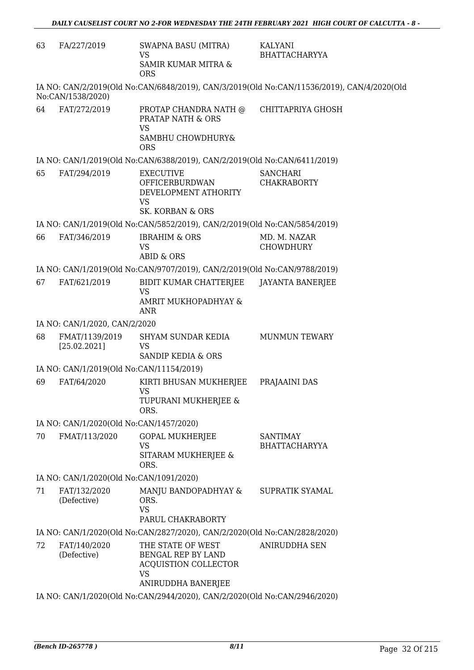| IA NO: CAN/2/2019(Old No:CAN/6848/2019), CAN/3/2019(Old No:CAN/11536/2019), CAN/4/2020(Old<br>No:CAN/1538/2020)<br>FAT/272/2019<br>64<br>CHITTAPRIYA GHOSH<br>PROTAP CHANDRA NATH @<br><b>PRATAP NATH &amp; ORS</b><br><b>VS</b><br>SAMBHU CHOWDHURY&<br><b>ORS</b><br>IA NO: CAN/1/2019(Old No:CAN/6388/2019), CAN/2/2019(Old No:CAN/6411/2019)<br>65<br>FAT/294/2019<br><b>SANCHARI</b><br><b>EXECUTIVE</b><br><b>OFFICERBURDWAN</b><br><b>CHAKRABORTY</b><br>DEVELOPMENT ATHORITY<br><b>VS</b><br><b>SK. KORBAN &amp; ORS</b><br>IA NO: CAN/1/2019(Old No:CAN/5852/2019), CAN/2/2019(Old No:CAN/5854/2019)<br>66<br>FAT/346/2019<br><b>IBRAHIM &amp; ORS</b><br>MD. M. NAZAR<br><b>VS</b><br><b>CHOWDHURY</b><br><b>ABID &amp; ORS</b><br>IA NO: CAN/1/2019(Old No:CAN/9707/2019), CAN/2/2019(Old No:CAN/9788/2019)<br>67<br>FAT/621/2019<br>BIDIT KUMAR CHATTERJEE<br><b>JAYANTA BANERJEE</b><br><b>VS</b><br>AMRIT MUKHOPADHYAY &<br><b>ANR</b><br>IA NO: CAN/1/2020, CAN/2/2020<br>68<br>FMAT/1139/2019<br>SHYAM SUNDAR KEDIA<br><b>MUNMUN TEWARY</b><br>[25.02.2021]<br><b>VS</b><br><b>SANDIP KEDIA &amp; ORS</b><br>IA NO: CAN/1/2019(Old No:CAN/11154/2019)<br>69<br>FAT/64/2020<br>KIRTI BHUSAN MUKHERJEE<br>PRAJAAINI DAS<br><b>VS</b><br>TUPURANI MUKHERJEE &<br>ORS.<br>IA NO: CAN/1/2020(Old No:CAN/1457/2020)<br>FMAT/113/2020<br><b>GOPAL MUKHERJEE</b><br>70<br><b>SANTIMAY</b><br><b>VS</b><br><b>BHATTACHARYYA</b><br>SITARAM MUKHERJEE &<br>ORS.<br>IA NO: CAN/1/2020(Old No:CAN/1091/2020)<br>71<br>FAT/132/2020<br>MANJU BANDOPADHYAY &<br>SUPRATIK SYAMAL<br>(Defective)<br>ORS.<br><b>VS</b><br>PARUL CHAKRABORTY<br>IA NO: CAN/1/2020(Old No:CAN/2827/2020), CAN/2/2020(Old No:CAN/2828/2020)<br>72<br>THE STATE OF WEST<br><b>ANIRUDDHA SEN</b><br>FAT/140/2020<br>(Defective)<br>BENGAL REP BY LAND<br>ACQUISTION COLLECTOR<br><b>VS</b><br>ANIRUDDHA BANERJEE | 63 | FA/227/2019 | <b>SWAPNA BASU (MITRA)</b><br><b>VS</b><br>SAMIR KUMAR MITRA &<br><b>ORS</b> | <b>KALYANI</b><br><b>BHATTACHARYYA</b> |
|--------------------------------------------------------------------------------------------------------------------------------------------------------------------------------------------------------------------------------------------------------------------------------------------------------------------------------------------------------------------------------------------------------------------------------------------------------------------------------------------------------------------------------------------------------------------------------------------------------------------------------------------------------------------------------------------------------------------------------------------------------------------------------------------------------------------------------------------------------------------------------------------------------------------------------------------------------------------------------------------------------------------------------------------------------------------------------------------------------------------------------------------------------------------------------------------------------------------------------------------------------------------------------------------------------------------------------------------------------------------------------------------------------------------------------------------------------------------------------------------------------------------------------------------------------------------------------------------------------------------------------------------------------------------------------------------------------------------------------------------------------------------------------------------------------------------------------------------------------------------------------------------|----|-------------|------------------------------------------------------------------------------|----------------------------------------|
|                                                                                                                                                                                                                                                                                                                                                                                                                                                                                                                                                                                                                                                                                                                                                                                                                                                                                                                                                                                                                                                                                                                                                                                                                                                                                                                                                                                                                                                                                                                                                                                                                                                                                                                                                                                                                                                                                            |    |             |                                                                              |                                        |
|                                                                                                                                                                                                                                                                                                                                                                                                                                                                                                                                                                                                                                                                                                                                                                                                                                                                                                                                                                                                                                                                                                                                                                                                                                                                                                                                                                                                                                                                                                                                                                                                                                                                                                                                                                                                                                                                                            |    |             |                                                                              |                                        |
|                                                                                                                                                                                                                                                                                                                                                                                                                                                                                                                                                                                                                                                                                                                                                                                                                                                                                                                                                                                                                                                                                                                                                                                                                                                                                                                                                                                                                                                                                                                                                                                                                                                                                                                                                                                                                                                                                            |    |             |                                                                              |                                        |
|                                                                                                                                                                                                                                                                                                                                                                                                                                                                                                                                                                                                                                                                                                                                                                                                                                                                                                                                                                                                                                                                                                                                                                                                                                                                                                                                                                                                                                                                                                                                                                                                                                                                                                                                                                                                                                                                                            |    |             |                                                                              |                                        |
|                                                                                                                                                                                                                                                                                                                                                                                                                                                                                                                                                                                                                                                                                                                                                                                                                                                                                                                                                                                                                                                                                                                                                                                                                                                                                                                                                                                                                                                                                                                                                                                                                                                                                                                                                                                                                                                                                            |    |             |                                                                              |                                        |
|                                                                                                                                                                                                                                                                                                                                                                                                                                                                                                                                                                                                                                                                                                                                                                                                                                                                                                                                                                                                                                                                                                                                                                                                                                                                                                                                                                                                                                                                                                                                                                                                                                                                                                                                                                                                                                                                                            |    |             |                                                                              |                                        |
|                                                                                                                                                                                                                                                                                                                                                                                                                                                                                                                                                                                                                                                                                                                                                                                                                                                                                                                                                                                                                                                                                                                                                                                                                                                                                                                                                                                                                                                                                                                                                                                                                                                                                                                                                                                                                                                                                            |    |             |                                                                              |                                        |
|                                                                                                                                                                                                                                                                                                                                                                                                                                                                                                                                                                                                                                                                                                                                                                                                                                                                                                                                                                                                                                                                                                                                                                                                                                                                                                                                                                                                                                                                                                                                                                                                                                                                                                                                                                                                                                                                                            |    |             |                                                                              |                                        |
|                                                                                                                                                                                                                                                                                                                                                                                                                                                                                                                                                                                                                                                                                                                                                                                                                                                                                                                                                                                                                                                                                                                                                                                                                                                                                                                                                                                                                                                                                                                                                                                                                                                                                                                                                                                                                                                                                            |    |             |                                                                              |                                        |
|                                                                                                                                                                                                                                                                                                                                                                                                                                                                                                                                                                                                                                                                                                                                                                                                                                                                                                                                                                                                                                                                                                                                                                                                                                                                                                                                                                                                                                                                                                                                                                                                                                                                                                                                                                                                                                                                                            |    |             |                                                                              |                                        |
|                                                                                                                                                                                                                                                                                                                                                                                                                                                                                                                                                                                                                                                                                                                                                                                                                                                                                                                                                                                                                                                                                                                                                                                                                                                                                                                                                                                                                                                                                                                                                                                                                                                                                                                                                                                                                                                                                            |    |             |                                                                              |                                        |
|                                                                                                                                                                                                                                                                                                                                                                                                                                                                                                                                                                                                                                                                                                                                                                                                                                                                                                                                                                                                                                                                                                                                                                                                                                                                                                                                                                                                                                                                                                                                                                                                                                                                                                                                                                                                                                                                                            |    |             |                                                                              |                                        |
|                                                                                                                                                                                                                                                                                                                                                                                                                                                                                                                                                                                                                                                                                                                                                                                                                                                                                                                                                                                                                                                                                                                                                                                                                                                                                                                                                                                                                                                                                                                                                                                                                                                                                                                                                                                                                                                                                            |    |             |                                                                              |                                        |
|                                                                                                                                                                                                                                                                                                                                                                                                                                                                                                                                                                                                                                                                                                                                                                                                                                                                                                                                                                                                                                                                                                                                                                                                                                                                                                                                                                                                                                                                                                                                                                                                                                                                                                                                                                                                                                                                                            |    |             |                                                                              |                                        |
|                                                                                                                                                                                                                                                                                                                                                                                                                                                                                                                                                                                                                                                                                                                                                                                                                                                                                                                                                                                                                                                                                                                                                                                                                                                                                                                                                                                                                                                                                                                                                                                                                                                                                                                                                                                                                                                                                            |    |             |                                                                              |                                        |
|                                                                                                                                                                                                                                                                                                                                                                                                                                                                                                                                                                                                                                                                                                                                                                                                                                                                                                                                                                                                                                                                                                                                                                                                                                                                                                                                                                                                                                                                                                                                                                                                                                                                                                                                                                                                                                                                                            |    |             |                                                                              |                                        |
|                                                                                                                                                                                                                                                                                                                                                                                                                                                                                                                                                                                                                                                                                                                                                                                                                                                                                                                                                                                                                                                                                                                                                                                                                                                                                                                                                                                                                                                                                                                                                                                                                                                                                                                                                                                                                                                                                            |    |             |                                                                              |                                        |
|                                                                                                                                                                                                                                                                                                                                                                                                                                                                                                                                                                                                                                                                                                                                                                                                                                                                                                                                                                                                                                                                                                                                                                                                                                                                                                                                                                                                                                                                                                                                                                                                                                                                                                                                                                                                                                                                                            |    |             |                                                                              |                                        |
|                                                                                                                                                                                                                                                                                                                                                                                                                                                                                                                                                                                                                                                                                                                                                                                                                                                                                                                                                                                                                                                                                                                                                                                                                                                                                                                                                                                                                                                                                                                                                                                                                                                                                                                                                                                                                                                                                            |    |             |                                                                              |                                        |
|                                                                                                                                                                                                                                                                                                                                                                                                                                                                                                                                                                                                                                                                                                                                                                                                                                                                                                                                                                                                                                                                                                                                                                                                                                                                                                                                                                                                                                                                                                                                                                                                                                                                                                                                                                                                                                                                                            |    |             |                                                                              |                                        |

IA NO: CAN/1/2020(Old No:CAN/2944/2020), CAN/2/2020(Old No:CAN/2946/2020)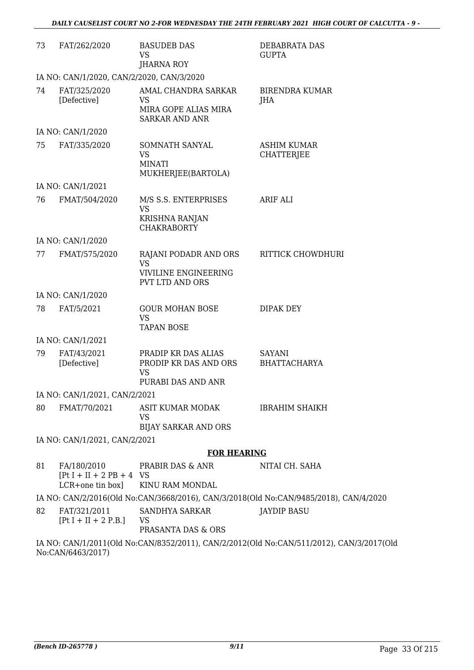| 73 | FAT/262/2020                                                   | <b>BASUDEB DAS</b><br><b>VS</b>                                                      | DEBABRATA DAS<br><b>GUPTA</b>                                                         |
|----|----------------------------------------------------------------|--------------------------------------------------------------------------------------|---------------------------------------------------------------------------------------|
|    |                                                                | <b>JHARNA ROY</b>                                                                    |                                                                                       |
|    | IA NO: CAN/1/2020, CAN/2/2020, CAN/3/2020                      |                                                                                      |                                                                                       |
| 74 | FAT/325/2020<br>[Defective]                                    | AMAL CHANDRA SARKAR<br><b>VS</b><br>MIRA GOPE ALIAS MIRA<br><b>SARKAR AND ANR</b>    | <b>BIRENDRA KUMAR</b><br>JHA                                                          |
|    | IA NO: CAN/1/2020                                              |                                                                                      |                                                                                       |
| 75 | FAT/335/2020                                                   | SOMNATH SANYAL<br><b>VS</b><br><b>MINATI</b><br>MUKHERJEE(BARTOLA)                   | <b>ASHIM KUMAR</b><br><b>CHATTERJEE</b>                                               |
|    | IA NO: CAN/1/2021                                              |                                                                                      |                                                                                       |
| 76 | FMAT/504/2020                                                  | M/S S.S. ENTERPRISES<br><b>VS</b><br>KRISHNA RANJAN<br><b>CHAKRABORTY</b>            | ARIF ALI                                                                              |
|    | IA NO: CAN/1/2020                                              |                                                                                      |                                                                                       |
| 77 | FMAT/575/2020                                                  | RAJANI PODADR AND ORS<br><b>VS</b><br>VIVILINE ENGINEERING<br><b>PVT LTD AND ORS</b> | RITTICK CHOWDHURI                                                                     |
|    | IA NO: CAN/1/2020                                              |                                                                                      |                                                                                       |
| 78 | FAT/5/2021                                                     | <b>GOUR MOHAN BOSE</b><br>VS<br><b>TAPAN BOSE</b>                                    | DIPAK DEY                                                                             |
|    | IA NO: CAN/1/2021                                              |                                                                                      |                                                                                       |
| 79 | FAT/43/2021<br>[Defective]                                     | PRADIP KR DAS ALIAS<br>PRODIP KR DAS AND ORS<br><b>VS</b>                            | <b>SAYANI</b><br><b>BHATTACHARYA</b>                                                  |
|    |                                                                | PURABI DAS AND ANR                                                                   |                                                                                       |
|    | IA NO: CAN/1/2021, CAN/2/2021                                  |                                                                                      |                                                                                       |
| 80 | FMAT/70/2021                                                   | ASIT KUMAR MODAK<br><b>VS</b><br><b>BIJAY SARKAR AND ORS</b>                         | <b>IBRAHIM SHAIKH</b>                                                                 |
|    | IA NO: CAN/1/2021, CAN/2/2021                                  |                                                                                      |                                                                                       |
|    |                                                                | <b>FOR HEARING</b>                                                                   |                                                                                       |
| 81 | FA/180/2010<br>$[Pt I + II + 2 PB + 4 VS]$<br>LCR+one tin box] | PRABIR DAS & ANR<br>KINU RAM MONDAL                                                  | NITAI CH. SAHA                                                                        |
|    |                                                                |                                                                                      | IA NO: CAN/2/2016(Old No:CAN/3668/2016), CAN/3/2018(Old No:CAN/9485/2018), CAN/4/2020 |
| 82 | FAT/321/2011<br>$[Pt I + II + 2 P.B.]$                         | SANDHYA SARKAR<br>- VS<br>PRASANTA DAS & ORS                                         | <b>JAYDIP BASU</b>                                                                    |
|    |                                                                |                                                                                      |                                                                                       |

IA NO: CAN/1/2011(Old No:CAN/8352/2011), CAN/2/2012(Old No:CAN/511/2012), CAN/3/2017(Old No:CAN/6463/2017)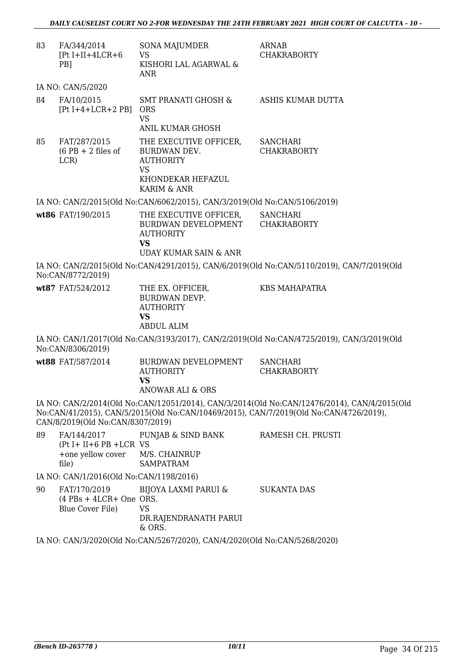| 83 | FA/344/2014<br>$[Pt I+II+4LCR+6]$<br>PB <sub>1</sub>                      | <b>SONA MAJUMDER</b><br><b>VS</b><br>KISHORI LAL AGARWAL &<br>ANR                                                               | <b>ARNAB</b><br><b>CHAKRABORTY</b>                                                                                                                                                   |
|----|---------------------------------------------------------------------------|---------------------------------------------------------------------------------------------------------------------------------|--------------------------------------------------------------------------------------------------------------------------------------------------------------------------------------|
|    | IA NO: CAN/5/2020                                                         |                                                                                                                                 |                                                                                                                                                                                      |
| 84 | FA/10/2015<br>$[Pt I+4+LCR+2 PB]$                                         | SMT PRANATI GHOSH &<br><b>ORS</b><br><b>VS</b>                                                                                  | ASHIS KUMAR DUTTA                                                                                                                                                                    |
| 85 | FAT/287/2015<br>$(6$ PB + 2 files of<br>LCR)                              | ANIL KUMAR GHOSH<br>THE EXECUTIVE OFFICER,<br>BURDWAN DEV.<br><b>AUTHORITY</b><br><b>VS</b><br>KHONDEKAR HEFAZUL<br>KARIM & ANR | <b>SANCHARI</b><br><b>CHAKRABORTY</b>                                                                                                                                                |
|    |                                                                           | IA NO: CAN/2/2015(Old No:CAN/6062/2015), CAN/3/2019(Old No:CAN/5106/2019)                                                       |                                                                                                                                                                                      |
|    | wt86 FAT/190/2015                                                         | THE EXECUTIVE OFFICER,<br>BURDWAN DEVELOPMENT<br><b>AUTHORITY</b><br><b>VS</b><br>UDAY KUMAR SAIN & ANR                         | <b>SANCHARI</b><br><b>CHAKRABORTY</b>                                                                                                                                                |
|    | No:CAN/8772/2019)                                                         |                                                                                                                                 | IA NO: CAN/2/2015(Old No:CAN/4291/2015), CAN/6/2019(Old No:CAN/5110/2019), CAN/7/2019(Old                                                                                            |
|    | wt87 FAT/524/2012                                                         | THE EX. OFFICER,<br>BURDWAN DEVP.<br><b>AUTHORITY</b><br><b>VS</b><br><b>ABDUL ALIM</b>                                         | <b>KBS MAHAPATRA</b>                                                                                                                                                                 |
|    | No:CAN/8306/2019)                                                         |                                                                                                                                 | IA NO: CAN/1/2017(Old No:CAN/3193/2017), CAN/2/2019(Old No:CAN/4725/2019), CAN/3/2019(Old                                                                                            |
|    | wt88 FAT/587/2014                                                         | BURDWAN DEVELOPMENT<br><b>AUTHORITY</b><br><b>VS</b><br>ANOWAR ALI & ORS                                                        | <b>SANCHARI</b><br><b>CHAKRABORTY</b>                                                                                                                                                |
|    | CAN/8/2019(Old No:CAN/8307/2019)                                          |                                                                                                                                 | IA NO: CAN/2/2014(Old No:CAN/12051/2014), CAN/3/2014(Old No:CAN/12476/2014), CAN/4/2015(Old<br>No:CAN/41/2015), CAN/5/2015(Old No:CAN/10469/2015), CAN/7/2019(Old No:CAN/4726/2019), |
| 89 | $(Pt I + II + 6 PB + LCR VS)$<br>+one yellow cover M/S. CHAINRUP<br>file) | FA/144/2017 PUNJAB & SIND BANK<br><b>SAMPATRAM</b>                                                                              | RAMESH CH. PRUSTI                                                                                                                                                                    |
|    | IA NO: CAN/1/2016(Old No:CAN/1198/2016)                                   |                                                                                                                                 |                                                                                                                                                                                      |
| 90 | FAT/170/2019<br>$(4$ PBs + 4LCR+ One ORS.<br>Blue Cover File)             | <b>BIJOYA LAXMI PARUI &amp;</b><br><b>VS</b><br>DR.RAJENDRANATH PARUI<br>& ORS.                                                 | <b>SUKANTA DAS</b>                                                                                                                                                                   |
|    |                                                                           | IA NO: CAN/3/2020(Old No:CAN/5267/2020), CAN/4/2020(Old No:CAN/5268/2020)                                                       |                                                                                                                                                                                      |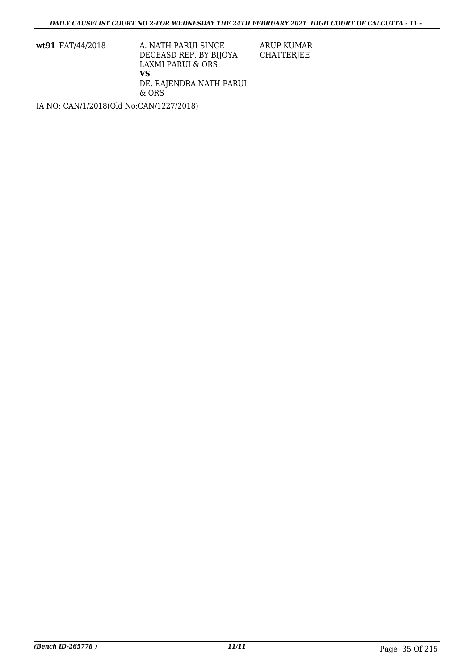**wt91** FAT/44/2018 A. NATH PARUI SINCE DECEASD REP. BY BIJOYA LAXMI PARUI & ORS **VS** DE. RAJENDRA NATH PARUI & ORS

IA NO: CAN/1/2018(Old No:CAN/1227/2018)

ARUP KUMAR CHATTERJEE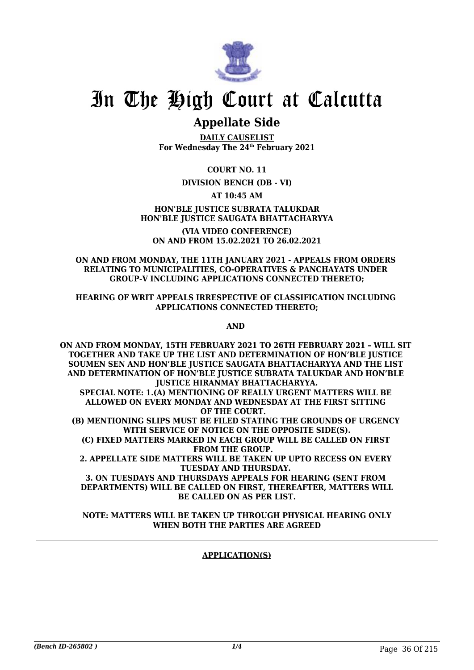

# In The High Court at Calcutta

## **Appellate Side**

**DAILY CAUSELIST For Wednesday The 24th February 2021**

**COURT NO. 11**

## **DIVISION BENCH (DB - VI)**

## **AT 10:45 AM**

## **HON'BLE JUSTICE SUBRATA TALUKDAR HON'BLE JUSTICE SAUGATA BHATTACHARYYA**

**(VIA VIDEO CONFERENCE) ON AND FROM 15.02.2021 TO 26.02.2021**

### **ON AND FROM MONDAY, THE 11TH JANUARY 2021 - APPEALS FROM ORDERS RELATING TO MUNICIPALITIES, CO-OPERATIVES & PANCHAYATS UNDER GROUP-V INCLUDING APPLICATIONS CONNECTED THERETO;**

### **HEARING OF WRIT APPEALS IRRESPECTIVE OF CLASSIFICATION INCLUDING APPLICATIONS CONNECTED THERETO;**

**AND** 

**ON AND FROM MONDAY, 15TH FEBRUARY 2021 TO 26TH FEBRUARY 2021 – WILL SIT TOGETHER AND TAKE UP THE LIST AND DETERMINATION OF HON'BLE JUSTICE SOUMEN SEN AND HON'BLE JUSTICE SAUGATA BHATTACHARYYA AND THE LIST AND DETERMINATION OF HON'BLE JUSTICE SUBRATA TALUKDAR AND HON'BLE JUSTICE HIRANMAY BHATTACHARYYA. SPECIAL NOTE: 1.(A) MENTIONING OF REALLY URGENT MATTERS WILL BE ALLOWED ON EVERY MONDAY AND WEDNESDAY AT THE FIRST SITTING OF THE COURT. (B) MENTIONING SLIPS MUST BE FILED STATING THE GROUNDS OF URGENCY WITH SERVICE OF NOTICE ON THE OPPOSITE SIDE(S). (C) FIXED MATTERS MARKED IN EACH GROUP WILL BE CALLED ON FIRST FROM THE GROUP. 2. APPELLATE SIDE MATTERS WILL BE TAKEN UP UPTO RECESS ON EVERY TUESDAY AND THURSDAY. 3. ON TUESDAYS AND THURSDAYS APPEALS FOR HEARING (SENT FROM DEPARTMENTS) WILL BE CALLED ON FIRST, THEREAFTER, MATTERS WILL**

**BE CALLED ON AS PER LIST. NOTE: MATTERS WILL BE TAKEN UP THROUGH PHYSICAL HEARING ONLY**

## **WHEN BOTH THE PARTIES ARE AGREED**

## **APPLICATION(S)**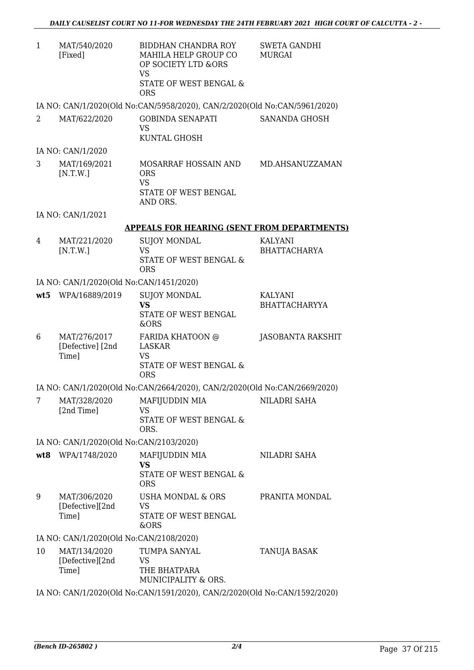| MAT/540/2020 | BIDDHAN CHANDRA ROY                                                       | SWETA GANDHI |
|--------------|---------------------------------------------------------------------------|--------------|
| [Fixed]      | MAHILA HELP GROUP CO                                                      | MURGAI       |
|              | OP SOCIETY LTD &ORS                                                       |              |
|              | VS                                                                        |              |
|              | STATE OF WEST BENGAL &                                                    |              |
|              | ORS                                                                       |              |
|              | IA NO: CAN/1/2020(Old No:CAN/5958/2020), CAN/2/2020(Old No:CAN/5961/2020) |              |

| MAT/622/2020 | GOBINDA SENAPATI<br>VS. | SANANDA GHOSH |
|--------------|-------------------------|---------------|
|              | KUNTAL GHOSH            |               |

IA NO: CAN/1/2020

3 MAT/169/2021  $[N.T.W.]$ MOSARRAF HOSSAIN AND ORS VS STATE OF WEST BENGAL AND ORS. MD.AHSANUZZAMAN

IA NO: CAN/1/2021

#### **APPEALS FOR HEARING (SENT FROM DEPARTMENTS)**

4 MAT/221/2020 [N.T.W.] SUJOY MONDAL VS STATE OF WEST BENGAL & ORS KALYANI BHATTACHARYA

IA NO: CAN/1/2020(Old No:CAN/1451/2020)

|   | wt5 WPA/16889/2019                        | <b>SUJOY MONDAL</b><br>VS<br>STATE OF WEST BENGAL<br>&ORS         | <b>KALYANI</b><br><b>BHATTACHARYYA</b> |
|---|-------------------------------------------|-------------------------------------------------------------------|----------------------------------------|
| 6 | MAT/276/2017<br>[Defective] [2nd<br>Time] | FARIDA KHATOON @<br>LASKAR<br>VS<br>STATE OF WEST BENGAL &<br>ORS | JASOBANTA RAKSHIT                      |

IA NO: CAN/1/2020(Old No:CAN/2664/2020), CAN/2/2020(Old No:CAN/2669/2020)

| MAT/328/2020 | MAFIJUDDIN MIA         | NILADRI SAHA |
|--------------|------------------------|--------------|
| [2nd Time]   | VS.                    |              |
|              | STATE OF WEST BENGAL & |              |
|              | ORS.                   |              |

IA NO: CAN/1/2020(Old No:CAN/2103/2020)

| wt8 | WPA/1748/2020                            | MAFIJUDDIN MIA<br>VS<br>STATE OF WEST BENGAL &<br>ORS   | NILADRI SAHA   |
|-----|------------------------------------------|---------------------------------------------------------|----------------|
| 9   | MAT/306/2020<br>[Defective][2nd<br>Time] | USHA MONDAL & ORS<br>VS<br>STATE OF WEST BENGAL<br>&ORS | PRANITA MONDAL |

IA NO: CAN/1/2020(Old No:CAN/2108/2020)

| 10 | MAT/134/2020<br>[Defective][2nd] | TUMPA SANYAL<br>VS.                 | TANUJA BASAK |
|----|----------------------------------|-------------------------------------|--------------|
|    | Time]                            | THE BHATPARA<br>MUNICIPALITY & ORS. |              |

IA NO: CAN/1/2020(Old No:CAN/1591/2020), CAN/2/2020(Old No:CAN/1592/2020)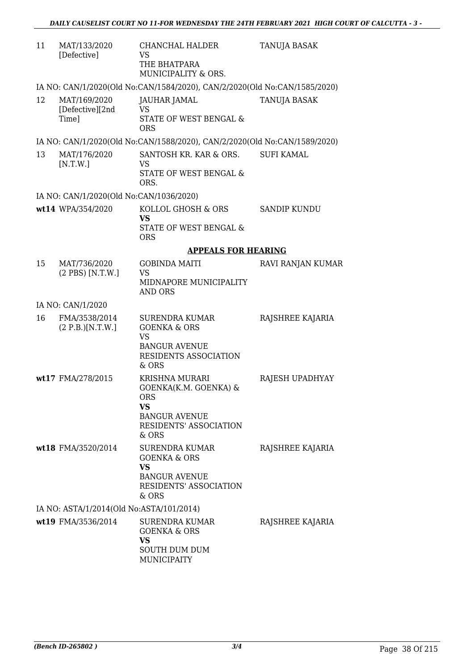| 11 | MAT/133/2020<br>[Defective]              | CHANCHAL HALDER<br>VS<br>THE BHATPARA<br>MUNICIPALITY & ORS.                                                                         | <b>TANUJA BASAK</b> |
|----|------------------------------------------|--------------------------------------------------------------------------------------------------------------------------------------|---------------------|
|    |                                          | IA NO: CAN/1/2020(Old No:CAN/1584/2020), CAN/2/2020(Old No:CAN/1585/2020)                                                            |                     |
| 12 | MAT/169/2020<br>[Defective][2nd<br>Time] | JAUHAR JAMAL<br><b>VS</b><br>STATE OF WEST BENGAL &<br><b>ORS</b>                                                                    | TANUJA BASAK        |
|    |                                          | IA NO: CAN/1/2020(Old No:CAN/1588/2020), CAN/2/2020(Old No:CAN/1589/2020)                                                            |                     |
| 13 | MAT/176/2020<br>[N.T.W.]                 | SANTOSH KR. KAR & ORS.<br><b>VS</b><br>STATE OF WEST BENGAL &<br>ORS.                                                                | <b>SUFI KAMAL</b>   |
|    | IA NO: CAN/1/2020(Old No:CAN/1036/2020)  |                                                                                                                                      |                     |
|    | wt14 WPA/354/2020                        | KOLLOL GHOSH & ORS<br><b>VS</b><br><b>STATE OF WEST BENGAL &amp;</b><br><b>ORS</b>                                                   | <b>SANDIP KUNDU</b> |
|    |                                          | <b>APPEALS FOR HEARING</b>                                                                                                           |                     |
| 15 | MAT/736/2020<br>(2 PBS) [N.T.W.]         | <b>GOBINDA MAITI</b><br><b>VS</b><br>MIDNAPORE MUNICIPALITY<br><b>AND ORS</b>                                                        | RAVI RANJAN KUMAR   |
|    | IA NO: CAN/1/2020                        |                                                                                                                                      |                     |
| 16 | FMA/3538/2014<br>(2 P.B.)[N.T.W.]        | <b>SURENDRA KUMAR</b><br><b>GOENKA &amp; ORS</b><br><b>VS</b><br><b>BANGUR AVENUE</b><br>RESIDENTS ASSOCIATION<br>& ORS              | RAJSHREE KAJARIA    |
|    | wt17 FMA/278/2015                        | <b>KRISHNA MURARI</b><br>GOENKA(K.M. GOENKA) &<br><b>ORS</b><br>VS<br><b>BANGUR AVENUE</b><br><b>RESIDENTS' ASSOCIATION</b><br>& ORS | RAJESH UPADHYAY     |
|    | wt18 FMA/3520/2014                       | SURENDRA KUMAR<br><b>GOENKA &amp; ORS</b><br><b>VS</b><br><b>BANGUR AVENUE</b><br>RESIDENTS' ASSOCIATION<br>& ORS                    | RAJSHREE KAJARIA    |
|    | IA NO: ASTA/1/2014(Old No:ASTA/101/2014) |                                                                                                                                      |                     |
|    | wt19 FMA/3536/2014                       | <b>SURENDRA KUMAR</b><br><b>GOENKA &amp; ORS</b><br>VS<br>SOUTH DUM DUM<br><b>MUNICIPAITY</b>                                        | RAJSHREE KAJARIA    |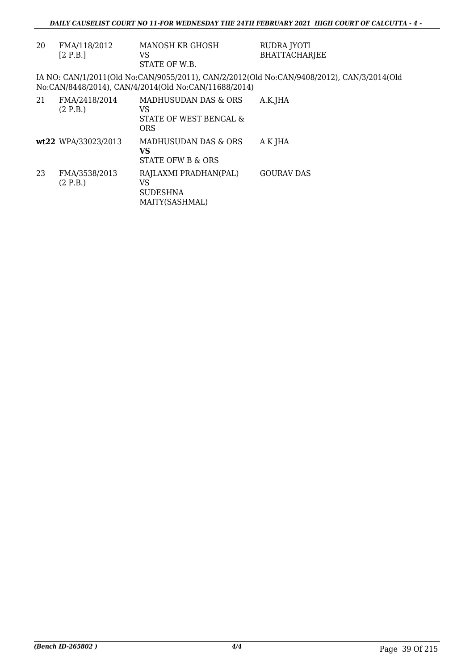| 20 | FMA/118/2012<br>[2 P.B.]  | MANOSH KR GHOSH<br>VS<br>STATE OF W.B.                             | RUDRA JYOTI<br><b>BHATTACHARJEE</b>                                                       |
|----|---------------------------|--------------------------------------------------------------------|-------------------------------------------------------------------------------------------|
|    |                           | No:CAN/8448/2014), CAN/4/2014(Old No:CAN/11688/2014)               | IA NO: CAN/1/2011(Old No:CAN/9055/2011), CAN/2/2012(Old No:CAN/9408/2012), CAN/3/2014(Old |
| 21 | FMA/2418/2014<br>(2 P.B.) | MADHUSUDAN DAS & ORS<br>VS<br>STATE OF WEST BENGAL &<br><b>ORS</b> | A.K.JHA                                                                                   |
|    | wt22 WPA/33023/2013       | MADHUSUDAN DAS & ORS<br>VS<br><b>STATE OFW B &amp; ORS</b>         | A K JHA                                                                                   |
| 23 | FMA/3538/2013<br>(2 P.B.) | RAJLAXMI PRADHAN(PAL)<br>VS<br><b>SUDESHNA</b><br>MAITY(SASHMAL)   | <b>GOURAV DAS</b>                                                                         |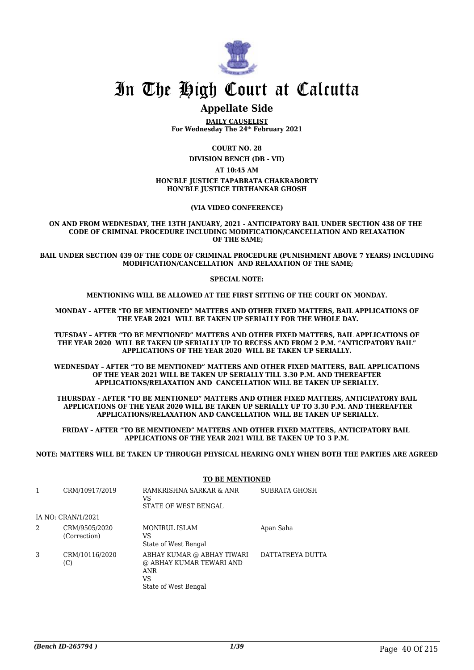

# In The High Court at Calcutta

## **Appellate Side**

**DAILY CAUSELIST For Wednesday The 24th February 2021**

**COURT NO. 28**

**DIVISION BENCH (DB - VII)**

**AT 10:45 AM**

#### **HON'BLE JUSTICE TAPABRATA CHAKRABORTY HON'BLE JUSTICE TIRTHANKAR GHOSH**

#### **(VIA VIDEO CONFERENCE)**

**ON AND FROM WEDNESDAY, THE 13TH JANUARY, 2021 - ANTICIPATORY BAIL UNDER SECTION 438 OF THE CODE OF CRIMINAL PROCEDURE INCLUDING MODIFICATION/CANCELLATION AND RELAXATION OF THE SAME;**

**BAIL UNDER SECTION 439 OF THE CODE OF CRIMINAL PROCEDURE (PUNISHMENT ABOVE 7 YEARS) INCLUDING MODIFICATION/CANCELLATION AND RELAXATION OF THE SAME;**

**SPECIAL NOTE:**

**MENTIONING WILL BE ALLOWED AT THE FIRST SITTING OF THE COURT ON MONDAY.**

**MONDAY – AFTER "TO BE MENTIONED" MATTERS AND OTHER FIXED MATTERS, BAIL APPLICATIONS OF THE YEAR 2021 WILL BE TAKEN UP SERIALLY FOR THE WHOLE DAY.**

**TUESDAY – AFTER "TO BE MENTIONED" MATTERS AND OTHER FIXED MATTERS, BAIL APPLICATIONS OF THE YEAR 2020 WILL BE TAKEN UP SERIALLY UP TO RECESS AND FROM 2 P.M. "ANTICIPATORY BAIL" APPLICATIONS OF THE YEAR 2020 WILL BE TAKEN UP SERIALLY.**

**WEDNESDAY – AFTER "TO BE MENTIONED" MATTERS AND OTHER FIXED MATTERS, BAIL APPLICATIONS OF THE YEAR 2021 WILL BE TAKEN UP SERIALLY TILL 3.30 P.M. AND THEREAFTER APPLICATIONS/RELAXATION AND CANCELLATION WILL BE TAKEN UP SERIALLY.**

**THURSDAY – AFTER "TO BE MENTIONED" MATTERS AND OTHER FIXED MATTERS, ANTICIPATORY BAIL APPLICATIONS OF THE YEAR 2020 WILL BE TAKEN UP SERIALLY UP TO 3.30 P.M. AND THEREAFTER APPLICATIONS/RELAXATION AND CANCELLATION WILL BE TAKEN UP SERIALLY.**

**FRIDAY – AFTER "TO BE MENTIONED" MATTERS AND OTHER FIXED MATTERS, ANTICIPATORY BAIL APPLICATIONS OF THE YEAR 2021 WILL BE TAKEN UP TO 3 P.M.**

**NOTE: MATTERS WILL BE TAKEN UP THROUGH PHYSICAL HEARING ONLY WHEN BOTH THE PARTIES ARE AGREED**

|   |                               | <b>TO BE MENTIONED</b>                                                                             |                  |  |
|---|-------------------------------|----------------------------------------------------------------------------------------------------|------------------|--|
|   | CRM/10917/2019                | RAMKRISHNA SARKAR & ANR<br>VS<br>STATE OF WEST BENGAL                                              | SUBRATA GHOSH    |  |
|   | IA NO: CRAN/1/2021            |                                                                                                    |                  |  |
| 2 | CRM/9505/2020<br>(Correction) | <b>MONIRUL ISLAM</b><br>VS<br>State of West Bengal                                                 | Apan Saha        |  |
| 3 | CRM/10116/2020<br>(C)         | ABHAY KUMAR @ ABHAY TIWARI<br>@ ABHAY KUMAR TEWARI AND<br><b>ANR</b><br>VS<br>State of West Bengal | DATTATREYA DUTTA |  |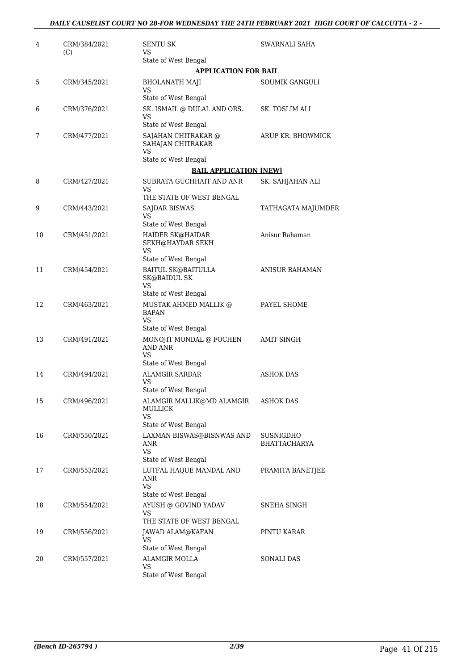| 4  | CRM/384/2021<br>(C) | SENTU SK<br>VS                                                                                 | SWARNALI SAHA                    |
|----|---------------------|------------------------------------------------------------------------------------------------|----------------------------------|
|    |                     | State of West Bengal                                                                           |                                  |
|    |                     | <b>APPLICATION FOR BAIL</b>                                                                    |                                  |
| 5  | CRM/345/2021        | <b>BHOLANATH MAJI</b><br>VS<br>State of West Bengal                                            | SOUMIK GANGULI                   |
| 6  | CRM/376/2021        | SK. ISMAIL @ DULAL AND ORS.<br>VS                                                              | SK. TOSLIM ALI                   |
| 7  | CRM/477/2021        | State of West Bengal<br>SAJAHAN CHITRAKAR @<br>SAHAJAN CHITRAKAR<br>VS<br>State of West Bengal | ARUP KR. BHOWMICK                |
|    |                     | <b>BAIL APPLICATION [NEW]</b>                                                                  |                                  |
| 8  | CRM/427/2021        | SUBRATA GUCHHAIT AND ANR<br>VS<br>THE STATE OF WEST BENGAL                                     | SK. SAHJAHAN ALI                 |
| 9  | CRM/443/2021        | SAJDAR BISWAS<br>VS                                                                            | TATHAGATA MAJUMDER               |
| 10 | CRM/451/2021        | State of West Bengal<br>HAIDER SK@HAIDAR<br>SEKH@HAYDAR SEKH<br>VS                             | Anisur Rahaman                   |
| 11 | CRM/454/2021        | State of West Bengal<br><b>BAITUL SK@BAITULLA</b><br><b>SK@BAIDUL SK</b><br>VS                 | <b>ANISUR RAHAMAN</b>            |
| 12 | CRM/463/2021        | State of West Bengal<br>MUSTAK AHMED MALLIK @<br><b>BAPAN</b><br><b>VS</b>                     | PAYEL SHOME                      |
| 13 | CRM/491/2021        | State of West Bengal<br>MONOJIT MONDAL @ FOCHEN<br>AND ANR<br>VS                               | <b>AMIT SINGH</b>                |
| 14 | CRM/494/2021        | State of West Bengal<br><b>ALAMGIR SARDAR</b><br><b>VS</b><br>State of West Bengal             | ASHOK DAS                        |
| 15 | CRM/496/2021        | ALAMGIR MALLIK@MD ALAMGIR<br><b>MULLICK</b><br>VS<br>State of West Bengal                      | <b>ASHOK DAS</b>                 |
| 16 | CRM/550/2021        | LAXMAN BISWAS@BISNWAS AND<br>ANR<br><b>VS</b><br>State of West Bengal                          | SUSNIGDHO<br><b>BHATTACHARYA</b> |
| 17 | CRM/553/2021        | LUTFAL HAQUE MANDAL AND<br>ANR<br>VS.<br>State of West Bengal                                  | PRAMITA BANETIEE                 |
| 18 | CRM/554/2021        | AYUSH @ GOVIND YADAV<br>VS<br>THE STATE OF WEST BENGAL                                         | SNEHA SINGH                      |
| 19 | CRM/556/2021        | JAWAD ALAM@KAFAN<br>VS<br>State of West Bengal                                                 | PINTU KARAR                      |
| 20 | CRM/557/2021        | ALAMGIR MOLLA<br>VS<br>State of West Bengal                                                    | <b>SONALI DAS</b>                |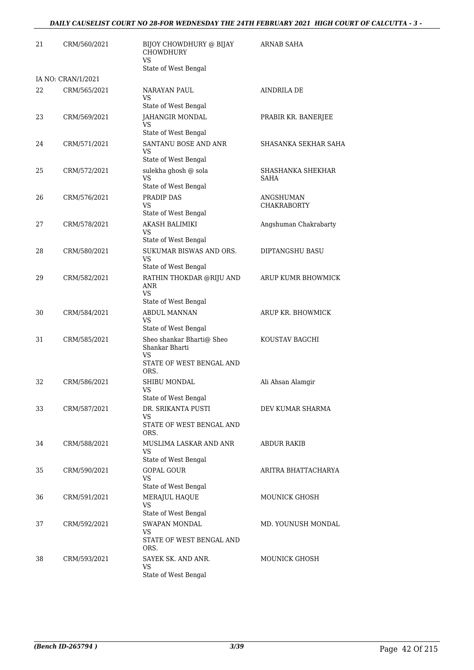| 21 | CRM/560/2021       | BIJOY CHOWDHURY @ BIJAY<br><b>CHOWDHURY</b><br><b>VS</b>                                                             | <b>ARNAB SAHA</b>               |
|----|--------------------|----------------------------------------------------------------------------------------------------------------------|---------------------------------|
|    |                    | State of West Bengal                                                                                                 |                                 |
|    | IA NO: CRAN/1/2021 |                                                                                                                      |                                 |
| 22 | CRM/565/2021       | NARAYAN PAUL<br>VS.<br>State of West Bengal                                                                          | AINDRILA DE                     |
| 23 | CRM/569/2021       | JAHANGIR MONDAL<br>VS                                                                                                | PRABIR KR. BANERJEE             |
|    |                    | State of West Bengal                                                                                                 |                                 |
| 24 | CRM/571/2021       | SANTANU BOSE AND ANR<br>VS<br>State of West Bengal                                                                   | SHASANKA SEKHAR SAHA            |
| 25 | CRM/572/2021       | sulekha ghosh @ sola<br>VS<br>State of West Bengal                                                                   | SHASHANKA SHEKHAR<br>SAHA       |
| 26 | CRM/576/2021       | PRADIP DAS<br>VS<br>State of West Bengal                                                                             | ANGSHUMAN<br><b>CHAKRABORTY</b> |
| 27 | CRM/578/2021       | AKASH BALIMIKI<br>VS                                                                                                 | Angshuman Chakrabarty           |
| 28 | CRM/580/2021       | State of West Bengal<br>SUKUMAR BISWAS AND ORS.<br><b>VS</b><br>State of West Bengal                                 | DIPTANGSHU BASU                 |
| 29 | CRM/582/2021       | RATHIN THOKDAR @RIJU AND<br>ANR<br>VS                                                                                | ARUP KUMR BHOWMICK              |
| 30 | CRM/584/2021       | State of West Bengal<br><b>ABDUL MANNAN</b><br><b>VS</b>                                                             | ARUP KR. BHOWMICK               |
| 31 | CRM/585/2021       | State of West Bengal<br>Sheo shankar Bharti@ Sheo<br>Shankar Bharti<br><b>VS</b><br>STATE OF WEST BENGAL AND<br>ORS. | KOUSTAV BAGCHI                  |
| 32 | CRM/586/2021       | <b>SHIBU MONDAL</b><br>VS                                                                                            | Ali Ahsan Alamgir               |
| 33 | CRM/587/2021       | State of West Bengal<br>DR. SRIKANTA PUSTI<br>VS<br>STATE OF WEST BENGAL AND<br>ORS.                                 | DEV KUMAR SHARMA                |
| 34 | CRM/588/2021       | MUSLIMA LASKAR AND ANR<br>VS                                                                                         | ABDUR RAKIB                     |
| 35 | CRM/590/2021       | State of West Bengal<br><b>GOPAL GOUR</b><br>VS                                                                      | ARITRA BHATTACHARYA             |
|    |                    | State of West Bengal                                                                                                 |                                 |
| 36 | CRM/591/2021       | MERAJUL HAQUE<br><b>VS</b><br>State of West Bengal                                                                   | <b>MOUNICK GHOSH</b>            |
| 37 | CRM/592/2021       | SWAPAN MONDAL<br>VS                                                                                                  | MD. YOUNUSH MONDAL              |
|    |                    | STATE OF WEST BENGAL AND<br>ORS.                                                                                     |                                 |
| 38 | CRM/593/2021       | SAYEK SK. AND ANR.<br>VS<br>State of West Bengal                                                                     | <b>MOUNICK GHOSH</b>            |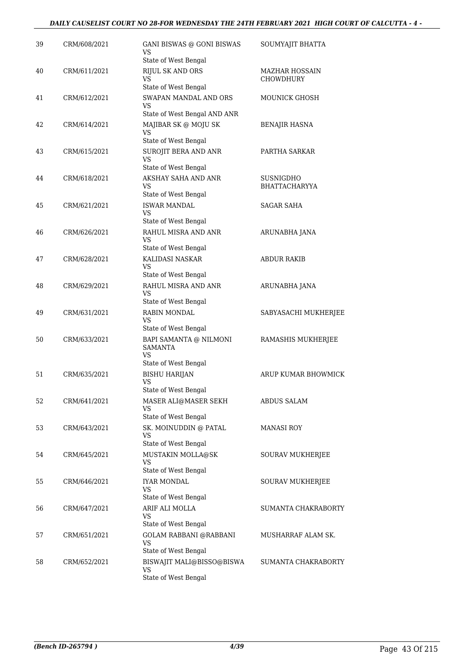## *DAILY CAUSELIST COURT NO 28-FOR WEDNESDAY THE 24TH FEBRUARY 2021 HIGH COURT OF CALCUTTA - 4 -*

| 39 | CRM/608/2021 | GANI BISWAS @ GONI BISWAS<br>VS<br>State of West Bengal                   | SOUMYAJIT BHATTA                   |
|----|--------------|---------------------------------------------------------------------------|------------------------------------|
| 40 | CRM/611/2021 | <b>RIJUL SK AND ORS</b><br>VS<br>State of West Bengal                     | <b>MAZHAR HOSSAIN</b><br>CHOWDHURY |
| 41 | CRM/612/2021 | SWAPAN MANDAL AND ORS<br>VS<br>State of West Bengal AND ANR               | MOUNICK GHOSH                      |
| 42 | CRM/614/2021 | MAJIBAR SK @ MOJU SK<br>VS<br>State of West Bengal                        | BENAJIR HASNA                      |
| 43 | CRM/615/2021 | SUROJIT BERA AND ANR<br>VS                                                | PARTHA SARKAR                      |
| 44 | CRM/618/2021 | State of West Bengal<br>AKSHAY SAHA AND ANR<br>VS<br>State of West Bengal | SUSNIGDHO<br><b>BHATTACHARYYA</b>  |
| 45 | CRM/621/2021 | <b>ISWAR MANDAL</b><br>VS<br>State of West Bengal                         | <b>SAGAR SAHA</b>                  |
| 46 | CRM/626/2021 | RAHUL MISRA AND ANR<br>VS                                                 | ARUNABHA JANA                      |
| 47 | CRM/628/2021 | State of West Bengal<br>KALIDASI NASKAR<br>VS<br>State of West Bengal     | <b>ABDUR RAKIB</b>                 |
| 48 | CRM/629/2021 | RAHUL MISRA AND ANR<br>VS<br>State of West Bengal                         | ARUNABHA JANA                      |
| 49 | CRM/631/2021 | <b>RABIN MONDAL</b><br>VS<br>State of West Bengal                         | SABYASACHI MUKHERJEE               |
| 50 | CRM/633/2021 | BAPI SAMANTA @ NILMONI<br>SAMANTA<br>VS<br>State of West Bengal           | RAMASHIS MUKHERJEE                 |
| 51 | CRM/635/2021 | <b>BISHU HARIJAN</b><br><b>VS</b><br>State of West Bengal                 | ARUP KUMAR BHOWMICK                |
| 52 | CRM/641/2021 | MASER ALI@MASER SEKH<br>VS<br>State of West Bengal                        | ABDUS SALAM                        |
| 53 | CRM/643/2021 | SK. MOINUDDIN @ PATAL<br>VS<br>State of West Bengal                       | <b>MANASI ROY</b>                  |
| 54 | CRM/645/2021 | MUSTAKIN MOLLA@SK<br>VS<br>State of West Bengal                           | SOURAV MUKHERJEE                   |
| 55 | CRM/646/2021 | <b>IYAR MONDAL</b><br>VS<br>State of West Bengal                          | SOURAV MUKHERJEE                   |
| 56 | CRM/647/2021 | ARIF ALI MOLLA<br>VS<br>State of West Bengal                              | SUMANTA CHAKRABORTY                |
| 57 | CRM/651/2021 | <b>GOLAM RABBANI @RABBANI</b><br>VS<br>State of West Bengal               | MUSHARRAF ALAM SK.                 |
| 58 | CRM/652/2021 | BISWAJIT MALI@BISSO@BISWA<br><b>VS</b><br>State of West Bengal            | SUMANTA CHAKRABORTY                |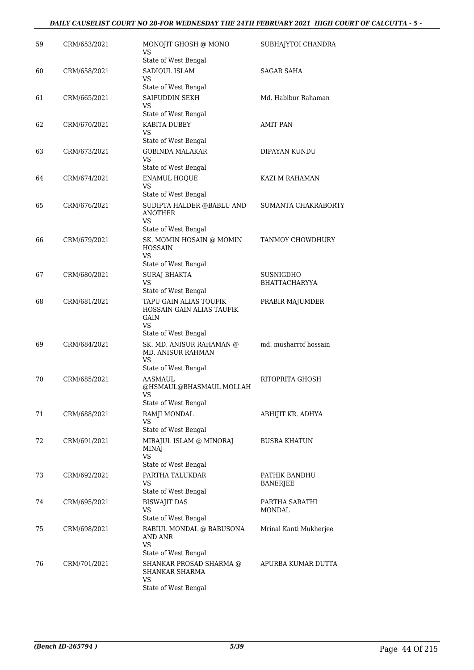| 59 | CRM/653/2021 | MONOJIT GHOSH @ MONO<br>VS<br>State of West Bengal                                              | SUBHAJYTOI CHANDRA                |
|----|--------------|-------------------------------------------------------------------------------------------------|-----------------------------------|
| 60 | CRM/658/2021 | SADIQUL ISLAM<br>VS<br>State of West Bengal                                                     | SAGAR SAHA                        |
| 61 | CRM/665/2021 | SAIFUDDIN SEKH<br>VS                                                                            | Md. Habibur Rahaman               |
| 62 | CRM/670/2021 | State of West Bengal<br>KABITA DUBEY<br>VS<br>State of West Bengal                              | <b>AMIT PAN</b>                   |
| 63 | CRM/673/2021 | <b>GOBINDA MALAKAR</b><br>VS<br>State of West Bengal                                            | DIPAYAN KUNDU                     |
| 64 | CRM/674/2021 | <b>ENAMUL HOQUE</b><br><b>VS</b><br>State of West Bengal                                        | KAZI M RAHAMAN                    |
| 65 | CRM/676/2021 | SUDIPTA HALDER @BABLU AND<br><b>ANOTHER</b><br><b>VS</b>                                        | SUMANTA CHAKRABORTY               |
| 66 | CRM/679/2021 | State of West Bengal<br>SK. MOMIN HOSAIN @ MOMIN<br><b>HOSSAIN</b><br><b>VS</b>                 | TANMOY CHOWDHURY                  |
| 67 | CRM/680/2021 | State of West Bengal<br><b>SURAJ BHAKTA</b><br>VS<br>State of West Bengal                       | <b>SUSNIGDHO</b><br>BHATTACHARYYA |
| 68 | CRM/681/2021 | TAPU GAIN ALIAS TOUFIK<br>HOSSAIN GAIN ALIAS TAUFIK<br><b>GAIN</b><br>VS                        | PRABIR MAJUMDER                   |
| 69 | CRM/684/2021 | State of West Bengal<br>SK. MD. ANISUR RAHAMAN @<br>MD. ANISUR RAHMAN<br>VS                     | md. musharrof hossain             |
| 70 | CRM/685/2021 | State of West Bengal<br>AASMAUL<br>@HSMAUL@BHASMAUL MOLLAH<br>VS                                | RITOPRITA GHOSH                   |
| 71 | CRM/688/2021 | State of West Bengal<br>RAMJI MONDAL<br>VS<br>State of West Bengal                              | ABHIJIT KR. ADHYA                 |
| 72 | CRM/691/2021 | MIRAJUL ISLAM @ MINORAJ<br><b>MINAJ</b><br>VS<br>State of West Bengal                           | <b>BUSRA KHATUN</b>               |
| 73 | CRM/692/2021 | PARTHA TALUKDAR<br>VS<br>State of West Bengal                                                   | PATHIK BANDHU<br><b>BANERJEE</b>  |
| 74 | CRM/695/2021 | <b>BISWAJIT DAS</b><br>VS<br>State of West Bengal                                               | PARTHA SARATHI<br>MONDAL          |
| 75 | CRM/698/2021 | RABIUL MONDAL @ BABUSONA<br>AND ANR<br>VS                                                       | Mrinal Kanti Mukherjee            |
| 76 | CRM/701/2021 | State of West Bengal<br>SHANKAR PROSAD SHARMA @<br>SHANKAR SHARMA<br>VS<br>State of West Bengal | APURBA KUMAR DUTTA                |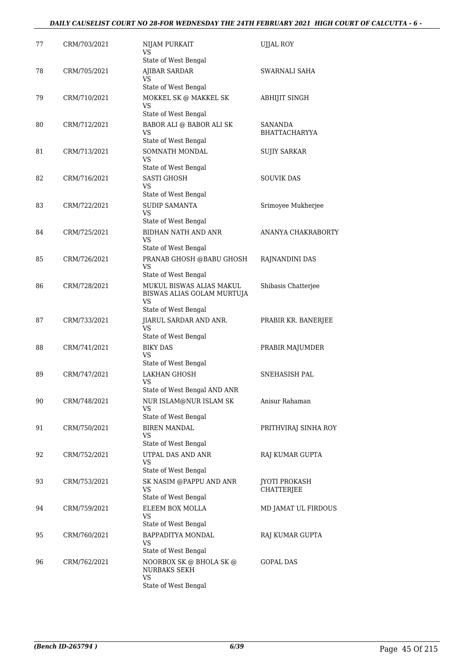| 77 | CRM/703/2021 | NIJAM PURKAIT<br>VS<br>State of West Bengal                  | <b>UJJAL ROY</b>     |
|----|--------------|--------------------------------------------------------------|----------------------|
| 78 | CRM/705/2021 | <b>AJIBAR SARDAR</b><br>VS                                   | SWARNALI SAHA        |
|    |              | State of West Bengal                                         |                      |
| 79 | CRM/710/2021 | MOKKEL SK @ MAKKEL SK<br>VS<br>State of West Bengal          | ABHIJIT SINGH        |
| 80 | CRM/712/2021 | BABOR ALI @ BABOR ALI SK                                     | SANANDA              |
|    |              | VS<br>State of West Bengal                                   | <b>BHATTACHARYYA</b> |
| 81 | CRM/713/2021 | SOMNATH MONDAL<br>VS                                         | <b>SUJIY SARKAR</b>  |
|    |              | State of West Bengal                                         |                      |
| 82 | CRM/716/2021 | <b>SASTI GHOSH</b><br>VS                                     | <b>SOUVIK DAS</b>    |
|    |              | State of West Bengal                                         |                      |
| 83 | CRM/722/2021 | <b>SUDIP SAMANTA</b><br>VS.                                  | Srimoyee Mukherjee   |
|    |              | State of West Bengal                                         |                      |
| 84 | CRM/725/2021 | <b>BIDHAN NATH AND ANR</b><br>VS<br>State of West Bengal     | ANANYA CHAKRABORTY   |
| 85 | CRM/726/2021 | PRANAB GHOSH @BABU GHOSH                                     | RAJNANDINI DAS       |
|    |              | VS<br>State of West Bengal                                   |                      |
| 86 | CRM/728/2021 | MUKUL BISWAS ALIAS MAKUL<br>BISWAS ALIAS GOLAM MURTUJA<br>VS | Shibasis Chatterjee  |
|    |              | State of West Bengal                                         |                      |
| 87 | CRM/733/2021 | JIARUL SARDAR AND ANR.<br>VS                                 | PRABIR KR. BANERJEE  |
|    |              | State of West Bengal                                         |                      |
| 88 | CRM/741/2021 | <b>BIKY DAS</b><br>VS                                        | PRABIR MAJUMDER      |
|    |              | State of West Bengal                                         |                      |
| 89 | CRM/747/2021 | <b>LAKHAN GHOSH</b><br>VS<br>State of West Bengal AND ANR    | <b>SNEHASISH PAL</b> |
| 90 | CRM/748/2021 | NUR ISLAM@NUR ISLAM SK                                       | Anisur Rahaman       |
|    |              | VS<br>State of West Bengal                                   |                      |
| 91 | CRM/750/2021 | <b>BIREN MANDAL</b>                                          | PRITHVIRAJ SINHA ROY |
|    |              | VS                                                           |                      |
|    |              | State of West Bengal                                         |                      |
| 92 | CRM/752/2021 | UTPAL DAS AND ANR<br>VS<br>State of West Bengal              | RAJ KUMAR GUPTA      |
| 93 | CRM/753/2021 | SK NASIM @PAPPU AND ANR                                      | <b>JYOTI PROKASH</b> |
|    |              | VS<br>State of West Bengal                                   | CHATTERJEE           |
| 94 | CRM/759/2021 | ELEEM BOX MOLLA                                              | MD JAMAT UL FIRDOUS  |
|    |              | VS<br>State of West Bengal                                   |                      |
| 95 | CRM/760/2021 | BAPPADITYA MONDAL<br>VS                                      | RAJ KUMAR GUPTA      |
|    |              | State of West Bengal                                         |                      |
| 96 | CRM/762/2021 | NOORBOX SK @ BHOLA SK @<br><b>NURBAKS SEKH</b><br>VS         | GOPAL DAS            |
|    |              | State of West Bengal                                         |                      |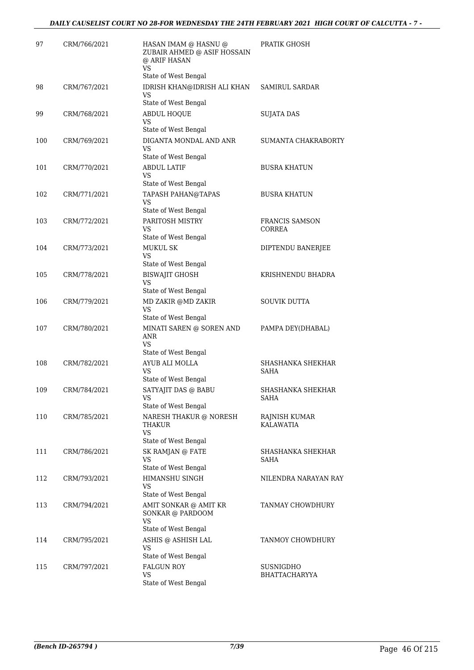| 97  | CRM/766/2021 | HASAN IMAM @ HASNU @<br>ZUBAIR AHMED @ ASIF HOSSAIN<br>@ ARIF HASAN<br>VS                       | PRATIK GHOSH                      |
|-----|--------------|-------------------------------------------------------------------------------------------------|-----------------------------------|
|     |              | State of West Bengal                                                                            |                                   |
| 98  | CRM/767/2021 | IDRISH KHAN@IDRISH ALI KHAN<br>VS<br>State of West Bengal                                       | <b>SAMIRUL SARDAR</b>             |
| 99  | CRM/768/2021 | <b>ABDUL HOQUE</b><br>VS<br>State of West Bengal                                                | SUJATA DAS                        |
| 100 | CRM/769/2021 | DIGANTA MONDAL AND ANR<br>VS<br>State of West Bengal                                            | SUMANTA CHAKRABORTY               |
| 101 | CRM/770/2021 | <b>ABDUL LATIF</b><br>VS                                                                        | <b>BUSRA KHATUN</b>               |
| 102 | CRM/771/2021 | State of West Bengal<br><b>TAPASH PAHAN@TAPAS</b><br>VS                                         | <b>BUSRA KHATUN</b>               |
| 103 | CRM/772/2021 | State of West Bengal<br>PARITOSH MISTRY<br>VS                                                   | <b>FRANCIS SAMSON</b><br>CORREA   |
| 104 | CRM/773/2021 | State of West Bengal<br><b>MUKUL SK</b><br>VS                                                   | DIPTENDU BANERJEE                 |
| 105 | CRM/778/2021 | State of West Bengal<br><b>BISWAJIT GHOSH</b><br>VS<br>State of West Bengal                     | KRISHNENDU BHADRA                 |
| 106 | CRM/779/2021 | MD ZAKIR @MD ZAKIR<br>VS<br>State of West Bengal                                                | <b>SOUVIK DUTTA</b>               |
| 107 | CRM/780/2021 | MINATI SAREN @ SOREN AND<br>ANR<br>VS                                                           | PAMPA DEY(DHABAL)                 |
|     |              | State of West Bengal                                                                            |                                   |
| 108 | CRM/782/2021 | AYUB ALI MOLLA<br>VS<br>State of West Bengal                                                    | SHASHANKA SHEKHAR<br>SAHA         |
| 109 | CRM/784/2021 | SATYAJIT DAS @ BABU<br>VS<br>State of West Bengal                                               | SHASHANKA SHEKHAR<br>SAHA         |
| 110 | CRM/785/2021 | NARESH THAKUR @ NORESH<br>THAKUR<br><b>VS</b><br>State of West Bengal                           | RAJNISH KUMAR<br>KALAWATIA        |
| 111 | CRM/786/2021 | SK RAMJAN @ FATE<br>VS                                                                          | SHASHANKA SHEKHAR<br>SAHA         |
| 112 | CRM/793/2021 | State of West Bengal<br>HIMANSHU SINGH<br><b>VS</b>                                             | NILENDRA NARAYAN RAY              |
| 113 | CRM/794/2021 | State of West Bengal<br>AMIT SONKAR @ AMIT KR<br>SONKAR @ PARDOOM<br>VS<br>State of West Bengal | TANMAY CHOWDHURY                  |
| 114 | CRM/795/2021 | ASHIS @ ASHISH LAL<br>VS                                                                        | TANMOY CHOWDHURY                  |
| 115 | CRM/797/2021 | State of West Bengal<br>FALGUN ROY<br>VS<br>State of West Bengal                                | SUSNIGDHO<br><b>BHATTACHARYYA</b> |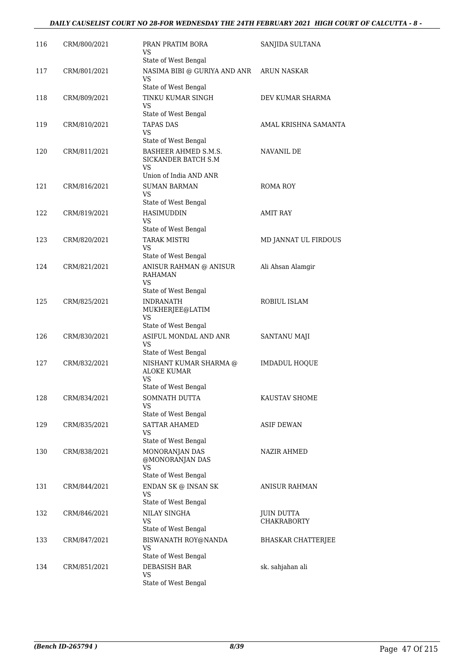## *DAILY CAUSELIST COURT NO 28-FOR WEDNESDAY THE 24TH FEBRUARY 2021 HIGH COURT OF CALCUTTA - 8 -*

| 116 | CRM/800/2021 | PRAN PRATIM BORA<br>VS<br>State of West Bengal                              | SANJIDA SULTANA                  |
|-----|--------------|-----------------------------------------------------------------------------|----------------------------------|
| 117 | CRM/801/2021 | NASIMA BIBI @ GURIYA AND ANR<br>VS<br>State of West Bengal                  | ARUN NASKAR                      |
| 118 | CRM/809/2021 | TINKU KUMAR SINGH<br>VS<br>State of West Bengal                             | DEV KUMAR SHARMA                 |
| 119 | CRM/810/2021 | TAPAS DAS<br>VS<br>State of West Bengal                                     | AMAL KRISHNA SAMANTA             |
| 120 | CRM/811/2021 | BASHEER AHMED S.M.S.<br>SICKANDER BATCH S.M<br>VS<br>Union of India AND ANR | NAVANIL DE                       |
| 121 | CRM/816/2021 | <b>SUMAN BARMAN</b><br>VS<br>State of West Bengal                           | ROMA ROY                         |
| 122 | CRM/819/2021 | <b>HASIMUDDIN</b><br><b>VS</b><br>State of West Bengal                      | <b>AMIT RAY</b>                  |
| 123 | CRM/820/2021 | <b>TARAK MISTRI</b><br>VS<br>State of West Bengal                           | MD JANNAT UL FIRDOUS             |
| 124 | CRM/821/2021 | ANISUR RAHMAN @ ANISUR<br><b>RAHAMAN</b><br>VS<br>State of West Bengal      | Ali Ahsan Alamgir                |
| 125 | CRM/825/2021 | <b>INDRANATH</b><br>MUKHERJEE@LATIM<br>VS<br>State of West Bengal           | ROBIUL ISLAM                     |
| 126 | CRM/830/2021 | ASIFUL MONDAL AND ANR<br><b>VS</b><br>State of West Bengal                  | <b>SANTANU MAJI</b>              |
| 127 | CRM/832/2021 | NISHANT KUMAR SHARMA @<br><b>ALOKE KUMAR</b><br>VS<br>State of West Bengal  | <b>IMDADUL HOQUE</b>             |
| 128 | CRM/834/2021 | SOMNATH DUTTA<br>VS<br>State of West Bengal                                 | KAUSTAV SHOME                    |
| 129 | CRM/835/2021 | <b>SATTAR AHAMED</b><br>VS<br>State of West Bengal                          | <b>ASIF DEWAN</b>                |
| 130 | CRM/838/2021 | MONORANJAN DAS<br>@MONORANJAN DAS<br>VS<br>State of West Bengal             | NAZIR AHMED                      |
| 131 | CRM/844/2021 | ENDAN SK @ INSAN SK<br>VS<br>State of West Bengal                           | ANISUR RAHMAN                    |
| 132 | CRM/846/2021 | NILAY SINGHA<br>VS<br>State of West Bengal                                  | JUIN DUTTA<br><b>CHAKRABORTY</b> |
| 133 | CRM/847/2021 | BISWANATH ROY@NANDA<br><b>VS</b><br>State of West Bengal                    | <b>BHASKAR CHATTERJEE</b>        |
| 134 | CRM/851/2021 | DEBASISH BAR<br>VS<br>State of West Bengal                                  | sk. sahjahan ali                 |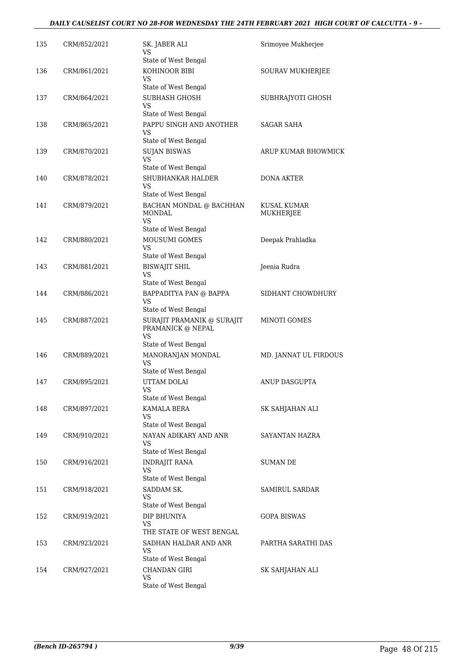## *DAILY CAUSELIST COURT NO 28-FOR WEDNESDAY THE 24TH FEBRUARY 2021 HIGH COURT OF CALCUTTA - 9 -*

| 135 | CRM/852/2021 | SK. JABER ALI<br>VS<br>State of West Bengal            | Srimoyee Mukherjee    |
|-----|--------------|--------------------------------------------------------|-----------------------|
| 136 | CRM/861/2021 | KOHINOOR BIBI<br>VS                                    | SOURAV MUKHERJEE      |
|     |              | State of West Bengal                                   |                       |
| 137 | CRM/864/2021 | SUBHASH GHOSH<br>VS<br>State of West Bengal            | SUBHRAJYOTI GHOSH     |
| 138 | CRM/865/2021 | PAPPU SINGH AND ANOTHER                                | SAGAR SAHA            |
|     |              | VS<br>State of West Bengal                             |                       |
| 139 | CRM/870/2021 | <b>SUJAN BISWAS</b><br><b>VS</b>                       | ARUP KUMAR BHOWMICK   |
|     |              | State of West Bengal                                   |                       |
| 140 | CRM/878/2021 | SHUBHANKAR HALDER<br>VS<br>State of West Bengal        | DONA AKTER            |
| 141 | CRM/879/2021 | BACHAN MONDAL @ BACHHAN                                | KUSAL KUMAR           |
|     |              | <b>MONDAL</b><br><b>VS</b>                             | MUKHERJEE             |
|     |              | State of West Bengal                                   |                       |
| 142 | CRM/880/2021 | MOUSUMI GOMES<br>VS<br>State of West Bengal            | Deepak Prahladka      |
| 143 | CRM/881/2021 | <b>BISWAJIT SHIL</b>                                   | Jeenia Rudra          |
|     |              | VS                                                     |                       |
|     |              | State of West Bengal                                   |                       |
| 144 | CRM/886/2021 | BAPPADITYA PAN @ BAPPA<br>VS<br>State of West Bengal   | SIDHANT CHOWDHURY     |
| 145 | CRM/887/2021 | SURAJIT PRAMANIK @ SURAJIT<br>PRAMANICK @ NEPAL<br>VS  | MINOTI GOMES          |
|     |              | State of West Bengal                                   |                       |
| 146 | CRM/889/2021 | MANORANJAN MONDAL<br><b>VS</b><br>State of West Bengal | MD. JANNAT UL FIRDOUS |
| 147 | CRM/895/2021 | UTTAM DOLAI                                            | ANUP DASGUPTA         |
|     |              | <b>VS</b><br>State of West Bengal                      |                       |
| 148 | CRM/897/2021 | KAMALA BERA                                            | SK SAHJAHAN ALI       |
|     |              | VS<br>State of West Bengal                             |                       |
| 149 | CRM/910/2021 | NAYAN ADIKARY AND ANR<br>VS                            | SAYANTAN HAZRA        |
|     |              | State of West Bengal                                   |                       |
| 150 | CRM/916/2021 | <b>INDRAJIT RANA</b><br>VS<br>State of West Bengal     | SUMAN DE              |
| 151 | CRM/918/2021 | SADDAM SK.                                             | <b>SAMIRUL SARDAR</b> |
|     |              | VS                                                     |                       |
|     |              | State of West Bengal                                   |                       |
| 152 | CRM/919/2021 | DIP BHUNIYA<br>VS<br>THE STATE OF WEST BENGAL          | GOPA BISWAS           |
| 153 | CRM/923/2021 | SADHAN HALDAR AND ANR                                  | PARTHA SARATHI DAS    |
|     |              | <b>VS</b><br>State of West Bengal                      |                       |
| 154 | CRM/927/2021 | <b>CHANDAN GIRI</b>                                    | SK SAHJAHAN ALI       |
|     |              | VS<br>State of West Bengal                             |                       |
|     |              |                                                        |                       |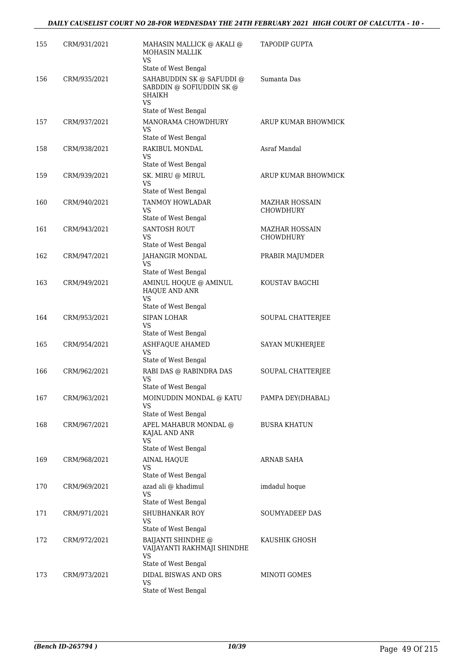| 155 | CRM/931/2021 | MAHASIN MALLICK @ AKALI @<br>MOHASIN MALLIK<br>VS                                                    | <b>TAPODIP GUPTA</b>                      |
|-----|--------------|------------------------------------------------------------------------------------------------------|-------------------------------------------|
| 156 | CRM/935/2021 | State of West Bengal<br>SAHABUDDIN SK @ SAFUDDI @<br>SABDDIN @ SOFIUDDIN SK @<br><b>SHAIKH</b><br>VS | Sumanta Das                               |
| 157 | CRM/937/2021 | State of West Bengal<br>MANORAMA CHOWDHURY<br>VS                                                     | ARUP KUMAR BHOWMICK                       |
| 158 | CRM/938/2021 | State of West Bengal<br>RAKIBUL MONDAL<br>VS                                                         | Asraf Mandal                              |
| 159 | CRM/939/2021 | State of West Bengal<br>SK. MIRU @ MIRUL<br>VS<br>State of West Bengal                               | ARUP KUMAR BHOWMICK                       |
| 160 | CRM/940/2021 | TANMOY HOWLADAR<br>VS<br>State of West Bengal                                                        | <b>MAZHAR HOSSAIN</b><br><b>CHOWDHURY</b> |
| 161 | CRM/943/2021 | <b>SANTOSH ROUT</b><br>VS<br>State of West Bengal                                                    | MAZHAR HOSSAIN<br><b>CHOWDHURY</b>        |
| 162 | CRM/947/2021 | <b>JAHANGIR MONDAL</b><br>VS<br>State of West Bengal                                                 | PRABIR MAJUMDER                           |
| 163 | CRM/949/2021 | AMINUL HOQUE @ AMINUL<br>HAQUE AND ANR<br><b>VS</b>                                                  | KOUSTAV BAGCHI                            |
| 164 | CRM/953/2021 | State of West Bengal<br>SIPAN LOHAR<br>VS                                                            | SOUPAL CHATTERJEE                         |
| 165 | CRM/954/2021 | State of West Bengal<br><b>ASHFAQUE AHAMED</b><br>VS                                                 | SAYAN MUKHERJEE                           |
| 166 | CRM/962/2021 | State of West Bengal<br>RABI DAS @ RABINDRA DAS<br>VS                                                | SOUPAL CHATTERJEE                         |
| 167 | CRM/963/2021 | State of West Bengal<br>MOINUDDIN MONDAL @ KATU<br>VS                                                | PAMPA DEY(DHABAL)                         |
| 168 | CRM/967/2021 | State of West Bengal<br>APEL MAHABUR MONDAL @<br>KAJAL AND ANR<br><b>VS</b>                          | <b>BUSRA KHATUN</b>                       |
| 169 | CRM/968/2021 | State of West Bengal<br><b>AINAL HAQUE</b><br>VS                                                     | ARNAB SAHA                                |
| 170 | CRM/969/2021 | State of West Bengal<br>azad ali @ khadimul<br>VS<br>State of West Bengal                            | imdadul hoque                             |
| 171 | CRM/971/2021 | SHUBHANKAR ROY<br>VS<br>State of West Bengal                                                         | SOUMYADEEP DAS                            |
| 172 | CRM/972/2021 | <b>BAIJANTI SHINDHE</b> @<br>VAIJAYANTI RAKHMAJI SHINDHE<br>VS                                       | KAUSHIK GHOSH                             |
| 173 | CRM/973/2021 | State of West Bengal<br>DIDAL BISWAS AND ORS<br>VS<br>State of West Bengal                           | MINOTI GOMES                              |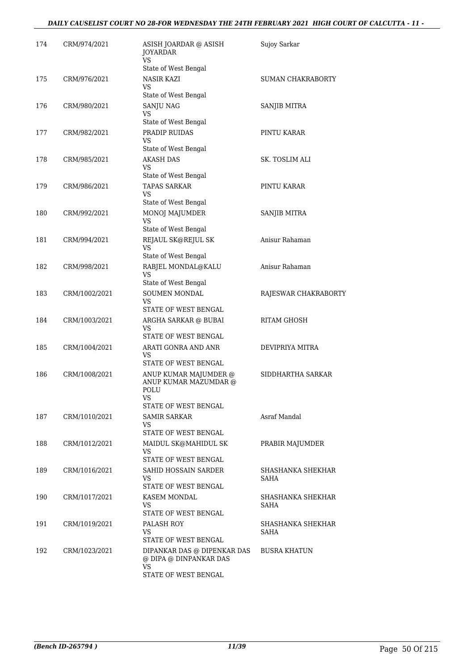| 174 | CRM/974/2021  | ASISH JOARDAR @ ASISH<br><b>JOYARDAR</b><br>VS.                    | Sujoy Sarkar              |
|-----|---------------|--------------------------------------------------------------------|---------------------------|
|     |               | State of West Bengal                                               |                           |
| 175 | CRM/976/2021  | <b>NASIR KAZI</b><br>VS                                            | <b>SUMAN CHAKRABORTY</b>  |
|     |               | State of West Bengal                                               |                           |
| 176 | CRM/980/2021  | SANJU NAG<br>VS                                                    | SANJIB MITRA              |
|     |               | State of West Bengal                                               |                           |
| 177 | CRM/982/2021  | PRADIP RUIDAS<br><b>VS</b>                                         | PINTU KARAR               |
|     |               | State of West Bengal                                               |                           |
| 178 | CRM/985/2021  | <b>AKASH DAS</b><br>VS<br>State of West Bengal                     | SK. TOSLIM ALI            |
| 179 | CRM/986/2021  | TAPAS SARKAR                                                       | PINTU KARAR               |
|     |               | <b>VS</b>                                                          |                           |
|     |               | State of West Bengal                                               |                           |
| 180 | CRM/992/2021  | MONOJ MAJUMDER<br>VS<br>State of West Bengal                       | SANJIB MITRA              |
| 181 | CRM/994/2021  | REJAUL SK@REJUL SK                                                 | Anisur Rahaman            |
|     |               | VS                                                                 |                           |
|     |               | State of West Bengal                                               |                           |
| 182 | CRM/998/2021  | RABJEL MONDAL@KALU<br>VS                                           | Anisur Rahaman            |
|     |               | State of West Bengal                                               |                           |
| 183 | CRM/1002/2021 | SOUMEN MONDAL<br>VS.<br>STATE OF WEST BENGAL                       | RAJESWAR CHAKRABORTY      |
| 184 | CRM/1003/2021 | ARGHA SARKAR @ BUBAI<br>VS                                         | <b>RITAM GHOSH</b>        |
|     |               | STATE OF WEST BENGAL                                               |                           |
| 185 | CRM/1004/2021 | ARATI GONRA AND ANR<br>VS<br>STATE OF WEST BENGAL                  | DEVIPRIYA MITRA           |
| 186 | CRM/1008/2021 |                                                                    | SIDDHARTHA SARKAR         |
|     |               | ANUP KUMAR MAJUMDER @<br>ANUP KUMAR MAZUMDAR @<br>POLU             |                           |
|     |               | VS                                                                 |                           |
|     |               | STATE OF WEST BENGAL                                               |                           |
| 187 | CRM/1010/2021 | <b>SAMIR SARKAR</b><br>VS<br>STATE OF WEST BENGAL                  | Asraf Mandal              |
| 188 | CRM/1012/2021 | MAIDUL SK@MAHIDUL SK                                               | PRABIR MAJUMDER           |
|     |               | VS                                                                 |                           |
|     |               | STATE OF WEST BENGAL                                               |                           |
| 189 | CRM/1016/2021 | SAHID HOSSAIN SARDER<br>VS<br>STATE OF WEST BENGAL                 | SHASHANKA SHEKHAR<br>SAHA |
| 190 | CRM/1017/2021 | KASEM MONDAL                                                       | SHASHANKA SHEKHAR         |
|     |               | VS.<br>STATE OF WEST BENGAL                                        | SAHA                      |
| 191 | CRM/1019/2021 | PALASH ROY                                                         | SHASHANKA SHEKHAR         |
|     |               | VS                                                                 | SAHA                      |
|     |               | STATE OF WEST BENGAL                                               |                           |
| 192 | CRM/1023/2021 | DIPANKAR DAS @ DIPENKAR DAS<br>@ DIPA @ DINPANKAR DAS<br><b>VS</b> | <b>BUSRA KHATUN</b>       |
|     |               | STATE OF WEST BENGAL                                               |                           |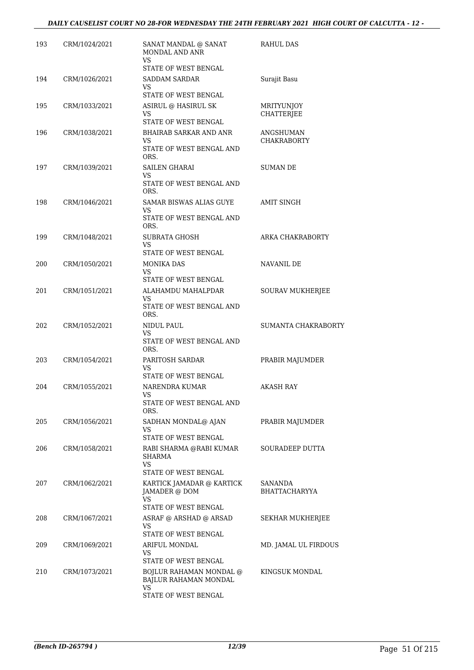| 193 | CRM/1024/2021 | SANAT MANDAL @ SANAT<br>MONDAL AND ANR<br>VS.          | <b>RAHUL DAS</b>                |
|-----|---------------|--------------------------------------------------------|---------------------------------|
|     |               | STATE OF WEST BENGAL                                   |                                 |
| 194 | CRM/1026/2021 | <b>SADDAM SARDAR</b>                                   | Surajit Basu                    |
|     |               | VS<br>STATE OF WEST BENGAL                             |                                 |
|     |               |                                                        |                                 |
| 195 | CRM/1033/2021 | ASIRUL @ HASIRUL SK<br>VS.                             | MRITYUNJOY<br><b>CHATTERJEE</b> |
|     |               | STATE OF WEST BENGAL                                   |                                 |
| 196 | CRM/1038/2021 | <b>BHAIRAB SARKAR AND ANR</b><br>VS                    | ANGSHUMAN                       |
|     |               | STATE OF WEST BENGAL AND<br>ORS.                       | <b>CHAKRABORTY</b>              |
| 197 | CRM/1039/2021 | <b>SAILEN GHARAI</b><br>VS                             | SUMAN DE                        |
|     |               | STATE OF WEST BENGAL AND<br>ORS.                       |                                 |
| 198 | CRM/1046/2021 | SAMAR BISWAS ALIAS GUYE<br>VS                          | <b>AMIT SINGH</b>               |
|     |               | STATE OF WEST BENGAL AND                               |                                 |
|     |               | ORS.                                                   |                                 |
| 199 | CRM/1048/2021 | SUBRATA GHOSH<br>VS                                    | ARKA CHAKRABORTY                |
|     |               | STATE OF WEST BENGAL                                   |                                 |
| 200 | CRM/1050/2021 | <b>MONIKA DAS</b>                                      | NAVANIL DE                      |
|     |               | VS<br>STATE OF WEST BENGAL                             |                                 |
| 201 | CRM/1051/2021 | ALAHAMDU MAHALPDAR                                     | SOURAV MUKHERJEE                |
|     |               | <b>VS</b>                                              |                                 |
|     |               | STATE OF WEST BENGAL AND<br>ORS.                       |                                 |
| 202 | CRM/1052/2021 | NIDUL PAUL                                             | SUMANTA CHAKRABORTY             |
|     |               | VS<br>STATE OF WEST BENGAL AND<br>ORS.                 |                                 |
| 203 | CRM/1054/2021 | PARITOSH SARDAR                                        | PRABIR MAJUMDER                 |
|     |               | VS                                                     |                                 |
|     |               | STATE OF WEST BENGAL                                   |                                 |
| 204 | CRM/1055/2021 | NARENDRA KUMAR<br>VS                                   | AKASH RAY                       |
|     |               | STATE OF WEST BENGAL AND<br>ORS.                       |                                 |
| 205 | CRM/1056/2021 | SADHAN MONDAL@ AJAN                                    | PRABIR MAJUMDER                 |
|     |               | VS<br>STATE OF WEST BENGAL                             |                                 |
| 206 | CRM/1058/2021 | RABI SHARMA @RABI KUMAR                                | SOURADEEP DUTTA                 |
|     |               | <b>SHARMA</b>                                          |                                 |
|     |               | VS                                                     |                                 |
|     |               | STATE OF WEST BENGAL                                   |                                 |
| 207 | CRM/1062/2021 | KARTICK JAMADAR @ KARTICK<br>JAMADER @ DOM             | SANANDA<br><b>BHATTACHARYYA</b> |
|     |               | VS                                                     |                                 |
|     |               | STATE OF WEST BENGAL                                   |                                 |
| 208 | CRM/1067/2021 | ASRAF @ ARSHAD @ ARSAD<br>VS                           | SEKHAR MUKHERJEE                |
|     |               | STATE OF WEST BENGAL                                   |                                 |
| 209 | CRM/1069/2021 | ARIFUL MONDAL                                          | MD. JAMAL UL FIRDOUS            |
|     |               | VS                                                     |                                 |
|     |               | STATE OF WEST BENGAL                                   |                                 |
| 210 | CRM/1073/2021 | BOJLUR RAHAMAN MONDAL @<br>BAJLUR RAHAMAN MONDAL<br>VS | KINGSUK MONDAL                  |
|     |               | STATE OF WEST BENGAL                                   |                                 |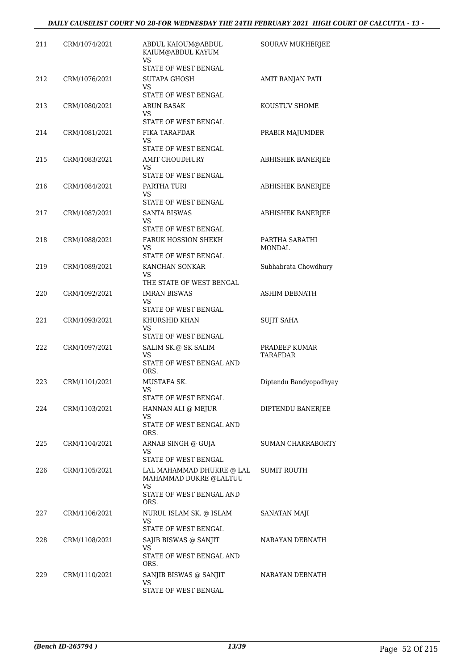| 211 | CRM/1074/2021 | ABDUL KAIOUM@ABDUL<br>KAIUM@ABDUL KAYUM<br><b>VS</b>             | SOURAV MUKHERJEE         |
|-----|---------------|------------------------------------------------------------------|--------------------------|
|     |               | STATE OF WEST BENGAL                                             |                          |
| 212 | CRM/1076/2021 | <b>SUTAPA GHOSH</b><br>VS                                        | AMIT RANJAN PATI         |
|     |               | STATE OF WEST BENGAL                                             |                          |
| 213 | CRM/1080/2021 | ARUN BASAK<br>VS.                                                | KOUSTUV SHOME            |
|     |               | STATE OF WEST BENGAL<br>FIKA TARAFDAR                            |                          |
| 214 | CRM/1081/2021 | VS<br>STATE OF WEST BENGAL                                       | PRABIR MAJUMDER          |
| 215 | CRM/1083/2021 | AMIT CHOUDHURY<br>VS<br>STATE OF WEST BENGAL                     | <b>ABHISHEK BANERJEE</b> |
| 216 | CRM/1084/2021 | PARTHA TURI<br>VS                                                | ABHISHEK BANERJEE        |
|     |               | STATE OF WEST BENGAL                                             |                          |
| 217 | CRM/1087/2021 | <b>SANTA BISWAS</b><br>VS<br>STATE OF WEST BENGAL                | <b>ABHISHEK BANERJEE</b> |
| 218 | CRM/1088/2021 | FARUK HOSSION SHEKH                                              | PARTHA SARATHI           |
|     |               | VS<br>STATE OF WEST BENGAL                                       | <b>MONDAL</b>            |
| 219 | CRM/1089/2021 | KANCHAN SONKAR                                                   | Subhabrata Chowdhury     |
|     |               | VS<br>THE STATE OF WEST BENGAL                                   |                          |
| 220 | CRM/1092/2021 | <b>IMRAN BISWAS</b><br>VS                                        | <b>ASHIM DEBNATH</b>     |
|     |               | STATE OF WEST BENGAL                                             |                          |
| 221 | CRM/1093/2021 | KHURSHID KHAN<br>VS                                              | <b>SUJIT SAHA</b>        |
| 222 | CRM/1097/2021 | STATE OF WEST BENGAL<br>SALIM SK.@ SK SALIM                      | PRADEEP KUMAR            |
|     |               | <b>VS</b><br>STATE OF WEST BENGAL AND<br>ORS.                    | <b>TARAFDAR</b>          |
| 223 | CRM/1101/2021 | MUSTAFA SK.<br>VS                                                | Diptendu Bandyopadhyay   |
|     |               | STATE OF WEST BENGAL                                             |                          |
| 224 | CRM/1103/2021 | HANNAN ALI @ MEJUR<br>VS<br>STATE OF WEST BENGAL AND             | DIPTENDU BANERJEE        |
|     |               | ORS.                                                             |                          |
| 225 | CRM/1104/2021 | ARNAB SINGH @ GUJA<br>VS                                         | <b>SUMAN CHAKRABORTY</b> |
|     |               | STATE OF WEST BENGAL                                             |                          |
| 226 | CRM/1105/2021 | LAL MAHAMMAD DHUKRE @ LAL<br>MAHAMMAD DUKRE @LALTUU<br><b>VS</b> | SUMIT ROUTH              |
|     |               | STATE OF WEST BENGAL AND<br>ORS.                                 |                          |
| 227 | CRM/1106/2021 | NURUL ISLAM SK. @ ISLAM<br>VS                                    | SANATAN MAJI             |
|     |               | STATE OF WEST BENGAL                                             |                          |
| 228 | CRM/1108/2021 | SAJIB BISWAS @ SANJIT                                            | NARAYAN DEBNATH          |
|     |               | VS<br>STATE OF WEST BENGAL AND<br>ORS.                           |                          |
| 229 | CRM/1110/2021 | SANJIB BISWAS @ SANJIT                                           | NARAYAN DEBNATH          |
|     |               | VS<br>STATE OF WEST BENGAL                                       |                          |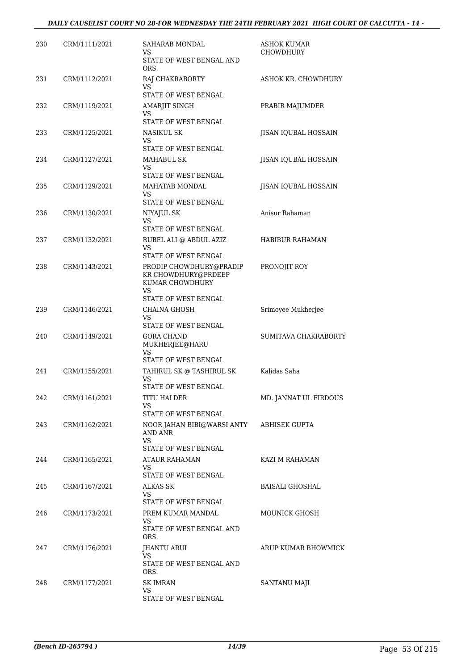## *DAILY CAUSELIST COURT NO 28-FOR WEDNESDAY THE 24TH FEBRUARY 2021 HIGH COURT OF CALCUTTA - 14 -*

| 230 | CRM/1111/2021 | SAHARAB MONDAL<br>VS                                                                                   | ASHOK KUMAR<br><b>CHOWDHURY</b> |
|-----|---------------|--------------------------------------------------------------------------------------------------------|---------------------------------|
|     |               | STATE OF WEST BENGAL AND<br>ORS.                                                                       |                                 |
| 231 | CRM/1112/2021 | RAJ CHAKRABORTY<br><b>VS</b><br>STATE OF WEST BENGAL                                                   | ASHOK KR. CHOWDHURY             |
| 232 | CRM/1119/2021 | AMARJIT SINGH<br>VS                                                                                    | PRABIR MAJUMDER                 |
| 233 | CRM/1125/2021 | STATE OF WEST BENGAL<br><b>NASIKUL SK</b>                                                              | <b>JISAN IQUBAL HOSSAIN</b>     |
|     |               | VS<br>STATE OF WEST BENGAL                                                                             |                                 |
| 234 | CRM/1127/2021 | MAHABUL SK<br>VS<br>STATE OF WEST BENGAL                                                               | JISAN IQUBAL HOSSAIN            |
| 235 | CRM/1129/2021 | MAHATAB MONDAL<br>VS<br>STATE OF WEST BENGAL                                                           | JISAN IQUBAL HOSSAIN            |
| 236 | CRM/1130/2021 | NIYAJUL SK<br>VS                                                                                       | Anisur Rahaman                  |
| 237 | CRM/1132/2021 | STATE OF WEST BENGAL<br>RUBEL ALI @ ABDUL AZIZ                                                         | HABIBUR RAHAMAN                 |
|     |               | <b>VS</b><br>STATE OF WEST BENGAL                                                                      |                                 |
| 238 | CRM/1143/2021 | PRODIP CHOWDHURY@PRADIP<br>KR CHOWDHURY@PRDEEP<br>KUMAR CHOWDHURY<br><b>VS</b><br>STATE OF WEST BENGAL | PRONOJIT ROY                    |
| 239 | CRM/1146/2021 | CHAINA GHOSH<br>VS<br>STATE OF WEST BENGAL                                                             | Srimoyee Mukherjee              |
| 240 | CRM/1149/2021 | GORA CHAND<br>MUKHERJEE@HARU<br>VS                                                                     | SUMITAVA CHAKRABORTY            |
|     |               | STATE OF WEST BENGAL                                                                                   |                                 |
| 241 | CRM/1155/2021 | TAHIRUL SK @ TASHIRUL SK<br><b>VS</b><br>STATE OF WEST BENGAL                                          | Kalidas Saha                    |
| 242 | CRM/1161/2021 | <b>TITU HALDER</b><br><b>VS</b><br>STATE OF WEST BENGAL                                                | MD. JANNAT UL FIRDOUS           |
| 243 | CRM/1162/2021 | NOOR JAHAN BIBI@WARSI ANTY<br>AND ANR<br>VS<br>STATE OF WEST BENGAL                                    | <b>ABHISEK GUPTA</b>            |
| 244 | CRM/1165/2021 | ATAUR RAHAMAN<br>VS.<br>STATE OF WEST BENGAL                                                           | KAZI M RAHAMAN                  |
| 245 | CRM/1167/2021 | ALKAS SK<br>VS.                                                                                        | <b>BAISALI GHOSHAL</b>          |
|     |               | STATE OF WEST BENGAL                                                                                   |                                 |
| 246 | CRM/1173/2021 | PREM KUMAR MANDAL<br>VS<br>STATE OF WEST BENGAL AND<br>ORS.                                            | <b>MOUNICK GHOSH</b>            |
| 247 | CRM/1176/2021 | JHANTU ARUI<br>VS.                                                                                     | ARUP KUMAR BHOWMICK             |
|     |               | STATE OF WEST BENGAL AND<br>ORS.                                                                       |                                 |
| 248 | CRM/1177/2021 | <b>SK IMRAN</b><br>VS                                                                                  | SANTANU MAJI                    |
|     |               | STATE OF WEST BENGAL                                                                                   |                                 |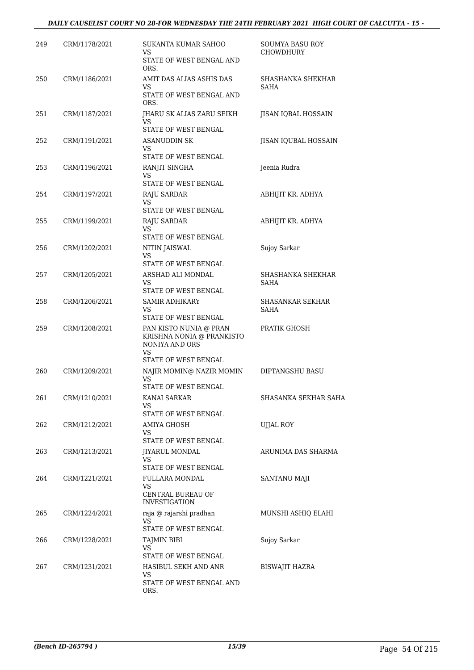## *DAILY CAUSELIST COURT NO 28-FOR WEDNESDAY THE 24TH FEBRUARY 2021 HIGH COURT OF CALCUTTA - 15 -*

| 249 | CRM/1178/2021 | SUKANTA KUMAR SAHOO<br>VS<br>STATE OF WEST BENGAL AND                 | SOUMYA BASU ROY<br><b>CHOWDHURY</b> |
|-----|---------------|-----------------------------------------------------------------------|-------------------------------------|
|     |               | ORS.                                                                  |                                     |
| 250 | CRM/1186/2021 | AMIT DAS ALIAS ASHIS DAS<br>VS                                        | SHASHANKA SHEKHAR<br><b>SAHA</b>    |
|     |               | STATE OF WEST BENGAL AND<br>ORS.                                      |                                     |
| 251 | CRM/1187/2021 | JHARU SK ALIAS ZARU SEIKH<br>VS<br>STATE OF WEST BENGAL               | JISAN IQBAL HOSSAIN                 |
| 252 | CRM/1191/2021 | ASANUDDIN SK<br>VS.                                                   | JISAN IQUBAL HOSSAIN                |
|     |               | STATE OF WEST BENGAL                                                  |                                     |
| 253 | CRM/1196/2021 | RANJIT SINGHA<br>VS<br>STATE OF WEST BENGAL                           | Jeenia Rudra                        |
| 254 | CRM/1197/2021 | RAJU SARDAR<br>VS                                                     | ABHIJIT KR. ADHYA                   |
| 255 | CRM/1199/2021 | STATE OF WEST BENGAL<br><b>RAJU SARDAR</b>                            | ABHIJIT KR. ADHYA                   |
|     |               | VS                                                                    |                                     |
|     |               | STATE OF WEST BENGAL                                                  |                                     |
| 256 | CRM/1202/2021 | NITIN JAISWAL<br>VS                                                   | Sujoy Sarkar                        |
|     |               | STATE OF WEST BENGAL                                                  |                                     |
| 257 | CRM/1205/2021 | ARSHAD ALI MONDAL<br>VS.                                              | SHASHANKA SHEKHAR<br>SAHA           |
|     |               | STATE OF WEST BENGAL                                                  |                                     |
| 258 | CRM/1206/2021 | SAMIR ADHIKARY<br>VS<br>STATE OF WEST BENGAL                          | SHASANKAR SEKHAR<br><b>SAHA</b>     |
| 259 | CRM/1208/2021 | PAN KISTO NUNIA @ PRAN<br>KRISHNA NONIA @ PRANKISTO<br>NONIYA AND ORS | PRATIK GHOSH                        |
|     |               | VS<br>STATE OF WEST BENGAL                                            |                                     |
| 260 | CRM/1209/2021 | NAJIR MOMIN@ NAZIR MOMIN<br><b>VS</b>                                 | <b>DIPTANGSHU BASU</b>              |
|     |               | STATE OF WEST BENGAL                                                  |                                     |
| 261 | CRM/1210/2021 | KANAI SARKAR<br>VS                                                    | SHASANKA SEKHAR SAHA                |
|     |               | STATE OF WEST BENGAL                                                  |                                     |
| 262 | CRM/1212/2021 | AMIYA GHOSH                                                           | UJJAL ROY                           |
|     |               | VS<br>STATE OF WEST BENGAL                                            |                                     |
| 263 | CRM/1213/2021 | JIYARUL MONDAL<br>VS                                                  | ARUNIMA DAS SHARMA                  |
|     |               | STATE OF WEST BENGAL                                                  |                                     |
| 264 | CRM/1221/2021 | FULLARA MONDAL<br>VS<br>CENTRAL BUREAU OF                             | SANTANU MAJI                        |
|     |               | <b>INVESTIGATION</b>                                                  |                                     |
| 265 | CRM/1224/2021 | raja @ rajarshi pradhan<br>VS<br>STATE OF WEST BENGAL                 | MUNSHI ASHIQ ELAHI                  |
| 266 | CRM/1228/2021 | <b>TAJMIN BIBI</b>                                                    | Sujoy Sarkar                        |
|     |               | VS<br>STATE OF WEST BENGAL                                            |                                     |
| 267 | CRM/1231/2021 | HASIBUL SEKH AND ANR                                                  | BISWAJIT HAZRA                      |
|     |               | VS<br>STATE OF WEST BENGAL AND<br>ORS.                                |                                     |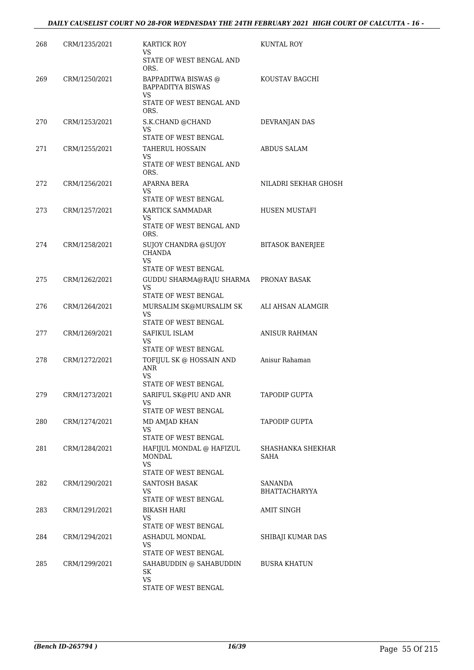| 268 | CRM/1235/2021 | KARTICK ROY<br>VS<br>STATE OF WEST BENGAL AND                                    | <b>KUNTAL ROY</b>                      |
|-----|---------------|----------------------------------------------------------------------------------|----------------------------------------|
| 269 | CRM/1250/2021 | ORS.<br>BAPPADITWA BISWAS @<br><b>BAPPADITYA BISWAS</b>                          | KOUSTAV BAGCHI                         |
|     |               | VS<br>STATE OF WEST BENGAL AND<br>ORS.                                           |                                        |
| 270 | CRM/1253/2021 | S.K.CHAND @CHAND<br>VS                                                           | DEVRANJAN DAS                          |
| 271 | CRM/1255/2021 | STATE OF WEST BENGAL<br><b>TAHERUL HOSSAIN</b><br>VS<br>STATE OF WEST BENGAL AND | <b>ABDUS SALAM</b>                     |
| 272 | CRM/1256/2021 | ORS.<br>APARNA BERA<br>VS.<br>STATE OF WEST BENGAL                               | NILADRI SEKHAR GHOSH                   |
| 273 | CRM/1257/2021 | KARTICK SAMMADAR<br>VS<br>STATE OF WEST BENGAL AND                               | HUSEN MUSTAFI                          |
| 274 | CRM/1258/2021 | ORS.<br>SUJOY CHANDRA @SUJOY<br><b>CHANDA</b><br>VS.<br>STATE OF WEST BENGAL     | <b>BITASOK BANERJEE</b>                |
| 275 | CRM/1262/2021 | GUDDU SHARMA@RAJU SHARMA<br><b>VS</b><br>STATE OF WEST BENGAL                    | PRONAY BASAK                           |
| 276 | CRM/1264/2021 | MURSALIM SK@MURSALIM SK<br>VS.<br>STATE OF WEST BENGAL                           | ALI AHSAN ALAMGIR                      |
| 277 | CRM/1269/2021 | SAFIKUL ISLAM<br>VS.<br>STATE OF WEST BENGAL                                     | <b>ANISUR RAHMAN</b>                   |
| 278 | CRM/1272/2021 | TOFIJUL SK @ HOSSAIN AND<br>ANR<br>VS.<br>STATE OF WEST BENGAL                   | Anisur Rahaman                         |
| 279 | CRM/1273/2021 | SARIFUL SK@PIU AND ANR<br>VS<br>STATE OF WEST BENGAL                             | TAPODIP GUPTA                          |
| 280 | CRM/1274/2021 | MD AMJAD KHAN<br>VS<br>STATE OF WEST BENGAL                                      | <b>TAPODIP GUPTA</b>                   |
| 281 | CRM/1284/2021 | HAFIJUL MONDAL @ HAFIZUL<br>MONDAL<br>VS.                                        | SHASHANKA SHEKHAR<br>SAHA              |
| 282 | CRM/1290/2021 | STATE OF WEST BENGAL<br><b>SANTOSH BASAK</b><br>VS.<br>STATE OF WEST BENGAL      | <b>SANANDA</b><br><b>BHATTACHARYYA</b> |
| 283 | CRM/1291/2021 | BIKASH HARI<br>VS<br>STATE OF WEST BENGAL                                        | <b>AMIT SINGH</b>                      |
| 284 | CRM/1294/2021 | ASHADUL MONDAL<br>VS<br>STATE OF WEST BENGAL                                     | SHIBAJI KUMAR DAS                      |
| 285 | CRM/1299/2021 | SAHABUDDIN @ SAHABUDDIN<br>SK<br><b>VS</b><br>STATE OF WEST BENGAL               | <b>BUSRA KHATUN</b>                    |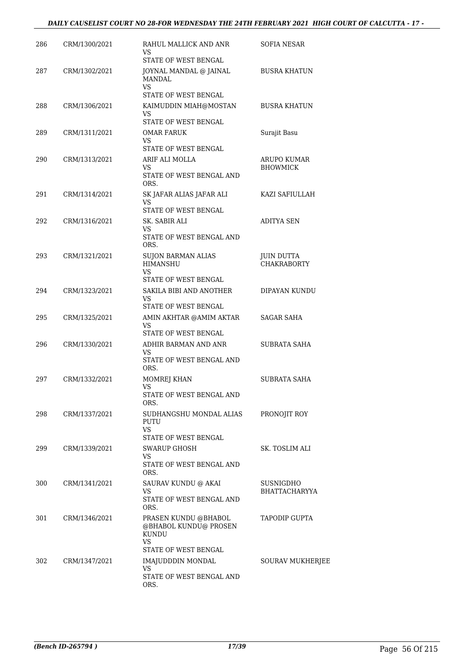## *DAILY CAUSELIST COURT NO 28-FOR WEDNESDAY THE 24TH FEBRUARY 2021 HIGH COURT OF CALCUTTA - 17 -*

| 286 | CRM/1300/2021 | RAHUL MALLICK AND ANR<br>VS                                          | SOFIA NESAR                             |
|-----|---------------|----------------------------------------------------------------------|-----------------------------------------|
|     |               | STATE OF WEST BENGAL                                                 |                                         |
| 287 | CRM/1302/2021 | JOYNAL MANDAL @ JAINAL<br><b>MANDAL</b><br><b>VS</b>                 | <b>BUSRA KHATUN</b>                     |
|     |               | STATE OF WEST BENGAL                                                 |                                         |
| 288 | CRM/1306/2021 | KAIMUDDIN MIAH@MOSTAN<br>VS                                          | <b>BUSRA KHATUN</b>                     |
|     |               | STATE OF WEST BENGAL                                                 |                                         |
| 289 | CRM/1311/2021 | OMAR FARUK<br>VS<br>STATE OF WEST BENGAL                             | Surajit Basu                            |
| 290 | CRM/1313/2021 | ARIF ALI MOLLA                                                       | ARUPO KUMAR                             |
|     |               | VS<br>STATE OF WEST BENGAL AND<br>ORS.                               | <b>BHOWMICK</b>                         |
| 291 | CRM/1314/2021 | SK JAFAR ALIAS JAFAR ALI<br><b>VS</b>                                | KAZI SAFIULLAH                          |
|     |               | STATE OF WEST BENGAL                                                 |                                         |
| 292 | CRM/1316/2021 | SK. SABIR ALI<br>VS                                                  | <b>ADITYA SEN</b>                       |
|     |               | STATE OF WEST BENGAL AND<br>ORS.                                     |                                         |
| 293 | CRM/1321/2021 | <b>SUJON BARMAN ALIAS</b><br><b>HIMANSHU</b><br>VS                   | <b>JUIN DUTTA</b><br><b>CHAKRABORTY</b> |
|     |               | STATE OF WEST BENGAL                                                 |                                         |
| 294 | CRM/1323/2021 | SAKILA BIBI AND ANOTHER<br>VS<br>STATE OF WEST BENGAL                | DIPAYAN KUNDU                           |
|     |               |                                                                      |                                         |
| 295 | CRM/1325/2021 | AMIN AKHTAR @AMIM AKTAR<br>VS<br>STATE OF WEST BENGAL                | <b>SAGAR SAHA</b>                       |
| 296 | CRM/1330/2021 | ADHIR BARMAN AND ANR                                                 | SUBRATA SAHA                            |
|     |               | VS<br>STATE OF WEST BENGAL AND<br>ORS.                               |                                         |
| 297 | CRM/1332/2021 | MOMREJ KHAN                                                          | SUBRATA SAHA                            |
|     |               | VS<br>STATE OF WEST BENGAL AND<br>ORS.                               |                                         |
| 298 | CRM/1337/2021 | SUDHANGSHU MONDAL ALIAS<br>PUTU                                      | PRONOJIT ROY                            |
|     |               | VS.<br>STATE OF WEST BENGAL                                          |                                         |
| 299 | CRM/1339/2021 | <b>SWARUP GHOSH</b><br>VS                                            | SK. TOSLIM ALI                          |
|     |               | STATE OF WEST BENGAL AND<br>ORS.                                     |                                         |
| 300 | CRM/1341/2021 | SAURAV KUNDU @ AKAI<br>VS                                            | SUSNIGDHO<br>BHATTACHARYYA              |
|     |               | STATE OF WEST BENGAL AND<br>ORS.                                     |                                         |
| 301 | CRM/1346/2021 | PRASEN KUNDU @BHABOL<br>@BHABOL KUNDU@ PROSEN<br><b>KUNDU</b><br>VS. | <b>TAPODIP GUPTA</b>                    |
|     |               | STATE OF WEST BENGAL                                                 |                                         |
| 302 | CRM/1347/2021 | IMAJUDDDIN MONDAL<br>VS                                              | <b>SOURAV MUKHERJEE</b>                 |
|     |               | STATE OF WEST BENGAL AND<br>ORS.                                     |                                         |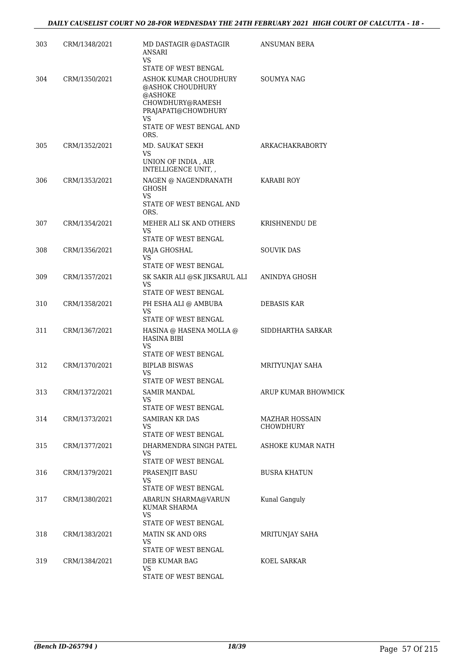| 303 | CRM/1348/2021 | MD DASTAGIR @DASTAGIR<br><b>ANSARI</b><br>VS                                                                                              | ANSUMAN BERA                       |
|-----|---------------|-------------------------------------------------------------------------------------------------------------------------------------------|------------------------------------|
|     |               | STATE OF WEST BENGAL                                                                                                                      |                                    |
| 304 | CRM/1350/2021 | ASHOK KUMAR CHOUDHURY<br>@ASHOK CHOUDHURY<br>@ASHOKE<br>CHOWDHURY@RAMESH<br>PRAJAPATI@CHOWDHURY<br>VS<br>STATE OF WEST BENGAL AND<br>ORS. | SOUMYA NAG                         |
| 305 | CRM/1352/2021 | MD. SAUKAT SEKH<br>VS<br>UNION OF INDIA, AIR<br>INTELLIGENCE UNIT, ,                                                                      | ARKACHAKRABORTY                    |
| 306 | CRM/1353/2021 | NAGEN @ NAGENDRANATH<br><b>GHOSH</b><br>VS<br>STATE OF WEST BENGAL AND<br>ORS.                                                            | KARABI ROY                         |
| 307 | CRM/1354/2021 | MEHER ALI SK AND OTHERS<br><b>VS</b><br>STATE OF WEST BENGAL                                                                              | KRISHNENDU DE                      |
| 308 | CRM/1356/2021 | RAJA GHOSHAL<br><b>VS</b><br>STATE OF WEST BENGAL                                                                                         | <b>SOUVIK DAS</b>                  |
| 309 | CRM/1357/2021 | SK SAKIR ALI @SK JIKSARUL ALI<br>VS<br>STATE OF WEST BENGAL                                                                               | ANINDYA GHOSH                      |
| 310 | CRM/1358/2021 | PH ESHA ALI @ AMBUBA<br><b>VS</b><br>STATE OF WEST BENGAL                                                                                 | DEBASIS KAR                        |
| 311 | CRM/1367/2021 | HASINA @ HASENA MOLLA @<br><b>HASINA BIBI</b><br><b>VS</b><br>STATE OF WEST BENGAL                                                        | SIDDHARTHA SARKAR                  |
| 312 | CRM/1370/2021 | <b>BIPLAB BISWAS</b><br>VS<br>STATE OF WEST BENGAL                                                                                        | MRITYUNJAY SAHA                    |
| 313 | CRM/1372/2021 | <b>SAMIR MANDAL</b><br>VS<br>STATE OF WEST BENGAL                                                                                         | ARUP KUMAR BHOWMICK                |
| 314 | CRM/1373/2021 | <b>SAMIRAN KR DAS</b><br>VS<br>STATE OF WEST BENGAL                                                                                       | MAZHAR HOSSAIN<br><b>CHOWDHURY</b> |
| 315 | CRM/1377/2021 | DHARMENDRA SINGH PATEL<br>VS<br>STATE OF WEST BENGAL                                                                                      | ASHOKE KUMAR NATH                  |
| 316 | CRM/1379/2021 | PRASENJIT BASU<br>VS<br>STATE OF WEST BENGAL                                                                                              | <b>BUSRA KHATUN</b>                |
| 317 | CRM/1380/2021 | ABARUN SHARMA@VARUN<br>KUMAR SHARMA<br>VS<br>STATE OF WEST BENGAL                                                                         | Kunal Ganguly                      |
| 318 | CRM/1383/2021 | <b>MATIN SK AND ORS</b><br><b>VS</b><br>STATE OF WEST BENGAL                                                                              | MRITUNJAY SAHA                     |
| 319 | CRM/1384/2021 | DEB KUMAR BAG<br>VS<br>STATE OF WEST BENGAL                                                                                               | KOEL SARKAR                        |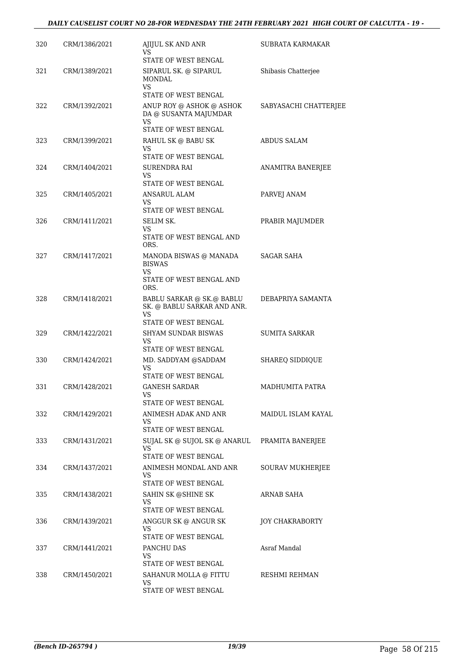## *DAILY CAUSELIST COURT NO 28-FOR WEDNESDAY THE 24TH FEBRUARY 2021 HIGH COURT OF CALCUTTA - 19 -*

| 320 | CRM/1386/2021 | AJIJUL SK AND ANR<br>VS                                                                | SUBRATA KARMAKAR      |
|-----|---------------|----------------------------------------------------------------------------------------|-----------------------|
|     |               | STATE OF WEST BENGAL                                                                   |                       |
| 321 | CRM/1389/2021 | SIPARUL SK. @ SIPARUL<br><b>MONDAL</b><br>VS.                                          | Shibasis Chatterjee   |
|     |               | STATE OF WEST BENGAL                                                                   |                       |
| 322 | CRM/1392/2021 | ANUP ROY @ ASHOK @ ASHOK<br>DA @ SUSANTA MAJUMDAR<br><b>VS</b><br>STATE OF WEST BENGAL | SABYASACHI CHATTERJEE |
| 323 | CRM/1399/2021 | RAHUL SK @ BABU SK                                                                     | ABDUS SALAM           |
|     |               | VS                                                                                     |                       |
|     |               | STATE OF WEST BENGAL                                                                   |                       |
| 324 | CRM/1404/2021 | SURENDRA RAI<br>VS<br>STATE OF WEST BENGAL                                             | ANAMITRA BANERJEE     |
| 325 |               |                                                                                        |                       |
|     | CRM/1405/2021 | ANSARUL ALAM<br>VS<br>STATE OF WEST BENGAL                                             | PARVEJ ANAM           |
| 326 | CRM/1411/2021 | SELIM SK.                                                                              | PRABIR MAJUMDER       |
|     |               | VS<br>STATE OF WEST BENGAL AND                                                         |                       |
|     |               | ORS.                                                                                   |                       |
| 327 | CRM/1417/2021 | MANODA BISWAS @ MANADA<br><b>BISWAS</b><br>VS                                          | <b>SAGAR SAHA</b>     |
|     |               | STATE OF WEST BENGAL AND<br>ORS.                                                       |                       |
| 328 | CRM/1418/2021 | BABLU SARKAR @ SK.@ BABLU<br>SK. @ BABLU SARKAR AND ANR.<br><b>VS</b>                  | DEBAPRIYA SAMANTA     |
|     |               | STATE OF WEST BENGAL                                                                   |                       |
| 329 | CRM/1422/2021 | SHYAM SUNDAR BISWAS<br>VS                                                              | <b>SUMITA SARKAR</b>  |
|     |               | STATE OF WEST BENGAL                                                                   |                       |
| 330 | CRM/1424/2021 | MD. SADDYAM @SADDAM<br>VS<br>STATE OF WEST BENGAL                                      | SHAREQ SIDDIQUE       |
| 331 | CRM/1428/2021 | <b>GANESH SARDAR</b>                                                                   | MADHUMITA PATRA       |
|     |               | VS                                                                                     |                       |
|     |               | STATE OF WEST BENGAL                                                                   |                       |
| 332 | CRM/1429/2021 | ANIMESH ADAK AND ANR<br>VS.<br>STATE OF WEST BENGAL                                    | MAIDUL ISLAM KAYAL    |
| 333 | CRM/1431/2021 | SUJAL SK @ SUJOL SK @ ANARUL                                                           | PRAMITA BANERJEE      |
|     |               | VS<br>STATE OF WEST BENGAL                                                             |                       |
| 334 | CRM/1437/2021 | ANIMESH MONDAL AND ANR<br>VS                                                           | SOURAV MUKHERJEE      |
|     |               | STATE OF WEST BENGAL                                                                   |                       |
| 335 | CRM/1438/2021 | SAHIN SK @SHINE SK<br>VS<br>STATE OF WEST BENGAL                                       | ARNAB SAHA            |
| 336 | CRM/1439/2021 | ANGGUR SK @ ANGUR SK                                                                   | JOY CHAKRABORTY       |
|     |               | VS.<br>STATE OF WEST BENGAL                                                            |                       |
| 337 | CRM/1441/2021 | PANCHU DAS                                                                             | Asraf Mandal          |
|     |               | VS                                                                                     |                       |
|     |               | STATE OF WEST BENGAL                                                                   |                       |
| 338 | CRM/1450/2021 | SAHANUR MOLLA @ FITTU<br>VS                                                            | RESHMI REHMAN         |
|     |               | STATE OF WEST BENGAL                                                                   |                       |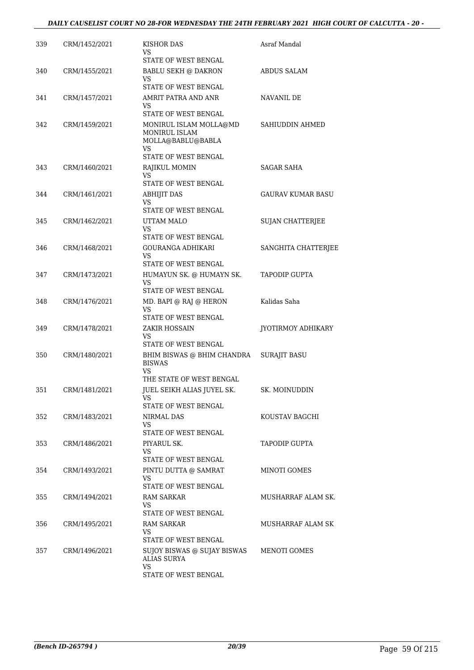| 339 | CRM/1452/2021 | KISHOR DAS<br>VS<br>STATE OF WEST BENGAL                                       | Asraf Mandal             |
|-----|---------------|--------------------------------------------------------------------------------|--------------------------|
| 340 | CRM/1455/2021 | <b>BABLU SEKH @ DAKRON</b><br>VS                                               | <b>ABDUS SALAM</b>       |
|     |               | STATE OF WEST BENGAL                                                           |                          |
| 341 | CRM/1457/2021 | AMRIT PATRA AND ANR<br>VS<br>STATE OF WEST BENGAL                              | NAVANIL DE               |
| 342 | CRM/1459/2021 | MONIRUL ISLAM MOLLA@MD<br><b>MONIRUL ISLAM</b><br>MOLLA@BABLU@BABLA<br>VS      | SAHIUDDIN AHMED          |
|     |               | STATE OF WEST BENGAL                                                           |                          |
| 343 | CRM/1460/2021 | RAJIKUL MOMIN<br>VS<br>STATE OF WEST BENGAL                                    | SAGAR SAHA               |
| 344 | CRM/1461/2021 | <b>ABHIJIT DAS</b><br>VS<br>STATE OF WEST BENGAL                               | <b>GAURAV KUMAR BASU</b> |
| 345 | CRM/1462/2021 | UTTAM MALO<br>VS.                                                              | SUJAN CHATTERJEE         |
|     |               | STATE OF WEST BENGAL                                                           |                          |
| 346 | CRM/1468/2021 | GOURANGA ADHIKARI<br>VS.<br>STATE OF WEST BENGAL                               | SANGHITA CHATTERJEE      |
| 347 | CRM/1473/2021 | HUMAYUN SK. @ HUMAYN SK.<br>VS.<br>STATE OF WEST BENGAL                        | <b>TAPODIP GUPTA</b>     |
| 348 | CRM/1476/2021 | MD. BAPI @ RAJ @ HERON<br>VS<br>STATE OF WEST BENGAL                           | Kalidas Saha             |
| 349 | CRM/1478/2021 | ZAKIR HOSSAIN<br>VS.<br>STATE OF WEST BENGAL                                   | JYOTIRMOY ADHIKARY       |
| 350 | CRM/1480/2021 | BHIM BISWAS @ BHIM CHANDRA<br><b>BISWAS</b><br>VS.<br>THE STATE OF WEST BENGAL | <b>SURAJIT BASU</b>      |
| 351 | CRM/1481/2021 | JUEL SEIKH ALIAS JUYEL SK.<br>VS                                               | SK. MOINUDDIN            |
|     |               | STATE OF WEST BENGAL                                                           |                          |
| 352 | CRM/1483/2021 | NIRMAL DAS<br>VS.<br>STATE OF WEST BENGAL                                      | KOUSTAV BAGCHI           |
| 353 | CRM/1486/2021 | PIYARUL SK.<br>VS.                                                             | <b>TAPODIP GUPTA</b>     |
| 354 | CRM/1493/2021 | STATE OF WEST BENGAL<br>PINTU DUTTA @ SAMRAT<br>VS.                            | MINOTI GOMES             |
|     |               | STATE OF WEST BENGAL                                                           |                          |
| 355 | CRM/1494/2021 | RAM SARKAR<br>VS<br>STATE OF WEST BENGAL                                       | MUSHARRAF ALAM SK.       |
| 356 | CRM/1495/2021 | RAM SARKAR<br>VS.                                                              | MUSHARRAF ALAM SK        |
| 357 | CRM/1496/2021 | STATE OF WEST BENGAL<br>SUJOY BISWAS @ SUJAY BISWAS<br>ALIAS SURYA<br>VS       | MENOTI GOMES             |
|     |               | STATE OF WEST BENGAL                                                           |                          |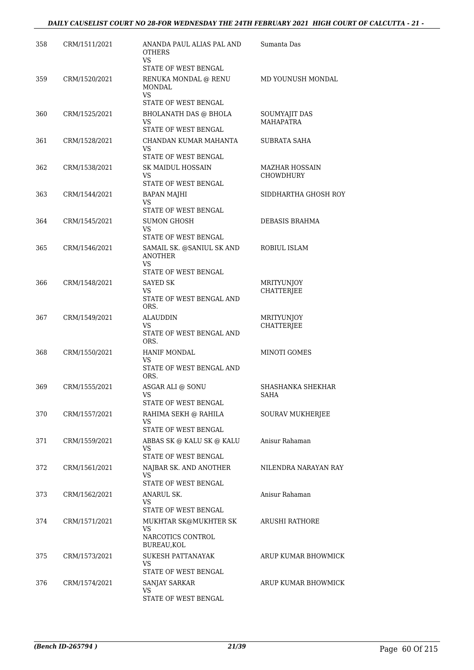| 358 | CRM/1511/2021 | ANANDA PAUL ALIAS PAL AND<br><b>OTHERS</b><br><b>VS</b>                  | Sumanta Das                               |
|-----|---------------|--------------------------------------------------------------------------|-------------------------------------------|
| 359 | CRM/1520/2021 | STATE OF WEST BENGAL<br>RENUKA MONDAL @ RENU<br><b>MONDAL</b>            | MD YOUNUSH MONDAL                         |
|     |               | <b>VS</b><br>STATE OF WEST BENGAL                                        |                                           |
| 360 | CRM/1525/2021 | <b>BHOLANATH DAS @ BHOLA</b><br>VS<br>STATE OF WEST BENGAL               | SOUMYAJIT DAS<br><b>MAHAPATRA</b>         |
| 361 | CRM/1528/2021 | CHANDAN KUMAR MAHANTA<br>VS<br>STATE OF WEST BENGAL                      | SUBRATA SAHA                              |
| 362 | CRM/1538/2021 | <b>SK MAIDUL HOSSAIN</b><br>VS<br>STATE OF WEST BENGAL                   | <b>MAZHAR HOSSAIN</b><br><b>CHOWDHURY</b> |
| 363 | CRM/1544/2021 | <b>BAPAN MAJHI</b><br><b>VS</b>                                          | SIDDHARTHA GHOSH ROY                      |
| 364 | CRM/1545/2021 | STATE OF WEST BENGAL<br><b>SUMON GHOSH</b><br>VS<br>STATE OF WEST BENGAL | <b>DEBASIS BRAHMA</b>                     |
| 365 | CRM/1546/2021 | SAMAIL SK. @SANIUL SK AND<br><b>ANOTHER</b><br>VS                        | ROBIUL ISLAM                              |
| 366 | CRM/1548/2021 | STATE OF WEST BENGAL<br>SAYED SK<br>VS<br>STATE OF WEST BENGAL AND       | MRITYUNJOY<br>CHATTERJEE                  |
| 367 | CRM/1549/2021 | ORS.<br><b>ALAUDDIN</b><br>VS<br>STATE OF WEST BENGAL AND<br>ORS.        | <b>MRITYUNJOY</b><br>CHATTERJEE           |
| 368 | CRM/1550/2021 | <b>HANIF MONDAL</b><br>VS.<br>STATE OF WEST BENGAL AND<br>ORS.           | MINOTI GOMES                              |
| 369 | CRM/1555/2021 | ASGAR ALI @ SONU<br>VS<br>STATE OF WEST BENGAL                           | SHASHANKA SHEKHAR<br>SAHA                 |
| 370 | CRM/1557/2021 | RAHIMA SEKH @ RAHILA<br>VS.<br>STATE OF WEST BENGAL                      | SOURAV MUKHERJEE                          |
| 371 | CRM/1559/2021 | ABBAS SK @ KALU SK @ KALU<br>VS<br>STATE OF WEST BENGAL                  | Anisur Rahaman                            |
| 372 | CRM/1561/2021 | NAJBAR SK. AND ANOTHER<br><b>VS</b><br>STATE OF WEST BENGAL              | NILENDRA NARAYAN RAY                      |
| 373 | CRM/1562/2021 | <b>ANARUL SK.</b><br>VS<br>STATE OF WEST BENGAL                          | Anisur Rahaman                            |
| 374 | CRM/1571/2021 | MUKHTAR SK@MUKHTER SK<br>VS<br>NARCOTICS CONTROL<br>BUREAU, KOL          | ARUSHI RATHORE                            |
| 375 | CRM/1573/2021 | <b>SUKESH PATTANAYAK</b><br>VS.<br>STATE OF WEST BENGAL                  | ARUP KUMAR BHOWMICK                       |
| 376 | CRM/1574/2021 | SANJAY SARKAR<br>VS<br>STATE OF WEST BENGAL                              | ARUP KUMAR BHOWMICK                       |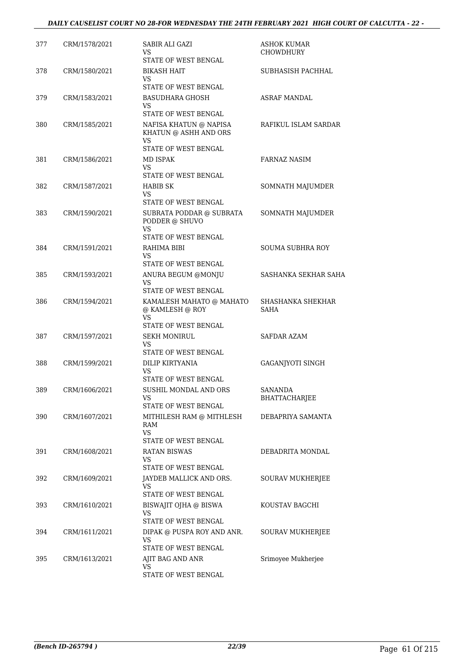| 377 | CRM/1578/2021 | <b>SABIR ALI GAZI</b><br>VS<br>STATE OF WEST BENGAL                                  | <b>ASHOK KUMAR</b><br><b>CHOWDHURY</b> |
|-----|---------------|--------------------------------------------------------------------------------------|----------------------------------------|
| 378 | CRM/1580/2021 | <b>BIKASH HAIT</b><br>VS<br>STATE OF WEST BENGAL                                     | SUBHASISH PACHHAL                      |
| 379 | CRM/1583/2021 | <b>BASUDHARA GHOSH</b><br>VS.<br>STATE OF WEST BENGAL                                | <b>ASRAF MANDAL</b>                    |
| 380 | CRM/1585/2021 | NAFISA KHATUN @ NAPISA<br>KHATUN @ ASHH AND ORS<br><b>VS</b><br>STATE OF WEST BENGAL | RAFIKUL ISLAM SARDAR                   |
| 381 | CRM/1586/2021 | MD ISPAK<br>VS.<br>STATE OF WEST BENGAL                                              | <b>FARNAZ NASIM</b>                    |
| 382 | CRM/1587/2021 | HABIB SK<br>VS.<br>STATE OF WEST BENGAL                                              | SOMNATH MAJUMDER                       |
| 383 | CRM/1590/2021 | SUBRATA PODDAR @ SUBRATA<br>PODDER @ SHUVO<br>VS.                                    | SOMNATH MAJUMDER                       |
| 384 | CRM/1591/2021 | STATE OF WEST BENGAL<br>RAHIMA BIBI<br>VS.<br>STATE OF WEST BENGAL                   | <b>SOUMA SUBHRA ROY</b>                |
| 385 | CRM/1593/2021 | ANURA BEGUM @MONJU<br>VS<br>STATE OF WEST BENGAL                                     | SASHANKA SEKHAR SAHA                   |
| 386 | CRM/1594/2021 | KAMALESH MAHATO @ MAHATO<br>@ KAMLESH @ ROY<br><b>VS</b><br>STATE OF WEST BENGAL     | SHASHANKA SHEKHAR<br><b>SAHA</b>       |
| 387 | CRM/1597/2021 | <b>SEKH MONIRUL</b><br>VS<br>STATE OF WEST BENGAL                                    | SAFDAR AZAM                            |
| 388 | CRM/1599/2021 | DILIP KIRTYANIA<br>VS.<br>STATE OF WEST BENGAL                                       | GAGANJYOTI SINGH                       |
| 389 | CRM/1606/2021 | SUSHIL MONDAL AND ORS<br>VS<br>STATE OF WEST BENGAL                                  | SANANDA<br>BHATTACHARJEE               |
| 390 | CRM/1607/2021 | MITHILESH RAM @ MITHLESH<br>RAM<br>VS.<br>STATE OF WEST BENGAL                       | DEBAPRIYA SAMANTA                      |
| 391 | CRM/1608/2021 | <b>RATAN BISWAS</b><br>VS<br>STATE OF WEST BENGAL                                    | DEBADRITA MONDAL                       |
| 392 | CRM/1609/2021 | JAYDEB MALLICK AND ORS.<br>VS<br>STATE OF WEST BENGAL                                | SOURAV MUKHERJEE                       |
| 393 | CRM/1610/2021 | BISWAJIT OJHA @ BISWA<br><b>VS</b><br>STATE OF WEST BENGAL                           | KOUSTAV BAGCHI                         |
| 394 | CRM/1611/2021 | DIPAK @ PUSPA ROY AND ANR.<br>VS<br>STATE OF WEST BENGAL                             | SOURAV MUKHERJEE                       |
| 395 | CRM/1613/2021 | AJIT BAG AND ANR<br>VS<br>STATE OF WEST BENGAL                                       | Srimoyee Mukherjee                     |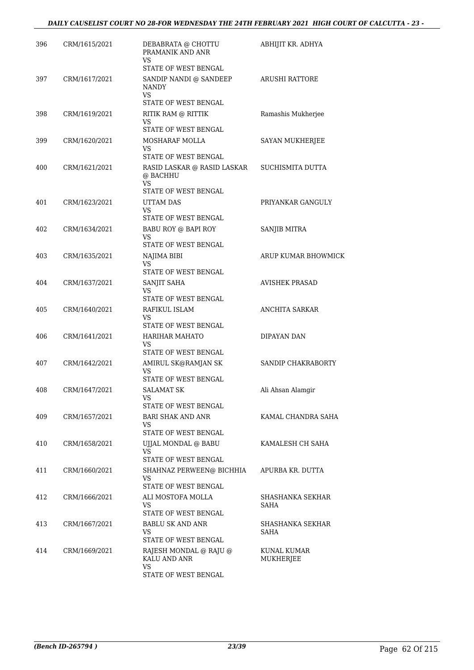| 396 | CRM/1615/2021 | DEBABRATA @ CHOTTU<br>PRAMANIK AND ANR<br>VS           | ABHIJIT KR. ADHYA        |
|-----|---------------|--------------------------------------------------------|--------------------------|
|     |               | STATE OF WEST BENGAL                                   |                          |
| 397 | CRM/1617/2021 | SANDIP NANDI @ SANDEEP<br><b>NANDY</b><br>VS           | <b>ARUSHI RATTORE</b>    |
|     |               | STATE OF WEST BENGAL                                   |                          |
| 398 | CRM/1619/2021 | RITIK RAM @ RITTIK                                     | Ramashis Mukherjee       |
|     |               | VS<br>STATE OF WEST BENGAL                             |                          |
| 399 | CRM/1620/2021 | MOSHARAF MOLLA                                         | SAYAN MUKHERJEE          |
|     |               | VS<br>STATE OF WEST BENGAL                             |                          |
| 400 | CRM/1621/2021 | RASID LASKAR @ RASID LASKAR<br>@ BACHHU<br>VS          | SUCHISMITA DUTTA         |
|     |               | STATE OF WEST BENGAL                                   |                          |
| 401 | CRM/1623/2021 | UTTAM DAS<br><b>VS</b>                                 | PRIYANKAR GANGULY        |
|     |               | STATE OF WEST BENGAL                                   |                          |
| 402 | CRM/1634/2021 | BABU ROY @ BAPI ROY<br>VS                              | SANJIB MITRA             |
|     |               | STATE OF WEST BENGAL                                   |                          |
| 403 | CRM/1635/2021 | NAJIMA BIBI                                            | ARUP KUMAR BHOWMICK      |
|     |               | <b>VS</b><br>STATE OF WEST BENGAL                      |                          |
| 404 | CRM/1637/2021 | SANJIT SAHA<br>VS                                      | <b>AVISHEK PRASAD</b>    |
|     |               | STATE OF WEST BENGAL                                   |                          |
| 405 | CRM/1640/2021 | RAFIKUL ISLAM<br>VS                                    | <b>ANCHITA SARKAR</b>    |
|     |               | STATE OF WEST BENGAL                                   |                          |
| 406 | CRM/1641/2021 | HARIHAR MAHATO<br>VS                                   | DIPAYAN DAN              |
|     |               | STATE OF WEST BENGAL                                   |                          |
| 407 | CRM/1642/2021 | AMIRUL SK@RAMJAN SK<br>VS<br>STATE OF WEST BENGAL      | SANDIP CHAKRABORTY       |
| 408 | CRM/1647/2021 | <b>SALAMAT SK</b>                                      | Ali Ahsan Alamgir        |
|     |               | VS                                                     |                          |
|     |               | STATE OF WEST BENGAL                                   |                          |
| 409 | CRM/1657/2021 | BARI SHAK AND ANR<br>VS<br>STATE OF WEST BENGAL        | KAMAL CHANDRA SAHA       |
| 410 | CRM/1658/2021 | UJJAL MONDAL @ BABU                                    | KAMALESH CH SAHA         |
|     |               | VS                                                     |                          |
|     |               | STATE OF WEST BENGAL                                   |                          |
| 411 | CRM/1660/2021 | SHAHNAZ PERWEEN@ BICHHIA<br>VS<br>STATE OF WEST BENGAL | APURBA KR. DUTTA         |
| 412 | CRM/1666/2021 | ALI MOSTOFA MOLLA                                      | SHASHANKA SEKHAR         |
|     |               | VS<br>STATE OF WEST BENGAL                             | SAHA                     |
| 413 | CRM/1667/2021 | BABLU SK AND ANR                                       | SHASHANKA SEKHAR         |
|     |               | VS<br>STATE OF WEST BENGAL                             | SAHA                     |
| 414 | CRM/1669/2021 | RAJESH MONDAL @ RAJU @<br>KALU AND ANR                 | KUNAL KUMAR<br>MUKHERJEE |
|     |               | VS<br>STATE OF WEST BENGAL                             |                          |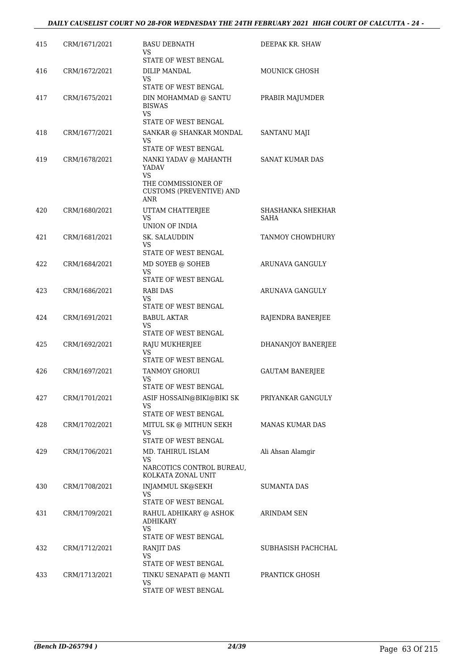| 415 | CRM/1671/2021 | <b>BASU DEBNATH</b><br>VS<br>STATE OF WEST BENGAL                                                                       | DEEPAK KR. SHAW           |
|-----|---------------|-------------------------------------------------------------------------------------------------------------------------|---------------------------|
| 416 | CRM/1672/2021 | DILIP MANDAL<br>VS<br>STATE OF WEST BENGAL                                                                              | <b>MOUNICK GHOSH</b>      |
| 417 | CRM/1675/2021 | DIN MOHAMMAD @ SANTU<br><b>BISWAS</b><br>VS                                                                             | PRABIR MAJUMDER           |
| 418 | CRM/1677/2021 | STATE OF WEST BENGAL<br>SANKAR @ SHANKAR MONDAL<br>VS                                                                   | <b>SANTANU MAJI</b>       |
| 419 | CRM/1678/2021 | STATE OF WEST BENGAL<br>NANKI YADAV @ MAHANTH<br>YADAV<br>VS.<br>THE COMMISSIONER OF<br><b>CUSTOMS (PREVENTIVE) AND</b> | SANAT KUMAR DAS           |
| 420 | CRM/1680/2021 | ANR<br>UTTAM CHATTERJEE<br><b>VS</b><br>UNION OF INDIA                                                                  | SHASHANKA SHEKHAR<br>SAHA |
| 421 | CRM/1681/2021 | SK. SALAUDDIN<br>VS.                                                                                                    | TANMOY CHOWDHURY          |
| 422 | CRM/1684/2021 | STATE OF WEST BENGAL<br>MD SOYEB @ SOHEB<br>VS<br>STATE OF WEST BENGAL                                                  | ARUNAVA GANGULY           |
| 423 | CRM/1686/2021 | RABI DAS<br>VS<br>STATE OF WEST BENGAL                                                                                  | ARUNAVA GANGULY           |
| 424 | CRM/1691/2021 | <b>BABUL AKTAR</b><br>VS.                                                                                               | RAJENDRA BANERJEE         |
| 425 | CRM/1692/2021 | STATE OF WEST BENGAL<br>RAJU MUKHERJEE<br>VS<br>STATE OF WEST BENGAL                                                    | DHANANJOY BANERJEE        |
| 426 | CRM/1697/2021 | TANMOY GHORUI<br>VS<br><b>STATE OF WEST BENGAL</b>                                                                      | <b>GAUTAM BANERJEE</b>    |
| 427 | CRM/1701/2021 | ASIF HOSSAIN@BIKI@BIKI SK<br>VS.<br>STATE OF WEST BENGAL                                                                | PRIYANKAR GANGULY         |
| 428 | CRM/1702/2021 | MITUL SK @ MITHUN SEKH<br>VS.<br>STATE OF WEST BENGAL                                                                   | <b>MANAS KUMAR DAS</b>    |
| 429 | CRM/1706/2021 | MD. TAHIRUL ISLAM<br>VS<br>NARCOTICS CONTROL BUREAU,<br>KOLKATA ZONAL UNIT                                              | Ali Ahsan Alamgir         |
| 430 | CRM/1708/2021 | <b>INJAMMUL SK@SEKH</b><br>VS<br>STATE OF WEST BENGAL                                                                   | <b>SUMANTA DAS</b>        |
| 431 | CRM/1709/2021 | RAHUL ADHIKARY @ ASHOK<br><b>ADHIKARY</b><br>VS<br>STATE OF WEST BENGAL                                                 | ARINDAM SEN               |
| 432 | CRM/1712/2021 | RANJIT DAS<br>VS<br>STATE OF WEST BENGAL                                                                                | SUBHASISH PACHCHAL        |
| 433 | CRM/1713/2021 | TINKU SENAPATI @ MANTI<br>VS<br>STATE OF WEST BENGAL                                                                    | PRANTICK GHOSH            |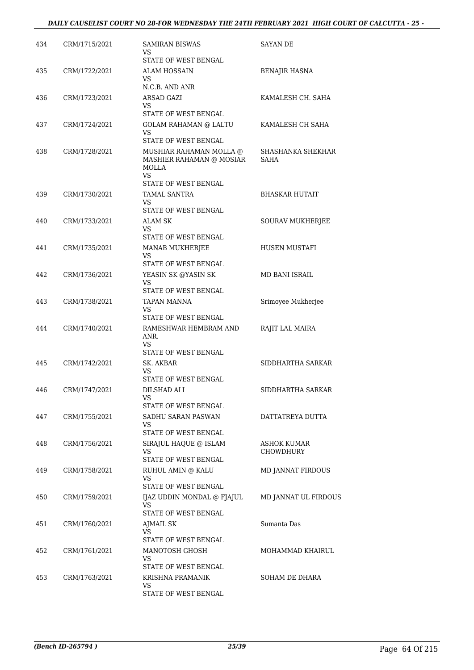| 434 | CRM/1715/2021 | <b>SAMIRAN BISWAS</b><br>VS                                        | <b>SAYAN DE</b>                 |
|-----|---------------|--------------------------------------------------------------------|---------------------------------|
| 435 | CRM/1722/2021 | STATE OF WEST BENGAL<br>ALAM HOSSAIN                               | BENAJIR HASNA                   |
|     |               | VS<br>N.C.B. AND ANR                                               |                                 |
| 436 | CRM/1723/2021 | ARSAD GAZI                                                         | KAMALESH CH. SAHA               |
|     |               | VS.<br>STATE OF WEST BENGAL                                        |                                 |
| 437 | CRM/1724/2021 | <b>GOLAM RAHAMAN @ LALTU</b><br>VS.<br>STATE OF WEST BENGAL        | KAMALESH CH SAHA                |
| 438 | CRM/1728/2021 | MUSHIAR RAHAMAN MOLLA @<br>MASHIER RAHAMAN @ MOSIAR<br>MOLLA<br>VS | SHASHANKA SHEKHAR<br>SAHA       |
|     |               | STATE OF WEST BENGAL                                               |                                 |
| 439 | CRM/1730/2021 | <b>TAMAL SANTRA</b><br>VS<br>STATE OF WEST BENGAL                  | <b>BHASKAR HUTAIT</b>           |
| 440 | CRM/1733/2021 | ALAM SK                                                            | SOURAV MUKHERJEE                |
|     |               | VS<br>STATE OF WEST BENGAL                                         |                                 |
| 441 | CRM/1735/2021 | MANAB MUKHERJEE                                                    | HUSEN MUSTAFI                   |
|     |               | VS                                                                 |                                 |
|     |               | STATE OF WEST BENGAL                                               |                                 |
| 442 | CRM/1736/2021 | YEASIN SK @YASIN SK<br>VS<br>STATE OF WEST BENGAL                  | MD BANI ISRAIL                  |
| 443 | CRM/1738/2021 | TAPAN MANNA<br>VS<br>STATE OF WEST BENGAL                          | Srimoyee Mukherjee              |
| 444 | CRM/1740/2021 | RAMESHWAR HEMBRAM AND<br>ANR.<br><b>VS</b><br>STATE OF WEST BENGAL | RAJIT LAL MAIRA                 |
| 445 | CRM/1742/2021 | SK. AKBAR<br>VS                                                    | SIDDHARTHA SARKAR               |
|     | CRM/1747/2021 | STATE OF WEST BENGAL                                               |                                 |
| 446 |               | DILSHAD ALI<br>VS<br>STATE OF WEST BENGAL                          | SIDDHARTHA SARKAR               |
| 447 | CRM/1755/2021 | SADHU SARAN PASWAN<br>VS                                           | DATTATREYA DUTTA                |
|     |               | STATE OF WEST BENGAL                                               |                                 |
| 448 | CRM/1756/2021 | SIRAJUL HAQUE @ ISLAM<br>VS<br>STATE OF WEST BENGAL                | ASHOK KUMAR<br><b>CHOWDHURY</b> |
| 449 | CRM/1758/2021 | RUHUL AMIN @ KALU                                                  | MD JANNAT FIRDOUS               |
|     |               | VS<br>STATE OF WEST BENGAL                                         |                                 |
|     |               |                                                                    |                                 |
| 450 | CRM/1759/2021 | IJAZ UDDIN MONDAL @ FJAJUL<br>VS<br>STATE OF WEST BENGAL           | MD JANNAT UL FIRDOUS            |
| 451 | CRM/1760/2021 | AJMAIL SK<br>VS                                                    | Sumanta Das                     |
|     |               | STATE OF WEST BENGAL                                               | MOHAMMAD KHAIRUL                |
| 452 | CRM/1761/2021 | MANOTOSH GHOSH<br>VS.<br>STATE OF WEST BENGAL                      |                                 |
| 453 | CRM/1763/2021 | KRISHNA PRAMANIK                                                   | SOHAM DE DHARA                  |
|     |               | VS<br>STATE OF WEST BENGAL                                         |                                 |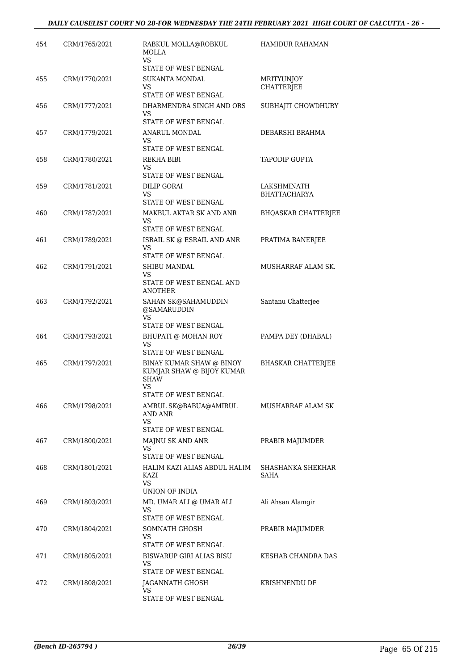| 454 | CRM/1765/2021 | RABKUL MOLLA@ROBKUL<br><b>MOLLA</b><br>VS.                                                                                 | <b>HAMIDUR RAHAMAN</b>                 |
|-----|---------------|----------------------------------------------------------------------------------------------------------------------------|----------------------------------------|
|     |               | STATE OF WEST BENGAL                                                                                                       |                                        |
| 455 | CRM/1770/2021 | <b>SUKANTA MONDAL</b><br>VS<br>STATE OF WEST BENGAL                                                                        | <b>MRITYUNJOY</b><br><b>CHATTERJEE</b> |
| 456 | CRM/1777/2021 | DHARMENDRA SINGH AND ORS<br>VS                                                                                             | SUBHAJIT CHOWDHURY                     |
| 457 | CRM/1779/2021 | STATE OF WEST BENGAL<br>ANARUL MONDAL<br>VS<br>STATE OF WEST BENGAL                                                        | DEBARSHI BRAHMA                        |
| 458 | CRM/1780/2021 | REKHA BIBI<br>VS                                                                                                           | <b>TAPODIP GUPTA</b>                   |
| 459 | CRM/1781/2021 | STATE OF WEST BENGAL<br>DILIP GORAI<br>VS.<br>STATE OF WEST BENGAL                                                         | LAKSHMINATH<br><b>BHATTACHARYA</b>     |
| 460 | CRM/1787/2021 | MAKBUL AKTAR SK AND ANR<br>VS<br>STATE OF WEST BENGAL                                                                      | <b>BHQASKAR CHATTERJEE</b>             |
| 461 | CRM/1789/2021 | ISRAIL SK @ ESRAIL AND ANR<br>VS.                                                                                          | PRATIMA BANERJEE                       |
| 462 | CRM/1791/2021 | STATE OF WEST BENGAL<br>SHIBU MANDAL<br>VS<br>STATE OF WEST BENGAL AND                                                     | MUSHARRAF ALAM SK.                     |
| 463 | CRM/1792/2021 | <b>ANOTHER</b><br>SAHAN SK@SAHAMUDDIN<br>@SAMARUDDIN<br>VS.                                                                | Santanu Chatterjee                     |
| 464 | CRM/1793/2021 | STATE OF WEST BENGAL<br>BHUPATI @ MOHAN ROY<br>VS                                                                          | PAMPA DEY (DHABAL)                     |
| 465 | CRM/1797/2021 | STATE OF WEST BENGAL<br>BINAY KUMAR SHAW @ BINOY<br>KUMJAR SHAW @ BIJOY KUMAR<br><b>SHAW</b><br>VS<br>STATE OF WEST BENGAL | <b>BHASKAR CHATTERJEE</b>              |
| 466 | CRM/1798/2021 | AMRUL SK@BABUA@AMIRUL<br>AND ANR<br>VS                                                                                     | MUSHARRAF ALAM SK                      |
| 467 | CRM/1800/2021 | STATE OF WEST BENGAL<br>MAJNU SK AND ANR<br>VS<br>STATE OF WEST BENGAL                                                     | PRABIR MAJUMDER                        |
| 468 | CRM/1801/2021 | HALIM KAZI ALIAS ABDUL HALIM<br>KAZI<br>VS<br>UNION OF INDIA                                                               | SHASHANKA SHEKHAR<br>SAHA              |
| 469 | CRM/1803/2021 | MD. UMAR ALI @ UMAR ALI<br>VS.<br>STATE OF WEST BENGAL                                                                     | Ali Ahsan Alamgir                      |
| 470 | CRM/1804/2021 | SOMNATH GHOSH<br>VS<br>STATE OF WEST BENGAL                                                                                | PRABIR MAJUMDER                        |
| 471 | CRM/1805/2021 | <b>BISWARUP GIRI ALIAS BISU</b><br>VS<br>STATE OF WEST BENGAL                                                              | KESHAB CHANDRA DAS                     |
| 472 | CRM/1808/2021 | JAGANNATH GHOSH<br>VS<br>STATE OF WEST BENGAL                                                                              | KRISHNENDU DE                          |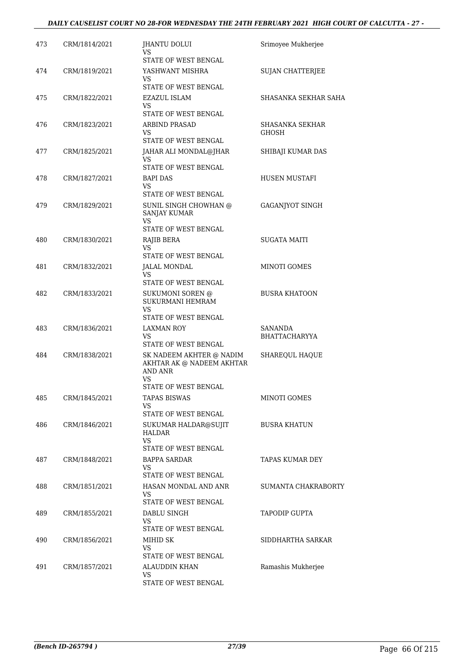## *DAILY CAUSELIST COURT NO 28-FOR WEDNESDAY THE 24TH FEBRUARY 2021 HIGH COURT OF CALCUTTA - 27 -*

| 473 | CRM/1814/2021 | JHANTU DOLUI<br>VS                                                            | Srimoyee Mukherjee              |
|-----|---------------|-------------------------------------------------------------------------------|---------------------------------|
| 474 | CRM/1819/2021 | STATE OF WEST BENGAL<br>YASHWANT MISHRA<br>VS                                 | <b>SUJAN CHATTERJEE</b>         |
|     |               | STATE OF WEST BENGAL                                                          |                                 |
| 475 | CRM/1822/2021 | <b>EZAZUL ISLAM</b><br>VS                                                     | SHASANKA SEKHAR SAHA            |
|     |               | STATE OF WEST BENGAL                                                          |                                 |
| 476 | CRM/1823/2021 | <b>ARBIND PRASAD</b><br>VS<br>STATE OF WEST BENGAL                            | SHASANKA SEKHAR<br>GHOSH        |
| 477 | CRM/1825/2021 | JAHAR ALI MONDAL@JHAR<br>VS                                                   | SHIBAJI KUMAR DAS               |
|     |               | STATE OF WEST BENGAL                                                          |                                 |
| 478 | CRM/1827/2021 | <b>BAPI DAS</b><br>VS<br>STATE OF WEST BENGAL                                 | HUSEN MUSTAFI                   |
| 479 | CRM/1829/2021 | SUNIL SINGH CHOWHAN @<br><b>SANJAY KUMAR</b>                                  | <b>GAGANJYOT SINGH</b>          |
|     |               | <b>VS</b><br>STATE OF WEST BENGAL                                             |                                 |
| 480 | CRM/1830/2021 | RAJIB BERA                                                                    | <b>SUGATA MAITI</b>             |
|     |               | VS.<br>STATE OF WEST BENGAL                                                   |                                 |
| 481 | CRM/1832/2021 | JALAL MONDAL                                                                  | <b>MINOTI GOMES</b>             |
|     |               | VS<br>STATE OF WEST BENGAL                                                    |                                 |
| 482 | CRM/1833/2021 | SUKUMONI SOREN @<br>SUKURMANI HEMRAM<br>VS                                    | <b>BUSRA KHATOON</b>            |
|     |               | STATE OF WEST BENGAL                                                          |                                 |
| 483 | CRM/1836/2021 | LAXMAN ROY<br>VS<br>STATE OF WEST BENGAL                                      | SANANDA<br><b>BHATTACHARYYA</b> |
| 484 | CRM/1838/2021 | SK NADEEM AKHTER @ NADIM<br>AKHTAR AK @ NADEEM AKHTAR<br><b>AND ANR</b><br>VS | SHAREQUL HAQUE                  |
|     |               | STATE OF WEST BENGAL<br><b>TAPAS BISWAS</b>                                   | MINOTI GOMES                    |
| 485 | CRM/1845/2021 | VS<br>STATE OF WEST BENGAL                                                    |                                 |
| 486 | CRM/1846/2021 | SUKUMAR HALDAR@SUJIT<br>HALDAR<br><b>VS</b><br>STATE OF WEST BENGAL           | <b>BUSRA KHATUN</b>             |
| 487 | CRM/1848/2021 | BAPPA SARDAR<br>VS.                                                           | TAPAS KUMAR DEY                 |
|     |               | STATE OF WEST BENGAL                                                          |                                 |
| 488 | CRM/1851/2021 | HASAN MONDAL AND ANR<br>VS                                                    | SUMANTA CHAKRABORTY             |
| 489 | CRM/1855/2021 | STATE OF WEST BENGAL<br>DABLU SINGH                                           | <b>TAPODIP GUPTA</b>            |
|     |               | VS<br>STATE OF WEST BENGAL                                                    |                                 |
| 490 | CRM/1856/2021 | MIHID SK                                                                      | SIDDHARTHA SARKAR               |
|     |               | VS<br>STATE OF WEST BENGAL                                                    |                                 |
| 491 | CRM/1857/2021 | ALAUDDIN KHAN                                                                 | Ramashis Mukherjee              |
|     |               | VS.<br>STATE OF WEST BENGAL                                                   |                                 |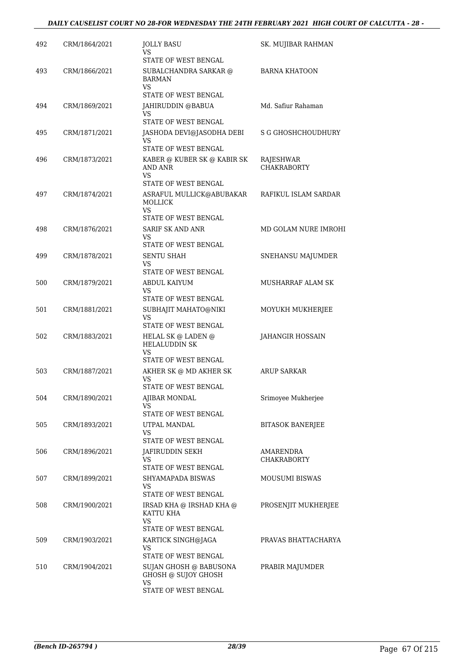| 492 | CRM/1864/2021 | <b>JOLLY BASU</b><br>VS<br>STATE OF WEST BENGAL                                                           | SK. MUJIBAR RAHMAN                     |
|-----|---------------|-----------------------------------------------------------------------------------------------------------|----------------------------------------|
| 493 | CRM/1866/2021 | SUBALCHANDRA SARKAR @<br><b>BARMAN</b><br><b>VS</b><br>STATE OF WEST BENGAL                               | <b>BARNA KHATOON</b>                   |
| 494 | CRM/1869/2021 | JAHIRUDDIN @BABUA<br>VS                                                                                   | Md. Safiur Rahaman                     |
| 495 | CRM/1871/2021 | STATE OF WEST BENGAL<br>JASHODA DEVI@JASODHA DEBI<br>VS<br>STATE OF WEST BENGAL                           | S G GHOSHCHOUDHURY                     |
| 496 | CRM/1873/2021 | KABER @ KUBER SK @ KABIR SK<br>AND ANR<br><b>VS</b><br>STATE OF WEST BENGAL                               | RAJESHWAR<br><b>CHAKRABORTY</b>        |
| 497 | CRM/1874/2021 | ASRAFUL MULLICK@ABUBAKAR<br>MOLLICK<br>VS                                                                 | RAFIKUL ISLAM SARDAR                   |
| 498 | CRM/1876/2021 | STATE OF WEST BENGAL<br><b>SARIF SK AND ANR</b><br>VS<br>STATE OF WEST BENGAL                             | MD GOLAM NURE IMROHI                   |
| 499 | CRM/1878/2021 | <b>SENTU SHAH</b><br>VS<br>STATE OF WEST BENGAL                                                           | SNEHANSU MAJUMDER                      |
| 500 | CRM/1879/2021 | ABDUL KAIYUM<br>VS.<br>STATE OF WEST BENGAL                                                               | MUSHARRAF ALAM SK                      |
| 501 | CRM/1881/2021 | SUBHAJIT MAHATO@NIKI<br><b>VS</b><br>STATE OF WEST BENGAL                                                 | MOYUKH MUKHERJEE                       |
| 502 | CRM/1883/2021 | HELAL SK $\circledcirc$ LADEN $\circledcirc$<br><b>HELALUDDIN SK</b><br><b>VS</b><br>STATE OF WEST BENGAL | JAHANGIR HOSSAIN                       |
| 503 | CRM/1887/2021 | AKHER SK @ MD AKHER SK<br>VS<br>STATE OF WEST BENGAL                                                      | ARUP SARKAR                            |
| 504 | CRM/1890/2021 | AJIBAR MONDAL<br>VS<br>STATE OF WEST BENGAL                                                               | Srimoyee Mukherjee                     |
| 505 | CRM/1893/2021 | UTPAL MANDAL<br>VS.<br>STATE OF WEST BENGAL                                                               | <b>BITASOK BANERJEE</b>                |
| 506 | CRM/1896/2021 | JAFIRUDDIN SEKH<br>VS.<br>STATE OF WEST BENGAL                                                            | <b>AMARENDRA</b><br><b>CHAKRABORTY</b> |
| 507 | CRM/1899/2021 | SHYAMAPADA BISWAS<br>VS.<br>STATE OF WEST BENGAL                                                          | <b>MOUSUMI BISWAS</b>                  |
| 508 | CRM/1900/2021 | IRSAD KHA @ IRSHAD KHA @<br>KATTU KHA<br>VS.<br>STATE OF WEST BENGAL                                      | PROSENJIT MUKHERJEE                    |
| 509 | CRM/1903/2021 | KARTICK SINGH@JAGA<br>VS.                                                                                 | PRAVAS BHATTACHARYA                    |
| 510 | CRM/1904/2021 | STATE OF WEST BENGAL<br>SUJAN GHOSH @ BABUSONA<br>GHOSH @ SUJOY GHOSH<br>VS<br>STATE OF WEST BENGAL       | PRABIR MAJUMDER                        |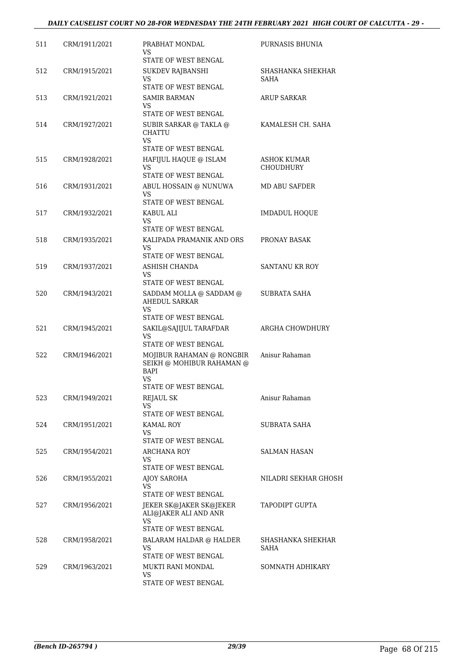| 511 | CRM/1911/2021 | PRABHAT MONDAL<br>VS<br>STATE OF WEST BENGAL                                                        | PURNASIS BHUNIA                 |
|-----|---------------|-----------------------------------------------------------------------------------------------------|---------------------------------|
| 512 | CRM/1915/2021 | SUKDEV RAJBANSHI<br>VS.<br>STATE OF WEST BENGAL                                                     | SHASHANKA SHEKHAR<br>SAHA       |
| 513 | CRM/1921/2021 | <b>SAMIR BARMAN</b><br>VS.<br>STATE OF WEST BENGAL                                                  | <b>ARUP SARKAR</b>              |
| 514 | CRM/1927/2021 | SUBIR SARKAR @ TAKLA @<br><b>CHATTU</b><br>VS.                                                      | KAMALESH CH. SAHA               |
| 515 | CRM/1928/2021 | STATE OF WEST BENGAL<br>HAFIJUL HAQUE @ ISLAM<br>VS.<br>STATE OF WEST BENGAL                        | ASHOK KUMAR<br><b>CHOUDHURY</b> |
| 516 | CRM/1931/2021 | ABUL HOSSAIN @ NUNUWA<br>VS<br>STATE OF WEST BENGAL                                                 | <b>MD ABU SAFDER</b>            |
| 517 | CRM/1932/2021 | KABUL ALI<br>VS.<br>STATE OF WEST BENGAL                                                            | <b>IMDADUL HOOUE</b>            |
| 518 | CRM/1935/2021 | KALIPADA PRAMANIK AND ORS<br>VS<br>STATE OF WEST BENGAL                                             | PRONAY BASAK                    |
| 519 | CRM/1937/2021 | ASHISH CHANDA<br>VS.<br>STATE OF WEST BENGAL                                                        | <b>SANTANU KR ROY</b>           |
| 520 | CRM/1943/2021 | SADDAM MOLLA @ SADDAM @<br><b>AHEDUL SARKAR</b><br>VS.<br>STATE OF WEST BENGAL                      | SUBRATA SAHA                    |
| 521 | CRM/1945/2021 | SAKIL@SAJIJUL TARAFDAR<br>VS.<br>STATE OF WEST BENGAL                                               | ARGHA CHOWDHURY                 |
| 522 | CRM/1946/2021 | MOJIBUR RAHAMAN @ RONGBIR<br>SEIKH @ MOHIBUR RAHAMAN @<br><b>BAPI</b><br>VS<br>STATE OF WEST BENGAL | Anisur Rahaman                  |
| 523 | CRM/1949/2021 | <b>REJAUL SK</b><br>VS<br>STATE OF WEST BENGAL                                                      | Anisur Rahaman                  |
| 524 | CRM/1951/2021 | KAMAL ROY<br>VS<br>STATE OF WEST BENGAL                                                             | SUBRATA SAHA                    |
| 525 | CRM/1954/2021 | <b>ARCHANA ROY</b><br>VS.<br>STATE OF WEST BENGAL                                                   | SALMAN HASAN                    |
| 526 | CRM/1955/2021 | AJOY SAROHA<br>VS<br>STATE OF WEST BENGAL                                                           | NILADRI SEKHAR GHOSH            |
| 527 | CRM/1956/2021 | JEKER SK@JAKER SK@JEKER<br>ALI@JAKER ALI AND ANR<br><b>VS</b><br>STATE OF WEST BENGAL               | TAPODIPT GUPTA                  |
| 528 | CRM/1958/2021 | BALARAM HALDAR @ HALDER<br>VS.<br>STATE OF WEST BENGAL                                              | SHASHANKA SHEKHAR<br>SAHA       |
| 529 | CRM/1963/2021 | MUKTI RANI MONDAL<br>VS.<br>STATE OF WEST BENGAL                                                    | SOMNATH ADHIKARY                |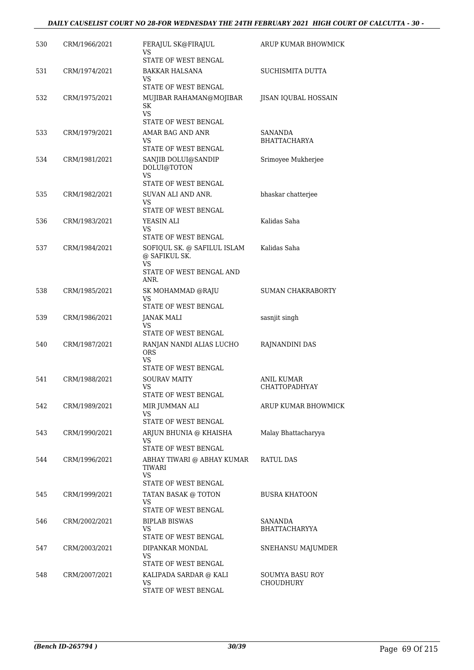| 530 | CRM/1966/2021 | FERAJUL SK@FIRAJUL<br>VS<br>STATE OF WEST BENGAL                                       | ARUP KUMAR BHOWMICK                        |
|-----|---------------|----------------------------------------------------------------------------------------|--------------------------------------------|
| 531 | CRM/1974/2021 | BAKKAR HALSANA<br>VS                                                                   | SUCHISMITA DUTTA                           |
| 532 | CRM/1975/2021 | <b>STATE OF WEST BENGAL</b><br>MUJIBAR RAHAMAN@MOJIBAR<br>SK                           | JISAN IQUBAL HOSSAIN                       |
|     |               | <b>VS</b><br>STATE OF WEST BENGAL                                                      |                                            |
| 533 | CRM/1979/2021 | AMAR BAG AND ANR<br>VS<br>STATE OF WEST BENGAL                                         | SANANDA<br><b>BHATTACHARYA</b>             |
| 534 | CRM/1981/2021 | SANJIB DOLUI@SANDIP<br>DOLUI@TOTON<br>VS<br>STATE OF WEST BENGAL                       | Srimoyee Mukherjee                         |
| 535 | CRM/1982/2021 | SUVAN ALI AND ANR.<br>VS<br>STATE OF WEST BENGAL                                       | bhaskar chatterjee                         |
| 536 | CRM/1983/2021 | YEASIN ALI<br>VS<br>STATE OF WEST BENGAL                                               | Kalidas Saha                               |
| 537 | CRM/1984/2021 | SOFIQUL SK. @ SAFILUL ISLAM<br>@ SAFIKUL SK.<br>VS<br>STATE OF WEST BENGAL AND<br>ANR. | Kalidas Saha                               |
| 538 | CRM/1985/2021 | SK MOHAMMAD @RAJU<br>VS<br>STATE OF WEST BENGAL                                        | <b>SUMAN CHAKRABORTY</b>                   |
| 539 | CRM/1986/2021 | JANAK MALI<br>VS<br>STATE OF WEST BENGAL                                               | sasnjit singh                              |
| 540 | CRM/1987/2021 | RANJAN NANDI ALIAS LUCHO<br><b>ORS</b><br>VS<br>STATE OF WEST BENGAL                   | RAJNANDINI DAS                             |
| 541 | CRM/1988/2021 | <b>SOURAV MAITY</b><br>VS<br>STATE OF WEST BENGAL                                      | ANIL KUMAR<br><b>CHATTOPADHYAY</b>         |
| 542 | CRM/1989/2021 | MIR JUMMAN ALI<br>VS<br>STATE OF WEST BENGAL                                           | ARUP KUMAR BHOWMICK                        |
| 543 | CRM/1990/2021 | ARJUN BHUNIA @ KHAISHA<br>VS<br>STATE OF WEST BENGAL                                   | Malay Bhattacharyya                        |
| 544 | CRM/1996/2021 | ABHAY TIWARI @ ABHAY KUMAR<br>TIWARI<br>VS.<br>STATE OF WEST BENGAL                    | RATUL DAS                                  |
| 545 | CRM/1999/2021 | TATAN BASAK @ TOTON<br><b>VS</b><br>STATE OF WEST BENGAL                               | <b>BUSRA KHATOON</b>                       |
| 546 | CRM/2002/2021 | <b>BIPLAB BISWAS</b><br>VS<br>STATE OF WEST BENGAL                                     | SANANDA<br><b>BHATTACHARYYA</b>            |
| 547 | CRM/2003/2021 | DIPANKAR MONDAL<br>VS<br>STATE OF WEST BENGAL                                          | SNEHANSU MAJUMDER                          |
| 548 | CRM/2007/2021 | KALIPADA SARDAR @ KALI<br>VS<br>STATE OF WEST BENGAL                                   | <b>SOUMYA BASU ROY</b><br><b>CHOUDHURY</b> |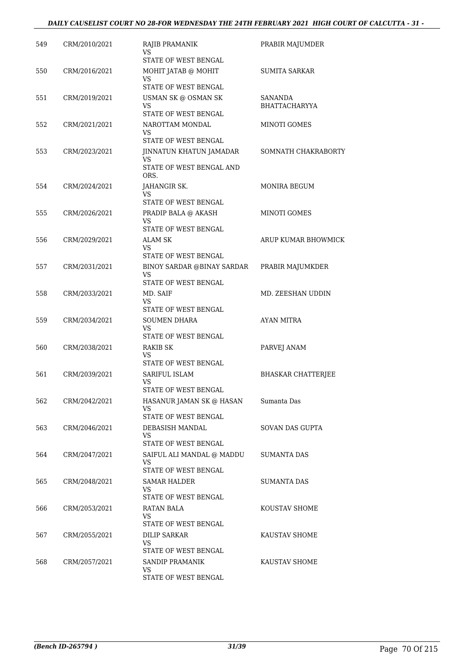| 549 | CRM/2010/2021 | RAJIB PRAMANIK<br>VS<br>STATE OF WEST BENGAL                | PRABIR MAJUMDER                 |
|-----|---------------|-------------------------------------------------------------|---------------------------------|
| 550 | CRM/2016/2021 | MOHIT JATAB @ MOHIT<br>VS                                   | <b>SUMITA SARKAR</b>            |
|     |               | <b>STATE OF WEST BENGAL</b>                                 |                                 |
| 551 | CRM/2019/2021 | USMAN SK @ OSMAN SK<br>VS                                   | SANANDA<br><b>BHATTACHARYYA</b> |
| 552 | CRM/2021/2021 | STATE OF WEST BENGAL<br>NAROTTAM MONDAL<br>VS               | MINOTI GOMES                    |
|     |               | STATE OF WEST BENGAL                                        |                                 |
| 553 | CRM/2023/2021 | JINNATUN KHATUN JAMADAR<br>VS                               | SOMNATH CHAKRABORTY             |
|     |               | STATE OF WEST BENGAL AND<br>ORS.                            |                                 |
| 554 | CRM/2024/2021 | JAHANGIR SK.<br>VS                                          | MONIRA BEGUM                    |
|     |               | STATE OF WEST BENGAL                                        |                                 |
| 555 | CRM/2026/2021 | PRADIP BALA @ AKASH<br>VS                                   | MINOTI GOMES                    |
| 556 | CRM/2029/2021 | STATE OF WEST BENGAL<br><b>ALAM SK</b>                      | ARUP KUMAR BHOWMICK             |
|     |               | VS<br><b>STATE OF WEST BENGAL</b>                           |                                 |
| 557 | CRM/2031/2021 | BINOY SARDAR @BINAY SARDAR                                  | PRABIR MAJUMKDER                |
|     |               | <b>VS</b><br>STATE OF WEST BENGAL                           |                                 |
| 558 | CRM/2033/2021 | MD. SAIF<br>VS                                              | MD. ZEESHAN UDDIN               |
| 559 | CRM/2034/2021 | STATE OF WEST BENGAL<br><b>SOUMEN DHARA</b>                 | AYAN MITRA                      |
|     |               | VS<br>STATE OF WEST BENGAL                                  |                                 |
| 560 | CRM/2038/2021 | <b>RAKIB SK</b>                                             | PARVEJ ANAM                     |
|     |               | VS<br>STATE OF WEST BENGAL                                  |                                 |
| 561 | CRM/2039/2021 | SARIFUL ISLAM                                               | <b>BHASKAR CHATTERJEE</b>       |
|     |               | <b>VS</b><br>STATE OF WEST BENGAL                           |                                 |
| 562 | CRM/2042/2021 | HASANUR JAMAN SK @ HASAN<br>VS                              | Sumanta Das                     |
|     |               | STATE OF WEST BENGAL                                        |                                 |
| 563 | CRM/2046/2021 | DEBASISH MANDAL<br><b>VS</b><br><b>STATE OF WEST BENGAL</b> | SOVAN DAS GUPTA                 |
| 564 | CRM/2047/2021 | SAIFUL ALI MANDAL @ MADDU                                   | SUMANTA DAS                     |
|     |               | VS<br>STATE OF WEST BENGAL                                  |                                 |
| 565 | CRM/2048/2021 | SAMAR HALDER                                                | SUMANTA DAS                     |
|     |               | VS<br>STATE OF WEST BENGAL                                  |                                 |
| 566 | CRM/2053/2021 | RATAN BALA<br>VS                                            | KOUSTAV SHOME                   |
|     |               | STATE OF WEST BENGAL                                        |                                 |
| 567 | CRM/2055/2021 | DILIP SARKAR<br>VS.                                         | KAUSTAV SHOME                   |
|     |               | STATE OF WEST BENGAL                                        |                                 |
| 568 | CRM/2057/2021 | SANDIP PRAMANIK<br>VS                                       | KAUSTAV SHOME                   |
|     |               | STATE OF WEST BENGAL                                        |                                 |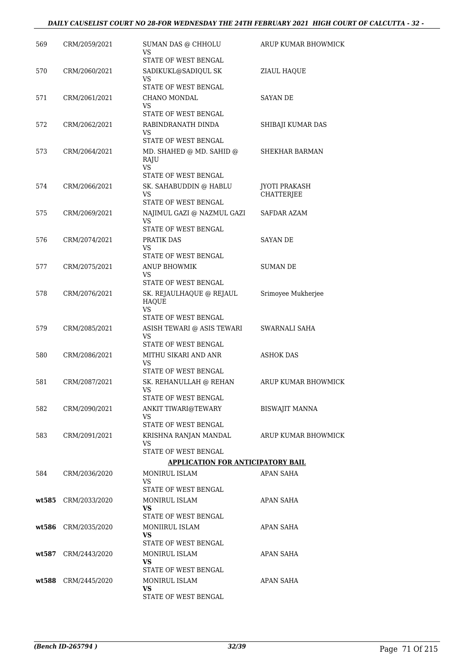| 569   | CRM/2059/2021       | SUMAN DAS @ CHHOLU<br>VS                                                | ARUP KUMAR BHOWMICK         |
|-------|---------------------|-------------------------------------------------------------------------|-----------------------------|
|       |                     | STATE OF WEST BENGAL                                                    |                             |
| 570   | CRM/2060/2021       | SADIKUKL@SADIQUL SK<br>VS                                               | ZIAUL HAQUE                 |
|       |                     | STATE OF WEST BENGAL                                                    |                             |
| 571   | CRM/2061/2021       | CHANO MONDAL                                                            | <b>SAYAN DE</b>             |
|       |                     | VS<br>STATE OF WEST BENGAL                                              |                             |
| 572   | CRM/2062/2021       | RABINDRANATH DINDA                                                      | SHIBAJI KUMAR DAS           |
|       |                     | VS                                                                      |                             |
|       |                     | STATE OF WEST BENGAL                                                    |                             |
| 573   | CRM/2064/2021       | MD. SHAHED $\textcircled{a}$ MD. SAHID $\textcircled{a}$<br>RAJU<br>VS. | <b>SHEKHAR BARMAN</b>       |
|       |                     | STATE OF WEST BENGAL                                                    |                             |
| 574   | CRM/2066/2021       | SK. SAHABUDDIN @ HABLU<br>VS                                            | JYOTI PRAKASH<br>CHATTERJEE |
|       |                     | STATE OF WEST BENGAL                                                    |                             |
| 575   | CRM/2069/2021       | NAJIMUL GAZI @ NAZMUL GAZI                                              | SAFDAR AZAM                 |
|       |                     | <b>VS</b><br>STATE OF WEST BENGAL                                       |                             |
| 576   | CRM/2074/2021       | PRATIK DAS                                                              | <b>SAYAN DE</b>             |
|       |                     | VS                                                                      |                             |
|       |                     | STATE OF WEST BENGAL                                                    |                             |
| 577   | CRM/2075/2021       | <b>ANUP BHOWMIK</b><br>VS                                               | <b>SUMAN DE</b>             |
|       |                     | STATE OF WEST BENGAL                                                    |                             |
| 578   | CRM/2076/2021       | SK. REJAULHAQUE @ REJAUL<br><b>HAQUE</b>                                | Srimoyee Mukherjee          |
|       |                     | VS.<br>STATE OF WEST BENGAL                                             |                             |
| 579   | CRM/2085/2021       | ASISH TEWARI @ ASIS TEWARI                                              | SWARNALI SAHA               |
|       |                     | VS<br>STATE OF WEST BENGAL                                              |                             |
| 580   | CRM/2086/2021       | MITHU SIKARI AND ANR                                                    | <b>ASHOK DAS</b>            |
|       |                     | VS<br>STATE OF WEST BENGAL                                              |                             |
| 581   | CRM/2087/2021       | SK. REHANULLAH @ REHAN                                                  | ARUP KUMAR BHOWMICK         |
|       |                     | <b>VS</b>                                                               |                             |
|       |                     | STATE OF WEST BENGAL                                                    |                             |
| 582   | CRM/2090/2021       | ANKIT TIWARI@TEWARY<br>VS                                               | BISWAJIT MANNA              |
|       |                     | STATE OF WEST BENGAL                                                    |                             |
| 583   | CRM/2091/2021       | KRISHNA RANJAN MANDAL<br>VS                                             | ARUP KUMAR BHOWMICK         |
|       |                     | STATE OF WEST BENGAL                                                    |                             |
|       |                     | <b>APPLICATION FOR ANTICIPATORY BAIL</b>                                |                             |
| 584   | CRM/2036/2020       | MONIRUL ISLAM                                                           | APAN SAHA                   |
|       |                     | VS<br>STATE OF WEST BENGAL                                              |                             |
|       | wt585 CRM/2033/2020 | MONIRUL ISLAM                                                           | APAN SAHA                   |
|       |                     | VS<br>STATE OF WEST BENGAL                                              |                             |
|       | wt586 CRM/2035/2020 | MONIIRUL ISLAM                                                          | APAN SAHA                   |
|       |                     | VS.                                                                     |                             |
|       |                     | STATE OF WEST BENGAL                                                    |                             |
| wt587 | CRM/2443/2020       | MONIRUL ISLAM<br>VS.                                                    | APAN SAHA                   |
|       |                     | STATE OF WEST BENGAL                                                    |                             |
|       | wt588 CRM/2445/2020 | MONIRUL ISLAM                                                           | APAN SAHA                   |
|       |                     | VS<br>STATE OF WEST BENGAL                                              |                             |
|       |                     |                                                                         |                             |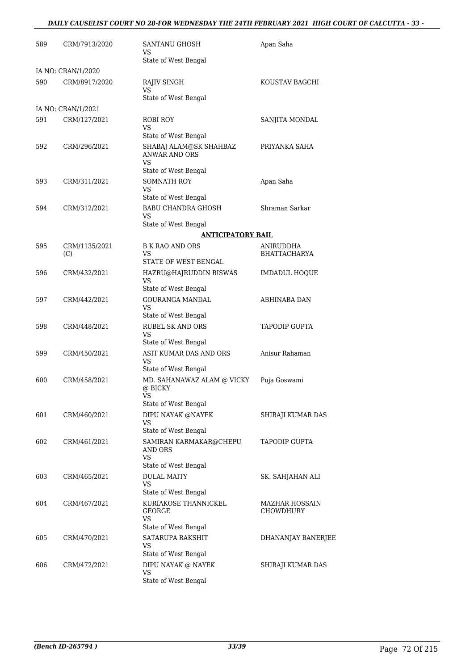#### *DAILY CAUSELIST COURT NO 28-FOR WEDNESDAY THE 24TH FEBRUARY 2021 HIGH COURT OF CALCUTTA - 33 -*

| 589 | CRM/7913/2020                      | SANTANU GHOSH<br>VS<br>State of West Bengal                 | Apan Saha                   |
|-----|------------------------------------|-------------------------------------------------------------|-----------------------------|
|     | IA NO: CRAN/1/2020                 |                                                             |                             |
| 590 | CRM/8917/2020                      | RAJIV SINGH<br><b>VS</b>                                    | KOUSTAV BAGCHI              |
|     |                                    | State of West Bengal                                        |                             |
| 591 | IA NO: CRAN/1/2021<br>CRM/127/2021 |                                                             |                             |
|     |                                    | ROBI ROY<br><b>VS</b><br>State of West Bengal               | SANJITA MONDAL              |
| 592 | CRM/296/2021                       | SHABAJ ALAM@SK SHAHBAZ<br><b>ANWAR AND ORS</b><br><b>VS</b> | PRIYANKA SAHA               |
|     |                                    | State of West Bengal                                        |                             |
| 593 | CRM/311/2021                       | <b>SOMNATH ROY</b><br>VS.<br>State of West Bengal           | Apan Saha                   |
| 594 | CRM/312/2021                       | <b>BABU CHANDRA GHOSH</b><br>VS                             | Shraman Sarkar              |
|     |                                    | State of West Bengal                                        |                             |
|     |                                    | <b>ANTICIPATORY BAIL</b>                                    |                             |
| 595 | CRM/1135/2021                      | <b>B K RAO AND ORS</b>                                      | ANIRUDDHA                   |
|     | (C)                                | VS<br>STATE OF WEST BENGAL                                  | <b>BHATTACHARYA</b>         |
| 596 | CRM/432/2021                       | HAZRU@HAJRUDDIN BISWAS<br><b>VS</b>                         | <b>IMDADUL HOQUE</b>        |
|     |                                    | State of West Bengal                                        |                             |
| 597 | CRM/442/2021                       | <b>GOURANGA MANDAL</b><br>VS                                | ABHINABA DAN                |
|     |                                    | State of West Bengal                                        |                             |
| 598 | CRM/448/2021                       | <b>RUBEL SK AND ORS</b><br>VS<br>State of West Bengal       | <b>TAPODIP GUPTA</b>        |
| 599 | CRM/450/2021                       | ASIT KUMAR DAS AND ORS<br>VS                                | Anisur Rahaman              |
|     |                                    | State of West Bengal                                        |                             |
| 600 | CRM/458/2021                       | MD. SAHANAWAZ ALAM @ VICKY<br>@ BICKY<br><b>VS</b>          | Puja Goswami                |
| 601 |                                    | State of West Bengal                                        |                             |
|     | CRM/460/2021                       | DIPU NAYAK @NAYEK<br>VS<br>State of West Bengal             | SHIBAJI KUMAR DAS           |
| 602 | CRM/461/2021                       | SAMIRAN KARMAKAR@CHEPU<br>AND ORS<br><b>VS</b>              | <b>TAPODIP GUPTA</b>        |
|     |                                    | State of West Bengal                                        |                             |
| 603 | CRM/465/2021                       | <b>DULAL MAITY</b><br><b>VS</b><br>State of West Bengal     | SK. SAHJAHAN ALI            |
| 604 | CRM/467/2021                       | KURIAKOSE THANNICKEL<br>GEORGE<br>VS                        | MAZHAR HOSSAIN<br>CHOWDHURY |
|     |                                    | State of West Bengal                                        |                             |
| 605 | CRM/470/2021                       | SATARUPA RAKSHIT<br>VS<br>State of West Bengal              | DHANANJAY BANERJEE          |
| 606 | CRM/472/2021                       | DIPU NAYAK @ NAYEK                                          | SHIBAJI KUMAR DAS           |
|     |                                    | <b>VS</b><br>State of West Bengal                           |                             |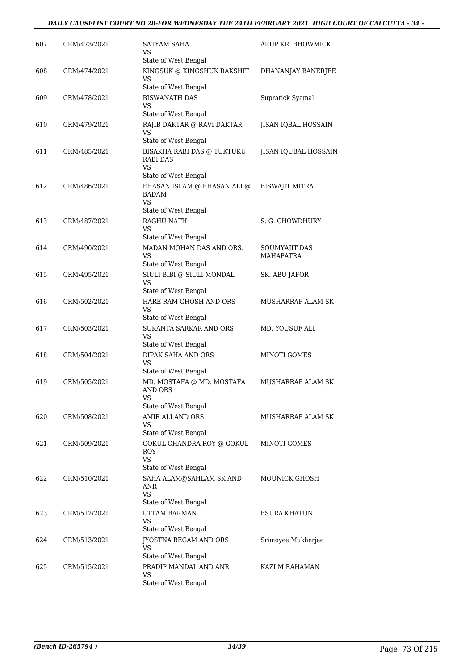| 607 | CRM/473/2021 | <b>SATYAM SAHA</b><br>VS                                                            | ARUP KR. BHOWMICK                 |
|-----|--------------|-------------------------------------------------------------------------------------|-----------------------------------|
| 608 | CRM/474/2021 | State of West Bengal<br>KINGSUK @ KINGSHUK RAKSHIT                                  | DHANANJAY BANERJEE                |
|     |              | VS<br>State of West Bengal                                                          |                                   |
| 609 | CRM/478/2021 | <b>BISWANATH DAS</b><br>VS<br>State of West Bengal                                  | Supratick Syamal                  |
| 610 | CRM/479/2021 | RAJIB DAKTAR @ RAVI DAKTAR<br>VS<br>State of West Bengal                            | JISAN IQBAL HOSSAIN               |
| 611 | CRM/485/2021 | BISAKHA RABI DAS @ TUKTUKU<br>RABI DAS<br><b>VS</b><br>State of West Bengal         | JISAN IQUBAL HOSSAIN              |
| 612 | CRM/486/2021 | EHASAN ISLAM @ EHASAN ALI @<br><b>BADAM</b><br><b>VS</b><br>State of West Bengal    | <b>BISWAJIT MITRA</b>             |
| 613 | CRM/487/2021 | RAGHU NATH<br>VS                                                                    | S. G. CHOWDHURY                   |
|     |              | State of West Bengal                                                                |                                   |
| 614 | CRM/490/2021 | MADAN MOHAN DAS AND ORS.<br>VS<br>State of West Bengal                              | SOUMYAJIT DAS<br><b>MAHAPATRA</b> |
| 615 | CRM/495/2021 | SIULI BIBI @ SIULI MONDAL<br>VS<br>State of West Bengal                             | SK. ABU JAFOR                     |
| 616 | CRM/502/2021 | HARE RAM GHOSH AND ORS<br>VS                                                        | MUSHARRAF ALAM SK                 |
| 617 | CRM/503/2021 | State of West Bengal<br>SUKANTA SARKAR AND ORS                                      | MD. YOUSUF ALI                    |
|     |              | VS<br>State of West Bengal                                                          |                                   |
| 618 | CRM/504/2021 | DIPAK SAHA AND ORS<br><b>VS</b><br>State of West Bengal                             | <b>MINOTI GOMES</b>               |
| 619 | CRM/505/2021 | MD. MOSTAFA @ MD. MOSTAFA<br>AND ORS<br><b>VS</b><br>State of West Bengal           | MUSHARRAF ALAM SK                 |
| 620 | CRM/508/2021 | AMIR ALI AND ORS<br>VS                                                              | MUSHARRAF ALAM SK                 |
| 621 | CRM/509/2021 | State of West Bengal<br><b>GOKUL CHANDRA ROY @ GOKUL</b><br><b>ROY</b><br><b>VS</b> | <b>MINOTI GOMES</b>               |
| 622 | CRM/510/2021 | State of West Bengal<br>SAHA ALAM@SAHLAM SK AND                                     | <b>MOUNICK GHOSH</b>              |
|     |              | ANR<br><b>VS</b><br>State of West Bengal                                            |                                   |
| 623 | CRM/512/2021 | <b>UTTAM BARMAN</b><br>VS                                                           | <b>BSURA KHATUN</b>               |
| 624 | CRM/513/2021 | State of West Bengal<br>JYOSTNA BEGAM AND ORS                                       | Srimoyee Mukherjee                |
|     |              | VS<br>State of West Bengal                                                          |                                   |
| 625 | CRM/515/2021 | PRADIP MANDAL AND ANR<br>VS<br>State of West Bengal                                 | KAZI M RAHAMAN                    |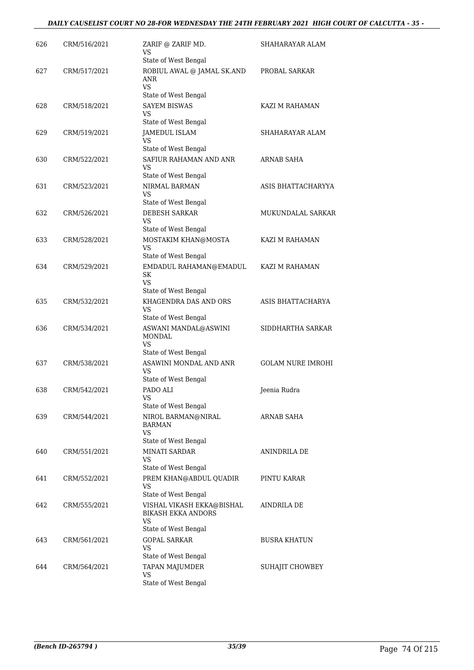| 626 | CRM/516/2021 | ZARIF @ ZARIF MD.<br>VS                                                           | SHAHARAYAR ALAM          |
|-----|--------------|-----------------------------------------------------------------------------------|--------------------------|
| 627 | CRM/517/2021 | State of West Bengal<br>ROBIUL AWAL @ JAMAL SK.AND<br>ANR<br><b>VS</b>            | PROBAL SARKAR            |
| 628 | CRM/518/2021 | State of West Bengal<br><b>SAYEM BISWAS</b><br>VS                                 | KAZI M RAHAMAN           |
| 629 | CRM/519/2021 | State of West Bengal<br><b>JAMEDUL ISLAM</b><br>VS                                | SHAHARAYAR ALAM          |
| 630 | CRM/522/2021 | State of West Bengal<br>SAFIUR RAHAMAN AND ANR<br>VS.                             | ARNAB SAHA               |
| 631 | CRM/523/2021 | State of West Bengal<br>NIRMAL BARMAN<br><b>VS</b>                                | ASIS BHATTACHARYYA       |
| 632 | CRM/526/2021 | State of West Bengal<br><b>DEBESH SARKAR</b><br><b>VS</b><br>State of West Bengal | MUKUNDALAL SARKAR        |
| 633 | CRM/528/2021 | MOSTAKIM KHAN@MOSTA<br>VS<br>State of West Bengal                                 | KAZI M RAHAMAN           |
| 634 | CRM/529/2021 | EMDADUL RAHAMAN@EMADUL<br>SK<br>VS.                                               | KAZI M RAHAMAN           |
| 635 | CRM/532/2021 | State of West Bengal<br>KHAGENDRA DAS AND ORS<br><b>VS</b>                        | ASIS BHATTACHARYA        |
| 636 | CRM/534/2021 | State of West Bengal<br>ASWANI MANDAL@ASWINI<br><b>MONDAL</b><br>VS.              | SIDDHARTHA SARKAR        |
| 637 | CRM/538/2021 | State of West Bengal<br>ASAWINI MONDAL AND ANR<br>VS<br>State of West Bengal      | <b>GOLAM NURE IMROHI</b> |
| 638 | CRM/542/2021 | PADO ALI<br><b>VS</b><br>State of West Bengal                                     | Jeenia Rudra             |
| 639 | CRM/544/2021 | NIROL BARMAN@NIRAL<br><b>BARMAN</b><br>VS<br>State of West Bengal                 | ARNAB SAHA               |
| 640 | CRM/551/2021 | MINATI SARDAR<br>VS<br>State of West Bengal                                       | ANINDRILA DE             |
| 641 | CRM/552/2021 | PREM KHAN@ABDUL QUADIR<br><b>VS</b><br>State of West Bengal                       | PINTU KARAR              |
| 642 | CRM/555/2021 | VISHAL VIKASH EKKA@BISHAL<br>BIKASH EKKA ANDORS<br>VS                             | AINDRILA DE              |
| 643 | CRM/561/2021 | State of West Bengal<br><b>GOPAL SARKAR</b><br><b>VS</b>                          | <b>BUSRA KHATUN</b>      |
| 644 | CRM/564/2021 | State of West Bengal<br>TAPAN MAJUMDER<br>VS<br>State of West Bengal              | SUHAJIT CHOWBEY          |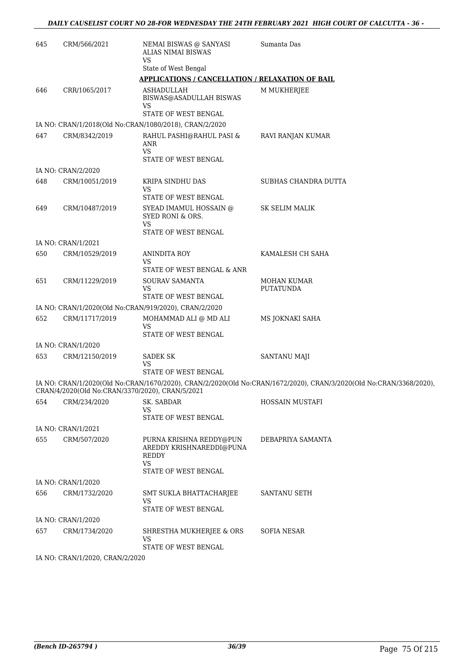| 645 | CRM/566/2021                    | NEMAI BISWAS @ SANYASI<br>ALIAS NIMAI BISWAS<br><b>VS</b>                        | Sumanta Das                                                                                                        |
|-----|---------------------------------|----------------------------------------------------------------------------------|--------------------------------------------------------------------------------------------------------------------|
|     |                                 | State of West Bengal                                                             |                                                                                                                    |
|     |                                 | <b>APPLICATIONS / CANCELLATION / RELAXATION OF BAIL</b>                          |                                                                                                                    |
| 646 | CRR/1065/2017                   | <b>ASHADULLAH</b><br>BISWAS@ASADULLAH BISWAS<br>VS                               | M MUKHERJEE                                                                                                        |
|     |                                 | STATE OF WEST BENGAL                                                             |                                                                                                                    |
|     |                                 | IA NO: CRAN/1/2018(Old No:CRAN/1080/2018), CRAN/2/2020                           |                                                                                                                    |
| 647 | CRM/8342/2019                   | RAHUL PASHI@RAHUL PASI &<br>ANR<br>VS                                            | RAVI RANJAN KUMAR                                                                                                  |
|     |                                 | STATE OF WEST BENGAL                                                             |                                                                                                                    |
|     | IA NO: CRAN/2/2020              |                                                                                  |                                                                                                                    |
| 648 | CRM/10051/2019                  | KRIPA SINDHU DAS<br>VS                                                           | SUBHAS CHANDRA DUTTA                                                                                               |
|     |                                 | STATE OF WEST BENGAL                                                             |                                                                                                                    |
| 649 | CRM/10487/2019                  | SYEAD IMAMUL HOSSAIN @<br>SYED RONI & ORS.<br>VS.                                | <b>SK SELIM MALIK</b>                                                                                              |
|     |                                 | STATE OF WEST BENGAL                                                             |                                                                                                                    |
|     | IA NO: CRAN/1/2021              |                                                                                  |                                                                                                                    |
| 650 | CRM/10529/2019                  | ANINDITA ROY<br>VS                                                               | KAMALESH CH SAHA                                                                                                   |
|     |                                 | STATE OF WEST BENGAL & ANR                                                       |                                                                                                                    |
| 651 | CRM/11229/2019                  | SOURAV SAMANTA<br>VS<br>STATE OF WEST BENGAL                                     | MOHAN KUMAR<br><b>PUTATUNDA</b>                                                                                    |
|     |                                 | IA NO: CRAN/1/2020(Old No:CRAN/919/2020), CRAN/2/2020                            |                                                                                                                    |
| 652 | CRM/11717/2019                  | MOHAMMAD ALI @ MD ALI<br>VS                                                      | MS JOKNAKI SAHA                                                                                                    |
|     |                                 | STATE OF WEST BENGAL                                                             |                                                                                                                    |
|     | IA NO: CRAN/1/2020              |                                                                                  |                                                                                                                    |
| 653 | CRM/12150/2019                  | <b>SADEK SK</b><br>VS.<br>STATE OF WEST BENGAL                                   | <b>SANTANU MAJI</b>                                                                                                |
|     |                                 | CRAN/4/2020(Old No:CRAN/3370/2020), CRAN/5/2021                                  | IA NO: CRAN/1/2020(Old No:CRAN/1670/2020), CRAN/2/2020(Old No:CRAN/1672/2020), CRAN/3/2020(Old No:CRAN/3368/2020), |
| 654 | CRM/234/2020                    | SK. SABDAR                                                                       | HOSSAIN MUSTAFI                                                                                                    |
|     |                                 | VS<br>STATE OF WEST BENGAL                                                       |                                                                                                                    |
|     | IA NO: CRAN/1/2021              |                                                                                  |                                                                                                                    |
| 655 | CRM/507/2020                    | PURNA KRISHNA REDDY@PUN<br>AREDDY KRISHNAREDDI@PUNA<br><b>REDDY</b><br><b>VS</b> | DEBAPRIYA SAMANTA                                                                                                  |
|     |                                 | STATE OF WEST BENGAL                                                             |                                                                                                                    |
|     | IA NO: CRAN/1/2020              |                                                                                  |                                                                                                                    |
| 656 | CRM/1732/2020                   | SMT SUKLA BHATTACHARJEE<br>VS<br>STATE OF WEST BENGAL                            | SANTANU SETH                                                                                                       |
|     | IA NO: CRAN/1/2020              |                                                                                  |                                                                                                                    |
| 657 | CRM/1734/2020                   | SHRESTHA MUKHERJEE & ORS<br>VS                                                   | <b>SOFIA NESAR</b>                                                                                                 |
|     |                                 | STATE OF WEST BENGAL                                                             |                                                                                                                    |
|     | IA NO: CRAN/1/2020, CRAN/2/2020 |                                                                                  |                                                                                                                    |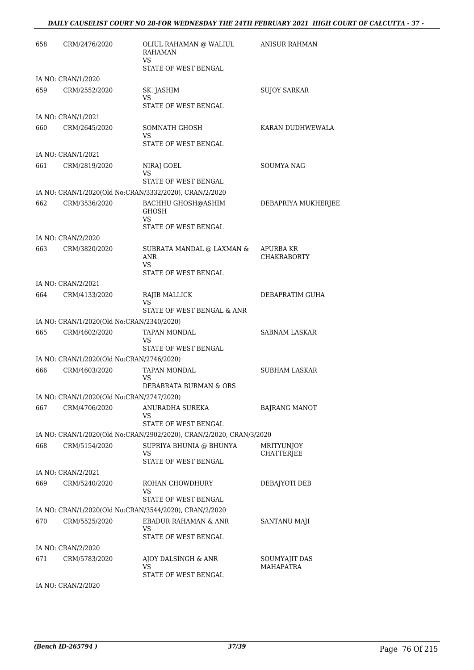| 658 | CRM/2476/2020                             | OLIUL RAHAMAN @ WALIUL<br><b>RAHAMAN</b><br><b>VS</b><br>STATE OF WEST BENGAL  | <b>ANISUR RAHMAN</b>                   |
|-----|-------------------------------------------|--------------------------------------------------------------------------------|----------------------------------------|
|     | IA NO: CRAN/1/2020                        |                                                                                |                                        |
| 659 | CRM/2552/2020                             | SK. JASHIM<br>VS<br>STATE OF WEST BENGAL                                       | SUJOY SARKAR                           |
|     | IA NO: CRAN/1/2021                        |                                                                                |                                        |
| 660 | CRM/2645/2020                             | SOMNATH GHOSH<br>VS<br>STATE OF WEST BENGAL                                    | KARAN DUDHWEWALA                       |
|     | IA NO: CRAN/1/2021                        |                                                                                |                                        |
| 661 | CRM/2819/2020                             | NIRAJ GOEL                                                                     | SOUMYA NAG                             |
|     |                                           | VS<br>STATE OF WEST BENGAL                                                     |                                        |
|     |                                           | IA NO: CRAN/1/2020(Old No:CRAN/3332/2020), CRAN/2/2020                         |                                        |
| 662 | CRM/3536/2020                             | BACHHU GHOSH@ASHIM<br><b>GHOSH</b><br>VS                                       | DEBAPRIYA MUKHERJEE                    |
|     |                                           | STATE OF WEST BENGAL                                                           |                                        |
| 663 | IA NO: CRAN/2/2020<br>CRM/3820/2020       | SUBRATA MANDAL @ LAXMAN &<br>ANR                                               | <b>APURBA KR</b><br><b>CHAKRABORTY</b> |
|     |                                           | VS<br>STATE OF WEST BENGAL                                                     |                                        |
|     | IA NO: CRAN/2/2021                        |                                                                                |                                        |
| 664 | CRM/4133/2020                             | RAJIB MALLICK<br>VS<br>STATE OF WEST BENGAL & ANR                              | DEBAPRATIM GUHA                        |
|     | IA NO: CRAN/1/2020(Old No:CRAN/2340/2020) |                                                                                |                                        |
| 665 | CRM/4602/2020                             | TAPAN MONDAL<br>VS                                                             | <b>SABNAM LASKAR</b>                   |
|     | IA NO: CRAN/1/2020(Old No:CRAN/2746/2020) | STATE OF WEST BENGAL                                                           |                                        |
| 666 | CRM/4603/2020                             | TAPAN MONDAL                                                                   | <b>SUBHAM LASKAR</b>                   |
|     |                                           | VS<br>DEBABRATA BURMAN & ORS                                                   |                                        |
|     | IA NO: CRAN/1/2020(Old No:CRAN/2747/2020) |                                                                                |                                        |
| 667 | CRM/4706/2020                             | ANURADHA SUREKA<br>VS                                                          | <b>BAJRANG MANOT</b>                   |
|     |                                           | STATE OF WEST BENGAL                                                           |                                        |
|     |                                           | IA NO: CRAN/1/2020(Old No:CRAN/2902/2020), CRAN/2/2020, CRAN/3/2020            |                                        |
| 668 | CRM/5154/2020                             | SUPRIYA BHUNIA @ BHUNYA<br>VS<br>STATE OF WEST BENGAL                          | <b>MRITYUNIOY</b><br>CHATTERJEE        |
|     | IA NO: CRAN/2/2021                        |                                                                                |                                        |
| 669 | CRM/5240/2020                             | ROHAN CHOWDHURY<br>VS                                                          | DEBAJYOTI DEB                          |
|     |                                           | STATE OF WEST BENGAL<br>IA NO: CRAN/1/2020(Old No:CRAN/3544/2020), CRAN/2/2020 |                                        |
| 670 | CRM/5525/2020                             | EBADUR RAHAMAN & ANR<br>VS<br>STATE OF WEST BENGAL                             | SANTANU MAJI                           |
|     | IA NO: CRAN/2/2020                        |                                                                                |                                        |
| 671 | CRM/5783/2020                             | AJOY DALSINGH & ANR<br>VS<br>STATE OF WEST BENGAL                              | SOUMYAJIT DAS<br><b>MAHAPATRA</b>      |
|     |                                           |                                                                                |                                        |

IA NO: CRAN/2/2020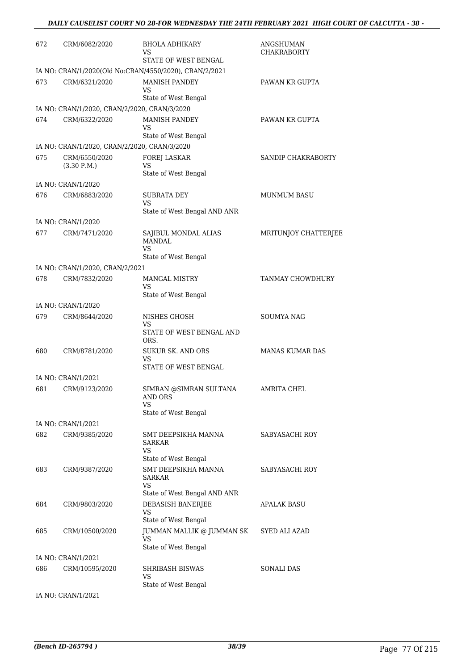| 672 | CRM/6082/2020                                                 | BHOLA ADHIKARY<br>VS<br>STATE OF WEST BENGAL                                         | ANGSHUMAN<br><b>CHAKRABORTY</b> |
|-----|---------------------------------------------------------------|--------------------------------------------------------------------------------------|---------------------------------|
| 673 | CRM/6321/2020                                                 | IA NO: CRAN/1/2020(Old No:CRAN/4550/2020), CRAN/2/2021<br><b>MANISH PANDEY</b><br>VS | PAWAN KR GUPTA                  |
|     |                                                               | State of West Bengal                                                                 |                                 |
| 674 | IA NO: CRAN/1/2020, CRAN/2/2020, CRAN/3/2020<br>CRM/6322/2020 | <b>MANISH PANDEY</b>                                                                 | PAWAN KR GUPTA                  |
|     |                                                               | VS                                                                                   |                                 |
|     |                                                               | State of West Bengal                                                                 |                                 |
|     | IA NO: CRAN/1/2020, CRAN/2/2020, CRAN/3/2020                  |                                                                                      |                                 |
| 675 | CRM/6550/2020<br>(3.30 P.M.)                                  | FOREJ LASKAR<br>VS<br>State of West Bengal                                           | SANDIP CHAKRABORTY              |
|     | IA NO: CRAN/1/2020                                            |                                                                                      |                                 |
| 676 | CRM/6883/2020                                                 | <b>SUBRATA DEY</b><br>VS                                                             | <b>MUNMUM BASU</b>              |
|     | IA NO: CRAN/1/2020                                            | State of West Bengal AND ANR                                                         |                                 |
| 677 | CRM/7471/2020                                                 | SAJIBUL MONDAL ALIAS<br><b>MANDAL</b>                                                | MRITUNJOY CHATTERJEE            |
|     |                                                               | <b>VS</b><br>State of West Bengal                                                    |                                 |
|     | IA NO: CRAN/1/2020, CRAN/2/2021                               |                                                                                      |                                 |
| 678 | CRM/7832/2020                                                 | <b>MANGAL MISTRY</b>                                                                 | TANMAY CHOWDHURY                |
|     |                                                               | VS<br>State of West Bengal                                                           |                                 |
|     | IA NO: CRAN/1/2020                                            |                                                                                      |                                 |
| 679 | CRM/8644/2020                                                 | NISHES GHOSH<br>VS<br>STATE OF WEST BENGAL AND                                       | <b>SOUMYA NAG</b>               |
|     |                                                               | ORS.                                                                                 |                                 |
| 680 | CRM/8781/2020                                                 | <b>SUKUR SK. AND ORS</b><br>VS<br>STATE OF WEST BENGAL                               | <b>MANAS KUMAR DAS</b>          |
|     | IA NO: CRAN/1/2021                                            |                                                                                      |                                 |
| 681 | CRM/9123/2020                                                 | SIMRAN @SIMRAN SULTANA<br>AND ORS<br>VS<br>State of West Bengal                      | <b>AMRITA CHEL</b>              |
|     | IA NO: CRAN/1/2021                                            |                                                                                      |                                 |
| 682 | CRM/9385/2020                                                 | SMT DEEPSIKHA MANNA<br>SARKAR<br>VS<br>State of West Bengal                          | SABYASACHI ROY                  |
| 683 | CRM/9387/2020                                                 | SMT DEEPSIKHA MANNA<br><b>SARKAR</b><br>VS                                           | SABYASACHI ROY                  |
| 684 | CRM/9803/2020                                                 | State of West Bengal AND ANR<br>DEBASISH BANERJEE<br>VS                              | APALAK BASU                     |
|     |                                                               | State of West Bengal                                                                 |                                 |
| 685 | CRM/10500/2020                                                | JUMMAN MALLIK @ JUMMAN SK<br>VS<br>State of West Bengal                              | SYED ALI AZAD                   |
|     | IA NO: CRAN/1/2021                                            |                                                                                      |                                 |
| 686 | CRM/10595/2020                                                | <b>SHRIBASH BISWAS</b><br>VS                                                         | SONALI DAS                      |
|     |                                                               | State of West Bengal                                                                 |                                 |
|     | IA NO: CRAN/1/2021                                            |                                                                                      |                                 |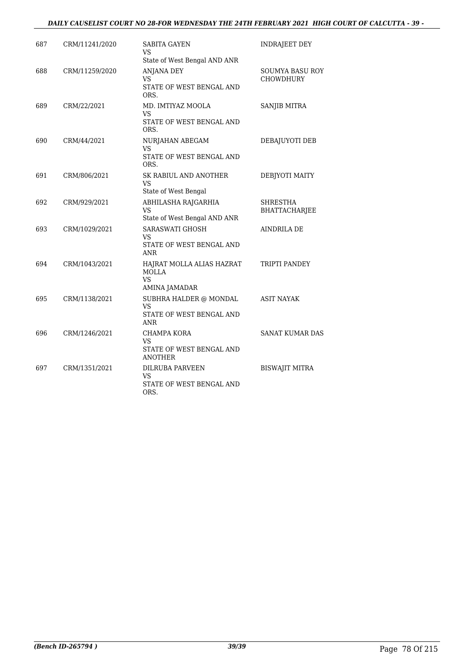#### *DAILY CAUSELIST COURT NO 28-FOR WEDNESDAY THE 24TH FEBRUARY 2021 HIGH COURT OF CALCUTTA - 39 -*

| 687 | CRM/11241/2020 | SABITA GAYEN<br>VS<br>State of West Bengal AND ANR                            | INDRAJEET DEY                       |
|-----|----------------|-------------------------------------------------------------------------------|-------------------------------------|
| 688 | CRM/11259/2020 | <b>ANJANA DEY</b><br>VS<br>STATE OF WEST BENGAL AND<br>ORS.                   | <b>SOUMYA BASU ROY</b><br>CHOWDHURY |
| 689 | CRM/22/2021    | MD. IMTIYAZ MOOLA<br><b>VS</b><br>STATE OF WEST BENGAL AND<br>ORS.            | SANJIB MITRA                        |
| 690 | CRM/44/2021    | NURJAHAN ABEGAM<br>VS<br>STATE OF WEST BENGAL AND<br>ORS.                     | DEBAJUYOTI DEB                      |
| 691 | CRM/806/2021   | SK RABIUL AND ANOTHER<br><b>VS</b><br>State of West Bengal                    | DEBJYOTI MAITY                      |
| 692 | CRM/929/2021   | ABHILASHA RAJGARHIA<br><b>VS</b><br>State of West Bengal AND ANR              | SHRESTHA<br><b>BHATTACHARJEE</b>    |
| 693 | CRM/1029/2021  | <b>SARASWATI GHOSH</b><br><b>VS</b><br>STATE OF WEST BENGAL AND<br><b>ANR</b> | <b>AINDRILA DE</b>                  |
| 694 | CRM/1043/2021  | HAJRAT MOLLA ALIAS HAZRAT<br><b>MOLLA</b><br><b>VS</b><br>AMINA JAMADAR       | TRIPTI PANDEY                       |
| 695 | CRM/1138/2021  | SUBHRA HALDER @ MONDAL<br><b>VS</b><br>STATE OF WEST BENGAL AND<br>ANR        | <b>ASIT NAYAK</b>                   |
| 696 | CRM/1246/2021  | CHAMPA KORA<br>VS<br>STATE OF WEST BENGAL AND<br><b>ANOTHER</b>               | <b>SANAT KUMAR DAS</b>              |
| 697 | CRM/1351/2021  | <b>DILRUBA PARVEEN</b><br>VS.<br>STATE OF WEST BENGAL AND<br>ORS.             | <b>BISWAJIT MITRA</b>               |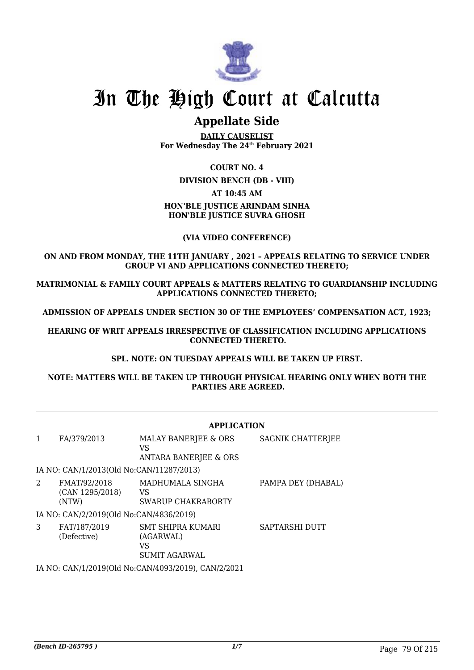

# In The High Court at Calcutta

## **Appellate Side**

**DAILY CAUSELIST For Wednesday The 24th February 2021**

#### **COURT NO. 4**

**DIVISION BENCH (DB - VIII)**

#### **AT 10:45 AM**

## **HON'BLE JUSTICE ARINDAM SINHA HON'BLE JUSTICE SUVRA GHOSH**

#### **(VIA VIDEO CONFERENCE)**

#### **ON AND FROM MONDAY, THE 11TH JANUARY , 2021 – APPEALS RELATING TO SERVICE UNDER GROUP VI AND APPLICATIONS CONNECTED THERETO;**

**MATRIMONIAL & FAMILY COURT APPEALS & MATTERS RELATING TO GUARDIANSHIP INCLUDING APPLICATIONS CONNECTED THERETO;**

**ADMISSION OF APPEALS UNDER SECTION 30 OF THE EMPLOYEES' COMPENSATION ACT, 1923;**

**HEARING OF WRIT APPEALS IRRESPECTIVE OF CLASSIFICATION INCLUDING APPLICATIONS CONNECTED THERETO.**

#### **SPL. NOTE: ON TUESDAY APPEALS WILL BE TAKEN UP FIRST.**

**NOTE: MATTERS WILL BE TAKEN UP THROUGH PHYSICAL HEARING ONLY WHEN BOTH THE PARTIES ARE AGREED.**

#### **APPLICATION**

| 1 | FA/379/2013                              | MALAY BANERJEE & ORS<br>VS<br><b>ANTARA BANERJEE &amp; ORS</b> | SAGNIK CHATTERJEE  |
|---|------------------------------------------|----------------------------------------------------------------|--------------------|
|   | IA NO: CAN/1/2013(Old No:CAN/11287/2013) |                                                                |                    |
| 2 | FMAT/92/2018<br>(CAN 1295/2018)<br>(NTW) | MADHUMALA SINGHA<br>VS<br>SWARUP CHAKRABORTY                   | PAMPA DEY (DHABAL) |
|   | IA NO: CAN/2/2019(Old No:CAN/4836/2019)  |                                                                |                    |
| 3 | FAT/187/2019<br>(Defective)              | SMT SHIPRA KUMARI<br>(AGARWAL)<br>VS<br><b>SUMIT AGARWAL</b>   | SAPTARSHI DUTT     |
|   |                                          | IA NO. CANIJI 1901.0(OLI NA CANIJA002.1901.0) CANIJO 19021     |                    |

IA NO: CAN/1/2019(Old No:CAN/4093/2019), CAN/2/2021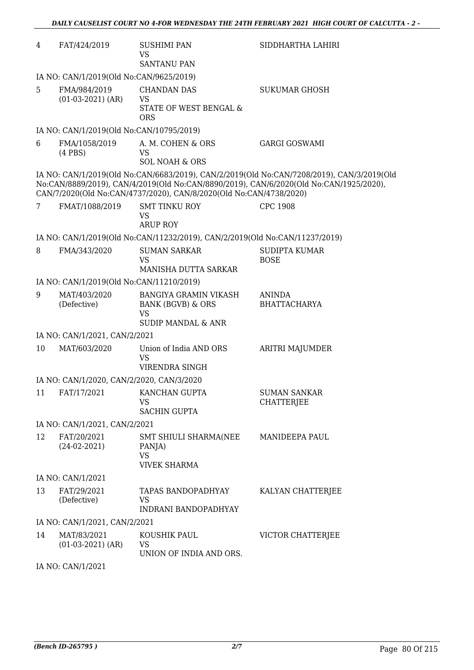| 4                 | FAT/424/2019                              | <b>SUSHIMI PAN</b><br><b>VS</b>                                                                            | SIDDHARTHA LAHIRI                                                                                                                                                                   |  |  |
|-------------------|-------------------------------------------|------------------------------------------------------------------------------------------------------------|-------------------------------------------------------------------------------------------------------------------------------------------------------------------------------------|--|--|
|                   |                                           | <b>SANTANU PAN</b>                                                                                         |                                                                                                                                                                                     |  |  |
|                   | IA NO: CAN/1/2019(Old No:CAN/9625/2019)   |                                                                                                            |                                                                                                                                                                                     |  |  |
| 5                 | FMA/984/2019<br>$(01-03-2021)$ (AR)       | <b>CHANDAN DAS</b><br>VS<br>STATE OF WEST BENGAL &                                                         | <b>SUKUMAR GHOSH</b>                                                                                                                                                                |  |  |
|                   |                                           | <b>ORS</b>                                                                                                 |                                                                                                                                                                                     |  |  |
|                   | IA NO: CAN/1/2019(Old No:CAN/10795/2019)  |                                                                                                            |                                                                                                                                                                                     |  |  |
| 6                 | FMA/1058/2019<br>$(4$ PBS $)$             | A. M. COHEN & ORS<br><b>VS</b><br><b>SOL NOAH &amp; ORS</b>                                                | <b>GARGI GOSWAMI</b>                                                                                                                                                                |  |  |
|                   |                                           | CAN/7/2020(Old No:CAN/4737/2020), CAN/8/2020(Old No:CAN/4738/2020)                                         | IA NO: CAN/1/2019(Old No:CAN/6683/2019), CAN/2/2019(Old No:CAN/7208/2019), CAN/3/2019(Old<br>No:CAN/8889/2019), CAN/4/2019(Old No:CAN/8890/2019), CAN/6/2020(Old No:CAN/1925/2020), |  |  |
| 7                 | FMAT/1088/2019                            | <b>SMT TINKU ROY</b><br><b>VS</b><br><b>ARUP ROY</b>                                                       | <b>CPC 1908</b>                                                                                                                                                                     |  |  |
|                   |                                           | IA NO: CAN/1/2019(Old No:CAN/11232/2019), CAN/2/2019(Old No:CAN/11237/2019)                                |                                                                                                                                                                                     |  |  |
| 8                 | FMA/343/2020                              | <b>SUMAN SARKAR</b>                                                                                        | <b>SUDIPTA KUMAR</b>                                                                                                                                                                |  |  |
|                   |                                           | <b>VS</b>                                                                                                  | <b>BOSE</b>                                                                                                                                                                         |  |  |
|                   |                                           | MANISHA DUTTA SARKAR                                                                                       |                                                                                                                                                                                     |  |  |
| 9                 | IA NO: CAN/1/2019(Old No:CAN/11210/2019)  |                                                                                                            |                                                                                                                                                                                     |  |  |
|                   | MAT/403/2020<br>(Defective)               | <b>BANGIYA GRAMIN VIKASH</b><br><b>BANK (BGVB) &amp; ORS</b><br><b>VS</b><br><b>SUDIP MANDAL &amp; ANR</b> | ANINDA<br><b>BHATTACHARYA</b>                                                                                                                                                       |  |  |
|                   | IA NO: CAN/1/2021, CAN/2/2021             |                                                                                                            |                                                                                                                                                                                     |  |  |
| 10                | MAT/603/2020                              | Union of India AND ORS<br>VS<br><b>VIRENDRA SINGH</b>                                                      | <b>ARITRI MAJUMDER</b>                                                                                                                                                              |  |  |
|                   | IA NO: CAN/1/2020, CAN/2/2020, CAN/3/2020 |                                                                                                            |                                                                                                                                                                                     |  |  |
| 11                | FAT/17/2021                               | KANCHAN GUPTA<br><b>VS</b><br><b>SACHIN GUPTA</b>                                                          | <b>SUMAN SANKAR</b><br><b>CHATTERJEE</b>                                                                                                                                            |  |  |
|                   | IA NO: CAN/1/2021, CAN/2/2021             |                                                                                                            |                                                                                                                                                                                     |  |  |
| 12                | FAT/20/2021<br>$(24-02-2021)$             | SMT SHIULI SHARMA(NEE<br>PANJA)<br><b>VS</b><br><b>VIVEK SHARMA</b>                                        | <b>MANIDEEPA PAUL</b>                                                                                                                                                               |  |  |
| IA NO: CAN/1/2021 |                                           |                                                                                                            |                                                                                                                                                                                     |  |  |
| 13                | FAT/29/2021<br>(Defective)                | TAPAS BANDOPADHYAY<br>VS<br>INDRANI BANDOPADHYAY                                                           | KALYAN CHATTERJEE                                                                                                                                                                   |  |  |
|                   | IA NO: CAN/1/2021, CAN/2/2021             |                                                                                                            |                                                                                                                                                                                     |  |  |
| 14                | MAT/83/2021<br>$(01-03-2021)$ (AR)        | KOUSHIK PAUL<br>VS                                                                                         | VICTOR CHATTERJEE                                                                                                                                                                   |  |  |
|                   |                                           | UNION OF INDIA AND ORS.                                                                                    |                                                                                                                                                                                     |  |  |

IA NO: CAN/1/2021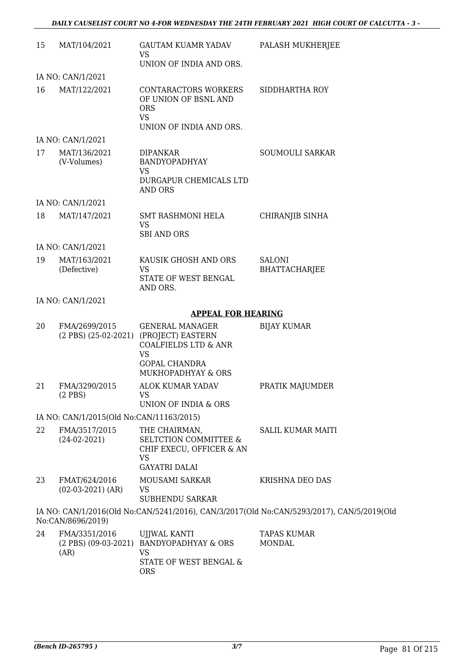| 15 | MAT/104/2021                                         | <b>GAUTAM KUAMR YADAV</b><br>VS                                                                                                           | PALASH MUKHERJEE                                                                          |
|----|------------------------------------------------------|-------------------------------------------------------------------------------------------------------------------------------------------|-------------------------------------------------------------------------------------------|
|    |                                                      | UNION OF INDIA AND ORS.                                                                                                                   |                                                                                           |
|    | IA NO: CAN/1/2021                                    |                                                                                                                                           |                                                                                           |
| 16 | MAT/122/2021                                         | CONTARACTORS WORKERS<br>OF UNION OF BSNL AND<br><b>ORS</b><br><b>VS</b><br>UNION OF INDIA AND ORS.                                        | SIDDHARTHA ROY                                                                            |
|    | IA NO: CAN/1/2021                                    |                                                                                                                                           |                                                                                           |
| 17 | MAT/136/2021<br>(V-Volumes)                          | <b>DIPANKAR</b><br>BANDYOPADHYAY<br>VS<br>DURGAPUR CHEMICALS LTD<br>AND ORS                                                               | <b>SOUMOULI SARKAR</b>                                                                    |
|    | IA NO: CAN/1/2021                                    |                                                                                                                                           |                                                                                           |
| 18 | MAT/147/2021                                         | <b>SMT RASHMONI HELA</b><br><b>VS</b><br><b>SBI AND ORS</b>                                                                               | <b>CHIRANJIB SINHA</b>                                                                    |
|    | IA NO: CAN/1/2021                                    |                                                                                                                                           |                                                                                           |
| 19 | MAT/163/2021<br>(Defective)                          | KAUSIK GHOSH AND ORS<br><b>VS</b><br>STATE OF WEST BENGAL<br>AND ORS.                                                                     | <b>SALONI</b><br><b>BHATTACHARJEE</b>                                                     |
|    | IA NO: CAN/1/2021                                    |                                                                                                                                           |                                                                                           |
|    |                                                      | <b>APPEAL FOR HEARING</b>                                                                                                                 |                                                                                           |
| 20 | FMA/2699/2015<br>$(2$ PBS) $(25-02-2021)$            | <b>GENERAL MANAGER</b><br>(PROJECT) EASTERN<br><b>COALFIELDS LTD &amp; ANR</b><br><b>VS</b><br><b>GOPAL CHANDRA</b><br>MUKHOPADHYAY & ORS | <b>BIJAY KUMAR</b>                                                                        |
| 21 | FMA/3290/2015<br>(2 PBS)                             | <b>ALOK KUMAR YADAV</b><br>vs<br>UNION OF INDIA & ORS                                                                                     | PRATIK MAJUMDER                                                                           |
|    | IA NO: CAN/1/2015(Old No:CAN/11163/2015)             |                                                                                                                                           |                                                                                           |
| 22 | FMA/3517/2015<br>$(24-02-2021)$                      | THE CHAIRMAN,<br><b>SELTCTION COMMITTEE &amp;</b><br>CHIF EXECU, OFFICER & AN<br>VS<br><b>GAYATRI DALAI</b>                               | <b>SALIL KUMAR MAITI</b>                                                                  |
| 23 | FMAT/624/2016<br>$(02-03-2021)$ (AR)                 | MOUSAMI SARKAR<br>VS<br><b>SUBHENDU SARKAR</b>                                                                                            | KRISHNA DEO DAS                                                                           |
|    | No:CAN/8696/2019)                                    |                                                                                                                                           | IA NO: CAN/1/2016(Old No:CAN/5241/2016), CAN/3/2017(Old No:CAN/5293/2017), CAN/5/2019(Old |
| 24 | FMA/3351/2016<br>$(2$ PBS $)$ $(09-03-2021)$<br>(AR) | UJJWAL KANTI<br><b>BANDYOPADHYAY &amp; ORS</b><br><b>VS</b><br>STATE OF WEST BENGAL &                                                     | <b>TAPAS KUMAR</b><br><b>MONDAL</b>                                                       |

ORS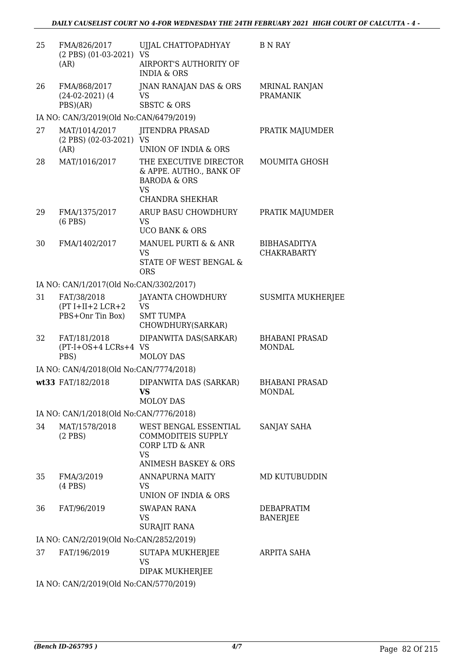| 25 | FMA/826/2017<br>(2 PBS) (01-03-2021) VS<br>(AR)       | UJJAL CHATTOPADHYAY<br>AIRPORT'S AUTHORITY OF<br><b>INDIA &amp; ORS</b>                                             | B N RAY                                   |
|----|-------------------------------------------------------|---------------------------------------------------------------------------------------------------------------------|-------------------------------------------|
| 26 | FMA/868/2017<br>$(24-02-2021)$ (4)<br>PBS)(AR)        | JNAN RANAJAN DAS & ORS<br>VS<br><b>SBSTC &amp; ORS</b>                                                              | <b>MRINAL RANJAN</b><br><b>PRAMANIK</b>   |
|    | IA NO: CAN/3/2019(Old No:CAN/6479/2019)               |                                                                                                                     |                                           |
| 27 | MAT/1014/2017<br>(2 PBS) (02-03-2021) VS<br>(AR)      | <b>JITENDRA PRASAD</b><br>UNION OF INDIA & ORS                                                                      | PRATIK MAJUMDER                           |
| 28 | MAT/1016/2017                                         | THE EXECUTIVE DIRECTOR<br>& APPE. AUTHO., BANK OF<br><b>BARODA &amp; ORS</b><br><b>VS</b><br><b>CHANDRA SHEKHAR</b> | MOUMITA GHOSH                             |
| 29 | FMA/1375/2017<br>$(6$ PBS $)$                         | ARUP BASU CHOWDHURY<br><b>VS</b><br><b>UCO BANK &amp; ORS</b>                                                       | PRATIK MAJUMDER                           |
| 30 | FMA/1402/2017                                         | MANUEL PURTI & & ANR<br><b>VS</b><br>STATE OF WEST BENGAL &<br><b>ORS</b>                                           | <b>BIBHASADITYA</b><br><b>CHAKRABARTY</b> |
|    | IA NO: CAN/1/2017(Old No:CAN/3302/2017)               |                                                                                                                     |                                           |
| 31 | FAT/38/2018<br>$(PT I+II+2 LCR+2$<br>PBS+Onr Tin Box) | JAYANTA CHOWDHURY<br><b>VS</b><br><b>SMT TUMPA</b><br>CHOWDHURY(SARKAR)                                             | <b>SUSMITA MUKHERJEE</b>                  |
| 32 | FAT/181/2018<br>(PT-I+OS+4 LCRs+4 VS<br>PBS)          | DIPANWITA DAS(SARKAR)<br><b>MOLOY DAS</b>                                                                           | <b>BHABANI PRASAD</b><br><b>MONDAL</b>    |
|    | IA NO: CAN/4/2018(Old No:CAN/7774/2018)               |                                                                                                                     |                                           |
|    | wt33 FAT/182/2018                                     | DIPANWITA DAS (SARKAR)<br>VS<br>MOLOY DAS                                                                           | <b>BHABANI PRASAD</b><br><b>MONDAL</b>    |
|    | IA NO: CAN/1/2018(Old No:CAN/7776/2018)               |                                                                                                                     |                                           |
| 34 | MAT/1578/2018<br>$(2$ PBS)                            | WEST BENGAL ESSENTIAL<br>COMMODITEIS SUPPLY<br>CORP LTD & ANR<br><b>VS</b><br><b>ANIMESH BASKEY &amp; ORS</b>       | SANJAY SAHA                               |
| 35 | FMA/3/2019<br>$(4$ PBS $)$                            | <b>ANNAPURNA MAITY</b><br>VS<br>UNION OF INDIA & ORS                                                                | MD KUTUBUDDIN                             |
| 36 | FAT/96/2019                                           | <b>SWAPAN RANA</b><br>VS<br><b>SURAJIT RANA</b>                                                                     | DEBAPRATIM<br><b>BANERJEE</b>             |
|    | IA NO: CAN/2/2019(Old No:CAN/2852/2019)               |                                                                                                                     |                                           |
| 37 | FAT/196/2019                                          | SUTAPA MUKHERJEE<br>VS<br>DIPAK MUKHERJEE                                                                           | ARPITA SAHA                               |
|    | IA NO CANIQUO10(OLLNI» CANIE770U0010)                 |                                                                                                                     |                                           |

IA NO: CAN/2/2019(Old No:CAN/5770/2019)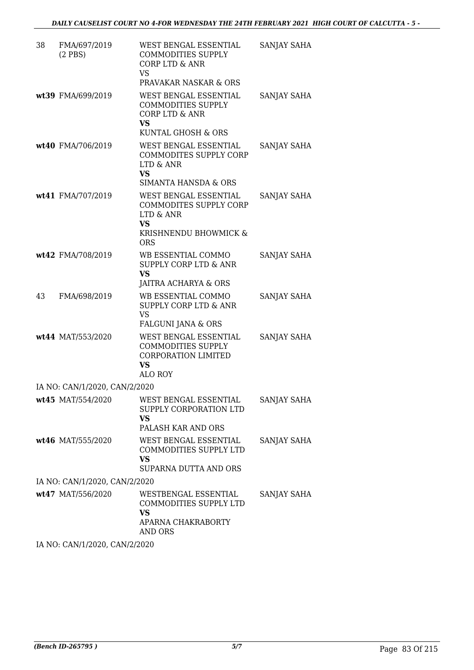| 38 | FMA/697/2019<br>$(2$ PBS $)$  | WEST BENGAL ESSENTIAL<br><b>COMMODITIES SUPPLY</b><br>CORP LTD & ANR<br><b>VS</b><br>PRAVAKAR NASKAR & ORS          | SANJAY SAHA |
|----|-------------------------------|---------------------------------------------------------------------------------------------------------------------|-------------|
|    | wt39 FMA/699/2019             | WEST BENGAL ESSENTIAL<br><b>COMMODITIES SUPPLY</b><br><b>CORP LTD &amp; ANR</b><br><b>VS</b><br>KUNTAL GHOSH & ORS  | SANJAY SAHA |
|    | wt40 FMA/706/2019             | WEST BENGAL ESSENTIAL<br><b>COMMODITES SUPPLY CORP</b><br>LTD & ANR<br><b>VS</b><br><b>SIMANTA HANSDA &amp; ORS</b> | SANJAY SAHA |
|    | wt41 FMA/707/2019             | WEST BENGAL ESSENTIAL<br>COMMODITES SUPPLY CORP<br>LTD & ANR<br><b>VS</b><br>KRISHNENDU BHOWMICK &<br><b>ORS</b>    | SANJAY SAHA |
|    | wt42 FMA/708/2019             | WB ESSENTIAL COMMO<br>SUPPLY CORP LTD & ANR<br><b>VS</b><br>JAITRA ACHARYA & ORS                                    | SANJAY SAHA |
| 43 | FMA/698/2019                  | WB ESSENTIAL COMMO<br><b>SUPPLY CORP LTD &amp; ANR</b><br><b>VS</b><br>FALGUNI JANA & ORS                           | SANJAY SAHA |
|    | wt44 MAT/553/2020             | WEST BENGAL ESSENTIAL<br><b>COMMODITIES SUPPLY</b><br><b>CORPORATION LIMITED</b><br><b>VS</b><br>ALO ROY            | SANJAY SAHA |
|    | IA NO: CAN/1/2020, CAN/2/2020 |                                                                                                                     |             |
|    | wt45 MAT/554/2020             | WEST BENGAL ESSENTIAL<br>SUPPLY CORPORATION LTD<br>VS<br>PALASH KAR AND ORS                                         | SANJAY SAHA |
|    | wt46 MAT/555/2020             | WEST BENGAL ESSENTIAL<br>COMMODITIES SUPPLY LTD<br>VS<br>SUPARNA DUTTA AND ORS                                      | SANJAY SAHA |
|    | IA NO: CAN/1/2020, CAN/2/2020 |                                                                                                                     |             |
|    | wt47 MAT/556/2020             | WESTBENGAL ESSENTIAL<br>COMMODITIES SUPPLY LTD<br>VS.<br>APARNA CHAKRABORTY<br>AND ORS                              | SANJAY SAHA |

IA NO: CAN/1/2020, CAN/2/2020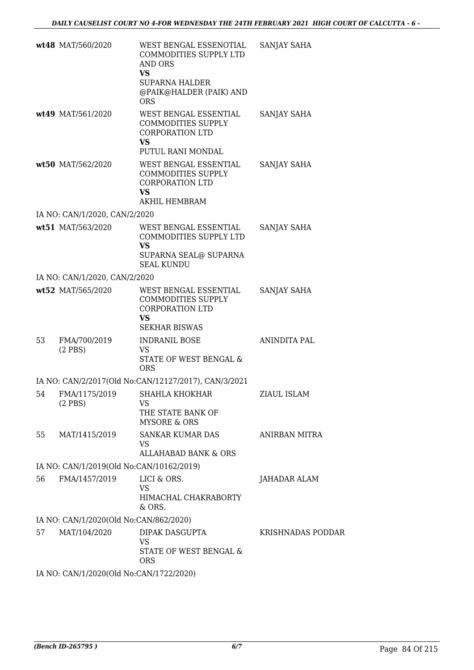|    | wt48 MAT/560/2020                        | WEST BENGAL ESSENOTIAL<br>COMMODITIES SUPPLY LTD<br><b>AND ORS</b><br><b>VS</b><br><b>SUPARNA HALDER</b><br>@PAIK@HALDER (PAIK) AND<br><b>ORS</b> | SANJAY SAHA        |
|----|------------------------------------------|---------------------------------------------------------------------------------------------------------------------------------------------------|--------------------|
|    | wt49 MAT/561/2020                        | WEST BENGAL ESSENTIAL<br><b>COMMODITIES SUPPLY</b><br><b>CORPORATION LTD</b><br><b>VS</b><br>PUTUL RANI MONDAL                                    | SANJAY SAHA        |
|    | wt50 MAT/562/2020                        | WEST BENGAL ESSENTIAL<br><b>COMMODITIES SUPPLY</b><br><b>CORPORATION LTD</b><br><b>VS</b><br><b>AKHIL HEMBRAM</b>                                 | SANJAY SAHA        |
|    | IA NO: CAN/1/2020, CAN/2/2020            |                                                                                                                                                   |                    |
|    | wt51 MAT/563/2020                        | WEST BENGAL ESSENTIAL<br>COMMODITIES SUPPLY LTD<br><b>VS</b><br>SUPARNA SEAL@ SUPARNA<br><b>SEAL KUNDU</b>                                        | <b>SANJAY SAHA</b> |
|    | IA NO: CAN/1/2020, CAN/2/2020            |                                                                                                                                                   |                    |
|    | wt52 MAT/565/2020                        | WEST BENGAL ESSENTIAL<br><b>COMMODITIES SUPPLY</b><br><b>CORPORATION LTD</b><br><b>VS</b><br><b>SEKHAR BISWAS</b>                                 | SANJAY SAHA        |
| 53 | FMA/700/2019<br>$(2$ PBS $)$             | <b>INDRANIL BOSE</b><br>VS<br>STATE OF WEST BENGAL &<br><b>ORS</b>                                                                                | ANINDITA PAL       |
|    |                                          | IA NO: CAN/2/2017(Old No:CAN/12127/2017), CAN/3/2021                                                                                              |                    |
| 54 | FMA/1175/2019<br>$(2$ PBS)               | SHAHLA KHOKHAR<br>VS<br>THE STATE BANK OF<br><b>MYSORE &amp; ORS</b>                                                                              | ZIAUL ISLAM        |
| 55 | MAT/1415/2019                            | <b>SANKAR KUMAR DAS</b><br>VS<br>ALLAHABAD BANK & ORS                                                                                             | ANIRBAN MITRA      |
|    | IA NO: CAN/1/2019(Old No:CAN/10162/2019) |                                                                                                                                                   |                    |
| 56 | FMA/1457/2019                            | LICI & ORS.                                                                                                                                       | JAHADAR ALAM       |
|    |                                          | <b>VS</b><br>HIMACHAL CHAKRABORTY<br>& ORS.                                                                                                       |                    |
|    | IA NO: CAN/1/2020(Old No:CAN/862/2020)   |                                                                                                                                                   |                    |
| 57 | MAT/104/2020                             | DIPAK DASGUPTA<br><b>VS</b><br>STATE OF WEST BENGAL &<br><b>ORS</b>                                                                               | KRISHNADAS PODDAR  |
|    | IA NO: CAN/1/2020(Old No:CAN/1722/2020)  |                                                                                                                                                   |                    |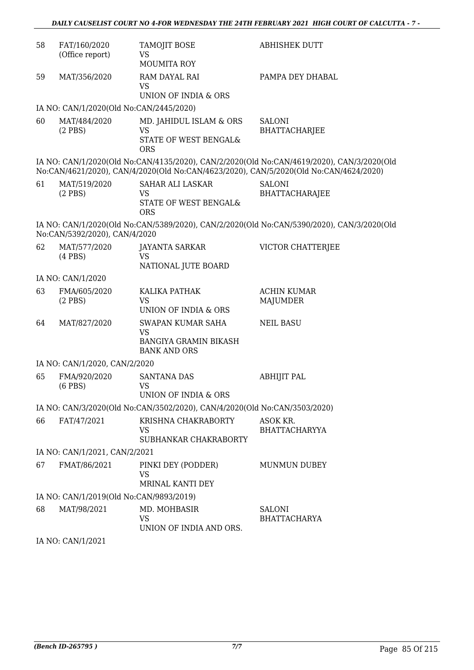| 58 | FAT/160/2020<br>(Office report)         | <b>TAMOJIT BOSE</b><br>VS                                                      | <b>ABHISHEK DUTT</b>                                                                                                                                                               |
|----|-----------------------------------------|--------------------------------------------------------------------------------|------------------------------------------------------------------------------------------------------------------------------------------------------------------------------------|
|    |                                         | <b>MOUMITA ROY</b>                                                             |                                                                                                                                                                                    |
| 59 | MAT/356/2020                            | RAM DAYAL RAI<br><b>VS</b>                                                     | PAMPA DEY DHABAL                                                                                                                                                                   |
|    |                                         | UNION OF INDIA & ORS                                                           |                                                                                                                                                                                    |
|    | IA NO: CAN/1/2020(Old No:CAN/2445/2020) |                                                                                |                                                                                                                                                                                    |
| 60 | MAT/484/2020<br>$(2$ PBS $)$            | MD. JAHIDUL ISLAM & ORS<br><b>VS</b><br>STATE OF WEST BENGAL&<br><b>ORS</b>    | <b>SALONI</b><br><b>BHATTACHARJEE</b>                                                                                                                                              |
|    |                                         |                                                                                | IA NO: CAN/1/2020(Old No:CAN/4135/2020), CAN/2/2020(Old No:CAN/4619/2020), CAN/3/2020(Old<br>No:CAN/4621/2020), CAN/4/2020(Old No:CAN/4623/2020), CAN/5/2020(Old No:CAN/4624/2020) |
| 61 | MAT/519/2020<br>$(2$ PBS)               | SAHAR ALI LASKAR<br>VS<br>STATE OF WEST BENGAL&<br><b>ORS</b>                  | <b>SALONI</b><br><b>BHATTACHARAJEE</b>                                                                                                                                             |
|    | No:CAN/5392/2020), CAN/4/2020           |                                                                                | IA NO: CAN/1/2020(Old No:CAN/5389/2020), CAN/2/2020(Old No:CAN/5390/2020), CAN/3/2020(Old                                                                                          |
| 62 | MAT/577/2020<br>$(4$ PBS $)$            | JAYANTA SARKAR<br><b>VS</b><br>NATIONAL JUTE BOARD                             | <b>VICTOR CHATTERJEE</b>                                                                                                                                                           |
|    | IA NO: CAN/1/2020                       |                                                                                |                                                                                                                                                                                    |
| 63 | FMA/605/2020<br>$(2$ PBS)               | KALIKA PATHAK<br><b>VS</b><br>UNION OF INDIA & ORS                             | <b>ACHIN KUMAR</b><br><b>MAJUMDER</b>                                                                                                                                              |
| 64 | MAT/827/2020                            | SWAPAN KUMAR SAHA<br>VS<br><b>BANGIYA GRAMIN BIKASH</b><br><b>BANK AND ORS</b> | <b>NEIL BASU</b>                                                                                                                                                                   |
|    | IA NO: CAN/1/2020, CAN/2/2020           |                                                                                |                                                                                                                                                                                    |
| 65 | FMA/920/2020<br>$(6$ PBS $)$            | <b>SANTANA DAS</b><br><b>VS</b>                                                | <b>ABHIJIT PAL</b>                                                                                                                                                                 |
|    |                                         | <b>UNION OF INDIA &amp; ORS</b>                                                |                                                                                                                                                                                    |
|    |                                         | IA NO: CAN/3/2020(Old No:CAN/3502/2020), CAN/4/2020(Old No:CAN/3503/2020)      |                                                                                                                                                                                    |
| 66 | FAT/47/2021                             | KRISHNA CHAKRABORTY<br>VS<br>SUBHANKAR CHAKRABORTY                             | ASOK KR.<br><b>BHATTACHARYYA</b>                                                                                                                                                   |
|    | IA NO: CAN/1/2021, CAN/2/2021           |                                                                                |                                                                                                                                                                                    |
| 67 | FMAT/86/2021                            | PINKI DEY (PODDER)<br><b>VS</b>                                                | <b>MUNMUN DUBEY</b>                                                                                                                                                                |
|    |                                         | MRINAL KANTI DEY                                                               |                                                                                                                                                                                    |
|    | IA NO: CAN/1/2019(Old No:CAN/9893/2019) |                                                                                |                                                                                                                                                                                    |
| 68 | MAT/98/2021                             | MD. MOHBASIR<br>VS<br>UNION OF INDIA AND ORS.                                  | <b>SALONI</b><br><b>BHATTACHARYA</b>                                                                                                                                               |
|    | IA NO: CAN/1/2021                       |                                                                                |                                                                                                                                                                                    |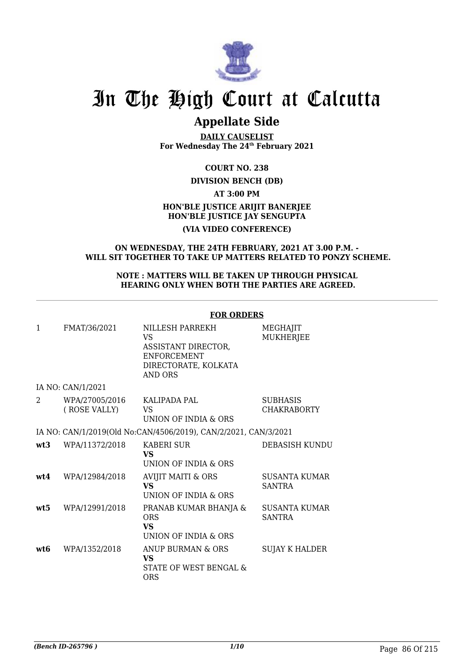

# In The High Court at Calcutta

# **Appellate Side**

**DAILY CAUSELIST For Wednesday The 24th February 2021**

#### **COURT NO. 238**

#### **DIVISION BENCH (DB)**

#### **AT 3:00 PM**

## **HON'BLE JUSTICE ARIJIT BANERJEE HON'BLE JUSTICE JAY SENGUPTA**

## **(VIA VIDEO CONFERENCE)**

#### **ON WEDNESDAY, THE 24TH FEBRUARY, 2021 AT 3.00 P.M. - WILL SIT TOGETHER TO TAKE UP MATTERS RELATED TO PONZY SCHEME.**

#### **NOTE : MATTERS WILL BE TAKEN UP THROUGH PHYSICAL HEARING ONLY WHEN BOTH THE PARTIES ARE AGREED.**

|     |                                | FUK UKDEKS                                                                                            |                                       |
|-----|--------------------------------|-------------------------------------------------------------------------------------------------------|---------------------------------------|
| 1   | FMAT/36/2021                   | NILLESH PARREKH<br>VS<br>ASSISTANT DIRECTOR.<br>ENFORCEMENT<br>DIRECTORATE, KOLKATA<br><b>AND ORS</b> | MEGHAJIT<br><b>MUKHERJEE</b>          |
|     | IA NO: CAN/1/2021              |                                                                                                       |                                       |
| 2   | WPA/27005/2016<br>(ROSE VALLY) | KALIPADA PAL<br>VS.<br><b>UNION OF INDIA &amp; ORS</b>                                                | <b>SUBHASIS</b><br><b>CHAKRABORTY</b> |
|     |                                | IA NO: CAN/1/2019(Old No:CAN/4506/2019), CAN/2/2021, CAN/3/2021                                       |                                       |
| wt3 | WPA/11372/2018                 | <b>KABERI SUR</b><br><b>VS</b><br>UNION OF INDIA & ORS                                                | <b>DEBASISH KUNDU</b>                 |
| wt4 | WPA/12984/2018                 | <b>AVIJIT MAITI &amp; ORS</b><br><b>VS</b><br>UNION OF INDIA & ORS                                    | SUSANTA KUMAR<br><b>SANTRA</b>        |
| wt5 | WPA/12991/2018                 | PRANAB KUMAR BHANJA &<br><b>ORS</b><br><b>VS</b><br>UNION OF INDIA & ORS                              | <b>SUSANTA KUMAR</b><br><b>SANTRA</b> |
| wt6 | WPA/1352/2018                  | ANUP BURMAN & ORS<br><b>VS</b><br>STATE OF WEST BENGAL &<br><b>ORS</b>                                | <b>SUJAY K HALDER</b>                 |

## **FOR ORDERS**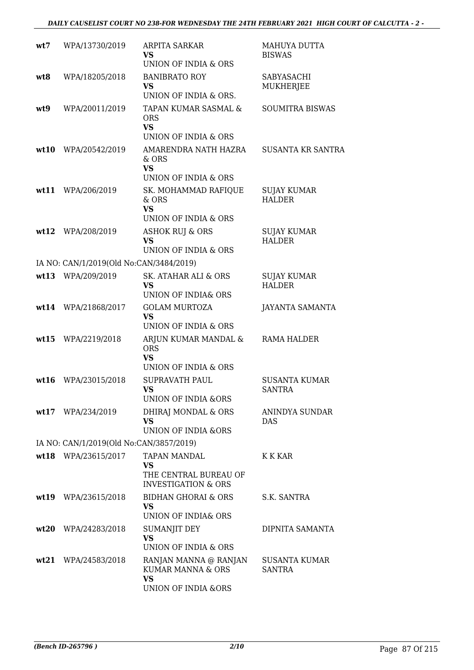| wt7  | WPA/13730/2019                          | ARPITA SARKAR<br>VS<br>UNION OF INDIA & ORS                                        | MAHUYA DUTTA<br><b>BISWAS</b>         |
|------|-----------------------------------------|------------------------------------------------------------------------------------|---------------------------------------|
| wt8  | WPA/18205/2018                          | <b>BANIBRATO ROY</b><br><b>VS</b><br>UNION OF INDIA & ORS.                         | SABYASACHI<br>MUKHERJEE               |
| wt9  | WPA/20011/2019                          | TAPAN KUMAR SASMAL &<br><b>ORS</b><br><b>VS</b>                                    | <b>SOUMITRA BISWAS</b>                |
|      |                                         | UNION OF INDIA & ORS                                                               |                                       |
| wt10 | WPA/20542/2019                          | AMARENDRA NATH HAZRA<br>& ORS<br><b>VS</b><br>UNION OF INDIA & ORS                 | <b>SUSANTA KR SANTRA</b>              |
| wt11 | WPA/206/2019                            | SK. MOHAMMAD RAFIQUE<br>& ORS<br><b>VS</b><br>UNION OF INDIA & ORS                 | <b>SUJAY KUMAR</b><br><b>HALDER</b>   |
|      | wt12 WPA/208/2019                       | <b>ASHOK RUJ &amp; ORS</b><br><b>VS</b><br>UNION OF INDIA & ORS                    | <b>SUJAY KUMAR</b><br><b>HALDER</b>   |
|      | IA NO: CAN/1/2019(Old No:CAN/3484/2019) |                                                                                    |                                       |
|      | wt13 WPA/209/2019                       | SK. ATAHAR ALI & ORS<br><b>VS</b><br>UNION OF INDIA& ORS                           | <b>SUJAY KUMAR</b><br><b>HALDER</b>   |
|      | wt14 WPA/21868/2017                     | <b>GOLAM MURTOZA</b><br><b>VS</b><br>UNION OF INDIA & ORS                          | <b>JAYANTA SAMANTA</b>                |
| wt15 | WPA/2219/2018                           | ARJUN KUMAR MANDAL &<br><b>ORS</b><br><b>VS</b><br><b>UNION OF INDIA &amp; ORS</b> | RAMA HALDER                           |
| wt16 | WPA/23015/2018                          | <b>SUPRAVATH PAUL</b><br>VS<br><b>UNION OF INDIA &amp;ORS</b>                      | <b>SUSANTA KUMAR</b><br><b>SANTRA</b> |
|      | wt17 WPA/234/2019                       | DHIRAJ MONDAL & ORS<br>VS.<br><b>UNION OF INDIA &amp;ORS</b>                       | ANINDYA SUNDAR<br><b>DAS</b>          |
|      | IA NO: CAN/1/2019(Old No:CAN/3857/2019) |                                                                                    |                                       |
|      | wt18 WPA/23615/2017                     | TAPAN MANDAL<br>VS.<br>THE CENTRAL BUREAU OF<br><b>INVESTIGATION &amp; ORS</b>     | K K KAR                               |
|      | wt19 WPA/23615/2018                     | BIDHAN GHORAI & ORS<br><b>VS</b><br><b>UNION OF INDIA&amp; ORS</b>                 | S.K. SANTRA                           |
| wt20 | WPA/24283/2018                          | <b>SUMANJIT DEY</b><br><b>VS</b><br>UNION OF INDIA & ORS                           | DIPNITA SAMANTA                       |
|      | wt21 WPA/24583/2018                     | RANJAN MANNA @ RANJAN<br>KUMAR MANNA & ORS<br><b>VS</b><br>UNION OF INDIA &ORS     | <b>SUSANTA KUMAR</b><br>SANTRA        |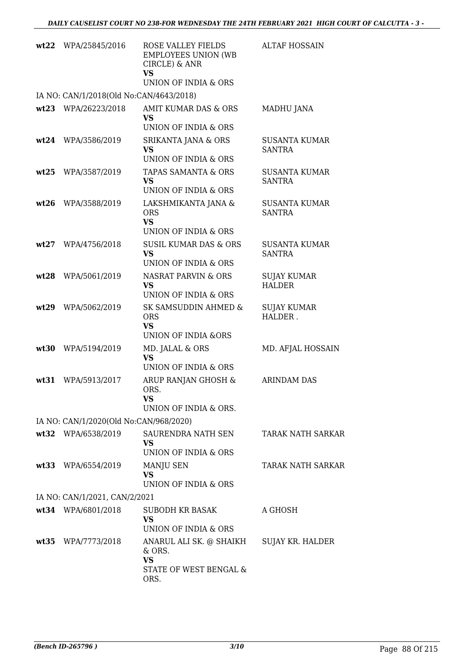| wt22 | WPA/25845/2016                          | ROSE VALLEY FIELDS<br><b>EMPLOYEES UNION (WB</b><br>CIRCLE) & ANR<br>VS<br>UNION OF INDIA & ORS | <b>ALTAF HOSSAIN</b>                  |
|------|-----------------------------------------|-------------------------------------------------------------------------------------------------|---------------------------------------|
|      | IA NO: CAN/1/2018(Old No:CAN/4643/2018) |                                                                                                 |                                       |
| wt23 | WPA/26223/2018                          | AMIT KUMAR DAS & ORS<br>VS<br>UNION OF INDIA & ORS                                              | MADHU JANA                            |
| wt24 | WPA/3586/2019                           | SRIKANTA JANA & ORS<br>VS<br>UNION OF INDIA & ORS                                               | <b>SUSANTA KUMAR</b><br><b>SANTRA</b> |
| wt25 | WPA/3587/2019                           | TAPAS SAMANTA & ORS<br><b>VS</b><br>UNION OF INDIA & ORS                                        | <b>SUSANTA KUMAR</b><br>SANTRA        |
| wt26 | WPA/3588/2019                           | LAKSHMIKANTA JANA &<br><b>ORS</b><br><b>VS</b><br>UNION OF INDIA & ORS                          | <b>SUSANTA KUMAR</b><br><b>SANTRA</b> |
| wt27 | WPA/4756/2018                           | <b>SUSIL KUMAR DAS &amp; ORS</b><br><b>VS</b><br>UNION OF INDIA & ORS                           | <b>SUSANTA KUMAR</b><br><b>SANTRA</b> |
| wt28 | WPA/5061/2019                           | NASRAT PARVIN & ORS<br>VS<br>UNION OF INDIA & ORS                                               | SUJAY KUMAR<br><b>HALDER</b>          |
| wt29 | WPA/5062/2019                           | SK SAMSUDDIN AHMED &<br><b>ORS</b><br>VS<br><b>UNION OF INDIA &amp;ORS</b>                      | <b>SUJAY KUMAR</b><br>HALDER.         |
| wt30 | WPA/5194/2019                           | MD. JALAL & ORS<br><b>VS</b><br>UNION OF INDIA & ORS                                            | MD. AFJAL HOSSAIN                     |
| wt31 | WPA/5913/2017                           | ARUP RANJAN GHOSH &<br>ORS.<br>VS<br>UNION OF INDIA & ORS.                                      | <b>ARINDAM DAS</b>                    |
|      | IA NO: CAN/1/2020(Old No:CAN/968/2020)  |                                                                                                 |                                       |
|      | wt32 WPA/6538/2019                      | SAURENDRA NATH SEN<br>VS<br>UNION OF INDIA & ORS                                                | TARAK NATH SARKAR                     |
|      | wt33 WPA/6554/2019                      | MANJU SEN<br><b>VS</b><br>UNION OF INDIA & ORS                                                  | <b>TARAK NATH SARKAR</b>              |
|      | IA NO: CAN/1/2021, CAN/2/2021           |                                                                                                 |                                       |
|      | wt34 WPA/6801/2018                      | SUBODH KR BASAK<br>VS<br>UNION OF INDIA & ORS                                                   | A GHOSH                               |
|      | wt35 WPA/7773/2018                      | ANARUL ALI SK. @ SHAIKH<br>& ORS.<br>VS<br>STATE OF WEST BENGAL &<br>ORS.                       | SUJAY KR. HALDER                      |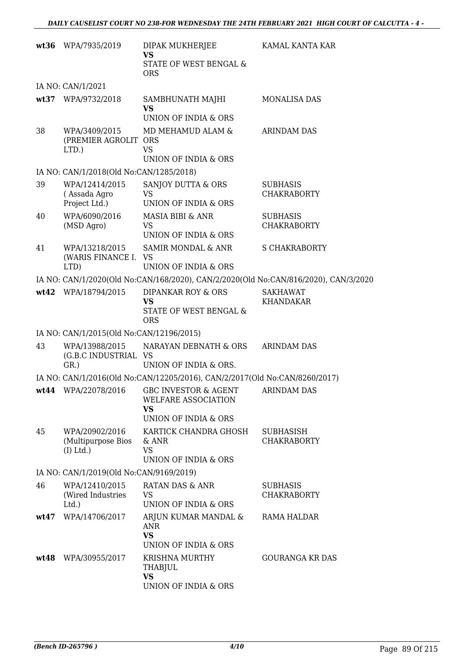|      | wt36 WPA/7935/2019                                  | DIPAK MUKHERJEE<br><b>VS</b><br>STATE OF WEST BENGAL &<br><b>ORS</b>                | KAMAL KANTA KAR                       |
|------|-----------------------------------------------------|-------------------------------------------------------------------------------------|---------------------------------------|
|      | IA NO: CAN/1/2021                                   |                                                                                     |                                       |
|      | wt37 WPA/9732/2018                                  | SAMBHUNATH MAJHI<br><b>VS</b><br>UNION OF INDIA & ORS                               | <b>MONALISA DAS</b>                   |
| 38   | WPA/3409/2015<br>(PREMIER AGROLIT ORS<br>LTD.)      | MD MEHAMUD ALAM &<br><b>VS</b><br>UNION OF INDIA & ORS                              | <b>ARINDAM DAS</b>                    |
|      | IA NO: CAN/1/2018(Old No:CAN/1285/2018)             |                                                                                     |                                       |
| 39   | WPA/12414/2015<br>(Assada Agro<br>Project Ltd.)     | SANJOY DUTTA & ORS<br><b>VS</b><br>UNION OF INDIA & ORS                             | <b>SUBHASIS</b><br><b>CHAKRABORTY</b> |
| 40   | WPA/6090/2016<br>(MSD Agro)                         | MASIA BIBI & ANR<br><b>VS</b><br>UNION OF INDIA & ORS                               | <b>SUBHASIS</b><br><b>CHAKRABORTY</b> |
| 41   | WPA/13218/2015<br>(WARIS FINANCE I.<br>LTD)         | SAMIR MONDAL & ANR<br>VS<br>UNION OF INDIA & ORS                                    | <b>S CHAKRABORTY</b>                  |
|      |                                                     | IA NO: CAN/1/2020(Old No:CAN/168/2020), CAN/2/2020(Old No:CAN/816/2020), CAN/3/2020 |                                       |
|      | wt42 WPA/18794/2015                                 | DIPANKAR ROY & ORS<br><b>VS</b><br>STATE OF WEST BENGAL &<br><b>ORS</b>             | <b>SAKHAWAT</b><br>KHANDAKAR          |
|      | IA NO: CAN/1/2015(Old No:CAN/12196/2015)            |                                                                                     |                                       |
| 43   | WPA/13988/2015<br>(G.B.C INDUSTRIAL VS<br>$GR.$ )   | NARAYAN DEBNATH & ORS<br>UNION OF INDIA & ORS.                                      | <b>ARINDAM DAS</b>                    |
|      |                                                     | IA NO: CAN/1/2016(Old No:CAN/12205/2016), CAN/2/2017(Old No:CAN/8260/2017)          |                                       |
| wt44 | WPA/22078/2016                                      | GBC INVESTOR & AGENT<br>WELFARE ASSOCIATION<br><b>VS</b><br>UNION OF INDIA & ORS    | ARINDAM DAS                           |
| 45   | WPA/20902/2016<br>(Multipurpose Bios<br>$(I)$ Ltd.) | KARTICK CHANDRA GHOSH<br>& ANR<br><b>VS</b><br>UNION OF INDIA & ORS                 | SUBHASISH<br><b>CHAKRABORTY</b>       |
|      | IA NO: CAN/1/2019(Old No:CAN/9169/2019)             |                                                                                     |                                       |
| 46   | WPA/12410/2015<br>(Wired Industries<br>$Ltd.$ )     | RATAN DAS & ANR<br>VS.<br>UNION OF INDIA & ORS                                      | <b>SUBHASIS</b><br><b>CHAKRABORTY</b> |
| wt47 | WPA/14706/2017                                      | ARJUN KUMAR MANDAL &<br>ANR<br><b>VS</b><br>UNION OF INDIA & ORS                    | RAMA HALDAR                           |
| wt48 | WPA/30955/2017                                      | <b>KRISHNA MURTHY</b><br>THABJUL<br><b>VS</b><br>UNION OF INDIA & ORS               | GOURANGA KR DAS                       |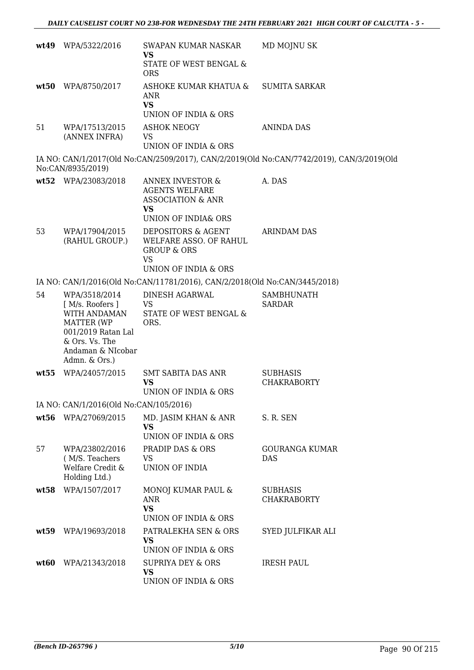|      | wt49 WPA/5322/2016                                                                                              | SWAPAN KUMAR NASKAR<br><b>VS</b>                                                                            | MD MOJNU SK                                                                               |
|------|-----------------------------------------------------------------------------------------------------------------|-------------------------------------------------------------------------------------------------------------|-------------------------------------------------------------------------------------------|
|      |                                                                                                                 | STATE OF WEST BENGAL &<br><b>ORS</b>                                                                        |                                                                                           |
| wt50 | WPA/8750/2017                                                                                                   | ASHOKE KUMAR KHATUA &<br>ANR<br><b>VS</b>                                                                   | <b>SUMITA SARKAR</b>                                                                      |
|      |                                                                                                                 | UNION OF INDIA & ORS                                                                                        |                                                                                           |
| 51   | WPA/17513/2015<br>(ANNEX INFRA)                                                                                 | <b>ASHOK NEOGY</b><br><b>VS</b><br>UNION OF INDIA & ORS                                                     | <b>ANINDA DAS</b>                                                                         |
|      |                                                                                                                 |                                                                                                             |                                                                                           |
|      | No:CAN/8935/2019)                                                                                               |                                                                                                             | IA NO: CAN/1/2017(Old No:CAN/2509/2017), CAN/2/2019(Old No:CAN/7742/2019), CAN/3/2019(Old |
|      | wt52 WPA/23083/2018                                                                                             | <b>ANNEX INVESTOR &amp;</b><br><b>AGENTS WELFARE</b><br><b>ASSOCIATION &amp; ANR</b><br><b>VS</b>           | A. DAS                                                                                    |
|      |                                                                                                                 | UNION OF INDIA& ORS                                                                                         |                                                                                           |
| 53   | WPA/17904/2015<br>(RAHUL GROUP.)                                                                                | DEPOSITORS & AGENT<br>WELFARE ASSO. OF RAHUL<br><b>GROUP &amp; ORS</b><br><b>VS</b><br>UNION OF INDIA & ORS | <b>ARINDAM DAS</b>                                                                        |
|      |                                                                                                                 | IA NO: CAN/1/2016(Old No:CAN/11781/2016), CAN/2/2018(Old No:CAN/3445/2018)                                  |                                                                                           |
| 54   | WPA/3518/2014<br>[ M/s. Roofers ]                                                                               | DINESH AGARWAL<br>VS.                                                                                       | <b>SAMBHUNATH</b><br><b>SARDAR</b>                                                        |
|      | WITH ANDAMAN<br><b>MATTER (WP</b><br>001/2019 Ratan Lal<br>& Ors. Vs. The<br>Andaman & NIcobar<br>Admn. & Ors.) | STATE OF WEST BENGAL &<br>ORS.                                                                              |                                                                                           |
| wt55 | WPA/24057/2015                                                                                                  | <b>SMT SABITA DAS ANR</b><br><b>VS</b><br>UNION OF INDIA & ORS                                              | <b>SUBHASIS</b><br><b>CHAKRABORTY</b>                                                     |
|      | IA NO: CAN/1/2016(Old No:CAN/105/2016)                                                                          |                                                                                                             |                                                                                           |
| wt56 | WPA/27069/2015                                                                                                  | MD. JASIM KHAN & ANR<br><b>VS</b>                                                                           | S. R. SEN                                                                                 |
|      |                                                                                                                 | UNION OF INDIA & ORS                                                                                        |                                                                                           |
| 57   | WPA/23802/2016<br>(M/S. Teachers<br>Welfare Credit &<br>Holding Ltd.)                                           | <b>PRADIP DAS &amp; ORS</b><br>VS<br>UNION OF INDIA                                                         | GOURANGA KUMAR<br><b>DAS</b>                                                              |
| wt58 | WPA/1507/2017                                                                                                   | MONOJ KUMAR PAUL &<br>ANR<br><b>VS</b><br>UNION OF INDIA & ORS                                              | <b>SUBHASIS</b><br><b>CHAKRABORTY</b>                                                     |
| wt59 | WPA/19693/2018                                                                                                  | PATRALEKHA SEN & ORS<br>VS<br>UNION OF INDIA & ORS                                                          | SYED JULFIKAR ALI                                                                         |
| wt60 | WPA/21343/2018                                                                                                  | <b>SUPRIYA DEY &amp; ORS</b><br><b>VS</b><br>UNION OF INDIA & ORS                                           | <b>IRESH PAUL</b>                                                                         |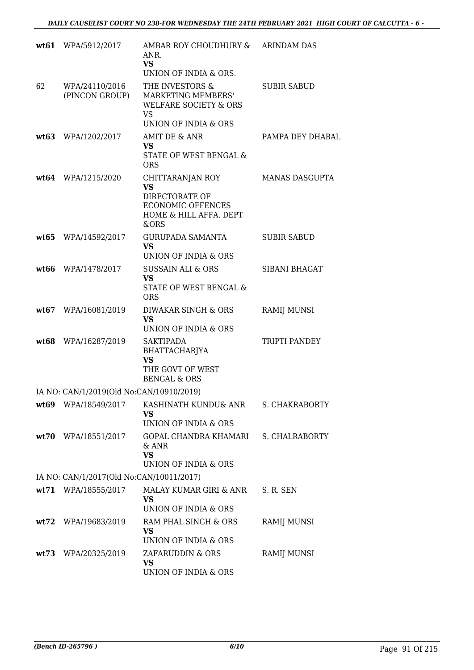|      | wt61 WPA/5912/2017                       | AMBAR ROY CHOUDHURY &<br>ANR.<br><b>VS</b><br>UNION OF INDIA & ORS.                                            | <b>ARINDAM DAS</b>    |
|------|------------------------------------------|----------------------------------------------------------------------------------------------------------------|-----------------------|
| 62   | WPA/24110/2016<br>(PINCON GROUP)         | THE INVESTORS &<br>MARKETING MEMBERS'<br><b>WELFARE SOCIETY &amp; ORS</b><br><b>VS</b><br>UNION OF INDIA & ORS | <b>SUBIR SABUD</b>    |
| wt63 | WPA/1202/2017                            | AMIT DE & ANR<br><b>VS</b><br>STATE OF WEST BENGAL &<br><b>ORS</b>                                             | PAMPA DEY DHABAL      |
|      | wt64 WPA/1215/2020                       | CHITTARANJAN ROY<br><b>VS</b><br>DIRECTORATE OF<br><b>ECONOMIC OFFENCES</b><br>HOME & HILL AFFA. DEPT<br>&ORS  | MANAS DASGUPTA        |
| wt65 | WPA/14592/2017                           | <b>GURUPADA SAMANTA</b><br><b>VS</b><br>UNION OF INDIA & ORS                                                   | <b>SUBIR SABUD</b>    |
| wt66 | WPA/1478/2017                            | <b>SUSSAIN ALI &amp; ORS</b><br><b>VS</b><br>STATE OF WEST BENGAL &<br><b>ORS</b>                              | <b>SIBANI BHAGAT</b>  |
| wt67 | WPA/16081/2019                           | DIWAKAR SINGH & ORS<br><b>VS</b><br>UNION OF INDIA & ORS                                                       | <b>RAMIJ MUNSI</b>    |
| wt68 | WPA/16287/2019                           | <b>SAKTIPADA</b><br>BHATTACHARJYA<br><b>VS</b><br>THE GOVT OF WEST<br><b>BENGAL &amp; ORS</b>                  | TRIPTI PANDEY         |
|      | IA NO: CAN/1/2019(Old No:CAN/10910/2019) |                                                                                                                |                       |
|      | wt69 WPA/18549/2017                      | KASHINATH KUNDU& ANR<br>VS<br>UNION OF INDIA & ORS                                                             | S. CHAKRABORTY        |
|      | wt70 WPA/18551/2017                      | GOPAL CHANDRA KHAMARI<br>& ANR<br><b>VS</b><br>UNION OF INDIA & ORS                                            | <b>S. CHALRABORTY</b> |
|      | IA NO: CAN/1/2017(Old No:CAN/10011/2017) |                                                                                                                |                       |
|      | wt71 WPA/18555/2017                      | MALAY KUMAR GIRI & ANR<br><b>VS</b><br>UNION OF INDIA & ORS                                                    | S. R. SEN             |
| wt72 | WPA/19683/2019                           | RAM PHAL SINGH & ORS<br>VS<br>UNION OF INDIA & ORS                                                             | RAMIJ MUNSI           |
|      | wt73 WPA/20325/2019                      | ZAFARUDDIN & ORS<br><b>VS</b><br>UNION OF INDIA & ORS                                                          | <b>RAMIJ MUNSI</b>    |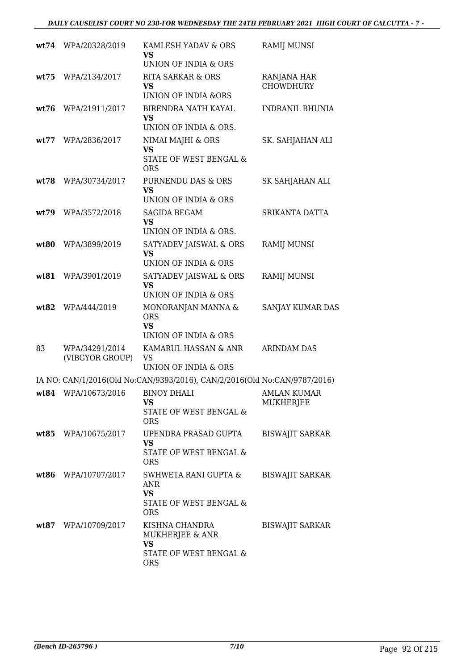|      | wt74 WPA/20328/2019               | KAMLESH YADAV & ORS<br>VS<br>UNION OF INDIA & ORS                                       | <b>RAMIJ MUNSI</b>                     |
|------|-----------------------------------|-----------------------------------------------------------------------------------------|----------------------------------------|
| wt75 | WPA/2134/2017                     | <b>RITA SARKAR &amp; ORS</b><br><b>VS</b><br><b>UNION OF INDIA &amp;ORS</b>             | RANJANA HAR<br><b>CHOWDHURY</b>        |
| wt76 | WPA/21911/2017                    | BIRENDRA NATH KAYAL<br>VS<br>UNION OF INDIA & ORS.                                      | <b>INDRANIL BHUNIA</b>                 |
| wt77 | WPA/2836/2017                     | NIMAI MAJHI & ORS<br><b>VS</b><br>STATE OF WEST BENGAL &<br><b>ORS</b>                  | SK. SAHJAHAN ALI                       |
| wt78 | WPA/30734/2017                    | PURNENDU DAS & ORS<br><b>VS</b><br><b>UNION OF INDIA &amp; ORS</b>                      | SK SAHJAHAN ALI                        |
| wt79 | WPA/3572/2018                     | <b>SAGIDA BEGAM</b><br><b>VS</b><br>UNION OF INDIA & ORS.                               | SRIKANTA DATTA                         |
| wt80 | WPA/3899/2019                     | SATYADEV JAISWAL & ORS<br><b>VS</b><br>UNION OF INDIA & ORS                             | <b>RAMIJ MUNSI</b>                     |
| wt81 | WPA/3901/2019                     | SATYADEV JAISWAL & ORS<br>VS<br>UNION OF INDIA & ORS                                    | <b>RAMIJ MUNSI</b>                     |
| wt82 | WPA/444/2019                      | MONORANJAN MANNA &<br><b>ORS</b><br><b>VS</b><br>UNION OF INDIA & ORS                   | SANJAY KUMAR DAS                       |
| 83   | WPA/34291/2014<br>(VIBGYOR GROUP) | KAMARUL HASSAN & ANR<br><b>VS</b><br>UNION OF INDIA & ORS                               | <b>ARINDAM DAS</b>                     |
|      |                                   | IA NO: CAN/1/2016(Old No:CAN/9393/2016), CAN/2/2016(Old No:CAN/9787/2016)               |                                        |
|      | wt84 WPA/10673/2016 BINOY DHALI   | VS<br>STATE OF WEST BENGAL &<br><b>ORS</b>                                              | <b>AMLAN KUMAR</b><br><b>MUKHERJEE</b> |
|      | wt85 WPA/10675/2017               | UPENDRA PRASAD GUPTA<br><b>VS</b><br>STATE OF WEST BENGAL &<br><b>ORS</b>               | <b>BISWAJIT SARKAR</b>                 |
|      | wt86 WPA/10707/2017               | SWHWETA RANI GUPTA &<br><b>ANR</b><br><b>VS</b><br>STATE OF WEST BENGAL &<br><b>ORS</b> | <b>BISWAJIT SARKAR</b>                 |
|      | wt87 WPA/10709/2017               | KISHNA CHANDRA<br>MUKHERJEE & ANR<br><b>VS</b><br>STATE OF WEST BENGAL &<br><b>ORS</b>  | <b>BISWAJIT SARKAR</b>                 |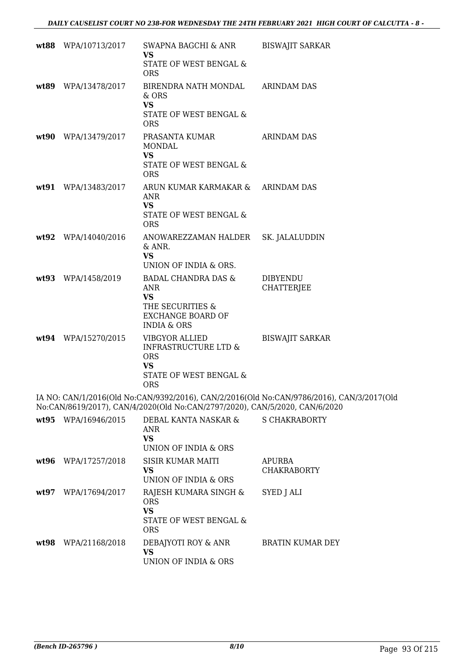|      | wt88 WPA/10713/2017 | SWAPNA BAGCHI & ANR<br><b>VS</b>                                                                     | <b>BISWAJIT SARKAR</b>                                                                    |
|------|---------------------|------------------------------------------------------------------------------------------------------|-------------------------------------------------------------------------------------------|
|      |                     | STATE OF WEST BENGAL &<br><b>ORS</b>                                                                 |                                                                                           |
|      | wt89 WPA/13478/2017 | BIRENDRA NATH MONDAL ARINDAM DAS<br>& ORS<br><b>VS</b><br>STATE OF WEST BENGAL &                     |                                                                                           |
|      |                     | <b>ORS</b>                                                                                           |                                                                                           |
|      | wt90 WPA/13479/2017 | PRASANTA KUMAR<br><b>MONDAL</b><br><b>VS</b>                                                         | <b>ARINDAM DAS</b>                                                                        |
|      |                     | STATE OF WEST BENGAL &<br><b>ORS</b>                                                                 |                                                                                           |
|      | wt91 WPA/13483/2017 | ARUN KUMAR KARMAKAR & ARINDAM DAS<br><b>ANR</b><br><b>VS</b><br>STATE OF WEST BENGAL &<br><b>ORS</b> |                                                                                           |
|      | wt92 WPA/14040/2016 | ANOWAREZZAMAN HALDER<br>& ANR.<br><b>VS</b>                                                          | SK. JALALUDDIN                                                                            |
|      |                     | UNION OF INDIA & ORS.                                                                                |                                                                                           |
|      | wt93 WPA/1458/2019  | BADAL CHANDRA DAS &<br>ANR<br><b>VS</b><br>THE SECURITIES &<br><b>EXCHANGE BOARD OF</b>              | <b>DIBYENDU</b><br><b>CHATTERJEE</b>                                                      |
|      |                     | <b>INDIA &amp; ORS</b>                                                                               |                                                                                           |
|      | wt94 WPA/15270/2015 | <b>VIBGYOR ALLIED</b><br><b>INFRASTRUCTURE LTD &amp;</b><br><b>ORS</b><br><b>VS</b>                  | <b>BISWAJIT SARKAR</b>                                                                    |
|      |                     | STATE OF WEST BENGAL &<br><b>ORS</b>                                                                 |                                                                                           |
|      |                     | No:CAN/8619/2017), CAN/4/2020(Old No:CAN/2797/2020), CAN/5/2020, CAN/6/2020                          | IA NO: CAN/1/2016(Old No:CAN/9392/2016), CAN/2/2016(Old No:CAN/9786/2016), CAN/3/2017(Old |
|      | wt95 WPA/16946/2015 | DEBAL KANTA NASKAR &<br><b>ANR</b><br><b>VS</b><br>UNION OF INDIA & ORS                              | <b>S CHAKRABORTY</b>                                                                      |
|      | wt96 WPA/17257/2018 | <b>SISIR KUMAR MAITI</b><br><b>VS</b><br>UNION OF INDIA & ORS                                        | <b>APURBA</b><br><b>CHAKRABORTY</b>                                                       |
| wt97 | WPA/17694/2017      | RAJESH KUMARA SINGH &<br><b>ORS</b><br><b>VS</b>                                                     | SYED J ALI                                                                                |
|      |                     | STATE OF WEST BENGAL &<br><b>ORS</b>                                                                 |                                                                                           |
|      | wt98 WPA/21168/2018 | DEBAJYOTI ROY & ANR<br><b>VS</b><br>UNION OF INDIA & ORS                                             | BRATIN KUMAR DEY                                                                          |
|      |                     |                                                                                                      |                                                                                           |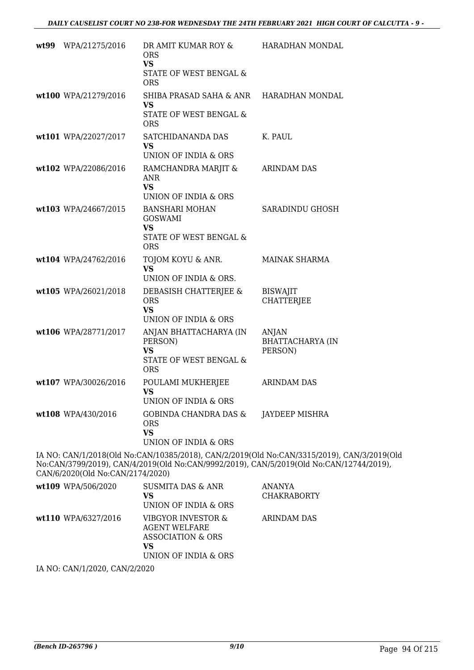| wt99 WPA/21275/2016  | DR AMIT KUMAR ROY &<br>ORS.<br><b>VS</b><br>STATE OF WEST BENGAL &<br><b>ORS</b>                        | HARADHAN MONDAL                             |
|----------------------|---------------------------------------------------------------------------------------------------------|---------------------------------------------|
| wt100 WPA/21279/2016 | SHIBA PRASAD SAHA & ANR<br><b>VS</b><br>STATE OF WEST BENGAL &<br><b>ORS</b>                            | HARADHAN MONDAL                             |
| wt101 WPA/22027/2017 | SATCHIDANANDA DAS<br><b>VS</b><br>UNION OF INDIA & ORS                                                  | K. PAUL                                     |
| wt102 WPA/22086/2016 | RAMCHANDRA MARJIT &<br>ANR<br><b>VS</b><br>UNION OF INDIA & ORS                                         | <b>ARINDAM DAS</b>                          |
| wt103 WPA/24667/2015 | <b>BANSHARI MOHAN</b><br><b>GOSWAMI</b><br><b>VS</b><br><b>STATE OF WEST BENGAL &amp;</b><br><b>ORS</b> | SARADINDU GHOSH                             |
| wt104 WPA/24762/2016 | TOJOM KOYU & ANR.<br><b>VS</b><br>UNION OF INDIA & ORS.                                                 | <b>MAINAK SHARMA</b>                        |
| wt105 WPA/26021/2018 | DEBASISH CHATTERJEE &<br><b>ORS</b><br><b>VS</b><br>UNION OF INDIA & ORS                                | <b>BISWAJIT</b><br><b>CHATTERJEE</b>        |
| wt106 WPA/28771/2017 | ANJAN BHATTACHARYA (IN<br>PERSON)<br><b>VS</b><br>STATE OF WEST BENGAL &<br><b>ORS</b>                  | ANJAN<br><b>BHATTACHARYA (IN</b><br>PERSON) |
| wt107 WPA/30026/2016 | POULAMI MUKHERJEE<br>VS.<br>UNION OF INDIA & ORS                                                        | <b>ARINDAM DAS</b>                          |
| wt108 WPA/430/2016   | GOBINDA CHANDRA DAS &<br><b>ORS</b><br><b>VS</b><br>UNION OF INDIA & ORS                                | JAYDEEP MISHRA                              |
|                      | IA NO: CAN/1/2018(Old No:CAN/10385/2018). CAN/2/2019(Old No:CAN/3315/2019). CAI                         |                                             |

IA NO: CAN/1/2018(Old No:CAN/10385/2018), CAN/2/2019(Old No:CAN/3315/2019), CAN/3/2019(Old No:CAN/3799/2019), CAN/4/2019(Old No:CAN/9992/2019), CAN/5/2019(Old No:CAN/12744/2019), CAN/6/2020(Old No:CAN/2174/2020)

| wt109 WPA/506/2020               | <b>SUSMITA DAS &amp; ANR</b><br>VS<br>UNION OF INDIA & ORS                                    | <b>ANANYA</b><br><b>CHAKRABORTY</b> |
|----------------------------------|-----------------------------------------------------------------------------------------------|-------------------------------------|
| wt110 WPA/6327/2016              | VIBGYOR INVESTOR &<br><b>AGENT WELFARE</b><br>ASSOCIATION & ORS<br>VS<br>UNION OF INDIA & ORS | ARINDAM DAS                         |
| TA 3TO CA3TIA IOOOO CA3TIO IOOOO |                                                                                               |                                     |

IA NO: CAN/1/2020, CAN/2/2020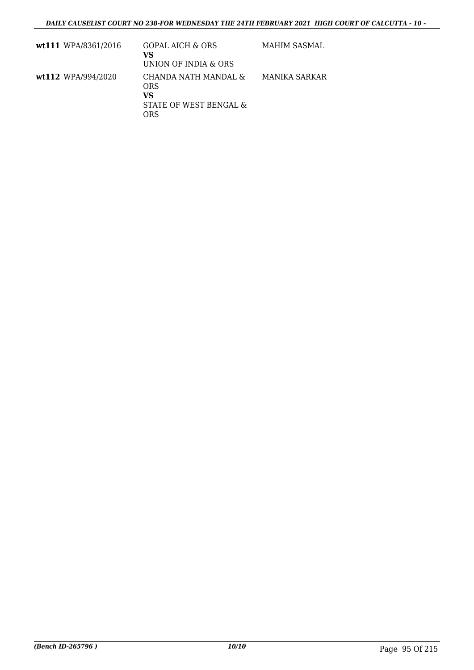| wt111 WPA/8361/2016 | <b>GOPAL AICH &amp; ORS</b><br>VS<br>UNION OF INDIA & ORS          | MAHIM SASMAL  |
|---------------------|--------------------------------------------------------------------|---------------|
| wt112 WPA/994/2020  | CHANDA NATH MANDAL &<br>ORS<br>VS<br>STATE OF WEST BENGAL &<br>ORS | MANIKA SARKAR |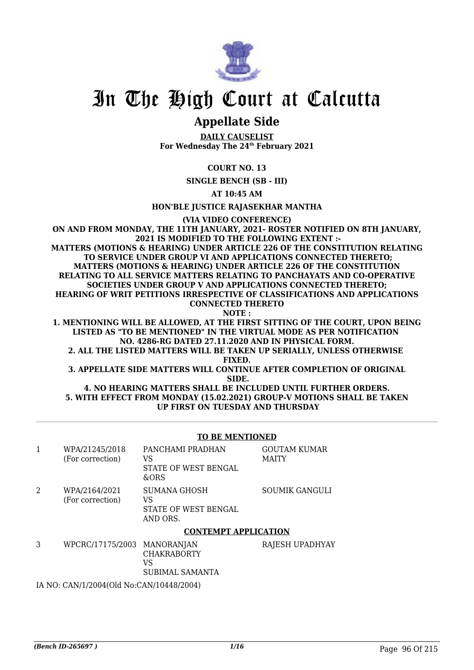

# In The High Court at Calcutta

# **Appellate Side**

**DAILY CAUSELIST For Wednesday The 24th February 2021**

### **COURT NO. 13**

**SINGLE BENCH (SB - III)**

**AT 10:45 AM**

**HON'BLE JUSTICE RAJASEKHAR MANTHA**

**(VIA VIDEO CONFERENCE)**

**ON AND FROM MONDAY, THE 11TH JANUARY, 2021- ROSTER NOTIFIED ON 8TH JANUARY, 2021 IS MODIFIED TO THE FOLLOWING EXTENT :- MATTERS (MOTIONS & HEARING) UNDER ARTICLE 226 OF THE CONSTITUTION RELATING TO SERVICE UNDER GROUP VI AND APPLICATIONS CONNECTED THERETO; MATTERS (MOTIONS & HEARING) UNDER ARTICLE 226 OF THE CONSTITUTION RELATING TO ALL SERVICE MATTERS RELATING TO PANCHAYATS AND CO-OPERATIVE SOCIETIES UNDER GROUP V AND APPLICATIONS CONNECTED THERETO; HEARING OF WRIT PETITIONS IRRESPECTIVE OF CLASSIFICATIONS AND APPLICATIONS CONNECTED THERETO NOTE :**

**1. MENTIONING WILL BE ALLOWED, AT THE FIRST SITTING OF THE COURT, UPON BEING LISTED AS "TO BE MENTIONED" IN THE VIRTUAL MODE AS PER NOTIFICATION NO. 4286-RG DATED 27.11.2020 AND IN PHYSICAL FORM.**

**2. ALL THE LISTED MATTERS WILL BE TAKEN UP SERIALLY, UNLESS OTHERWISE FIXED.**

**3. APPELLATE SIDE MATTERS WILL CONTINUE AFTER COMPLETION OF ORIGINAL SIDE.**

**4. NO HEARING MATTERS SHALL BE INCLUDED UNTIL FURTHER ORDERS. 5. WITH EFFECT FROM MONDAY (15.02.2021) GROUP-V MOTIONS SHALL BE TAKEN UP FIRST ON TUESDAY AND THURSDAY**

#### **TO BE MENTIONED**

|   | WPA/21245/2018<br>(For correction) | PANCHAMI PRADHAN<br>VS<br>STATE OF WEST BENGAL<br>&ORS        | <b>GOUTAM KUMAR</b><br><b>MAITY</b> |
|---|------------------------------------|---------------------------------------------------------------|-------------------------------------|
| 2 | WPA/2164/2021<br>(For correction)  | <b>SUMANA GHOSH</b><br>VS<br>STATE OF WEST BENGAL<br>AND ORS. | <b>SOUMIK GANGULI</b>               |
|   |                                    | <b>CONTEMPT APPLICATION</b>                                   |                                     |

| WPCRC/17175/2003 MANORANJAN | <b>CHAKRABORTY</b><br>VS.<br>SUBIMAL SAMANTA | RAJESH UPADHYAY |
|-----------------------------|----------------------------------------------|-----------------|
|                             |                                              |                 |

IA NO: CAN/1/2004(Old No:CAN/10448/2004)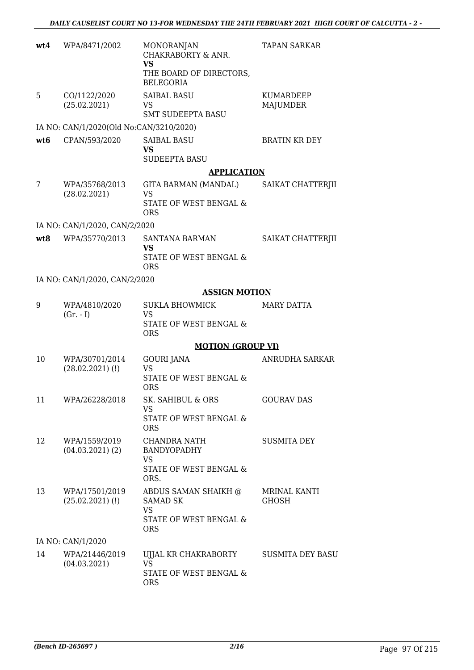| wt4             | WPA/8471/2002                           | <b>MONORANJAN</b><br>CHAKRABORTY & ANR.<br><b>VS</b><br>THE BOARD OF DIRECTORS,<br><b>BELEGORIA</b> | <b>TAPAN SARKAR</b>                 |
|-----------------|-----------------------------------------|-----------------------------------------------------------------------------------------------------|-------------------------------------|
| 5               | CO/1122/2020<br>(25.02.2021)            | <b>SAIBAL BASU</b><br>VS<br><b>SMT SUDEEPTA BASU</b>                                                | KUMARDEEP<br><b>MAJUMDER</b>        |
|                 | IA NO: CAN/1/2020(Old No:CAN/3210/2020) |                                                                                                     |                                     |
| wt <sub>6</sub> | CPAN/593/2020                           | <b>SAIBAL BASU</b><br>VS<br><b>SUDEEPTA BASU</b>                                                    | <b>BRATIN KR DEY</b>                |
|                 |                                         | <b>APPLICATION</b>                                                                                  |                                     |
| 7               | WPA/35768/2013<br>(28.02.2021)          | GITA BARMAN (MANDAL)<br><b>VS</b><br>STATE OF WEST BENGAL &<br><b>ORS</b>                           | SAIKAT CHATTERJII                   |
|                 | IA NO: CAN/1/2020, CAN/2/2020           |                                                                                                     |                                     |
| wt8             | WPA/35770/2013                          | <b>SANTANA BARMAN</b><br><b>VS</b><br>STATE OF WEST BENGAL &<br><b>ORS</b>                          | SAIKAT CHATTERJII                   |
|                 | IA NO: CAN/1/2020, CAN/2/2020           |                                                                                                     |                                     |
|                 |                                         | <b>ASSIGN MOTION</b>                                                                                |                                     |
| 9               | WPA/4810/2020<br>$(Gr. - I)$            | SUKLA BHOWMICK<br><b>VS</b><br>STATE OF WEST BENGAL &                                               | MARY DATTA                          |
|                 |                                         | <b>ORS</b>                                                                                          |                                     |
|                 |                                         | <b>MOTION (GROUP VI)</b>                                                                            |                                     |
| 10              | WPA/30701/2014<br>$(28.02.2021)$ (!)    | <b>GOURI JANA</b><br><b>VS</b><br>STATE OF WEST BENGAL &<br><b>ORS</b>                              | ANRUDHA SARKAR                      |
| 11              | WPA/26228/2018                          | <b>SK. SAHIBUL &amp; ORS</b><br>VS<br>STATE OF WEST BENGAL &                                        | <b>GOURAV DAS</b>                   |
|                 |                                         | <b>ORS</b>                                                                                          |                                     |
| 12              | WPA/1559/2019<br>$(04.03.2021)$ (2)     | <b>CHANDRA NATH</b><br><b>BANDYOPADHY</b><br>VS.                                                    | <b>SUSMITA DEY</b>                  |
|                 |                                         | STATE OF WEST BENGAL &<br>ORS.                                                                      |                                     |
| 13              | WPA/17501/2019<br>$(25.02.2021)$ (!)    | ABDUS SAMAN SHAIKH @<br><b>SAMAD SK</b><br><b>VS</b><br>STATE OF WEST BENGAL &<br><b>ORS</b>        | <b>MRINAL KANTI</b><br><b>GHOSH</b> |
|                 | IA NO: CAN/1/2020                       |                                                                                                     |                                     |
| 14              | WPA/21446/2019<br>(04.03.2021)          | UJJAL KR CHAKRABORTY<br><b>VS</b><br>STATE OF WEST BENGAL &<br><b>ORS</b>                           | <b>SUSMITA DEY BASU</b>             |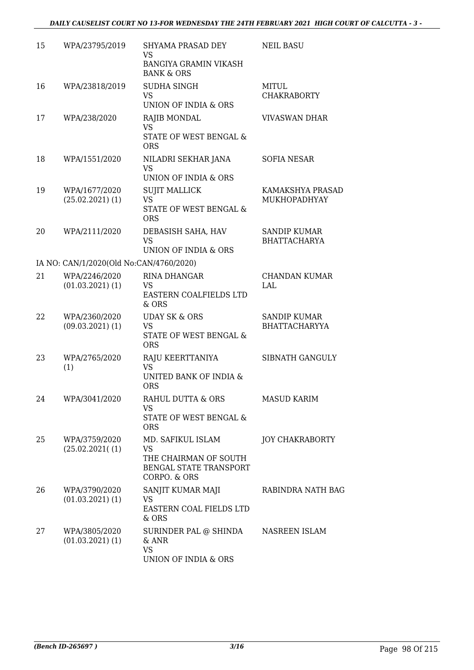| 15 | WPA/23795/2019                          | SHYAMA PRASAD DEY                                                                          | <b>NEIL BASU</b>                            |
|----|-----------------------------------------|--------------------------------------------------------------------------------------------|---------------------------------------------|
|    |                                         | VS<br><b>BANGIYA GRAMIN VIKASH</b><br><b>BANK &amp; ORS</b>                                |                                             |
| 16 | WPA/23818/2019                          | SUDHA SINGH<br>VS<br>UNION OF INDIA & ORS                                                  | <b>MITUL</b><br><b>CHAKRABORTY</b>          |
| 17 | WPA/238/2020                            | RAJIB MONDAL<br><b>VS</b><br>STATE OF WEST BENGAL &<br><b>ORS</b>                          | <b>VIVASWAN DHAR</b>                        |
| 18 | WPA/1551/2020                           | NILADRI SEKHAR JANA<br><b>VS</b><br>UNION OF INDIA & ORS                                   | <b>SOFIA NESAR</b>                          |
| 19 | WPA/1677/2020<br>$(25.02.2021)$ (1)     | <b>SUJIT MALLICK</b><br><b>VS</b><br>STATE OF WEST BENGAL &<br><b>ORS</b>                  | KAMAKSHYA PRASAD<br>MUKHOPADHYAY            |
| 20 | WPA/2111/2020                           | DEBASISH SAHA, HAV<br><b>VS</b><br>UNION OF INDIA & ORS                                    | <b>SANDIP KUMAR</b><br><b>BHATTACHARYA</b>  |
|    | IA NO: CAN/1/2020(Old No:CAN/4760/2020) |                                                                                            |                                             |
| 21 | WPA/2246/2020<br>$(01.03.2021)$ $(1)$   | <b>RINA DHANGAR</b><br>VS<br>EASTERN COALFIELDS LTD<br>$&$ ORS                             | CHANDAN KUMAR<br>LAL                        |
| 22 | WPA/2360/2020<br>$(09.03.2021)$ $(1)$   | <b>UDAY SK &amp; ORS</b><br><b>VS</b><br>STATE OF WEST BENGAL &<br><b>ORS</b>              | <b>SANDIP KUMAR</b><br><b>BHATTACHARYYA</b> |
| 23 | WPA/2765/2020<br>(1)                    | RAJU KEERTTANIYA<br><b>VS</b><br>UNITED BANK OF INDIA &<br><b>ORS</b>                      | SIBNATH GANGULY                             |
| 24 | WPA/3041/2020                           | RAHUL DUTTA & ORS<br><b>VS</b><br>STATE OF WEST BENGAL &<br><b>ORS</b>                     | <b>MASUD KARIM</b>                          |
| 25 | WPA/3759/2020<br>(25.02.2021(1))        | MD. SAFIKUL ISLAM<br>VS<br>THE CHAIRMAN OF SOUTH<br>BENGAL STATE TRANSPORT<br>CORPO. & ORS | <b>JOY CHAKRABORTY</b>                      |
| 26 | WPA/3790/2020<br>$(01.03.2021)$ $(1)$   | SANJIT KUMAR MAJI<br>VS<br>EASTERN COAL FIELDS LTD<br>& ORS                                | RABINDRA NATH BAG                           |
| 27 | WPA/3805/2020<br>$(01.03.2021)$ $(1)$   | SURINDER PAL @ SHINDA<br>$&$ ANR<br><b>VS</b><br>UNION OF INDIA & ORS                      | NASREEN ISLAM                               |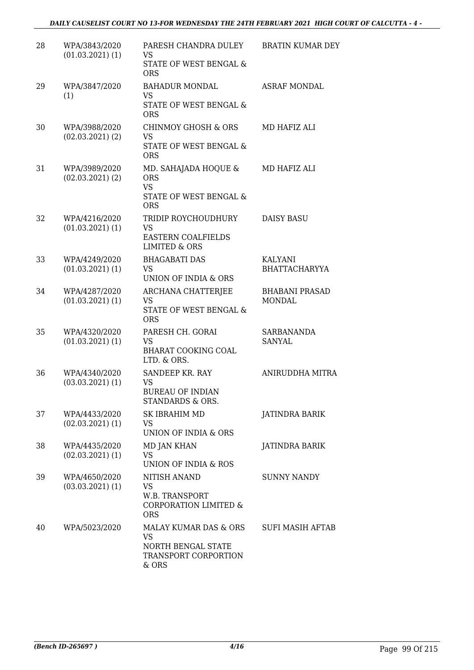### *DAILY CAUSELIST COURT NO 13-FOR WEDNESDAY THE 24TH FEBRUARY 2021 HIGH COURT OF CALCUTTA - 4 -*

| 28 | WPA/3843/2020<br>$(01.03.2021)$ $(1)$ | PARESH CHANDRA DULEY<br><b>VS</b><br>STATE OF WEST BENGAL &<br><b>ORS</b>                 | <b>BRATIN KUMAR DEY</b>                |
|----|---------------------------------------|-------------------------------------------------------------------------------------------|----------------------------------------|
| 29 | WPA/3847/2020<br>(1)                  | <b>BAHADUR MONDAL</b><br><b>VS</b><br>STATE OF WEST BENGAL &<br><b>ORS</b>                | <b>ASRAF MONDAL</b>                    |
| 30 | WPA/3988/2020<br>$(02.03.2021)$ $(2)$ | <b>CHINMOY GHOSH &amp; ORS</b><br><b>VS</b><br>STATE OF WEST BENGAL &<br><b>ORS</b>       | MD HAFIZ ALI                           |
| 31 | WPA/3989/2020<br>$(02.03.2021)$ $(2)$ | MD. SAHAJADA HOQUE &<br><b>ORS</b><br><b>VS</b><br>STATE OF WEST BENGAL &<br><b>ORS</b>   | MD HAFIZ ALI                           |
| 32 | WPA/4216/2020<br>$(01.03.2021)$ $(1)$ | TRIDIP ROYCHOUDHURY<br>VS.<br><b>EASTERN COALFIELDS</b><br>LIMITED & ORS                  | <b>DAISY BASU</b>                      |
| 33 | WPA/4249/2020<br>$(01.03.2021)$ $(1)$ | <b>BHAGABATI DAS</b><br>VS.<br>UNION OF INDIA & ORS                                       | <b>KALYANI</b><br><b>BHATTACHARYYA</b> |
| 34 | WPA/4287/2020<br>$(01.03.2021)$ $(1)$ | ARCHANA CHATTERJEE<br>VS<br>STATE OF WEST BENGAL &<br><b>ORS</b>                          | <b>BHABANI PRASAD</b><br><b>MONDAL</b> |
| 35 | WPA/4320/2020<br>$(01.03.2021)$ $(1)$ | PARESH CH. GORAI<br><b>VS</b><br><b>BHARAT COOKING COAL</b><br>LTD. & ORS.                | SARBANANDA<br>SANYAL                   |
| 36 | WPA/4340/2020<br>$(03.03.2021)$ $(1)$ | SANDEEP KR. RAY<br><b>VS</b><br><b>BUREAU OF INDIAN</b><br>STANDARDS & ORS.               | ANIRUDDHA MITRA                        |
| 37 | WPA/4433/2020<br>$(02.03.2021)$ $(1)$ | <b>SK IBRAHIM MD</b><br>VS.<br>UNION OF INDIA & ORS                                       | JATINDRA BARIK                         |
| 38 | WPA/4435/2020<br>$(02.03.2021)$ $(1)$ | <b>MD JAN KHAN</b><br><b>VS</b><br>UNION OF INDIA & ROS                                   | JATINDRA BARIK                         |
| 39 | WPA/4650/2020<br>$(03.03.2021)$ $(1)$ | NITISH ANAND<br>VS<br>W.B. TRANSPORT<br>CORPORATION LIMITED &<br><b>ORS</b>               | <b>SUNNY NANDY</b>                     |
| 40 | WPA/5023/2020                         | MALAY KUMAR DAS & ORS<br><b>VS</b><br>NORTH BENGAL STATE<br>TRANSPORT CORPORTION<br>& ORS | SUFI MASIH AFTAB                       |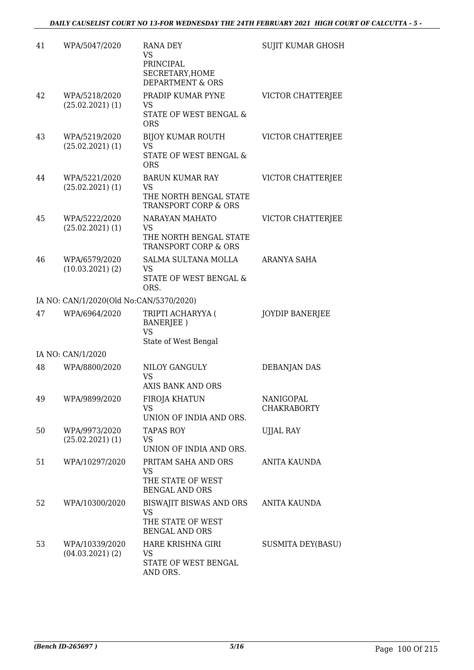| 41 | WPA/5047/2020                           | RANA DEY<br>VS<br>PRINCIPAL<br>SECRETARY, HOME<br><b>DEPARTMENT &amp; ORS</b>      | <b>SUJIT KUMAR GHOSH</b>        |
|----|-----------------------------------------|------------------------------------------------------------------------------------|---------------------------------|
| 42 | WPA/5218/2020<br>$(25.02.2021)$ (1)     | PRADIP KUMAR PYNE<br>VS<br>STATE OF WEST BENGAL &<br><b>ORS</b>                    | VICTOR CHATTERJEE               |
| 43 | WPA/5219/2020<br>$(25.02.2021)$ (1)     | BIJOY KUMAR ROUTH<br>VS<br>STATE OF WEST BENGAL &<br><b>ORS</b>                    | VICTOR CHATTERJEE               |
| 44 | WPA/5221/2020<br>$(25.02.2021)$ (1)     | <b>BARUN KUMAR RAY</b><br>VS<br>THE NORTH BENGAL STATE<br>TRANSPORT CORP & ORS     | VICTOR CHATTERJEE               |
| 45 | WPA/5222/2020<br>$(25.02.2021)$ (1)     | NARAYAN MAHATO<br><b>VS</b><br>THE NORTH BENGAL STATE<br>TRANSPORT CORP & ORS      | VICTOR CHATTERJEE               |
| 46 | WPA/6579/2020<br>(10.03.2021)(2)        | SALMA SULTANA MOLLA<br>VS.<br>STATE OF WEST BENGAL &<br>ORS.                       | ARANYA SAHA                     |
|    | IA NO: CAN/1/2020(Old No:CAN/5370/2020) |                                                                                    |                                 |
| 47 | WPA/6964/2020                           | TRIPTI ACHARYYA (<br><b>BANERJEE</b> )<br><b>VS</b><br>State of West Bengal        | <b>JOYDIP BANERJEE</b>          |
|    | IA NO: CAN/1/2020                       |                                                                                    |                                 |
| 48 | WPA/8800/2020                           | NILOY GANGULY<br><b>VS</b><br>AXIS BANK AND ORS                                    | <b>DEBANJAN DAS</b>             |
| 49 | WPA/9899/2020                           | FIROJA KHATUN<br>VS<br>UNION OF INDIA AND ORS.                                     | NANIGOPAL<br><b>CHAKRABORTY</b> |
| 50 | WPA/9973/2020<br>$(25.02.2021)$ (1)     | TAPAS ROY<br>VS<br>UNION OF INDIA AND ORS.                                         | <b>UJJAL RAY</b>                |
| 51 | WPA/10297/2020                          | PRITAM SAHA AND ORS<br>VS<br>THE STATE OF WEST<br><b>BENGAL AND ORS</b>            | ANITA KAUNDA                    |
| 52 | WPA/10300/2020                          | BISWAJIT BISWAS AND ORS<br><b>VS</b><br>THE STATE OF WEST<br><b>BENGAL AND ORS</b> | <b>ANITA KAUNDA</b>             |
| 53 | WPA/10339/2020<br>$(04.03.2021)$ (2)    | HARE KRISHNA GIRI<br>VS<br>STATE OF WEST BENGAL<br>AND ORS.                        | SUSMITA DEY(BASU)               |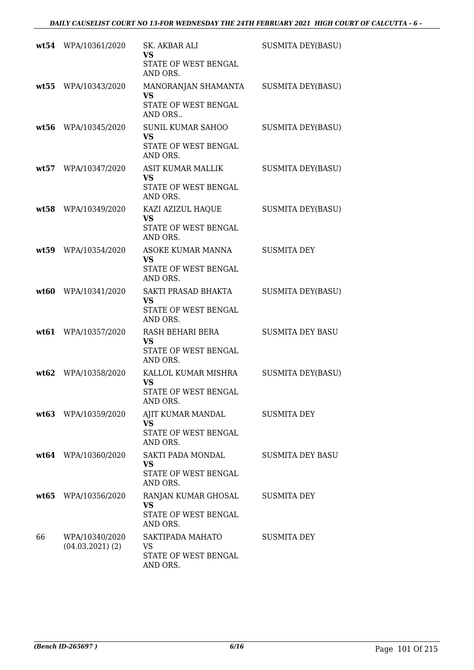|      | wt54 WPA/10361/2020                  | SK. AKBAR ALI<br>VS<br>STATE OF WEST BENGAL<br>AND ORS.                   | <b>SUSMITA DEY(BASU)</b> |
|------|--------------------------------------|---------------------------------------------------------------------------|--------------------------|
| wt55 | WPA/10343/2020                       | MANORANJAN SHAMANTA<br>VS<br>STATE OF WEST BENGAL<br>AND ORS              | <b>SUSMITA DEY(BASU)</b> |
| wt56 | WPA/10345/2020                       | <b>SUNIL KUMAR SAHOO</b><br><b>VS</b><br>STATE OF WEST BENGAL<br>AND ORS. | <b>SUSMITA DEY(BASU)</b> |
| wt57 | WPA/10347/2020                       | <b>ASIT KUMAR MALLIK</b><br><b>VS</b><br>STATE OF WEST BENGAL<br>AND ORS. | <b>SUSMITA DEY(BASU)</b> |
| wt58 | WPA/10349/2020                       | KAZI AZIZUL HAQUE<br>VS<br>STATE OF WEST BENGAL<br>AND ORS.               | <b>SUSMITA DEY(BASU)</b> |
| wt59 | WPA/10354/2020                       | <b>ASOKE KUMAR MANNA</b><br><b>VS</b><br>STATE OF WEST BENGAL<br>AND ORS. | <b>SUSMITA DEY</b>       |
| wt60 | WPA/10341/2020                       | SAKTI PRASAD BHAKTA<br>VS<br>STATE OF WEST BENGAL<br>AND ORS.             | <b>SUSMITA DEY(BASU)</b> |
| wt61 | WPA/10357/2020                       | RASH BEHARI BERA<br>VS<br>STATE OF WEST BENGAL<br>AND ORS.                | <b>SUSMITA DEY BASU</b>  |
| wt62 | WPA/10358/2020                       | KALLOL KUMAR MISHRA<br><b>VS</b><br>STATE OF WEST BENGAL<br>AND ORS.      | <b>SUSMITA DEY(BASU)</b> |
|      | wt63 WPA/10359/2020                  | AJIT KUMAR MANDAL<br><b>VS</b><br>STATE OF WEST BENGAL<br>AND ORS.        | <b>SUSMITA DEY</b>       |
|      | wt64 WPA/10360/2020                  | SAKTI PADA MONDAL<br><b>VS</b><br>STATE OF WEST BENGAL<br>AND ORS.        | <b>SUSMITA DEY BASU</b>  |
|      | wt65 WPA/10356/2020                  | RANJAN KUMAR GHOSAL<br>VS<br>STATE OF WEST BENGAL<br>AND ORS.             | SUSMITA DEY              |
| 66   | WPA/10340/2020<br>$(04.03.2021)$ (2) | SAKTIPADA MAHATO<br>VS<br>STATE OF WEST BENGAL<br>AND ORS.                | SUSMITA DEY              |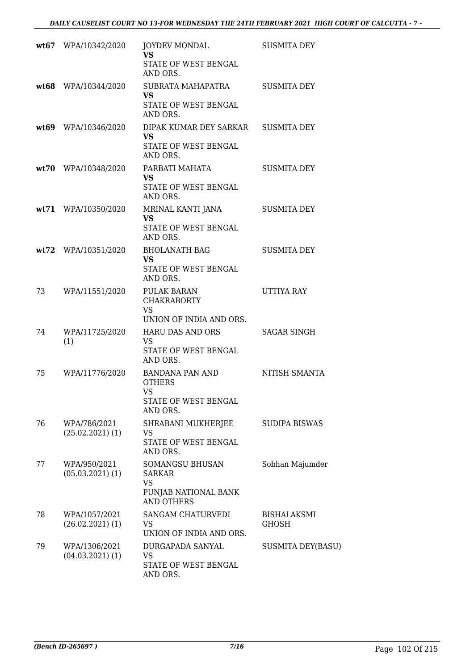|    | wt67 WPA/10342/2020                  | <b>JOYDEV MONDAL</b><br><b>VS</b><br>STATE OF WEST BENGAL<br>AND ORS.                      | <b>SUSMITA DEY</b>          |
|----|--------------------------------------|--------------------------------------------------------------------------------------------|-----------------------------|
|    | wt68 WPA/10344/2020                  | SUBRATA MAHAPATRA<br><b>VS</b><br>STATE OF WEST BENGAL<br>AND ORS.                         | <b>SUSMITA DEY</b>          |
|    | wt69 WPA/10346/2020                  | DIPAK KUMAR DEY SARKAR SUSMITA DEY<br><b>VS</b><br>STATE OF WEST BENGAL<br>AND ORS.        |                             |
|    | wt70 WPA/10348/2020                  | PARBATI MAHATA<br><b>VS</b><br>STATE OF WEST BENGAL<br>AND ORS.                            | <b>SUSMITA DEY</b>          |
|    | wt71 WPA/10350/2020                  | MRINAL KANTI JANA<br><b>VS</b><br>STATE OF WEST BENGAL<br>AND ORS.                         | <b>SUSMITA DEY</b>          |
|    | wt72 WPA/10351/2020                  | <b>BHOLANATH BAG</b><br><b>VS</b><br>STATE OF WEST BENGAL<br>AND ORS.                      | <b>SUSMITA DEY</b>          |
| 73 | WPA/11551/2020                       | PULAK BARAN<br><b>CHAKRABORTY</b><br><b>VS</b><br>UNION OF INDIA AND ORS.                  | UTTIYA RAY                  |
| 74 | WPA/11725/2020<br>(1)                | HARU DAS AND ORS<br>VS<br>STATE OF WEST BENGAL<br>AND ORS.                                 | SAGAR SINGH                 |
| 75 | WPA/11776/2020                       | BANDANA PAN AND<br><b>OTHERS</b><br>VS<br>STATE OF WEST BENGAL<br>AND ORS.                 | NITISH SMANTA               |
| 76 | WPA/786/2021<br>$(25.02.2021)$ (1)   | SHRABANI MUKHERJEE<br>VS<br>STATE OF WEST BENGAL<br>AND ORS.                               | <b>SUDIPA BISWAS</b>        |
| 77 | WPA/950/2021<br>$(05.03.2021)$ $(1)$ | SOMANGSU BHUSAN<br><b>SARKAR</b><br><b>VS</b><br>PUNJAB NATIONAL BANK<br><b>AND OTHERS</b> | Sobhan Majumder             |
| 78 | WPA/1057/2021<br>$(26.02.2021)$ (1)  | SANGAM CHATURVEDI<br>VS<br>UNION OF INDIA AND ORS.                                         | BISHALAKSMI<br><b>GHOSH</b> |
| 79 | WPA/1306/2021<br>$(04.03.2021)$ (1)  | DURGAPADA SANYAL<br>VS<br>STATE OF WEST BENGAL<br>AND ORS.                                 | <b>SUSMITA DEY(BASU)</b>    |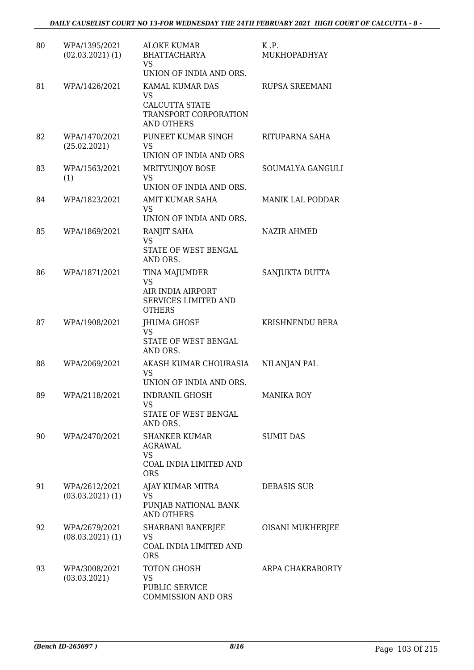| 80 | WPA/1395/2021<br>$(02.03.2021)$ (1)   | <b>ALOKE KUMAR</b><br><b>BHATTACHARYA</b><br>VS<br>UNION OF INDIA AND ORS.                   | K.P.<br>MUKHOPADHYAY    |
|----|---------------------------------------|----------------------------------------------------------------------------------------------|-------------------------|
| 81 | WPA/1426/2021                         | KAMAL KUMAR DAS<br>VS<br><b>CALCUTTA STATE</b><br>TRANSPORT CORPORATION<br><b>AND OTHERS</b> | RUPSA SREEMANI          |
| 82 | WPA/1470/2021<br>(25.02.2021)         | PUNEET KUMAR SINGH<br><b>VS</b><br>UNION OF INDIA AND ORS                                    | RITUPARNA SAHA          |
| 83 | WPA/1563/2021<br>(1)                  | MRITYUNJOY BOSE<br><b>VS</b><br>UNION OF INDIA AND ORS.                                      | SOUMALYA GANGULI        |
| 84 | WPA/1823/2021                         | AMIT KUMAR SAHA<br><b>VS</b><br>UNION OF INDIA AND ORS.                                      | <b>MANIK LAL PODDAR</b> |
| 85 | WPA/1869/2021                         | RANJIT SAHA<br><b>VS</b><br>STATE OF WEST BENGAL<br>AND ORS.                                 | <b>NAZIR AHMED</b>      |
| 86 | WPA/1871/2021                         | TINA MAJUMDER<br>VS<br>AIR INDIA AIRPORT<br>SERVICES LIMITED AND<br><b>OTHERS</b>            | SANJUKTA DUTTA          |
| 87 | WPA/1908/2021                         | JHUMA GHOSE<br>VS<br>STATE OF WEST BENGAL<br>AND ORS.                                        | KRISHNENDU BERA         |
| 88 | WPA/2069/2021                         | AKASH KUMAR CHOURASIA<br><b>VS</b><br>UNION OF INDIA AND ORS.                                | NILANJAN PAL            |
| 89 | WPA/2118/2021                         | <b>INDRANIL GHOSH</b><br>VS<br>STATE OF WEST BENGAL<br>AND ORS.                              | <b>MANIKA ROY</b>       |
| 90 | WPA/2470/2021                         | <b>SHANKER KUMAR</b><br>AGRAWAL<br><b>VS</b><br>COAL INDIA LIMITED AND<br><b>ORS</b>         | <b>SUMIT DAS</b>        |
| 91 | WPA/2612/2021<br>$(03.03.2021)$ $(1)$ | AJAY KUMAR MITRA<br>VS<br>PUNJAB NATIONAL BANK<br><b>AND OTHERS</b>                          | <b>DEBASIS SUR</b>      |
| 92 | WPA/2679/2021<br>$(08.03.2021)$ $(1)$ | SHARBANI BANERJEE<br>VS<br>COAL INDIA LIMITED AND<br><b>ORS</b>                              | OISANI MUKHERJEE        |
| 93 | WPA/3008/2021<br>(03.03.2021)         | TOTON GHOSH<br><b>VS</b><br>PUBLIC SERVICE<br>COMMISSION AND ORS                             | ARPA CHAKRABORTY        |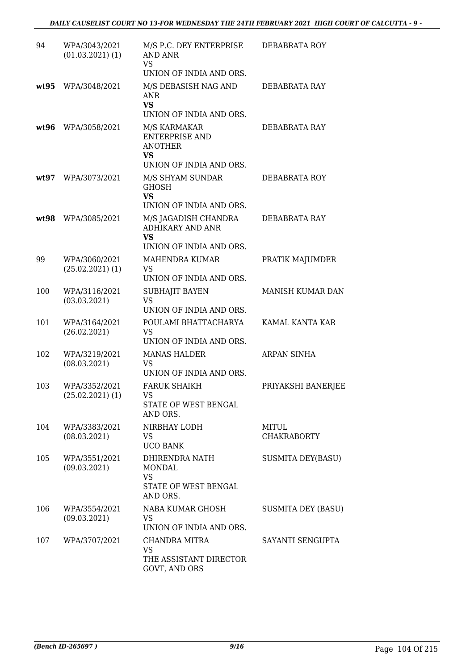| 94   | WPA/3043/2021<br>$(01.03.2021)$ $(1)$ | M/S P.C. DEY ENTERPRISE<br>AND ANR<br>VS<br>UNION OF INDIA AND ORS.                             | DEBABRATA ROY               |
|------|---------------------------------------|-------------------------------------------------------------------------------------------------|-----------------------------|
| wt95 | WPA/3048/2021                         | M/S DEBASISH NAG AND<br>ANR<br><b>VS</b><br>UNION OF INDIA AND ORS.                             | DEBABRATA RAY               |
| wt96 | WPA/3058/2021                         | M/S KARMAKAR<br><b>ENTERPRISE AND</b><br><b>ANOTHER</b><br><b>VS</b><br>UNION OF INDIA AND ORS. | DEBABRATA RAY               |
| wt97 | WPA/3073/2021                         | M/S SHYAM SUNDAR<br><b>GHOSH</b><br><b>VS</b><br>UNION OF INDIA AND ORS.                        | DEBABRATA ROY               |
| wt98 | WPA/3085/2021                         | M/S JAGADISH CHANDRA<br><b>ADHIKARY AND ANR</b><br><b>VS</b><br>UNION OF INDIA AND ORS.         | DEBABRATA RAY               |
| 99   | WPA/3060/2021<br>$(25.02.2021)$ $(1)$ | MAHENDRA KUMAR<br><b>VS</b><br>UNION OF INDIA AND ORS.                                          | PRATIK MAJUMDER             |
| 100  | WPA/3116/2021<br>(03.03.2021)         | SUBHAJIT BAYEN<br>VS<br>UNION OF INDIA AND ORS.                                                 | MANISH KUMAR DAN            |
| 101  | WPA/3164/2021<br>(26.02.2021)         | POULAMI BHATTACHARYA<br><b>VS</b><br>UNION OF INDIA AND ORS.                                    | KAMAL KANTA KAR             |
| 102  | WPA/3219/2021<br>(08.03.2021)         | <b>MANAS HALDER</b><br>VS<br>UNION OF INDIA AND ORS.                                            | <b>ARPAN SINHA</b>          |
| 103  | WPA/3352/2021<br>$(25.02.2021)$ $(1)$ | <b>FARUK SHAIKH</b><br>VS<br>STATE OF WEST BENGAL<br>AND ORS.                                   | PRIYAKSHI BANERJEE          |
| 104  | WPA/3383/2021<br>(08.03.2021)         | NIRBHAY LODH<br>VS.<br><b>UCO BANK</b>                                                          | MITUL<br><b>CHAKRABORTY</b> |
| 105  | WPA/3551/2021<br>(09.03.2021)         | DHIRENDRA NATH<br><b>MONDAL</b><br><b>VS</b><br>STATE OF WEST BENGAL<br>AND ORS.                | <b>SUSMITA DEY(BASU)</b>    |
| 106  | WPA/3554/2021<br>(09.03.2021)         | NABA KUMAR GHOSH<br>VS<br>UNION OF INDIA AND ORS.                                               | <b>SUSMITA DEY (BASU)</b>   |
| 107  | WPA/3707/2021                         | CHANDRA MITRA<br>VS<br>THE ASSISTANT DIRECTOR<br>GOVT, AND ORS                                  | SAYANTI SENGUPTA            |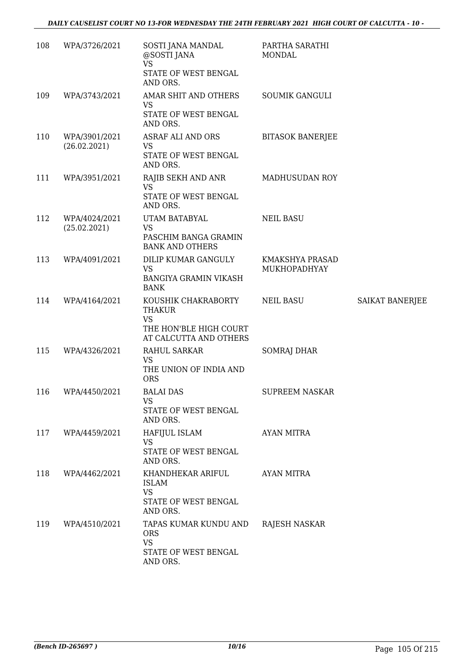| 108 | WPA/3726/2021                 | SOSTI JANA MANDAL<br>@SOSTI JANA<br><b>VS</b><br>STATE OF WEST BENGAL<br>AND ORS.                     | PARTHA SARATHI<br><b>MONDAL</b> |                 |
|-----|-------------------------------|-------------------------------------------------------------------------------------------------------|---------------------------------|-----------------|
| 109 | WPA/3743/2021                 | AMAR SHIT AND OTHERS<br>VS<br>STATE OF WEST BENGAL<br>AND ORS.                                        | <b>SOUMIK GANGULI</b>           |                 |
| 110 | WPA/3901/2021<br>(26.02.2021) | ASRAF ALI AND ORS<br><b>VS</b><br>STATE OF WEST BENGAL<br>AND ORS.                                    | <b>BITASOK BANERJEE</b>         |                 |
| 111 | WPA/3951/2021                 | RAJIB SEKH AND ANR<br>VS<br>STATE OF WEST BENGAL<br>AND ORS.                                          | MADHUSUDAN ROY                  |                 |
| 112 | WPA/4024/2021<br>(25.02.2021) | UTAM BATABYAL<br><b>VS</b><br>PASCHIM BANGA GRAMIN<br><b>BANK AND OTHERS</b>                          | <b>NEIL BASU</b>                |                 |
| 113 | WPA/4091/2021                 | DILIP KUMAR GANGULY<br><b>VS</b><br><b>BANGIYA GRAMIN VIKASH</b><br><b>BANK</b>                       | KMAKSHYA PRASAD<br>MUKHOPADHYAY |                 |
| 114 | WPA/4164/2021                 | KOUSHIK CHAKRABORTY<br><b>THAKUR</b><br><b>VS</b><br>THE HON'BLE HIGH COURT<br>AT CALCUTTA AND OTHERS | <b>NEIL BASU</b>                | SAIKAT BANERJEE |
| 115 | WPA/4326/2021                 | RAHUL SARKAR<br>VS<br>THE UNION OF INDIA AND<br><b>ORS</b>                                            | <b>SOMRAJ DHAR</b>              |                 |
| 116 | WPA/4450/2021                 | <b>BALAI DAS</b><br><b>VS</b><br>STATE OF WEST BENGAL<br>AND ORS.                                     | <b>SUPREEM NASKAR</b>           |                 |
| 117 | WPA/4459/2021                 | HAFIJUL ISLAM<br><b>VS</b><br>STATE OF WEST BENGAL<br>AND ORS.                                        | AYAN MITRA                      |                 |
| 118 | WPA/4462/2021                 | KHANDHEKAR ARIFUL<br><b>ISLAM</b><br>VS<br>STATE OF WEST BENGAL<br>AND ORS.                           | <b>AYAN MITRA</b>               |                 |
| 119 | WPA/4510/2021                 | TAPAS KUMAR KUNDU AND<br><b>ORS</b><br><b>VS</b><br>STATE OF WEST BENGAL<br>AND ORS.                  | RAJESH NASKAR                   |                 |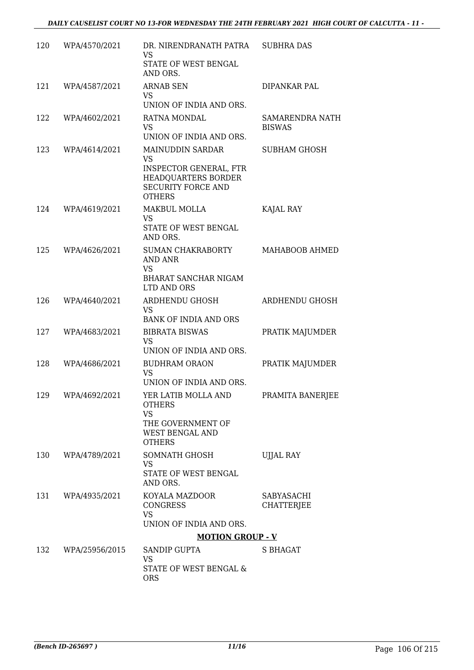| 120 | WPA/4570/2021     | DR. NIRENDRANATH PATRA<br><b>VS</b><br>STATE OF WEST BENGAL<br>AND ORS.                                                             | <b>SUBHRA DAS</b>                       |
|-----|-------------------|-------------------------------------------------------------------------------------------------------------------------------------|-----------------------------------------|
| 121 | WPA/4587/2021     | <b>ARNAB SEN</b><br>VS.<br>UNION OF INDIA AND ORS.                                                                                  | DIPANKAR PAL                            |
| 122 | WPA/4602/2021     | RATNA MONDAL<br><b>VS</b><br>UNION OF INDIA AND ORS.                                                                                | <b>SAMARENDRA NATH</b><br><b>BISWAS</b> |
| 123 | WPA/4614/2021     | <b>MAINUDDIN SARDAR</b><br><b>VS</b><br>INSPECTOR GENERAL, FTR<br>HEADQUARTERS BORDER<br><b>SECURITY FORCE AND</b><br><b>OTHERS</b> | <b>SUBHAM GHOSH</b>                     |
| 124 | WPA/4619/2021     | MAKBUL MOLLA<br><b>VS</b><br>STATE OF WEST BENGAL                                                                                   | KAJAL RAY                               |
|     |                   | AND ORS.                                                                                                                            |                                         |
| 125 | WPA/4626/2021     | SUMAN CHAKRABORTY<br>AND ANR<br>VS<br><b>BHARAT SANCHAR NIGAM</b><br>LTD AND ORS                                                    | MAHABOOB AHMED                          |
| 126 | WPA/4640/2021     | ARDHENDU GHOSH<br>VS<br><b>BANK OF INDIA AND ORS</b>                                                                                | ARDHENDU GHOSH                          |
| 127 | WPA/4683/2021     | <b>BIBRATA BISWAS</b><br><b>VS</b><br>UNION OF INDIA AND ORS.                                                                       | PRATIK MAJUMDER                         |
| 128 | WPA/4686/2021     | <b>BUDHRAM ORAON</b><br><b>VS</b><br>UNION OF INDIA AND ORS.                                                                        | PRATIK MAJUMDER                         |
| 129 | WPA/4692/2021     | YER LATIB MOLLA AND<br><b>OTHERS</b><br><b>VS</b><br>THE GOVERNMENT OF<br>WEST BENGAL AND<br><b>OTHERS</b>                          | PRAMITA BANERJEE                        |
| 130 | WPA/4789/2021     | SOMNATH GHOSH<br><b>VS</b><br>STATE OF WEST BENGAL<br>AND ORS.                                                                      | <b>UJJAL RAY</b>                        |
|     | 131 WPA/4935/2021 | KOYALA MAZDOOR<br><b>CONGRESS</b><br><b>VS</b><br>UNION OF INDIA AND ORS.                                                           | SABYASACHI<br>CHATTERJEE                |
|     |                   | <b>MOTION GROUP - V</b>                                                                                                             |                                         |
| 132 | WPA/25956/2015    | SANDIP GUPTA<br>VS<br>STATE OF WEST BENGAL &<br><b>ORS</b>                                                                          | <b>S BHAGAT</b>                         |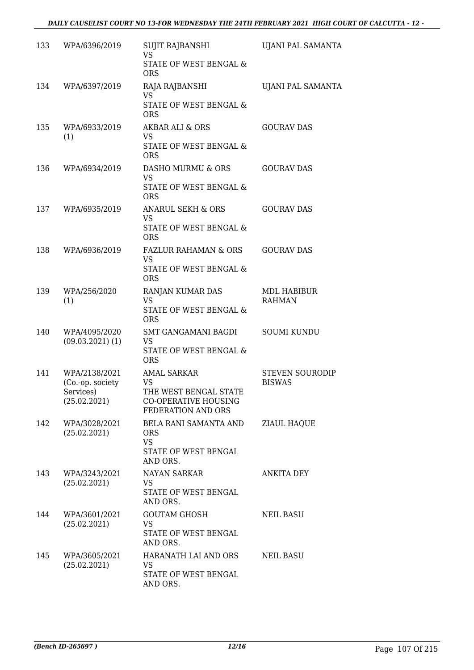| 133 | WPA/6396/2019                                                  | SUJIT RAJBANSHI<br>VS.<br><b>STATE OF WEST BENGAL &amp;</b><br><b>ORS</b>                                     | UJANI PAL SAMANTA                       |
|-----|----------------------------------------------------------------|---------------------------------------------------------------------------------------------------------------|-----------------------------------------|
| 134 | WPA/6397/2019                                                  | RAJA RAJBANSHI<br><b>VS</b><br>STATE OF WEST BENGAL &<br><b>ORS</b>                                           | <b>UJANI PAL SAMANTA</b>                |
| 135 | WPA/6933/2019<br>(1)                                           | AKBAR ALI & ORS<br><b>VS</b><br>STATE OF WEST BENGAL &<br><b>ORS</b>                                          | <b>GOURAV DAS</b>                       |
| 136 | WPA/6934/2019                                                  | DASHO MURMU & ORS<br><b>VS</b><br>STATE OF WEST BENGAL &<br><b>ORS</b>                                        | <b>GOURAV DAS</b>                       |
| 137 | WPA/6935/2019                                                  | <b>ANARUL SEKH &amp; ORS</b><br><b>VS</b><br>STATE OF WEST BENGAL &<br><b>ORS</b>                             | <b>GOURAV DAS</b>                       |
| 138 | WPA/6936/2019                                                  | <b>FAZLUR RAHAMAN &amp; ORS</b><br><b>VS</b><br>STATE OF WEST BENGAL &<br><b>ORS</b>                          | <b>GOURAV DAS</b>                       |
| 139 | WPA/256/2020<br>(1)                                            | RANJAN KUMAR DAS<br><b>VS</b><br>STATE OF WEST BENGAL &<br><b>ORS</b>                                         | MDL HABIBUR<br><b>RAHMAN</b>            |
| 140 | WPA/4095/2020<br>$(09.03.2021)$ $(1)$                          | SMT GANGAMANI BAGDI<br>VS<br>STATE OF WEST BENGAL &<br><b>ORS</b>                                             | <b>SOUMI KUNDU</b>                      |
| 141 | WPA/2138/2021<br>(Co.-op. society<br>Services)<br>(25.02.2021) | <b>AMAL SARKAR</b><br><b>VS</b><br>THE WEST BENGAL STATE<br><b>CO-OPERATIVE HOUSING</b><br>FEDERATION AND ORS | <b>STEVEN SOURODIP</b><br><b>BISWAS</b> |
| 142 | WPA/3028/2021<br>(25.02.2021)                                  | BELA RANI SAMANTA AND<br><b>ORS</b><br><b>VS</b><br>STATE OF WEST BENGAL<br>AND ORS.                          | <b>ZIAUL HAQUE</b>                      |
| 143 | WPA/3243/2021<br>(25.02.2021)                                  | <b>NAYAN SARKAR</b><br>VS.<br>STATE OF WEST BENGAL<br>AND ORS.                                                | <b>ANKITA DEY</b>                       |
| 144 | WPA/3601/2021<br>(25.02.2021)                                  | <b>GOUTAM GHOSH</b><br>VS<br>STATE OF WEST BENGAL<br>AND ORS.                                                 | <b>NEIL BASU</b>                        |
| 145 | WPA/3605/2021<br>(25.02.2021)                                  | HARANATH LAI AND ORS<br>VS<br>STATE OF WEST BENGAL<br>AND ORS.                                                | <b>NEIL BASU</b>                        |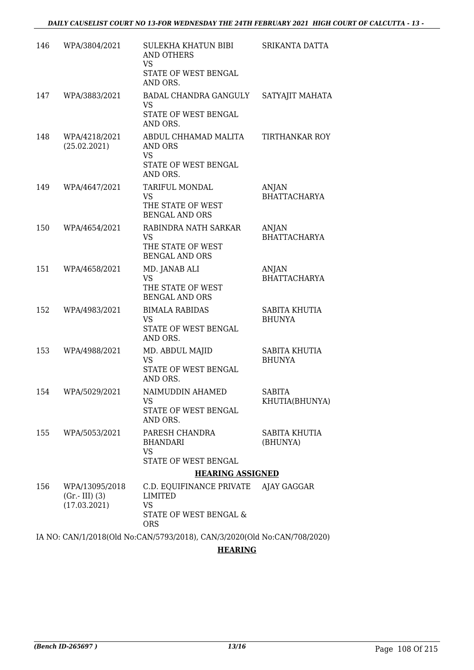| 146 | WPA/3804/2021                                     | SULEKHA KHATUN BIBI<br><b>AND OTHERS</b><br><b>VS</b><br>STATE OF WEST BENGAL                        | SRIKANTA DATTA                        |
|-----|---------------------------------------------------|------------------------------------------------------------------------------------------------------|---------------------------------------|
| 147 | WPA/3883/2021                                     | AND ORS.<br>BADAL CHANDRA GANGULY<br><b>VS</b><br>STATE OF WEST BENGAL<br>AND ORS.                   | SATYAJIT MAHATA                       |
| 148 | WPA/4218/2021<br>(25.02.2021)                     | ABDUL CHHAMAD MALITA<br>AND ORS<br><b>VS</b><br>STATE OF WEST BENGAL<br>AND ORS.                     | <b>TIRTHANKAR ROY</b>                 |
| 149 | WPA/4647/2021                                     | TARIFUL MONDAL<br><b>VS</b><br>THE STATE OF WEST<br><b>BENGAL AND ORS</b>                            | ANJAN<br><b>BHATTACHARYA</b>          |
| 150 | WPA/4654/2021                                     | RABINDRA NATH SARKAR<br><b>VS</b><br>THE STATE OF WEST<br><b>BENGAL AND ORS</b>                      | <b>ANJAN</b><br><b>BHATTACHARYA</b>   |
| 151 | WPA/4658/2021                                     | MD. JANAB ALI<br><b>VS</b><br>THE STATE OF WEST<br><b>BENGAL AND ORS</b>                             | ANJAN<br><b>BHATTACHARYA</b>          |
| 152 | WPA/4983/2021                                     | <b>BIMALA RABIDAS</b><br><b>VS</b><br>STATE OF WEST BENGAL<br>AND ORS.                               | SABITA KHUTIA<br><b>BHUNYA</b>        |
| 153 | WPA/4988/2021                                     | MD. ABDUL MAJID<br><b>VS</b><br>STATE OF WEST BENGAL<br>AND ORS.                                     | <b>SABITA KHUTIA</b><br><b>BHUNYA</b> |
| 154 | WPA/5029/2021                                     | NAIMUDDIN AHAMED<br>VS.<br>STATE OF WEST BENGAL<br>AND ORS.                                          | <b>SABITA</b><br>KHUTIA(BHUNYA)       |
|     | 155 WPA/5053/2021                                 | PARESH CHANDRA<br><b>BHANDARI</b><br><b>VS</b><br>STATE OF WEST BENGAL                               | SABITA KHUTIA<br>(BHUNYA)             |
|     |                                                   | <b>HEARING ASSIGNED</b>                                                                              |                                       |
| 156 | WPA/13095/2018<br>$(Gr.-III)$ (3)<br>(17.03.2021) | C.D. EQUIFINANCE PRIVATE AJAY GAGGAR<br>LIMITED<br><b>VS</b><br>STATE OF WEST BENGAL &<br><b>ORS</b> |                                       |

IA NO: CAN/1/2018(Old No:CAN/5793/2018), CAN/3/2020(Old No:CAN/708/2020)

**HEARING**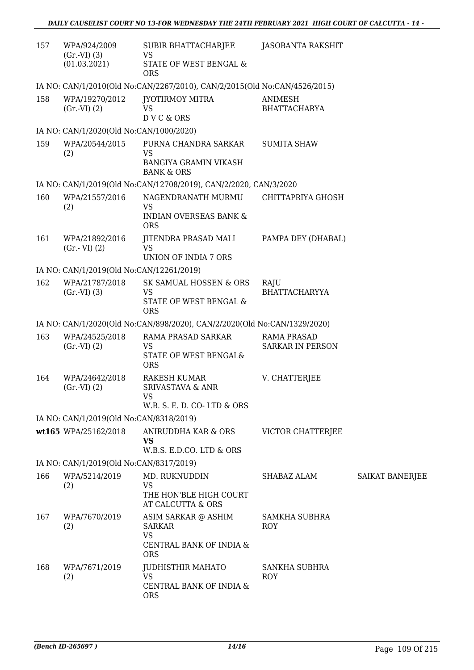| 157 | WPA/924/2009<br>$(Gr.-VI)$ $(3)$         | SUBIR BHATTACHARJEE<br><b>VS</b>                                                           | <b>JASOBANTA RAKSHIT</b>                      |                        |
|-----|------------------------------------------|--------------------------------------------------------------------------------------------|-----------------------------------------------|------------------------|
|     | (01.03.2021)                             | STATE OF WEST BENGAL &<br><b>ORS</b>                                                       |                                               |                        |
|     |                                          | IA NO: CAN/1/2010(Old No:CAN/2267/2010), CAN/2/2015(Old No:CAN/4526/2015)                  |                                               |                        |
| 158 | WPA/19270/2012<br>(Gr.VI) (2)            | <b>JYOTIRMOY MITRA</b><br><b>VS</b><br>DVC & ORS                                           | ANIMESH<br><b>BHATTACHARYA</b>                |                        |
|     | IA NO: CAN/1/2020(Old No:CAN/1000/2020)  |                                                                                            |                                               |                        |
| 159 | WPA/20544/2015<br>(2)                    | PURNA CHANDRA SARKAR<br>VS<br><b>BANGIYA GRAMIN VIKASH</b><br><b>BANK &amp; ORS</b>        | <b>SUMITA SHAW</b>                            |                        |
|     |                                          | IA NO: CAN/1/2019(Old No:CAN/12708/2019), CAN/2/2020, CAN/3/2020                           |                                               |                        |
| 160 | WPA/21557/2016<br>(2)                    | NAGENDRANATH MURMU<br><b>VS</b><br><b>INDIAN OVERSEAS BANK &amp;</b><br><b>ORS</b>         | CHITTAPRIYA GHOSH                             |                        |
| 161 | WPA/21892/2016<br>$(Gr.-VI)$ $(2)$       | JITENDRA PRASAD MALI<br><b>VS</b><br><b>UNION OF INDIA 7 ORS</b>                           | PAMPA DEY (DHABAL)                            |                        |
|     | IA NO: CAN/1/2019(Old No:CAN/12261/2019) |                                                                                            |                                               |                        |
| 162 | WPA/21787/2018<br>(Gr.VI) (3)            | SK SAMUAL HOSSEN & ORS<br><b>VS</b><br>STATE OF WEST BENGAL &<br><b>ORS</b>                | RAJU<br><b>BHATTACHARYYA</b>                  |                        |
|     |                                          | IA NO: CAN/1/2020(Old No:CAN/898/2020), CAN/2/2020(Old No:CAN/1329/2020)                   |                                               |                        |
| 163 | WPA/24525/2018<br>(Gr.VI) (2)            | RAMA PRASAD SARKAR<br><b>VS</b><br>STATE OF WEST BENGAL&<br><b>ORS</b>                     | <b>RAMA PRASAD</b><br><b>SARKAR IN PERSON</b> |                        |
| 164 | WPA/24642/2018<br>(Gr.VI) (2)            | <b>RAKESH KUMAR</b><br><b>SRIVASTAVA &amp; ANR</b><br>VS<br>W.B. S. E. D. CO-LTD & ORS     | V. CHATTERJEE                                 |                        |
|     | IA NO: CAN/1/2019(Old No:CAN/8318/2019)  |                                                                                            |                                               |                        |
|     | wt165 WPA/25162/2018                     | <b>ANIRUDDHA KAR &amp; ORS</b><br><b>VS</b><br>W.B.S. E.D.CO. LTD & ORS                    | VICTOR CHATTERJEE                             |                        |
|     | IA NO: CAN/1/2019(Old No:CAN/8317/2019)  |                                                                                            |                                               |                        |
| 166 | WPA/5214/2019<br>(2)                     | MD. RUKNUDDIN<br><b>VS</b><br>THE HON'BLE HIGH COURT<br>AT CALCUTTA & ORS                  | SHABAZ ALAM                                   | <b>SAIKAT BANERJEE</b> |
| 167 | WPA/7670/2019<br>(2)                     | ASIM SARKAR @ ASHIM<br><b>SARKAR</b><br><b>VS</b><br>CENTRAL BANK OF INDIA &<br><b>ORS</b> | <b>SAMKHA SUBHRA</b><br>ROY                   |                        |
| 168 | WPA/7671/2019<br>(2)                     | <b>JUDHISTHIR MAHATO</b><br><b>VS</b><br>CENTRAL BANK OF INDIA &<br><b>ORS</b>             | SANKHA SUBHRA<br>ROY                          |                        |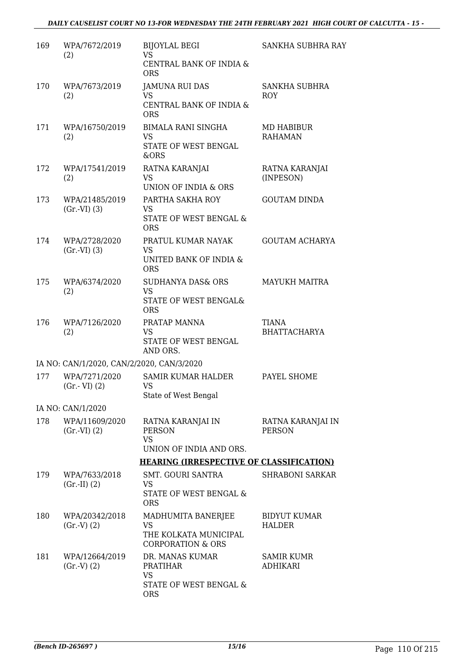### *DAILY CAUSELIST COURT NO 13-FOR WEDNESDAY THE 24TH FEBRUARY 2021 HIGH COURT OF CALCUTTA - 15 -*

| 169 | WPA/7672/2019<br>(2)                      | <b>BIJOYLAL BEGI</b><br><b>VS</b>                                                 | SANKHA SUBHRA RAY                    |
|-----|-------------------------------------------|-----------------------------------------------------------------------------------|--------------------------------------|
|     |                                           | CENTRAL BANK OF INDIA &<br><b>ORS</b>                                             |                                      |
| 170 | WPA/7673/2019                             | <b>JAMUNA RUI DAS</b><br>VS                                                       | SANKHA SUBHRA<br><b>ROY</b>          |
|     | (2)                                       | CENTRAL BANK OF INDIA &<br><b>ORS</b>                                             |                                      |
| 171 | WPA/16750/2019<br>(2)                     | <b>BIMALA RANI SINGHA</b><br><b>VS</b><br>STATE OF WEST BENGAL<br>&ORS            | MD HABIBUR<br><b>RAHAMAN</b>         |
| 172 | WPA/17541/2019<br>(2)                     | RATNA KARANJAI<br><b>VS</b><br>UNION OF INDIA & ORS                               | RATNA KARANJAI<br>(INPESON)          |
| 173 | WPA/21485/2019<br>$(Gr.-VI)$ $(3)$        | PARTHA SAKHA ROY<br>VS<br>STATE OF WEST BENGAL &<br><b>ORS</b>                    | <b>GOUTAM DINDA</b>                  |
| 174 | WPA/2728/2020<br>$(Gr.-VI)$ $(3)$         | PRATUL KUMAR NAYAK<br><b>VS</b><br>UNITED BANK OF INDIA &<br><b>ORS</b>           | <b>GOUTAM ACHARYA</b>                |
| 175 | WPA/6374/2020<br>(2)                      | SUDHANYA DAS& ORS<br><b>VS</b><br>STATE OF WEST BENGAL&<br><b>ORS</b>             | <b>MAYUKH MAITRA</b>                 |
| 176 | WPA/7126/2020<br>(2)                      | PRATAP MANNA<br>VS<br>STATE OF WEST BENGAL<br>AND ORS.                            | TIANA<br><b>BHATTACHARYA</b>         |
|     | IA NO: CAN/1/2020, CAN/2/2020, CAN/3/2020 |                                                                                   |                                      |
| 177 | WPA/7271/2020<br>$(Gr.-VI)$ $(2)$         | <b>SAMIR KUMAR HALDER</b><br>VS<br>State of West Bengal                           | PAYEL SHOME                          |
|     | IA NO: CAN/1/2020                         |                                                                                   |                                      |
| 178 | WPA/11609/2020<br>$(Gr.-VI) (2)$          | RATNA KARANJAI IN<br><b>PERSON</b><br><b>VS</b><br>UNION OF INDIA AND ORS.        | RATNA KARANJAI IN<br><b>PERSON</b>   |
|     |                                           | <b>HEARING (IRRESPECTIVE OF CLASSIFICATION)</b>                                   |                                      |
| 179 | WPA/7633/2018<br>$(Gr.-II) (2)$           | <b>SMT. GOURI SANTRA</b><br><b>VS</b><br>STATE OF WEST BENGAL &<br><b>ORS</b>     | <b>SHRABONI SARKAR</b>               |
| 180 | WPA/20342/2018<br>(Gr.V) (2)              | MADHUMITA BANERJEE<br>VS<br>THE KOLKATA MUNICIPAL<br><b>CORPORATION &amp; ORS</b> | <b>BIDYUT KUMAR</b><br>HALDER        |
| 181 | WPA/12664/2019<br>(Gr.V) (2)              | DR. MANAS KUMAR<br><b>PRATIHAR</b><br>VS<br>STATE OF WEST BENGAL &<br><b>ORS</b>  | <b>SAMIR KUMR</b><br><b>ADHIKARI</b> |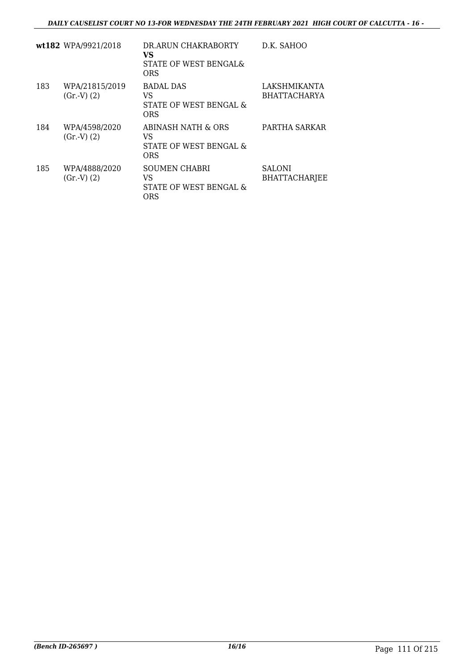### *DAILY CAUSELIST COURT NO 13-FOR WEDNESDAY THE 24TH FEBRUARY 2021 HIGH COURT OF CALCUTTA - 16 -*

|     | wt182 WPA/9921/2018          | DR.ARUN CHAKRABORTY<br>VS<br>STATE OF WEST BENGALS<br>ORS   | D.K. SAHOO                            |
|-----|------------------------------|-------------------------------------------------------------|---------------------------------------|
| 183 | WPA/21815/2019<br>(Gr.V) (2) | BADAL DAS<br>VS<br>STATE OF WEST BENGAL &<br>ORS            | LAKSHMIKANTA<br><b>BHATTACHARYA</b>   |
| 184 | WPA/4598/2020<br>(Gr.V) (2)  | ABINASH NATH & ORS<br>VS<br>STATE OF WEST BENGAL &<br>ORS   | PARTHA SARKAR                         |
| 185 | WPA/4888/2020<br>(Gr.V) (2)  | <b>SOUMEN CHABRI</b><br>VS<br>STATE OF WEST BENGAL &<br>ORS | <b>SALONI</b><br><b>BHATTACHARJEE</b> |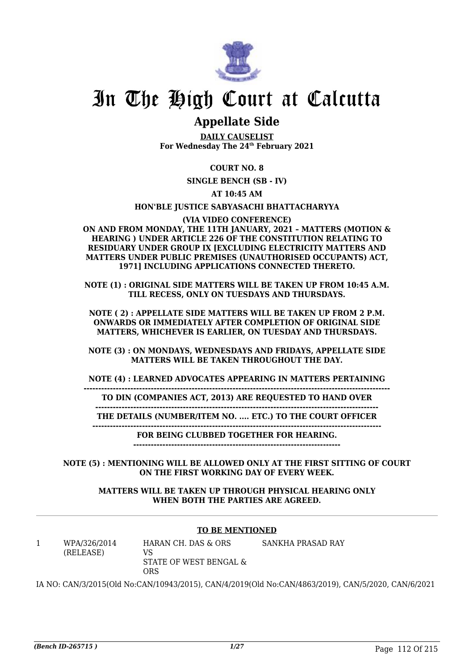

# In The High Court at Calcutta

### **Appellate Side**

**DAILY CAUSELIST For Wednesday The 24th February 2021**

### **COURT NO. 8**

**SINGLE BENCH (SB - IV)**

**AT 10:45 AM**

### **HON'BLE JUSTICE SABYASACHI BHATTACHARYYA**

### **(VIA VIDEO CONFERENCE)**

**ON AND FROM MONDAY, THE 11TH JANUARY, 2021 – MATTERS (MOTION & HEARING ) UNDER ARTICLE 226 OF THE CONSTITUTION RELATING TO RESIDUARY UNDER GROUP IX [EXCLUDING ELECTRICITY MATTERS AND MATTERS UNDER PUBLIC PREMISES (UNAUTHORISED OCCUPANTS) ACT, 1971] INCLUDING APPLICATIONS CONNECTED THERETO.**

**NOTE (1) : ORIGINAL SIDE MATTERS WILL BE TAKEN UP FROM 10:45 A.M. TILL RECESS, ONLY ON TUESDAYS AND THURSDAYS.**

**NOTE ( 2) : APPELLATE SIDE MATTERS WILL BE TAKEN UP FROM 2 P.M. ONWARDS OR IMMEDIATELY AFTER COMPLETION OF ORIGINAL SIDE MATTERS, WHICHEVER IS EARLIER, ON TUESDAY AND THURSDAYS.**

**NOTE (3) : ON MONDAYS, WEDNESDAYS AND FRIDAYS, APPELLATE SIDE MATTERS WILL BE TAKEN THROUGHOUT THE DAY.**

**NOTE (4) : LEARNED ADVOCATES APPEARING IN MATTERS PERTAINING**

**--------------------------------------------------------------------------------------------------------- TO DIN (COMPANIES ACT, 2013) ARE REQUESTED TO HAND OVER**

**------------------------------------------------------------------------------------------------- THE DETAILS (NUMBER/ITEM NO. .... ETC.) TO THE COURT OFFICER**

**---------------------------------------------------------------------------------------------------**

**FOR BEING CLUBBED TOGETHER FOR HEARING.**

**-----------------------------------------------------------------------**

**NOTE (5) : MENTIONING WILL BE ALLOWED ONLY AT THE FIRST SITTING OF COURT ON THE FIRST WORKING DAY OF EVERY WEEK.**

**MATTERS WILL BE TAKEN UP THROUGH PHYSICAL HEARING ONLY WHEN BOTH THE PARTIES ARE AGREED.**

### **TO BE MENTIONED**

1 WPA/326/2014 (RELEASE)

HARAN CH. DAS & ORS VS STATE OF WEST BENGAL & ORS SANKHA PRASAD RAY

IA NO: CAN/3/2015(Old No:CAN/10943/2015), CAN/4/2019(Old No:CAN/4863/2019), CAN/5/2020, CAN/6/2021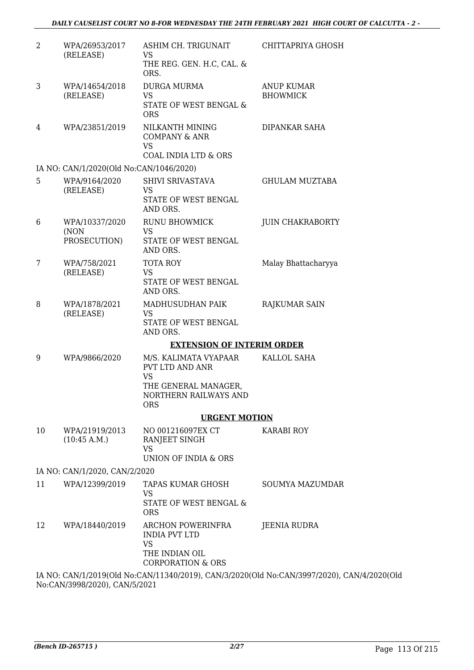| $\overline{2}$ | WPA/26953/2017<br>(RELEASE)             | ASHIM CH. TRIGUNAIT<br>VS<br>THE REG. GEN. H.C, CAL. &                                                   | CHITTAPRIYA GHOSH                                                                          |
|----------------|-----------------------------------------|----------------------------------------------------------------------------------------------------------|--------------------------------------------------------------------------------------------|
|                |                                         | ORS.                                                                                                     |                                                                                            |
| 3              | WPA/14654/2018<br>(RELEASE)             | <b>DURGA MURMA</b><br><b>VS</b><br>STATE OF WEST BENGAL &                                                | <b>ANUP KUMAR</b><br><b>BHOWMICK</b>                                                       |
|                |                                         | <b>ORS</b>                                                                                               |                                                                                            |
| 4              | WPA/23851/2019                          | NILKANTH MINING<br><b>COMPANY &amp; ANR</b><br><b>VS</b><br>COAL INDIA LTD & ORS                         | DIPANKAR SAHA                                                                              |
|                | IA NO: CAN/1/2020(Old No:CAN/1046/2020) |                                                                                                          |                                                                                            |
| 5              | WPA/9164/2020<br>(RELEASE)              | SHIVI SRIVASTAVA<br><b>VS</b><br>STATE OF WEST BENGAL<br>AND ORS.                                        | <b>GHULAM MUZTABA</b>                                                                      |
| 6              | WPA/10337/2020                          | RUNU BHOWMICK                                                                                            | <b>JUIN CHAKRABORTY</b>                                                                    |
|                | (NON<br>PROSECUTION)                    | <b>VS</b><br>STATE OF WEST BENGAL<br>AND ORS.                                                            |                                                                                            |
| 7              | WPA/758/2021                            | <b>TOTA ROY</b>                                                                                          | Malay Bhattacharyya                                                                        |
|                | (RELEASE)                               | VS<br>STATE OF WEST BENGAL<br>AND ORS.                                                                   |                                                                                            |
| 8              | WPA/1878/2021<br>(RELEASE)              | MADHUSUDHAN PAIK<br>VS<br>STATE OF WEST BENGAL<br>AND ORS.                                               | RAJKUMAR SAIN                                                                              |
|                |                                         | <b>EXTENSION OF INTERIM ORDER</b>                                                                        |                                                                                            |
| 9              | WPA/9866/2020                           | M/S. KALIMATA VYAPAAR<br>PVT LTD AND ANR                                                                 | KALLOL SAHA                                                                                |
|                |                                         | <b>VS</b><br>THE GENERAL MANAGER,<br>NORTHERN RAILWAYS AND<br><b>ORS</b>                                 |                                                                                            |
|                |                                         | <b>URGENT MOTION</b>                                                                                     |                                                                                            |
| 10             | WPA/21919/2013<br>(10:45 A.M.)          | NO 001216097EX CT<br>RANJEET SINGH<br><b>VS</b><br>UNION OF INDIA & ORS                                  | <b>KARABI ROY</b>                                                                          |
|                | IA NO: CAN/1/2020, CAN/2/2020           |                                                                                                          |                                                                                            |
| 11             | WPA/12399/2019                          | TAPAS KUMAR GHOSH                                                                                        | <b>SOUMYA MAZUMDAR</b>                                                                     |
|                |                                         | <b>VS</b><br>STATE OF WEST BENGAL &<br><b>ORS</b>                                                        |                                                                                            |
| 12             | WPA/18440/2019                          | ARCHON POWERINFRA<br><b>INDIA PVT LTD</b><br><b>VS</b><br>THE INDIAN OIL<br><b>CORPORATION &amp; ORS</b> | <b>JEENIA RUDRA</b>                                                                        |
|                |                                         |                                                                                                          | IA NO: CAN/1/2019(Old No:CAN/11340/2019), CAN/3/2020(Old No:CAN/3997/2020), CAN/4/2020(Old |

No:CAN/3998/2020), CAN/5/2021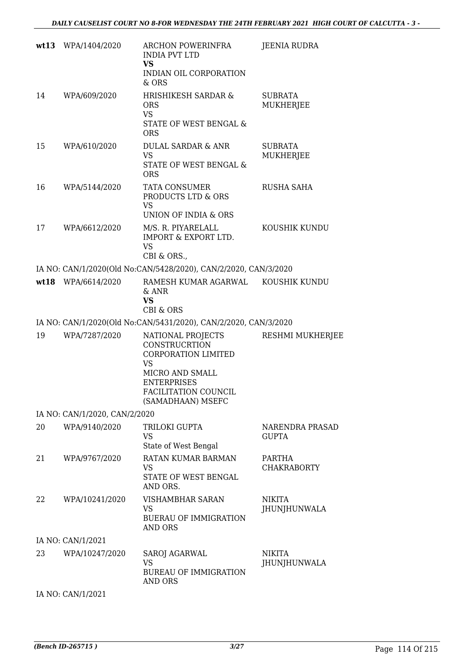|    | wt13 WPA/1404/2020            | ARCHON POWERINFRA<br><b>INDIA PVT LTD</b><br><b>VS</b><br>INDIAN OIL CORPORATION<br>$&$ ORS             | JEENIA RUDRA                           |
|----|-------------------------------|---------------------------------------------------------------------------------------------------------|----------------------------------------|
| 14 | WPA/609/2020                  | <b>HRISHIKESH SARDAR &amp;</b><br><b>ORS</b><br><b>VS</b><br>STATE OF WEST BENGAL &<br><b>ORS</b>       | <b>SUBRATA</b><br>MUKHERJEE            |
| 15 | WPA/610/2020                  | <b>DULAL SARDAR &amp; ANR</b><br><b>VS</b><br>STATE OF WEST BENGAL &<br><b>ORS</b>                      | <b>SUBRATA</b><br>MUKHERJEE            |
| 16 | WPA/5144/2020                 | TATA CONSUMER<br>PRODUCTS LTD & ORS<br>VS<br>UNION OF INDIA & ORS                                       | RUSHA SAHA                             |
| 17 | WPA/6612/2020                 | M/S. R. PIYARELALL<br><b>IMPORT &amp; EXPORT LTD.</b><br><b>VS</b><br>CBI & ORS.,                       | KOUSHIK KUNDU                          |
|    |                               | IA NO: CAN/1/2020(Old No:CAN/5428/2020), CAN/2/2020, CAN/3/2020                                         |                                        |
|    | wt18 WPA/6614/2020            | RAMESH KUMAR AGARWAL KOUSHIK KUNDU<br>& ANR<br><b>VS</b><br><b>CBI &amp; ORS</b>                        |                                        |
|    |                               | IA NO: CAN/1/2020(Old No:CAN/5431/2020), CAN/2/2020, CAN/3/2020                                         |                                        |
| 19 | WPA/7287/2020                 | NATIONAL PROJECTS<br><b>CONSTRUCRTION</b><br><b>CORPORATION LIMITED</b><br><b>VS</b><br>MICRO AND SMALL | RESHMI MUKHERJEE                       |
|    |                               | <b>ENTERPRISES</b><br>FACILITATION COUNCIL<br>(SAMADHAAN) MSEFC                                         |                                        |
|    | IA NO: CAN/1/2020, CAN/2/2020 |                                                                                                         |                                        |
| 20 | WPA/9140/2020                 | TRILOKI GUPTA<br><b>VS</b><br>State of West Bengal                                                      | <b>NARENDRA PRASAD</b><br><b>GUPTA</b> |
| 21 | WPA/9767/2020                 | RATAN KUMAR BARMAN<br>VS<br>STATE OF WEST BENGAL<br>AND ORS.                                            | PARTHA<br><b>CHAKRABORTY</b>           |
| 22 | WPA/10241/2020                | VISHAMBHAR SARAN<br>VS.<br><b>BUERAU OF IMMIGRATION</b><br>AND ORS                                      | NIKITA<br>JHUNJHUNWALA                 |
|    | IA NO: CAN/1/2021             |                                                                                                         |                                        |

IA NO: CAN/1/2021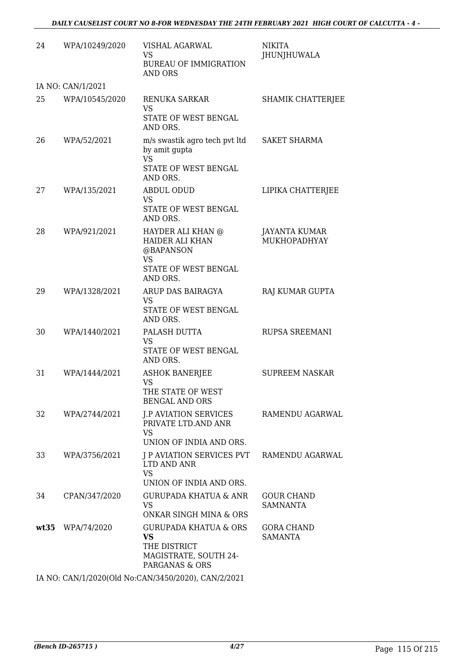| 24   | WPA/10249/2020    | VISHAL AGARWAL<br>VS.<br><b>BUREAU OF IMMIGRATION</b><br>AND ORS                                   | NIKITA<br><b>JHUNJHUWALA</b>         |
|------|-------------------|----------------------------------------------------------------------------------------------------|--------------------------------------|
|      | IA NO: CAN/1/2021 |                                                                                                    |                                      |
| 25   | WPA/10545/2020    | RENUKA SARKAR<br>VS<br>STATE OF WEST BENGAL<br>AND ORS.                                            | SHAMIK CHATTERJEE                    |
| 26   | WPA/52/2021       | m/s swastik agro tech pvt ltd<br>by amit gupta<br><b>VS</b><br>STATE OF WEST BENGAL                | <b>SAKET SHARMA</b>                  |
| 27   | WPA/135/2021      | AND ORS.<br><b>ABDUL ODUD</b><br><b>VS</b><br>STATE OF WEST BENGAL<br>AND ORS.                     | LIPIKA CHATTERJEE                    |
| 28   | WPA/921/2021      | HAYDER ALI KHAN @<br>HAIDER ALI KHAN<br>@BAPANSON<br><b>VS</b><br>STATE OF WEST BENGAL<br>AND ORS. | <b>JAYANTA KUMAR</b><br>MUKHOPADHYAY |
| 29   | WPA/1328/2021     | ARUP DAS BAIRAGYA<br>VS<br>STATE OF WEST BENGAL<br>AND ORS.                                        | RAJ KUMAR GUPTA                      |
| 30   | WPA/1440/2021     | PALASH DUTTA<br>VS<br>STATE OF WEST BENGAL<br>AND ORS.                                             | RUPSA SREEMANI                       |
| 31   | WPA/1444/2021     | <b>ASHOK BANERJEE</b><br><b>VS</b><br>THE STATE OF WEST<br><b>BENGAL AND ORS</b>                   | <b>SUPREEM NASKAR</b>                |
| 32   | WPA/2744/2021     | <b>J.P AVIATION SERVICES</b><br>PRIVATE LTD.AND ANR<br>VS.<br>UNION OF INDIA AND ORS.              | RAMENDU AGARWAL                      |
| 33   | WPA/3756/2021     | J P AVIATION SERVICES PVT<br>LTD AND ANR<br><b>VS</b><br>UNION OF INDIA AND ORS.                   | RAMENDU AGARWAL                      |
| 34   | CPAN/347/2020     | GURUPADA KHATUA & ANR<br><b>VS</b><br>ONKAR SINGH MINA & ORS                                       | <b>GOUR CHAND</b><br><b>SAMNANTA</b> |
| wt35 | WPA/74/2020       | <b>GURUPADA KHATUA &amp; ORS</b><br>VS<br>THE DISTRICT<br>MAGISTRATE, SOUTH 24-<br>PARGANAS & ORS  | <b>GORA CHAND</b><br>SAMANTA         |

IA NO: CAN/1/2020(Old No:CAN/3450/2020), CAN/2/2021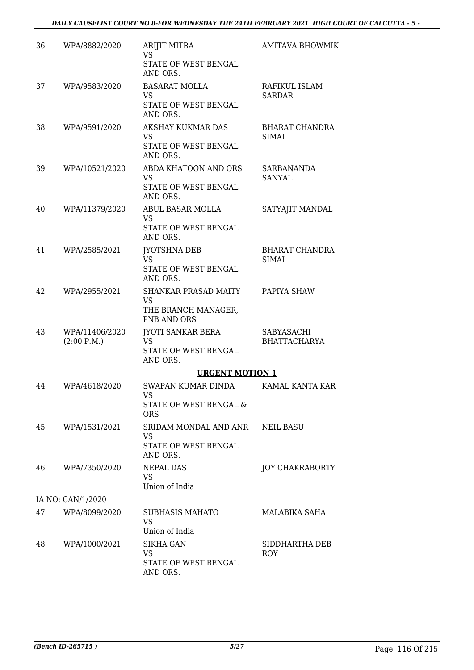| 36 | WPA/8882/2020                 | <b>ARIJIT MITRA</b><br>VS<br>STATE OF WEST BENGAL                           | AMITAVA BHOWMIK                       |
|----|-------------------------------|-----------------------------------------------------------------------------|---------------------------------------|
| 37 | WPA/9583/2020                 | AND ORS.<br><b>BASARAT MOLLA</b><br>VS.<br>STATE OF WEST BENGAL<br>AND ORS. | RAFIKUL ISLAM<br><b>SARDAR</b>        |
| 38 | WPA/9591/2020                 | AKSHAY KUKMAR DAS<br>VS<br>STATE OF WEST BENGAL<br>AND ORS.                 | BHARAT CHANDRA<br><b>SIMAI</b>        |
| 39 | WPA/10521/2020                | ABDA KHATOON AND ORS<br>VS<br>STATE OF WEST BENGAL<br>AND ORS.              | SARBANANDA<br>SANYAL                  |
| 40 | WPA/11379/2020                | ABUL BASAR MOLLA<br>VS.<br>STATE OF WEST BENGAL<br>AND ORS.                 | SATYAJIT MANDAL                       |
| 41 | WPA/2585/2021                 | JYOTSHNA DEB<br><b>VS</b><br>STATE OF WEST BENGAL<br>AND ORS.               | <b>BHARAT CHANDRA</b><br><b>SIMAI</b> |
| 42 | WPA/2955/2021                 | <b>SHANKAR PRASAD MAITY</b><br>VS<br>THE BRANCH MANAGER,<br>PNB AND ORS     | PAPIYA SHAW                           |
| 43 | WPA/11406/2020<br>(2:00 P.M.) | JYOTI SANKAR BERA<br>VS<br>STATE OF WEST BENGAL<br>AND ORS.                 | SABYASACHI<br><b>BHATTACHARYA</b>     |
|    |                               | <b>URGENT MOTION 1</b>                                                      |                                       |
| 44 | WPA/4618/2020                 | SWAPAN KUMAR DINDA<br>VS<br><b>STATE OF WEST BENGAL &amp;</b><br><b>ORS</b> | KAMAL KANTA KAR                       |
| 45 | WPA/1531/2021                 | SRIDAM MONDAL AND ANR<br>VS.<br>STATE OF WEST BENGAL<br>AND ORS.            | <b>NEIL BASU</b>                      |
| 46 | WPA/7350/2020                 | <b>NEPAL DAS</b><br>VS.<br>Union of India                                   | <b>JOY CHAKRABORTY</b>                |
|    | IA NO: CAN/1/2020             |                                                                             |                                       |
| 47 | WPA/8099/2020                 | <b>SUBHASIS MAHATO</b><br><b>VS</b><br>Union of India                       | <b>MALABIKA SAHA</b>                  |
| 48 | WPA/1000/2021                 | SIKHA GAN<br>VS.<br>STATE OF WEST BENGAL<br>AND ORS.                        | SIDDHARTHA DEB<br>ROY                 |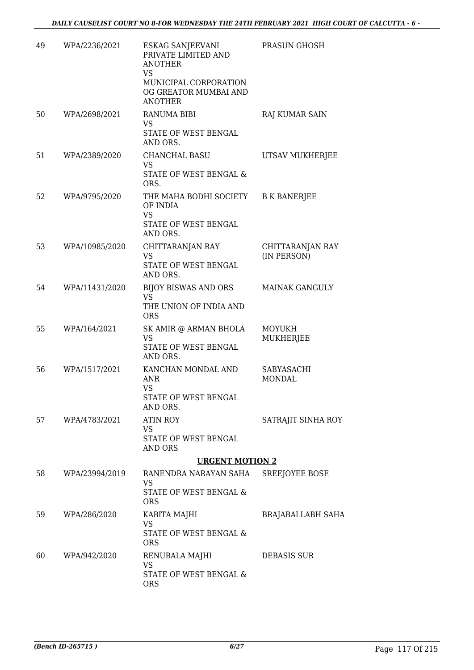| 49 | WPA/2236/2021  | <b>ESKAG SANJEEVANI</b><br>PRIVATE LIMITED AND<br><b>ANOTHER</b><br>VS<br>MUNICIPAL CORPORATION<br>OG GREATOR MUMBAI AND | PRASUN GHOSH                    |
|----|----------------|--------------------------------------------------------------------------------------------------------------------------|---------------------------------|
|    |                | <b>ANOTHER</b>                                                                                                           |                                 |
| 50 | WPA/2698/2021  | <b>RANUMA BIBI</b><br><b>VS</b><br>STATE OF WEST BENGAL<br>AND ORS.                                                      | RAJ KUMAR SAIN                  |
| 51 | WPA/2389/2020  | CHANCHAL BASU<br>VS<br>STATE OF WEST BENGAL &<br>ORS.                                                                    | UTSAV MUKHERJEE                 |
| 52 | WPA/9795/2020  | THE MAHA BODHI SOCIETY<br>OF INDIA<br><b>VS</b><br>STATE OF WEST BENGAL<br>AND ORS.                                      | <b>B K BANERJEE</b>             |
| 53 | WPA/10985/2020 | CHITTARANJAN RAY<br><b>VS</b><br>STATE OF WEST BENGAL<br>AND ORS.                                                        | CHITTARANJAN RAY<br>(IN PERSON) |
| 54 | WPA/11431/2020 | BIJOY BISWAS AND ORS<br>VS<br>THE UNION OF INDIA AND<br><b>ORS</b>                                                       | <b>MAINAK GANGULY</b>           |
| 55 | WPA/164/2021   | SK AMIR @ ARMAN BHOLA<br><b>VS</b><br>STATE OF WEST BENGAL<br>AND ORS.                                                   | <b>MOYUKH</b><br>MUKHERJEE      |
| 56 | WPA/1517/2021  | KANCHAN MONDAL AND<br>ANR<br><b>VS</b><br>STATE OF WEST BENGAL<br>AND ORS.                                               | SABYASACHI<br><b>MONDAL</b>     |
| 57 | WPA/4783/2021  | <b>ATIN ROY</b><br>VS<br>STATE OF WEST BENGAL<br>AND ORS                                                                 | SATRAJIT SINHA ROY              |
|    |                | <b>URGENT MOTION 2</b>                                                                                                   |                                 |
| 58 | WPA/23994/2019 | RANENDRA NARAYAN SAHA<br>VS<br>STATE OF WEST BENGAL &                                                                    | SREEJOYEE BOSE                  |
|    |                | <b>ORS</b>                                                                                                               |                                 |
| 59 | WPA/286/2020   | KABITA MAJHI<br>VS<br>STATE OF WEST BENGAL &                                                                             | <b>BRAJABALLABH SAHA</b>        |
| 60 | WPA/942/2020   | <b>ORS</b><br>RENUBALA MAJHI<br><b>VS</b><br>STATE OF WEST BENGAL &                                                      | <b>DEBASIS SUR</b>              |
|    |                | <b>ORS</b>                                                                                                               |                                 |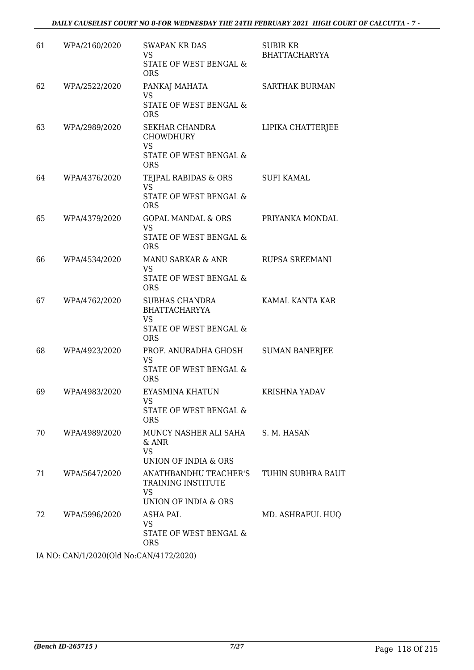| 61 | WPA/2160/2020 | <b>SWAPAN KR DAS</b><br>VS<br>STATE OF WEST BENGAL &<br><b>ORS</b>                           | <b>SUBIR KR</b><br><b>BHATTACHARYYA</b> |
|----|---------------|----------------------------------------------------------------------------------------------|-----------------------------------------|
| 62 | WPA/2522/2020 | PANKAJ MAHATA<br><b>VS</b><br>STATE OF WEST BENGAL &<br><b>ORS</b>                           | <b>SARTHAK BURMAN</b>                   |
| 63 | WPA/2989/2020 | SEKHAR CHANDRA<br><b>CHOWDHURY</b><br>VS<br>STATE OF WEST BENGAL &<br><b>ORS</b>             | LIPIKA CHATTERJEE                       |
| 64 | WPA/4376/2020 | TEJPAL RABIDAS & ORS<br><b>VS</b><br>STATE OF WEST BENGAL &<br><b>ORS</b>                    | <b>SUFI KAMAL</b>                       |
| 65 | WPA/4379/2020 | GOPAL MANDAL & ORS<br><b>VS</b><br>STATE OF WEST BENGAL &<br><b>ORS</b>                      | PRIYANKA MONDAL                         |
| 66 | WPA/4534/2020 | MANU SARKAR & ANR<br><b>VS</b><br>STATE OF WEST BENGAL &<br><b>ORS</b>                       | RUPSA SREEMANI                          |
| 67 | WPA/4762/2020 | SUBHAS CHANDRA<br><b>BHATTACHARYYA</b><br>VS<br>STATE OF WEST BENGAL &<br><b>ORS</b>         | KAMAL KANTA KAR                         |
| 68 | WPA/4923/2020 | PROF. ANURADHA GHOSH<br>VS<br>STATE OF WEST BENGAL &<br><b>ORS</b>                           | <b>SUMAN BANERJEE</b>                   |
| 69 | WPA/4983/2020 | EYASMINA KHATUN<br>VS<br>STATE OF WEST BENGAL &<br><b>ORS</b>                                | KRISHNA YADAV                           |
| 70 | WPA/4989/2020 | MUNCY NASHER ALI SAHA S. M. HASAN<br>$&$ ANR<br><b>VS</b><br>UNION OF INDIA & ORS            |                                         |
| 71 | WPA/5647/2020 | ANATHBANDHU TEACHER'S  TUHIN SUBHRA RAUT<br>TRAINING INSTITUTE<br>VS<br>UNION OF INDIA & ORS |                                         |
| 72 | WPA/5996/2020 | ASHA PAL<br><b>VS</b><br>STATE OF WEST BENGAL &<br><b>ORS</b>                                | MD. ASHRAFUL HUQ                        |

IA NO: CAN/1/2020(Old No:CAN/4172/2020)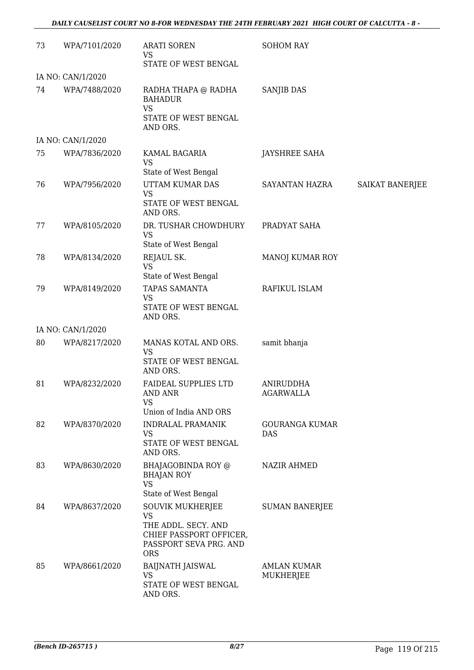| 73 | WPA/7101/2020     | <b>ARATI SOREN</b><br>VS                                                                                                       | <b>SOHOM RAY</b>                    |                 |
|----|-------------------|--------------------------------------------------------------------------------------------------------------------------------|-------------------------------------|-----------------|
|    | IA NO: CAN/1/2020 | STATE OF WEST BENGAL                                                                                                           |                                     |                 |
| 74 | WPA/7488/2020     | RADHA THAPA @ RADHA<br><b>BAHADUR</b><br><b>VS</b><br>STATE OF WEST BENGAL<br>AND ORS.                                         | <b>SANJIB DAS</b>                   |                 |
|    | IA NO: CAN/1/2020 |                                                                                                                                |                                     |                 |
| 75 | WPA/7836/2020     | KAMAL BAGARIA<br><b>VS</b><br>State of West Bengal                                                                             | <b>JAYSHREE SAHA</b>                |                 |
| 76 | WPA/7956/2020     | UTTAM KUMAR DAS<br><b>VS</b><br>STATE OF WEST BENGAL<br>AND ORS.                                                               | SAYANTAN HAZRA                      | SAIKAT BANERJEE |
| 77 | WPA/8105/2020     | DR. TUSHAR CHOWDHURY<br><b>VS</b><br>State of West Bengal                                                                      | PRADYAT SAHA                        |                 |
| 78 | WPA/8134/2020     | REJAUL SK.<br><b>VS</b><br>State of West Bengal                                                                                | <b>MANOJ KUMAR ROY</b>              |                 |
| 79 | WPA/8149/2020     | TAPAS SAMANTA<br>VS<br>STATE OF WEST BENGAL<br>AND ORS.                                                                        | RAFIKUL ISLAM                       |                 |
|    | IA NO: CAN/1/2020 |                                                                                                                                |                                     |                 |
| 80 | WPA/8217/2020     | MANAS KOTAL AND ORS.<br><b>VS</b><br>STATE OF WEST BENGAL<br>AND ORS.                                                          | samit bhanja                        |                 |
| 81 | WPA/8232/2020     | <b>FAIDEAL SUPPLIES LTD</b><br><b>AND ANR</b><br><b>VS</b><br>Union of India AND ORS                                           | ANIRUDDHA<br>AGARWALLA              |                 |
| 82 | WPA/8370/2020     | <b>INDRALAL PRAMANIK</b><br>VS<br>STATE OF WEST BENGAL                                                                         | <b>GOURANGA KUMAR</b><br><b>DAS</b> |                 |
| 83 | WPA/8630/2020     | AND ORS.<br>BHAJAGOBINDA ROY @<br><b>BHAJAN ROY</b><br><b>VS</b><br>State of West Bengal                                       | <b>NAZIR AHMED</b>                  |                 |
| 84 | WPA/8637/2020     | <b>SOUVIK MUKHERJEE</b><br><b>VS</b><br>THE ADDL. SECY. AND<br>CHIEF PASSPORT OFFICER,<br>PASSPORT SEVA PRG. AND<br><b>ORS</b> | <b>SUMAN BANERJEE</b>               |                 |
| 85 | WPA/8661/2020     | <b>BAIJNATH JAISWAL</b><br><b>VS</b><br>STATE OF WEST BENGAL<br>AND ORS.                                                       | <b>AMLAN KUMAR</b><br>MUKHERJEE     |                 |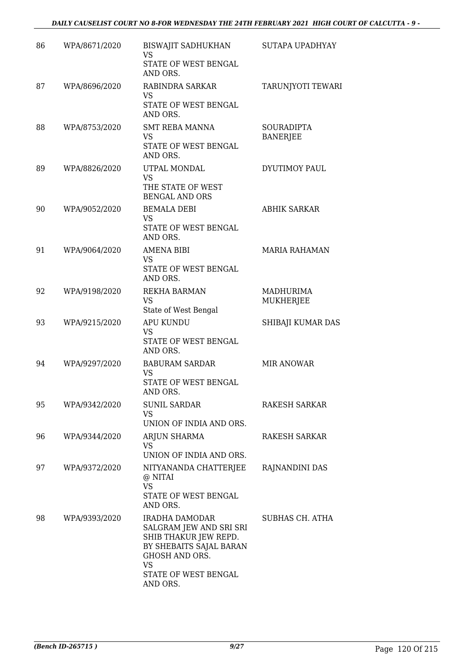| 86 | WPA/8671/2020 | BISWAJIT SADHUKHAN<br><b>VS</b><br>STATE OF WEST BENGAL<br>AND ORS.                                                                                              | SUTAPA UPADHYAY               |
|----|---------------|------------------------------------------------------------------------------------------------------------------------------------------------------------------|-------------------------------|
| 87 | WPA/8696/2020 | RABINDRA SARKAR<br>VS<br>STATE OF WEST BENGAL<br>AND ORS.                                                                                                        | TARUNJYOTI TEWARI             |
| 88 | WPA/8753/2020 | SMT REBA MANNA<br><b>VS</b><br>STATE OF WEST BENGAL<br>AND ORS.                                                                                                  | SOURADIPTA<br><b>BANERJEE</b> |
| 89 | WPA/8826/2020 | UTPAL MONDAL<br><b>VS</b><br>THE STATE OF WEST<br><b>BENGAL AND ORS</b>                                                                                          | DYUTIMOY PAUL                 |
| 90 | WPA/9052/2020 | <b>BEMALA DEBI</b><br>VS<br>STATE OF WEST BENGAL<br>AND ORS.                                                                                                     | <b>ABHIK SARKAR</b>           |
| 91 | WPA/9064/2020 | <b>AMENA BIBI</b><br><b>VS</b><br>STATE OF WEST BENGAL<br>AND ORS.                                                                                               | <b>MARIA RAHAMAN</b>          |
| 92 | WPA/9198/2020 | <b>REKHA BARMAN</b><br><b>VS</b><br>State of West Bengal                                                                                                         | <b>MADHURIMA</b><br>MUKHERJEE |
| 93 | WPA/9215/2020 | <b>APU KUNDU</b><br>VS<br>STATE OF WEST BENGAL<br>AND ORS.                                                                                                       | SHIBAJI KUMAR DAS             |
| 94 | WPA/9297/2020 | <b>BABURAM SARDAR</b><br><b>VS</b><br>STATE OF WEST BENGAL<br>AND ORS.                                                                                           | <b>MIR ANOWAR</b>             |
| 95 | WPA/9342/2020 | SUNIL SARDAR<br>VS.<br>UNION OF INDIA AND ORS.                                                                                                                   | RAKESH SARKAR                 |
| 96 | WPA/9344/2020 | ARJUN SHARMA<br>VS<br>UNION OF INDIA AND ORS.                                                                                                                    | RAKESH SARKAR                 |
| 97 | WPA/9372/2020 | NITYANANDA CHATTERJEE<br>@ NITAI<br><b>VS</b><br>STATE OF WEST BENGAL<br>AND ORS.                                                                                | RAJNANDINI DAS                |
| 98 | WPA/9393/2020 | IRADHA DAMODAR<br>SALGRAM JEW AND SRI SRI<br>SHIB THAKUR JEW REPD.<br>BY SHEBAITS SAJAL BARAN<br>GHOSH AND ORS.<br><b>VS</b><br>STATE OF WEST BENGAL<br>AND ORS. | SUBHAS CH. ATHA               |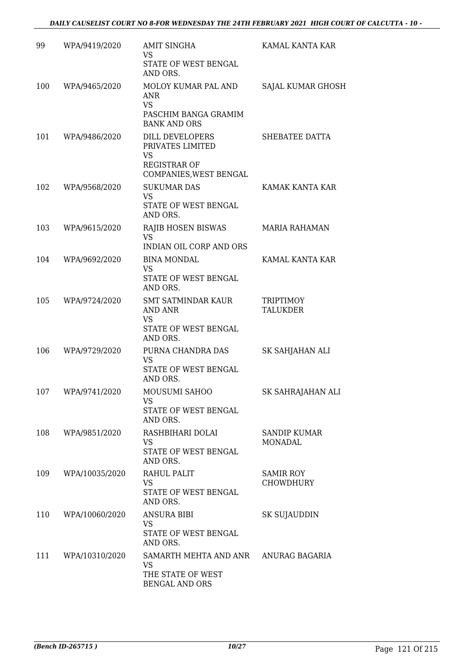| 99  | WPA/9419/2020      | <b>AMIT SINGHA</b><br>VS<br>STATE OF WEST BENGAL<br>AND ORS.                                      | KAMAL KANTA KAR                     |
|-----|--------------------|---------------------------------------------------------------------------------------------------|-------------------------------------|
| 100 | WPA/9465/2020      | MOLOY KUMAR PAL AND<br>ANR<br><b>VS</b><br>PASCHIM BANGA GRAMIM<br><b>BANK AND ORS</b>            | <b>SAJAL KUMAR GHOSH</b>            |
| 101 | WPA/9486/2020      | DILL DEVELOPERS<br>PRIVATES LIMITED<br><b>VS</b><br><b>REGISTRAR OF</b><br>COMPANIES, WEST BENGAL | SHEBATEE DATTA                      |
| 102 | WPA/9568/2020      | <b>SUKUMAR DAS</b><br><b>VS</b><br>STATE OF WEST BENGAL<br>AND ORS.                               | KAMAK KANTA KAR                     |
| 103 | WPA/9615/2020      | RAJIB HOSEN BISWAS<br><b>VS</b><br>INDIAN OIL CORP AND ORS                                        | <b>MARIA RAHAMAN</b>                |
| 104 | WPA/9692/2020      | <b>BINA MONDAL</b><br><b>VS</b><br>STATE OF WEST BENGAL<br>AND ORS.                               | KAMAL KANTA KAR                     |
| 105 | WPA/9724/2020      | <b>SMT SATMINDAR KAUR</b><br><b>AND ANR</b><br><b>VS</b><br>STATE OF WEST BENGAL<br>AND ORS.      | <b>TRIPTIMOY</b><br><b>TALUKDER</b> |
| 106 | WPA/9729/2020      | PURNA CHANDRA DAS<br><b>VS</b><br>STATE OF WEST BENGAL<br>AND ORS.                                | SK SAHJAHAN ALI                     |
| 107 | WPA/9741/2020      | MOUSUMI SAHOO<br>VS.<br>STATE OF WEST BENGAL<br>AND ORS.                                          | SK SAHRAJAHAN ALI                   |
| 108 | WPA/9851/2020      | RASHBIHARI DOLAI<br>VS.<br>STATE OF WEST BENGAL<br>AND ORS.                                       | <b>SANDIP KUMAR</b><br>MONADAL      |
| 109 | WPA/10035/2020     | RAHUL PALIT<br><b>VS</b><br>STATE OF WEST BENGAL<br>AND ORS.                                      | <b>SAMIR ROY</b><br>CHOWDHURY       |
| 110 | WPA/10060/2020     | <b>ANSURA BIBI</b><br><b>VS</b><br>STATE OF WEST BENGAL<br>AND ORS.                               | SK SUJAUDDIN                        |
|     | 111 WPA/10310/2020 | SAMARTH MEHTA AND ANR ANURAG BAGARIA<br><b>VS</b><br>THE STATE OF WEST<br>BENGAL AND ORS          |                                     |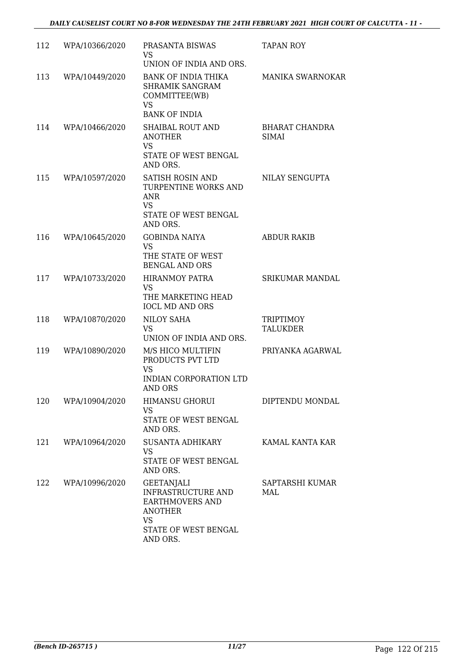| 112 | WPA/10366/2020 | PRASANTA BISWAS<br>VS.<br>UNION OF INDIA AND ORS.                                                                                    | <b>TAPAN ROY</b>               |
|-----|----------------|--------------------------------------------------------------------------------------------------------------------------------------|--------------------------------|
| 113 | WPA/10449/2020 | BANK OF INDIA THIKA<br><b>SHRAMIK SANGRAM</b><br>COMMITTEE(WB)<br><b>VS</b><br><b>BANK OF INDIA</b>                                  | <b>MANIKA SWARNOKAR</b>        |
| 114 | WPA/10466/2020 | <b>SHAIBAL ROUT AND</b><br><b>ANOTHER</b><br><b>VS</b><br>STATE OF WEST BENGAL<br>AND ORS.                                           | BHARAT CHANDRA<br><b>SIMAI</b> |
| 115 | WPA/10597/2020 | SATISH ROSIN AND<br>TURPENTINE WORKS AND<br><b>ANR</b><br><b>VS</b><br>STATE OF WEST BENGAL<br>AND ORS.                              | NILAY SENGUPTA                 |
| 116 | WPA/10645/2020 | <b>GOBINDA NAIYA</b><br><b>VS</b><br>THE STATE OF WEST<br><b>BENGAL AND ORS</b>                                                      | <b>ABDUR RAKIB</b>             |
| 117 | WPA/10733/2020 | <b>HIRANMOY PATRA</b><br><b>VS</b><br>THE MARKETING HEAD<br><b>IOCL MD AND ORS</b>                                                   | <b>SRIKUMAR MANDAL</b>         |
| 118 | WPA/10870/2020 | NILOY SAHA<br><b>VS</b><br>UNION OF INDIA AND ORS.                                                                                   | TRIPTIMOY<br>TALUKDER          |
| 119 | WPA/10890/2020 | M/S HICO MULTIFIN<br>PRODUCTS PVT LTD<br><b>VS</b><br>INDIAN CORPORATION LTD<br><b>AND ORS</b>                                       | PRIYANKA AGARWAL               |
| 120 | WPA/10904/2020 | <b>HIMANSU GHORUI</b><br>VS<br>STATE OF WEST BENGAL<br>AND ORS.                                                                      | DIPTENDU MONDAL                |
| 121 | WPA/10964/2020 | SUSANTA ADHIKARY<br>VS<br>STATE OF WEST BENGAL<br>AND ORS.                                                                           | KAMAL KANTA KAR                |
| 122 | WPA/10996/2020 | <b>GEETANJALI</b><br><b>INFRASTRUCTURE AND</b><br><b>EARTHMOVERS AND</b><br><b>ANOTHER</b><br>VS<br>STATE OF WEST BENGAL<br>AND ORS. | SAPTARSHI KUMAR<br>MAL.        |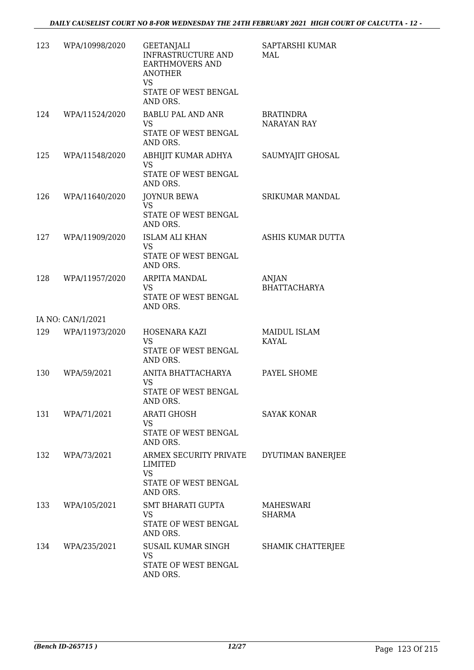| 123 | WPA/10998/2020     | <b>GEETANJALI</b><br>INFRASTRUCTURE AND<br><b>EARTHMOVERS AND</b><br><b>ANOTHER</b><br><b>VS</b> | SAPTARSHI KUMAR<br>MAL          |
|-----|--------------------|--------------------------------------------------------------------------------------------------|---------------------------------|
|     |                    | STATE OF WEST BENGAL<br>AND ORS.                                                                 |                                 |
|     | 124 WPA/11524/2020 | <b>BABLU PAL AND ANR</b><br><b>VS</b><br>STATE OF WEST BENGAL<br>AND ORS.                        | <b>BRATINDRA</b><br>NARAYAN RAY |
| 125 | WPA/11548/2020     | ABHIJIT KUMAR ADHYA<br><b>VS</b><br>STATE OF WEST BENGAL<br>AND ORS.                             | SAUMYAJIT GHOSAL                |
| 126 | WPA/11640/2020     | <b>JOYNUR BEWA</b><br><b>VS</b><br>STATE OF WEST BENGAL<br>AND ORS.                              | SRIKUMAR MANDAL                 |
|     | 127 WPA/11909/2020 | <b>ISLAM ALI KHAN</b><br><b>VS</b><br>STATE OF WEST BENGAL<br>AND ORS.                           | ASHIS KUMAR DUTTA               |
| 128 | WPA/11957/2020     | ARPITA MANDAL<br>VS<br>STATE OF WEST BENGAL<br>AND ORS.                                          | ANJAN<br><b>BHATTACHARYA</b>    |
|     | IA NO: CAN/1/2021  |                                                                                                  |                                 |
|     | 129 WPA/11973/2020 | HOSENARA KAZI<br><b>VS</b><br>STATE OF WEST BENGAL                                               | MAIDUL ISLAM<br>KAYAL           |
|     |                    | AND ORS.                                                                                         |                                 |
| 130 | WPA/59/2021        | ANITA BHATTACHARYA<br>VS<br>STATE OF WEST BENGAL<br>AND ORS.                                     | PAYEL SHOME                     |
|     | 131 WPA/71/2021    | <b>ARATI GHOSH</b><br><b>VS</b><br>STATE OF WEST BENGAL<br>AND ORS.                              | <b>SAYAK KONAR</b>              |
|     | 132 WPA/73/2021    | ARMEX SECURITY PRIVATE<br>LIMITED<br><b>VS</b><br>STATE OF WEST BENGAL<br>AND ORS.               | DYUTIMAN BANERJEE               |
| 133 | WPA/105/2021       | SMT BHARATI GUPTA<br><b>VS</b><br>STATE OF WEST BENGAL<br>AND ORS.                               | MAHESWARI<br>SHARMA             |
| 134 | WPA/235/2021       | SUSAIL KUMAR SINGH<br>VS<br>STATE OF WEST BENGAL<br>AND ORS.                                     | SHAMIK CHATTERJEE               |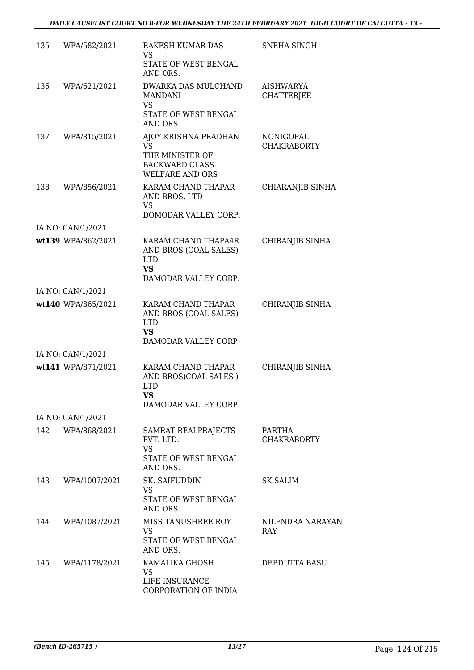| 135 | WPA/582/2021       | RAKESH KUMAR DAS<br>VS<br>STATE OF WEST BENGAL                                                    | <b>SNEHA SINGH</b>                     |
|-----|--------------------|---------------------------------------------------------------------------------------------------|----------------------------------------|
|     |                    | AND ORS.                                                                                          |                                        |
| 136 | WPA/621/2021       | DWARKA DAS MULCHAND<br><b>MANDANI</b><br><b>VS</b>                                                | AISHWARYA<br>CHATTERJEE                |
|     |                    | STATE OF WEST BENGAL<br>AND ORS.                                                                  |                                        |
| 137 | WPA/815/2021       | AJOY KRISHNA PRADHAN<br>VS.<br>THE MINISTER OF<br><b>BACKWARD CLASS</b><br><b>WELFARE AND ORS</b> | <b>NONIGOPAL</b><br><b>CHAKRABORTY</b> |
| 138 | WPA/856/2021       | KARAM CHAND THAPAR<br>AND BROS. LTD<br>VS<br>DOMODAR VALLEY CORP.                                 | CHIARANJIB SINHA                       |
|     | IA NO: CAN/1/2021  |                                                                                                   |                                        |
|     | wt139 WPA/862/2021 | KARAM CHAND THAPA4R<br>AND BROS (COAL SALES)<br><b>LTD</b><br><b>VS</b><br>DAMODAR VALLEY CORP.   | CHIRANJIB SINHA                        |
|     | IA NO: CAN/1/2021  |                                                                                                   |                                        |
|     | wt140 WPA/865/2021 | KARAM CHAND THAPAR<br>AND BROS (COAL SALES)<br><b>LTD</b><br><b>VS</b><br>DAMODAR VALLEY CORP     | CHIRANJIB SINHA                        |
|     | IA NO: CAN/1/2021  |                                                                                                   |                                        |
|     | wt141 WPA/871/2021 | KARAM CHAND THAPAR<br>AND BROS(COAL SALES)<br><b>LTD</b><br><b>VS</b><br>DAMODAR VALLEY CORP      | CHIRANJIB SINHA                        |
|     | IA NO: CAN/1/2021  |                                                                                                   |                                        |
|     | 142 WPA/868/2021   | SAMRAT REALPRAJECTS<br>PVT. LTD.<br><b>VS</b><br>STATE OF WEST BENGAL<br>AND ORS.                 | PARTHA<br><b>CHAKRABORTY</b>           |
| 143 | WPA/1007/2021      | SK. SAIFUDDIN<br>VS<br>STATE OF WEST BENGAL                                                       | SK.SALIM                               |
| 144 | WPA/1087/2021      | AND ORS.<br>MISS TANUSHREE ROY<br><b>VS</b><br>STATE OF WEST BENGAL<br>AND ORS.                   | NILENDRA NARAYAN<br><b>RAY</b>         |
| 145 | WPA/1178/2021      | KAMALIKA GHOSH<br>VS<br>LIFE INSURANCE<br>CORPORATION OF INDIA                                    | DEBDUTTA BASU                          |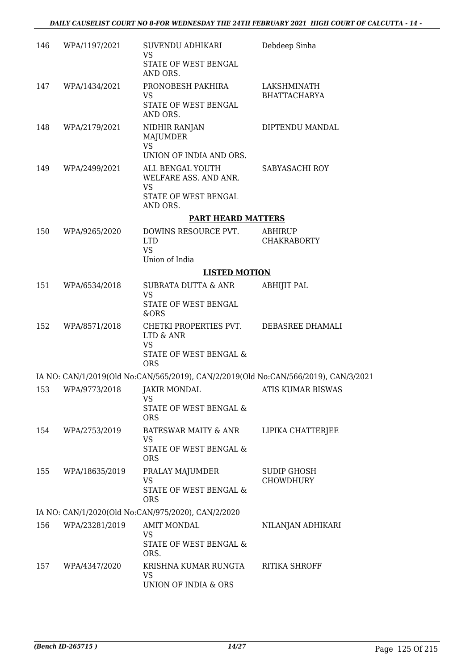| 146 | WPA/1197/2021  | SUVENDU ADHIKARI<br>VS<br>STATE OF WEST BENGAL                                              | Debdeep Sinha                      |
|-----|----------------|---------------------------------------------------------------------------------------------|------------------------------------|
| 147 | WPA/1434/2021  | AND ORS.<br>PRONOBESH PAKHIRA<br><b>VS</b><br>STATE OF WEST BENGAL<br>AND ORS.              | LAKSHMINATH<br><b>BHATTACHARYA</b> |
| 148 | WPA/2179/2021  | NIDHIR RANJAN<br>MAJUMDER<br><b>VS</b><br>UNION OF INDIA AND ORS.                           | DIPTENDU MANDAL                    |
| 149 | WPA/2499/2021  | ALL BENGAL YOUTH<br>WELFARE ASS. AND ANR.<br><b>VS</b><br>STATE OF WEST BENGAL              | SABYASACHI ROY                     |
|     |                | AND ORS.                                                                                    |                                    |
|     |                | <b>PART HEARD MATTERS</b>                                                                   |                                    |
| 150 | WPA/9265/2020  | DOWINS RESOURCE PVT.<br><b>LTD</b><br><b>VS</b><br>Union of India                           | ABHIRUP<br><b>CHAKRABORTY</b>      |
|     |                | <b>LISTED MOTION</b>                                                                        |                                    |
| 151 | WPA/6534/2018  | SUBRATA DUTTA & ANR<br><b>VS</b>                                                            | <b>ABHIJIT PAL</b>                 |
|     |                | STATE OF WEST BENGAL<br>&ORS                                                                |                                    |
| 152 | WPA/8571/2018  | CHETKI PROPERTIES PVT. DEBASREE DHAMALI<br>LTD & ANR<br><b>VS</b><br>STATE OF WEST BENGAL & |                                    |
|     |                | <b>ORS</b>                                                                                  |                                    |
|     |                | IA NO: CAN/1/2019(Old No:CAN/565/2019), CAN/2/2019(Old No:CAN/566/2019), CAN/3/2021         |                                    |
| 153 | WPA/9773/2018  | JAKIR MONDAL<br>VS                                                                          | ATIS KUMAR BISWAS                  |
|     |                | STATE OF WEST BENGAL &<br><b>ORS</b>                                                        |                                    |
| 154 | WPA/2753/2019  | BATESWAR MAITY & ANR<br>VS                                                                  | LIPIKA CHATTERJEE                  |
|     |                | STATE OF WEST BENGAL &<br><b>ORS</b>                                                        |                                    |
| 155 | WPA/18635/2019 | PRALAY MAJUMDER<br>VS<br>STATE OF WEST BENGAL &                                             | SUDIP GHOSH<br><b>CHOWDHURY</b>    |
|     |                | <b>ORS</b>                                                                                  |                                    |
|     |                | IA NO: CAN/1/2020(Old No:CAN/975/2020), CAN/2/2020                                          |                                    |
| 156 | WPA/23281/2019 | <b>AMIT MONDAL</b><br>VS<br>STATE OF WEST BENGAL &<br>ORS.                                  | NILANJAN ADHIKARI                  |
| 157 | WPA/4347/2020  | KRISHNA KUMAR RUNGTA<br><b>VS</b><br>UNION OF INDIA & ORS                                   | RITIKA SHROFF                      |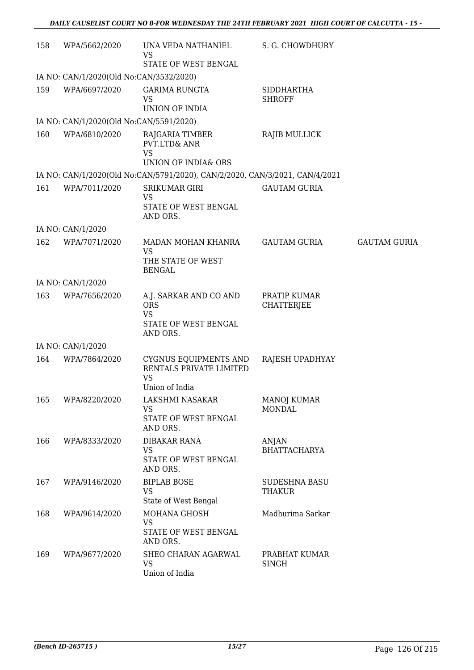| 158 | WPA/5662/2020                           | UNA VEDA NATHANIEL<br><b>VS</b>                                                           | S. G. CHOWDHURY                     |                     |
|-----|-----------------------------------------|-------------------------------------------------------------------------------------------|-------------------------------------|---------------------|
|     |                                         | STATE OF WEST BENGAL                                                                      |                                     |                     |
|     | IA NO: CAN/1/2020(Old No:CAN/3532/2020) |                                                                                           |                                     |                     |
| 159 | WPA/6697/2020                           | <b>GARIMA RUNGTA</b><br><b>VS</b>                                                         | <b>SIDDHARTHA</b><br><b>SHROFF</b>  |                     |
|     |                                         | <b>UNION OF INDIA</b>                                                                     |                                     |                     |
|     | IA NO: CAN/1/2020(Old No:CAN/5591/2020) |                                                                                           |                                     |                     |
| 160 | WPA/6810/2020                           | RAJGARIA TIMBER<br><b>PVT.LTD&amp; ANR</b><br><b>VS</b><br><b>UNION OF INDIA&amp; ORS</b> | <b>RAJIB MULLICK</b>                |                     |
|     |                                         | IA NO: CAN/1/2020(Old No:CAN/5791/2020), CAN/2/2020, CAN/3/2021, CAN/4/2021               |                                     |                     |
| 161 | WPA/7011/2020                           | <b>SRIKUMAR GIRI</b>                                                                      | <b>GAUTAM GURIA</b>                 |                     |
|     |                                         | VS<br>STATE OF WEST BENGAL<br>AND ORS.                                                    |                                     |                     |
|     | IA NO: CAN/1/2020                       |                                                                                           |                                     |                     |
| 162 | WPA/7071/2020                           | MADAN MOHAN KHANRA<br><b>VS</b>                                                           | <b>GAUTAM GURIA</b>                 | <b>GAUTAM GURIA</b> |
|     |                                         | THE STATE OF WEST<br><b>BENGAL</b>                                                        |                                     |                     |
|     | IA NO: CAN/1/2020                       |                                                                                           |                                     |                     |
| 163 | WPA/7656/2020                           | A.J. SARKAR AND CO AND<br><b>ORS</b>                                                      | PRATIP KUMAR<br><b>CHATTERJEE</b>   |                     |
|     |                                         | <b>VS</b><br>STATE OF WEST BENGAL<br>AND ORS.                                             |                                     |                     |
|     | IA NO: CAN/1/2020                       |                                                                                           |                                     |                     |
| 164 | WPA/7864/2020                           | CYGNUS EQUIPMENTS AND                                                                     | RAJESH UPADHYAY                     |                     |
|     |                                         | RENTALS PRIVATE LIMITED<br><b>VS</b>                                                      |                                     |                     |
|     |                                         | Union of India                                                                            |                                     |                     |
| 165 | WPA/8220/2020                           | LAKSHMI NASAKAR<br><b>VS</b>                                                              | <b>MANOJ KUMAR</b><br><b>MONDAL</b> |                     |
|     |                                         | STATE OF WEST BENGAL<br>AND ORS.                                                          |                                     |                     |
| 166 | WPA/8333/2020                           | DIBAKAR RANA                                                                              | ANJAN                               |                     |
|     |                                         | <b>VS</b><br>STATE OF WEST BENGAL<br>AND ORS.                                             | <b>BHATTACHARYA</b>                 |                     |
| 167 | WPA/9146/2020                           | <b>BIPLAB BOSE</b>                                                                        | <b>SUDESHNA BASU</b>                |                     |
|     |                                         | <b>VS</b><br>State of West Bengal                                                         | THAKUR                              |                     |
| 168 | WPA/9614/2020                           | MOHANA GHOSH                                                                              | Madhurima Sarkar                    |                     |
|     |                                         | <b>VS</b><br>STATE OF WEST BENGAL<br>AND ORS.                                             |                                     |                     |
| 169 | WPA/9677/2020                           | SHEO CHARAN AGARWAL                                                                       | PRABHAT KUMAR                       |                     |
|     |                                         | <b>VS</b><br>Union of India                                                               | <b>SINGH</b>                        |                     |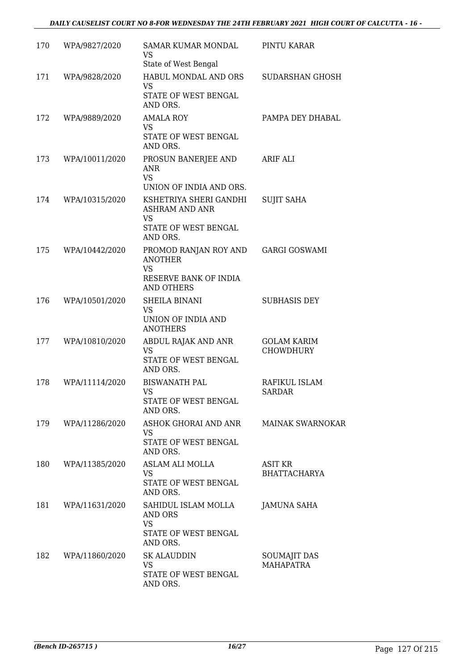| 170 | WPA/9827/2020      | <b>SAMAR KUMAR MONDAL</b><br>VS<br>State of West Bengal                                                 | PINTU KARAR                            |
|-----|--------------------|---------------------------------------------------------------------------------------------------------|----------------------------------------|
| 171 | WPA/9828/2020      | HABUL MONDAL AND ORS<br><b>VS</b><br>STATE OF WEST BENGAL<br>AND ORS.                                   | SUDARSHAN GHOSH                        |
| 172 | WPA/9889/2020      | <b>AMALA ROY</b><br><b>VS</b><br>STATE OF WEST BENGAL<br>AND ORS.                                       | PAMPA DEY DHABAL                       |
| 173 | WPA/10011/2020     | PROSUN BANERJEE AND<br>ANR<br><b>VS</b><br>UNION OF INDIA AND ORS.                                      | <b>ARIF ALI</b>                        |
| 174 | WPA/10315/2020     | KSHETRIYA SHERI GANDHI<br><b>ASHRAM AND ANR</b><br><b>VS</b><br>STATE OF WEST BENGAL                    | <b>SUJIT SAHA</b>                      |
| 175 | WPA/10442/2020     | AND ORS.<br>PROMOD RANJAN ROY AND<br><b>ANOTHER</b><br><b>VS</b><br>RESERVE BANK OF INDIA<br>AND OTHERS | <b>GARGI GOSWAMI</b>                   |
| 176 | WPA/10501/2020     | SHEILA BINANI<br>VS<br>UNION OF INDIA AND<br><b>ANOTHERS</b>                                            | <b>SUBHASIS DEY</b>                    |
| 177 | WPA/10810/2020     | ABDUL RAJAK AND ANR<br><b>VS</b><br>STATE OF WEST BENGAL<br>AND ORS.                                    | <b>GOLAM KARIM</b><br><b>CHOWDHURY</b> |
| 178 | WPA/11114/2020     | <b>BISWANATH PAL</b><br><b>VS</b><br>STATE OF WEST BENGAL<br>AND ORS.                                   | RAFIKUL ISLAM<br>SARDAR                |
| 179 | WPA/11286/2020     | ASHOK GHORAI AND ANR MAINAK SWARNOKAR<br>VS<br>STATE OF WEST BENGAL<br>AND ORS.                         |                                        |
| 180 | WPA/11385/2020     | ASLAM ALI MOLLA<br><b>VS</b><br>STATE OF WEST BENGAL<br>AND ORS.                                        | <b>ASIT KR</b><br><b>BHATTACHARYA</b>  |
|     | 181 WPA/11631/2020 | SAHIDUL ISLAM MOLLA<br>AND ORS<br><b>VS</b><br>STATE OF WEST BENGAL<br>AND ORS.                         | JAMUNA SAHA                            |
|     | 182 WPA/11860/2020 | <b>SK ALAUDDIN</b><br>VS<br>STATE OF WEST BENGAL<br>AND ORS.                                            | SOUMAJIT DAS<br><b>MAHAPATRA</b>       |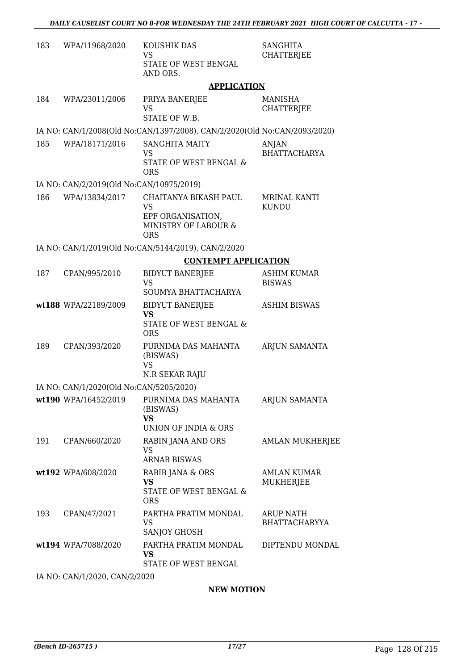| 183 | WPA/11968/2020                           | KOUSHIK DAS<br><b>VS</b><br>STATE OF WEST BENGAL<br>AND ORS.                                  | <b>SANGHITA</b><br><b>CHATTERJEE</b>     |
|-----|------------------------------------------|-----------------------------------------------------------------------------------------------|------------------------------------------|
|     |                                          | <b>APPLICATION</b>                                                                            |                                          |
| 184 | WPA/23011/2006                           | PRIYA BANERJEE<br><b>VS</b><br>STATE OF W.B.                                                  | MANISHA<br><b>CHATTERJEE</b>             |
|     |                                          | IA NO: CAN/1/2008(Old No:CAN/1397/2008), CAN/2/2020(Old No:CAN/2093/2020)                     |                                          |
| 185 | WPA/18171/2016                           | <b>SANGHITA MAITY</b><br>VS<br>STATE OF WEST BENGAL &<br><b>ORS</b>                           | <b>ANJAN</b><br><b>BHATTACHARYA</b>      |
|     | IA NO: CAN/2/2019(Old No:CAN/10975/2019) |                                                                                               |                                          |
| 186 | WPA/13834/2017                           | CHAITANYA BIKASH PAUL<br><b>VS</b><br>EPF ORGANISATION,<br>MINISTRY OF LABOUR &<br><b>ORS</b> | MRINAL KANTI<br><b>KUNDU</b>             |
|     |                                          | IA NO: CAN/1/2019(Old No:CAN/5144/2019), CAN/2/2020                                           |                                          |
|     |                                          | <b>CONTEMPT APPLICATION</b>                                                                   |                                          |
| 187 | CPAN/995/2010                            | <b>BIDYUT BANERJEE</b><br>VS                                                                  | <b>ASHIM KUMAR</b><br><b>BISWAS</b>      |
|     | wt188 WPA/22189/2009                     | SOUMYA BHATTACHARYA<br><b>BIDYUT BANERJEE</b><br><b>VS</b><br>STATE OF WEST BENGAL &          | <b>ASHIM BISWAS</b>                      |
| 189 | CPAN/393/2020                            | <b>ORS</b><br>PURNIMA DAS MAHANTA<br>(BISWAS)<br><b>VS</b><br><b>N.R SEKAR RAJU</b>           | ARJUN SAMANTA                            |
|     | IA NO: CAN/1/2020(Old No:CAN/5205/2020)  |                                                                                               |                                          |
|     | wt190 WPA/16452/2019                     | PURNIMA DAS MAHANTA<br>(BISWAS)<br><b>VS</b><br>UNION OF INDIA & ORS                          | ARJUN SAMANTA                            |
| 191 | CPAN/660/2020                            | RABIN JANA AND ORS<br><b>VS</b><br><b>ARNAB BISWAS</b>                                        | AMLAN MUKHERJEE                          |
|     | wt192 WPA/608/2020                       | RABIB JANA & ORS<br>VS<br><b>STATE OF WEST BENGAL &amp;</b><br><b>ORS</b>                     | <b>AMLAN KUMAR</b><br>MUKHERJEE          |
| 193 | CPAN/47/2021                             | PARTHA PRATIM MONDAL<br><b>VS</b><br>SANJOY GHOSH                                             | <b>ARUP NATH</b><br><b>BHATTACHARYYA</b> |
|     | wt194 WPA/7088/2020                      | PARTHA PRATIM MONDAL<br>VS<br>STATE OF WEST BENGAL                                            | DIPTENDU MONDAL                          |
|     |                                          |                                                                                               |                                          |

IA NO: CAN/1/2020, CAN/2/2020

### **NEW MOTION**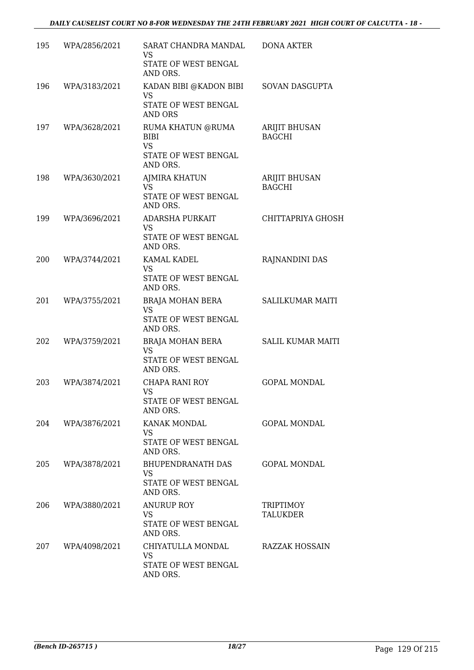| 195 | WPA/2856/2021 | SARAT CHANDRA MANDAL<br>VS<br>STATE OF WEST BENGAL<br>AND ORS.        | <b>DONA AKTER</b>              |
|-----|---------------|-----------------------------------------------------------------------|--------------------------------|
| 196 | WPA/3183/2021 | KADAN BIBI @KADON BIBI<br>VS<br>STATE OF WEST BENGAL<br>AND ORS       | SOVAN DASGUPTA                 |
| 197 | WPA/3628/2021 | RUMA KHATUN @RUMA<br><b>BIBI</b><br><b>VS</b><br>STATE OF WEST BENGAL | ARIJIT BHUSAN<br><b>BAGCHI</b> |
|     |               | AND ORS.                                                              |                                |
| 198 | WPA/3630/2021 | AJMIRA KHATUN<br><b>VS</b><br>STATE OF WEST BENGAL<br>AND ORS.        | ARIJIT BHUSAN<br><b>BAGCHI</b> |
| 199 | WPA/3696/2021 | ADARSHA PURKAIT<br>VS<br>STATE OF WEST BENGAL<br>AND ORS.             | CHITTAPRIYA GHOSH              |
| 200 | WPA/3744/2021 | KAMAL KADEL<br><b>VS</b><br>STATE OF WEST BENGAL<br>AND ORS.          | RAJNANDINI DAS                 |
| 201 | WPA/3755/2021 | BRAJA MOHAN BERA<br>VS<br>STATE OF WEST BENGAL<br>AND ORS.            | <b>SALILKUMAR MAITI</b>        |
| 202 | WPA/3759/2021 | BRAJA MOHAN BERA<br><b>VS</b><br>STATE OF WEST BENGAL<br>AND ORS.     | <b>SALIL KUMAR MAITI</b>       |
| 203 | WPA/3874/2021 | CHAPA RANI ROY<br>VS<br>STATE OF WEST BENGAL<br>AND ORS.              | <b>GOPAL MONDAL</b>            |
| 204 | WPA/3876/2021 | KANAK MONDAL<br>VS<br>STATE OF WEST BENGAL<br>AND ORS.                | <b>GOPAL MONDAL</b>            |
| 205 | WPA/3878/2021 | BHUPENDRANATH DAS<br>VS.<br>STATE OF WEST BENGAL<br>AND ORS.          | <b>GOPAL MONDAL</b>            |
| 206 | WPA/3880/2021 | <b>ANURUP ROY</b><br>VS<br>STATE OF WEST BENGAL<br>AND ORS.           | TRIPTIMOY<br><b>TALUKDER</b>   |
| 207 | WPA/4098/2021 | CHIYATULLA MONDAL<br>VS<br>STATE OF WEST BENGAL<br>AND ORS.           | RAZZAK HOSSAIN                 |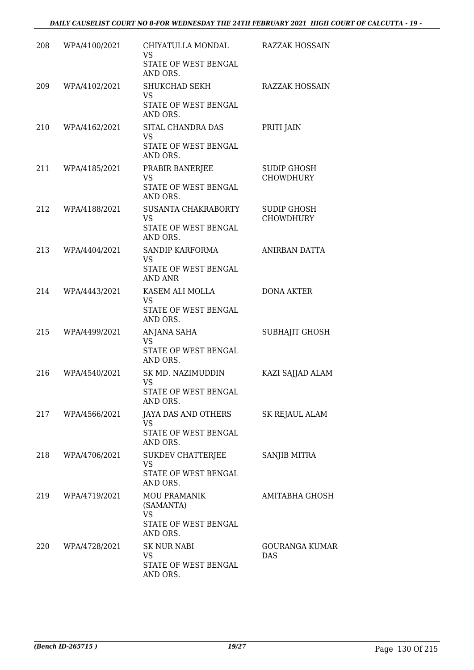| 208 | WPA/4100/2021     | CHIYATULLA MONDAL                                                                 | <b>RAZZAK HOSSAIN</b>                  |
|-----|-------------------|-----------------------------------------------------------------------------------|----------------------------------------|
|     |                   | <b>VS</b><br>STATE OF WEST BENGAL<br>AND ORS.                                     |                                        |
| 209 | WPA/4102/2021     | SHUKCHAD SEKH<br><b>VS</b><br>STATE OF WEST BENGAL<br>AND ORS.                    | <b>RAZZAK HOSSAIN</b>                  |
| 210 | WPA/4162/2021     | SITAL CHANDRA DAS<br><b>VS</b><br>STATE OF WEST BENGAL<br>AND ORS.                | PRITI JAIN                             |
| 211 | WPA/4185/2021     | PRABIR BANERJEE<br><b>VS</b><br>STATE OF WEST BENGAL<br>AND ORS.                  | <b>SUDIP GHOSH</b><br><b>CHOWDHURY</b> |
| 212 | WPA/4188/2021     | SUSANTA CHAKRABORTY<br><b>VS</b><br>STATE OF WEST BENGAL<br>AND ORS.              | <b>SUDIP GHOSH</b><br>CHOWDHURY        |
| 213 | WPA/4404/2021     | SANDIP KARFORMA<br><b>VS</b><br>STATE OF WEST BENGAL<br><b>AND ANR</b>            | ANIRBAN DATTA                          |
| 214 | WPA/4443/2021     | KASEM ALI MOLLA<br><b>VS</b><br>STATE OF WEST BENGAL<br>AND ORS.                  | <b>DONA AKTER</b>                      |
| 215 | WPA/4499/2021     | ANJANA SAHA<br><b>VS</b><br>STATE OF WEST BENGAL<br>AND ORS.                      | <b>SUBHAJIT GHOSH</b>                  |
| 216 | WPA/4540/2021     | SK MD. NAZIMUDDIN<br><b>VS</b><br>STATE OF WEST BENGAL<br>AND ORS.                | KAZI SAJJAD ALAM                       |
|     | 217 WPA/4566/2021 | JAYA DAS AND OTHERS<br>VS<br>STATE OF WEST BENGAL<br>AND ORS.                     | SK REJAUL ALAM                         |
| 218 | WPA/4706/2021     | SUKDEV CHATTERJEE<br>VS<br>STATE OF WEST BENGAL<br>AND ORS.                       | SANJIB MITRA                           |
| 219 | WPA/4719/2021     | <b>MOU PRAMANIK</b><br>(SAMANTA)<br><b>VS</b><br>STATE OF WEST BENGAL<br>AND ORS. | AMITABHA GHOSH                         |
| 220 | WPA/4728/2021     | <b>SK NUR NABI</b><br>VS<br>STATE OF WEST BENGAL<br>AND ORS.                      | <b>GOURANGA KUMAR</b><br>DAS           |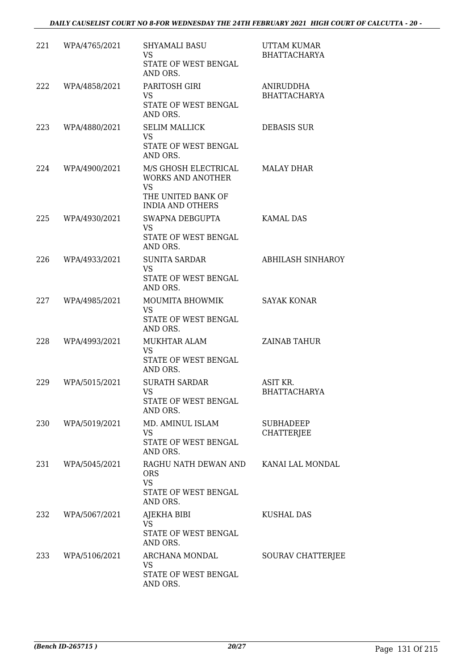| 221 | WPA/4765/2021 | <b>SHYAMALI BASU</b><br>VS.<br>STATE OF WEST BENGAL<br>AND ORS.                                                | UTTAM KUMAR<br><b>BHATTACHARYA</b>    |
|-----|---------------|----------------------------------------------------------------------------------------------------------------|---------------------------------------|
| 222 | WPA/4858/2021 | PARITOSH GIRI<br>VS<br>STATE OF WEST BENGAL<br>AND ORS.                                                        | ANIRUDDHA<br><b>BHATTACHARYA</b>      |
| 223 | WPA/4880/2021 | <b>SELIM MALLICK</b><br><b>VS</b><br><b>STATE OF WEST BENGAL</b><br>AND ORS.                                   | <b>DEBASIS SUR</b>                    |
| 224 | WPA/4900/2021 | M/S GHOSH ELECTRICAL<br><b>WORKS AND ANOTHER</b><br><b>VS</b><br>THE UNITED BANK OF<br><b>INDIA AND OTHERS</b> | MALAY DHAR                            |
| 225 | WPA/4930/2021 | SWAPNA DEBGUPTA<br>VS<br>STATE OF WEST BENGAL<br>AND ORS.                                                      | <b>KAMAL DAS</b>                      |
| 226 | WPA/4933/2021 | <b>SUNITA SARDAR</b><br><b>VS</b><br>STATE OF WEST BENGAL<br>AND ORS.                                          | <b>ABHILASH SINHAROY</b>              |
| 227 | WPA/4985/2021 | MOUMITA BHOWMIK<br><b>VS</b><br>STATE OF WEST BENGAL<br>AND ORS.                                               | <b>SAYAK KONAR</b>                    |
| 228 | WPA/4993/2021 | MUKHTAR ALAM<br><b>VS</b><br>STATE OF WEST BENGAL<br>AND ORS.                                                  | <b>ZAINAB TAHUR</b>                   |
| 229 | WPA/5015/2021 | <b>SURATH SARDAR</b><br><b>VS</b><br>STATE OF WEST BENGAL<br>AND ORS.                                          | ASIT KR.<br><b>BHATTACHARYA</b>       |
| 230 | WPA/5019/2021 | MD. AMINUL ISLAM<br>VS<br>STATE OF WEST BENGAL<br>AND ORS.                                                     | <b>SUBHADEEP</b><br><b>CHATTERJEE</b> |
| 231 | WPA/5045/2021 | RAGHU NATH DEWAN AND KANAI LAL MONDAL<br><b>ORS</b><br><b>VS</b><br>STATE OF WEST BENGAL<br>AND ORS.           |                                       |
| 232 | WPA/5067/2021 | AJEKHA BIBI<br><b>VS</b><br>STATE OF WEST BENGAL<br>AND ORS.                                                   | KUSHAL DAS                            |
| 233 | WPA/5106/2021 | ARCHANA MONDAL<br>VS.<br>STATE OF WEST BENGAL<br>AND ORS.                                                      | SOURAV CHATTERJEE                     |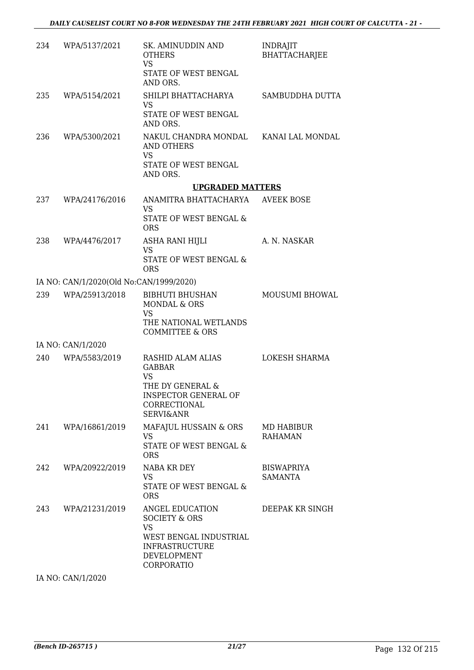| 234 | WPA/5137/2021                           | SK. AMINUDDIN AND<br><b>OTHERS</b><br><b>VS</b><br>STATE OF WEST BENGAL<br>AND ORS.                                                      | <b>INDRAJIT</b><br>BHATTACHARJEE    |
|-----|-----------------------------------------|------------------------------------------------------------------------------------------------------------------------------------------|-------------------------------------|
| 235 | WPA/5154/2021                           | SHILPI BHATTACHARYA<br><b>VS</b><br>STATE OF WEST BENGAL<br>AND ORS.                                                                     | SAMBUDDHA DUTTA                     |
| 236 | WPA/5300/2021                           | NAKUL CHANDRA MONDAL KANAI LAL MONDAL<br>AND OTHERS<br><b>VS</b><br>STATE OF WEST BENGAL<br>AND ORS.                                     |                                     |
|     |                                         | <b>UPGRADED MATTERS</b>                                                                                                                  |                                     |
| 237 | WPA/24176/2016                          | ANAMITRA BHATTACHARYA<br>VS<br>STATE OF WEST BENGAL &<br><b>ORS</b>                                                                      | <b>AVEEK BOSE</b>                   |
| 238 | WPA/4476/2017                           | ASHA RANI HIJLI<br><b>VS</b><br>STATE OF WEST BENGAL &                                                                                   | A. N. NASKAR                        |
|     |                                         | <b>ORS</b>                                                                                                                               |                                     |
|     | IA NO: CAN/1/2020(Old No:CAN/1999/2020) |                                                                                                                                          |                                     |
| 239 | WPA/25913/2018                          | <b>BIBHUTI BHUSHAN</b><br><b>MONDAL &amp; ORS</b><br>VS<br>THE NATIONAL WETLANDS                                                         | MOUSUMI BHOWAL                      |
|     | IA NO: CAN/1/2020                       | <b>COMMITTEE &amp; ORS</b>                                                                                                               |                                     |
| 240 | WPA/5583/2019                           | RASHID ALAM ALIAS<br><b>GABBAR</b><br>VS<br>THE DY GENERAL &<br><b>INSPECTOR GENERAL OF</b><br>CORRECTIONAL<br><b>SERVI&amp;ANR</b>      | <b>LOKESH SHARMA</b>                |
| 241 | WPA/16861/2019                          | MAFAJUL HUSSAIN & ORS<br>VS<br>STATE OF WEST BENGAL &<br><b>ORS</b>                                                                      | MD HABIBUR<br><b>RAHAMAN</b>        |
| 242 | WPA/20922/2019                          | NABA KR DEY<br><b>VS</b><br>STATE OF WEST BENGAL &<br><b>ORS</b>                                                                         | <b>BISWAPRIYA</b><br><b>SAMANTA</b> |
| 243 | WPA/21231/2019                          | ANGEL EDUCATION<br><b>SOCIETY &amp; ORS</b><br><b>VS</b><br>WEST BENGAL INDUSTRIAL<br><b>INFRASTRUCTURE</b><br>DEVELOPMENT<br>CORPORATIO | DEEPAK KR SINGH                     |

IA NO: CAN/1/2020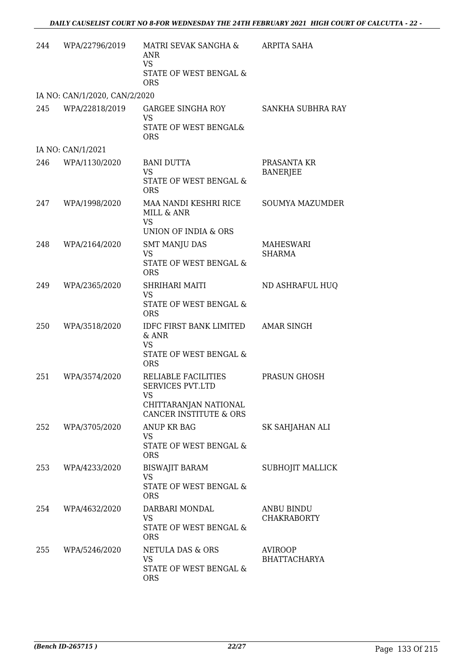| 244 | WPA/22796/2019                | MATRI SEVAK SANGHA &<br>ANR<br><b>VS</b><br>STATE OF WEST BENGAL &<br><b>ORS</b>                                   | ARPITA SAHA                           |
|-----|-------------------------------|--------------------------------------------------------------------------------------------------------------------|---------------------------------------|
|     | IA NO: CAN/1/2020, CAN/2/2020 |                                                                                                                    |                                       |
| 245 | WPA/22818/2019                | GARGEE SINGHA ROY<br>VS<br>STATE OF WEST BENGAL&<br><b>ORS</b>                                                     | SANKHA SUBHRA RAY                     |
|     | IA NO: CAN/1/2021             |                                                                                                                    |                                       |
| 246 | WPA/1130/2020                 | <b>BANI DUTTA</b><br><b>VS</b><br>STATE OF WEST BENGAL &<br><b>ORS</b>                                             | PRASANTA KR<br><b>BANERJEE</b>        |
| 247 | WPA/1998/2020                 | MAA NANDI KESHRI RICE<br>MILL & ANR<br><b>VS</b><br>UNION OF INDIA & ORS                                           | SOUMYA MAZUMDER                       |
| 248 | WPA/2164/2020                 | <b>SMT MANJU DAS</b><br><b>VS</b><br>STATE OF WEST BENGAL &<br><b>ORS</b>                                          | MAHESWARI<br>SHARMA                   |
| 249 | WPA/2365/2020                 | SHRIHARI MAITI<br><b>VS</b><br>STATE OF WEST BENGAL &<br><b>ORS</b>                                                | ND ASHRAFUL HUQ                       |
| 250 | WPA/3518/2020                 | IDFC FIRST BANK LIMITED<br>& ANR<br><b>VS</b><br>STATE OF WEST BENGAL &<br><b>ORS</b>                              | <b>AMAR SINGH</b>                     |
| 251 | WPA/3574/2020                 | RELIABLE FACILITIES<br><b>SERVICES PVT.LTD</b><br>VS<br>CHITTARANJAN NATIONAL<br><b>CANCER INSTITUTE &amp; ORS</b> | PRASUN GHOSH                          |
| 252 | WPA/3705/2020                 | <b>ANUP KR BAG</b><br>VS<br>STATE OF WEST BENGAL &<br><b>ORS</b>                                                   | SK SAHJAHAN ALI                       |
| 253 | WPA/4233/2020                 | <b>BISWAJIT BARAM</b><br><b>VS</b><br>STATE OF WEST BENGAL &<br><b>ORS</b>                                         | SUBHOJIT MALLICK                      |
| 254 | WPA/4632/2020                 | DARBARI MONDAL<br><b>VS</b><br>STATE OF WEST BENGAL &<br><b>ORS</b>                                                | ANBU BINDU<br><b>CHAKRABORTY</b>      |
| 255 | WPA/5246/2020                 | NETULA DAS & ORS<br>VS<br>STATE OF WEST BENGAL &<br><b>ORS</b>                                                     | <b>AVIROOP</b><br><b>BHATTACHARYA</b> |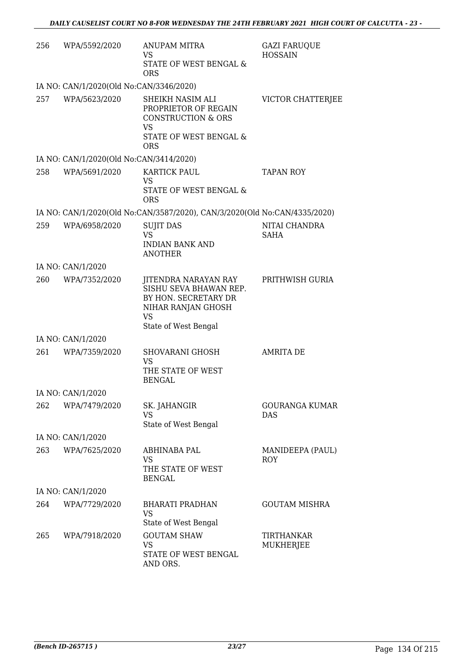| 256 | WPA/5592/2020                           | <b>ANUPAM MITRA</b><br>VS<br>STATE OF WEST BENGAL &<br><b>ORS</b>                                                                 | <b>GAZI FARUQUE</b><br><b>HOSSAIN</b> |
|-----|-----------------------------------------|-----------------------------------------------------------------------------------------------------------------------------------|---------------------------------------|
|     | IA NO: CAN/1/2020(Old No:CAN/3346/2020) |                                                                                                                                   |                                       |
| 257 | WPA/5623/2020                           | SHEIKH NASIM ALI<br>PROPRIETOR OF REGAIN<br><b>CONSTRUCTION &amp; ORS</b><br><b>VS</b><br>STATE OF WEST BENGAL &                  | VICTOR CHATTERJEE                     |
|     | IA NO: CAN/1/2020(Old No:CAN/3414/2020) | <b>ORS</b>                                                                                                                        |                                       |
|     |                                         |                                                                                                                                   |                                       |
| 258 | WPA/5691/2020                           | <b>KARTICK PAUL</b><br>VS<br>STATE OF WEST BENGAL &                                                                               | <b>TAPAN ROY</b>                      |
|     |                                         | <b>ORS</b>                                                                                                                        |                                       |
|     |                                         | IA NO: CAN/1/2020(Old No:CAN/3587/2020), CAN/3/2020(Old No:CAN/4335/2020)                                                         |                                       |
| 259 | WPA/6958/2020                           | <b>SUJIT DAS</b><br><b>VS</b>                                                                                                     | NITAI CHANDRA<br>SAHA                 |
|     |                                         | <b>INDIAN BANK AND</b><br><b>ANOTHER</b>                                                                                          |                                       |
|     | IA NO: CAN/1/2020                       |                                                                                                                                   |                                       |
| 260 | WPA/7352/2020                           | JITENDRA NARAYAN RAY<br>SISHU SEVA BHAWAN REP.<br>BY HON. SECRETARY DR<br>NIHAR RANJAN GHOSH<br><b>VS</b><br>State of West Bengal | PRITHWISH GURIA                       |
|     | IA NO: CAN/1/2020                       |                                                                                                                                   |                                       |
| 261 | WPA/7359/2020                           | SHOVARANI GHOSH<br>VS<br>THE STATE OF WEST<br><b>BENGAL</b>                                                                       | <b>AMRITA DE</b>                      |
|     | IA NO: CAN/1/2020                       |                                                                                                                                   |                                       |
| 262 | WPA/7479/2020                           | SK. JAHANGIR<br>VS<br>State of West Bengal                                                                                        | <b>GOURANGA KUMAR</b><br>DAS          |
|     | IA NO: CAN/1/2020                       |                                                                                                                                   |                                       |
| 263 | WPA/7625/2020                           | ABHINABA PAL<br>VS<br>THE STATE OF WEST<br><b>BENGAL</b>                                                                          | MANIDEEPA (PAUL)<br><b>ROY</b>        |
|     | IA NO: CAN/1/2020                       |                                                                                                                                   |                                       |
| 264 | WPA/7729/2020                           | <b>BHARATI PRADHAN</b><br><b>VS</b><br>State of West Bengal                                                                       | <b>GOUTAM MISHRA</b>                  |
| 265 | WPA/7918/2020                           | <b>GOUTAM SHAW</b><br>VS<br>STATE OF WEST BENGAL<br>AND ORS.                                                                      | <b>TIRTHANKAR</b><br>MUKHERJEE        |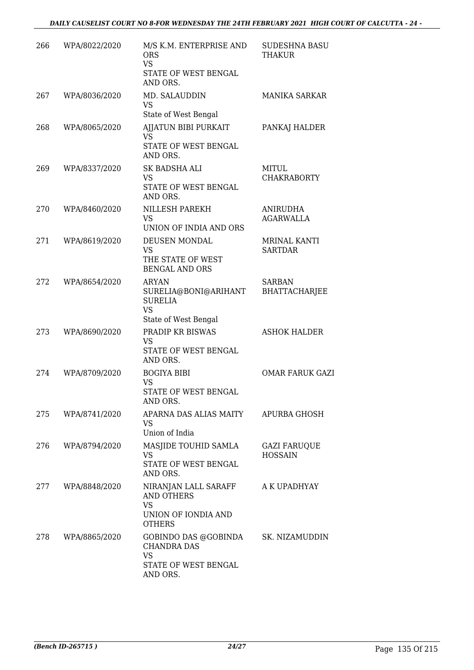| 266  | WPA/8022/2020 | M/S K.M. ENTERPRISE AND<br><b>ORS</b><br><b>VS</b><br>STATE OF WEST BENGAL<br>AND ORS.         | <b>SUDESHNA BASU</b><br>THAKUR        |
|------|---------------|------------------------------------------------------------------------------------------------|---------------------------------------|
| 267  | WPA/8036/2020 | MD. SALAUDDIN<br><b>VS</b><br>State of West Bengal                                             | <b>MANIKA SARKAR</b>                  |
| 268  | WPA/8065/2020 | AJJATUN BIBI PURKAIT<br><b>VS</b><br>STATE OF WEST BENGAL<br>AND ORS.                          | PANKAJ HALDER                         |
| 269  | WPA/8337/2020 | SK BADSHA ALI<br>VS<br>STATE OF WEST BENGAL<br>AND ORS.                                        | MITUL<br><b>CHAKRABORTY</b>           |
| 270  | WPA/8460/2020 | NILLESH PAREKH<br><b>VS</b><br>UNION OF INDIA AND ORS                                          | ANIRUDHA<br><b>AGARWALLA</b>          |
| 271  | WPA/8619/2020 | DEUSEN MONDAL<br><b>VS</b><br>THE STATE OF WEST<br><b>BENGAL AND ORS</b>                       | <b>MRINAL KANTI</b><br><b>SARTDAR</b> |
| 272  | WPA/8654/2020 | <b>ARYAN</b><br>SURELIA@BONI@ARIHANT<br><b>SURELIA</b><br><b>VS</b><br>State of West Bengal    | <b>SARBAN</b><br><b>BHATTACHARJEE</b> |
| 273  | WPA/8690/2020 | PRADIP KR BISWAS<br><b>VS</b><br>STATE OF WEST BENGAL<br>AND ORS.                              | <b>ASHOK HALDER</b>                   |
| 274  | WPA/8709/2020 | <b>BOGIYA BIBI</b><br><b>VS</b><br>STATE OF WEST BENGAL<br>AND ORS.                            | <b>OMAR FARUK GAZI</b>                |
| 275  | WPA/8741/2020 | APARNA DAS ALIAS MAITY<br>VS<br>Union of India                                                 | APURBA GHOSH                          |
| 276  | WPA/8794/2020 | MASJIDE TOUHID SAMLA<br><b>VS</b><br>STATE OF WEST BENGAL<br>AND ORS.                          | <b>GAZI FARUQUE</b><br><b>HOSSAIN</b> |
| 277  | WPA/8848/2020 | NIRANJAN LALL SARAFF<br><b>AND OTHERS</b><br><b>VS</b><br>UNION OF IONDIA AND<br><b>OTHERS</b> | A K UPADHYAY                          |
| 278. | WPA/8865/2020 | GOBINDO DAS @GOBINDA<br><b>CHANDRA DAS</b><br><b>VS</b><br>STATE OF WEST BENGAL<br>AND ORS.    | SK. NIZAMUDDIN                        |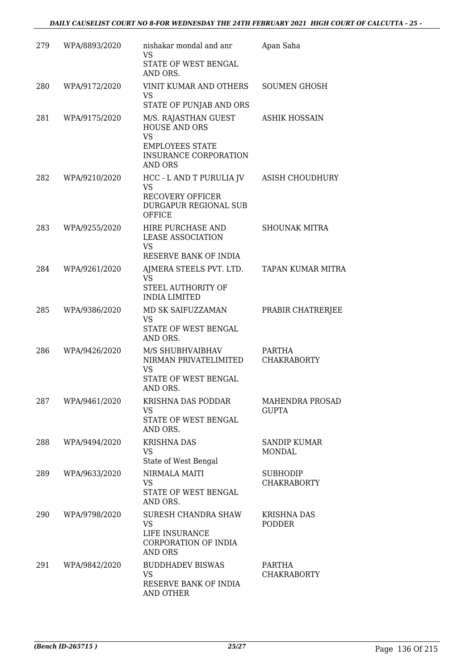| 279 | WPA/8893/2020 | nishakar mondal and anr<br><b>VS</b><br>STATE OF WEST BENGAL                                                                          | Apan Saha                             |
|-----|---------------|---------------------------------------------------------------------------------------------------------------------------------------|---------------------------------------|
|     |               | AND ORS.                                                                                                                              |                                       |
| 280 | WPA/9172/2020 | VINIT KUMAR AND OTHERS<br>VS<br>STATE OF PUNJAB AND ORS                                                                               | <b>SOUMEN GHOSH</b>                   |
| 281 | WPA/9175/2020 | M/S. RAJASTHAN GUEST<br><b>HOUSE AND ORS</b><br><b>VS</b><br><b>EMPLOYEES STATE</b><br><b>INSURANCE CORPORATION</b><br><b>AND ORS</b> | <b>ASHIK HOSSAIN</b>                  |
| 282 | WPA/9210/2020 | HCC - LAND T PURULIA JV ASISH CHOUDHURY<br>VS<br><b>RECOVERY OFFICER</b><br><b>DURGAPUR REGIONAL SUB</b><br>OFFICE                    |                                       |
| 283 | WPA/9255/2020 | HIRE PURCHASE AND<br><b>LEASE ASSOCIATION</b><br><b>VS</b>                                                                            | <b>SHOUNAK MITRA</b>                  |
|     |               | RESERVE BANK OF INDIA                                                                                                                 |                                       |
| 284 | WPA/9261/2020 | AJMERA STEELS PVT. LTD. TAPAN KUMAR MITRA<br><b>VS</b><br>STEEL AUTHORITY OF<br><b>INDIA LIMITED</b>                                  |                                       |
| 285 | WPA/9386/2020 | MD SK SAIFUZZAMAN<br>VS<br>STATE OF WEST BENGAL<br>AND ORS.                                                                           | PRABIR CHATRERJEE                     |
| 286 | WPA/9426/2020 | M/S SHUBHVAIBHAV<br>NIRMAN PRIVATELIMITED<br>VS<br>STATE OF WEST BENGAL<br>AND ORS.                                                   | PARTHA<br><b>CHAKRABORTY</b>          |
| 287 | WPA/9461/2020 | KRISHNA DAS PODDAR<br><b>VS</b><br>STATE OF WEST BENGAL<br>AND ORS.                                                                   | MAHENDRA PROSAD<br><b>GUPTA</b>       |
| 288 | WPA/9494/2020 | <b>KRISHNA DAS</b><br>VS<br>State of West Bengal                                                                                      | <b>SANDIP KUMAR</b><br>MONDAL         |
| 289 | WPA/9633/2020 | NIRMALA MAITI<br>VS.<br>STATE OF WEST BENGAL<br>AND ORS.                                                                              | <b>SUBHODIP</b><br><b>CHAKRABORTY</b> |
| 290 | WPA/9798/2020 | SURESH CHANDRA SHAW<br><b>VS</b><br>LIFE INSURANCE<br>CORPORATION OF INDIA<br><b>AND ORS</b>                                          | <b>KRISHNA DAS</b><br><b>PODDER</b>   |
| 291 | WPA/9842/2020 | <b>BUDDHADEV BISWAS</b><br><b>VS</b><br>RESERVE BANK OF INDIA<br>AND OTHER                                                            | PARTHA<br><b>CHAKRABORTY</b>          |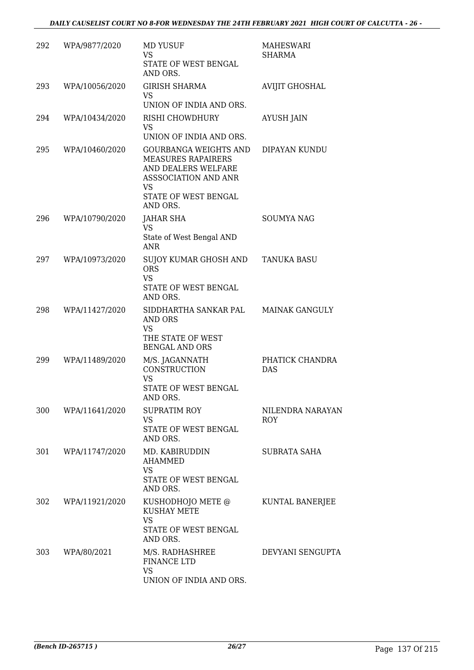| 292 | WPA/9877/2020  | <b>MD YUSUF</b><br>VS<br>STATE OF WEST BENGAL<br>AND ORS.                                                                                   | <b>MAHESWARI</b><br>SHARMA |
|-----|----------------|---------------------------------------------------------------------------------------------------------------------------------------------|----------------------------|
| 293 | WPA/10056/2020 | <b>GIRISH SHARMA</b><br>VS<br>UNION OF INDIA AND ORS.                                                                                       | <b>AVIJIT GHOSHAL</b>      |
| 294 | WPA/10434/2020 | RISHI CHOWDHURY<br>VS<br>UNION OF INDIA AND ORS.                                                                                            | <b>AYUSH JAIN</b>          |
| 295 | WPA/10460/2020 | GOURBANGA WEIGHTS AND<br><b>MEASURES RAPAIRERS</b><br>AND DEALERS WELFARE<br>ASSSOCIATION AND ANR<br>VS<br>STATE OF WEST BENGAL<br>AND ORS. | DIPAYAN KUNDU              |
| 296 | WPA/10790/2020 | <b>JAHAR SHA</b><br>VS<br>State of West Bengal AND<br>ANR                                                                                   | <b>SOUMYA NAG</b>          |
| 297 | WPA/10973/2020 | SUJOY KUMAR GHOSH AND<br><b>ORS</b><br>VS<br>STATE OF WEST BENGAL<br>AND ORS.                                                               | <b>TANUKA BASU</b>         |
| 298 | WPA/11427/2020 | SIDDHARTHA SANKAR PAL<br>AND ORS<br>VS<br>THE STATE OF WEST<br><b>BENGAL AND ORS</b>                                                        | <b>MAINAK GANGULY</b>      |
| 299 | WPA/11489/2020 | M/S. JAGANNATH<br><b>CONSTRUCTION</b><br><b>VS</b><br>STATE OF WEST BENGAL<br>AND ORS.                                                      | PHATICK CHANDRA<br>DAS     |
| 300 | WPA/11641/2020 | <b>SUPRATIM ROY</b><br><b>VS</b><br>STATE OF WEST BENGAL<br>AND ORS.                                                                        | NILENDRA NARAYAN<br>ROY    |
| 301 | WPA/11747/2020 | MD. KABIRUDDIN<br><b>AHAMMED</b><br>VS<br>STATE OF WEST BENGAL<br>AND ORS.                                                                  | SUBRATA SAHA               |
| 302 | WPA/11921/2020 | KUSHODHOJO METE @<br><b>KUSHAY METE</b><br>VS<br>STATE OF WEST BENGAL<br>AND ORS.                                                           | KUNTAL BANERJEE            |
| 303 | WPA/80/2021    | M/S. RADHASHREE<br>FINANCE LTD<br><b>VS</b><br>UNION OF INDIA AND ORS.                                                                      | DEVYANI SENGUPTA           |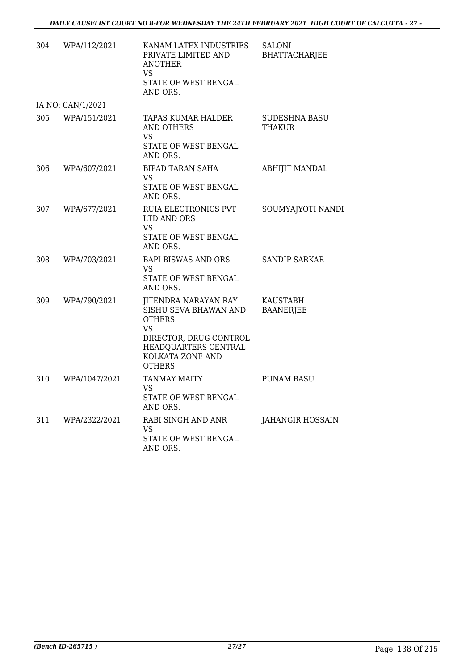| 304 | WPA/112/2021      | KANAM LATEX INDUSTRIES<br>PRIVATE LIMITED AND<br><b>ANOTHER</b><br>VS<br>STATE OF WEST BENGAL<br>AND ORS.                                                          | <b>SALONI</b><br><b>BHATTACHARJEE</b> |
|-----|-------------------|--------------------------------------------------------------------------------------------------------------------------------------------------------------------|---------------------------------------|
|     | IA NO: CAN/1/2021 |                                                                                                                                                                    |                                       |
| 305 | WPA/151/2021      | TAPAS KUMAR HALDER<br>AND OTHERS<br><b>VS</b><br>STATE OF WEST BENGAL<br>AND ORS.                                                                                  | SUDESHNA BASU<br><b>THAKUR</b>        |
| 306 | WPA/607/2021      | <b>BIPAD TARAN SAHA</b><br>VS<br>STATE OF WEST BENGAL<br>AND ORS.                                                                                                  | <b>ABHIJIT MANDAL</b>                 |
| 307 | WPA/677/2021      | RUIA ELECTRONICS PVT<br>LTD AND ORS<br>VS<br>STATE OF WEST BENGAL<br>AND ORS.                                                                                      | SOUMYAJYOTI NANDI                     |
| 308 | WPA/703/2021      | <b>BAPI BISWAS AND ORS</b><br>VS.<br>STATE OF WEST BENGAL<br>AND ORS.                                                                                              | SANDIP SARKAR                         |
| 309 | WPA/790/2021      | JITENDRA NARAYAN RAY<br>SISHU SEVA BHAWAN AND<br><b>OTHERS</b><br><b>VS</b><br>DIRECTOR, DRUG CONTROL<br>HEADQUARTERS CENTRAL<br>KOLKATA ZONE AND<br><b>OTHERS</b> | <b>KAUSTABH</b><br><b>BAANERJEE</b>   |
| 310 | WPA/1047/2021     | <b>TANMAY MAITY</b><br>VS<br>STATE OF WEST BENGAL<br>AND ORS.                                                                                                      | <b>PUNAM BASU</b>                     |
| 311 | WPA/2322/2021     | RABI SINGH AND ANR<br>VS.<br>STATE OF WEST BENGAL<br>AND ORS.                                                                                                      | <b>JAHANGIR HOSSAIN</b>               |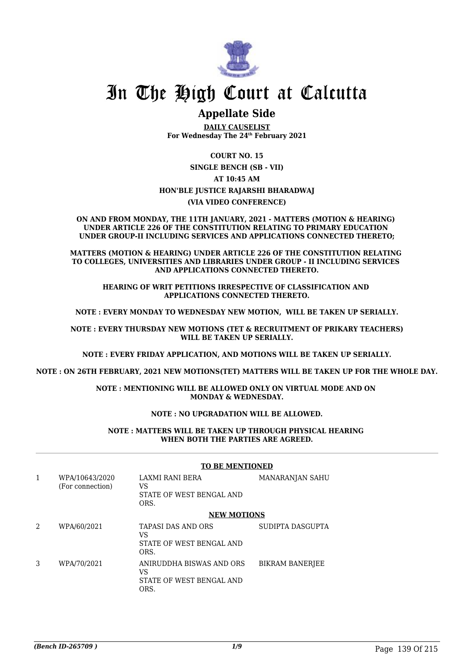

## In The High Court at Calcutta

### **Appellate Side**

**DAILY CAUSELIST For Wednesday The 24th February 2021**

**COURT NO. 15**

**SINGLE BENCH (SB - VII)**

### **AT 10:45 AM**

### **HON'BLE JUSTICE RAJARSHI BHARADWAJ**

**(VIA VIDEO CONFERENCE)**

**ON AND FROM MONDAY, THE 11TH JANUARY, 2021 - MATTERS (MOTION & HEARING) UNDER ARTICLE 226 OF THE CONSTITUTION RELATING TO PRIMARY EDUCATION UNDER GROUP-II INCLUDING SERVICES AND APPLICATIONS CONNECTED THERETO;**

**MATTERS (MOTION & HEARING) UNDER ARTICLE 226 OF THE CONSTITUTION RELATING TO COLLEGES, UNIVERSITIES AND LIBRARIES UNDER GROUP - II INCLUDING SERVICES AND APPLICATIONS CONNECTED THERETO.**

**HEARING OF WRIT PETITIONS IRRESPECTIVE OF CLASSIFICATION AND APPLICATIONS CONNECTED THERETO.**

**NOTE : EVERY MONDAY TO WEDNESDAY NEW MOTION, WILL BE TAKEN UP SERIALLY.**

**NOTE : EVERY THURSDAY NEW MOTIONS (TET & RECRUITMENT OF PRIKARY TEACHERS) WILL BE TAKEN UP SERIALLY.**

**NOTE : EVERY FRIDAY APPLICATION, AND MOTIONS WILL BE TAKEN UP SERIALLY.**

**NOTE : ON 26TH FEBRUARY, 2021 NEW MOTIONS(TET) MATTERS WILL BE TAKEN UP FOR THE WHOLE DAY.**

**NOTE : MENTIONING WILL BE ALLOWED ONLY ON VIRTUAL MODE AND ON MONDAY & WEDNESDAY.**

### **NOTE : NO UPGRADATION WILL BE ALLOWED.**

#### **NOTE : MATTERS WILL BE TAKEN UP THROUGH PHYSICAL HEARING WHEN BOTH THE PARTIES ARE AGREED.**

| 1              | WPA/10643/2020<br>(For connection) | <b>LAXMI RANI BERA</b><br>VS<br>STATE OF WEST BENGAL AND<br>ORS.    | MANARANJAN SAHU        |
|----------------|------------------------------------|---------------------------------------------------------------------|------------------------|
|                |                                    | <b>NEW MOTIONS</b>                                                  |                        |
| $\mathfrak{D}$ | WPA/60/2021                        | <b>TAPASI DAS AND ORS</b><br>VS<br>STATE OF WEST BENGAL AND<br>ORS. | SUDIPTA DASGUPTA       |
| 3              | WPA/70/2021                        | ANIRUDDHA BISWAS AND ORS<br>VS<br>STATE OF WEST BENGAL AND<br>ORS.  | <b>BIKRAM BANERJEE</b> |

### **TO BE MENTIONED**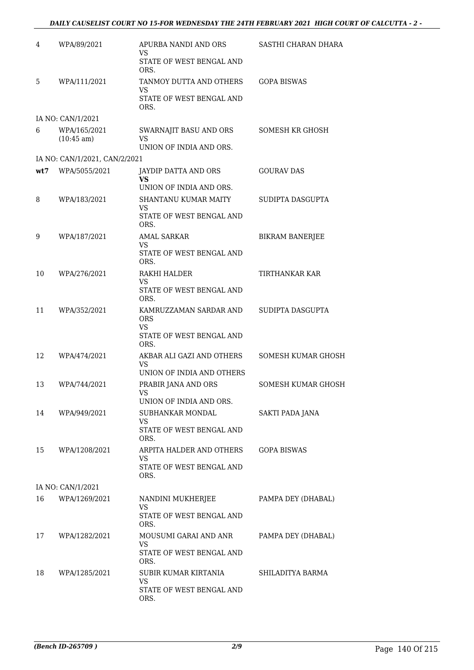| 4   | WPA/89/2021                          | APURBA NANDI AND ORS<br>VS                                     | SASTHI CHARAN DHARA       |
|-----|--------------------------------------|----------------------------------------------------------------|---------------------------|
|     |                                      | STATE OF WEST BENGAL AND<br>ORS.                               |                           |
| 5   | WPA/111/2021                         | TANMOY DUTTA AND OTHERS<br>VS                                  | <b>GOPA BISWAS</b>        |
|     |                                      | STATE OF WEST BENGAL AND<br>ORS.                               |                           |
|     | IA NO: CAN/1/2021                    |                                                                |                           |
| 6   | WPA/165/2021<br>$(10:45 \text{ am})$ | SWARNAJIT BASU AND ORS<br><b>VS</b><br>UNION OF INDIA AND ORS. | SOMESH KR GHOSH           |
|     | IA NO: CAN/1/2021, CAN/2/2021        |                                                                |                           |
| wt7 | WPA/5055/2021                        | JAYDIP DATTA AND ORS                                           | <b>GOURAV DAS</b>         |
|     |                                      | VS<br>UNION OF INDIA AND ORS.                                  |                           |
| 8   | WPA/183/2021                         | SHANTANU KUMAR MAITY                                           | SUDIPTA DASGUPTA          |
|     |                                      | VS<br>STATE OF WEST BENGAL AND                                 |                           |
|     |                                      | ORS.                                                           |                           |
| 9   | WPA/187/2021                         | <b>AMAL SARKAR</b><br>VS                                       | <b>BIKRAM BANERJEE</b>    |
|     |                                      | STATE OF WEST BENGAL AND<br>ORS.                               |                           |
| 10  | WPA/276/2021                         | RAKHI HALDER                                                   | TIRTHANKAR KAR            |
|     |                                      | VS<br>STATE OF WEST BENGAL AND<br>ORS.                         |                           |
| 11  | WPA/352/2021                         | KAMRUZZAMAN SARDAR AND<br><b>ORS</b><br>VS                     | SUDIPTA DASGUPTA          |
|     |                                      | STATE OF WEST BENGAL AND<br>ORS.                               |                           |
| 12  | WPA/474/2021                         | AKBAR ALI GAZI AND OTHERS<br>VS                                | SOMESH KUMAR GHOSH        |
|     |                                      | UNION OF INDIA AND OTHERS                                      |                           |
| 13  | WPA/744/2021                         | PRABIR JANA AND ORS<br><b>VS</b><br>UNION OF INDIA AND ORS.    | <b>SOMESH KUMAR GHOSH</b> |
|     |                                      | SUBHANKAR MONDAL                                               |                           |
| 14  | WPA/949/2021                         | VS<br>STATE OF WEST BENGAL AND                                 | SAKTI PADA JANA           |
|     |                                      | ORS.                                                           |                           |
| 15  | WPA/1208/2021                        | ARPITA HALDER AND OTHERS<br>VS                                 | <b>GOPA BISWAS</b>        |
|     |                                      | STATE OF WEST BENGAL AND<br>ORS.                               |                           |
|     | IA NO: CAN/1/2021                    |                                                                |                           |
| 16  | WPA/1269/2021                        | NANDINI MUKHERJEE                                              | PAMPA DEY (DHABAL)        |
|     |                                      | <b>VS</b><br>STATE OF WEST BENGAL AND<br>ORS.                  |                           |
| 17  | WPA/1282/2021                        | MOUSUMI GARAI AND ANR                                          | PAMPA DEY (DHABAL)        |
|     |                                      | VS<br>STATE OF WEST BENGAL AND<br>ORS.                         |                           |
| 18  | WPA/1285/2021                        | SUBIR KUMAR KIRTANIA                                           | SHILADITYA BARMA          |
|     |                                      | VS<br>STATE OF WEST BENGAL AND<br>ORS.                         |                           |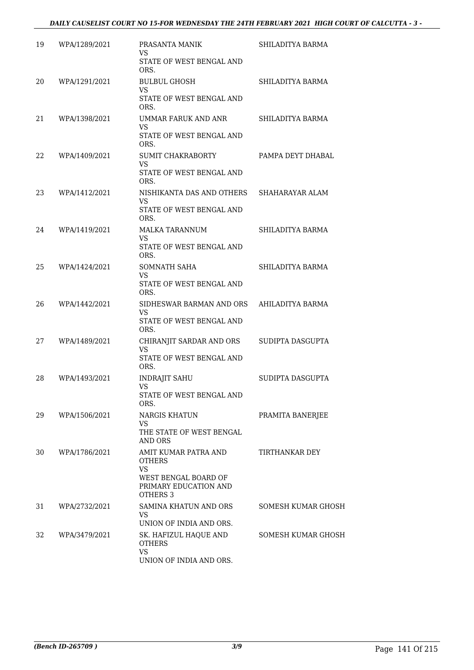### *DAILY CAUSELIST COURT NO 15-FOR WEDNESDAY THE 24TH FEBRUARY 2021 HIGH COURT OF CALCUTTA - 3 -*

| 19 | WPA/1289/2021 | PRASANTA MANIK                                                                                                  | SHILADITYA BARMA      |
|----|---------------|-----------------------------------------------------------------------------------------------------------------|-----------------------|
|    |               | VS.<br>STATE OF WEST BENGAL AND<br>ORS.                                                                         |                       |
| 20 | WPA/1291/2021 | <b>BULBUL GHOSH</b><br><b>VS</b>                                                                                | SHILADITYA BARMA      |
|    |               | STATE OF WEST BENGAL AND<br>ORS.                                                                                |                       |
| 21 | WPA/1398/2021 | UMMAR FARUK AND ANR<br><b>VS</b><br>STATE OF WEST BENGAL AND<br>ORS.                                            | SHILADITYA BARMA      |
| 22 | WPA/1409/2021 | <b>SUMIT CHAKRABORTY</b><br><b>VS</b><br>STATE OF WEST BENGAL AND<br>ORS.                                       | PAMPA DEYT DHABAL     |
| 23 | WPA/1412/2021 | NISHIKANTA DAS AND OTHERS<br><b>VS</b><br>STATE OF WEST BENGAL AND<br>ORS.                                      | SHAHARAYAR ALAM       |
| 24 | WPA/1419/2021 | <b>MALKA TARANNUM</b><br><b>VS</b><br>STATE OF WEST BENGAL AND                                                  | SHILADITYA BARMA      |
| 25 | WPA/1424/2021 | ORS.<br>SOMNATH SAHA<br>VS<br>STATE OF WEST BENGAL AND<br>ORS.                                                  | SHILADITYA BARMA      |
| 26 | WPA/1442/2021 | SIDHESWAR BARMAN AND ORS<br>VS.<br>STATE OF WEST BENGAL AND<br>ORS.                                             | AHILADITYA BARMA      |
| 27 | WPA/1489/2021 | CHIRANJIT SARDAR AND ORS<br>VS<br>STATE OF WEST BENGAL AND<br>ORS.                                              | SUDIPTA DASGUPTA      |
| 28 | WPA/1493/2021 | <b>INDRAJIT SAHU</b><br>VS<br>STATE OF WEST BENGAL AND<br>ORS.                                                  | SUDIPTA DASGUPTA      |
| 29 | WPA/1506/2021 | NARGIS KHATUN<br>VS.<br>THE STATE OF WEST BENGAL<br>AND ORS                                                     | PRAMITA BANERJEE      |
| 30 | WPA/1786/2021 | AMIT KUMAR PATRA AND<br><b>OTHERS</b><br><b>VS</b><br>WEST BENGAL BOARD OF<br>PRIMARY EDUCATION AND<br>OTHERS 3 | <b>TIRTHANKAR DEY</b> |
| 31 | WPA/2732/2021 | SAMINA KHATUN AND ORS<br>VS.<br>UNION OF INDIA AND ORS.                                                         | SOMESH KUMAR GHOSH    |
| 32 | WPA/3479/2021 | SK. HAFIZUL HAQUE AND<br><b>OTHERS</b><br><b>VS</b><br>UNION OF INDIA AND ORS.                                  | SOMESH KUMAR GHOSH    |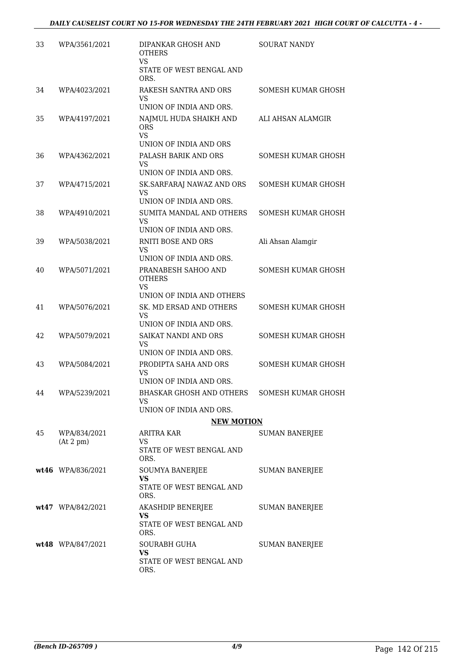| 33 | WPA/3561/2021             | DIPANKAR GHOSH AND<br><b>OTHERS</b><br><b>VS</b>                             | <b>SOURAT NANDY</b>       |
|----|---------------------------|------------------------------------------------------------------------------|---------------------------|
|    |                           | STATE OF WEST BENGAL AND<br>ORS.                                             |                           |
| 34 | WPA/4023/2021             | RAKESH SANTRA AND ORS<br>VS<br>UNION OF INDIA AND ORS.                       | SOMESH KUMAR GHOSH        |
| 35 | WPA/4197/2021             | NAJMUL HUDA SHAIKH AND<br><b>ORS</b><br>VS<br>UNION OF INDIA AND ORS         | ALI AHSAN ALAMGIR         |
| 36 | WPA/4362/2021             | PALASH BARIK AND ORS<br>VS<br>UNION OF INDIA AND ORS.                        | <b>SOMESH KUMAR GHOSH</b> |
| 37 | WPA/4715/2021             | SK. SARFARAJ NAWAZ AND ORS<br>VS<br>UNION OF INDIA AND ORS.                  | <b>SOMESH KUMAR GHOSH</b> |
| 38 | WPA/4910/2021             | SUMITA MANDAL AND OTHERS<br><b>VS</b><br>UNION OF INDIA AND ORS.             | <b>SOMESH KUMAR GHOSH</b> |
| 39 | WPA/5038/2021             | <b>RNITI BOSE AND ORS</b><br>VS<br>UNION OF INDIA AND ORS.                   | Ali Ahsan Alamgir         |
| 40 | WPA/5071/2021             | PRANABESH SAHOO AND<br>OTHERS<br>VS<br>UNION OF INDIA AND OTHERS             | <b>SOMESH KUMAR GHOSH</b> |
| 41 | WPA/5076/2021             | SK. MD ERSAD AND OTHERS<br><b>VS</b><br>UNION OF INDIA AND ORS.              | <b>SOMESH KUMAR GHOSH</b> |
| 42 | WPA/5079/2021             | SAIKAT NANDI AND ORS<br>VS<br>UNION OF INDIA AND ORS.                        | <b>SOMESH KUMAR GHOSH</b> |
| 43 | WPA/5084/2021             | PRODIPTA SAHA AND ORS<br><b>VS</b><br>UNION OF INDIA AND ORS.                | <b>SOMESH KUMAR GHOSH</b> |
| 44 | WPA/5239/2021             | BHASKAR GHOSH AND OTHERS<br>VS<br>UNION OF INDIA AND ORS.                    | SOMESH KUMAR GHOSH        |
|    |                           | <b>NEW MOTION</b>                                                            |                           |
| 45 | WPA/834/2021<br>(At 2 pm) | ARITRA KAR<br>VS<br>STATE OF WEST BENGAL AND<br>ORS.                         | SUMAN BANERJEE            |
|    | wt46 WPA/836/2021         | SOUMYA BANERJEE<br>VS<br>STATE OF WEST BENGAL AND<br>ORS.                    | SUMAN BANERJEE            |
|    | wt47 WPA/842/2021         | AKASHDIP BENERJEE<br>VS<br>STATE OF WEST BENGAL AND                          | SUMAN BANERJEE            |
|    | wt48 WPA/847/2021         | ORS.<br><b>SOURABH GUHA</b><br><b>VS</b><br>STATE OF WEST BENGAL AND<br>ORS. | <b>SUMAN BANERJEE</b>     |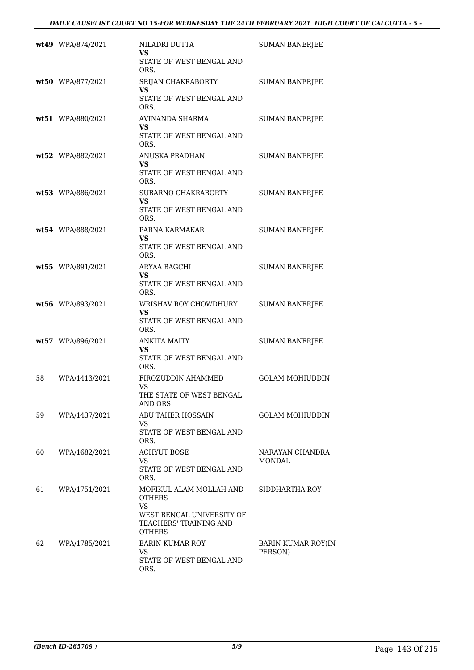|    | wt49 WPA/874/2021 | NILADRI DUTTA<br>VS                                                  | <b>SUMAN BANERJEE</b>                |
|----|-------------------|----------------------------------------------------------------------|--------------------------------------|
|    |                   | STATE OF WEST BENGAL AND<br>ORS.                                     |                                      |
|    | wt50 WPA/877/2021 | SRIJAN CHAKRABORTY<br>VS                                             | <b>SUMAN BANERJEE</b>                |
|    |                   | STATE OF WEST BENGAL AND<br>ORS.                                     |                                      |
|    | wt51 WPA/880/2021 | AVINANDA SHARMA<br><b>VS</b>                                         | <b>SUMAN BANERJEE</b>                |
|    |                   | STATE OF WEST BENGAL AND<br>ORS.                                     |                                      |
|    | wt52 WPA/882/2021 | ANUSKA PRADHAN<br><b>VS</b>                                          | <b>SUMAN BANERJEE</b>                |
|    |                   | STATE OF WEST BENGAL AND<br>ORS.                                     |                                      |
|    | wt53 WPA/886/2021 | SUBARNO CHAKRABORTY<br><b>VS</b>                                     | <b>SUMAN BANERJEE</b>                |
|    |                   | STATE OF WEST BENGAL AND<br>ORS.                                     |                                      |
|    | wt54 WPA/888/2021 | PARNA KARMAKAR<br><b>VS</b>                                          | <b>SUMAN BANERJEE</b>                |
|    |                   | STATE OF WEST BENGAL AND<br>ORS.                                     |                                      |
|    | wt55 WPA/891/2021 | ARYAA BAGCHI<br>VS                                                   | <b>SUMAN BANERJEE</b>                |
|    |                   | STATE OF WEST BENGAL AND<br>ORS.                                     |                                      |
|    | wt56 WPA/893/2021 | WRISHAV ROY CHOWDHURY<br>VS                                          | <b>SUMAN BANERJEE</b>                |
|    |                   | STATE OF WEST BENGAL AND<br>ORS.                                     |                                      |
|    | wt57 WPA/896/2021 | <b>ANKITA MAITY</b><br>VS                                            | <b>SUMAN BANERJEE</b>                |
|    |                   | STATE OF WEST BENGAL AND<br>ORS.                                     |                                      |
| 58 | WPA/1413/2021     | FIROZUDDIN AHAMMED<br>VS                                             | <b>GOLAM MOHIUDDIN</b>               |
|    |                   | THE STATE OF WEST BENGAL<br>AND ORS                                  |                                      |
| 59 | WPA/1437/2021     | <b>ABU TAHER HOSSAIN</b><br>VS.                                      | <b>GOLAM MOHIUDDIN</b>               |
|    |                   | STATE OF WEST BENGAL AND<br>ORS.                                     |                                      |
| 60 | WPA/1682/2021     | <b>ACHYUT BOSE</b><br>VS.                                            | NARAYAN CHANDRA<br>MONDAL            |
|    |                   | STATE OF WEST BENGAL AND<br>ORS.                                     |                                      |
| 61 | WPA/1751/2021     | MOFIKUL ALAM MOLLAH AND<br><b>OTHERS</b><br>VS.                      | SIDDHARTHA ROY                       |
|    |                   | WEST BENGAL UNIVERSITY OF<br>TEACHERS' TRAINING AND<br><b>OTHERS</b> |                                      |
| 62 | WPA/1785/2021     | <b>BARIN KUMAR ROY</b><br><b>VS</b>                                  | <b>BARIN KUMAR ROY(IN</b><br>PERSON) |
|    |                   | STATE OF WEST BENGAL AND<br>ORS.                                     |                                      |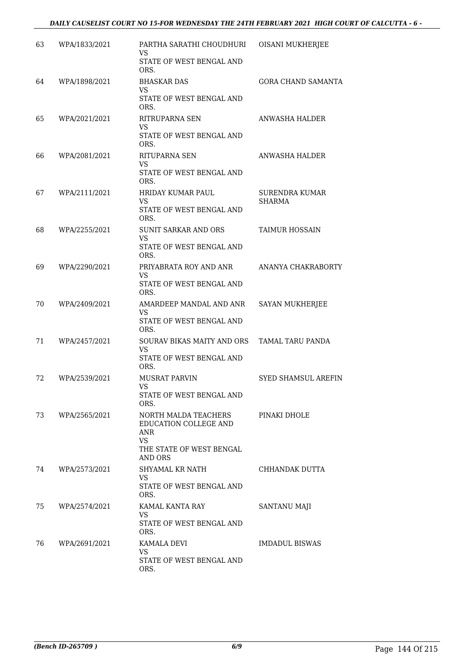#### *DAILY CAUSELIST COURT NO 15-FOR WEDNESDAY THE 24TH FEBRUARY 2021 HIGH COURT OF CALCUTTA - 6 -*

| 63  | WPA/1833/2021 | PARTHA SARATHI CHOUDHURI<br>VS.<br>STATE OF WEST BENGAL AND | OISANI MUKHERJEE           |
|-----|---------------|-------------------------------------------------------------|----------------------------|
|     |               | ORS.                                                        |                            |
| 64  | WPA/1898/2021 | <b>BHASKAR DAS</b><br>VS                                    | <b>GORA CHAND SAMANTA</b>  |
|     |               | STATE OF WEST BENGAL AND<br>ORS.                            |                            |
| 65  | WPA/2021/2021 | RITRUPARNA SEN                                              | ANWASHA HALDER             |
|     |               | VS<br>STATE OF WEST BENGAL AND<br>ORS.                      |                            |
| 66  | WPA/2081/2021 | RITUPARNA SEN                                               | ANWASHA HALDER             |
|     |               | VS<br>STATE OF WEST BENGAL AND<br>ORS.                      |                            |
| 67  | WPA/2111/2021 | <b>HRIDAY KUMAR PAUL</b>                                    | <b>SURENDRA KUMAR</b>      |
|     |               | VS<br>STATE OF WEST BENGAL AND<br>ORS.                      | <b>SHARMA</b>              |
| 68  | WPA/2255/2021 | <b>SUNIT SARKAR AND ORS</b>                                 | <b>TAIMUR HOSSAIN</b>      |
|     |               | VS<br>STATE OF WEST BENGAL AND                              |                            |
|     |               | ORS.                                                        |                            |
| 69  | WPA/2290/2021 | PRIYABRATA ROY AND ANR<br>VS                                | ANANYA CHAKRABORTY         |
|     |               | STATE OF WEST BENGAL AND<br>ORS.                            |                            |
| 70  | WPA/2409/2021 | AMARDEEP MANDAL AND ANR                                     | SAYAN MUKHERJEE            |
|     |               | <b>VS</b><br>STATE OF WEST BENGAL AND<br>ORS.               |                            |
| 71  | WPA/2457/2021 | SOURAV BIKAS MAITY AND ORS                                  | TAMAL TARU PANDA           |
|     |               | VS<br>STATE OF WEST BENGAL AND                              |                            |
|     |               | ORS.                                                        |                            |
| 72  | WPA/2539/2021 | <b>MUSRAT PARVIN</b><br><b>VS</b>                           | <b>SYED SHAMSUL AREFIN</b> |
|     |               | STATE OF WEST BENGAL AND<br>ORS.                            |                            |
| 73. | WPA/2565/2021 | NORTH MALDA TEACHERS                                        | PINAKI DHOLE               |
|     |               | EDUCATION COLLEGE AND<br>ANR                                |                            |
|     |               | <b>VS</b>                                                   |                            |
|     |               | THE STATE OF WEST BENGAL<br><b>AND ORS</b>                  |                            |
| 74  | WPA/2573/2021 | SHYAMAL KR NATH<br>VS.                                      | CHHANDAK DUTTA             |
|     |               | STATE OF WEST BENGAL AND<br>ORS.                            |                            |
| 75  | WPA/2574/2021 | KAMAL KANTA RAY                                             | SANTANU MAJI               |
|     |               | VS<br>STATE OF WEST BENGAL AND<br>ORS.                      |                            |
| 76  | WPA/2691/2021 | KAMALA DEVI                                                 | IMDADUL BISWAS             |
|     |               | VS.<br>STATE OF WEST BENGAL AND                             |                            |
|     |               | ORS.                                                        |                            |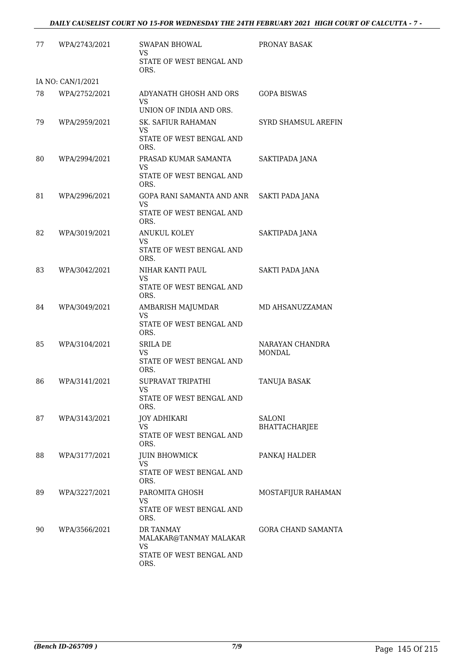| 77 | WPA/2743/2021     | <b>SWAPAN BHOWAL</b><br>VS                                          | PRONAY BASAK              |
|----|-------------------|---------------------------------------------------------------------|---------------------------|
|    |                   | STATE OF WEST BENGAL AND<br>ORS.                                    |                           |
|    | IA NO: CAN/1/2021 |                                                                     |                           |
| 78 | WPA/2752/2021     | ADYANATH GHOSH AND ORS<br>VS                                        | <b>GOPA BISWAS</b>        |
|    |                   | UNION OF INDIA AND ORS.                                             |                           |
| 79 | WPA/2959/2021     | SK. SAFIUR RAHAMAN<br>VS<br>STATE OF WEST BENGAL AND                | SYRD SHAMSUL AREFIN       |
|    |                   | ORS.                                                                |                           |
| 80 | WPA/2994/2021     | PRASAD KUMAR SAMANTA<br>VS<br>STATE OF WEST BENGAL AND              | SAKTIPADA JANA            |
|    |                   | ORS.                                                                |                           |
| 81 | WPA/2996/2021     | GOPA RANI SAMANTA AND ANR<br>VS<br>STATE OF WEST BENGAL AND<br>ORS. | SAKTI PADA JANA           |
| 82 | WPA/3019/2021     | <b>ANUKUL KOLEY</b>                                                 | SAKTIPADA JANA            |
|    |                   | VS<br>STATE OF WEST BENGAL AND<br>ORS.                              |                           |
| 83 | WPA/3042/2021     | NIHAR KANTI PAUL                                                    | SAKTI PADA JANA           |
|    |                   | VS<br>STATE OF WEST BENGAL AND<br>ORS.                              |                           |
| 84 | WPA/3049/2021     | AMBARISH MAJUMDAR<br><b>VS</b>                                      | MD AHSANUZZAMAN           |
|    |                   | STATE OF WEST BENGAL AND<br>ORS.                                    |                           |
| 85 | WPA/3104/2021     | <b>SRILA DE</b>                                                     | NARAYAN CHANDRA           |
|    |                   | <b>VS</b><br>STATE OF WEST BENGAL AND<br>ORS.                       | <b>MONDAL</b>             |
| 86 | WPA/3141/2021     | SUPRAVAT TRIPATHI                                                   | <b>TANUJA BASAK</b>       |
|    |                   | <b>VS</b><br>STATE OF WEST BENGAL AND<br>ORS.                       |                           |
| 87 | WPA/3143/2021     | JOY ADHIKARI                                                        | <b>SALONI</b>             |
|    |                   | <b>VS</b><br>STATE OF WEST BENGAL AND<br>ORS.                       | BHATTACHARJEE             |
| 88 | WPA/3177/2021     | <b>JUIN BHOWMICK</b><br><b>VS</b>                                   | PANKAJ HALDER             |
|    |                   | STATE OF WEST BENGAL AND<br>ORS.                                    |                           |
| 89 | WPA/3227/2021     | PAROMITA GHOSH                                                      | MOSTAFIJUR RAHAMAN        |
|    |                   | VS<br>STATE OF WEST BENGAL AND<br>ORS.                              |                           |
| 90 | WPA/3566/2021     | DR TANMAY<br>MALAKAR@TANMAY MALAKAR                                 | <b>GORA CHAND SAMANTA</b> |
|    |                   | VS<br>STATE OF WEST BENGAL AND<br>ORS.                              |                           |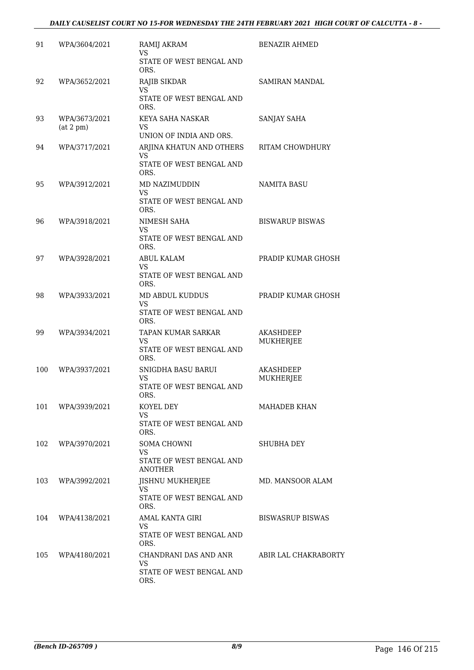| 91  | WPA/3604/2021              | RAMIJ AKRAM<br>VS<br>STATE OF WEST BENGAL AND<br>ORS.               | <b>BENAZIR AHMED</b>          |
|-----|----------------------------|---------------------------------------------------------------------|-------------------------------|
| 92  | WPA/3652/2021              | RAJIB SIKDAR<br>VS<br>STATE OF WEST BENGAL AND<br>ORS.              | SAMIRAN MANDAL                |
| 93  | WPA/3673/2021<br>(at 2 pm) | KEYA SAHA NASKAR<br>VS<br>UNION OF INDIA AND ORS.                   | SANJAY SAHA                   |
| 94  | WPA/3717/2021              | ARJINA KHATUN AND OTHERS<br>VS.<br>STATE OF WEST BENGAL AND<br>ORS. | RITAM CHOWDHURY               |
| 95  | WPA/3912/2021              | MD NAZIMUDDIN<br><b>VS</b><br>STATE OF WEST BENGAL AND<br>ORS.      | <b>NAMITA BASU</b>            |
| 96  | WPA/3918/2021              | NIMESH SAHA<br><b>VS</b><br>STATE OF WEST BENGAL AND<br>ORS.        | <b>BISWARUP BISWAS</b>        |
| 97  | WPA/3928/2021              | ABUL KALAM<br>VS<br>STATE OF WEST BENGAL AND<br>ORS.                | PRADIP KUMAR GHOSH            |
| 98  | WPA/3933/2021              | MD ABDUL KUDDUS<br>VS<br>STATE OF WEST BENGAL AND<br>ORS.           | PRADIP KUMAR GHOSH            |
| 99  | WPA/3934/2021              | TAPAN KUMAR SARKAR<br>VS<br>STATE OF WEST BENGAL AND<br>ORS.        | <b>AKASHDEEP</b><br>MUKHERJEE |
| 100 | WPA/3937/2021              | SNIGDHA BASU BARUI<br>VS<br>STATE OF WEST BENGAL AND<br>ORS.        | AKASHDEEP<br>MUKHERJEE        |
|     | 101 WPA/3939/2021          | KOYEL DEY<br><b>VS</b><br>STATE OF WEST BENGAL AND<br>ORS.          | MAHADEB KHAN                  |
| 102 | WPA/3970/2021              | SOMA CHOWNI<br>VS.<br>STATE OF WEST BENGAL AND<br><b>ANOTHER</b>    | SHUBHA DEY                    |
| 103 | WPA/3992/2021              | <b>JISHNU MUKHERJEE</b><br>VS.<br>STATE OF WEST BENGAL AND<br>ORS.  | MD. MANSOOR ALAM              |
| 104 | WPA/4138/2021              | AMAL KANTA GIRI<br>VS.<br>STATE OF WEST BENGAL AND<br>ORS.          | <b>BISWASRUP BISWAS</b>       |
| 105 | WPA/4180/2021              | CHANDRANI DAS AND ANR<br>VS.<br>STATE OF WEST BENGAL AND<br>ORS.    | ABIR LAL CHAKRABORTY          |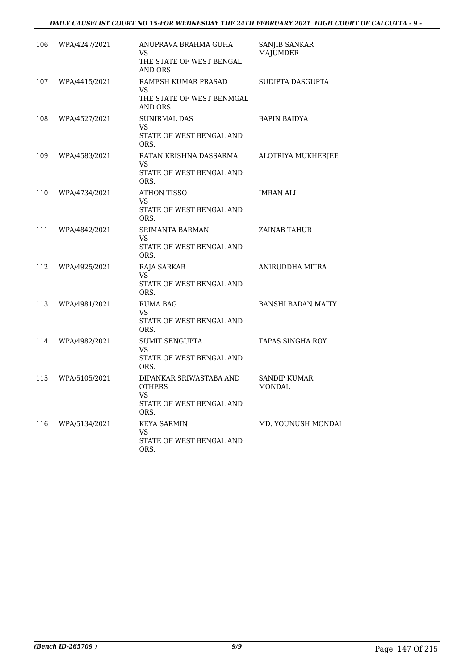#### *DAILY CAUSELIST COURT NO 15-FOR WEDNESDAY THE 24TH FEBRUARY 2021 HIGH COURT OF CALCUTTA - 9 -*

| 106 | WPA/4247/2021 | ANUPRAVA BRAHMA GUHA<br>VS<br>THE STATE OF WEST BENGAL<br>AND ORS                   | SANJIB SANKAR<br><b>MAJUMDER</b> |
|-----|---------------|-------------------------------------------------------------------------------------|----------------------------------|
| 107 | WPA/4415/2021 | RAMESH KUMAR PRASAD<br>VS.<br>THE STATE OF WEST BENMGAL<br>AND ORS                  | SUDIPTA DASGUPTA                 |
| 108 | WPA/4527/2021 | <b>SUNIRMAL DAS</b><br><b>VS</b><br>STATE OF WEST BENGAL AND<br>ORS.                | <b>BAPIN BAIDYA</b>              |
| 109 | WPA/4583/2021 | RATAN KRISHNA DASSARMA<br>VS<br>STATE OF WEST BENGAL AND<br>ORS.                    | ALOTRIYA MUKHERJEE               |
| 110 | WPA/4734/2021 | ATHON TISSO<br>VS.<br>STATE OF WEST BENGAL AND<br>ORS.                              | <b>IMRAN ALI</b>                 |
| 111 | WPA/4842/2021 | <b>SRIMANTA BARMAN</b><br>VS<br>STATE OF WEST BENGAL AND<br>ORS.                    | <b>ZAINAB TAHUR</b>              |
| 112 | WPA/4925/2021 | RAJA SARKAR<br>VS<br>STATE OF WEST BENGAL AND<br>ORS.                               | ANIRUDDHA MITRA                  |
| 113 | WPA/4981/2021 | <b>RUMA BAG</b><br>VS.<br>STATE OF WEST BENGAL AND<br>ORS.                          | <b>BANSHI BADAN MAITY</b>        |
| 114 | WPA/4982/2021 | <b>SUMIT SENGUPTA</b><br><b>VS</b><br>STATE OF WEST BENGAL AND<br>ORS.              | TAPAS SINGHA ROY                 |
| 115 | WPA/5105/2021 | DIPANKAR SRIWASTABA AND<br><b>OTHERS</b><br>VS.<br>STATE OF WEST BENGAL AND<br>ORS. | SANDIP KUMAR<br>MONDAL           |
| 116 | WPA/5134/2021 | <b>KEYA SARMIN</b><br>VS<br>STATE OF WEST BENGAL AND<br>ORS.                        | MD. YOUNUSH MONDAL               |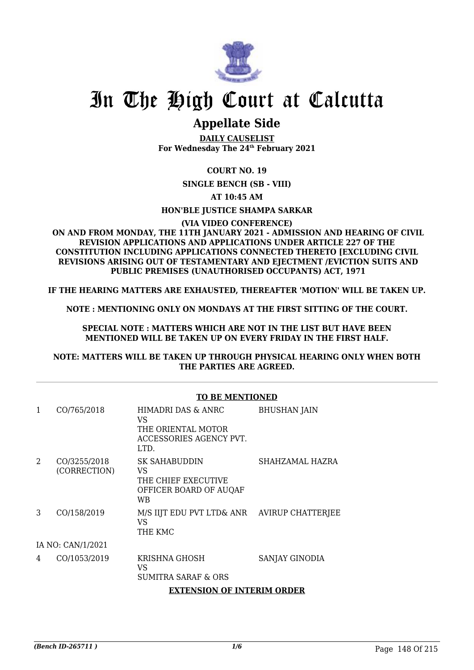

## **Appellate Side**

**DAILY CAUSELIST For Wednesday The 24th February 2021**

**COURT NO. 19**

**SINGLE BENCH (SB - VIII)**

**AT 10:45 AM**

**HON'BLE JUSTICE SHAMPA SARKAR**

**(VIA VIDEO CONFERENCE)**

 **ON AND FROM MONDAY, THE 11TH JANUARY 2021 - ADMISSION AND HEARING OF CIVIL REVISION APPLICATIONS AND APPLICATIONS UNDER ARTICLE 227 OF THE CONSTITUTION INCLUDING APPLICATIONS CONNECTED THERETO [EXCLUDING CIVIL REVISIONS ARISING OUT OF TESTAMENTARY AND EIECTMENT /EVICTION SUITS AND PUBLIC PREMISES (UNAUTHORISED OCCUPANTS) ACT, 1971**

**IF THE HEARING MATTERS ARE EXHAUSTED, THEREAFTER 'MOTION' WILL BE TAKEN UP.**

**NOTE : MENTIONING ONLY ON MONDAYS AT THE FIRST SITTING OF THE COURT.**

**SPECIAL NOTE : MATTERS WHICH ARE NOT IN THE LIST BUT HAVE BEEN MENTIONED WILL BE TAKEN UP ON EVERY FRIDAY IN THE FIRST HALF.**

**NOTE: MATTERS WILL BE TAKEN UP THROUGH PHYSICAL HEARING ONLY WHEN BOTH THE PARTIES ARE AGREED.**

#### **TO BE MENTIONED**

| 1 | CO/765/2018                  | HIMADRI DAS & ANRC<br>VS<br>THE ORIENTAL MOTOR<br>ACCESSORIES AGENCY PVT.<br>LTD.        | <b>BHUSHAN JAIN</b> |
|---|------------------------------|------------------------------------------------------------------------------------------|---------------------|
| 2 | CO/3255/2018<br>(CORRECTION) | <b>SK SAHABUDDIN</b><br>VS<br>THE CHIEF EXECUTIVE<br>OFFICER BOARD OF AUQAF<br><b>WB</b> | SHAHZAMAL HAZRA     |
| 3 | CO/158/2019                  | M/S IIJT EDU PVT LTD& ANR AVIRUP CHATTERJEE<br>VS<br>THE KMC                             |                     |
|   | IA NO: CAN/1/2021            |                                                                                          |                     |
| 4 | CO/1053/2019                 | <b>KRISHNA GHOSH</b><br>VS<br>SUMITRA SARAF & ORS<br><b>EXTENSION OF INTERIM ORDER</b>   | SANJAY GINODIA      |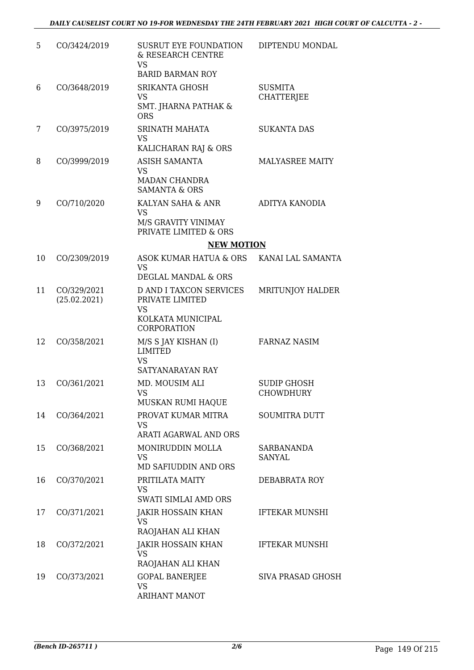| 5  | CO/3424/2019                | SUSRUT EYE FOUNDATION<br>& RESEARCH CENTRE<br><b>VS</b><br><b>BARID BARMAN ROY</b>  | DIPTENDU MONDAL                        |
|----|-----------------------------|-------------------------------------------------------------------------------------|----------------------------------------|
|    | CO/3648/2019                | <b>SRIKANTA GHOSH</b>                                                               | <b>SUSMITA</b>                         |
| 6  |                             | <b>VS</b><br><b>SMT. JHARNA PATHAK &amp;</b><br><b>ORS</b>                          | <b>CHATTERJEE</b>                      |
| 7  | CO/3975/2019                | SRINATH MAHATA<br><b>VS</b><br>KALICHARAN RAJ & ORS                                 | <b>SUKANTA DAS</b>                     |
| 8  | CO/3999/2019                | <b>ASISH SAMANTA</b><br><b>VS</b><br>MADAN CHANDRA<br><b>SAMANTA &amp; ORS</b>      | MALYASREE MAITY                        |
| 9  | CO/710/2020                 | KALYAN SAHA & ANR<br><b>VS</b>                                                      | <b>ADITYA KANODIA</b>                  |
|    |                             | M/S GRAVITY VINIMAY<br>PRIVATE LIMITED & ORS                                        |                                        |
|    |                             | <b>NEW MOTION</b>                                                                   |                                        |
| 10 | CO/2309/2019                | ASOK KUMAR HATUA & ORS                                                              | KANAI LAL SAMANTA                      |
|    |                             | <b>VS</b><br>DEGLAL MANDAL & ORS                                                    |                                        |
| 11 | CO/329/2021<br>(25.02.2021) | <b>D AND I TAXCON SERVICES</b><br>PRIVATE LIMITED<br><b>VS</b><br>KOLKATA MUNICIPAL | <b>MRITUNJOY HALDER</b>                |
| 12 | CO/358/2021                 | <b>CORPORATION</b><br>M/S S JAY KISHAN (I)                                          | <b>FARNAZ NASIM</b>                    |
|    |                             | <b>LIMITED</b><br><b>VS</b><br>SATYANARAYAN RAY                                     |                                        |
| 13 | CO/361/2021                 | MD. MOUSIM ALI<br><b>VS</b><br>MUSKAN RUMI HAQUE                                    | <b>SUDIP GHOSH</b><br><b>CHOWDHURY</b> |
| 14 | CO/364/2021                 | PROVAT KUMAR MITRA<br><b>VS</b><br><b>ARATI AGARWAL AND ORS</b>                     | <b>SOUMITRA DUTT</b>                   |
| 15 | CO/368/2021                 | MONIRUDDIN MOLLA<br><b>VS</b><br>MD SAFIUDDIN AND ORS                               | <b>SARBANANDA</b><br><b>SANYAL</b>     |
| 16 | CO/370/2021                 | PRITILATA MAITY<br><b>VS</b><br>SWATI SIMLAI AMD ORS                                | DEBABRATA ROY                          |
| 17 | CO/371/2021                 | <b>JAKIR HOSSAIN KHAN</b><br><b>VS</b><br>RAOJAHAN ALI KHAN                         | <b>IFTEKAR MUNSHI</b>                  |
| 18 | CO/372/2021                 | JAKIR HOSSAIN KHAN<br><b>VS</b><br>RAOJAHAN ALI KHAN                                | <b>IFTEKAR MUNSHI</b>                  |
| 19 | CO/373/2021                 | <b>GOPAL BANERJEE</b><br><b>VS</b><br><b>ARIHANT MANOT</b>                          | <b>SIVA PRASAD GHOSH</b>               |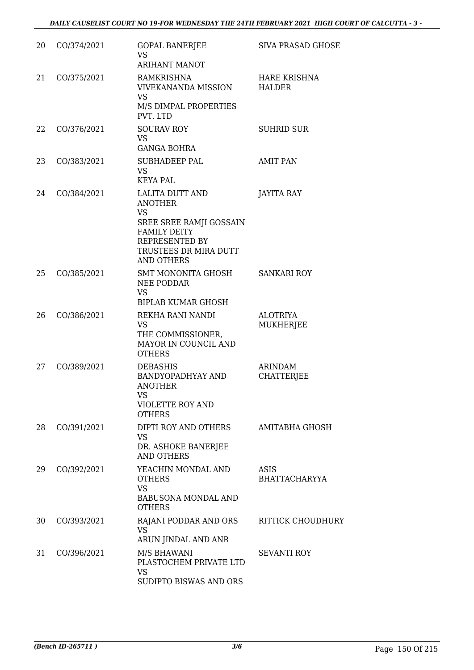| 20 | CO/374/2021 | <b>GOPAL BANERJEE</b><br>VS.<br><b>ARIHANT MANOT</b>                                                                                                             | <b>SIVA PRASAD GHOSE</b>            |
|----|-------------|------------------------------------------------------------------------------------------------------------------------------------------------------------------|-------------------------------------|
| 21 | CO/375/2021 | <b>RAMKRISHNA</b><br><b>VIVEKANANDA MISSION</b><br><b>VS</b><br>M/S DIMPAL PROPERTIES<br>PVT. LTD                                                                | HARE KRISHNA<br><b>HALDER</b>       |
| 22 | CO/376/2021 | <b>SOURAV ROY</b><br>VS.<br><b>GANGA BOHRA</b>                                                                                                                   | <b>SUHRID SUR</b>                   |
| 23 | CO/383/2021 | <b>SUBHADEEP PAL</b><br><b>VS</b><br><b>KEYA PAL</b>                                                                                                             | <b>AMIT PAN</b>                     |
| 24 | CO/384/2021 | LALITA DUTT AND<br><b>ANOTHER</b><br><b>VS</b><br>SREE SREE RAMJI GOSSAIN<br><b>FAMILY DEITY</b><br>REPRESENTED BY<br>TRUSTEES DR MIRA DUTT<br><b>AND OTHERS</b> | JAYITA RAY                          |
| 25 | CO/385/2021 | SMT MONONITA GHOSH<br>NEE PODDAR<br><b>VS</b><br><b>BIPLAB KUMAR GHOSH</b>                                                                                       | SANKARI ROY                         |
| 26 | CO/386/2021 | REKHA RANI NANDI<br><b>VS</b><br>THE COMMISSIONER,<br>MAYOR IN COUNCIL AND<br><b>OTHERS</b>                                                                      | <b>ALOTRIYA</b><br><b>MUKHERJEE</b> |
| 27 | CO/389/2021 | <b>DEBASHIS</b><br>BANDYOPADHYAY AND<br><b>ANOTHER</b><br><b>VS</b><br><b>VIOLETTE ROY AND</b><br><b>OTHERS</b>                                                  | <b>ARINDAM</b><br>CHATTERJEE        |
| 28 | CO/391/2021 | DIPTI ROY AND OTHERS<br><b>VS</b><br>DR. ASHOKE BANERJEE<br><b>AND OTHERS</b>                                                                                    | AMITABHA GHOSH                      |
| 29 | CO/392/2021 | YEACHIN MONDAL AND<br><b>OTHERS</b><br><b>VS</b><br><b>BABUSONA MONDAL AND</b><br><b>OTHERS</b>                                                                  | ASIS<br>BHATTACHARYYA               |
| 30 | CO/393/2021 | RAJANI PODDAR AND ORS<br><b>VS</b><br>ARUN JINDAL AND ANR                                                                                                        | RITTICK CHOUDHURY                   |
| 31 | CO/396/2021 | M/S BHAWANI<br>PLASTOCHEM PRIVATE LTD<br><b>VS</b><br>SUDIPTO BISWAS AND ORS                                                                                     | <b>SEVANTI ROY</b>                  |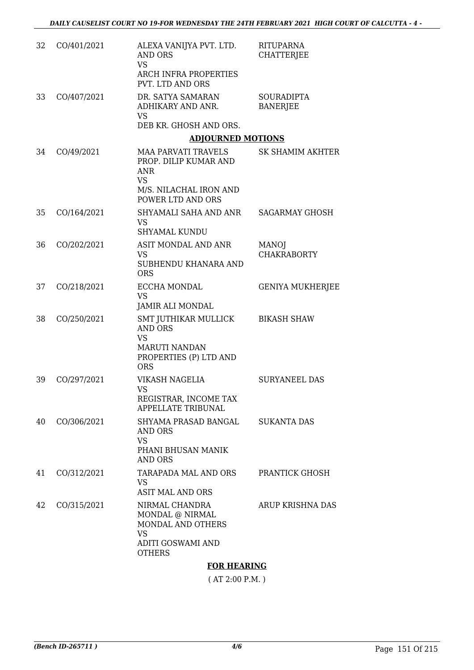| 32 | CO/401/2021 | ALEXA VANIJYA PVT. LTD.<br><b>AND ORS</b><br><b>VS</b><br>ARCH INFRA PROPERTIES<br>PVT. LTD AND ORS                 | <b>RITUPARNA</b><br><b>CHATTERJEE</b> |
|----|-------------|---------------------------------------------------------------------------------------------------------------------|---------------------------------------|
| 33 | CO/407/2021 | DR. SATYA SAMARAN<br>ADHIKARY AND ANR.<br><b>VS</b><br>DEB KR. GHOSH AND ORS.                                       | <b>SOURADIPTA</b><br><b>BANERJEE</b>  |
|    |             | <b>ADJOURNED MOTIONS</b>                                                                                            |                                       |
| 34 | CO/49/2021  | <b>MAA PARVATI TRAVELS</b><br>PROP. DILIP KUMAR AND<br><b>ANR</b><br><b>VS</b><br>M/S. NILACHAL IRON AND            | SK SHAMIM AKHTER                      |
|    |             | POWER LTD AND ORS                                                                                                   |                                       |
| 35 | CO/164/2021 | SHYAMALI SAHA AND ANR<br><b>VS</b><br><b>SHYAMAL KUNDU</b>                                                          | <b>SAGARMAY GHOSH</b>                 |
| 36 | CO/202/2021 | ASIT MONDAL AND ANR<br><b>VS</b><br>SUBHENDU KHANARA AND<br><b>ORS</b>                                              | <b>MANOJ</b><br><b>CHAKRABORTY</b>    |
| 37 | CO/218/2021 | ECCHA MONDAL<br><b>VS</b><br>JAMIR ALI MONDAL                                                                       | <b>GENIYA MUKHERJEE</b>               |
| 38 | CO/250/2021 | SMT JUTHIKAR MULLICK<br><b>AND ORS</b><br><b>VS</b><br><b>MARUTI NANDAN</b><br>PROPERTIES (P) LTD AND<br><b>ORS</b> | <b>BIKASH SHAW</b>                    |
| 39 | CO/297/2021 | VIKASH NAGELIA<br>VS<br>REGISTRAR, INCOME TAX<br><b>APPELLATE TRIBUNAL</b>                                          | <b>SURYANEEL DAS</b>                  |
| 40 | CO/306/2021 | SHYAMA PRASAD BANGAL<br>AND ORS<br><b>VS</b><br>PHANI BHUSAN MANIK<br><b>AND ORS</b>                                | <b>SUKANTA DAS</b>                    |
| 41 | CO/312/2021 | TARAPADA MAL AND ORS<br>VS<br><b>ASIT MAL AND ORS</b>                                                               | PRANTICK GHOSH                        |
| 42 | CO/315/2021 | NIRMAL CHANDRA<br>MONDAL @ NIRMAL<br>MONDAL AND OTHERS<br><b>VS</b><br><b>ADITI GOSWAMI AND</b><br><b>OTHERS</b>    | <b>ARUP KRISHNA DAS</b>               |

#### **FOR HEARING**

( AT 2:00 P.M. )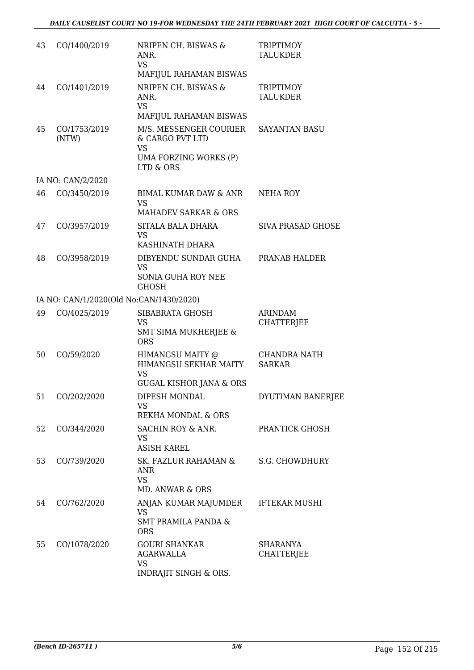| 43 | CO/1400/2019                            | NRIPEN CH. BISWAS &<br>ANR.<br><b>VS</b><br>MAFIJUL RAHAMAN BISWAS                           | TRIPTIMOY<br><b>TALUKDER</b>         |
|----|-----------------------------------------|----------------------------------------------------------------------------------------------|--------------------------------------|
| 44 | CO/1401/2019                            | NRIPEN CH. BISWAS &<br>ANR.<br><b>VS</b><br>MAFIJUL RAHAMAN BISWAS                           | <b>TRIPTIMOY</b><br><b>TALUKDER</b>  |
| 45 | CO/1753/2019<br>(NTW)                   | M/S. MESSENGER COURIER<br>& CARGO PVT LTD<br><b>VS</b><br>UMA FORZING WORKS (P)              | SAYANTAN BASU                        |
|    |                                         | LTD & ORS                                                                                    |                                      |
|    | IA NO: CAN/2/2020                       |                                                                                              |                                      |
| 46 | CO/3450/2019                            | BIMAL KUMAR DAW & ANR<br><b>VS</b><br><b>MAHADEV SARKAR &amp; ORS</b>                        | NEHA ROY                             |
| 47 | CO/3957/2019                            | SITALA BALA DHARA<br><b>VS</b><br>KASHINATH DHARA                                            | <b>SIVA PRASAD GHOSE</b>             |
| 48 | CO/3958/2019                            | DIBYENDU SUNDAR GUHA<br><b>VS</b><br><b>SONIA GUHA ROY NEE</b><br><b>GHOSH</b>               | PRANAB HALDER                        |
|    | IA NO: CAN/1/2020(Old No:CAN/1430/2020) |                                                                                              |                                      |
| 49 | CO/4025/2019                            | SIBABRATA GHOSH<br>VS<br><b>SMT SIMA MUKHERJEE &amp;</b><br><b>ORS</b>                       | ARINDAM<br><b>CHATTERJEE</b>         |
| 50 | CO/59/2020                              | HIMANGSU MAITY @<br>HIMANGSU SEKHAR MAITY<br><b>VS</b><br><b>GUGAL KISHOR JANA &amp; ORS</b> | <b>CHANDRA NATH</b><br><b>SARKAR</b> |
| 51 | CO/202/2020                             | DIPESH MONDAL<br>VS<br>REKHA MONDAL & ORS                                                    | DYUTIMAN BANERJEE                    |
| 52 | CO/344/2020                             | SACHIN ROY & ANR.<br>VS<br><b>ASISH KAREL</b>                                                | PRANTICK GHOSH                       |
| 53 | CO/739/2020                             | SK. FAZLUR RAHAMAN &<br><b>ANR</b><br><b>VS</b><br>MD. ANWAR & ORS                           | S.G. CHOWDHURY                       |
| 54 | CO/762/2020                             | ANJAN KUMAR MAJUMDER<br>VS.<br><b>SMT PRAMILA PANDA &amp;</b><br><b>ORS</b>                  | <b>IFTEKAR MUSHI</b>                 |
| 55 | CO/1078/2020                            | <b>GOURI SHANKAR</b><br><b>AGARWALLA</b><br><b>VS</b><br><b>INDRAJIT SINGH &amp; ORS.</b>    | <b>SHARANYA</b><br><b>CHATTERJEE</b> |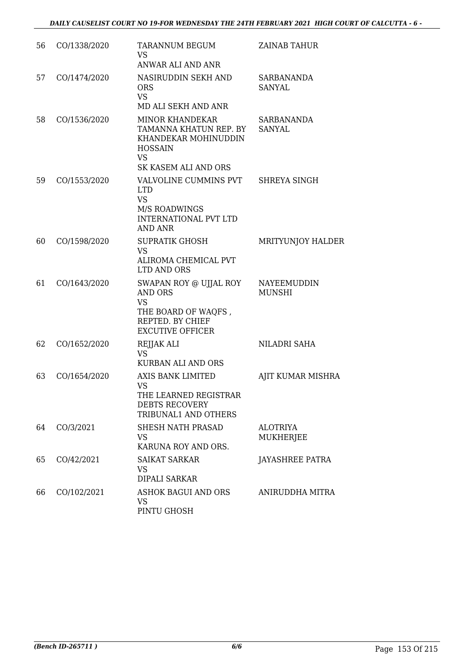| 56 | CO/1338/2020 | TARANNUM BEGUM<br><b>VS</b><br>ANWAR ALI AND ANR                                                                                | ZAINAB TAHUR                        |
|----|--------------|---------------------------------------------------------------------------------------------------------------------------------|-------------------------------------|
| 57 | CO/1474/2020 | NASIRUDDIN SEKH AND<br><b>ORS</b><br><b>VS</b><br>MD ALI SEKH AND ANR                                                           | SARBANANDA<br><b>SANYAL</b>         |
| 58 | CO/1536/2020 | <b>MINOR KHANDEKAR</b><br>TAMANNA KHATUN REP. BY<br>KHANDEKAR MOHINUDDIN<br><b>HOSSAIN</b><br><b>VS</b><br>SK KASEM ALI AND ORS | SARBANANDA<br>SANYAL                |
| 59 | CO/1553/2020 | VALVOLINE CUMMINS PVT<br><b>LTD</b><br><b>VS</b><br>M/S ROADWINGS<br><b>INTERNATIONAL PVT LTD</b><br><b>AND ANR</b>             | SHREYA SINGH                        |
| 60 | CO/1598/2020 | <b>SUPRATIK GHOSH</b><br><b>VS</b><br>ALIROMA CHEMICAL PVT<br><b>LTD AND ORS</b>                                                | <b>MRITYUNJOY HALDER</b>            |
| 61 | CO/1643/2020 | SWAPAN ROY @ UJJAL ROY<br><b>AND ORS</b><br><b>VS</b><br>THE BOARD OF WAQFS,<br>REPTED. BY CHIEF<br><b>EXCUTIVE OFFICER</b>     | NAYEEMUDDIN<br><b>MUNSHI</b>        |
| 62 | CO/1652/2020 | REJJAK ALI<br><b>VS</b><br><b>KURBAN ALI AND ORS</b>                                                                            | NILADRI SAHA                        |
| 63 | CO/1654/2020 | <b>AXIS BANK LIMITED</b><br>VS<br>THE LEARNED REGISTRAR<br><b>DEBTS RECOVERY</b><br>TRIBUNAL1 AND OTHERS                        | AJIT KUMAR MISHRA                   |
| 64 | CO/3/2021    | SHESH NATH PRASAD<br>VS<br>KARUNA ROY AND ORS.                                                                                  | <b>ALOTRIYA</b><br><b>MUKHERJEE</b> |
| 65 | CO/42/2021   | <b>SAIKAT SARKAR</b><br>VS<br>DIPALI SARKAR                                                                                     | JAYASHREE PATRA                     |
| 66 | CO/102/2021  | <b>ASHOK BAGUI AND ORS</b><br>VS<br>PINTU GHOSH                                                                                 | ANIRUDDHA MITRA                     |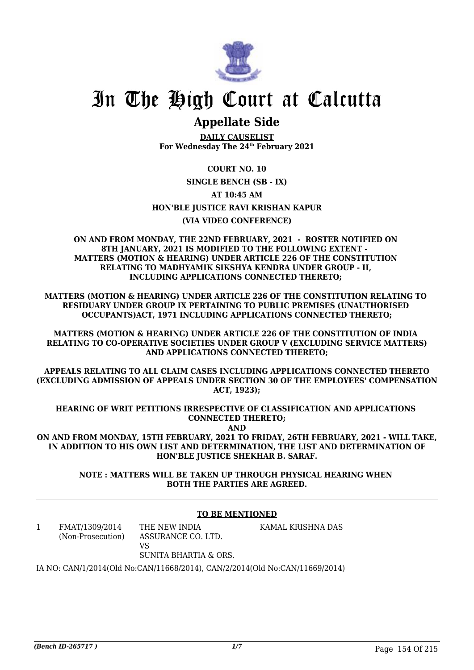

## **Appellate Side**

**DAILY CAUSELIST For Wednesday The 24th February 2021**

#### **COURT NO. 10**

**SINGLE BENCH (SB - IX)**

#### **AT 10:45 AM**

**HON'BLE JUSTICE RAVI KRISHAN KAPUR**

#### **(VIA VIDEO CONFERENCE)**

**ON AND FROM MONDAY, THE 22ND FEBRUARY, 2021 - ROSTER NOTIFIED ON 8TH JANUARY, 2021 IS MODIFIED TO THE FOLLOWING EXTENT - MATTERS (MOTION & HEARING) UNDER ARTICLE 226 OF THE CONSTITUTION RELATING TO MADHYAMIK SIKSHYA KENDRA UNDER GROUP - II, INCLUDING APPLICATIONS CONNECTED THERETO;** 

**MATTERS (MOTION & HEARING) UNDER ARTICLE 226 OF THE CONSTITUTION RELATING TO RESIDUARY UNDER GROUP IX PERTAINING TO PUBLIC PREMISES (UNAUTHORISED OCCUPANTS)ACT, 1971 INCLUDING APPLICATIONS CONNECTED THERETO;**

**MATTERS (MOTION & HEARING) UNDER ARTICLE 226 OF THE CONSTITUTION OF INDIA RELATING TO CO-OPERATIVE SOCIETIES UNDER GROUP V (EXCLUDING SERVICE MATTERS) AND APPLICATIONS CONNECTED THERETO;**

**APPEALS RELATING TO ALL CLAIM CASES INCLUDING APPLICATIONS CONNECTED THERETO (EXCLUDING ADMISSION OF APPEALS UNDER SECTION 30 OF THE EMPLOYEES' COMPENSATION ACT, 1923);**

**HEARING OF WRIT PETITIONS IRRESPECTIVE OF CLASSIFICATION AND APPLICATIONS CONNECTED THERETO;**

**AND ON AND FROM MONDAY, 15TH FEBRUARY, 2021 TO FRIDAY, 26TH FEBRUARY, 2021 - WILL TAKE, IN ADDITION TO HIS OWN LIST AND DETERMINATION, THE LIST AND DETERMINATION OF HON'BLE JUSTICE SHEKHAR B. SARAF.**

> **NOTE : MATTERS WILL BE TAKEN UP THROUGH PHYSICAL HEARING WHEN BOTH THE PARTIES ARE AGREED.**

#### **TO BE MENTIONED**

1 FMAT/1309/2014 (Non-Prosecution) THE NEW INDIA ASSURANCE CO. LTD. VS SUNITA BHARTIA & ORS. KAMAL KRISHNA DAS

IA NO: CAN/1/2014(Old No:CAN/11668/2014), CAN/2/2014(Old No:CAN/11669/2014)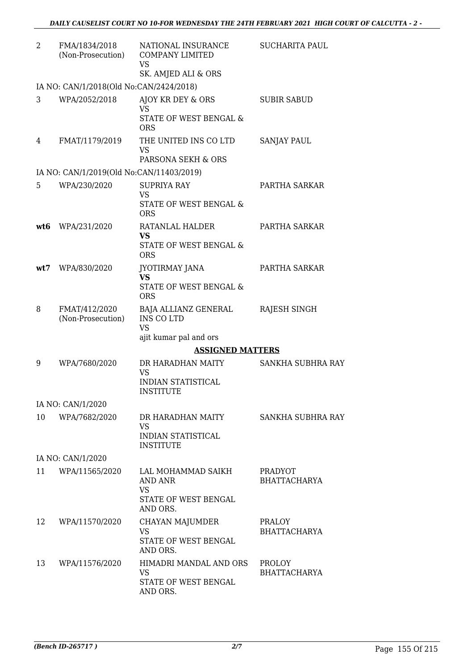| 2   | FMA/1834/2018<br>(Non-Prosecution)       | NATIONAL INSURANCE<br><b>COMPANY LIMITED</b><br>VS<br>SK. AMJED ALI & ORS             | <b>SUCHARITA PAUL</b>                 |
|-----|------------------------------------------|---------------------------------------------------------------------------------------|---------------------------------------|
|     | IA NO: CAN/1/2018(Old No:CAN/2424/2018)  |                                                                                       |                                       |
| 3   | WPA/2052/2018                            | AJOY KR DEY & ORS<br><b>VS</b><br>STATE OF WEST BENGAL &<br><b>ORS</b>                | <b>SUBIR SABUD</b>                    |
| 4   | FMAT/1179/2019                           | THE UNITED INS CO LTD<br><b>VS</b><br>PARSONA SEKH & ORS                              | <b>SANJAY PAUL</b>                    |
|     | IA NO: CAN/1/2019(Old No:CAN/11403/2019) |                                                                                       |                                       |
| 5.  | WPA/230/2020                             | <b>SUPRIYA RAY</b><br><b>VS</b><br><b>STATE OF WEST BENGAL &amp;</b><br><b>ORS</b>    | PARTHA SARKAR                         |
| wt6 | WPA/231/2020                             | RATANLAL HALDER<br><b>VS</b><br><b>STATE OF WEST BENGAL &amp;</b><br><b>ORS</b>       | PARTHA SARKAR                         |
| wt7 | WPA/830/2020                             | JYOTIRMAY JANA<br><b>VS</b><br>STATE OF WEST BENGAL &<br><b>ORS</b>                   | PARTHA SARKAR                         |
| 8   | FMAT/412/2020<br>(Non-Prosecution)       | BAJA ALLIANZ GENERAL<br><b>INS COLTD</b><br><b>VS</b><br>ajit kumar pal and ors       | RAJESH SINGH                          |
|     |                                          | <b>ASSIGNED MATTERS</b>                                                               |                                       |
| 9   | WPA/7680/2020                            | DR HARADHAN MAITY<br><b>VS</b><br><b>INDIAN STATISTICAL</b><br><b>INSTITUTE</b>       | SANKHA SUBHRA RAY                     |
|     | IA NO: CAN/1/2020                        |                                                                                       |                                       |
| 10  | WPA/7682/2020                            | DR HARADHAN MAITY<br><b>VS</b><br><b>INDIAN STATISTICAL</b><br><b>INSTITUTE</b>       | <b>SANKHA SUBHRA RAY</b>              |
|     | IA NO: CAN/1/2020                        |                                                                                       |                                       |
| 11  | WPA/11565/2020                           | LAL MOHAMMAD SAIKH<br><b>AND ANR</b><br><b>VS</b><br>STATE OF WEST BENGAL<br>AND ORS. | <b>PRADYOT</b><br><b>BHATTACHARYA</b> |
| 12  | WPA/11570/2020                           | <b>CHAYAN MAJUMDER</b><br><b>VS</b><br>STATE OF WEST BENGAL<br>AND ORS.               | PRALOY<br><b>BHATTACHARYA</b>         |
| 13  | WPA/11576/2020                           | HIMADRI MANDAL AND ORS<br><b>VS</b><br>STATE OF WEST BENGAL<br>AND ORS.               | PROLOY<br><b>BHATTACHARYA</b>         |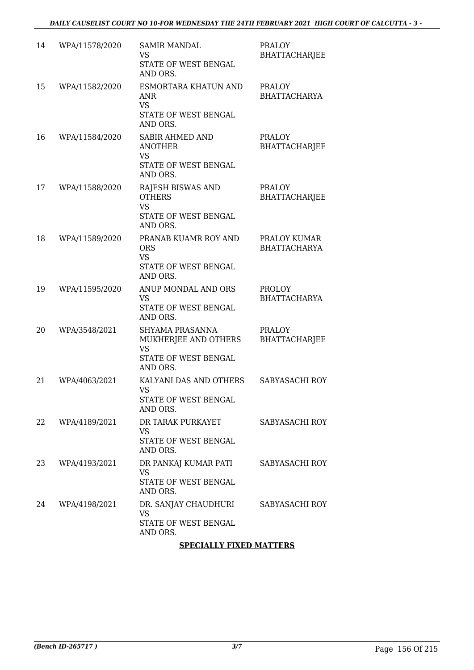| 14 | WPA/11578/2020 | <b>SAMIR MANDAL</b><br>VS<br>STATE OF WEST BENGAL<br>AND ORS.                             | <b>PRALOY</b><br><b>BHATTACHARJEE</b> |
|----|----------------|-------------------------------------------------------------------------------------------|---------------------------------------|
| 15 | WPA/11582/2020 | ESMORTARA KHATUN AND<br><b>ANR</b><br><b>VS</b><br>STATE OF WEST BENGAL<br>AND ORS.       | <b>PRALOY</b><br><b>BHATTACHARYA</b>  |
| 16 | WPA/11584/2020 | <b>SABIR AHMED AND</b><br><b>ANOTHER</b><br><b>VS</b><br>STATE OF WEST BENGAL<br>AND ORS. | <b>PRALOY</b><br><b>BHATTACHARJEE</b> |
| 17 | WPA/11588/2020 | RAJESH BISWAS AND<br><b>OTHERS</b><br><b>VS</b><br>STATE OF WEST BENGAL<br>AND ORS.       | <b>PRALOY</b><br><b>BHATTACHARJEE</b> |
| 18 | WPA/11589/2020 | PRANAB KUAMR ROY AND<br><b>ORS</b><br><b>VS</b><br>STATE OF WEST BENGAL<br>AND ORS.       | PRALOY KUMAR<br><b>BHATTACHARYA</b>   |
| 19 | WPA/11595/2020 | ANUP MONDAL AND ORS<br><b>VS</b><br>STATE OF WEST BENGAL<br>AND ORS.                      | <b>PROLOY</b><br><b>BHATTACHARYA</b>  |
| 20 | WPA/3548/2021  | SHYAMA PRASANNA<br>MUKHERJEE AND OTHERS<br><b>VS</b><br>STATE OF WEST BENGAL<br>AND ORS.  | <b>PRALOY</b><br><b>BHATTACHARJEE</b> |
| 21 | WPA/4063/2021  | KALYANI DAS AND OTHERS<br><b>VS</b><br>STATE OF WEST BENGAL<br>AND ORS.                   | SABYASACHI ROY                        |
| 22 | WPA/4189/2021  | DR TARAK PURKAYET<br>VS.<br>STATE OF WEST BENGAL<br>AND ORS.                              | SABYASACHI ROY                        |
| 23 | WPA/4193/2021  | DR PANKAJ KUMAR PATI<br>VS<br>STATE OF WEST BENGAL<br>AND ORS.                            | SABYASACHI ROY                        |
| 24 | WPA/4198/2021  | DR. SANJAY CHAUDHURI<br><b>VS</b><br>STATE OF WEST BENGAL<br>AND ORS.                     | SABYASACHI ROY                        |

#### **SPECIALLY FIXED MATTERS**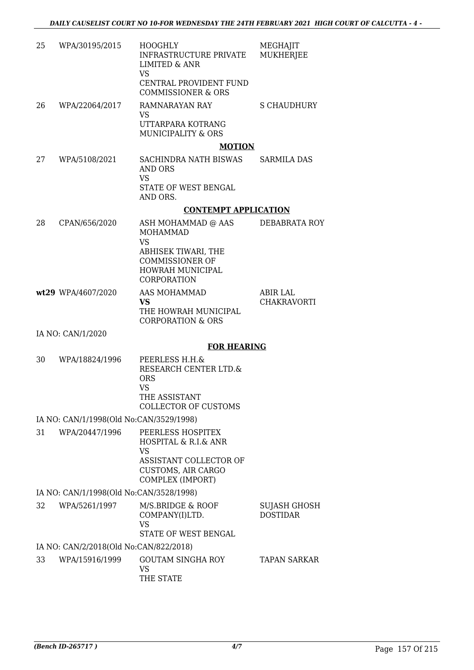| 25 | WPA/30195/2015                          | <b>HOOGHLY</b><br><b>INFRASTRUCTURE PRIVATE</b><br><b>LIMITED &amp; ANR</b>                                                       | MEGHAJIT<br><b>MUKHERJEE</b>    |
|----|-----------------------------------------|-----------------------------------------------------------------------------------------------------------------------------------|---------------------------------|
|    |                                         | <b>VS</b><br>CENTRAL PROVIDENT FUND<br><b>COMMISSIONER &amp; ORS</b>                                                              |                                 |
| 26 | WPA/22064/2017                          | RAMNARAYAN RAY<br><b>VS</b><br>UTTARPARA KOTRANG<br>MUNICIPALITY & ORS                                                            | <b>S CHAUDHURY</b>              |
|    |                                         | <b>MOTION</b>                                                                                                                     |                                 |
| 27 | WPA/5108/2021                           | SACHINDRA NATH BISWAS<br>AND ORS<br><b>VS</b><br>STATE OF WEST BENGAL<br>AND ORS.                                                 | <b>SARMILA DAS</b>              |
|    |                                         | <b>CONTEMPT APPLICATION</b>                                                                                                       |                                 |
| 28 | CPAN/656/2020                           | ASH MOHAMMAD @ AAS<br><b>MOHAMMAD</b><br><b>VS</b>                                                                                | <b>DEBABRATA ROY</b>            |
|    |                                         | ABHISEK TIWARI, THE<br><b>COMMISSIONER OF</b><br><b>HOWRAH MUNICIPAL</b><br>CORPORATION                                           |                                 |
|    | wt29 WPA/4607/2020                      | AAS MOHAMMAD<br><b>VS</b><br>THE HOWRAH MUNICIPAL<br><b>CORPORATION &amp; ORS</b>                                                 | ABIR LAL<br><b>CHAKRAVORTI</b>  |
|    | IA NO: CAN/1/2020                       |                                                                                                                                   |                                 |
|    |                                         | <b>FOR HEARING</b>                                                                                                                |                                 |
| 30 | WPA/18824/1996                          | PEERLESS H.H.&<br>RESEARCH CENTER LTD.&<br><b>ORS</b><br><b>VS</b><br>THE ASSISTANT<br><b>COLLECTOR OF CUSTOMS</b>                |                                 |
|    | IA NO: CAN/1/1998(Old No:CAN/3529/1998) |                                                                                                                                   |                                 |
| 31 | WPA/20447/1996                          | PEERLESS HOSPITEX<br>HOSPITAL & R.I.& ANR<br><b>VS</b><br>ASSISTANT COLLECTOR OF<br><b>CUSTOMS, AIR CARGO</b><br>COMPLEX (IMPORT) |                                 |
|    | IA NO: CAN/1/1998(Old No:CAN/3528/1998) |                                                                                                                                   |                                 |
| 32 | WPA/5261/1997                           | M/S.BRIDGE & ROOF<br>COMPANY(I)LTD.                                                                                               | SUJASH GHOSH<br><b>DOSTIDAR</b> |

VS STATE OF WEST BENGAL IA NO: CAN/2/2018(Old No:CAN/822/2018) 33 WPA/15916/1999 GOUTAM SINGHA ROY VS THE STATE TAPAN SARKAR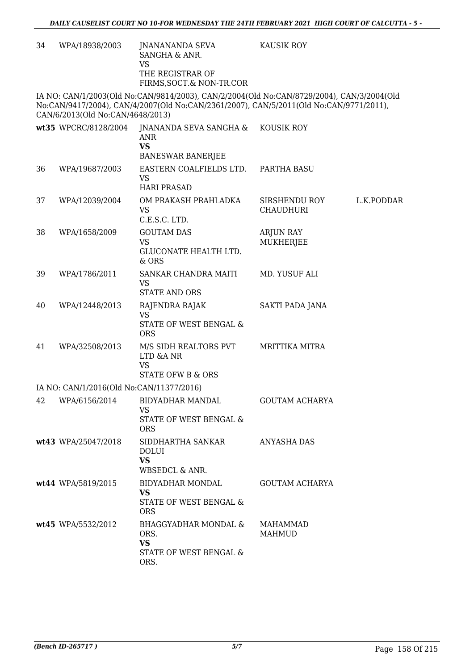| 34 | WPA/18938/2003                           | JNANANANDA SEVA<br>SANGHA & ANR.<br><b>VS</b>                                                                                                                                       | <b>KAUSIK ROY</b>                 |            |
|----|------------------------------------------|-------------------------------------------------------------------------------------------------------------------------------------------------------------------------------------|-----------------------------------|------------|
|    |                                          | THE REGISTRAR OF<br>FIRMS, SOCT.& NON-TR.COR                                                                                                                                        |                                   |            |
|    | CAN/6/2013(Old No:CAN/4648/2013)         | IA NO: CAN/1/2003(Old No:CAN/9814/2003), CAN/2/2004(Old No:CAN/8729/2004), CAN/3/2004(Old<br>No:CAN/9417/2004), CAN/4/2007(Old No:CAN/2361/2007), CAN/5/2011(Old No:CAN/9771/2011), |                                   |            |
|    | wt35 WPCRC/8128/2004                     | JNANANDA SEVA SANGHA &<br><b>ANR</b><br><b>VS</b><br><b>BANESWAR BANERJEE</b>                                                                                                       | KOUSIK ROY                        |            |
| 36 | WPA/19687/2003                           | EASTERN COALFIELDS LTD.<br><b>VS</b><br><b>HARI PRASAD</b>                                                                                                                          | PARTHA BASU                       |            |
| 37 | WPA/12039/2004                           | OM PRAKASH PRAHLADKA<br><b>VS</b><br>C.E.S.C. LTD.                                                                                                                                  | SIRSHENDU ROY<br><b>CHAUDHURI</b> | L.K.PODDAR |
| 38 | WPA/1658/2009                            | <b>GOUTAM DAS</b><br><b>VS</b><br><b>GLUCONATE HEALTH LTD.</b><br>& ORS                                                                                                             | <b>ARJUN RAY</b><br>MUKHERJEE     |            |
| 39 | WPA/1786/2011                            | SANKAR CHANDRA MAITI<br><b>VS</b><br><b>STATE AND ORS</b>                                                                                                                           | MD. YUSUF ALI                     |            |
| 40 | WPA/12448/2013                           | RAJENDRA RAJAK<br><b>VS</b><br>STATE OF WEST BENGAL &<br><b>ORS</b>                                                                                                                 | SAKTI PADA JANA                   |            |
| 41 | WPA/32508/2013                           | M/S SIDH REALTORS PVT<br>LTD &A NR<br><b>VS</b><br><b>STATE OFW B &amp; ORS</b>                                                                                                     | <b>MRITTIKA MITRA</b>             |            |
|    | IA NO: CAN/1/2016(Old No:CAN/11377/2016) |                                                                                                                                                                                     |                                   |            |
| 42 | WPA/6156/2014                            | <b>BIDYADHAR MANDAL</b><br><b>VS</b><br>STATE OF WEST BENGAL &<br><b>ORS</b>                                                                                                        | <b>GOUTAM ACHARYA</b>             |            |
|    | wt43 WPA/25047/2018                      | SIDDHARTHA SANKAR<br><b>DOLUI</b><br><b>VS</b><br>WBSEDCL & ANR.                                                                                                                    | <b>ANYASHA DAS</b>                |            |
|    | wt44 WPA/5819/2015                       | BIDYADHAR MONDAL<br><b>VS</b><br>STATE OF WEST BENGAL &<br><b>ORS</b>                                                                                                               | GOUTAM ACHARYA                    |            |
|    | wt45 WPA/5532/2012                       | BHAGGYADHAR MONDAL &<br>ORS.<br><b>VS</b><br>STATE OF WEST BENGAL &<br>ORS.                                                                                                         | <b>MAHAMMAD</b><br><b>MAHMUD</b>  |            |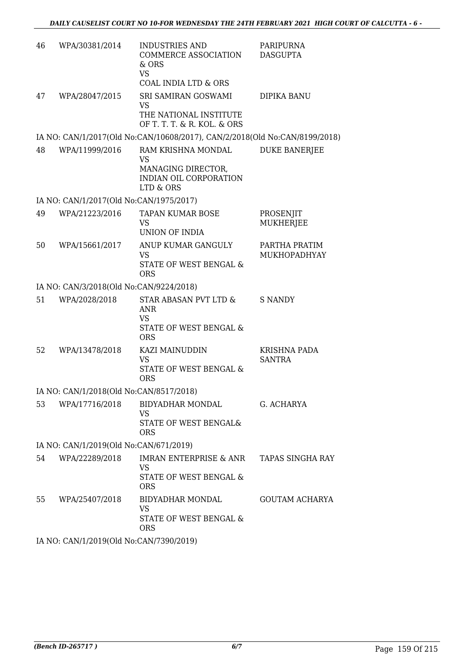| 46 | WPA/30381/2014                          | INDUSTRIES AND<br>COMMERCE ASSOCIATION<br>& ORS<br><b>VS</b><br><b>COAL INDIA LTD &amp; ORS</b> | PARIPURNA<br><b>DASGUPTA</b>         |
|----|-----------------------------------------|-------------------------------------------------------------------------------------------------|--------------------------------------|
| 47 | WPA/28047/2015                          | SRI SAMIRAN GOSWAMI<br>VS<br>THE NATIONAL INSTITUTE<br>OF T. T. T. & R. KOL. & ORS              | DIPIKA BANU                          |
|    |                                         | IA NO: CAN/1/2017(Old No:CAN/10608/2017), CAN/2/2018(Old No:CAN/8199/2018)                      |                                      |
| 48 | WPA/11999/2016                          | RAM KRISHNA MONDAL<br><b>VS</b><br>MANAGING DIRECTOR,<br>INDIAN OIL CORPORATION<br>LTD & ORS    | <b>DUKE BANERJEE</b>                 |
|    | IA NO: CAN/1/2017(Old No:CAN/1975/2017) |                                                                                                 |                                      |
| 49 | WPA/21223/2016                          | <b>TAPAN KUMAR BOSE</b><br><b>VS</b><br>UNION OF INDIA                                          | PROSENJIT<br>MUKHERJEE               |
| 50 | WPA/15661/2017                          | ANUP KUMAR GANGULY<br><b>VS</b><br>STATE OF WEST BENGAL &<br><b>ORS</b>                         | PARTHA PRATIM<br><b>MUKHOPADHYAY</b> |
|    | IA NO: CAN/3/2018(Old No:CAN/9224/2018) |                                                                                                 |                                      |
| 51 | WPA/2028/2018                           | STAR ABASAN PVT LTD &<br><b>ANR</b><br><b>VS</b><br>STATE OF WEST BENGAL &<br><b>ORS</b>        | <b>S NANDY</b>                       |
| 52 | WPA/13478/2018                          | KAZI MAINUDDIN<br><b>VS</b><br>STATE OF WEST BENGAL &<br><b>ORS</b>                             | <b>KRISHNA PADA</b><br><b>SANTRA</b> |
|    | IA NO: CAN/1/2018(Old No:CAN/8517/2018) |                                                                                                 |                                      |
| 53 | WPA/17716/2018                          | BIDYADHAR MONDAL<br><b>VS</b><br>STATE OF WEST BENGAL&<br><b>ORS</b>                            | G. ACHARYA                           |
|    | IA NO: CAN/1/2019(Old No:CAN/671/2019)  |                                                                                                 |                                      |
| 54 | WPA/22289/2018                          | IMRAN ENTERPRISE & ANR<br><b>VS</b><br>STATE OF WEST BENGAL &<br><b>ORS</b>                     | TAPAS SINGHA RAY                     |
| 55 | WPA/25407/2018                          | BIDYADHAR MONDAL<br><b>VS</b><br>STATE OF WEST BENGAL &<br><b>ORS</b>                           | <b>GOUTAM ACHARYA</b>                |
|    |                                         |                                                                                                 |                                      |

IA NO: CAN/1/2019(Old No:CAN/7390/2019)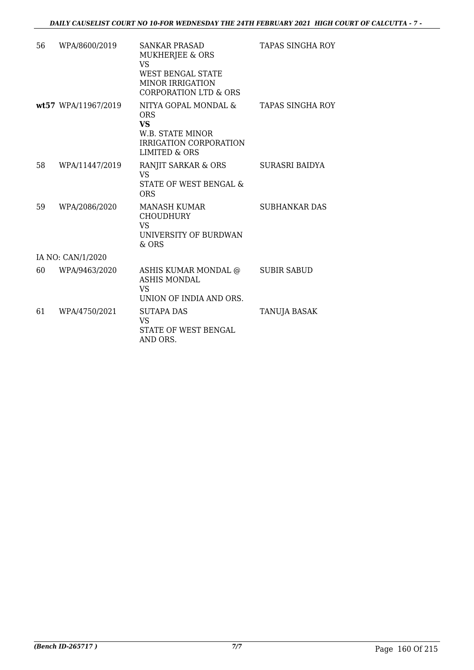| 56 | WPA/8600/2019       | <b>SANKAR PRASAD</b><br><b>MUKHERJEE &amp; ORS</b><br><b>VS</b><br><b>WEST BENGAL STATE</b><br><b>MINOR IRRIGATION</b><br><b>CORPORATION LTD &amp; ORS</b> | TAPAS SINGHA ROY        |
|----|---------------------|------------------------------------------------------------------------------------------------------------------------------------------------------------|-------------------------|
|    | wt57 WPA/11967/2019 | NITYA GOPAL MONDAL &<br><b>ORS</b><br><b>VS</b><br>W.B. STATE MINOR<br>IRRIGATION CORPORATION<br>LIMITED & ORS                                             | <b>TAPAS SINGHA ROY</b> |
| 58 | WPA/11447/2019      | RANJIT SARKAR & ORS<br><b>VS</b><br>STATE OF WEST BENGAL &<br><b>ORS</b>                                                                                   | SURASRI BAIDYA          |
| 59 | WPA/2086/2020       | <b>MANASH KUMAR</b><br><b>CHOUDHURY</b><br>VS<br>UNIVERSITY OF BURDWAN<br>$&$ ORS                                                                          | <b>SUBHANKAR DAS</b>    |
|    | IA NO: CAN/1/2020   |                                                                                                                                                            |                         |
| 60 | WPA/9463/2020       | ASHIS KUMAR MONDAL @<br><b>ASHIS MONDAL</b><br><b>VS</b><br>UNION OF INDIA AND ORS.                                                                        | <b>SUBIR SABUD</b>      |
| 61 | WPA/4750/2021       | <b>SUTAPA DAS</b><br>VS.<br>STATE OF WEST BENGAL<br>AND ORS.                                                                                               | <b>TANUJA BASAK</b>     |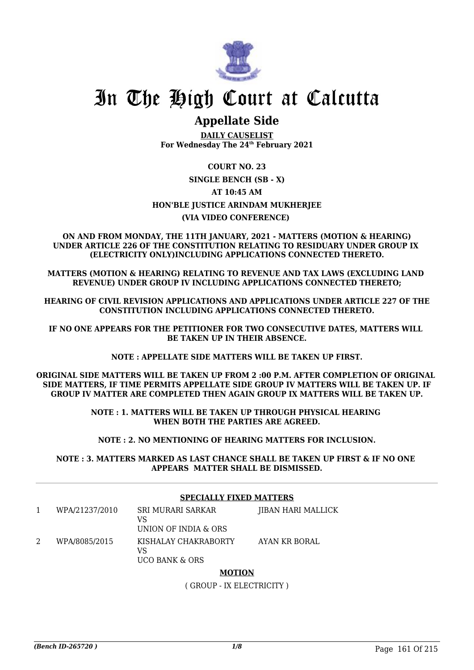

### **Appellate Side**

**DAILY CAUSELIST For Wednesday The 24th February 2021**

#### **COURT NO. 23**

#### **SINGLE BENCH (SB - X)**

**AT 10:45 AM**

#### **HON'BLE JUSTICE ARINDAM MUKHERJEE**

#### **(VIA VIDEO CONFERENCE)**

**ON AND FROM MONDAY, THE 11TH JANUARY, 2021 - MATTERS (MOTION & HEARING) UNDER ARTICLE 226 OF THE CONSTITUTION RELATING TO RESIDUARY UNDER GROUP IX (ELECTRICITY ONLY)INCLUDING APPLICATIONS CONNECTED THERETO.**

**MATTERS (MOTION & HEARING) RELATING TO REVENUE AND TAX LAWS (EXCLUDING LAND REVENUE) UNDER GROUP IV INCLUDING APPLICATIONS CONNECTED THERETO;**

**HEARING OF CIVIL REVISION APPLICATIONS AND APPLICATIONS UNDER ARTICLE 227 OF THE CONSTITUTION INCLUDING APPLICATIONS CONNECTED THERETO.**

**IF NO ONE APPEARS FOR THE PETITIONER FOR TWO CONSECUTIVE DATES, MATTERS WILL BE TAKEN UP IN THEIR ABSENCE.**

**NOTE : APPELLATE SIDE MATTERS WILL BE TAKEN UP FIRST.**

**ORIGINAL SIDE MATTERS WILL BE TAKEN UP FROM 2 :00 P.M. AFTER COMPLETION OF ORIGINAL SIDE MATTERS, IF TIME PERMITS APPELLATE SIDE GROUP IV MATTERS WILL BE TAKEN UP. IF GROUP IV MATTER ARE COMPLETED THEN AGAIN GROUP IX MATTERS WILL BE TAKEN UP.**

> **NOTE : 1. MATTERS WILL BE TAKEN UP THROUGH PHYSICAL HEARING WHEN BOTH THE PARTIES ARE AGREED.**

**NOTE : 2. NO MENTIONING OF HEARING MATTERS FOR INCLUSION.**

**NOTE : 3. MATTERS MARKED AS LAST CHANCE SHALL BE TAKEN UP FIRST & IF NO ONE APPEARS MATTER SHALL BE DISMISSED.**

#### **SPECIALLY FIXED MATTERS**

| WPA/21237/2010 | SRI MURARI SARKAR<br>VS<br>UNION OF INDIA & ORS | JIBAN HARI MALLICK |
|----------------|-------------------------------------------------|--------------------|
| WPA/8085/2015  | KISHALAY CHAKRABORTY<br>VS<br>UCO BANK & ORS    | AYAN KR BORAL      |

#### **MOTION**

( GROUP - IX ELECTRICITY )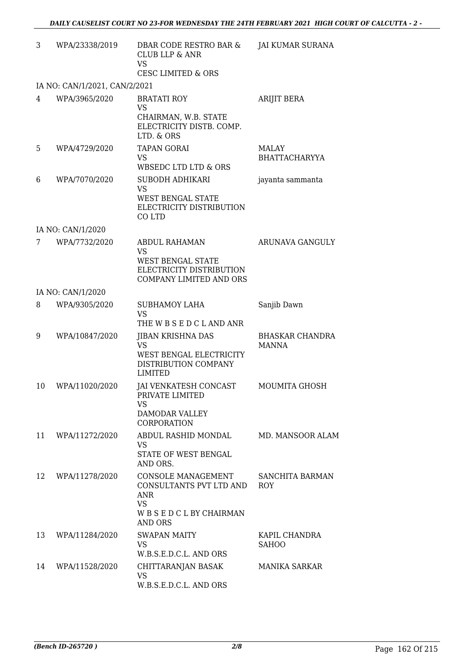| 3  | WPA/23338/2019                | DBAR CODE RESTRO BAR &<br><b>CLUB LLP &amp; ANR</b><br><b>VS</b><br>CESC LIMITED & ORS                               | <b>JAI KUMAR SURANA</b>                |
|----|-------------------------------|----------------------------------------------------------------------------------------------------------------------|----------------------------------------|
|    | IA NO: CAN/1/2021, CAN/2/2021 |                                                                                                                      |                                        |
| 4  | WPA/3965/2020                 | <b>BRATATI ROY</b><br><b>VS</b><br>CHAIRMAN, W.B. STATE<br>ELECTRICITY DISTB. COMP.<br>LTD. & ORS                    | ARIJIT BERA                            |
| 5  | WPA/4729/2020                 | <b>TAPAN GORAI</b><br><b>VS</b><br>WBSEDC LTD LTD & ORS                                                              | MALAY<br><b>BHATTACHARYYA</b>          |
| 6  | WPA/7070/2020                 | SUBODH ADHIKARI<br>VS<br><b>WEST BENGAL STATE</b><br>ELECTRICITY DISTRIBUTION<br>CO LTD                              | jayanta sammanta                       |
|    | IA NO: CAN/1/2020             |                                                                                                                      |                                        |
| 7  | WPA/7732/2020                 | <b>ABDUL RAHAMAN</b><br><b>VS</b><br><b>WEST BENGAL STATE</b><br>ELECTRICITY DISTRIBUTION<br>COMPANY LIMITED AND ORS | ARUNAVA GANGULY                        |
|    | IA NO: CAN/1/2020             |                                                                                                                      |                                        |
| 8  | WPA/9305/2020                 | <b>SUBHAMOY LAHA</b><br><b>VS</b><br>THE W B S E D C L AND ANR                                                       | Sanjib Dawn                            |
| 9  | WPA/10847/2020                | <b>JIBAN KRISHNA DAS</b><br>VS<br>WEST BENGAL ELECTRICITY<br>DISTRIBUTION COMPANY<br>LIMITED                         | <b>BHASKAR CHANDRA</b><br><b>MANNA</b> |
| 10 | WPA/11020/2020                | JAI VENKATESH CONCAST<br>PRIVATE LIMITED<br>VS<br>DAMODAR VALLEY<br>CORPORATION                                      | MOUMITA GHOSH                          |
| 11 | WPA/11272/2020                | ABDUL RASHID MONDAL<br>VS<br>STATE OF WEST BENGAL<br>AND ORS.                                                        | MD. MANSOOR ALAM                       |
| 12 | WPA/11278/2020                | CONSOLE MANAGEMENT<br>CONSULTANTS PVT LTD AND<br>ANR<br><b>VS</b><br>WBSEDCLBYCHAIRMAN<br>AND ORS                    | SANCHITA BARMAN<br>ROY                 |
| 13 | WPA/11284/2020                | SWAPAN MAITY<br><b>VS</b><br>W.B.S.E.D.C.L. AND ORS                                                                  | KAPIL CHANDRA<br><b>SAHOO</b>          |
| 14 | WPA/11528/2020                | CHITTARANJAN BASAK<br>VS<br>W.B.S.E.D.C.L. AND ORS                                                                   | <b>MANIKA SARKAR</b>                   |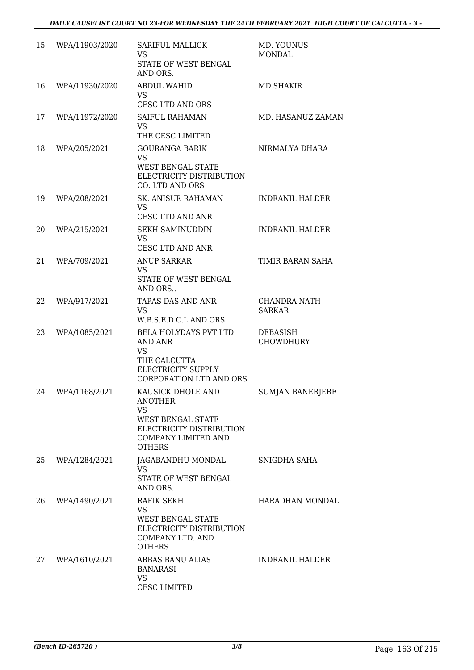| 15 | WPA/11903/2020 | <b>SARIFUL MALLICK</b><br>VS<br>STATE OF WEST BENGAL<br>AND ORS.                                                                                 | MD. YOUNUS<br>MONDAL          |
|----|----------------|--------------------------------------------------------------------------------------------------------------------------------------------------|-------------------------------|
| 16 | WPA/11930/2020 | <b>ABDUL WAHID</b><br><b>VS</b><br>CESC LTD AND ORS                                                                                              | MD SHAKIR                     |
| 17 | WPA/11972/2020 | <b>SAIFUL RAHAMAN</b><br><b>VS</b><br>THE CESC LIMITED                                                                                           | <b>MD. HASANUZ ZAMAN</b>      |
| 18 | WPA/205/2021   | <b>GOURANGA BARIK</b><br><b>VS</b><br><b>WEST BENGAL STATE</b><br>ELECTRICITY DISTRIBUTION<br>CO. LTD AND ORS                                    | NIRMALYA DHARA                |
| 19 | WPA/208/2021   | SK. ANISUR RAHAMAN<br>VS<br>CESC LTD AND ANR                                                                                                     | <b>INDRANIL HALDER</b>        |
| 20 | WPA/215/2021   | <b>SEKH SAMINUDDIN</b><br>VS.<br>CESC LTD AND ANR                                                                                                | <b>INDRANIL HALDER</b>        |
| 21 | WPA/709/2021   | <b>ANUP SARKAR</b><br>VS<br>STATE OF WEST BENGAL<br>AND ORS                                                                                      | TIMIR BARAN SAHA              |
| 22 | WPA/917/2021   | TAPAS DAS AND ANR<br><b>VS</b><br>W.B.S.E.D.C.L AND ORS                                                                                          | CHANDRA NATH<br><b>SARKAR</b> |
| 23 | WPA/1085/2021  | BELA HOLYDAYS PVT LTD<br>AND ANR<br>VS<br>THE CALCUTTA<br>ELECTRICITY SUPPLY<br><b>CORPORATION LTD AND ORS</b>                                   | DEBASISH<br><b>CHOWDHURY</b>  |
| 24 | WPA/1168/2021  | KAUSICK DHOLE AND<br><b>ANOTHER</b><br><b>VS</b><br><b>WEST BENGAL STATE</b><br>ELECTRICITY DISTRIBUTION<br>COMPANY LIMITED AND<br><b>OTHERS</b> | <b>SUMJAN BANERJERE</b>       |
| 25 | WPA/1284/2021  | JAGABANDHU MONDAL<br><b>VS</b><br>STATE OF WEST BENGAL<br>AND ORS.                                                                               | SNIGDHA SAHA                  |
| 26 | WPA/1490/2021  | RAFIK SEKH<br>VS<br>WEST BENGAL STATE<br>ELECTRICITY DISTRIBUTION<br>COMPANY LTD. AND<br><b>OTHERS</b>                                           | HARADHAN MONDAL               |
| 27 | WPA/1610/2021  | ABBAS BANU ALIAS<br>BANARASI<br><b>VS</b><br><b>CESC LIMITED</b>                                                                                 | <b>INDRANIL HALDER</b>        |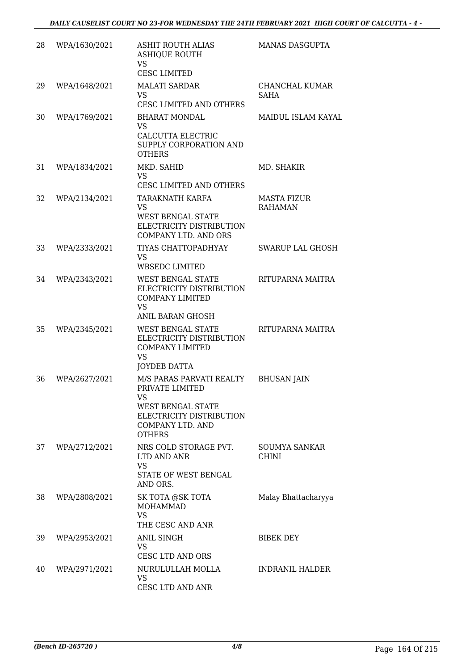| 28 | WPA/1630/2021 | <b>ASHIT ROUTH ALIAS</b><br><b>ASHIQUE ROUTH</b><br><b>VS</b><br><b>CESC LIMITED</b>                                                    | <b>MANAS DASGUPTA</b>                |
|----|---------------|-----------------------------------------------------------------------------------------------------------------------------------------|--------------------------------------|
| 29 | WPA/1648/2021 | <b>MALATI SARDAR</b><br>VS.<br><b>CESC LIMITED AND OTHERS</b>                                                                           | <b>CHANCHAL KUMAR</b><br><b>SAHA</b> |
| 30 | WPA/1769/2021 | <b>BHARAT MONDAL</b><br><b>VS</b><br>CALCUTTA ELECTRIC<br>SUPPLY CORPORATION AND<br><b>OTHERS</b>                                       | MAIDUL ISLAM KAYAL                   |
| 31 | WPA/1834/2021 | MKD. SAHID<br>VS<br>CESC LIMITED AND OTHERS                                                                                             | MD. SHAKIR                           |
| 32 | WPA/2134/2021 | TARAKNATH KARFA<br>VS<br>WEST BENGAL STATE<br>ELECTRICITY DISTRIBUTION<br><b>COMPANY LTD. AND ORS</b>                                   | <b>MASTA FIZUR</b><br><b>RAHAMAN</b> |
| 33 | WPA/2333/2021 | TIYAS CHATTOPADHYAY<br>VS<br><b>WBSEDC LIMITED</b>                                                                                      | <b>SWARUP LAL GHOSH</b>              |
| 34 | WPA/2343/2021 | WEST BENGAL STATE<br>ELECTRICITY DISTRIBUTION<br><b>COMPANY LIMITED</b><br><b>VS</b><br><b>ANIL BARAN GHOSH</b>                         | RITUPARNA MAITRA                     |
| 35 | WPA/2345/2021 | WEST BENGAL STATE<br>ELECTRICITY DISTRIBUTION<br><b>COMPANY LIMITED</b><br><b>VS</b><br>JOYDEB DATTA                                    | RITUPARNA MAITRA                     |
| 36 | WPA/2627/2021 | M/S PARAS PARVATI REALTY<br>PRIVATE LIMITED<br>VS<br>WEST BENGAL STATE<br>ELECTRICITY DISTRIBUTION<br>COMPANY LTD. AND<br><b>OTHERS</b> | <b>BHUSAN JAIN</b>                   |
| 37 | WPA/2712/2021 | NRS COLD STORAGE PVT.<br>LTD AND ANR<br>VS<br><b>STATE OF WEST BENGAL</b><br>AND ORS.                                                   | SOUMYA SANKAR<br><b>CHINI</b>        |
| 38 | WPA/2808/2021 | SK TOTA @SK TOTA<br>MOHAMMAD<br><b>VS</b><br>THE CESC AND ANR                                                                           | Malay Bhattacharyya                  |
| 39 | WPA/2953/2021 | ANIL SINGH<br>VS<br><b>CESC LTD AND ORS</b>                                                                                             | <b>BIBEK DEY</b>                     |
| 40 | WPA/2971/2021 | NURULULLAH MOLLA<br>VS<br>CESC LTD AND ANR                                                                                              | <b>INDRANIL HALDER</b>               |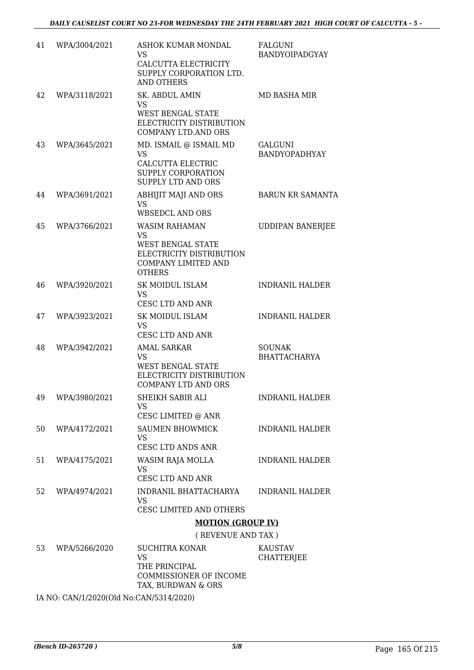| 41 | WPA/3004/2021 | ASHOK KUMAR MONDAL<br>VS<br>CALCUTTA ELECTRICITY<br>SUPPLY CORPORATION LTD.<br><b>AND OTHERS</b>                                          | FALGUNI<br><b>BANDYOIPADGYAY</b>       |
|----|---------------|-------------------------------------------------------------------------------------------------------------------------------------------|----------------------------------------|
| 42 | WPA/3118/2021 | <b>SK. ABDUL AMIN</b><br>VS<br><b>WEST BENGAL STATE</b><br>ELECTRICITY DISTRIBUTION                                                       | MD BASHA MIR                           |
| 43 | WPA/3645/2021 | <b>COMPANY LTD.AND ORS</b><br>MD. ISMAIL @ ISMAIL MD<br><b>VS</b><br>CALCUTTA ELECTRIC<br>SUPPLY CORPORATION<br><b>SUPPLY LTD AND ORS</b> | <b>GALGUNI</b><br><b>BANDYOPADHYAY</b> |
| 44 | WPA/3691/2021 | <b>ABHIJIT MAJI AND ORS</b><br>VS<br>WBSEDCL AND ORS                                                                                      | <b>BARUN KR SAMANTA</b>                |
| 45 | WPA/3766/2021 | <b>WASIM RAHAMAN</b><br><b>VS</b><br><b>WEST BENGAL STATE</b><br>ELECTRICITY DISTRIBUTION<br><b>COMPANY LIMITED AND</b><br><b>OTHERS</b>  | <b>UDDIPAN BANERJEE</b>                |
| 46 | WPA/3920/2021 | <b>SK MOIDUL ISLAM</b><br><b>VS</b><br>CESC LTD AND ANR                                                                                   | <b>INDRANIL HALDER</b>                 |
| 47 | WPA/3923/2021 | <b>SK MOIDUL ISLAM</b><br><b>VS</b><br>CESC LTD AND ANR                                                                                   | <b>INDRANIL HALDER</b>                 |
| 48 | WPA/3942/2021 | <b>AMAL SARKAR</b><br>VS<br><b>WEST BENGAL STATE</b><br>ELECTRICITY DISTRIBUTION<br><b>COMPANY LTD AND ORS</b>                            | <b>SOUNAK</b><br><b>BHATTACHARYA</b>   |
| 49 | WPA/3980/2021 | SHEIKH SABIR ALI<br>VS<br>CESC LIMITED @ ANR                                                                                              | <b>INDRANIL HALDER</b>                 |
| 50 | WPA/4172/2021 | <b>SAUMEN BHOWMICK</b><br>VS<br>CESC LTD ANDS ANR                                                                                         | <b>INDRANIL HALDER</b>                 |
| 51 | WPA/4175/2021 | WASIM RAJA MOLLA<br>VS<br>CESC LTD AND ANR                                                                                                | <b>INDRANIL HALDER</b>                 |
| 52 | WPA/4974/2021 | INDRANIL BHATTACHARYA<br>VS<br>CESC LIMITED AND OTHERS                                                                                    | <b>INDRANIL HALDER</b>                 |
|    |               | <b>MOTION (GROUP IV)</b>                                                                                                                  |                                        |
|    |               | (REVENUE AND TAX)                                                                                                                         |                                        |
| 53 | WPA/5266/2020 | <b>SUCHITRA KONAR</b><br>VS<br>THE PRINCIPAL<br>COMMISSIONER OF INCOME<br>TAX, BURDWAN & ORS                                              | KAUSTAV<br><b>CHATTERJEE</b>           |

IA NO: CAN/1/2020(Old No:CAN/5314/2020)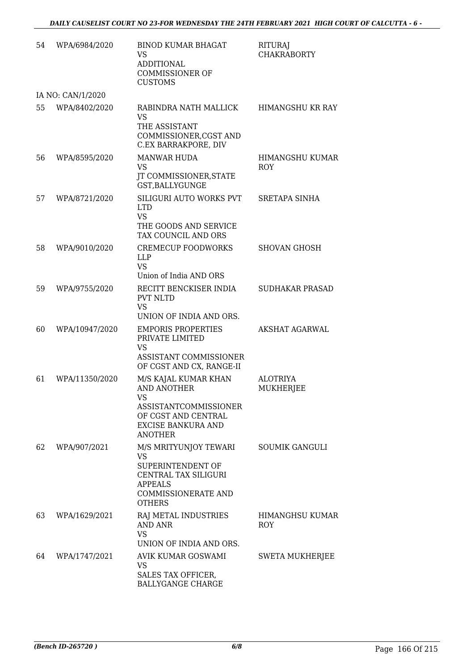| 54 | WPA/6984/2020     | <b>BINOD KUMAR BHAGAT</b><br>VS<br><b>ADDITIONAL</b><br><b>COMMISSIONER OF</b><br><b>CUSTOMS</b>                                                        | <b>RITURAJ</b><br><b>CHAKRABORTY</b> |
|----|-------------------|---------------------------------------------------------------------------------------------------------------------------------------------------------|--------------------------------------|
|    | IA NO: CAN/1/2020 |                                                                                                                                                         |                                      |
| 55 | WPA/8402/2020     | RABINDRA NATH MALLICK<br><b>VS</b><br>THE ASSISTANT<br>COMMISSIONER, CGST AND<br>C.EX BARRAKPORE, DIV                                                   | <b>HIMANGSHU KR RAY</b>              |
| 56 | WPA/8595/2020     | <b>MANWAR HUDA</b><br><b>VS</b><br>JT COMMISSIONER, STATE<br>GST, BALLYGUNGE                                                                            | HIMANGSHU KUMAR<br>ROY               |
| 57 | WPA/8721/2020     | SILIGURI AUTO WORKS PVT<br><b>LTD</b><br><b>VS</b><br>THE GOODS AND SERVICE<br>TAX COUNCIL AND ORS                                                      | <b>SRETAPA SINHA</b>                 |
| 58 | WPA/9010/2020     | <b>CREMECUP FOODWORKS</b><br>LLP<br><b>VS</b><br>Union of India AND ORS                                                                                 | <b>SHOVAN GHOSH</b>                  |
| 59 | WPA/9755/2020     | RECITT BENCKISER INDIA<br><b>PVT NLTD</b><br><b>VS</b><br>UNION OF INDIA AND ORS.                                                                       | <b>SUDHAKAR PRASAD</b>               |
| 60 | WPA/10947/2020    | <b>EMPORIS PROPERTIES</b><br>PRIVATE LIMITED<br><b>VS</b><br>ASSISTANT COMMISSIONER<br>OF CGST AND CX, RANGE-II                                         | <b>AKSHAT AGARWAL</b>                |
| 61 | WPA/11350/2020    | M/S KAJAL KUMAR KHAN<br><b>AND ANOTHER</b><br>VS<br>ASSISTANTCOMMISSIONER<br>OF CGST AND CENTRAL<br><b>EXCISE BANKURA AND</b><br><b>ANOTHER</b>         | <b>ALOTRIYA</b><br>MUKHERJEE         |
| 62 | WPA/907/2021      | M/S MRITYUNJOY TEWARI<br><b>VS</b><br>SUPERINTENDENT OF<br><b>CENTRAL TAX SILIGURI</b><br><b>APPEALS</b><br><b>COMMISSIONERATE AND</b><br><b>OTHERS</b> | <b>SOUMIK GANGULI</b>                |
| 63 | WPA/1629/2021     | RAJ METAL INDUSTRIES<br><b>AND ANR</b><br><b>VS</b><br>UNION OF INDIA AND ORS.                                                                          | HIMANGHSU KUMAR<br>ROY               |
| 64 | WPA/1747/2021     | AVIK KUMAR GOSWAMI<br>VS<br>SALES TAX OFFICER,<br><b>BALLYGANGE CHARGE</b>                                                                              | <b>SWETA MUKHERJEE</b>               |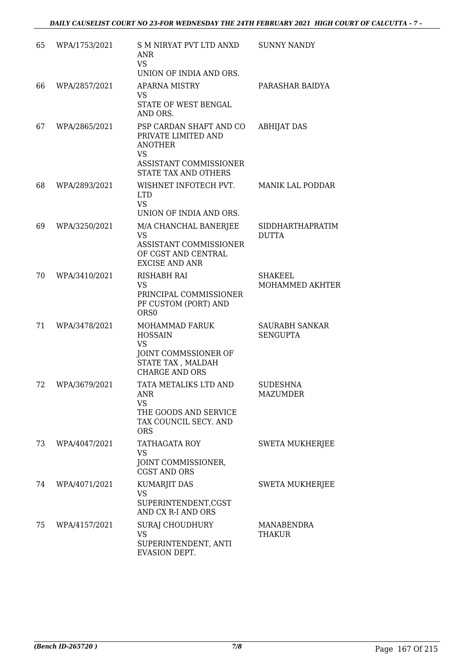| 65 | WPA/1753/2021 | S M NIRYAT PVT LTD ANXD<br>ANR<br><b>VS</b><br>UNION OF INDIA AND ORS.                                                     | <b>SUNNY NANDY</b>                       |
|----|---------------|----------------------------------------------------------------------------------------------------------------------------|------------------------------------------|
| 66 | WPA/2857/2021 | <b>APARNA MISTRY</b><br>VS<br>STATE OF WEST BENGAL<br>AND ORS.                                                             | PARASHAR BAIDYA                          |
| 67 | WPA/2865/2021 | PSP CARDAN SHAFT AND CO<br>PRIVATE LIMITED AND<br><b>ANOTHER</b><br><b>VS</b><br>ASSISTANT COMMISSIONER                    | <b>ABHIJAT DAS</b>                       |
| 68 | WPA/2893/2021 | STATE TAX AND OTHERS<br>WISHNET INFOTECH PVT.<br><b>LTD</b><br><b>VS</b><br>UNION OF INDIA AND ORS.                        | <b>MANIK LAL PODDAR</b>                  |
| 69 | WPA/3250/2021 | M/A CHANCHAL BANERJEE<br><b>VS</b><br>ASSISTANT COMMISSIONER<br>OF CGST AND CENTRAL<br><b>EXCISE AND ANR</b>               | <b>SIDDHARTHAPRATIM</b><br><b>DUTTA</b>  |
| 70 | WPA/3410/2021 | RISHABH RAI<br>VS<br>PRINCIPAL COMMISSIONER<br>PF CUSTOM (PORT) AND<br>ORS <sub>0</sub>                                    | <b>SHAKEEL</b><br>MOHAMMED AKHTER        |
| 71 | WPA/3478/2021 | <b>MOHAMMAD FARUK</b><br><b>HOSSAIN</b><br><b>VS</b><br>JOINT COMMSSIONER OF<br>STATE TAX, MALDAH<br><b>CHARGE AND ORS</b> | <b>SAURABH SANKAR</b><br><b>SENGUPTA</b> |
| 72 | WPA/3679/2021 | TATA METALIKS LTD AND<br>ANR<br>VS<br>THE GOODS AND SERVICE<br>TAX COUNCIL SECY. AND<br><b>ORS</b>                         | SUDESHNA<br>MAZUMDER                     |
| 73 | WPA/4047/2021 | TATHAGATA ROY<br>VS<br>JOINT COMMISSIONER,<br><b>CGST AND ORS</b>                                                          | <b>SWETA MUKHERJEE</b>                   |
| 74 | WPA/4071/2021 | <b>KUMARJIT DAS</b><br><b>VS</b><br>SUPERINTENDENT, CGST<br>AND CX R-I AND ORS                                             | <b>SWETA MUKHERJEE</b>                   |
| 75 | WPA/4157/2021 | <b>SURAJ CHOUDHURY</b><br><b>VS</b><br>SUPERINTENDENT, ANTI<br>EVASION DEPT.                                               | MANABENDRA<br>THAKUR                     |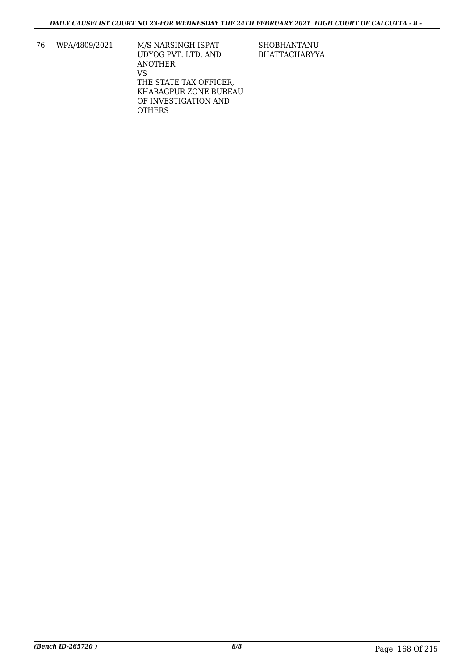76 WPA/4809/2021 M/S NARSINGH ISPAT UDYOG PVT. LTD. AND ANOTHER VS THE STATE TAX OFFICER, KHARAGPUR ZONE BUREAU OF INVESTIGATION AND **OTHERS** 

SHOBHANTANU BHATTACHARYYA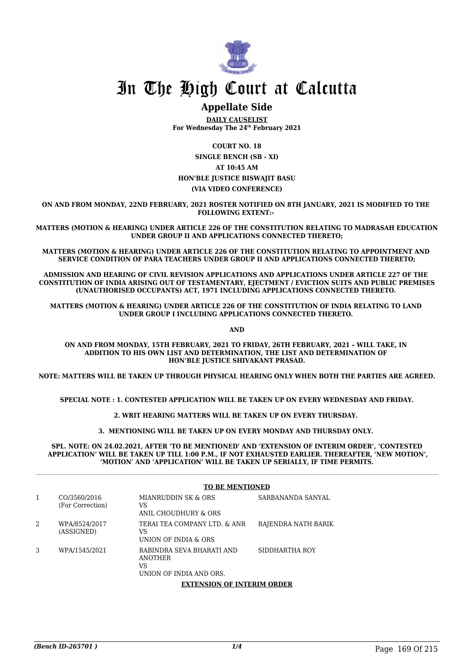

### **Appellate Side**

**DAILY CAUSELIST For Wednesday The 24th February 2021**

**COURT NO. 18 SINGLE BENCH (SB - XI) AT 10:45 AM HON'BLE JUSTICE BISWAJIT BASU (VIA VIDEO CONFERENCE)**

**ON AND FROM MONDAY, 22ND FEBRUARY, 2021 ROSTER NOTIFIED ON 8TH JANUARY, 2021 IS MODIFIED TO THE FOLLOWING EXTENT:-** 

**MATTERS (MOTION & HEARING) UNDER ARTICLE 226 OF THE CONSTITUTION RELATING TO MADRASAH EDUCATION UNDER GROUP II AND APPLICATIONS CONNECTED THERETO;**

**MATTERS (MOTION & HEARING) UNDER ARTICLE 226 OF THE CONSTITUTION RELATING TO APPOINTMENT AND SERVICE CONDITION OF PARA TEACHERS UNDER GROUP II AND APPLICATIONS CONNECTED THERETO;**

**ADMISSION AND HEARING OF CIVIL REVISION APPLICATIONS AND APPLICATIONS UNDER ARTICLE 227 OF THE CONSTITUTION OF INDIA ARISING OUT OF TESTAMENTARY, EJECTMENT / EVICTION SUITS AND PUBLIC PREMISES (UNAUTHORISED OCCUPANTS) ACT, 1971 INCLUDING APPLICATIONS CONNECTED THERETO.** 

**MATTERS (MOTION & HEARING) UNDER ARTICLE 226 OF THE CONSTITUTION OF INDIA RELATING TO LAND UNDER GROUP I INCLUDING APPLICATIONS CONNECTED THERETO.** 

**AND**

**ON AND FROM MONDAY, 15TH FEBRUARY, 2021 TO FRIDAY, 26TH FEBRUARY, 2021 – WILL TAKE, IN ADDITION TO HIS OWN LIST AND DETERMINATION, THE LIST AND DETERMINATION OF HON'BLE JUSTICE SHIVAKANT PRASAD.**

**NOTE: MATTERS WILL BE TAKEN UP THROUGH PHYSICAL HEARING ONLY WHEN BOTH THE PARTIES ARE AGREED.**

**SPECIAL NOTE : 1. CONTESTED APPLICATION WILL BE TAKEN UP ON EVERY WEDNESDAY AND FRIDAY.**

**2. WRIT HEARING MATTERS WILL BE TAKEN UP ON EVERY THURSDAY.** 

**3. MENTIONING WILL BE TAKEN UP ON EVERY MONDAY AND THURSDAY ONLY.** 

**SPL. NOTE: ON 24.02.2021, AFTER 'TO BE MENTIONED' AND 'EXTENSION OF INTERIM ORDER', 'CONTESTED APPLICATION' WILL BE TAKEN UP TILL 1:00 P.M., IF NOT EXHAUSTED EARLIER. THEREAFTER, 'NEW MOTION', 'MOTION' AND 'APPLICATION' WILL BE TAKEN UP SERIALLY, IF TIME PERMITS.** 

|   |                                  | <b>TO BE MENTIONED</b>                                                       |                     |  |
|---|----------------------------------|------------------------------------------------------------------------------|---------------------|--|
| 1 | CO/3560/2016<br>(For Correction) | MIANRUDDIN SK & ORS<br>VS<br>ANIL CHOUDHURY & ORS                            | SARBANANDA SANYAL   |  |
| 2 | WPA/8524/2017<br>(ASSIGNED)      | TERAI TEA COMPANY LTD. & ANR<br>VS<br>UNION OF INDIA & ORS                   | RAJENDRA NATH BARIK |  |
| 3 | WPA/1545/2021                    | RABINDRA SEVA BHARATI AND<br><b>ANOTHER</b><br>VS<br>UNION OF INDIA AND ORS. | SIDDHARTHA ROY      |  |
|   |                                  | <b>EXTENSION OF INTERIM ORDER</b>                                            |                     |  |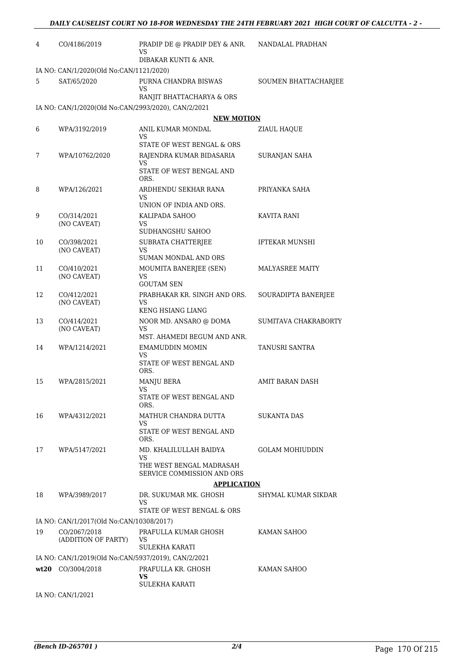| 4  | CO/4186/2019                                        | PRADIP DE @ PRADIP DEY & ANR.<br>VS                    | NANDALAL PRADHAN       |
|----|-----------------------------------------------------|--------------------------------------------------------|------------------------|
|    |                                                     | DIBAKAR KUNTI & ANR.                                   |                        |
|    | IA NO: CAN/1/2020(Old No:CAN/1121/2020)             |                                                        |                        |
| 5  | SAT/65/2020                                         | PURNA CHANDRA BISWAS<br>VS                             | SOUMEN BHATTACHARJEE   |
|    |                                                     | RANJIT BHATTACHARYA & ORS                              |                        |
|    | IA NO: CAN/1/2020(Old No:CAN/2993/2020), CAN/2/2021 | <b>NEW MOTION</b>                                      |                        |
| 6  | WPA/3192/2019                                       | ANIL KUMAR MONDAL                                      | ZIAUL HAQUE            |
|    |                                                     | VS                                                     |                        |
|    |                                                     | STATE OF WEST BENGAL & ORS                             |                        |
| 7  | WPA/10762/2020                                      | RAJENDRA KUMAR BIDASARIA                               | SURANJAN SAHA          |
|    |                                                     | VS<br>STATE OF WEST BENGAL AND<br>ORS.                 |                        |
| 8  | WPA/126/2021                                        | ARDHENDU SEKHAR RANA                                   | PRIYANKA SAHA          |
|    |                                                     | VS<br>UNION OF INDIA AND ORS.                          |                        |
| 9  | CO/314/2021                                         | KALIPADA SAHOO                                         | KAVITA RANI            |
|    | (NO CAVEAT)                                         | VS                                                     |                        |
|    |                                                     | SUDHANGSHU SAHOO                                       |                        |
| 10 | CO/398/2021                                         | SUBRATA CHATTERJEE                                     | <b>IFTEKAR MUNSHI</b>  |
|    | (NO CAVEAT)                                         | VS<br><b>SUMAN MONDAL AND ORS</b>                      |                        |
| 11 | CO/410/2021                                         | MOUMITA BANERJEE (SEN)                                 | MALYASREE MAITY        |
|    | (NO CAVEAT)                                         | VS                                                     |                        |
|    |                                                     | <b>GOUTAM SEN</b>                                      |                        |
| 12 | CO/412/2021<br>(NO CAVEAT)                          | PRABHAKAR KR. SINGH AND ORS.<br>VS                     | SOURADIPTA BANERJEE    |
|    |                                                     | KENG HSIANG LIANG                                      |                        |
| 13 | CO/414/2021                                         | NOOR MD. ANSARO @ DOMA                                 | SUMITAVA CHAKRABORTY   |
|    | (NO CAVEAT)                                         | VS<br>MST. AHAMEDI BEGUM AND ANR.                      |                        |
| 14 | WPA/1214/2021                                       | <b>EMAMUDDIN MOMIN</b>                                 | TANUSRI SANTRA         |
|    |                                                     | VS.<br>STATE OF WEST BENGAL AND<br>ORS.                |                        |
| 15 | WPA/2815/2021                                       | <b>MANJU BERA</b>                                      | AMIT BARAN DASH        |
|    |                                                     | <b>VS</b>                                              |                        |
|    |                                                     | STATE OF WEST BENGAL AND<br>ORS.                       |                        |
| 16 | WPA/4312/2021                                       | MATHUR CHANDRA DUTTA                                   | <b>SUKANTA DAS</b>     |
|    |                                                     | VS                                                     |                        |
|    |                                                     | STATE OF WEST BENGAL AND<br>ORS.                       |                        |
| 17 | WPA/5147/2021                                       | MD. KHALILULLAH BAIDYA                                 | <b>GOLAM MOHIUDDIN</b> |
|    |                                                     | VS                                                     |                        |
|    |                                                     | THE WEST BENGAL MADRASAH<br>SERVICE COMMISSION AND ORS |                        |
|    |                                                     | <b>APPLICATION</b>                                     |                        |
| 18 | WPA/3989/2017                                       | DR. SUKUMAR MK. GHOSH                                  | SHYMAL KUMAR SIKDAR    |
|    |                                                     | VS                                                     |                        |
|    |                                                     | STATE OF WEST BENGAL & ORS                             |                        |
|    | IA NO: CAN/1/2017(Old No:CAN/10308/2017)            |                                                        |                        |
| 19 | CO/2067/2018<br>(ADDITION OF PARTY)                 | PRAFULLA KUMAR GHOSH<br>VS<br>SULEKHA KARATI           | KAMAN SAHOO            |
|    | IA NO: CAN/1/2019(Old No:CAN/5937/2019), CAN/2/2021 |                                                        |                        |
|    | wt20 CO/3004/2018                                   | PRAFULLA KR. GHOSH<br>VS                               | KAMAN SAHOO            |
|    | $I_A N_O$ $C_A N1/1001$                             | SULEKHA KARATI                                         |                        |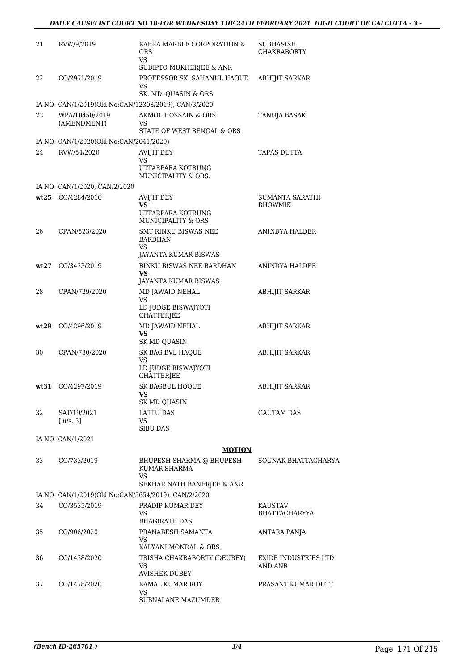| 21   | RVW/9/2019                                                             | KABRA MARBLE CORPORATION &<br><b>ORS</b><br>VS                         | SUBHASISH<br>CHAKRABORTY               |
|------|------------------------------------------------------------------------|------------------------------------------------------------------------|----------------------------------------|
|      |                                                                        | SUDIPTO MUKHERJEE & ANR                                                |                                        |
| 22   | CO/2971/2019                                                           | PROFESSOR SK. SAHANUL HAQUE<br>VS                                      | ABHIJIT SARKAR                         |
|      |                                                                        | SK. MD. QUASIN & ORS                                                   |                                        |
| 23   | IA NO: CAN/1/2019(Old No:CAN/12308/2019), CAN/3/2020<br>WPA/10450/2019 | AKMOL HOSSAIN & ORS                                                    | <b>TANUJA BASAK</b>                    |
|      | (AMENDMENT)                                                            | VS<br>STATE OF WEST BENGAL & ORS                                       |                                        |
|      | IA NO: CAN/1/2020(Old No:CAN/2041/2020)                                |                                                                        |                                        |
| 24   | RVW/54/2020                                                            | AVIJIT DEY<br>VS<br>UTTARPARA KOTRUNG                                  | TAPAS DUTTA                            |
|      |                                                                        | MUNICIPALITY & ORS.                                                    |                                        |
|      | IA NO: CAN/1/2020, CAN/2/2020                                          |                                                                        |                                        |
|      | wt25 CO/4284/2016                                                      | AVIJIT DEY<br>VS<br>UTTARPARA KOTRUNG<br><b>MUNICIPALITY &amp; ORS</b> | SUMANTA SARATHI<br><b>BHOWMIK</b>      |
| 26   | CPAN/523/2020                                                          | <b>SMT RINKU BISWAS NEE</b><br><b>BARDHAN</b><br>VS                    | <b>ANINDYA HALDER</b>                  |
|      |                                                                        | JAYANTA KUMAR BISWAS                                                   |                                        |
| wt27 | CO/3433/2019                                                           | RINKU BISWAS NEE BARDHAN<br>VS                                         | ANINDYA HALDER                         |
|      |                                                                        | JAYANTA KUMAR BISWAS                                                   |                                        |
| 28   | CPAN/729/2020                                                          | MD JAWAID NEHAL<br>VS<br>LD JUDGE BISWAJYOTI<br>CHATTERJEE             | ABHIJIT SARKAR                         |
| wt29 | CO/4296/2019                                                           | MD JAWAID NEHAL                                                        | <b>ABHIJIT SARKAR</b>                  |
|      |                                                                        | VS<br>SK MD QUASIN                                                     |                                        |
| 30   | CPAN/730/2020                                                          | SK BAG BVL HAQUE<br>VS<br>LD JUDGE BISWAJYOTI<br>CHATTERJEE            | <b>ABHIJIT SARKAR</b>                  |
|      | wt31 CO/4297/2019                                                      | SK BAGBUL HOQUE<br>VS.<br>SK MD QUASIN                                 | <b>ABHIJIT SARKAR</b>                  |
| 32   | SAT/19/2021<br>[u/s. 5]                                                | <b>LATTU DAS</b><br>VS<br><b>SIBU DAS</b>                              | <b>GAUTAM DAS</b>                      |
|      | IA NO: CAN/1/2021                                                      |                                                                        |                                        |
|      |                                                                        | <b>MOTION</b>                                                          |                                        |
| 33   | CO/733/2019                                                            | BHUPESH SHARMA @ BHUPESH<br><b>KUMAR SHARMA</b><br>VS                  | SOUNAK BHATTACHARYA                    |
|      |                                                                        | SEKHAR NATH BANERJEE & ANR                                             |                                        |
|      | IA NO: CAN/1/2019(Old No:CAN/5654/2019), CAN/2/2020                    |                                                                        |                                        |
| 34   | CO/3535/2019                                                           | PRADIP KUMAR DEY<br>VS<br><b>BHAGIRATH DAS</b>                         | KAUSTAV<br>BHATTACHARYYA               |
| 35   | CO/906/2020                                                            | PRANABESH SAMANTA<br>VS                                                | ANTARA PANJA                           |
|      |                                                                        | KALYANI MONDAL & ORS.                                                  |                                        |
| 36   | CO/1438/2020                                                           | TRISHA CHAKRABORTY (DEUBEY)<br>VS<br><b>AVISHEK DUBEY</b>              | <b>EXIDE INDUSTRIES LTD</b><br>AND ANR |
| 37   | CO/1478/2020                                                           | KAMAL KUMAR ROY                                                        | PRASANT KUMAR DUTT                     |
|      |                                                                        | VS<br>SUBNALANE MAZUMDER                                               |                                        |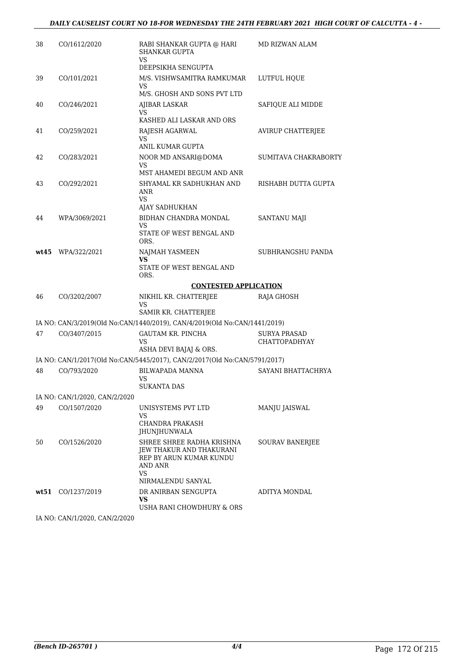| 38   | CO/1612/2020                  | RABI SHANKAR GUPTA @ HARI<br><b>SHANKAR GUPTA</b><br>VS<br>DEEPSIKHA SENGUPTA                            | MD RIZWAN ALAM                              |
|------|-------------------------------|----------------------------------------------------------------------------------------------------------|---------------------------------------------|
| 39   | CO/101/2021                   | M/S. VISHWSAMITRA RAMKUMAR                                                                               | LUTFUL HQUE                                 |
|      |                               | VS<br>M/S. GHOSH AND SONS PVT LTD                                                                        |                                             |
| 40   | CO/246/2021                   | AJIBAR LASKAR<br>VS                                                                                      | SAFIQUE ALI MIDDE                           |
|      |                               | KASHED ALI LASKAR AND ORS                                                                                |                                             |
| 41   | CO/259/2021                   | RAJESH AGARWAL<br>VS<br>ANIL KUMAR GUPTA                                                                 | AVIRUP CHATTERJEE                           |
| 42   | CO/283/2021                   | NOOR MD ANSARI@DOMA<br>VS                                                                                | SUMITAVA CHAKRABORTY                        |
|      |                               | MST AHAMEDI BEGUM AND ANR                                                                                |                                             |
| 43   | CO/292/2021                   | SHYAMAL KR SADHUKHAN AND<br>ANR<br>VS<br>AJAY SADHUKHAN                                                  | RISHABH DUTTA GUPTA                         |
| 44   | WPA/3069/2021                 | BIDHAN CHANDRA MONDAL                                                                                    | <b>SANTANU MAJI</b>                         |
|      |                               | VS<br>STATE OF WEST BENGAL AND<br>ORS.                                                                   |                                             |
|      | $wt45$ WPA/322/2021           | NAJMAH YASMEEN<br>VS<br>STATE OF WEST BENGAL AND<br>ORS.                                                 | SUBHRANGSHU PANDA                           |
|      |                               | <b>CONTESTED APPLICATION</b>                                                                             |                                             |
| 46   | CO/3202/2007                  | NIKHIL KR. CHATTERJEE<br>VS                                                                              | RAJA GHOSH                                  |
|      |                               | SAMIR KR. CHATTERJEE                                                                                     |                                             |
|      |                               | IA NO: CAN/3/2019(Old No:CAN/1440/2019), CAN/4/2019(Old No:CAN/1441/2019)                                |                                             |
| 47   | CO/3407/2015                  | <b>GAUTAM KR. PINCHA</b><br>VS                                                                           | <b>SURYA PRASAD</b><br><b>CHATTOPADHYAY</b> |
|      |                               | ASHA DEVI BAJAJ & ORS.<br>IA NO: CAN/1/2017(Old No:CAN/5445/2017), CAN/2/2017(Old No:CAN/5791/2017)      |                                             |
| 48   | CO/793/2020                   | <b>BILWAPADA MANNA</b>                                                                                   | SAYANI BHATTACHRYA                          |
|      |                               | VS<br><b>SUKANTA DAS</b>                                                                                 |                                             |
|      | IA NO: CAN/1/2020, CAN/2/2020 |                                                                                                          |                                             |
| 49   | CO/1507/2020                  | UNISYSTEMS PVT LTD                                                                                       | MANJU JAISWAL                               |
|      |                               | VS<br>CHANDRA PRAKASH<br>JHUNJHUNWALA                                                                    |                                             |
| 50   | CO/1526/2020                  | SHREE SHREE RADHA KRISHNA<br><b>JEW THAKUR AND THAKURANI</b><br>REP BY ARUN KUMAR KUNDU<br>AND ANR<br>VS | <b>SOURAV BANERJEE</b>                      |
|      |                               | NIRMALENDU SANYAL                                                                                        |                                             |
| wt51 | CO/1237/2019                  | DR ANIRBAN SENGUPTA<br>VS                                                                                | ADITYA MONDAL                               |
|      |                               | USHA RANI CHOWDHURY & ORS                                                                                |                                             |

IA NO: CAN/1/2020, CAN/2/2020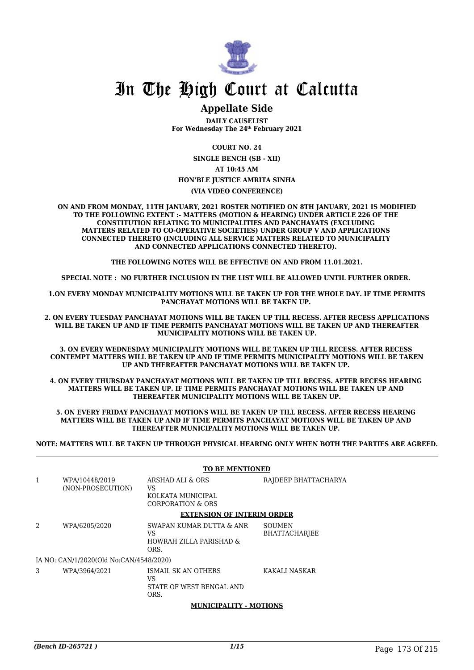

### **Appellate Side**

**DAILY CAUSELIST For Wednesday The 24th February 2021**

**COURT NO. 24**

**SINGLE BENCH (SB - XII)**

**AT 10:45 AM**

#### **HON'BLE JUSTICE AMRITA SINHA**

**(VIA VIDEO CONFERENCE)**

**ON AND FROM MONDAY, 11TH JANUARY, 2021 ROSTER NOTIFIED ON 8TH JANUARY, 2021 IS MODIFIED TO THE FOLLOWING EXTENT :- MATTERS (MOTION & HEARING) UNDER ARTICLE 226 OF THE CONSTITUTION RELATING TO MUNICIPALITIES AND PANCHAYATS (EXCLUDING MATTERS RELATED TO CO-OPERATIVE SOCIETIES) UNDER GROUP V AND APPLICATIONS CONNECTED THERETO (INCLUDING ALL SERVICE MATTERS RELATED TO MUNICIPALITY AND CONNECTED APPLICATIONS CONNECTED THERETO).** 

**THE FOLLOWING NOTES WILL BE EFFECTIVE ON AND FROM 11.01.2021.**

**SPECIAL NOTE : NO FURTHER INCLUSION IN THE LIST WILL BE ALLOWED UNTIL FURTHER ORDER.** 

**1.ON EVERY MONDAY MUNICIPALITY MOTIONS WILL BE TAKEN UP FOR THE WHOLE DAY. IF TIME PERMITS PANCHAYAT MOTIONS WILL BE TAKEN UP.** 

**2. ON EVERY TUESDAY PANCHAYAT MOTIONS WILL BE TAKEN UP TILL RECESS. AFTER RECESS APPLICATIONS WILL BE TAKEN UP AND IF TIME PERMITS PANCHAYAT MOTIONS WILL BE TAKEN UP AND THEREAFTER MUNICIPALITY MOTIONS WILL BE TAKEN UP.**

**3. ON EVERY WEDNESDAY MUNICIPALITY MOTIONS WILL BE TAKEN UP TILL RECESS. AFTER RECESS CONTEMPT MATTERS WILL BE TAKEN UP AND IF TIME PERMITS MUNICIPALITY MOTIONS WILL BE TAKEN UP AND THEREAFTER PANCHAYAT MOTIONS WILL BE TAKEN UP.** 

**4. ON EVERY THURSDAY PANCHAYAT MOTIONS WILL BE TAKEN UP TILL RECESS. AFTER RECESS HEARING MATTERS WILL BE TAKEN UP. IF TIME PERMITS PANCHAYAT MOTIONS WILL BE TAKEN UP AND THEREAFTER MUNICIPALITY MOTIONS WILL BE TAKEN UP.**

**5. ON EVERY FRIDAY PANCHAYAT MOTIONS WILL BE TAKEN UP TILL RECESS. AFTER RECESS HEARING MATTERS WILL BE TAKEN UP AND IF TIME PERMITS PANCHAYAT MOTIONS WILL BE TAKEN UP AND THEREAFTER MUNICIPALITY MOTIONS WILL BE TAKEN UP.** 

**NOTE: MATTERS WILL BE TAKEN UP THROUGH PHYSICAL HEARING ONLY WHEN BOTH THE PARTIES ARE AGREED.**

|   |                                         | <b>TO BE MENTIONED</b>                                            |                                       |  |  |
|---|-----------------------------------------|-------------------------------------------------------------------|---------------------------------------|--|--|
| 1 | WPA/10448/2019<br>(NON-PROSECUTION)     | ARSHAD ALI & ORS<br>VS<br>KOLKATA MUNICIPAL<br>CORPORATION & ORS  | RAJDEEP BHATTACHARYA                  |  |  |
|   |                                         | <b>EXTENSION OF INTERIM ORDER</b>                                 |                                       |  |  |
| 2 | WPA/6205/2020                           | SWAPAN KUMAR DUTTA & ANR<br>VS<br>HOWRAH ZILLA PARISHAD &<br>ORS. | <b>SOUMEN</b><br><b>BHATTACHARIEE</b> |  |  |
|   | IA NO: CAN/1/2020(Old No:CAN/4548/2020) |                                                                   |                                       |  |  |
| 3 | WPA/3964/2021                           | ISMAIL SK AN OTHERS<br>VS<br>STATE OF WEST BENGAL AND<br>ORS.     | KAKALI NASKAR                         |  |  |
|   |                                         | MUNICIDALITY MOTIONS                                              |                                       |  |  |

#### **MUNICIPALITY - MOTIONS**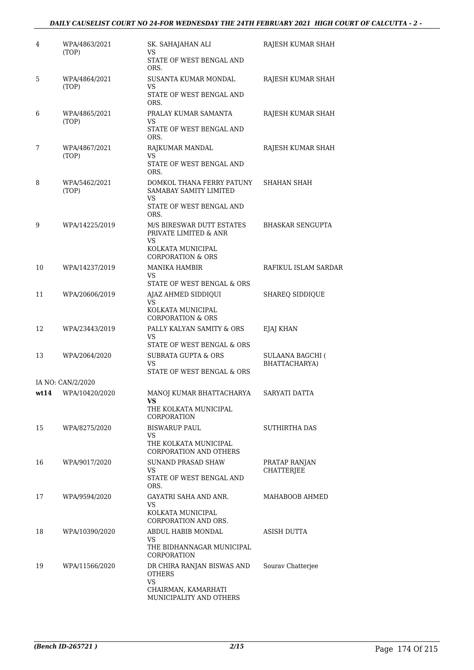#### *DAILY CAUSELIST COURT NO 24-FOR WEDNESDAY THE 24TH FEBRUARY 2021 HIGH COURT OF CALCUTTA - 2 -*

| 4  | WPA/4863/2021<br>(TOP) | SK. SAHAJAHAN ALI<br>VS                                         | RAJESH KUMAR SHAH                  |
|----|------------------------|-----------------------------------------------------------------|------------------------------------|
|    |                        | STATE OF WEST BENGAL AND<br>ORS.                                |                                    |
| 5  | WPA/4864/2021<br>(TOP) | SUSANTA KUMAR MONDAL<br>VS                                      | RAJESH KUMAR SHAH                  |
|    |                        | STATE OF WEST BENGAL AND<br>ORS.                                |                                    |
| 6  | WPA/4865/2021<br>(TOP) | PRALAY KUMAR SAMANTA<br><b>VS</b>                               | RAJESH KUMAR SHAH                  |
|    |                        | STATE OF WEST BENGAL AND<br>ORS.                                |                                    |
| 7  | WPA/4867/2021<br>(TOP) | RAJKUMAR MANDAL<br>VS                                           | RAJESH KUMAR SHAH                  |
|    |                        | STATE OF WEST BENGAL AND<br>ORS.                                |                                    |
| 8  | WPA/5462/2021<br>(TOP) | DOMKOL THANA FERRY PATUNY<br>SAMABAY SAMITY LIMITED<br>VS       | SHAHAN SHAH                        |
|    |                        | STATE OF WEST BENGAL AND<br>ORS.                                |                                    |
| 9  | WPA/14225/2019         | M/S BIRESWAR DUTT ESTATES<br>PRIVATE LIMITED & ANR<br><b>VS</b> | <b>BHASKAR SENGUPTA</b>            |
|    |                        | KOLKATA MUNICIPAL<br>CORPORATION & ORS                          |                                    |
| 10 | WPA/14237/2019         | <b>MANIKA HAMBIR</b><br>VS                                      | RAFIKUL ISLAM SARDAR               |
|    |                        | STATE OF WEST BENGAL & ORS                                      |                                    |
| 11 | WPA/20606/2019         | AJAZ AHMED SIDDIQUI<br>VS                                       | <b>SHAREQ SIDDIQUE</b>             |
|    |                        | KOLKATA MUNICIPAL<br><b>CORPORATION &amp; ORS</b>               |                                    |
| 12 | WPA/23443/2019         | PALLY KALYAN SAMITY & ORS<br>VS                                 | EJAJ KHAN                          |
| 13 | WPA/2064/2020          | STATE OF WEST BENGAL & ORS<br><b>SUBRATA GUPTA &amp; ORS</b>    | <b>SULAANA BAGCHI (</b>            |
|    |                        | VS<br>STATE OF WEST BENGAL & ORS                                | BHATTACHARYA)                      |
|    | IA NO: CAN/2/2020      |                                                                 |                                    |
|    | wt14 WPA/10420/2020    | MANOJ KUMAR BHATTACHARYA<br>VS.                                 | SARYATI DATTA                      |
|    |                        | THE KOLKATA MUNICIPAL<br>CORPORATION                            |                                    |
| 15 | WPA/8275/2020          | <b>BISWARUP PAUL</b><br>VS                                      | <b>SUTHIRTHA DAS</b>               |
|    |                        | THE KOLKATA MUNICIPAL<br><b>CORPORATION AND OTHERS</b>          |                                    |
| 16 | WPA/9017/2020          | <b>SUNAND PRASAD SHAW</b><br>VS                                 | PRATAP RANJAN<br><b>CHATTERJEE</b> |
|    |                        | STATE OF WEST BENGAL AND<br>ORS.                                |                                    |
| 17 | WPA/9594/2020          | GAYATRI SAHA AND ANR.<br>VS                                     | MAHABOOB AHMED                     |
|    |                        | KOLKATA MUNICIPAL<br>CORPORATION AND ORS.                       |                                    |
| 18 | WPA/10390/2020         | ABDUL HABIB MONDAL<br>VS                                        | <b>ASISH DUTTA</b>                 |
|    |                        | THE BIDHANNAGAR MUNICIPAL<br>CORPORATION                        |                                    |
| 19 | WPA/11566/2020         | DR CHIRA RANJAN BISWAS AND<br>OTHERS                            | Sourav Chatterjee                  |
|    |                        | VS<br>CHAIRMAN, KAMARHATI<br>MUNICIPALITY AND OTHERS            |                                    |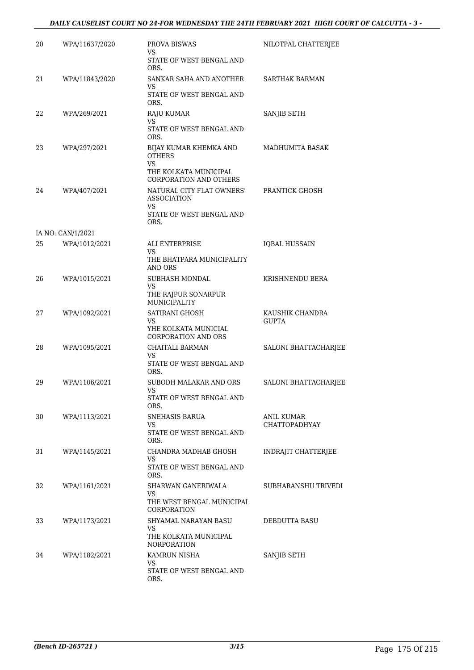| 20 | WPA/11637/2020    | PROVA BISWAS<br>VS                                                                                                         | NILOTPAL CHATTERJEE                |
|----|-------------------|----------------------------------------------------------------------------------------------------------------------------|------------------------------------|
|    |                   | STATE OF WEST BENGAL AND<br>ORS.                                                                                           |                                    |
| 21 | WPA/11843/2020    | SANKAR SAHA AND ANOTHER<br>VS<br>STATE OF WEST BENGAL AND                                                                  | <b>SARTHAK BARMAN</b>              |
|    |                   | ORS.                                                                                                                       |                                    |
| 22 | WPA/269/2021      | RAJU KUMAR<br>VS<br>STATE OF WEST BENGAL AND<br>ORS.                                                                       | SANJIB SETH                        |
| 23 | WPA/297/2021      | BIJAY KUMAR KHEMKA AND<br><b>OTHERS</b><br><b>VS</b><br>THE KOLKATA MUNICIPAL                                              | MADHUMITA BASAK                    |
| 24 | WPA/407/2021      | <b>CORPORATION AND OTHERS</b><br>NATURAL CITY FLAT OWNERS'<br><b>ASSOCIATION</b><br>VS<br>STATE OF WEST BENGAL AND<br>ORS. | <b>PRANTICK GHOSH</b>              |
|    | IA NO: CAN/1/2021 |                                                                                                                            |                                    |
| 25 | WPA/1012/2021     | ALI ENTERPRISE<br><b>VS</b>                                                                                                | <b>IQBAL HUSSAIN</b>               |
|    |                   | THE BHATPARA MUNICIPALITY<br>AND ORS                                                                                       |                                    |
| 26 | WPA/1015/2021     | SUBHASH MONDAL                                                                                                             | KRISHNENDU BERA                    |
|    |                   | VS<br>THE RAJPUR SONARPUR<br>MUNICIPALITY                                                                                  |                                    |
| 27 | WPA/1092/2021     | SATIRANI GHOSH<br>VS                                                                                                       | KAUSHIK CHANDRA<br><b>GUPTA</b>    |
|    |                   | YHE KOLKATA MUNICIAL<br><b>CORPORATION AND ORS</b>                                                                         |                                    |
| 28 | WPA/1095/2021     | CHAITALI BARMAN<br>VS                                                                                                      | SALONI BHATTACHARJEE               |
|    |                   | STATE OF WEST BENGAL AND<br>ORS.                                                                                           |                                    |
| 29 | WPA/1106/2021     | SUBODH MALAKAR AND ORS<br>VS                                                                                               | SALONI BHATTACHARJEE               |
|    |                   | STATE OF WEST BENGAL AND<br>ORS.                                                                                           |                                    |
| 30 | WPA/1113/2021     | SNEHASIS BARUA                                                                                                             | ANIL KUMAR<br><b>CHATTOPADHYAY</b> |
|    |                   | VS<br>STATE OF WEST BENGAL AND<br>ORS.                                                                                     |                                    |
| 31 | WPA/1145/2021     | CHANDRA MADHAB GHOSH<br>VS                                                                                                 | <b>INDRAJIT CHATTERJEE</b>         |
|    |                   | STATE OF WEST BENGAL AND<br>ORS.                                                                                           |                                    |
| 32 | WPA/1161/2021     | SHARWAN GANERIWALA<br>VS<br>THE WEST BENGAL MUNICIPAL<br><b>CORPORATION</b>                                                | SUBHARANSHU TRIVEDI                |
| 33 | WPA/1173/2021     | SHYAMAL NARAYAN BASU<br>VS<br>THE KOLKATA MUNICIPAL<br><b>NORPORATION</b>                                                  | DEBDUTTA BASU                      |
| 34 | WPA/1182/2021     | KAMRUN NISHA<br>VS<br>STATE OF WEST BENGAL AND<br>ORS.                                                                     | SANJIB SETH                        |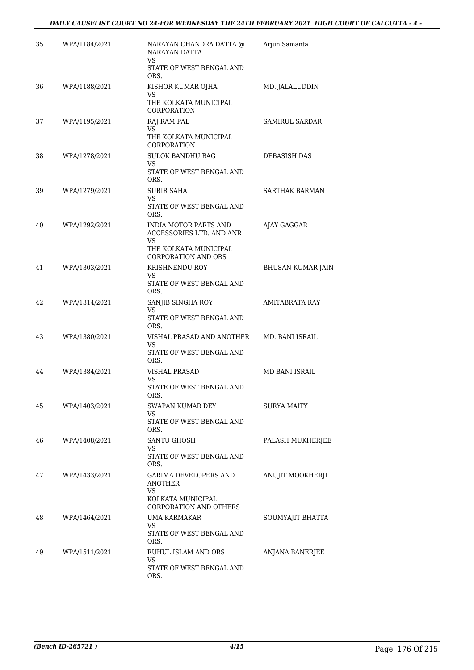| 35 | WPA/1184/2021 | NARAYAN CHANDRA DATTA @<br>NARAYAN DATTA<br>VS.                | Arjun Samanta            |
|----|---------------|----------------------------------------------------------------|--------------------------|
|    |               | STATE OF WEST BENGAL AND<br>ORS.                               |                          |
| 36 | WPA/1188/2021 | KISHOR KUMAR OJHA<br>VS.                                       | MD. JALALUDDIN           |
|    |               | THE KOLKATA MUNICIPAL<br>CORPORATION                           |                          |
| 37 | WPA/1195/2021 | RAJ RAM PAL<br>VS.                                             | SAMIRUL SARDAR           |
|    |               | THE KOLKATA MUNICIPAL<br>CORPORATION                           |                          |
| 38 | WPA/1278/2021 | <b>SULOK BANDHU BAG</b><br>VS.                                 | DEBASISH DAS             |
|    |               | STATE OF WEST BENGAL AND<br>ORS.                               |                          |
| 39 | WPA/1279/2021 | SUBIR SAHA<br>VS.                                              | SARTHAK BARMAN           |
|    |               | STATE OF WEST BENGAL AND<br>ORS.                               |                          |
| 40 | WPA/1292/2021 | <b>INDIA MOTOR PARTS AND</b><br>ACCESSORIES LTD. AND ANR<br>VS | AJAY GAGGAR              |
|    |               | THE KOLKATA MUNICIPAL<br>CORPORATION AND ORS                   |                          |
| 41 | WPA/1303/2021 | KRISHNENDU ROY<br>VS                                           | <b>BHUSAN KUMAR JAIN</b> |
|    |               | STATE OF WEST BENGAL AND<br>ORS.                               |                          |
| 42 | WPA/1314/2021 | SANJIB SINGHA ROY<br>VS.                                       | AMITABRATA RAY           |
|    |               | STATE OF WEST BENGAL AND<br>ORS.                               |                          |
| 43 | WPA/1380/2021 | VISHAL PRASAD AND ANOTHER<br>VS                                | MD. BANI ISRAIL          |
|    |               | STATE OF WEST BENGAL AND<br>ORS.                               |                          |
| 44 | WPA/1384/2021 | VISHAL PRASAD<br>VS                                            | MD BANI ISRAIL           |
|    |               | STATE OF WEST BENGAL AND<br>ORS.                               |                          |
| 45 | WPA/1403/2021 | SWAPAN KUMAR DEY<br>VS                                         | SURYA MAITY              |
|    |               | STATE OF WEST BENGAL AND<br>ORS.                               |                          |
| 46 | WPA/1408/2021 | SANTU GHOSH<br>VS                                              | PALASH MUKHERJEE         |
|    |               | STATE OF WEST BENGAL AND<br>ORS.                               |                          |
| 47 | WPA/1433/2021 | GARIMA DEVELOPERS AND<br><b>ANOTHER</b><br>VS                  | ANUJIT MOOKHERJI         |
|    |               | KOLKATA MUNICIPAL<br><b>CORPORATION AND OTHERS</b>             |                          |
| 48 | WPA/1464/2021 | UMA KARMAKAR<br>VS.                                            | SOUMYAJIT BHATTA         |
|    |               | STATE OF WEST BENGAL AND<br>ORS.                               |                          |
| 49 | WPA/1511/2021 | RUHUL ISLAM AND ORS<br>VS                                      | ANJANA BANERJEE          |
|    |               | STATE OF WEST BENGAL AND<br>ORS.                               |                          |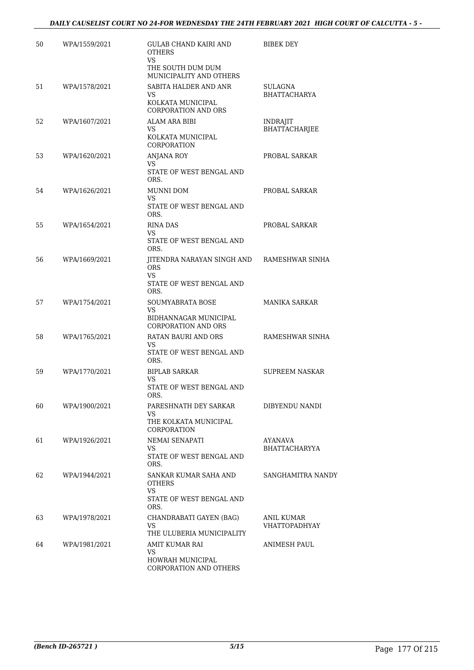| 50 | WPA/1559/2021 | <b>GULAB CHAND KAIRI AND</b><br><b>OTHERS</b><br><b>VS</b>                         | BIBEK DEY                               |
|----|---------------|------------------------------------------------------------------------------------|-----------------------------------------|
|    |               | THE SOUTH DUM DUM<br>MUNICIPALITY AND OTHERS                                       |                                         |
| 51 | WPA/1578/2021 | SABITA HALDER AND ANR<br>VS<br>KOLKATA MUNICIPAL<br>CORPORATION AND ORS            | <b>SULAGNA</b><br><b>BHATTACHARYA</b>   |
| 52 | WPA/1607/2021 | ALAM ARA BIBI<br>VS.<br>KOLKATA MUNICIPAL<br>CORPORATION                           | <b>INDRAJIT</b><br><b>BHATTACHARJEE</b> |
| 53 | WPA/1620/2021 | ANJANA ROY<br>VS.<br>STATE OF WEST BENGAL AND<br>ORS.                              | PROBAL SARKAR                           |
| 54 | WPA/1626/2021 | MUNNI DOM<br>VS<br>STATE OF WEST BENGAL AND<br>ORS.                                | PROBAL SARKAR                           |
| 55 | WPA/1654/2021 | RINA DAS<br>VS.<br>STATE OF WEST BENGAL AND<br>ORS.                                | PROBAL SARKAR                           |
| 56 | WPA/1669/2021 | JITENDRA NARAYAN SINGH AND<br><b>ORS</b><br>VS<br>STATE OF WEST BENGAL AND<br>ORS. | RAMESHWAR SINHA                         |
| 57 | WPA/1754/2021 | SOUMYABRATA BOSE<br>VS.<br>BIDHANNAGAR MUNICIPAL<br><b>CORPORATION AND ORS</b>     | <b>MANIKA SARKAR</b>                    |
| 58 | WPA/1765/2021 | RATAN BAURI AND ORS<br>VS<br>STATE OF WEST BENGAL AND<br>ORS.                      | RAMESHWAR SINHA                         |
| 59 | WPA/1770/2021 | <b>BIPLAB SARKAR</b><br>VS.<br>STATE OF WEST BENGAL AND<br>ORS.                    | SUPREEM NASKAR                          |
| 60 | WPA/1900/2021 | PARESHNATH DEY SARKAR<br>VS<br>THE KOLKATA MUNICIPAL<br>CORPORATION                | DIBYENDU NANDI                          |
| 61 | WPA/1926/2021 | NEMAI SENAPATI<br>VS.<br>STATE OF WEST BENGAL AND<br>ORS.                          | AYANAVA<br><b>BHATTACHARYYA</b>         |
| 62 | WPA/1944/2021 | SANKAR KUMAR SAHA AND<br>OTHERS<br>VS<br>STATE OF WEST BENGAL AND<br>ORS.          | SANGHAMITRA NANDY                       |
| 63 | WPA/1978/2021 | CHANDRABATI GAYEN (BAG)<br>VS<br>THE ULUBERIA MUNICIPALITY                         | ANIL KUMAR<br><b>VHATTOPADHYAY</b>      |
| 64 | WPA/1981/2021 | AMIT KUMAR RAI<br>VS<br>HOWRAH MUNICIPAL<br>CORPORATION AND OTHERS                 | ANIMESH PAUL                            |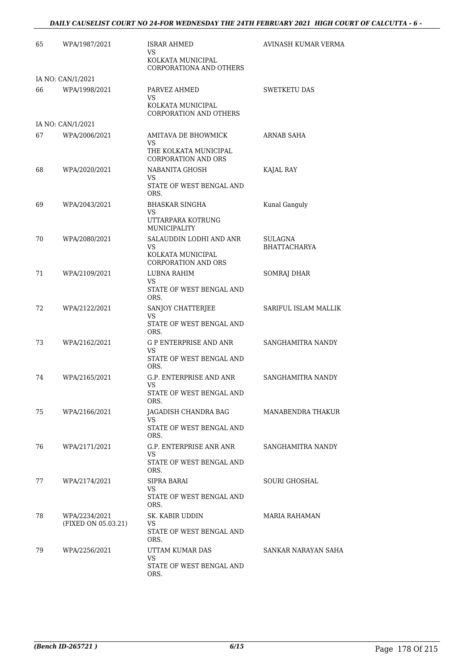#### *DAILY CAUSELIST COURT NO 24-FOR WEDNESDAY THE 24TH FEBRUARY 2021 HIGH COURT OF CALCUTTA - 6 -*

| 65 | WPA/1987/2021                        | ISRAR AHMED<br>VS                                   | AVINASH KUMAR VERMA            |
|----|--------------------------------------|-----------------------------------------------------|--------------------------------|
|    |                                      | KOLKATA MUNICIPAL<br>CORPORATIONA AND OTHERS        |                                |
|    | IA NO: CAN/1/2021                    |                                                     |                                |
| 66 | WPA/1998/2021                        | PARVEZ AHMED<br>VS.<br>KOLKATA MUNICIPAL            | <b>SWETKETU DAS</b>            |
|    |                                      | <b>CORPORATION AND OTHERS</b>                       |                                |
|    | IA NO: CAN/1/2021                    |                                                     |                                |
| 67 | WPA/2006/2021                        | AMITAVA DE BHOWMICK<br>VS.                          | ARNAB SAHA                     |
|    |                                      | THE KOLKATA MUNICIPAL<br><b>CORPORATION AND ORS</b> |                                |
| 68 | WPA/2020/2021                        | NABANITA GHOSH<br>VS.                               | KAJAL RAY                      |
|    |                                      | STATE OF WEST BENGAL AND<br>ORS.                    |                                |
| 69 | WPA/2043/2021                        | <b>BHASKAR SINGHA</b><br>VS.                        | Kunal Ganguly                  |
|    |                                      | UTTARPARA KOTRUNG<br><b>MUNICIPALITY</b>            |                                |
| 70 | WPA/2080/2021                        | SALAUDDIN LODHI AND ANR<br>VS.                      | SULAGNA<br><b>BHATTACHARYA</b> |
|    |                                      | KOLKATA MUNICIPAL<br><b>CORPORATION AND ORS</b>     |                                |
| 71 | WPA/2109/2021                        | LUBNA RAHIM                                         | SOMRAJ DHAR                    |
|    |                                      | VS.<br>STATE OF WEST BENGAL AND<br>ORS.             |                                |
| 72 | WPA/2122/2021                        | SANJOY CHATTERJEE<br>VS.                            | SARIFUL ISLAM MALLIK           |
|    |                                      | STATE OF WEST BENGAL AND<br>ORS.                    |                                |
| 73 | WPA/2162/2021                        | G P ENTERPRISE AND ANR<br>VS.                       | SANGHAMITRA NANDY              |
|    |                                      | STATE OF WEST BENGAL AND<br>ORS.                    |                                |
| 74 | WPA/2165/2021                        | G.P. ENTERPRISE AND ANR<br>VS                       | SANGHAMITRA NANDY              |
|    |                                      | STATE OF WEST BENGAL AND<br>ORS.                    |                                |
| 75 | WPA/2166/2021                        | JAGADISH CHANDRA BAG<br>VS.                         | MANABENDRA THAKUR              |
|    |                                      | STATE OF WEST BENGAL AND<br>ORS.                    |                                |
| 76 | WPA/2171/2021                        | G.P. ENTERPRISE ANR ANR<br>VS                       | SANGHAMITRA NANDY              |
|    |                                      | STATE OF WEST BENGAL AND<br>ORS.                    |                                |
| 77 | WPA/2174/2021                        | SIPRA BARAI                                         | <b>SOURI GHOSHAL</b>           |
|    |                                      | VS.<br>STATE OF WEST BENGAL AND<br>ORS.             |                                |
| 78 | WPA/2234/2021<br>(FIXED ON 05.03.21) | SK. KABIR UDDIN<br>VS                               | MARIA RAHAMAN                  |
|    |                                      | STATE OF WEST BENGAL AND<br>ORS.                    |                                |
| 79 | WPA/2256/2021                        | UTTAM KUMAR DAS<br>VS                               | SANKAR NARAYAN SAHA            |
|    |                                      | STATE OF WEST BENGAL AND<br>ORS.                    |                                |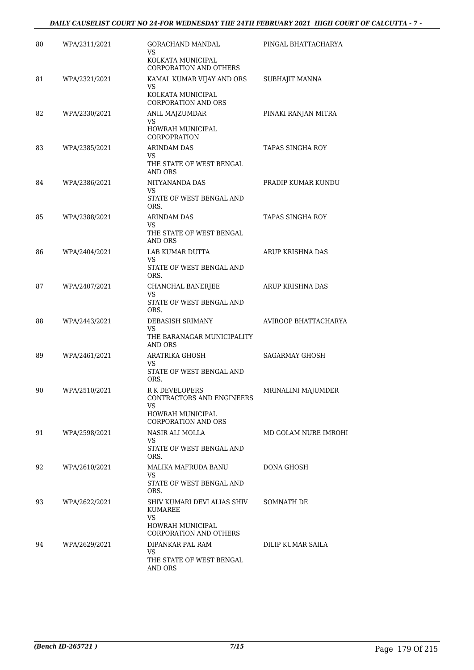| 80 | WPA/2311/2021 | GORACHAND MANDAL<br>VS                                      | PINGAL BHATTACHARYA     |
|----|---------------|-------------------------------------------------------------|-------------------------|
|    |               | KOLKATA MUNICIPAL<br>CORPORATION AND OTHERS                 |                         |
| 81 | WPA/2321/2021 | KAMAL KUMAR VIJAY AND ORS<br>VS                             | SUBHAJIT MANNA          |
|    |               | KOLKATA MUNICIPAL<br><b>CORPORATION AND ORS</b>             |                         |
| 82 | WPA/2330/2021 | ANIL MAJZUMDAR                                              | PINAKI RANJAN MITRA     |
|    |               | VS<br>HOWRAH MUNICIPAL<br>CORPOPRATION                      |                         |
| 83 | WPA/2385/2021 | <b>ARINDAM DAS</b><br>VS.                                   | <b>TAPAS SINGHA ROY</b> |
|    |               | THE STATE OF WEST BENGAL<br>AND ORS                         |                         |
| 84 | WPA/2386/2021 | NITYANANDA DAS<br>VS                                        | PRADIP KUMAR KUNDU      |
|    |               | STATE OF WEST BENGAL AND<br>ORS.                            |                         |
| 85 | WPA/2388/2021 | ARINDAM DAS<br><b>VS</b>                                    | TAPAS SINGHA ROY        |
|    |               | THE STATE OF WEST BENGAL<br>AND ORS                         |                         |
| 86 | WPA/2404/2021 | LAB KUMAR DUTTA<br>VS                                       | ARUP KRISHNA DAS        |
|    |               | STATE OF WEST BENGAL AND<br>ORS.                            |                         |
| 87 | WPA/2407/2021 | CHANCHAL BANERJEE<br>VS                                     | ARUP KRISHNA DAS        |
|    |               | STATE OF WEST BENGAL AND<br>ORS.                            |                         |
| 88 | WPA/2443/2021 | DEBASISH SRIMANY                                            | AVIROOP BHATTACHARYA    |
|    |               | VS<br>THE BARANAGAR MUNICIPALITY<br>AND ORS                 |                         |
| 89 | WPA/2461/2021 | <b>ARATRIKA GHOSH</b><br><b>VS</b>                          | <b>SAGARMAY GHOSH</b>   |
|    |               | STATE OF WEST BENGAL AND<br>ORS.                            |                         |
| 90 | WPA/2510/2021 | R K DEVELOPERS<br>CONTRACTORS AND ENGINEERS                 | MRINALINI MAJUMDER      |
|    |               | VS<br><b>HOWRAH MUNICIPAL</b><br><b>CORPORATION AND ORS</b> |                         |
| 91 | WPA/2598/2021 | NASIR ALI MOLLA                                             | MD GOLAM NURE IMROHI    |
|    |               | VS.<br>STATE OF WEST BENGAL AND<br>ORS.                     |                         |
| 92 | WPA/2610/2021 | MALIKA MAFRUDA BANU                                         | DONA GHOSH              |
|    |               | VS.<br>STATE OF WEST BENGAL AND<br>ORS.                     |                         |
| 93 | WPA/2622/2021 | SHIV KUMARI DEVI ALIAS SHIV<br>KUMAREE                      | SOMNATH DE              |
|    |               | VS<br>HOWRAH MUNICIPAL<br>CORPORATION AND OTHERS            |                         |
| 94 | WPA/2629/2021 | DIPANKAR PAL RAM                                            | DILIP KUMAR SAILA       |
|    |               | VS.<br>THE STATE OF WEST BENGAL<br>AND ORS                  |                         |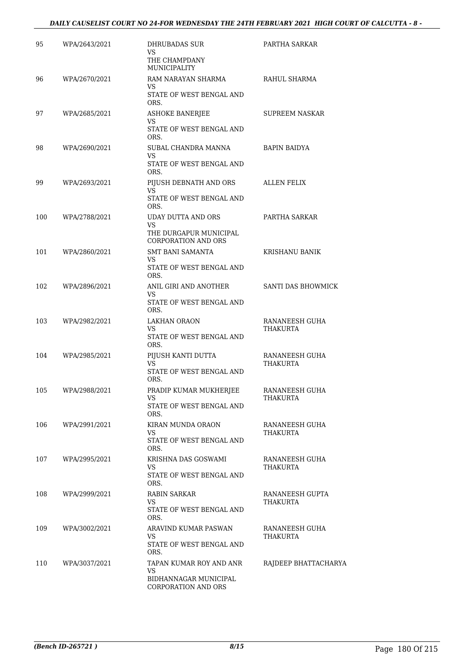| 95  | WPA/2643/2021 | <b>DHRUBADAS SUR</b><br>VS<br>THE CHAMPDANY<br><b>MUNICIPALITY</b>                      | PARTHA SARKAR                     |
|-----|---------------|-----------------------------------------------------------------------------------------|-----------------------------------|
| 96  | WPA/2670/2021 | RAM NARAYAN SHARMA<br>VS<br>STATE OF WEST BENGAL AND<br>ORS.                            | RAHUL SHARMA                      |
| 97  | WPA/2685/2021 | <b>ASHOKE BANERJEE</b><br>VS<br>STATE OF WEST BENGAL AND<br>ORS.                        | <b>SUPREEM NASKAR</b>             |
| 98  | WPA/2690/2021 | SUBAL CHANDRA MANNA<br>VS<br>STATE OF WEST BENGAL AND<br>ORS.                           | <b>BAPIN BAIDYA</b>               |
| 99  | WPA/2693/2021 | PIJUSH DEBNATH AND ORS<br>VS<br>STATE OF WEST BENGAL AND<br>ORS.                        | <b>ALLEN FELIX</b>                |
| 100 | WPA/2788/2021 | UDAY DUTTA AND ORS<br><b>VS</b><br>THE DURGAPUR MUNICIPAL<br><b>CORPORATION AND ORS</b> | PARTHA SARKAR                     |
| 101 | WPA/2860/2021 | <b>SMT BANI SAMANTA</b><br><b>VS</b><br>STATE OF WEST BENGAL AND<br>ORS.                | KRISHANU BANIK                    |
| 102 | WPA/2896/2021 | ANIL GIRI AND ANOTHER<br>VS<br>STATE OF WEST BENGAL AND<br>ORS.                         | SANTI DAS BHOWMICK                |
| 103 | WPA/2982/2021 | LAKHAN ORAON<br>VS<br>STATE OF WEST BENGAL AND<br>ORS.                                  | RANANEESH GUHA<br><b>THAKURTA</b> |
| 104 | WPA/2985/2021 | PIJUSH KANTI DUTTA<br><b>VS</b><br>STATE OF WEST BENGAL AND<br>ORS.                     | RANANEESH GUHA<br>THAKURTA        |
| 105 | WPA/2988/2021 | PRADIP KUMAR MUKHERJEE<br><b>VS</b><br>STATE OF WEST BENGAL AND<br>ORS.                 | RANANEESH GUHA<br><b>THAKURTA</b> |
| 106 | WPA/2991/2021 | KIRAN MUNDA ORAON<br>VS<br>STATE OF WEST BENGAL AND<br>ORS.                             | RANANEESH GUHA<br>THAKURTA        |
| 107 | WPA/2995/2021 | KRISHNA DAS GOSWAMI<br>VS<br>STATE OF WEST BENGAL AND<br>ORS.                           | RANANEESH GUHA<br>THAKURTA        |
| 108 | WPA/2999/2021 | RABIN SARKAR<br>VS<br>STATE OF WEST BENGAL AND<br>ORS.                                  | RANANEESH GUPTA<br>THAKURTA       |
| 109 | WPA/3002/2021 | ARAVIND KUMAR PASWAN<br>VS<br>STATE OF WEST BENGAL AND                                  | RANANEESH GUHA<br>THAKURTA        |
| 110 | WPA/3037/2021 | ORS.<br>TAPAN KUMAR ROY AND ANR<br>VS<br>BIDHANNAGAR MUNICIPAL<br>CORPORATION AND ORS   | RAJDEEP BHATTACHARYA              |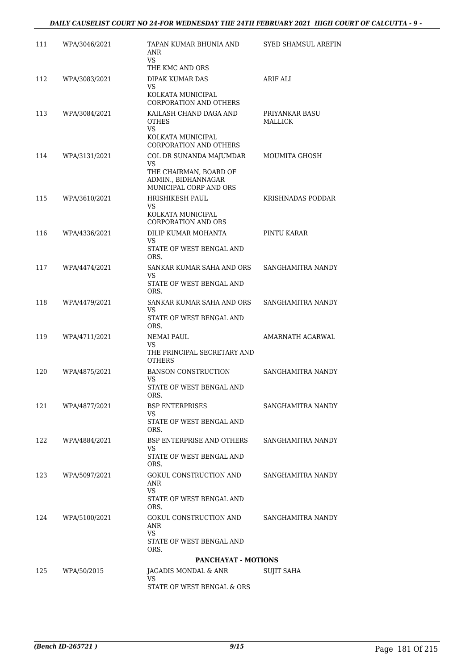| 111 | WPA/3046/2021 | TAPAN KUMAR BHUNIA AND<br>ANR<br><b>VS</b>                              | SYED SHAMSUL AREFIN              |
|-----|---------------|-------------------------------------------------------------------------|----------------------------------|
|     |               | THE KMC AND ORS                                                         |                                  |
| 112 | WPA/3083/2021 | DIPAK KUMAR DAS<br>VS                                                   | ARIF ALI                         |
|     |               | KOLKATA MUNICIPAL<br><b>CORPORATION AND OTHERS</b>                      |                                  |
| 113 | WPA/3084/2021 | KAILASH CHAND DAGA AND<br><b>OTHES</b><br><b>VS</b>                     | PRIYANKAR BASU<br><b>MALLICK</b> |
|     |               | KOLKATA MUNICIPAL<br>CORPORATION AND OTHERS                             |                                  |
| 114 | WPA/3131/2021 | COL DR SUNANDA MAJUMDAR<br>VS                                           | MOUMITA GHOSH                    |
|     |               | THE CHAIRMAN, BOARD OF<br>ADMIN., BIDHANNAGAR<br>MUNICIPAL CORP AND ORS |                                  |
| 115 | WPA/3610/2021 | HRISHIKESH PAUL<br>VS                                                   | KRISHNADAS PODDAR                |
|     |               | KOLKATA MUNICIPAL<br><b>CORPORATION AND ORS</b>                         |                                  |
| 116 | WPA/4336/2021 | DILIP KUMAR MOHANTA<br>VS                                               | PINTU KARAR                      |
|     |               | STATE OF WEST BENGAL AND<br>ORS.                                        |                                  |
| 117 | WPA/4474/2021 | SANKAR KUMAR SAHA AND ORS<br>VS                                         | SANGHAMITRA NANDY                |
|     |               | STATE OF WEST BENGAL AND<br>ORS.                                        |                                  |
| 118 | WPA/4479/2021 | SANKAR KUMAR SAHA AND ORS<br>VS.                                        | SANGHAMITRA NANDY                |
|     |               | STATE OF WEST BENGAL AND<br>ORS.                                        |                                  |
| 119 | WPA/4711/2021 | NEMAI PAUL<br>VS                                                        | AMARNATH AGARWAL                 |
|     |               | THE PRINCIPAL SECRETARY AND<br><b>OTHERS</b>                            |                                  |
| 120 | WPA/4875/2021 | <b>BANSON CONSTRUCTION</b><br>VS                                        | SANGHAMITRA NANDY                |
|     |               | STATE OF WEST BENGAL AND<br>ORS.                                        |                                  |
| 121 | WPA/4877/2021 | <b>BSP ENTERPRISES</b><br>VS                                            | SANGHAMITRA NANDY                |
|     |               | STATE OF WEST BENGAL AND<br>ORS.                                        |                                  |
| 122 | WPA/4884/2021 | BSP ENTERPRISE AND OTHERS<br>VS.                                        | SANGHAMITRA NANDY                |
|     |               | STATE OF WEST BENGAL AND<br>ORS.                                        |                                  |
| 123 | WPA/5097/2021 | GOKUL CONSTRUCTION AND<br>ANR                                           | SANGHAMITRA NANDY                |
|     |               | VS<br>STATE OF WEST BENGAL AND<br>ORS.                                  |                                  |
| 124 | WPA/5100/2021 | GOKUL CONSTRUCTION AND<br>ANR<br>VS.                                    | SANGHAMITRA NANDY                |
|     |               | STATE OF WEST BENGAL AND<br>ORS.                                        |                                  |
|     |               | <b>PANCHAYAT - MOTIONS</b>                                              |                                  |
| 125 | WPA/50/2015   | JAGADIS MONDAL & ANR                                                    | <b>SUJIT SAHA</b>                |
|     |               | VS<br>STATE OF WEST BENGAL & ORS                                        |                                  |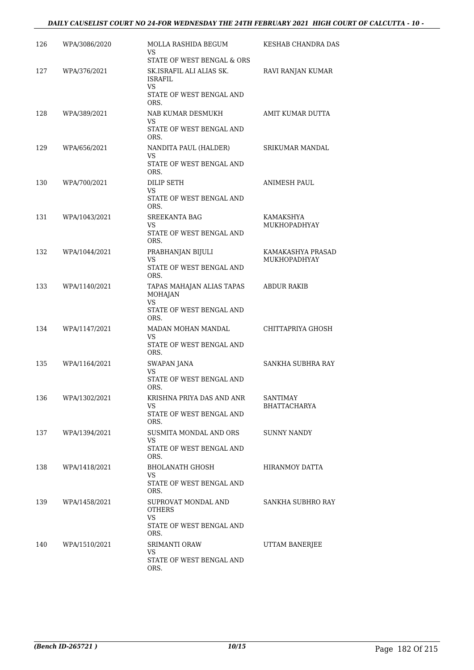| 126 | WPA/3086/2020 | MOLLA RASHIDA BEGUM<br>VS.                             | KESHAB CHANDRA DAS                       |
|-----|---------------|--------------------------------------------------------|------------------------------------------|
| 127 | WPA/376/2021  | STATE OF WEST BENGAL & ORS<br>SK.ISRAFIL ALI ALIAS SK. | RAVI RANJAN KUMAR                        |
|     |               | ISRAFIL<br>VS<br>STATE OF WEST BENGAL AND              |                                          |
| 128 | WPA/389/2021  | ORS.<br>NAB KUMAR DESMUKH                              | AMIT KUMAR DUTTA                         |
|     |               | <b>VS</b><br>STATE OF WEST BENGAL AND<br>ORS.          |                                          |
| 129 | WPA/656/2021  | NANDITA PAUL (HALDER)<br><b>VS</b>                     | SRIKUMAR MANDAL                          |
|     |               | STATE OF WEST BENGAL AND<br>ORS.                       |                                          |
| 130 | WPA/700/2021  | DILIP SETH<br>VS                                       | ANIMESH PAUL                             |
|     |               | STATE OF WEST BENGAL AND<br>ORS.                       |                                          |
| 131 | WPA/1043/2021 | <b>SREEKANTA BAG</b><br>VS                             | KAMAKSHYA<br>MUKHOPADHYAY                |
|     |               | STATE OF WEST BENGAL AND<br>ORS.                       |                                          |
| 132 | WPA/1044/2021 | PRABHANJAN BIJULI<br><b>VS</b>                         | KAMAKASHYA PRASAD<br><b>MUKHOPADHYAY</b> |
|     |               | STATE OF WEST BENGAL AND<br>ORS.                       |                                          |
| 133 | WPA/1140/2021 | TAPAS MAHAJAN ALIAS TAPAS<br><b>MOHAJAN</b><br>VS.     | ABDUR RAKIB                              |
|     |               | STATE OF WEST BENGAL AND<br>ORS.                       |                                          |
| 134 | WPA/1147/2021 | MADAN MOHAN MANDAL<br>VS                               | CHITTAPRIYA GHOSH                        |
|     |               | STATE OF WEST BENGAL AND<br>ORS.                       |                                          |
| 135 | WPA/1164/2021 | SWAPAN JANA<br>VS                                      | SANKHA SUBHRA RAY                        |
|     |               | STATE OF WEST BENGAL AND<br>ORS.                       |                                          |
| 136 | WPA/1302/2021 | KRISHNA PRIYA DAS AND ANR<br>VS                        | <b>SANTIMAY</b><br>BHATTACHARYA          |
|     |               | STATE OF WEST BENGAL AND<br>ORS.                       |                                          |
| 137 | WPA/1394/2021 | SUSMITA MONDAL AND ORS<br>VS.                          | SUNNY NANDY                              |
|     |               | STATE OF WEST BENGAL AND<br>ORS.                       |                                          |
| 138 | WPA/1418/2021 | <b>BHOLANATH GHOSH</b><br>VS                           | HIRANMOY DATTA                           |
|     |               | STATE OF WEST BENGAL AND<br>ORS.                       |                                          |
| 139 | WPA/1458/2021 | SUPROVAT MONDAL AND<br>OTHERS<br><b>VS</b>             | SANKHA SUBHRO RAY                        |
|     |               | STATE OF WEST BENGAL AND<br>ORS.                       |                                          |
| 140 | WPA/1510/2021 | SRIMANTI ORAW<br>VS                                    | UTTAM BANERJEE                           |
|     |               | STATE OF WEST BENGAL AND<br>ORS.                       |                                          |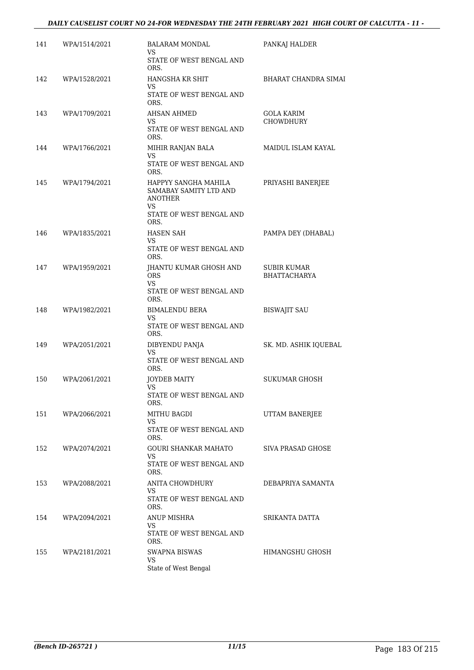| 141 | WPA/1514/2021 | <b>BALARAM MONDAL</b><br>VS                                                                          | PANKAJ HALDER                      |
|-----|---------------|------------------------------------------------------------------------------------------------------|------------------------------------|
|     |               | STATE OF WEST BENGAL AND<br>ORS.                                                                     |                                    |
| 142 | WPA/1528/2021 | HANGSHA KR SHIT<br>VS<br>STATE OF WEST BENGAL AND<br>ORS.                                            | BHARAT CHANDRA SIMAI               |
| 143 | WPA/1709/2021 | AHSAN AHMED<br>VS<br>STATE OF WEST BENGAL AND<br>ORS.                                                | GOLA KARIM<br><b>CHOWDHURY</b>     |
| 144 | WPA/1766/2021 | MIHIR RANJAN BALA<br>VS<br>STATE OF WEST BENGAL AND<br>ORS.                                          | MAIDUL ISLAM KAYAL                 |
| 145 | WPA/1794/2021 | HAPPYY SANGHA MAHILA<br>SAMABAY SAMITY LTD AND<br>ANOTHER<br>VS.<br>STATE OF WEST BENGAL AND<br>ORS. | PRIYASHI BANERJEE                  |
| 146 | WPA/1835/2021 | HASEN SAH<br>VS<br>STATE OF WEST BENGAL AND<br>ORS.                                                  | PAMPA DEY (DHABAL)                 |
| 147 | WPA/1959/2021 | <b>IHANTU KUMAR GHOSH AND</b><br><b>ORS</b><br>VS.<br>STATE OF WEST BENGAL AND                       | SUBIR KUMAR<br><b>BHATTACHARYA</b> |
| 148 | WPA/1982/2021 | ORS.<br><b>BIMALENDU BERA</b><br>VS<br>STATE OF WEST BENGAL AND                                      | <b>BISWAJIT SAU</b>                |
| 149 | WPA/2051/2021 | ORS.<br>DIBYENDU PANJA<br><b>VS</b><br>STATE OF WEST BENGAL AND<br>ORS.                              | SK. MD. ASHIK IQUEBAL              |
| 150 | WPA/2061/2021 | JOYDEB MAITY<br>VS<br>STATE OF WEST BENGAL AND<br>ORS.                                               | SUKUMAR GHOSH                      |
| 151 | WPA/2066/2021 | MITHU BAGDI<br>VS.<br>STATE OF WEST BENGAL AND<br>ORS.                                               | UTTAM BANERJEE                     |
| 152 | WPA/2074/2021 | GOURI SHANKAR MAHATO<br>VS<br>STATE OF WEST BENGAL AND<br>ORS.                                       | SIVA PRASAD GHOSE                  |
| 153 | WPA/2088/2021 | ANITA CHOWDHURY<br>VS<br>STATE OF WEST BENGAL AND<br>ORS.                                            | DEBAPRIYA SAMANTA                  |
| 154 | WPA/2094/2021 | ANUP MISHRA<br>VS<br>STATE OF WEST BENGAL AND<br>ORS.                                                | SRIKANTA DATTA                     |
| 155 | WPA/2181/2021 | SWAPNA BISWAS<br>VS<br>State of West Bengal                                                          | HIMANGSHU GHOSH                    |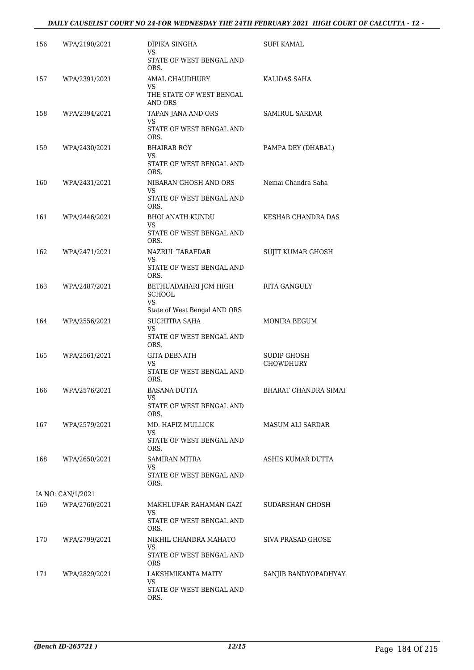| 156 | WPA/2190/2021     | DIPIKA SINGHA<br>VS.<br>STATE OF WEST BENGAL AND                                    | <b>SUFI KAMAL</b>               |
|-----|-------------------|-------------------------------------------------------------------------------------|---------------------------------|
|     |                   | ORS.                                                                                |                                 |
| 157 | WPA/2391/2021     | AMAL CHAUDHURY<br>VS<br>THE STATE OF WEST BENGAL<br>AND ORS                         | KALIDAS SAHA                    |
| 158 | WPA/2394/2021     | TAPAN JANA AND ORS<br><b>VS</b><br>STATE OF WEST BENGAL AND<br>ORS.                 | <b>SAMIRUL SARDAR</b>           |
| 159 | WPA/2430/2021     | <b>BHAIRAB ROY</b><br>VS<br>STATE OF WEST BENGAL AND<br>ORS.                        | PAMPA DEY (DHABAL)              |
| 160 | WPA/2431/2021     | NIBARAN GHOSH AND ORS<br>VS.<br>STATE OF WEST BENGAL AND                            | Nemai Chandra Saha              |
| 161 | WPA/2446/2021     | ORS.<br><b>BHOLANATH KUNDU</b><br>VS<br>STATE OF WEST BENGAL AND                    | KESHAB CHANDRA DAS              |
| 162 | WPA/2471/2021     | ORS.<br>NAZRUL TARAFDAR                                                             | SUJIT KUMAR GHOSH               |
|     |                   | <b>VS</b><br>STATE OF WEST BENGAL AND<br>ORS.                                       |                                 |
| 163 | WPA/2487/2021     | BETHUADAHARI JCM HIGH<br><b>SCHOOL</b><br><b>VS</b><br>State of West Bengal AND ORS | RITA GANGULY                    |
| 164 | WPA/2556/2021     | <b>SUCHITRA SAHA</b><br><b>VS</b><br>STATE OF WEST BENGAL AND<br>ORS.               | MONIRA BEGUM                    |
| 165 | WPA/2561/2021     | <b>GITA DEBNATH</b><br>VS<br>STATE OF WEST BENGAL AND<br>ORS.                       | <b>SUDIP GHOSH</b><br>CHOWDHURY |
| 166 | WPA/2576/2021     | <b>BASANA DUTTA</b><br>VS<br>STATE OF WEST BENGAL AND<br>ORS.                       | <b>BHARAT CHANDRA SIMAI</b>     |
| 167 | WPA/2579/2021     | MD. HAFIZ MULLICK<br><b>VS</b><br>STATE OF WEST BENGAL AND<br>ORS.                  | MASUM ALI SARDAR                |
| 168 | WPA/2650/2021     | SAMIRAN MITRA<br>VS.<br>STATE OF WEST BENGAL AND<br>ORS.                            | ASHIS KUMAR DUTTA               |
|     | IA NO: CAN/1/2021 |                                                                                     |                                 |
| 169 | WPA/2760/2021     | MAKHLUFAR RAHAMAN GAZI<br>VS<br>STATE OF WEST BENGAL AND<br>ORS.                    | SUDARSHAN GHOSH                 |
| 170 | WPA/2799/2021     | NIKHIL CHANDRA MAHATO<br>VS<br>STATE OF WEST BENGAL AND<br><b>ORS</b>               | SIVA PRASAD GHOSE               |
| 171 | WPA/2829/2021     | LAKSHMIKANTA MAITY<br>VS<br>STATE OF WEST BENGAL AND<br>ORS.                        | SANJIB BANDYOPADHYAY            |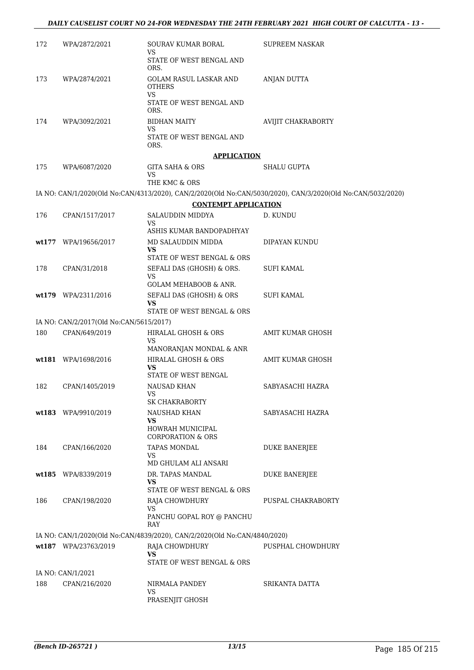| 172 | WPA/2872/2021                                            | SOURAV KUMAR BORAL<br>VS                                                  | <b>SUPREEM NASKAR</b>                                                                                       |
|-----|----------------------------------------------------------|---------------------------------------------------------------------------|-------------------------------------------------------------------------------------------------------------|
|     |                                                          | STATE OF WEST BENGAL AND<br>ORS.                                          |                                                                                                             |
| 173 | WPA/2874/2021                                            | GOLAM RASUL LASKAR AND<br><b>OTHERS</b>                                   | <b>ANJAN DUTTA</b>                                                                                          |
|     |                                                          | VS<br>STATE OF WEST BENGAL AND<br>ORS.                                    |                                                                                                             |
| 174 | WPA/3092/2021                                            | <b>BIDHAN MAITY</b>                                                       | <b>AVIJIT CHAKRABORTY</b>                                                                                   |
|     |                                                          | VS<br>STATE OF WEST BENGAL AND<br>ORS.                                    |                                                                                                             |
|     |                                                          | <b>APPLICATION</b>                                                        |                                                                                                             |
| 175 | WPA/6087/2020                                            | GITA SAHA & ORS                                                           | SHALU GUPTA                                                                                                 |
|     |                                                          | VS<br>THE KMC & ORS                                                       |                                                                                                             |
|     |                                                          |                                                                           | IA NO: CAN/1/2020(Old No:CAN/4313/2020), CAN/2/2020(Old No:CAN/5030/2020), CAN/3/2020(Old No:CAN/5032/2020) |
|     |                                                          | <b>CONTEMPT APPLICATION</b>                                               |                                                                                                             |
| 176 | CPAN/1517/2017                                           | SALAUDDIN MIDDYA                                                          | D. KUNDU                                                                                                    |
|     |                                                          | VS                                                                        |                                                                                                             |
|     |                                                          | ASHIS KUMAR BANDOPADHYAY<br>MD SALAUDDIN MIDDA                            |                                                                                                             |
|     | wt177 WPA/19656/2017                                     | <b>VS</b>                                                                 | DIPAYAN KUNDU                                                                                               |
|     |                                                          | STATE OF WEST BENGAL & ORS                                                |                                                                                                             |
| 178 | CPAN/31/2018                                             | SEFALI DAS (GHOSH) & ORS.                                                 | SUFI KAMAL                                                                                                  |
|     |                                                          | VS<br><b>GOLAM MEHABOOB &amp; ANR.</b>                                    |                                                                                                             |
|     | wt179 WPA/2311/2016                                      | SEFALI DAS (GHOSH) & ORS                                                  | SUFI KAMAL                                                                                                  |
|     |                                                          | VS                                                                        |                                                                                                             |
|     |                                                          | STATE OF WEST BENGAL & ORS                                                |                                                                                                             |
| 180 | IA NO: CAN/2/2017(Old No:CAN/5615/2017)<br>CPAN/649/2019 | HIRALAL GHOSH & ORS                                                       | AMIT KUMAR GHOSH                                                                                            |
|     |                                                          | VS                                                                        |                                                                                                             |
|     |                                                          | MANORANJAN MONDAL & ANR                                                   |                                                                                                             |
|     | wt181 WPA/1698/2016                                      | HIRALAL GHOSH & ORS<br>VS<br>STATE OF WEST BENGAL                         | AMIT KUMAR GHOSH                                                                                            |
| 182 | CPAN/1405/2019                                           | <b>NAUSAD KHAN</b>                                                        | SABYASACHI HAZRA                                                                                            |
|     |                                                          | <b>VS</b><br><b>SK CHAKRABORTY</b>                                        |                                                                                                             |
|     | wt183 WPA/9910/2019                                      | NAUSHAD KHAN                                                              | SABYASACHI HAZRA                                                                                            |
|     |                                                          | VS<br>HOWRAH MUNICIPAL                                                    |                                                                                                             |
|     |                                                          | <b>CORPORATION &amp; ORS</b>                                              |                                                                                                             |
| 184 | CPAN/166/2020                                            | <b>TAPAS MONDAL</b>                                                       | DUKE BANERJEE                                                                                               |
|     |                                                          | VS<br>MD GHULAM ALI ANSARI                                                |                                                                                                             |
|     | wt185 WPA/8339/2019                                      | DR. TAPAS MANDAL                                                          | <b>DUKE BANERJEE</b>                                                                                        |
|     |                                                          | VS<br>STATE OF WEST BENGAL & ORS                                          |                                                                                                             |
| 186 | CPAN/198/2020                                            | RAJA CHOWDHURY                                                            | PUSPAL CHAKRABORTY                                                                                          |
|     |                                                          | VS<br>PANCHU GOPAL ROY @ PANCHU<br>RAY                                    |                                                                                                             |
|     |                                                          | IA NO: CAN/1/2020(Old No:CAN/4839/2020), CAN/2/2020(Old No:CAN/4840/2020) |                                                                                                             |
|     | wt187 WPA/23763/2019                                     | RAJA CHOWDHURY                                                            | PUSPHAL CHOWDHURY                                                                                           |
|     |                                                          | VS                                                                        |                                                                                                             |
|     |                                                          | STATE OF WEST BENGAL & ORS                                                |                                                                                                             |
| 188 | IA NO: CAN/1/2021<br>CPAN/216/2020                       | NIRMALA PANDEY                                                            | SRIKANTA DATTA                                                                                              |
|     |                                                          | VS                                                                        |                                                                                                             |
|     |                                                          | PRASENJIT GHOSH                                                           |                                                                                                             |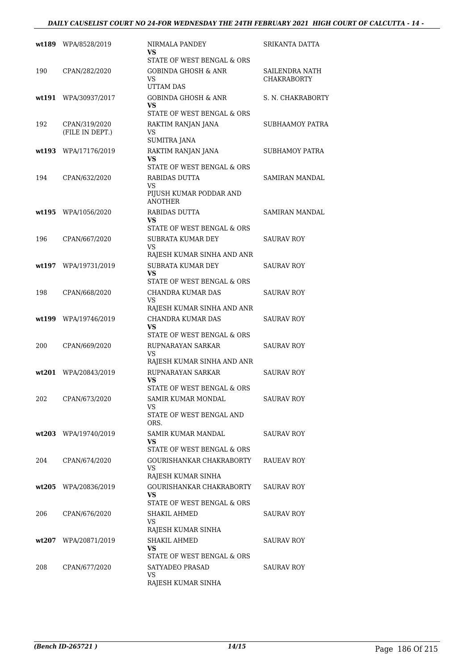#### *DAILY CAUSELIST COURT NO 24-FOR WEDNESDAY THE 24TH FEBRUARY 2021 HIGH COURT OF CALCUTTA - 14 -*

|        | wt189 WPA/8528/2019              | NIRMALA PANDEY<br>VS                                                                           | SRIKANTA DATTA                       |
|--------|----------------------------------|------------------------------------------------------------------------------------------------|--------------------------------------|
| 190    | CPAN/282/2020                    | STATE OF WEST BENGAL & ORS<br><b>GOBINDA GHOSH &amp; ANR</b><br>VS                             | SAILENDRA NATH<br><b>CHAKRABORTY</b> |
| wt 191 | WPA/30937/2017                   | UTTAM DAS<br>GOBINDA GHOSH & ANR<br>VS                                                         | S. N. CHAKRABORTY                    |
| 192    | CPAN/319/2020<br>(FILE IN DEPT.) | STATE OF WEST BENGAL & ORS<br>RAKTIM RANJAN JANA<br>VS                                         | SUBHAAMOY PATRA                      |
| wt193  | WPA/17176/2019                   | SUMITRA JANA<br>RAKTIM RANJAN JANA<br>VS                                                       | SUBHAMOY PATRA                       |
| 194    | CPAN/632/2020                    | STATE OF WEST BENGAL & ORS<br>RABIDAS DUTTA<br>VS<br>PIJUSH KUMAR PODDAR AND<br><b>ANOTHER</b> | SAMIRAN MANDAL                       |
|        | $wt195$ WPA/1056/2020            | RABIDAS DUTTA<br>VS.                                                                           | SAMIRAN MANDAL                       |
| 196    | CPAN/667/2020                    | STATE OF WEST BENGAL & ORS<br>SUBRATA KUMAR DEY<br>VS                                          | <b>SAURAV ROY</b>                    |
| wt.197 | WPA/19731/2019                   | RAJESH KUMAR SINHA AND ANR<br><b>SUBRATA KUMAR DEY</b><br>VS<br>STATE OF WEST BENGAL & ORS     | <b>SAURAV ROY</b>                    |
| 198    | CPAN/668/2020                    | CHANDRA KUMAR DAS<br>VS<br>RAJESH KUMAR SINHA AND ANR                                          | SAURAV ROY                           |
| wt 199 | WPA/19746/2019                   | CHANDRA KUMAR DAS<br>VS<br>STATE OF WEST BENGAL & ORS                                          | SAURAV ROY                           |
| 200    | CPAN/669/2020                    | RUPNARAYAN SARKAR<br>VS<br>RAJESH KUMAR SINHA AND ANR                                          | SAURAV ROY                           |
| wt201  | WPA/20843/2019                   | RUPNARAYAN SARKAR<br>VS<br>STATE OF WEST BENGAL & ORS                                          | SAURAV ROY                           |
| 202    | CPAN/673/2020                    | SAMIR KUMAR MONDAL<br>VS.<br>STATE OF WEST BENGAL AND<br>ORS.                                  | SAURAV ROY                           |
|        | wt203 WPA/19740/2019             | SAMIR KUMAR MANDAL<br>VS.<br>STATE OF WEST BENGAL & ORS                                        | SAURAV ROY                           |
| 204    | CPAN/674/2020                    | GOURISHANKAR CHAKRABORTY<br>VS<br>RAJESH KUMAR SINHA                                           | RAUEAV ROY                           |
| wt205  | WPA/20836/2019                   | GOURISHANKAR CHAKRABORTY<br>VS<br>STATE OF WEST BENGAL & ORS                                   | SAURAV ROY                           |
| 206    | CPAN/676/2020                    | SHAKIL AHMED<br><b>VS</b><br>RAJESH KUMAR SINHA                                                | SAURAV ROY                           |
| wt207  | WPA/20871/2019                   | SHAKIL AHMED<br>VS<br>STATE OF WEST BENGAL & ORS                                               | SAURAV ROY                           |
| 208    | CPAN/677/2020                    | SATYADEO PRASAD<br>VS<br>RAJESH KUMAR SINHA                                                    | SAURAV ROY                           |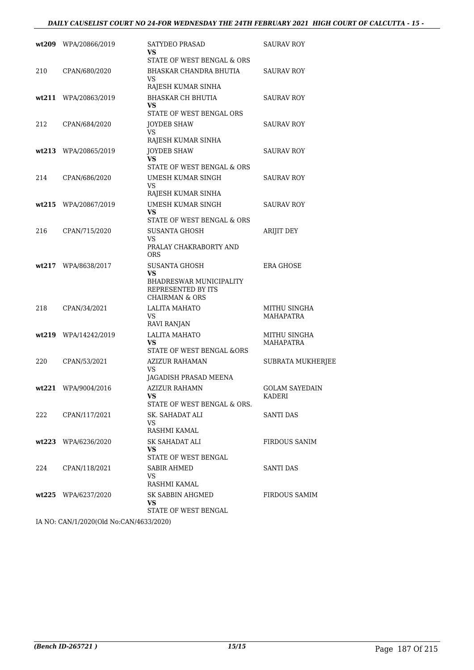|       | wt209 WPA/20866/2019 | SATYDEO PRASAD<br>VS<br>STATE OF WEST BENGAL & ORS                                                               | <b>SAURAV ROY</b>               |
|-------|----------------------|------------------------------------------------------------------------------------------------------------------|---------------------------------|
| 210   | CPAN/680/2020        | BHASKAR CHANDRA BHUTIA<br>VS<br>RAJESH KUMAR SINHA                                                               | SAURAV ROY                      |
|       | wt211 WPA/20863/2019 | <b>BHASKAR CH BHUTIA</b><br><b>VS</b><br>STATE OF WEST BENGAL ORS                                                | SAURAV ROY                      |
| 212   | CPAN/684/2020        | <b>JOYDEB SHAW</b><br>VS<br>RAJESH KUMAR SINHA                                                                   | <b>SAURAV ROY</b>               |
|       | wt213 WPA/20865/2019 | <b>JOYDEB SHAW</b><br>VS.<br>STATE OF WEST BENGAL & ORS                                                          | SAURAV ROY                      |
| 214   | CPAN/686/2020        | UMESH KUMAR SINGH<br>VS.<br>RAJESH KUMAR SINHA                                                                   | SAURAV ROY                      |
|       | wt215 WPA/20867/2019 | UMESH KUMAR SINGH<br>VS.<br>STATE OF WEST BENGAL & ORS                                                           | SAURAV ROY                      |
| 216   | CPAN/715/2020        | SUSANTA GHOSH<br>VS<br>PRALAY CHAKRABORTY AND<br><b>ORS</b>                                                      | ARIJIT DEY                      |
| wt217 | WPA/8638/2017        | <b>SUSANTA GHOSH</b><br>VS.<br><b>BHADRESWAR MUNICIPALITY</b><br>REPRESENTED BY ITS<br><b>CHAIRMAN &amp; ORS</b> | <b>ERA GHOSE</b>                |
| 218   | CPAN/34/2021         | <b>LALITA MAHATO</b><br>VS<br>RAVI RANJAN                                                                        | MITHU SINGHA<br>MAHAPATRA       |
|       | wt219 WPA/14242/2019 | LALITA MAHATO<br>VS<br>STATE OF WEST BENGAL &ORS                                                                 | MITHU SINGHA<br>MAHAPATRA       |
| 220   | CPAN/53/2021         | AZIZUR RAHAMAN<br>VS<br>JAGADISH PRASAD MEENA                                                                    | SUBRATA MUKHERJEE               |
|       | wt221 WPA/9004/2016  | AZIZUR RAHAMN<br>VS.<br>STATE OF WEST BENGAL & ORS.                                                              | <b>GOLAM SAYEDAIN</b><br>KADERI |
| 222   | CPAN/117/2021        | SK. SAHADAT ALI<br>VS<br>RASHMI KAMAL                                                                            | SANTI DAS                       |
|       | wt223 WPA/6236/2020  | SK SAHADAT ALI<br>VS.<br>STATE OF WEST BENGAL                                                                    | FIRDOUS SANIM                   |
| 224   | CPAN/118/2021        | <b>SABIR AHMED</b><br>VS<br>RASHMI KAMAL                                                                         | SANTI DAS                       |
|       | wt225 WPA/6237/2020  | SK SABBIN AHGMED<br>VS<br>STATE OF WEST BENGAL                                                                   | <b>FIRDOUS SAMIM</b>            |

IA NO: CAN/1/2020(Old No:CAN/4633/2020)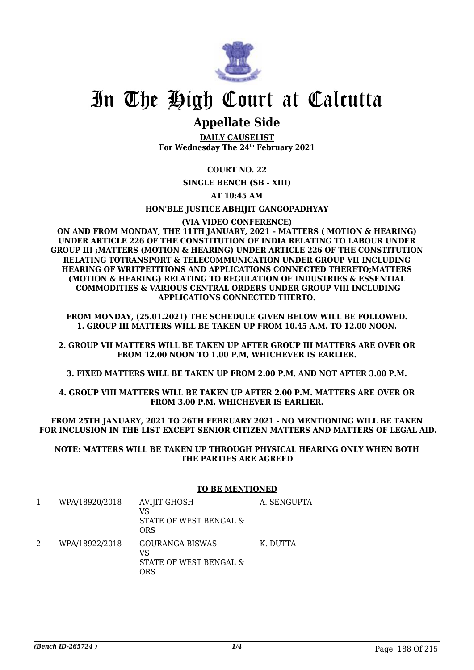

### **Appellate Side**

**DAILY CAUSELIST For Wednesday The 24th February 2021**

#### **COURT NO. 22**

**SINGLE BENCH (SB - XIII)**

#### **AT 10:45 AM**

#### **HON'BLE JUSTICE ABHIJIT GANGOPADHYAY**

#### **(VIA VIDEO CONFERENCE)**

**ON AND FROM MONDAY, THE 11TH JANUARY, 2021 – MATTERS ( MOTION & HEARING) UNDER ARTICLE 226 OF THE CONSTITUTION OF INDIA RELATING TO LABOUR UNDER GROUP III ;MATTERS (MOTION & HEARING) UNDER ARTICLE 226 OF THE CONSTITUTION RELATING TOTRANSPORT & TELECOMMUNICATION UNDER GROUP VII INCLUDING HEARING OF WRITPETITIONS AND APPLICATIONS CONNECTED THERETO;MATTERS (MOTION & HEARING) RELATING TO REGULATION OF INDUSTRIES & ESSENTIAL COMMODITIES & VARIOUS CENTRAL ORDERS UNDER GROUP VIII INCLUDING APPLICATIONS CONNECTED THERTO.**

**FROM MONDAY, (25.01.2021) THE SCHEDULE GIVEN BELOW WILL BE FOLLOWED. 1. GROUP III MATTERS WILL BE TAKEN UP FROM 10.45 A.M. TO 12.00 NOON.**

**2. GROUP VII MATTERS WILL BE TAKEN UP AFTER GROUP III MATTERS ARE OVER OR FROM 12.00 NOON TO 1.00 P.M, WHICHEVER IS EARLIER.**

**3. FIXED MATTERS WILL BE TAKEN UP FROM 2.00 P.M. AND NOT AFTER 3.00 P.M.**

**4. GROUP VIII MATTERS WILL BE TAKEN UP AFTER 2.00 P.M. MATTERS ARE OVER OR FROM 3.00 P.M. WHICHEVER IS EARLIER.**

**FROM 25TH JANUARY, 2021 TO 26TH FEBRUARY 2021 - NO MENTIONING WILL BE TAKEN FOR INCLUSION IN THE LIST EXCEPT SENIOR CITIZEN MATTERS AND MATTERS OF LEGAL AID.**

#### **NOTE: MATTERS WILL BE TAKEN UP THROUGH PHYSICAL HEARING ONLY WHEN BOTH THE PARTIES ARE AGREED**

#### **TO BE MENTIONED**

| WPA/18920/2018 | <b>AVIJIT GHOSH</b><br>VS<br>STATE OF WEST BENGAL &<br><b>ORS</b> | A. SENGUPTA |
|----------------|-------------------------------------------------------------------|-------------|
| WPA/18922/2018 | <b>GOURANGA BISWAS</b><br>VS<br>STATE OF WEST BENGAL &<br>7RS     | K. DUTTA    |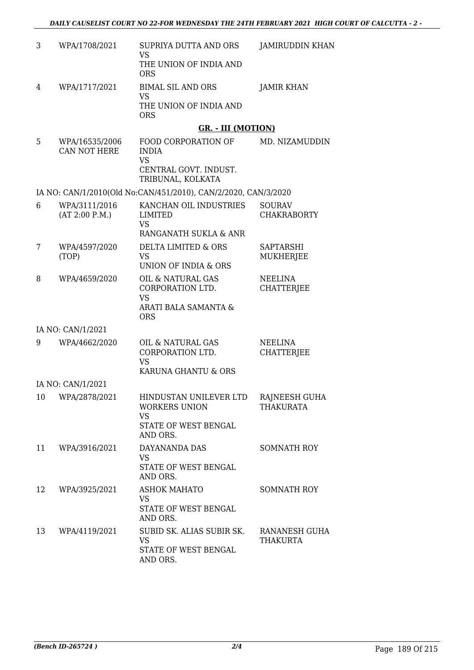| 3  | WPA/1708/2021                  | SUPRIYA DUTTA AND ORS<br><b>VS</b>                                                             | JAMIRUDDIN KHAN                   |
|----|--------------------------------|------------------------------------------------------------------------------------------------|-----------------------------------|
|    |                                | THE UNION OF INDIA AND<br><b>ORS</b>                                                           |                                   |
| 4  | WPA/1717/2021                  | <b>BIMAL SIL AND ORS</b><br><b>VS</b>                                                          | <b>JAMIR KHAN</b>                 |
|    |                                | THE UNION OF INDIA AND<br><b>ORS</b>                                                           |                                   |
|    |                                | <b>GR. - III (MOTION)</b>                                                                      |                                   |
| 5  | WPA/16535/2006<br>CAN NOT HERE | FOOD CORPORATION OF<br><b>INDIA</b><br><b>VS</b><br>CENTRAL GOVT. INDUST.<br>TRIBUNAL, KOLKATA | MD. NIZAMUDDIN                    |
|    |                                | IA NO: CAN/1/2010(Old No:CAN/451/2010), CAN/2/2020, CAN/3/2020                                 |                                   |
| 6  | WPA/3111/2016                  | KANCHAN OIL INDUSTRIES                                                                         | <b>SOURAV</b>                     |
|    | (AT 2:00 P.M.)                 | LIMITED<br><b>VS</b>                                                                           | <b>CHAKRABORTY</b>                |
|    |                                | RANGANATH SUKLA & ANR                                                                          |                                   |
| 7  | WPA/4597/2020<br>(TOP)         | <b>DELTA LIMITED &amp; ORS</b><br>VS<br>UNION OF INDIA & ORS                                   | SAPTARSHI<br><b>MUKHERJEE</b>     |
| 8  | WPA/4659/2020                  | OIL & NATURAL GAS                                                                              | <b>NEELINA</b>                    |
|    |                                | CORPORATION LTD.<br><b>VS</b><br>ARATI BALA SAMANTA &                                          | <b>CHATTERJEE</b>                 |
|    |                                | <b>ORS</b>                                                                                     |                                   |
|    | IA NO: CAN/1/2021              |                                                                                                |                                   |
| 9  | WPA/4662/2020                  | OIL & NATURAL GAS<br>CORPORATION LTD.<br><b>VS</b>                                             | NEELINA<br><b>CHATTERJEE</b>      |
|    |                                | KARUNA GHANTU & ORS                                                                            |                                   |
|    | IA NO: CAN/1/2021              |                                                                                                |                                   |
| 10 | WPA/2878/2021                  | HINDUSTAN UNILEVER LTD<br><b>WORKERS UNION</b><br><b>VS</b><br>STATE OF WEST BENGAL            | RAJNEESH GUHA<br><b>THAKURATA</b> |
|    |                                | AND ORS.                                                                                       |                                   |
| 11 | WPA/3916/2021                  | DAYANANDA DAS<br><b>VS</b><br>STATE OF WEST BENGAL<br>AND ORS.                                 | SOMNATH ROY                       |
| 12 | WPA/3925/2021                  | <b>ASHOK MAHATO</b>                                                                            | <b>SOMNATH ROY</b>                |
|    |                                | <b>VS</b><br>STATE OF WEST BENGAL<br>AND ORS.                                                  |                                   |
| 13 | WPA/4119/2021                  | SUBID SK. ALIAS SUBIR SK.<br>VS                                                                | RANANESH GUHA<br><b>THAKURTA</b>  |
|    |                                | STATE OF WEST BENGAL<br>AND ORS.                                                               |                                   |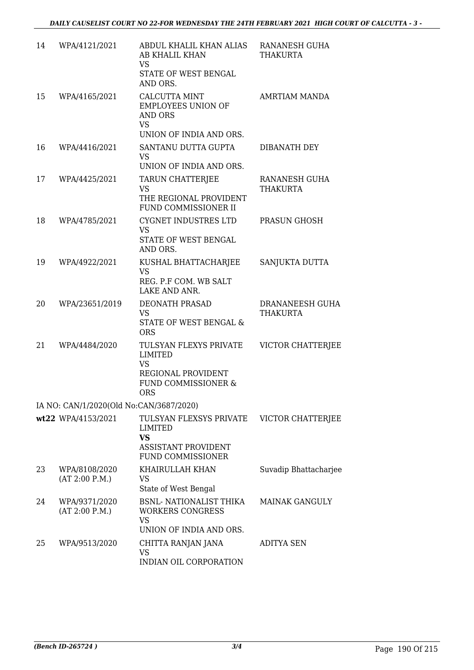| 14 | WPA/4121/2021                           | ABDUL KHALIL KHAN ALIAS<br>AB KHALIL KHAN<br><b>VS</b><br>STATE OF WEST BENGAL<br>AND ORS.                       | RANANESH GUHA<br><b>THAKURTA</b>   |
|----|-----------------------------------------|------------------------------------------------------------------------------------------------------------------|------------------------------------|
| 15 | WPA/4165/2021                           | <b>CALCUTTA MINT</b><br><b>EMPLOYEES UNION OF</b><br><b>AND ORS</b><br><b>VS</b><br>UNION OF INDIA AND ORS.      | <b>AMRTIAM MANDA</b>               |
| 16 | WPA/4416/2021                           | SANTANU DUTTA GUPTA<br><b>VS</b><br>UNION OF INDIA AND ORS.                                                      | DIBANATH DEY                       |
| 17 | WPA/4425/2021                           | <b>TARUN CHATTERJEE</b><br><b>VS</b><br>THE REGIONAL PROVIDENT<br>FUND COMMISSIONER II                           | RANANESH GUHA<br><b>THAKURTA</b>   |
| 18 | WPA/4785/2021                           | <b>CYGNET INDUSTRES LTD</b><br><b>VS</b><br>STATE OF WEST BENGAL<br>AND ORS.                                     | PRASUN GHOSH                       |
| 19 | WPA/4922/2021                           | KUSHAL BHATTACHARJEE<br><b>VS</b><br>REG. P.F COM. WB SALT<br>LAKE AND ANR.                                      | SANJUKTA DUTTA                     |
| 20 | WPA/23651/2019                          | DEONATH PRASAD<br><b>VS</b><br>STATE OF WEST BENGAL &<br><b>ORS</b>                                              | DRANANEESH GUHA<br><b>THAKURTA</b> |
| 21 | WPA/4484/2020                           | TULSYAN FLEXYS PRIVATE<br><b>LIMITED</b><br><b>VS</b><br>REGIONAL PROVIDENT<br>FUND COMMISSIONER &<br><b>ORS</b> | <b>VICTOR CHATTERJEE</b>           |
|    | IA NO: CAN/1/2020(Old No:CAN/3687/2020) |                                                                                                                  |                                    |
|    | wt22 WPA/4153/2021                      | TULSYAN FLEXSYS PRIVATE<br>LIMITED<br><b>VS</b><br><b>ASSISTANT PROVIDENT</b><br><b>FUND COMMISSIONER</b>        | <b>VICTOR CHATTERJEE</b>           |
| 23 | WPA/8108/2020<br>(AT 2:00 P.M.)         | KHAIRULLAH KHAN<br><b>VS</b><br>State of West Bengal                                                             | Suvadip Bhattacharjee              |
| 24 | WPA/9371/2020<br>(AT 2:00 P.M.)         | <b>BSNL- NATIONALIST THIKA</b><br><b>WORKERS CONGRESS</b><br><b>VS</b><br>UNION OF INDIA AND ORS.                | <b>MAINAK GANGULY</b>              |
| 25 | WPA/9513/2020                           | CHITTA RANJAN JANA<br><b>VS</b><br>INDIAN OIL CORPORATION                                                        | <b>ADITYA SEN</b>                  |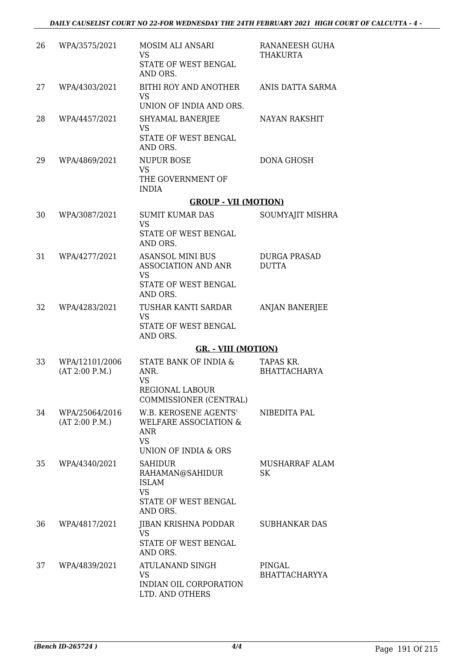| 26 | WPA/3575/2021                    | MOSIM ALI ANSARI<br><b>VS</b><br>STATE OF WEST BENGAL<br>AND ORS.                                 | RANANEESH GUHA<br>THAKURTA          |
|----|----------------------------------|---------------------------------------------------------------------------------------------------|-------------------------------------|
| 27 | WPA/4303/2021                    | BITHI ROY AND ANOTHER<br><b>VS</b><br>UNION OF INDIA AND ORS.                                     | ANIS DATTA SARMA                    |
| 28 | WPA/4457/2021                    | SHYAMAL BANERJEE<br><b>VS</b><br>STATE OF WEST BENGAL<br>AND ORS.                                 | <b>NAYAN RAKSHIT</b>                |
| 29 | WPA/4869/2021                    | <b>NUPUR BOSE</b><br><b>VS</b><br>THE GOVERNMENT OF<br><b>INDIA</b>                               | <b>DONA GHOSH</b>                   |
|    |                                  | <b>GROUP - VII (MOTION)</b>                                                                       |                                     |
| 30 | WPA/3087/2021                    | <b>SUMIT KUMAR DAS</b>                                                                            | SOUMYAJIT MISHRA                    |
|    |                                  | <b>VS</b><br>STATE OF WEST BENGAL<br>AND ORS.                                                     |                                     |
| 31 | WPA/4277/2021                    | <b>ASANSOL MINI BUS</b><br>ASSOCIATION AND ANR<br>VS<br>STATE OF WEST BENGAL<br>AND ORS.          | <b>DURGA PRASAD</b><br><b>DUTTA</b> |
| 32 | WPA/4283/2021                    | TUSHAR KANTI SARDAR<br><b>VS</b><br>STATE OF WEST BENGAL<br>AND ORS.                              | <b>ANJAN BANERJEE</b>               |
|    |                                  | <b>GR. - VIII (MOTION)</b>                                                                        |                                     |
| 33 | WPA/12101/2006<br>(AT 2:00 P.M.) | STATE BANK OF INDIA &<br>ANR.<br><b>VS</b><br>REGIONAL LABOUR<br>COMMISSIONER (CENTRAL)           | TAPAS KR.<br><b>BHATTACHARYA</b>    |
| 34 | WPA/25064/2016<br>(AT 2:00 P.M.) | <b>W.B. KEROSENE AGENTS'</b><br>WELFARE ASSOCIATION &<br>ANR<br><b>VS</b><br>UNION OF INDIA & ORS | NIBEDITA PAL                        |
| 35 | WPA/4340/2021                    | <b>SAHIDUR</b><br>RAHAMAN@SAHIDUR<br><b>ISLAM</b><br><b>VS</b><br>STATE OF WEST BENGAL            | MUSHARRAF ALAM<br>SK                |
| 36 | WPA/4817/2021                    | AND ORS.<br>JIBAN KRISHNA PODDAR<br><b>VS</b><br>STATE OF WEST BENGAL<br>AND ORS.                 | SUBHANKAR DAS                       |
| 37 | WPA/4839/2021                    | ATULANAND SINGH<br>VS<br>INDIAN OIL CORPORATION<br>LTD. AND OTHERS                                | PINGAL<br><b>BHATTACHARYYA</b>      |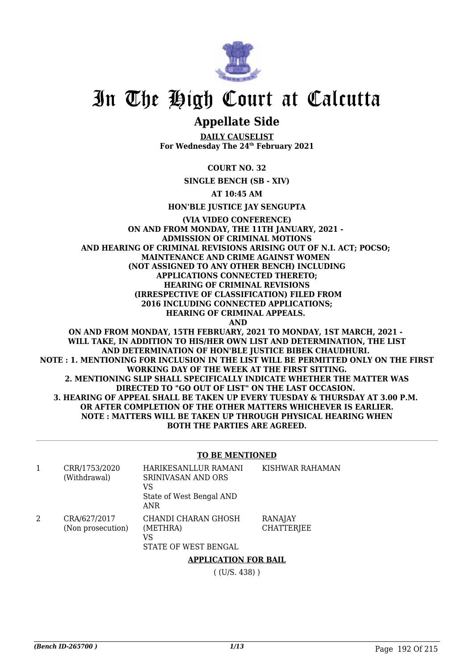

### **Appellate Side**

**DAILY CAUSELIST For Wednesday The 24th February 2021**

#### **COURT NO. 32**

**SINGLE BENCH (SB - XIV)**

**AT 10:45 AM**

**HON'BLE JUSTICE JAY SENGUPTA**

#### **(VIA VIDEO CONFERENCE) ON AND FROM MONDAY, THE 11TH JANUARY, 2021 - ADMISSION OF CRIMINAL MOTIONS AND HEARING OF CRIMINAL REVISIONS ARISING OUT OF N.I. ACT; POCSO; MAINTENANCE AND CRIME AGAINST WOMEN (NOT ASSIGNED TO ANY OTHER BENCH) INCLUDING APPLICATIONS CONNECTED THERETO; HEARING OF CRIMINAL REVISIONS (IRRESPECTIVE OF CLASSIFICATION) FILED FROM 2016 INCLUDING CONNECTED APPLICATIONS; HEARING OF CRIMINAL APPEALS. AND ON AND FROM MONDAY, 15TH FEBRUARY, 2021 TO MONDAY, 1ST MARCH, 2021 -**

**WILL TAKE, IN ADDITION TO HIS/HER OWN LIST AND DETERMINATION, THE LIST AND DETERMINATION OF HON'BLE JUSTICE BIBEK CHAUDHURI. NOTE : 1. MENTIONING FOR INCLUSION IN THE LIST WILL BE PERMITTED ONLY ON THE FIRST WORKING DAY OF THE WEEK AT THE FIRST SITTING. 2. MENTIONING SLIP SHALL SPECIFICALLY INDICATE WHETHER THE MATTER WAS DIRECTED TO "GO OUT OF LIST" ON THE LAST OCCASION. 3. HEARING OF APPEAL SHALL BE TAKEN UP EVERY TUESDAY & THURSDAY AT 3.00 P.M. OR AFTER COMPLETION OF THE OTHER MATTERS WHICHEVER IS EARLIER. NOTE : MATTERS WILL BE TAKEN UP THROUGH PHYSICAL HEARING WHEN BOTH THE PARTIES ARE AGREED.**

#### **TO BE MENTIONED**

|   | CRR/1753/2020<br>(Withdrawal)     | HARIKESANLLUR RAMANI<br><b>SRINIVASAN AND ORS</b><br>VS<br>State of West Bengal AND<br>ANR. | KISHWAR RAHAMAN                     |
|---|-----------------------------------|---------------------------------------------------------------------------------------------|-------------------------------------|
| 2 | CRA/627/2017<br>(Non prosecution) | CHANDI CHARAN GHOSH<br>(METHRA)<br>VS<br>STATE OF WEST BENGAL                               | <b>RANAJAY</b><br><b>CHATTERJEE</b> |
|   |                                   |                                                                                             |                                     |

#### **APPLICATION FOR BAIL**

( (U/S. 438) )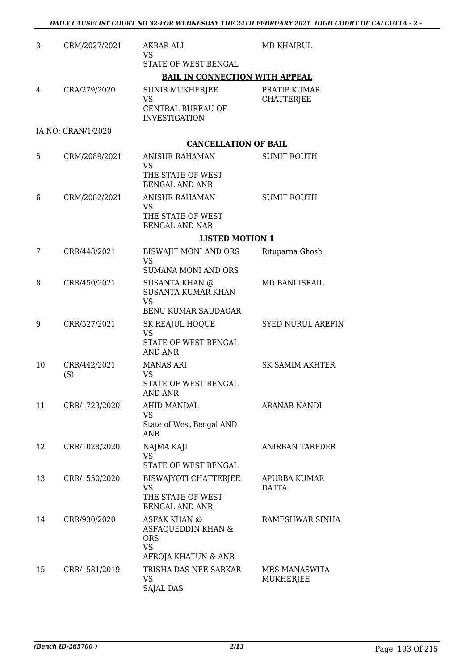| 3  | CRM/2027/2021       | <b>AKBAR ALI</b><br><b>VS</b>                                        | <b>MD KHAIRUL</b>                 |
|----|---------------------|----------------------------------------------------------------------|-----------------------------------|
|    |                     | STATE OF WEST BENGAL                                                 |                                   |
|    |                     | <b>BAIL IN CONNECTION WITH APPEAL</b>                                |                                   |
| 4  | CRA/279/2020        | <b>SUNIR MUKHERJEE</b><br><b>VS</b>                                  | PRATIP KUMAR<br><b>CHATTERJEE</b> |
|    |                     | CENTRAL BUREAU OF<br><b>INVESTIGATION</b>                            |                                   |
|    | IA NO: CRAN/1/2020  |                                                                      |                                   |
|    |                     | <b>CANCELLATION OF BAIL</b>                                          |                                   |
| 5  | CRM/2089/2021       | <b>ANISUR RAHAMAN</b><br><b>VS</b>                                   | <b>SUMIT ROUTH</b>                |
|    |                     | THE STATE OF WEST<br><b>BENGAL AND ANR</b>                           |                                   |
| 6  | CRM/2082/2021       | <b>ANISUR RAHAMAN</b><br><b>VS</b>                                   | <b>SUMIT ROUTH</b>                |
|    |                     | THE STATE OF WEST<br><b>BENGAL AND NAR</b>                           |                                   |
|    |                     | <b>LISTED MOTION 1</b>                                               |                                   |
| 7  | CRR/448/2021        | BISWAJIT MONI AND ORS<br><b>VS</b>                                   | Rituparna Ghosh                   |
|    |                     | <b>SUMANA MONI AND ORS</b>                                           |                                   |
| 8  | CRR/450/2021        | <b>SUSANTA KHAN @</b><br><b>SUSANTA KUMAR KHAN</b><br><b>VS</b>      | MD BANI ISRAIL                    |
|    |                     | <b>BENU KUMAR SAUDAGAR</b>                                           |                                   |
| 9  | CRR/527/2021        | SK REAJUL HOQUE<br><b>VS</b><br>STATE OF WEST BENGAL                 | <b>SYED NURUL AREFIN</b>          |
|    |                     | AND ANR                                                              |                                   |
| 10 | CRR/442/2021<br>(S) | <b>MANAS ARI</b><br><b>VS</b>                                        | <b>SK SAMIM AKHTER</b>            |
|    |                     | STATE OF WEST BENGAL<br><b>AND ANR</b>                               |                                   |
| 11 | CRR/1723/2020       | AHID MANDAL<br>VS                                                    | ARANAB NANDI                      |
|    |                     | State of West Bengal AND<br><b>ANR</b>                               |                                   |
| 12 | CRR/1028/2020       | NAJMA KAJI<br><b>VS</b>                                              | <b>ANIRBAN TARFDER</b>            |
|    |                     | STATE OF WEST BENGAL                                                 |                                   |
| 13 | CRR/1550/2020       | <b>BISWAJYOTI CHATTERJEE</b><br><b>VS</b>                            | APURBA KUMAR                      |
|    |                     | THE STATE OF WEST<br><b>BENGAL AND ANR</b>                           | DATTA                             |
| 14 | CRR/930/2020        | <b>ASFAK KHAN @</b><br>ASFAQUEDDIN KHAN &<br><b>ORS</b><br><b>VS</b> | RAMESHWAR SINHA                   |
|    |                     | AFROJA KHATUN & ANR                                                  |                                   |
| 15 | CRR/1581/2019       | TRISHA DAS NEE SARKAR<br>VS<br><b>SAJAL DAS</b>                      | MRS MANASWITA<br>MUKHERJEE        |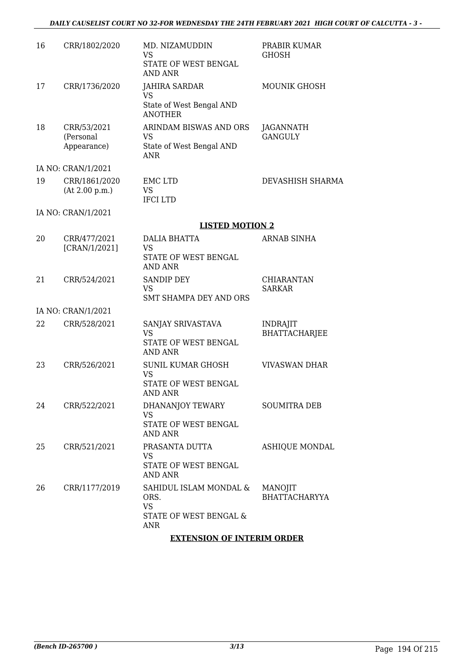#### *DAILY CAUSELIST COURT NO 32-FOR WEDNESDAY THE 24TH FEBRUARY 2021 HIGH COURT OF CALCUTTA - 3 -*

| 16 | CRR/1802/2020                           | MD. NIZAMUDDIN<br>VS<br>STATE OF WEST BENGAL<br><b>AND ANR</b>               | PRABIR KUMAR<br>GHOSH                   |
|----|-----------------------------------------|------------------------------------------------------------------------------|-----------------------------------------|
| 17 | CRR/1736/2020                           | <b>JAHIRA SARDAR</b><br>VS<br>State of West Bengal AND<br><b>ANOTHER</b>     | <b>MOUNIK GHOSH</b>                     |
| 18 | CRR/53/2021<br>(Personal<br>Appearance) | ARINDAM BISWAS AND ORS<br><b>VS</b><br>State of West Bengal AND<br>ANR       | JAGANNATH<br><b>GANGULY</b>             |
|    | IA NO: CRAN/1/2021                      |                                                                              |                                         |
| 19 | CRR/1861/2020<br>(At 2.00 p.m.)         | <b>EMC LTD</b><br><b>VS</b><br><b>IFCILTD</b>                                | DEVASHISH SHARMA                        |
|    | IA NO: CRAN/1/2021                      |                                                                              |                                         |
|    |                                         | <b>LISTED MOTION 2</b>                                                       |                                         |
| 20 | CRR/477/2021<br>[CRAN/1/2021]           | <b>DALIA BHATTA</b><br><b>VS</b><br>STATE OF WEST BENGAL<br><b>AND ANR</b>   | <b>ARNAB SINHA</b>                      |
| 21 | CRR/524/2021                            | <b>SANDIP DEY</b><br><b>VS</b><br>SMT SHAMPA DEY AND ORS                     | <b>CHIARANTAN</b><br><b>SARKAR</b>      |
|    | IA NO: CRAN/1/2021                      |                                                                              |                                         |
| 22 | CRR/528/2021                            | SANJAY SRIVASTAVA<br><b>VS</b><br>STATE OF WEST BENGAL<br><b>AND ANR</b>     | <b>INDRAJIT</b><br><b>BHATTACHARJEE</b> |
| 23 | CRR/526/2021                            | <b>SUNIL KUMAR GHOSH</b><br><b>VS</b><br>STATE OF WEST BENGAL<br>AND ANR     | <b>VIVASWAN DHAR</b>                    |
| 24 | CRR/522/2021                            | DHANANJOY TEWARY<br><b>VS</b><br>STATE OF WEST BENGAL<br>AND ANR             | <b>SOUMITRA DEB</b>                     |
| 25 | CRR/521/2021                            | PRASANTA DUTTA<br>VS<br>STATE OF WEST BENGAL<br>AND ANR                      | ASHIQUE MONDAL                          |
| 26 | CRR/1177/2019                           | SAHIDUL ISLAM MONDAL &<br>ORS.<br><b>VS</b><br>STATE OF WEST BENGAL &<br>ANR | MANOJIT<br><b>BHATTACHARYYA</b>         |
|    |                                         | <b>EXTENSION OF INTERIM ORDER</b>                                            |                                         |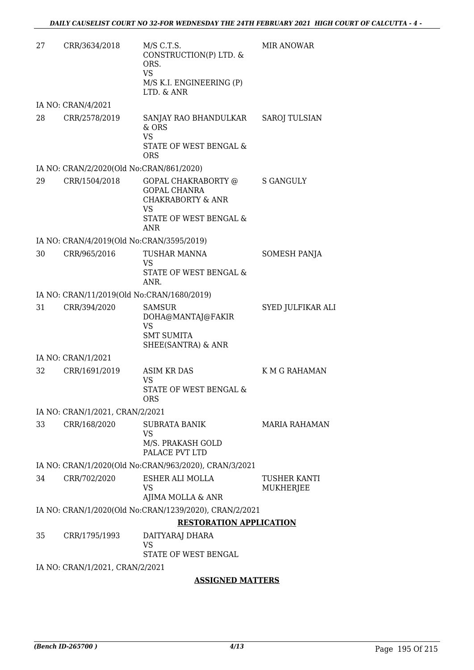| IA NO: CRAN/4/2021<br>28<br>CRR/2578/2019<br>SANJAY RAO BHANDULKAR<br><b>SAROJ TULSIAN</b><br>& ORS<br><b>VS</b><br>STATE OF WEST BENGAL &<br><b>ORS</b><br>IA NO: CRAN/2/2020(Old No:CRAN/861/2020)<br>29<br>CRR/1504/2018<br>GOPAL CHAKRABORTY @<br><b>S GANGULY</b><br><b>GOPAL CHANRA</b><br><b>CHAKRABORTY &amp; ANR</b><br>VS<br>STATE OF WEST BENGAL &<br>ANR<br>IA NO: CRAN/4/2019(Old No:CRAN/3595/2019)<br>CRR/965/2016<br>30<br><b>TUSHAR MANNA</b><br>SOMESH PANJA<br><b>VS</b><br>STATE OF WEST BENGAL &<br>ANR.<br>IA NO: CRAN/11/2019(Old No:CRAN/1680/2019)<br>31<br>CRR/394/2020<br><b>SAMSUR</b><br>SYED JULFIKAR ALI<br>DOHA@MANTAJ@FAKIR<br><b>VS</b><br><b>SMT SUMITA</b><br>SHEE(SANTRA) & ANR<br>IA NO: CRAN/1/2021<br>32<br>CRR/1691/2019<br><b>ASIM KR DAS</b><br>K M G RAHAMAN<br><b>VS</b><br>STATE OF WEST BENGAL &<br>ORS<br>IA NO: CRAN/1/2021, CRAN/2/2021<br>33<br>CRR/168/2020<br><b>MARIA RAHAMAN</b><br><b>SUBRATA BANIK</b><br>VS<br>M/S. PRAKASH GOLD<br>PALACE PVT LTD<br>IA NO: CRAN/1/2020(Old No:CRAN/963/2020), CRAN/3/2021<br>34<br>CRR/702/2020<br>ESHER ALI MOLLA<br>TUSHER KANTI<br><b>VS</b><br>MUKHERJEE<br>AJIMA MOLLA & ANR<br>IA NO: CRAN/1/2020(Old No:CRAN/1239/2020), CRAN/2/2021<br><b>RESTORATION APPLICATION</b><br>35<br>CRR/1795/1993<br>DAITYARAJ DHARA<br>VS<br>STATE OF WEST BENGAL<br>IA NO: CRAN/1/2021, CRAN/2/2021 | 27 | CRR/3634/2018 | M/S C.T.S.<br>CONSTRUCTION(P) LTD. &<br>ORS.<br><b>VS</b><br>M/S K.I. ENGINEERING (P)<br>LTD. & ANR | <b>MIR ANOWAR</b> |
|--------------------------------------------------------------------------------------------------------------------------------------------------------------------------------------------------------------------------------------------------------------------------------------------------------------------------------------------------------------------------------------------------------------------------------------------------------------------------------------------------------------------------------------------------------------------------------------------------------------------------------------------------------------------------------------------------------------------------------------------------------------------------------------------------------------------------------------------------------------------------------------------------------------------------------------------------------------------------------------------------------------------------------------------------------------------------------------------------------------------------------------------------------------------------------------------------------------------------------------------------------------------------------------------------------------------------------------------------------------------------------------|----|---------------|-----------------------------------------------------------------------------------------------------|-------------------|
|                                                                                                                                                                                                                                                                                                                                                                                                                                                                                                                                                                                                                                                                                                                                                                                                                                                                                                                                                                                                                                                                                                                                                                                                                                                                                                                                                                                      |    |               |                                                                                                     |                   |
|                                                                                                                                                                                                                                                                                                                                                                                                                                                                                                                                                                                                                                                                                                                                                                                                                                                                                                                                                                                                                                                                                                                                                                                                                                                                                                                                                                                      |    |               |                                                                                                     |                   |
|                                                                                                                                                                                                                                                                                                                                                                                                                                                                                                                                                                                                                                                                                                                                                                                                                                                                                                                                                                                                                                                                                                                                                                                                                                                                                                                                                                                      |    |               |                                                                                                     |                   |
|                                                                                                                                                                                                                                                                                                                                                                                                                                                                                                                                                                                                                                                                                                                                                                                                                                                                                                                                                                                                                                                                                                                                                                                                                                                                                                                                                                                      |    |               |                                                                                                     |                   |
|                                                                                                                                                                                                                                                                                                                                                                                                                                                                                                                                                                                                                                                                                                                                                                                                                                                                                                                                                                                                                                                                                                                                                                                                                                                                                                                                                                                      |    |               |                                                                                                     |                   |
|                                                                                                                                                                                                                                                                                                                                                                                                                                                                                                                                                                                                                                                                                                                                                                                                                                                                                                                                                                                                                                                                                                                                                                                                                                                                                                                                                                                      |    |               |                                                                                                     |                   |
|                                                                                                                                                                                                                                                                                                                                                                                                                                                                                                                                                                                                                                                                                                                                                                                                                                                                                                                                                                                                                                                                                                                                                                                                                                                                                                                                                                                      |    |               |                                                                                                     |                   |
|                                                                                                                                                                                                                                                                                                                                                                                                                                                                                                                                                                                                                                                                                                                                                                                                                                                                                                                                                                                                                                                                                                                                                                                                                                                                                                                                                                                      |    |               |                                                                                                     |                   |
|                                                                                                                                                                                                                                                                                                                                                                                                                                                                                                                                                                                                                                                                                                                                                                                                                                                                                                                                                                                                                                                                                                                                                                                                                                                                                                                                                                                      |    |               |                                                                                                     |                   |
|                                                                                                                                                                                                                                                                                                                                                                                                                                                                                                                                                                                                                                                                                                                                                                                                                                                                                                                                                                                                                                                                                                                                                                                                                                                                                                                                                                                      |    |               |                                                                                                     |                   |
|                                                                                                                                                                                                                                                                                                                                                                                                                                                                                                                                                                                                                                                                                                                                                                                                                                                                                                                                                                                                                                                                                                                                                                                                                                                                                                                                                                                      |    |               |                                                                                                     |                   |
|                                                                                                                                                                                                                                                                                                                                                                                                                                                                                                                                                                                                                                                                                                                                                                                                                                                                                                                                                                                                                                                                                                                                                                                                                                                                                                                                                                                      |    |               |                                                                                                     |                   |
|                                                                                                                                                                                                                                                                                                                                                                                                                                                                                                                                                                                                                                                                                                                                                                                                                                                                                                                                                                                                                                                                                                                                                                                                                                                                                                                                                                                      |    |               |                                                                                                     |                   |
|                                                                                                                                                                                                                                                                                                                                                                                                                                                                                                                                                                                                                                                                                                                                                                                                                                                                                                                                                                                                                                                                                                                                                                                                                                                                                                                                                                                      |    |               |                                                                                                     |                   |
|                                                                                                                                                                                                                                                                                                                                                                                                                                                                                                                                                                                                                                                                                                                                                                                                                                                                                                                                                                                                                                                                                                                                                                                                                                                                                                                                                                                      |    |               |                                                                                                     |                   |
|                                                                                                                                                                                                                                                                                                                                                                                                                                                                                                                                                                                                                                                                                                                                                                                                                                                                                                                                                                                                                                                                                                                                                                                                                                                                                                                                                                                      |    |               |                                                                                                     |                   |
|                                                                                                                                                                                                                                                                                                                                                                                                                                                                                                                                                                                                                                                                                                                                                                                                                                                                                                                                                                                                                                                                                                                                                                                                                                                                                                                                                                                      |    |               |                                                                                                     |                   |
|                                                                                                                                                                                                                                                                                                                                                                                                                                                                                                                                                                                                                                                                                                                                                                                                                                                                                                                                                                                                                                                                                                                                                                                                                                                                                                                                                                                      |    |               |                                                                                                     |                   |
|                                                                                                                                                                                                                                                                                                                                                                                                                                                                                                                                                                                                                                                                                                                                                                                                                                                                                                                                                                                                                                                                                                                                                                                                                                                                                                                                                                                      |    |               |                                                                                                     |                   |
|                                                                                                                                                                                                                                                                                                                                                                                                                                                                                                                                                                                                                                                                                                                                                                                                                                                                                                                                                                                                                                                                                                                                                                                                                                                                                                                                                                                      |    |               |                                                                                                     |                   |
|                                                                                                                                                                                                                                                                                                                                                                                                                                                                                                                                                                                                                                                                                                                                                                                                                                                                                                                                                                                                                                                                                                                                                                                                                                                                                                                                                                                      |    |               |                                                                                                     |                   |

#### **ASSIGNED MATTERS**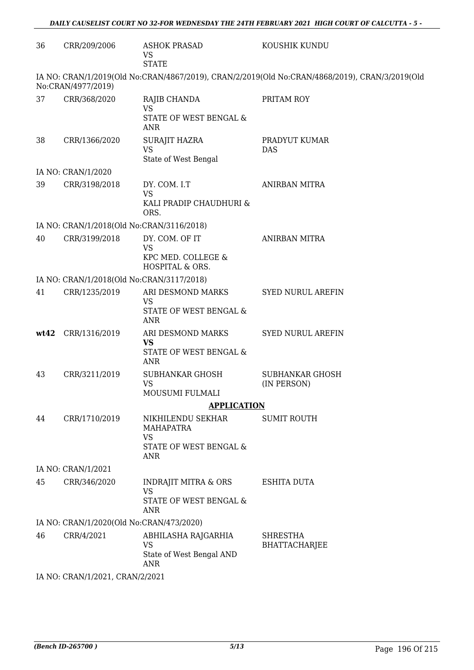| 36   | CRR/209/2006                              | <b>ASHOK PRASAD</b><br>VS<br><b>STATE</b>                                            | KOUSHIK KUNDU                                                                                  |  |  |  |  |
|------|-------------------------------------------|--------------------------------------------------------------------------------------|------------------------------------------------------------------------------------------------|--|--|--|--|
|      | No:CRAN/4977/2019)                        |                                                                                      | IA NO: CRAN/1/2019(Old No:CRAN/4867/2019), CRAN/2/2019(Old No:CRAN/4868/2019), CRAN/3/2019(Old |  |  |  |  |
| 37   | CRR/368/2020                              | RAJIB CHANDA<br><b>VS</b><br>STATE OF WEST BENGAL &<br><b>ANR</b>                    | PRITAM ROY                                                                                     |  |  |  |  |
| 38   | CRR/1366/2020                             | <b>SURAJIT HAZRA</b><br><b>VS</b><br>State of West Bengal                            | PRADYUT KUMAR<br>DAS                                                                           |  |  |  |  |
|      | IA NO: CRAN/1/2020                        |                                                                                      |                                                                                                |  |  |  |  |
| 39   | CRR/3198/2018                             | DY. COM. I.T<br><b>VS</b><br>KALI PRADIP CHAUDHURI &<br>ORS.                         | <b>ANIRBAN MITRA</b>                                                                           |  |  |  |  |
|      | IA NO: CRAN/1/2018(Old No:CRAN/3116/2018) |                                                                                      |                                                                                                |  |  |  |  |
| 40   | CRR/3199/2018                             | DY. COM. OF IT<br><b>VS</b><br>KPC MED. COLLEGE &                                    | ANIRBAN MITRA                                                                                  |  |  |  |  |
|      |                                           | HOSPITAL & ORS.                                                                      |                                                                                                |  |  |  |  |
|      | IA NO: CRAN/1/2018(Old No:CRAN/3117/2018) |                                                                                      |                                                                                                |  |  |  |  |
| 41   | CRR/1235/2019                             | ARI DESMOND MARKS<br><b>VS</b><br>STATE OF WEST BENGAL &<br><b>ANR</b>               | <b>SYED NURUL AREFIN</b>                                                                       |  |  |  |  |
| wt42 | CRR/1316/2019                             | ARI DESMOND MARKS<br><b>VS</b><br>STATE OF WEST BENGAL &<br><b>ANR</b>               | <b>SYED NURUL AREFIN</b>                                                                       |  |  |  |  |
| 43   | CRR/3211/2019                             | <b>SUBHANKAR GHOSH</b><br><b>VS</b><br>MOUSUMI FULMALI                               | <b>SUBHANKAR GHOSH</b><br>(IN PERSON)                                                          |  |  |  |  |
|      |                                           | <b>APPLICATION</b>                                                                   |                                                                                                |  |  |  |  |
| 44   | CRR/1710/2019                             | NIKHILENDU SEKHAR<br><b>MAHAPATRA</b><br><b>VS</b><br>STATE OF WEST BENGAL &<br>ANR  | <b>SUMIT ROUTH</b>                                                                             |  |  |  |  |
|      | IA NO: CRAN/1/2021                        |                                                                                      |                                                                                                |  |  |  |  |
| 45   | CRR/346/2020                              | <b>INDRAJIT MITRA &amp; ORS</b><br><b>VS</b><br>STATE OF WEST BENGAL &<br><b>ANR</b> | <b>ESHITA DUTA</b>                                                                             |  |  |  |  |
|      | IA NO: CRAN/1/2020(Old No:CRAN/473/2020)  |                                                                                      |                                                                                                |  |  |  |  |
| 46   | CRR/4/2021                                | ABHILASHA RAJGARHIA<br><b>VS</b><br>State of West Bengal AND<br><b>ANR</b>           | <b>SHRESTHA</b><br><b>BHATTACHARJEE</b>                                                        |  |  |  |  |
|      |                                           | IA NO: CRAN/1/2021, CRAN/2/2021                                                      |                                                                                                |  |  |  |  |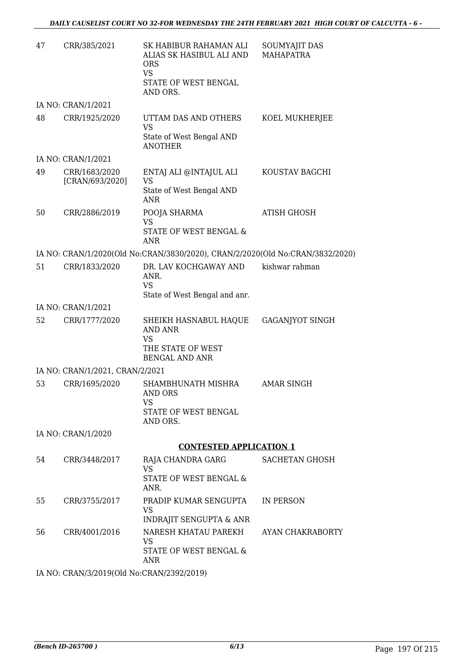| 47 | CRR/385/2021                              | SK HABIBUR RAHAMAN ALI<br>ALIAS SK HASIBUL ALI AND<br><b>ORS</b>              | SOUMYAJIT DAS<br><b>MAHAPATRA</b> |
|----|-------------------------------------------|-------------------------------------------------------------------------------|-----------------------------------|
|    |                                           | <b>VS</b><br>STATE OF WEST BENGAL<br>AND ORS.                                 |                                   |
|    | IA NO: CRAN/1/2021                        |                                                                               |                                   |
| 48 | CRR/1925/2020                             | UTTAM DAS AND OTHERS<br><b>VS</b>                                             | KOEL MUKHERJEE                    |
|    |                                           | State of West Bengal AND<br><b>ANOTHER</b>                                    |                                   |
|    | IA NO: CRAN/1/2021                        |                                                                               |                                   |
| 49 | CRR/1683/2020<br>[CRAN/693/2020]          | ENTAJ ALI @INTAJUL ALI<br><b>VS</b>                                           | KOUSTAV BAGCHI                    |
|    |                                           | State of West Bengal AND<br>ANR                                               |                                   |
| 50 | CRR/2886/2019                             | POOJA SHARMA<br>VS                                                            | ATISH GHOSH                       |
|    |                                           | STATE OF WEST BENGAL &<br><b>ANR</b>                                          |                                   |
|    |                                           | IA NO: CRAN/1/2020(Old No:CRAN/3830/2020), CRAN/2/2020(Old No:CRAN/3832/2020) |                                   |
| 51 | CRR/1833/2020                             | DR. LAV KOCHGAWAY AND<br>ANR.<br><b>VS</b>                                    | kishwar rahman                    |
|    |                                           | State of West Bengal and anr.                                                 |                                   |
|    | IA NO: CRAN/1/2021                        |                                                                               |                                   |
| 52 | CRR/1777/2020                             | SHEIKH HASNABUL HAQUE<br><b>AND ANR</b><br><b>VS</b>                          | <b>GAGANJYOT SINGH</b>            |
|    |                                           | THE STATE OF WEST<br><b>BENGAL AND ANR</b>                                    |                                   |
|    | IA NO: CRAN/1/2021, CRAN/2/2021           |                                                                               |                                   |
| 53 | CRR/1695/2020                             | SHAMBHUNATH MISHRA<br><b>AND ORS</b><br>VS<br>STATE OF WEST BENGAL            | <b>AMAR SINGH</b>                 |
|    |                                           | AND ORS.                                                                      |                                   |
|    | IA NO: CRAN/1/2020                        |                                                                               |                                   |
|    |                                           | <b>CONTESTED APPLICATION 1</b>                                                |                                   |
| 54 | CRR/3448/2017                             | RAJA CHANDRA GARG<br><b>VS</b><br>STATE OF WEST BENGAL &                      | <b>SACHETAN GHOSH</b>             |
|    |                                           | ANR.                                                                          |                                   |
| 55 | CRR/3755/2017                             | PRADIP KUMAR SENGUPTA<br>VS                                                   | IN PERSON                         |
|    |                                           | <b>INDRAJIT SENGUPTA &amp; ANR</b>                                            |                                   |
| 56 | CRR/4001/2016                             | NARESH KHATAU PAREKH<br><b>VS</b><br>STATE OF WEST BENGAL &<br>ANR            | AYAN CHAKRABORTY                  |
|    | IA NO: CRAN/3/2019(Old No:CRAN/2392/2019) |                                                                               |                                   |

*(Bench ID-265700 ) 6/13* Page 197 Of 215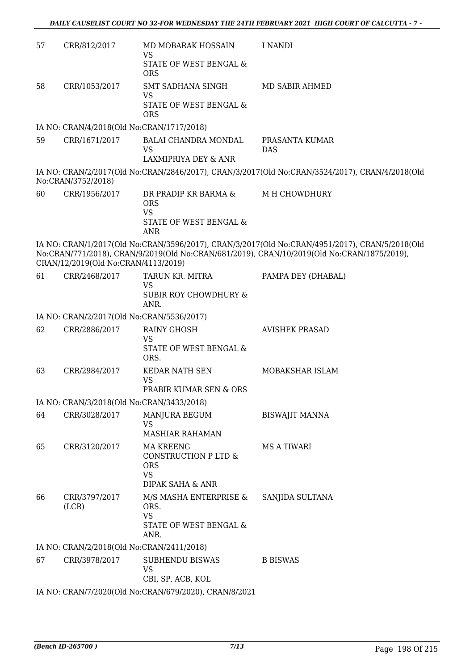| 57 | CRR/812/2017                                          | MD MOBARAK HOSSAIN<br>VS<br><b>STATE OF WEST BENGAL &amp;</b>                               | I NANDI                                                                                                                                                                                      |  |  |  |
|----|-------------------------------------------------------|---------------------------------------------------------------------------------------------|----------------------------------------------------------------------------------------------------------------------------------------------------------------------------------------------|--|--|--|
| 58 | CRR/1053/2017                                         | <b>ORS</b><br><b>SMT SADHANA SINGH</b><br><b>VS</b><br>STATE OF WEST BENGAL &<br><b>ORS</b> | MD SABIR AHMED                                                                                                                                                                               |  |  |  |
|    | IA NO: CRAN/4/2018(Old No:CRAN/1717/2018)             |                                                                                             |                                                                                                                                                                                              |  |  |  |
| 59 | CRR/1671/2017                                         | <b>BALAI CHANDRA MONDAL</b><br>VS<br>LAXMIPRIYA DEY & ANR                                   | PRASANTA KUMAR<br>DAS                                                                                                                                                                        |  |  |  |
|    | No:CRAN/3752/2018)                                    |                                                                                             | IA NO: CRAN/2/2017(Old No:CRAN/2846/2017), CRAN/3/2017(Old No:CRAN/3524/2017), CRAN/4/2018(Old                                                                                               |  |  |  |
| 60 | CRR/1956/2017                                         | DR PRADIP KR BARMA &<br><b>ORS</b><br><b>VS</b><br>STATE OF WEST BENGAL &<br><b>ANR</b>     | M H CHOWDHURY                                                                                                                                                                                |  |  |  |
|    | CRAN/12/2019(Old No:CRAN/4113/2019)                   |                                                                                             | IA NO: CRAN/1/2017(Old No:CRAN/3596/2017), CRAN/3/2017(Old No:CRAN/4951/2017), CRAN/5/2018(Old<br>No:CRAN/771/2018), CRAN/9/2019(Old No:CRAN/681/2019), CRAN/10/2019(Old No:CRAN/1875/2019), |  |  |  |
| 61 | CRR/2468/2017                                         | TARUN KR. MITRA<br><b>VS</b><br><b>SUBIR ROY CHOWDHURY &amp;</b><br>ANR.                    | PAMPA DEY (DHABAL)                                                                                                                                                                           |  |  |  |
|    | IA NO: CRAN/2/2017(Old No:CRAN/5536/2017)             |                                                                                             |                                                                                                                                                                                              |  |  |  |
| 62 | CRR/2886/2017                                         | <b>RAINY GHOSH</b><br><b>VS</b><br>STATE OF WEST BENGAL &<br>ORS.                           | <b>AVISHEK PRASAD</b>                                                                                                                                                                        |  |  |  |
| 63 | CRR/2984/2017                                         | KEDAR NATH SEN<br><b>VS</b><br>PRABIR KUMAR SEN & ORS                                       | MOBAKSHAR ISLAM                                                                                                                                                                              |  |  |  |
|    | IA NO: CRAN/3/2018(Old No:CRAN/3433/2018)             |                                                                                             |                                                                                                                                                                                              |  |  |  |
| 64 | CRR/3028/2017                                         | MANJURA BEGUM<br><b>VS</b><br>MASHIAR RAHAMAN                                               | <b>BISWAJIT MANNA</b>                                                                                                                                                                        |  |  |  |
| 65 | CRR/3120/2017                                         | <b>MA KREENG</b><br>CONSTRUCTION P LTD &<br><b>ORS</b><br><b>VS</b><br>DIPAK SAHA & ANR     | <b>MS A TIWARI</b>                                                                                                                                                                           |  |  |  |
| 66 | CRR/3797/2017<br>(LCR)                                | M/S MASHA ENTERPRISE &<br>ORS.<br><b>VS</b><br>STATE OF WEST BENGAL &<br>ANR.               | SANJIDA SULTANA                                                                                                                                                                              |  |  |  |
|    | IA NO: CRAN/2/2018(Old No:CRAN/2411/2018)             |                                                                                             |                                                                                                                                                                                              |  |  |  |
| 67 | CRR/3978/2017                                         | <b>SUBHENDU BISWAS</b><br><b>VS</b><br>CBI, SP, ACB, KOL                                    | <b>B BISWAS</b>                                                                                                                                                                              |  |  |  |
|    | IA NO: CRAN/7/2020(Old No:CRAN/679/2020), CRAN/8/2021 |                                                                                             |                                                                                                                                                                                              |  |  |  |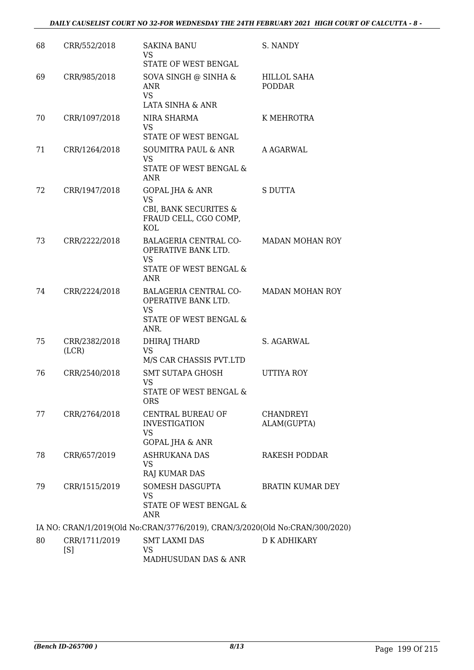| 68 | CRR/552/2018           | <b>SAKINA BANU</b><br>VS.<br>STATE OF WEST BENGAL                                                 | S. NANDY                        |
|----|------------------------|---------------------------------------------------------------------------------------------------|---------------------------------|
| 69 | CRR/985/2018           | SOVA SINGH @ SINHA &<br><b>ANR</b><br><b>VS</b><br>LATA SINHA & ANR                               | HILLOL SAHA<br><b>PODDAR</b>    |
| 70 | CRR/1097/2018          | NIRA SHARMA<br><b>VS</b><br>STATE OF WEST BENGAL                                                  | K MEHROTRA                      |
| 71 | CRR/1264/2018          | <b>SOUMITRA PAUL &amp; ANR</b><br><b>VS</b><br>STATE OF WEST BENGAL &<br>ANR                      | A AGARWAL                       |
| 72 | CRR/1947/2018          | <b>GOPAL JHA &amp; ANR</b><br><b>VS</b><br>CBI, BANK SECURITES &<br>FRAUD CELL, CGO COMP,<br>KOL  | <b>S DUTTA</b>                  |
| 73 | CRR/2222/2018          | BALAGERIA CENTRAL CO-<br>OPERATIVE BANK LTD.<br><b>VS</b><br>STATE OF WEST BENGAL &<br><b>ANR</b> | <b>MADAN MOHAN ROY</b>          |
| 74 | CRR/2224/2018          | BALAGERIA CENTRAL CO-<br>OPERATIVE BANK LTD.<br><b>VS</b><br>STATE OF WEST BENGAL &<br>ANR.       | <b>MADAN MOHAN ROY</b>          |
| 75 | CRR/2382/2018<br>(LCR) | DHIRAJ THARD<br>VS.<br>M/S CAR CHASSIS PVT.LTD                                                    | S. AGARWAL                      |
| 76 | CRR/2540/2018          | SMT SUTAPA GHOSH<br><b>VS</b><br>STATE OF WEST BENGAL &<br>ORS                                    | <b>UTTIYA ROY</b>               |
| 77 | CRR/2764/2018          | CENTRAL BUREAU OF<br><b>INVESTIGATION</b><br>VS<br><b>GOPAL JHA &amp; ANR</b>                     | <b>CHANDREYI</b><br>ALAM(GUPTA) |
| 78 | CRR/657/2019           | <b>ASHRUKANA DAS</b><br><b>VS</b><br><b>RAJ KUMAR DAS</b>                                         | <b>RAKESH PODDAR</b>            |
| 79 | CRR/1515/2019          | SOMESH DASGUPTA<br><b>VS</b><br>STATE OF WEST BENGAL &<br>ANR                                     | BRATIN KUMAR DEY                |
|    |                        | IA NO: CRAN/1/2019(Old No:CRAN/3776/2019), CRAN/3/2020(Old No:CRAN/300/2020)                      |                                 |
| 80 | CRR/1711/2019<br>[S]   | <b>SMT LAXMI DAS</b><br><b>VS</b><br>MADHUSUDAN DAS & ANR                                         | D K ADHIKARY                    |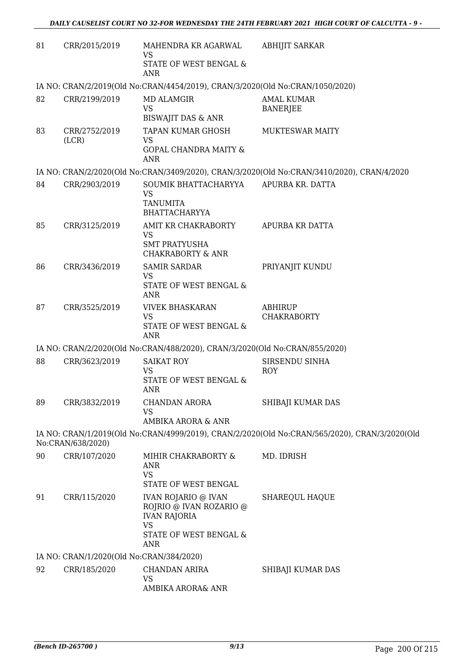| 81 | CRR/2015/2019                            | MAHENDRA KR AGARWAL<br><b>VS</b><br>STATE OF WEST BENGAL &                                                                 | <b>ABHIJIT SARKAR</b>                                                                         |
|----|------------------------------------------|----------------------------------------------------------------------------------------------------------------------------|-----------------------------------------------------------------------------------------------|
|    |                                          | <b>ANR</b>                                                                                                                 |                                                                                               |
|    |                                          | IA NO: CRAN/2/2019(Old No:CRAN/4454/2019), CRAN/3/2020(Old No:CRAN/1050/2020)                                              |                                                                                               |
| 82 | CRR/2199/2019                            | <b>MD ALAMGIR</b><br><b>VS</b><br><b>BISWAJIT DAS &amp; ANR</b>                                                            | <b>AMAL KUMAR</b><br><b>BANERJEE</b>                                                          |
| 83 | CRR/2752/2019<br>(LCR)                   | TAPAN KUMAR GHOSH<br><b>VS</b><br><b>GOPAL CHANDRA MAITY &amp;</b><br><b>ANR</b>                                           | <b>MUKTESWAR MAITY</b>                                                                        |
|    |                                          |                                                                                                                            | IA NO: CRAN/2/2020(Old No:CRAN/3409/2020), CRAN/3/2020(Old No:CRAN/3410/2020), CRAN/4/2020    |
| 84 | CRR/2903/2019                            | SOUMIK BHATTACHARYYA<br><b>VS</b><br><b>TANUMITA</b><br><b>BHATTACHARYYA</b>                                               | APURBA KR. DATTA                                                                              |
| 85 | CRR/3125/2019                            | AMIT KR CHAKRABORTY<br>VS<br><b>SMT PRATYUSHA</b><br><b>CHAKRABORTY &amp; ANR</b>                                          | APURBA KR DATTA                                                                               |
| 86 | CRR/3436/2019                            | <b>SAMIR SARDAR</b><br><b>VS</b><br>STATE OF WEST BENGAL &<br><b>ANR</b>                                                   | PRIYANJIT KUNDU                                                                               |
| 87 | CRR/3525/2019                            | <b>VIVEK BHASKARAN</b><br><b>VS</b><br>STATE OF WEST BENGAL &<br><b>ANR</b>                                                | ABHIRUP<br><b>CHAKRABORTY</b>                                                                 |
|    |                                          | IA NO: CRAN/2/2020(Old No:CRAN/488/2020), CRAN/3/2020(Old No:CRAN/855/2020)                                                |                                                                                               |
| 88 | CRR/3623/2019                            | <b>SAIKAT ROY</b><br><b>VS</b><br>STATE OF WEST BENGAL &<br><b>ANR</b>                                                     | SIRSENDU SINHA<br><b>ROY</b>                                                                  |
| 89 | CRR/3832/2019                            | CHANDAN ARORA<br>VS<br>AMBIKA ARORA & ANR                                                                                  | SHIBAJI KUMAR DAS                                                                             |
|    | No:CRAN/638/2020)                        |                                                                                                                            | IA NO: CRAN/1/2019(Old No:CRAN/4999/2019), CRAN/2/2020(Old No:CRAN/565/2020), CRAN/3/2020(Old |
| 90 | CRR/107/2020                             | MIHIR CHAKRABORTY &<br><b>ANR</b><br><b>VS</b><br>STATE OF WEST BENGAL                                                     | MD. IDRISH                                                                                    |
| 91 | CRR/115/2020                             | <b>IVAN ROJARIO @ IVAN</b><br>ROJRIO @ IVAN ROZARIO @<br><b>IVAN RAJORIA</b><br><b>VS</b><br>STATE OF WEST BENGAL &<br>ANR | <b>SHAREQUL HAQUE</b>                                                                         |
|    | IA NO: CRAN/1/2020(Old No:CRAN/384/2020) |                                                                                                                            |                                                                                               |
| 92 | CRR/185/2020                             | CHANDAN ARIRA<br>VS<br>AMBIKA ARORA& ANR                                                                                   | SHIBAJI KUMAR DAS                                                                             |
|    |                                          |                                                                                                                            |                                                                                               |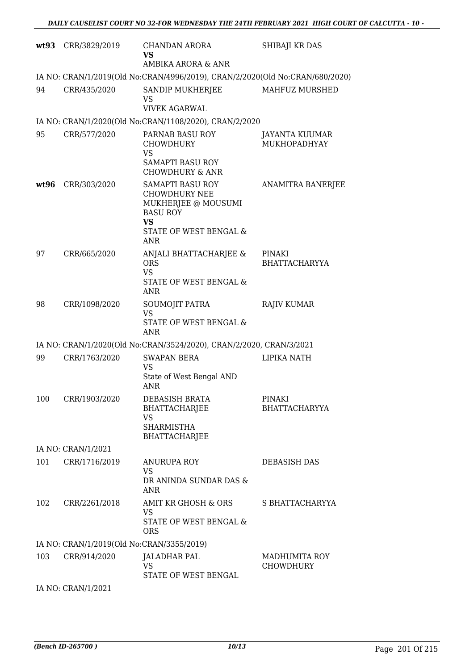| wt93 | CRR/3829/2019                             | <b>CHANDAN ARORA</b><br><b>VS</b><br>AMBIKA ARORA & ANR                                                                                                 | SHIBAJI KR DAS                        |
|------|-------------------------------------------|---------------------------------------------------------------------------------------------------------------------------------------------------------|---------------------------------------|
|      |                                           | IA NO: CRAN/1/2019(Old No:CRAN/4996/2019), CRAN/2/2020(Old No:CRAN/680/2020)                                                                            |                                       |
| 94   | CRR/435/2020                              | SANDIP MUKHERJEE<br>VS<br><b>VIVEK AGARWAL</b>                                                                                                          | MAHFUZ MURSHED                        |
|      |                                           | IA NO: CRAN/1/2020(Old No:CRAN/1108/2020), CRAN/2/2020                                                                                                  |                                       |
| 95   | CRR/577/2020                              | PARNAB BASU ROY<br><b>CHOWDHURY</b><br>VS<br><b>SAMAPTI BASU ROY</b>                                                                                    | JAYANTA KUUMAR<br><b>MUKHOPADHYAY</b> |
| wt96 | CRR/303/2020                              | <b>CHOWDHURY &amp; ANR</b><br>SAMAPTI BASU ROY<br><b>CHOWDHURY NEE</b><br>MUKHERJEE @ MOUSUMI<br><b>BASU ROY</b><br><b>VS</b><br>STATE OF WEST BENGAL & | ANAMITRA BANERJEE                     |
| 97   | CRR/665/2020                              | <b>ANR</b><br>ANJALI BHATTACHARJEE &<br><b>ORS</b><br><b>VS</b><br>STATE OF WEST BENGAL &<br>ANR                                                        | PINAKI<br><b>BHATTACHARYYA</b>        |
| 98   | CRR/1098/2020                             | SOUMOJIT PATRA<br><b>VS</b><br>STATE OF WEST BENGAL &<br><b>ANR</b>                                                                                     | <b>RAJIV KUMAR</b>                    |
|      |                                           | IA NO: CRAN/1/2020(Old No:CRAN/3524/2020), CRAN/2/2020, CRAN/3/2021                                                                                     |                                       |
| 99   | CRR/1763/2020                             | <b>SWAPAN BERA</b><br><b>VS</b><br>State of West Bengal AND<br><b>ANR</b>                                                                               | <b>LIPIKA NATH</b>                    |
| 100  | CRR/1903/2020                             | DEBASISH BRATA<br>BHATTACHARJEE<br>VS<br><b>SHARMISTHA</b><br>BHATTACHARJEE                                                                             | <b>PINAKI</b><br><b>BHATTACHARYYA</b> |
|      | IA NO: CRAN/1/2021                        |                                                                                                                                                         |                                       |
| 101  | CRR/1716/2019                             | ANURUPA ROY<br>VS<br>DR ANINDA SUNDAR DAS &<br><b>ANR</b>                                                                                               | <b>DEBASISH DAS</b>                   |
| 102  | CRR/2261/2018                             | AMIT KR GHOSH & ORS<br><b>VS</b><br>STATE OF WEST BENGAL &<br><b>ORS</b>                                                                                | S BHATTACHARYYA                       |
|      | IA NO: CRAN/1/2019(Old No:CRAN/3355/2019) |                                                                                                                                                         |                                       |
| 103  | CRR/914/2020                              | JALADHAR PAL<br>VS<br>STATE OF WEST BENGAL                                                                                                              | MADHUMITA ROY<br><b>CHOWDHURY</b>     |
|      | IA NO: CRAN/1/2021                        |                                                                                                                                                         |                                       |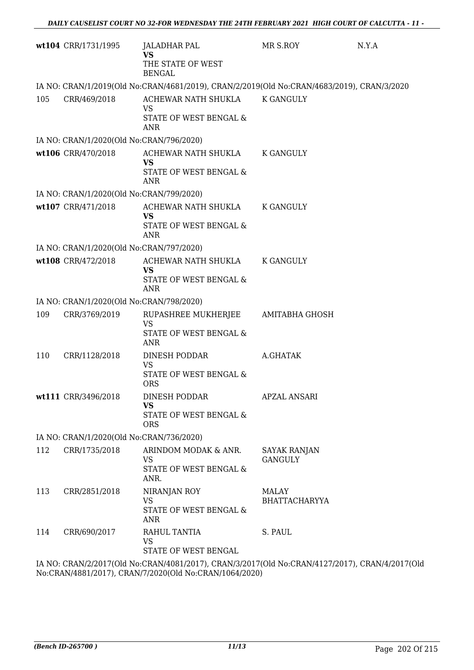|     | wt104 CRR/1731/1995                      | JALADHAR PAL<br><b>VS</b><br>THE STATE OF WEST<br><b>BENGAL</b>                            | MR S.ROY                              | N.Y.A |
|-----|------------------------------------------|--------------------------------------------------------------------------------------------|---------------------------------------|-------|
|     |                                          | IA NO: CRAN/1/2019(Old No:CRAN/4681/2019), CRAN/2/2019(Old No:CRAN/4683/2019), CRAN/3/2020 |                                       |       |
| 105 | CRR/469/2018                             | ACHEWAR NATH SHUKLA<br><b>VS</b><br>STATE OF WEST BENGAL &<br><b>ANR</b>                   | K GANGULY                             |       |
|     | IA NO: CRAN/1/2020(Old No:CRAN/796/2020) |                                                                                            |                                       |       |
|     | wt106 CRR/470/2018                       | ACHEWAR NATH SHUKLA<br><b>VS</b><br>STATE OF WEST BENGAL &<br>ANR                          | K GANGULY                             |       |
|     | IA NO: CRAN/1/2020(Old No:CRAN/799/2020) |                                                                                            |                                       |       |
|     | wt107 CRR/471/2018                       | ACHEWAR NATH SHUKLA<br><b>VS</b><br>STATE OF WEST BENGAL &<br><b>ANR</b>                   | <b>K GANGULY</b>                      |       |
|     | IA NO: CRAN/1/2020(Old No:CRAN/797/2020) |                                                                                            |                                       |       |
|     | wt108 CRR/472/2018                       | ACHEWAR NATH SHUKLA<br><b>VS</b><br>STATE OF WEST BENGAL &<br><b>ANR</b>                   | <b>K GANGULY</b>                      |       |
|     | IA NO: CRAN/1/2020(Old No:CRAN/798/2020) |                                                                                            |                                       |       |
| 109 | CRR/3769/2019                            | RUPASHREE MUKHERJEE<br><b>VS</b><br>STATE OF WEST BENGAL &<br><b>ANR</b>                   | AMITABHA GHOSH                        |       |
| 110 | CRR/1128/2018                            | DINESH PODDAR<br><b>VS</b><br>STATE OF WEST BENGAL &<br><b>ORS</b>                         | A.GHATAK                              |       |
|     | wt111 CRR/3496/2018                      | DINESH PODDAR<br>VS<br>STATE OF WEST BENGAL &<br><b>ORS</b>                                | <b>APZAL ANSARI</b>                   |       |
|     | IA NO: CRAN/1/2020(Old No:CRAN/736/2020) |                                                                                            |                                       |       |
| 112 | CRR/1735/2018                            | ARINDOM MODAK & ANR.<br>VS<br>STATE OF WEST BENGAL &<br>ANR.                               | <b>SAYAK RANJAN</b><br><b>GANGULY</b> |       |
| 113 | CRR/2851/2018                            | NIRANJAN ROY<br><b>VS</b><br>STATE OF WEST BENGAL &<br>ANR                                 | <b>MALAY</b><br><b>BHATTACHARYYA</b>  |       |
| 114 | CRR/690/2017                             | RAHUL TANTIA<br><b>VS</b><br>STATE OF WEST BENGAL                                          | S. PAUL                               |       |
|     |                                          | IA NO·CRANI212017(Old No·CRANI408112017) CRANI312017(Old No·CRANI412712017) CRANI412017(Ol |                                       |       |

IA NO: CRAN/2/2017(Old No:CRAN/4081/2017), CRAN/3/2017(Old No:CRAN/4127/2017), CRAN/4/2017(Old No:CRAN/4881/2017), CRAN/7/2020(Old No:CRAN/1064/2020)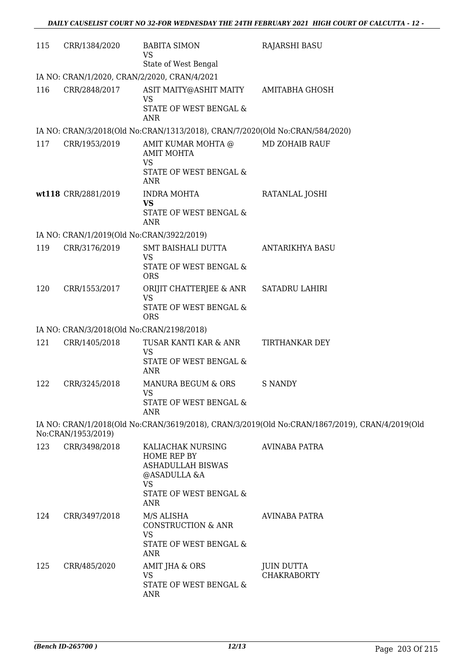| 115 | CRR/1384/2020                                | <b>BABITA SIMON</b><br><b>VS</b><br>State of West Bengal                                                                   | <b>RAJARSHI BASU</b>                                                                           |  |  |
|-----|----------------------------------------------|----------------------------------------------------------------------------------------------------------------------------|------------------------------------------------------------------------------------------------|--|--|
|     | IA NO: CRAN/1/2020, CRAN/2/2020, CRAN/4/2021 |                                                                                                                            |                                                                                                |  |  |
| 116 | CRR/2848/2017                                | ASIT MAITY@ASHIT MAITY                                                                                                     | AMITABHA GHOSH                                                                                 |  |  |
|     |                                              | VS<br>STATE OF WEST BENGAL &<br>ANR                                                                                        |                                                                                                |  |  |
|     |                                              | IA NO: CRAN/3/2018(Old No:CRAN/1313/2018), CRAN/7/2020(Old No:CRAN/584/2020)                                               |                                                                                                |  |  |
| 117 | CRR/1953/2019                                | AMIT KUMAR MOHTA @<br><b>AMIT MOHTA</b><br><b>VS</b><br>STATE OF WEST BENGAL &<br><b>ANR</b>                               | <b>MD ZOHAIB RAUF</b>                                                                          |  |  |
|     | wt118 CRR/2881/2019                          | <b>INDRA MOHTA</b><br><b>VS</b><br>STATE OF WEST BENGAL &<br><b>ANR</b>                                                    | RATANLAL JOSHI                                                                                 |  |  |
|     | IA NO: CRAN/1/2019(Old No:CRAN/3922/2019)    |                                                                                                                            |                                                                                                |  |  |
| 119 | CRR/3176/2019                                | SMT BAISHALI DUTTA<br><b>VS</b><br>STATE OF WEST BENGAL &<br><b>ORS</b>                                                    | <b>ANTARIKHYA BASU</b>                                                                         |  |  |
| 120 | CRR/1553/2017                                | ORIJIT CHATTERJEE & ANR<br><b>VS</b><br>STATE OF WEST BENGAL &<br><b>ORS</b>                                               | <b>SATADRU LAHIRI</b>                                                                          |  |  |
|     | IA NO: CRAN/3/2018(Old No:CRAN/2198/2018)    |                                                                                                                            |                                                                                                |  |  |
| 121 | CRR/1405/2018                                | TUSAR KANTI KAR & ANR<br>VS<br>STATE OF WEST BENGAL &<br><b>ANR</b>                                                        | TIRTHANKAR DEY                                                                                 |  |  |
| 122 | CRR/3245/2018                                | MANURA BEGUM & ORS<br><b>VS</b><br>STATE OF WEST BENGAL &<br>ANR                                                           | <b>S NANDY</b>                                                                                 |  |  |
|     | No:CRAN/1953/2019)                           |                                                                                                                            | IA NO: CRAN/1/2018(Old No:CRAN/3619/2018), CRAN/3/2019(Old No:CRAN/1867/2019), CRAN/4/2019(Old |  |  |
| 123 | CRR/3498/2018                                | KALIACHAK NURSING<br>HOME REP BY<br>ASHADULLAH BISWAS<br>@ASADULLA &A<br><b>VS</b><br>STATE OF WEST BENGAL &<br><b>ANR</b> | <b>AVINABA PATRA</b>                                                                           |  |  |
| 124 | CRR/3497/2018                                | M/S ALISHA<br><b>CONSTRUCTION &amp; ANR</b><br><b>VS</b><br>STATE OF WEST BENGAL &<br><b>ANR</b>                           | <b>AVINABA PATRA</b>                                                                           |  |  |
| 125 | CRR/485/2020                                 | AMIT JHA & ORS<br><b>VS</b><br>STATE OF WEST BENGAL &<br><b>ANR</b>                                                        | <b>JUIN DUTTA</b><br><b>CHAKRABORTY</b>                                                        |  |  |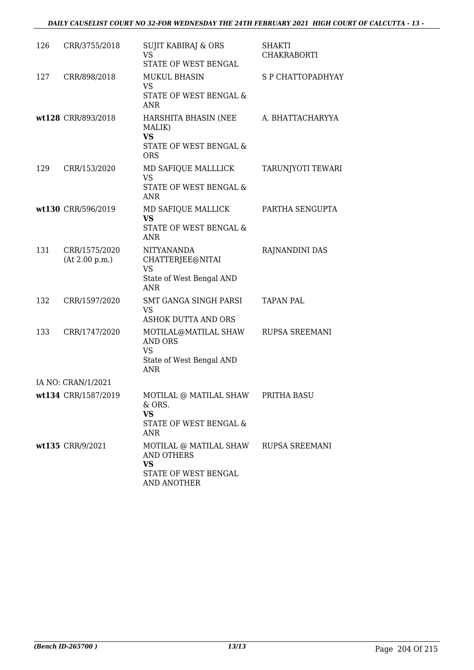| 126 | CRR/3755/2018                   | <b>SUJIT KABIRAJ &amp; ORS</b><br><b>VS</b><br>STATE OF WEST BENGAL                             | SHAKTI<br><b>CHAKRABORTI</b> |
|-----|---------------------------------|-------------------------------------------------------------------------------------------------|------------------------------|
| 127 | CRR/898/2018                    | <b>MUKUL BHASIN</b><br><b>VS</b><br>STATE OF WEST BENGAL &<br><b>ANR</b>                        | S P CHATTOPADHYAY            |
|     | wt128 CRR/893/2018              | HARSHITA BHASIN (NEE<br>MALIK)<br><b>VS</b><br>STATE OF WEST BENGAL &<br><b>ORS</b>             | A. BHATTACHARYYA             |
| 129 | CRR/153/2020                    | MD SAFIQUE MALLLICK<br><b>VS</b><br>STATE OF WEST BENGAL &<br><b>ANR</b>                        | TARUNJYOTI TEWARI            |
|     | wt130 CRR/596/2019              | MD SAFIQUE MALLICK<br><b>VS</b><br>STATE OF WEST BENGAL &<br><b>ANR</b>                         | PARTHA SENGUPTA              |
| 131 | CRR/1575/2020<br>(At 2.00 p.m.) | <b>NITYANANDA</b><br>CHATTERJEE@NITAI<br><b>VS</b><br>State of West Bengal AND<br><b>ANR</b>    | RAJNANDINI DAS               |
| 132 | CRR/1597/2020                   | SMT GANGA SINGH PARSI<br>VS<br><b>ASHOK DUTTA AND ORS</b>                                       | <b>TAPAN PAL</b>             |
| 133 | CRR/1747/2020                   | MOTILAL@MATILAL SHAW<br><b>AND ORS</b><br><b>VS</b><br>State of West Bengal AND<br><b>ANR</b>   | RUPSA SREEMANI               |
|     | IA NO: CRAN/1/2021              |                                                                                                 |                              |
|     | wt134 CRR/1587/2019             | MOTILAL @ MATILAL SHAW<br>& ORS.<br><b>VS</b><br>STATE OF WEST BENGAL &<br>ANR                  | PRITHA BASU                  |
|     | wt135 CRR/9/2021                | MOTILAL @ MATILAL SHAW<br><b>AND OTHERS</b><br><b>VS</b><br>STATE OF WEST BENGAL<br>AND ANOTHER | RUPSA SREEMANI               |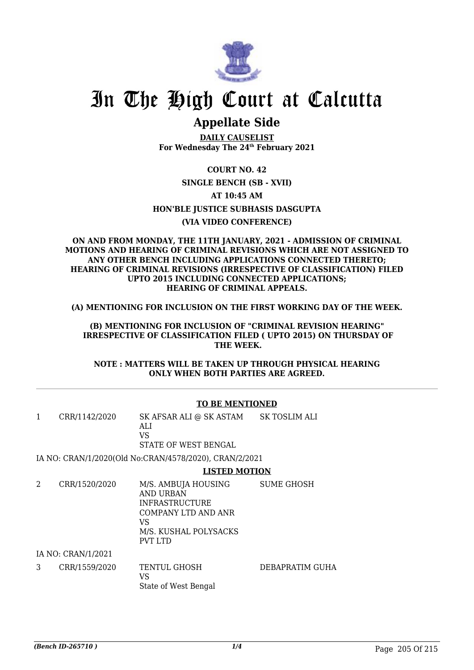

### **Appellate Side**

**DAILY CAUSELIST For Wednesday The 24th February 2021**

**COURT NO. 42 SINGLE BENCH (SB - XVII) AT 10:45 AM HON'BLE JUSTICE SUBHASIS DASGUPTA (VIA VIDEO CONFERENCE)**

#### **ON AND FROM MONDAY, THE 11TH JANUARY, 2021 - ADMISSION OF CRIMINAL MOTIONS AND HEARING OF CRIMINAL REVISIONS WHICH ARE NOT ASSIGNED TO ANY OTHER BENCH INCLUDING APPLICATIONS CONNECTED THERETO; HEARING OF CRIMINAL REVISIONS (IRRESPECTIVE OF CLASSIFICATION) FILED UPTO 2015 INCLUDING CONNECTED APPLICATIONS; HEARING OF CRIMINAL APPEALS.**

**(A) MENTIONING FOR INCLUSION ON THE FIRST WORKING DAY OF THE WEEK.**

**(B) MENTIONING FOR INCLUSION OF "CRIMINAL REVISION HEARING" IRRESPECTIVE OF CLASSIFICATION FILED ( UPTO 2015) ON THURSDAY OF THE WEEK.**

**NOTE : MATTERS WILL BE TAKEN UP THROUGH PHYSICAL HEARING ONLY WHEN BOTH PARTIES ARE AGREED.**

#### **TO BE MENTIONED**

1 CRR/1142/2020 SK AFSAR ALI @ SK ASTAM ALI VS STATE OF WEST BENGAL SK TOSLIM ALI

IA NO: CRAN/1/2020(Old No:CRAN/4578/2020), CRAN/2/2021

#### **LISTED MOTION**

2 CRR/1520/2020 M/S. AMBUJA HOUSING AND URBAN INFRASTRUCTURE COMPANY LTD AND ANR VS M/S. KUSHAL POLYSACKS PVT LTD SUME GHOSH IA NO: CRAN/1/2021

3 CRR/1559/2020 TENTUL GHOSH VS State of West Bengal DEBAPRATIM GUHA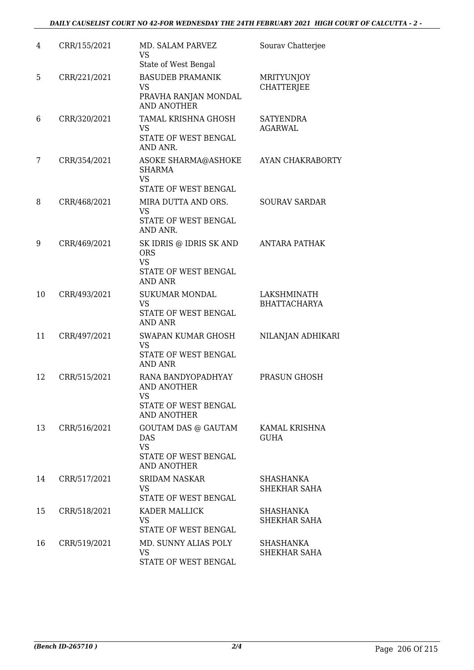| 4  | CRR/155/2021 | MD. SALAM PARVEZ<br><b>VS</b><br>State of West Bengal                                        | Sourav Chatterjee                      |
|----|--------------|----------------------------------------------------------------------------------------------|----------------------------------------|
| 5  | CRR/221/2021 | <b>BASUDEB PRAMANIK</b><br><b>VS</b><br>PRAVHA RANJAN MONDAL<br><b>AND ANOTHER</b>           | <b>MRITYUNJOY</b><br><b>CHATTERJEE</b> |
| 6  | CRR/320/2021 | <b>TAMAL KRISHNA GHOSH</b><br>VS<br>STATE OF WEST BENGAL<br>AND ANR.                         | <b>SATYENDRA</b><br><b>AGARWAL</b>     |
| 7  | CRR/354/2021 | ASOKE SHARMA@ASHOKE<br><b>SHARMA</b><br><b>VS</b><br>STATE OF WEST BENGAL                    | <b>AYAN CHAKRABORTY</b>                |
| 8  | CRR/468/2021 | MIRA DUTTA AND ORS.<br><b>VS</b><br>STATE OF WEST BENGAL<br>AND ANR.                         | <b>SOURAV SARDAR</b>                   |
| 9  | CRR/469/2021 | SK IDRIS @ IDRIS SK AND<br><b>ORS</b><br><b>VS</b><br>STATE OF WEST BENGAL<br><b>AND ANR</b> | <b>ANTARA PATHAK</b>                   |
| 10 | CRR/493/2021 | <b>SUKUMAR MONDAL</b><br><b>VS</b><br>STATE OF WEST BENGAL<br><b>AND ANR</b>                 | LAKSHMINATH<br><b>BHATTACHARYA</b>     |
| 11 | CRR/497/2021 | SWAPAN KUMAR GHOSH<br><b>VS</b><br>STATE OF WEST BENGAL<br><b>AND ANR</b>                    | NILANJAN ADHIKARI                      |
| 12 | CRR/515/2021 | RANA BANDYOPADHYAY<br><b>AND ANOTHER</b><br>VS<br>STATE OF WEST BENGAL<br><b>AND ANOTHER</b> | PRASUN GHOSH                           |
| 13 | CRR/516/2021 | <b>GOUTAM DAS @ GAUTAM</b><br>DAS<br><b>VS</b><br>STATE OF WEST BENGAL<br><b>AND ANOTHER</b> | KAMAL KRISHNA<br><b>GUHA</b>           |
| 14 | CRR/517/2021 | <b>SRIDAM NASKAR</b><br>VS<br>STATE OF WEST BENGAL                                           | SHASHANKA<br><b>SHEKHAR SAHA</b>       |
| 15 | CRR/518/2021 | KADER MALLICK<br><b>VS</b><br>STATE OF WEST BENGAL                                           | SHASHANKA<br><b>SHEKHAR SAHA</b>       |
| 16 | CRR/519/2021 | MD. SUNNY ALIAS POLY<br><b>VS</b><br>STATE OF WEST BENGAL                                    | SHASHANKA<br><b>SHEKHAR SAHA</b>       |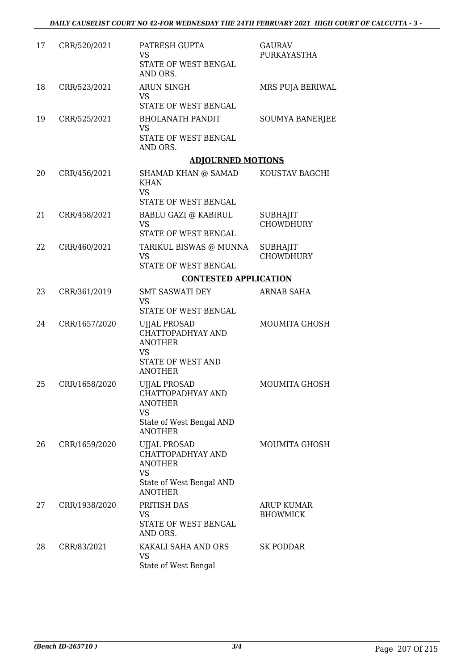| 17 | CRR/520/2021  | PATRESH GUPTA<br><b>VS</b><br>STATE OF WEST BENGAL<br>AND ORS.                                                        | <b>GAURAV</b><br>PURKAYASTHA         |
|----|---------------|-----------------------------------------------------------------------------------------------------------------------|--------------------------------------|
| 18 | CRR/523/2021  | <b>ARUN SINGH</b><br><b>VS</b><br>STATE OF WEST BENGAL                                                                | MRS PUJA BERIWAL                     |
| 19 | CRR/525/2021  | <b>BHOLANATH PANDIT</b><br><b>VS</b><br>STATE OF WEST BENGAL<br>AND ORS.                                              | SOUMYA BANERJEE                      |
|    |               | <b>ADJOURNED MOTIONS</b>                                                                                              |                                      |
| 20 | CRR/456/2021  | SHAMAD KHAN @ SAMAD<br><b>KHAN</b><br><b>VS</b>                                                                       | KOUSTAV BAGCHI                       |
|    |               | STATE OF WEST BENGAL                                                                                                  |                                      |
| 21 | CRR/458/2021  | <b>BABLU GAZI @ KABIRUL</b><br><b>VS</b>                                                                              | <b>SUBHAJIT</b><br><b>CHOWDHURY</b>  |
|    |               | STATE OF WEST BENGAL                                                                                                  |                                      |
| 22 | CRR/460/2021  | TARIKUL BISWAS @ MUNNA<br><b>VS</b><br>STATE OF WEST BENGAL                                                           | <b>SUBHAJIT</b><br><b>CHOWDHURY</b>  |
|    |               | <b>CONTESTED APPLICATION</b>                                                                                          |                                      |
| 23 | CRR/361/2019  | <b>SMT SASWATI DEY</b>                                                                                                | ARNAB SAHA                           |
|    |               | <b>VS</b><br>STATE OF WEST BENGAL                                                                                     |                                      |
| 24 | CRR/1657/2020 | <b>UJJAL PROSAD</b><br>CHATTOPADHYAY AND<br><b>ANOTHER</b><br><b>VS</b><br>STATE OF WEST AND                          | <b>MOUMITA GHOSH</b>                 |
| 25 | CRR/1658/2020 | <b>ANOTHER</b><br><b>UJJAL PROSAD</b><br>CHATTOPADHYAY AND<br><b>ANOTHER</b><br><b>VS</b>                             | <b>MOUMITA GHOSH</b>                 |
|    |               | State of West Bengal AND<br><b>ANOTHER</b>                                                                            |                                      |
| 26 | CRR/1659/2020 | <b>UJJAL PROSAD</b><br>CHATTOPADHYAY AND<br><b>ANOTHER</b><br><b>VS</b><br>State of West Bengal AND<br><b>ANOTHER</b> | <b>MOUMITA GHOSH</b>                 |
| 27 | CRR/1938/2020 | PRITISH DAS<br><b>VS</b><br>STATE OF WEST BENGAL<br>AND ORS.                                                          | <b>ARUP KUMAR</b><br><b>BHOWMICK</b> |
| 28 | CRR/83/2021   | KAKALI SAHA AND ORS<br>VS<br>State of West Bengal                                                                     | <b>SK PODDAR</b>                     |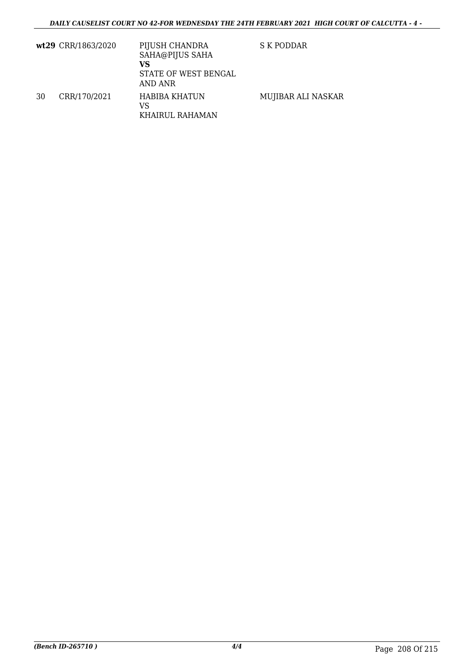|    | wt29 CRR/1863/2020 | PIJUSH CHANDRA<br>SAHA@PIJUS SAHA<br>VS<br>STATE OF WEST BENGAL<br>AND ANR | S K PODDAR         |
|----|--------------------|----------------------------------------------------------------------------|--------------------|
| 30 | CRR/170/2021       | HABIBA KHATUN<br>VS<br>KHAIRUL RAHAMAN                                     | MUJIBAR ALI NASKAR |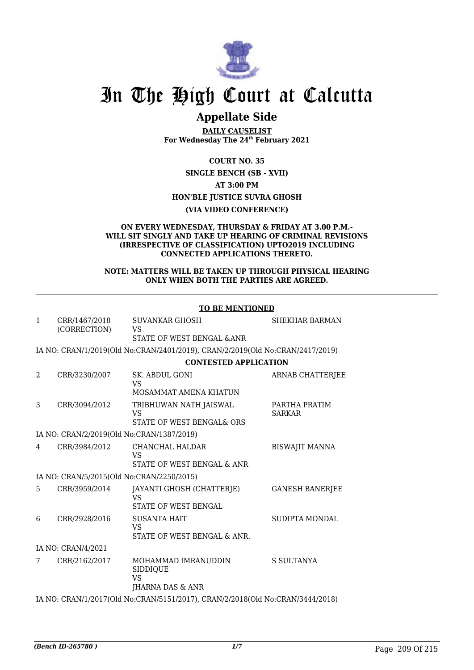

### **Appellate Side**

**DAILY CAUSELIST For Wednesday The 24th February 2021**

**COURT NO. 35**

**SINGLE BENCH (SB - XVII) AT 3:00 PM HON'BLE JUSTICE SUVRA GHOSH (VIA VIDEO CONFERENCE)**

#### **ON EVERY WEDNESDAY, THURSDAY & FRIDAY AT 3.00 P.M.- WILL SIT SINGLY AND TAKE UP HEARING OF CRIMINAL REVISIONS (IRRESPECTIVE OF CLASSIFICATION) UPTO2019 INCLUDING CONNECTED APPLICATIONS THERETO.**

#### **NOTE: MATTERS WILL BE TAKEN UP THROUGH PHYSICAL HEARING ONLY WHEN BOTH THE PARTIES ARE AGREED.**

|              |                                                                               | <b>TO BE MENTIONED</b>                                                        |                                |  |  |
|--------------|-------------------------------------------------------------------------------|-------------------------------------------------------------------------------|--------------------------------|--|--|
| $\mathbf{1}$ | CRR/1467/2018<br>(CORRECTION)                                                 | SUVANKAR GHOSH<br><b>VS</b><br>STATE OF WEST BENGAL & ANR                     | <b>SHEKHAR BARMAN</b>          |  |  |
|              |                                                                               | IA NO: CRAN/1/2019(Old No:CRAN/2401/2019), CRAN/2/2019(Old No:CRAN/2417/2019) |                                |  |  |
|              |                                                                               | <b>CONTESTED APPLICATION</b>                                                  |                                |  |  |
| 2            | CRR/3230/2007                                                                 | SK. ABDUL GONI<br><b>VS</b>                                                   | <b>ARNAB CHATTERJEE</b>        |  |  |
|              |                                                                               | MOSAMMAT AMENA KHATUN                                                         |                                |  |  |
| 3            | CRR/3094/2012                                                                 | TRIBHUWAN NATH JAISWAL<br>VS                                                  | PARTHA PRATIM<br><b>SARKAR</b> |  |  |
|              |                                                                               | STATE OF WEST BENGAL& ORS                                                     |                                |  |  |
|              | IA NO: CRAN/2/2019(Old No:CRAN/1387/2019)                                     |                                                                               |                                |  |  |
| 4            | CRR/3984/2012                                                                 | CHANCHAL HALDAR<br><b>VS</b><br>STATE OF WEST BENGAL & ANR                    | <b>BISWAJIT MANNA</b>          |  |  |
|              | IA NO: CRAN/5/2015(Old No:CRAN/2250/2015)                                     |                                                                               |                                |  |  |
| 5.           | CRR/3959/2014                                                                 | JAYANTI GHOSH (CHATTERJE)<br><b>VS</b><br>STATE OF WEST BENGAL                | <b>GANESH BANERJEE</b>         |  |  |
| 6            | CRR/2928/2016                                                                 | <b>SUSANTA HAIT</b><br><b>VS</b><br>STATE OF WEST BENGAL & ANR.               | SUDIPTA MONDAL                 |  |  |
|              | IA NO: CRAN/4/2021                                                            |                                                                               |                                |  |  |
| 7            | CRR/2162/2017                                                                 | MOHAMMAD IMRANUDDIN<br>SIDDIQUE<br><b>VS</b><br>JHARNA DAS & ANR              | <b>S SULTANYA</b>              |  |  |
|              | IA NO: CRAN/1/2017(Old No:CRAN/5151/2017), CRAN/2/2018(Old No:CRAN/3444/2018) |                                                                               |                                |  |  |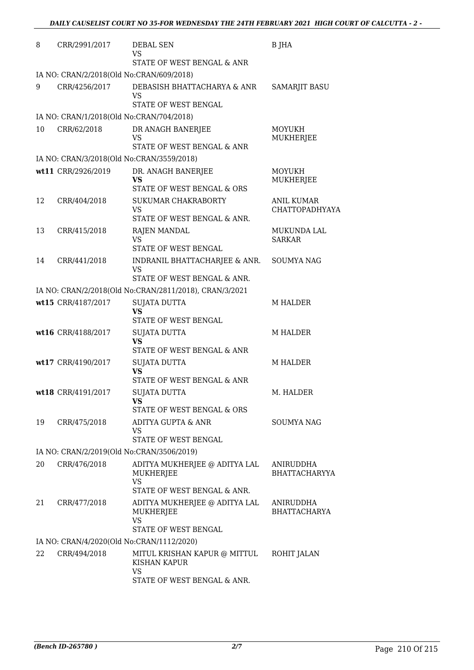| 8  | CRR/2991/2017                             | <b>DEBAL SEN</b><br>VS                                                          | B JHA                               |
|----|-------------------------------------------|---------------------------------------------------------------------------------|-------------------------------------|
|    |                                           | STATE OF WEST BENGAL & ANR                                                      |                                     |
|    | IA NO: CRAN/2/2018(Old No:CRAN/609/2018)  |                                                                                 |                                     |
| 9  | CRR/4256/2017                             | DEBASISH BHATTACHARYA & ANR<br><b>VS</b><br>STATE OF WEST BENGAL                | <b>SAMARJIT BASU</b>                |
|    | IA NO: CRAN/1/2018(Old No:CRAN/704/2018)  |                                                                                 |                                     |
| 10 | CRR/62/2018                               | DR ANAGH BANERJEE                                                               | MOYUKH                              |
|    |                                           | VS<br>STATE OF WEST BENGAL & ANR                                                | MUKHERJEE                           |
|    | IA NO: CRAN/3/2018(Old No:CRAN/3559/2018) |                                                                                 |                                     |
|    | wt11 CRR/2926/2019                        | DR. ANAGH BANERJEE                                                              | MOYUKH                              |
|    |                                           | VS<br>STATE OF WEST BENGAL & ORS                                                | MUKHERJEE                           |
| 12 | CRR/404/2018                              | SUKUMAR CHAKRABORTY<br><b>VS</b>                                                | <b>ANIL KUMAR</b><br>CHATTOPADHYAYA |
|    |                                           | STATE OF WEST BENGAL & ANR.                                                     |                                     |
| 13 | CRR/415/2018                              | <b>RAJEN MANDAL</b><br><b>VS</b>                                                | <b>MUKUNDA LAL</b><br><b>SARKAR</b> |
|    |                                           | STATE OF WEST BENGAL                                                            |                                     |
| 14 | CRR/441/2018                              | INDRANIL BHATTACHARJEE & ANR.<br>VS<br>STATE OF WEST BENGAL & ANR.              | SOUMYA NAG                          |
|    |                                           |                                                                                 |                                     |
|    |                                           | IA NO: CRAN/2/2018(Old No:CRAN/2811/2018), CRAN/3/2021                          |                                     |
|    | wt15 CRR/4187/2017                        | <b>SUJATA DUTTA</b><br><b>VS</b><br>STATE OF WEST BENGAL                        | <b>M HALDER</b>                     |
|    | wt16 CRR/4188/2017                        | <b>SUJATA DUTTA</b>                                                             | <b>M HALDER</b>                     |
|    |                                           | <b>VS</b><br>STATE OF WEST BENGAL & ANR                                         |                                     |
|    | wt17 CRR/4190/2017                        | <b>SUJATA DUTTA</b>                                                             | <b>M HALDER</b>                     |
|    |                                           | <b>VS</b><br>STATE OF WEST BENGAL & ANR                                         |                                     |
|    | wt18 CRR/4191/2017                        | <b>SUJATA DUTTA</b>                                                             | M. HALDER                           |
|    |                                           | VS<br>STATE OF WEST BENGAL & ORS                                                |                                     |
| 19 | CRR/475/2018                              | ADITYA GUPTA & ANR                                                              | <b>SOUMYA NAG</b>                   |
|    |                                           | <b>VS</b><br>STATE OF WEST BENGAL                                               |                                     |
|    | IA NO: CRAN/2/2019(Old No:CRAN/3506/2019) |                                                                                 |                                     |
| 20 | CRR/476/2018                              | ADITYA MUKHERJEE @ ADITYA LAL                                                   | ANIRUDDHA                           |
|    |                                           | <b>MUKHERJEE</b><br><b>VS</b>                                                   | BHATTACHARYYA                       |
|    |                                           | STATE OF WEST BENGAL & ANR.                                                     |                                     |
| 21 | CRR/477/2018                              | ADITYA MUKHERJEE @ ADITYA LAL<br>MUKHERJEE<br><b>VS</b><br>STATE OF WEST BENGAL | ANIRUDDHA<br><b>BHATTACHARYA</b>    |
|    | IA NO: CRAN/4/2020(Old No:CRAN/1112/2020) |                                                                                 |                                     |
| 22 | CRR/494/2018                              | MITUL KRISHAN KAPUR @ MITTUL<br>KISHAN KAPUR                                    | ROHIT JALAN                         |
|    |                                           | <b>VS</b><br>STATE OF WEST BENGAL & ANR.                                        |                                     |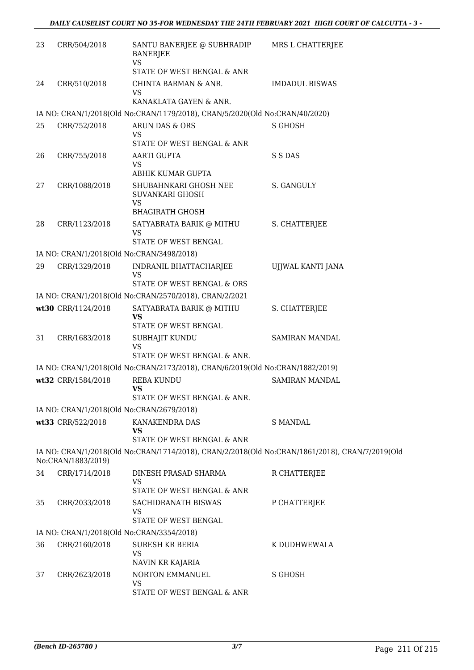| 23 | CRR/504/2018       | SANTU BANERJEE @ SUBHRADIP<br><b>BANERJEE</b><br><b>VS</b>                    | MRS L CHATTERJEE                                                                               |
|----|--------------------|-------------------------------------------------------------------------------|------------------------------------------------------------------------------------------------|
|    |                    | STATE OF WEST BENGAL & ANR                                                    |                                                                                                |
| 24 | CRR/510/2018       | CHINTA BARMAN & ANR.<br><b>VS</b>                                             | <b>IMDADUL BISWAS</b>                                                                          |
|    |                    | KANAKLATA GAYEN & ANR.                                                        |                                                                                                |
|    |                    | IA NO: CRAN/1/2018(Old No:CRAN/1179/2018), CRAN/5/2020(Old No:CRAN/40/2020)   |                                                                                                |
| 25 | CRR/752/2018       | ARUN DAS & ORS<br>VS<br>STATE OF WEST BENGAL & ANR                            | <b>S GHOSH</b>                                                                                 |
| 26 | CRR/755/2018       | AARTI GUPTA                                                                   | S S DAS                                                                                        |
|    |                    | <b>VS</b>                                                                     |                                                                                                |
|    |                    | ABHIK KUMAR GUPTA                                                             |                                                                                                |
| 27 | CRR/1088/2018      | SHUBAHNKARI GHOSH NEE<br>SUVANKARI GHOSH<br><b>VS</b>                         | S. GANGULY                                                                                     |
|    |                    | <b>BHAGIRATH GHOSH</b>                                                        |                                                                                                |
| 28 | CRR/1123/2018      | SATYABRATA BARIK @ MITHU<br><b>VS</b>                                         | S. CHATTERJEE                                                                                  |
|    |                    | STATE OF WEST BENGAL                                                          |                                                                                                |
|    |                    | IA NO: CRAN/1/2018(Old No:CRAN/3498/2018)                                     |                                                                                                |
| 29 | CRR/1329/2018      | INDRANIL BHATTACHARJEE<br><b>VS</b>                                           | UJJWAL KANTI JANA                                                                              |
|    |                    | STATE OF WEST BENGAL & ORS                                                    |                                                                                                |
|    |                    | IA NO: CRAN/1/2018(Old No:CRAN/2570/2018), CRAN/2/2021                        |                                                                                                |
|    | wt30 CRR/1124/2018 | SATYABRATA BARIK @ MITHU<br><b>VS</b>                                         | S. CHATTERJEE                                                                                  |
|    |                    | STATE OF WEST BENGAL                                                          |                                                                                                |
| 31 | CRR/1683/2018      | SUBHAJIT KUNDU<br><b>VS</b>                                                   | SAMIRAN MANDAL                                                                                 |
|    |                    | STATE OF WEST BENGAL & ANR.                                                   |                                                                                                |
|    |                    | IA NO: CRAN/1/2018(Old No:CRAN/2173/2018), CRAN/6/2019(Old No:CRAN/1882/2019) |                                                                                                |
|    | wt32 CRR/1584/2018 | <b>REBA KUNDU</b><br><b>VS</b><br>STATE OF WEST BENGAL & ANR.                 | <b>SAMIRAN MANDAL</b>                                                                          |
|    |                    | IA NO: CRAN/1/2018(Old No:CRAN/2679/2018)                                     |                                                                                                |
|    | wt33 CRR/522/2018  | KANAKENDRA DAS                                                                | <b>S MANDAL</b>                                                                                |
|    |                    | <b>VS</b><br>STATE OF WEST BENGAL & ANR                                       |                                                                                                |
|    |                    |                                                                               | IA NO: CRAN/1/2018(Old No:CRAN/1714/2018), CRAN/2/2018(Old No:CRAN/1861/2018), CRAN/7/2019(Old |
|    | No:CRAN/1883/2019) |                                                                               |                                                                                                |
| 34 | CRR/1714/2018      | DINESH PRASAD SHARMA<br>VS                                                    | R CHATTERJEE                                                                                   |
|    |                    | STATE OF WEST BENGAL & ANR                                                    |                                                                                                |
| 35 | CRR/2033/2018      | SACHIDRANATH BISWAS<br>VS                                                     | P CHATTERJEE                                                                                   |
|    |                    | STATE OF WEST BENGAL                                                          |                                                                                                |
|    |                    | IA NO: CRAN/1/2018(Old No:CRAN/3354/2018)                                     |                                                                                                |
| 36 | CRR/2160/2018      | <b>SURESH KR BERIA</b><br><b>VS</b>                                           | K DUDHWEWALA                                                                                   |
|    |                    | NAVIN KR KAJARIA                                                              |                                                                                                |
| 37 | CRR/2623/2018      | NORTON EMMANUEL<br>VS<br>STATE OF WEST BENGAL & ANR                           | S GHOSH                                                                                        |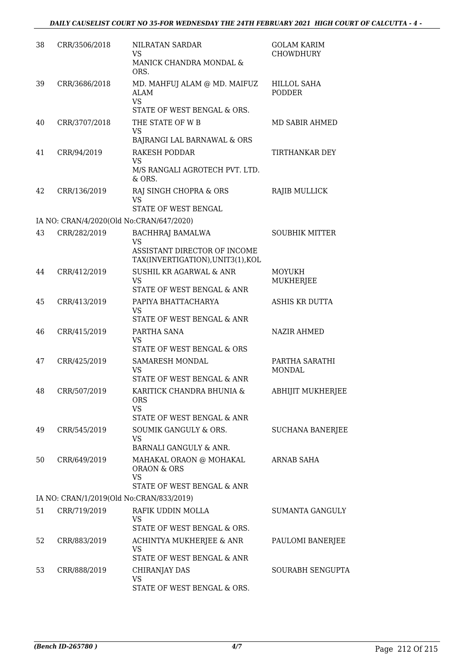| 38 | CRR/3506/2018 | NILRATAN SARDAR<br><b>VS</b><br>MANICK CHANDRA MONDAL &<br>ORS.                                           | <b>GOLAM KARIM</b><br><b>CHOWDHURY</b> |
|----|---------------|-----------------------------------------------------------------------------------------------------------|----------------------------------------|
| 39 | CRR/3686/2018 | MD. MAHFUJ ALAM @ MD. MAIFUZ<br>ALAM<br><b>VS</b><br>STATE OF WEST BENGAL & ORS.                          | <b>HILLOL SAHA</b><br><b>PODDER</b>    |
| 40 | CRR/3707/2018 | THE STATE OF W B<br><b>VS</b><br>BAJRANGI LAL BARNAWAL & ORS                                              | MD SABIR AHMED                         |
| 41 | CRR/94/2019   | <b>RAKESH PODDAR</b><br><b>VS</b><br>M/S RANGALI AGROTECH PVT. LTD.<br>& ORS.                             | TIRTHANKAR DEY                         |
| 42 | CRR/136/2019  | RAJ SINGH CHOPRA & ORS<br>VS<br>STATE OF WEST BENGAL                                                      | RAJIB MULLICK                          |
|    |               | IA NO: CRAN/4/2020(Old No:CRAN/647/2020)                                                                  |                                        |
| 43 | CRR/282/2019  | <b>BACHHRAJ BAMALWA</b><br><b>VS</b><br>ASSISTANT DIRECTOR OF INCOME<br>TAX(INVERTIGATION), UNIT3(1), KOL | <b>SOUBHIK MITTER</b>                  |
| 44 | CRR/412/2019  | SUSHIL KR AGARWAL & ANR<br><b>VS</b><br>STATE OF WEST BENGAL & ANR                                        | <b>MOYUKH</b><br>MUKHERJEE             |
| 45 | CRR/413/2019  | PAPIYA BHATTACHARYA<br>VS<br>STATE OF WEST BENGAL & ANR                                                   | ASHIS KR DUTTA                         |
| 46 | CRR/415/2019  | PARTHA SANA<br><b>VS</b><br>STATE OF WEST BENGAL & ORS                                                    | NAZIR AHMED                            |
| 47 | CRR/425/2019  | SAMARESH MONDAL<br><b>VS</b><br>STATE OF WEST BENGAL & ANR                                                | PARTHA SARATHI<br>MONDAL               |
| 48 | CRR/507/2019  | KARITICK CHANDRA BHUNIA &<br><b>ORS</b><br><b>VS</b><br>STATE OF WEST BENGAL & ANR                        | ABHIJIT MUKHERJEE                      |
| 49 | CRR/545/2019  | SOUMIK GANGULY & ORS.<br><b>VS</b><br>BARNALI GANGULY & ANR.                                              | SUCHANA BANERJEE                       |
| 50 | CRR/649/2019  | MAHAKAL ORAON @ MOHAKAL<br>ORAON & ORS<br><b>VS</b><br>STATE OF WEST BENGAL & ANR                         | ARNAB SAHA                             |
|    |               | IA NO: CRAN/1/2019(Old No:CRAN/833/2019)                                                                  |                                        |
| 51 | CRR/719/2019  | RAFIK UDDIN MOLLA<br><b>VS</b><br>STATE OF WEST BENGAL & ORS.                                             | SUMANTA GANGULY                        |
| 52 | CRR/883/2019  | ACHINTYA MUKHERJEE & ANR<br>VS<br>STATE OF WEST BENGAL & ANR                                              | PAULOMI BANERJEE                       |
| 53 | CRR/888/2019  | CHIRANJAY DAS<br>VS<br>STATE OF WEST BENGAL & ORS.                                                        | <b>SOURABH SENGUPTA</b>                |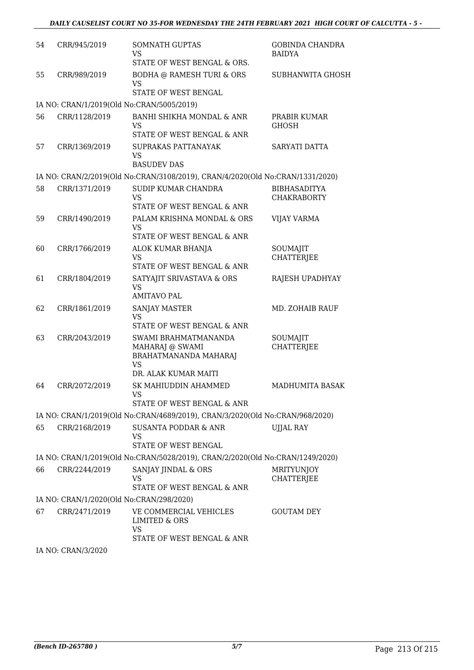| 54<br>CRR/945/2019<br><b>SOMNATH GUPTAS</b><br><b>GOBINDA CHANDRA</b><br><b>VS</b><br><b>BAIDYA</b><br>STATE OF WEST BENGAL & ORS.<br><b>BODHA @ RAMESH TURI &amp; ORS</b><br>SUBHANWITA GHOSH<br>55<br>CRR/989/2019<br><b>VS</b><br>STATE OF WEST BENGAL<br>IA NO: CRAN/1/2019(Old No:CRAN/5005/2019)<br>56<br>CRR/1128/2019<br>BANHI SHIKHA MONDAL & ANR<br>PRABIR KUMAR<br><b>VS</b><br><b>GHOSH</b><br>STATE OF WEST BENGAL & ANR<br>SUPRAKAS PATTANAYAK<br>57<br>CRR/1369/2019<br>SARYATI DATTA<br><b>VS</b><br><b>BASUDEV DAS</b><br>IA NO: CRAN/2/2019(Old No:CRAN/3108/2019), CRAN/4/2020(Old No:CRAN/1331/2020)<br>SUDIP KUMAR CHANDRA<br>58<br>CRR/1371/2019<br><b>BIBHASADITYA</b><br><b>VS</b><br><b>CHAKRABORTY</b><br>STATE OF WEST BENGAL & ANR<br>CRR/1490/2019<br>PALAM KRISHNA MONDAL & ORS<br>59<br><b>VIJAY VARMA</b><br><b>VS</b><br>STATE OF WEST BENGAL & ANR<br>60<br>CRR/1766/2019<br>ALOK KUMAR BHANJA<br>SOUMAJIT<br><b>VS</b><br><b>CHATTERJEE</b><br>STATE OF WEST BENGAL & ANR<br>61<br>SATYAJIT SRIVASTAVA & ORS<br>CRR/1804/2019<br>RAJESH UPADHYAY<br><b>VS</b><br><b>AMITAVO PAL</b><br>62<br>CRR/1861/2019<br><b>SANJAY MASTER</b><br>MD. ZOHAIB RAUF<br>VS<br>STATE OF WEST BENGAL & ANR<br>CRR/2043/2019<br>63<br>SWAMI BRAHMATMANANDA<br>SOUMAJIT<br><b>CHATTERJEE</b><br>MAHARAJ @ SWAMI<br>BRAHATMANANDA MAHARAJ<br><b>VS</b><br>DR. ALAK KUMAR MAITI<br>64<br>CRR/2072/2019<br>SK MAHIUDDIN AHAMMED<br><b>MADHUMITA BASAK</b><br>VS<br>STATE OF WEST BENGAL & ANR<br>IA NO: CRAN/1/2019(Old No:CRAN/4689/2019), CRAN/3/2020(Old No:CRAN/968/2020)<br>65<br>CRR/2168/2019<br><b>SUSANTA PODDAR &amp; ANR</b><br><b>UJJAL RAY</b><br>VS<br>STATE OF WEST BENGAL<br>IA NO: CRAN/1/2019(Old No:CRAN/5028/2019), CRAN/2/2020(Old No:CRAN/1249/2020)<br>66<br>CRR/2244/2019<br>SANJAY JINDAL & ORS<br><b>MRITYUNJOY</b><br><b>CHATTERJEE</b><br>VS<br>STATE OF WEST BENGAL & ANR<br>IA NO: CRAN/1/2020(Old No:CRAN/298/2020)<br>67<br>CRR/2471/2019<br>VE COMMERCIAL VEHICLES<br><b>GOUTAM DEY</b><br>LIMITED & ORS<br><b>VS</b><br>STATE OF WEST BENGAL & ANR<br>IA NO: CRAN/3/2020 |  |  |
|-------------------------------------------------------------------------------------------------------------------------------------------------------------------------------------------------------------------------------------------------------------------------------------------------------------------------------------------------------------------------------------------------------------------------------------------------------------------------------------------------------------------------------------------------------------------------------------------------------------------------------------------------------------------------------------------------------------------------------------------------------------------------------------------------------------------------------------------------------------------------------------------------------------------------------------------------------------------------------------------------------------------------------------------------------------------------------------------------------------------------------------------------------------------------------------------------------------------------------------------------------------------------------------------------------------------------------------------------------------------------------------------------------------------------------------------------------------------------------------------------------------------------------------------------------------------------------------------------------------------------------------------------------------------------------------------------------------------------------------------------------------------------------------------------------------------------------------------------------------------------------------------------------------------------------------------------------------------------------------------------------------------------------------------------------------------------------------------------------------------------|--|--|
|                                                                                                                                                                                                                                                                                                                                                                                                                                                                                                                                                                                                                                                                                                                                                                                                                                                                                                                                                                                                                                                                                                                                                                                                                                                                                                                                                                                                                                                                                                                                                                                                                                                                                                                                                                                                                                                                                                                                                                                                                                                                                                                         |  |  |
|                                                                                                                                                                                                                                                                                                                                                                                                                                                                                                                                                                                                                                                                                                                                                                                                                                                                                                                                                                                                                                                                                                                                                                                                                                                                                                                                                                                                                                                                                                                                                                                                                                                                                                                                                                                                                                                                                                                                                                                                                                                                                                                         |  |  |
|                                                                                                                                                                                                                                                                                                                                                                                                                                                                                                                                                                                                                                                                                                                                                                                                                                                                                                                                                                                                                                                                                                                                                                                                                                                                                                                                                                                                                                                                                                                                                                                                                                                                                                                                                                                                                                                                                                                                                                                                                                                                                                                         |  |  |
|                                                                                                                                                                                                                                                                                                                                                                                                                                                                                                                                                                                                                                                                                                                                                                                                                                                                                                                                                                                                                                                                                                                                                                                                                                                                                                                                                                                                                                                                                                                                                                                                                                                                                                                                                                                                                                                                                                                                                                                                                                                                                                                         |  |  |
|                                                                                                                                                                                                                                                                                                                                                                                                                                                                                                                                                                                                                                                                                                                                                                                                                                                                                                                                                                                                                                                                                                                                                                                                                                                                                                                                                                                                                                                                                                                                                                                                                                                                                                                                                                                                                                                                                                                                                                                                                                                                                                                         |  |  |
|                                                                                                                                                                                                                                                                                                                                                                                                                                                                                                                                                                                                                                                                                                                                                                                                                                                                                                                                                                                                                                                                                                                                                                                                                                                                                                                                                                                                                                                                                                                                                                                                                                                                                                                                                                                                                                                                                                                                                                                                                                                                                                                         |  |  |
|                                                                                                                                                                                                                                                                                                                                                                                                                                                                                                                                                                                                                                                                                                                                                                                                                                                                                                                                                                                                                                                                                                                                                                                                                                                                                                                                                                                                                                                                                                                                                                                                                                                                                                                                                                                                                                                                                                                                                                                                                                                                                                                         |  |  |
|                                                                                                                                                                                                                                                                                                                                                                                                                                                                                                                                                                                                                                                                                                                                                                                                                                                                                                                                                                                                                                                                                                                                                                                                                                                                                                                                                                                                                                                                                                                                                                                                                                                                                                                                                                                                                                                                                                                                                                                                                                                                                                                         |  |  |
|                                                                                                                                                                                                                                                                                                                                                                                                                                                                                                                                                                                                                                                                                                                                                                                                                                                                                                                                                                                                                                                                                                                                                                                                                                                                                                                                                                                                                                                                                                                                                                                                                                                                                                                                                                                                                                                                                                                                                                                                                                                                                                                         |  |  |
|                                                                                                                                                                                                                                                                                                                                                                                                                                                                                                                                                                                                                                                                                                                                                                                                                                                                                                                                                                                                                                                                                                                                                                                                                                                                                                                                                                                                                                                                                                                                                                                                                                                                                                                                                                                                                                                                                                                                                                                                                                                                                                                         |  |  |
|                                                                                                                                                                                                                                                                                                                                                                                                                                                                                                                                                                                                                                                                                                                                                                                                                                                                                                                                                                                                                                                                                                                                                                                                                                                                                                                                                                                                                                                                                                                                                                                                                                                                                                                                                                                                                                                                                                                                                                                                                                                                                                                         |  |  |
|                                                                                                                                                                                                                                                                                                                                                                                                                                                                                                                                                                                                                                                                                                                                                                                                                                                                                                                                                                                                                                                                                                                                                                                                                                                                                                                                                                                                                                                                                                                                                                                                                                                                                                                                                                                                                                                                                                                                                                                                                                                                                                                         |  |  |
|                                                                                                                                                                                                                                                                                                                                                                                                                                                                                                                                                                                                                                                                                                                                                                                                                                                                                                                                                                                                                                                                                                                                                                                                                                                                                                                                                                                                                                                                                                                                                                                                                                                                                                                                                                                                                                                                                                                                                                                                                                                                                                                         |  |  |
|                                                                                                                                                                                                                                                                                                                                                                                                                                                                                                                                                                                                                                                                                                                                                                                                                                                                                                                                                                                                                                                                                                                                                                                                                                                                                                                                                                                                                                                                                                                                                                                                                                                                                                                                                                                                                                                                                                                                                                                                                                                                                                                         |  |  |
|                                                                                                                                                                                                                                                                                                                                                                                                                                                                                                                                                                                                                                                                                                                                                                                                                                                                                                                                                                                                                                                                                                                                                                                                                                                                                                                                                                                                                                                                                                                                                                                                                                                                                                                                                                                                                                                                                                                                                                                                                                                                                                                         |  |  |
|                                                                                                                                                                                                                                                                                                                                                                                                                                                                                                                                                                                                                                                                                                                                                                                                                                                                                                                                                                                                                                                                                                                                                                                                                                                                                                                                                                                                                                                                                                                                                                                                                                                                                                                                                                                                                                                                                                                                                                                                                                                                                                                         |  |  |
|                                                                                                                                                                                                                                                                                                                                                                                                                                                                                                                                                                                                                                                                                                                                                                                                                                                                                                                                                                                                                                                                                                                                                                                                                                                                                                                                                                                                                                                                                                                                                                                                                                                                                                                                                                                                                                                                                                                                                                                                                                                                                                                         |  |  |
|                                                                                                                                                                                                                                                                                                                                                                                                                                                                                                                                                                                                                                                                                                                                                                                                                                                                                                                                                                                                                                                                                                                                                                                                                                                                                                                                                                                                                                                                                                                                                                                                                                                                                                                                                                                                                                                                                                                                                                                                                                                                                                                         |  |  |
|                                                                                                                                                                                                                                                                                                                                                                                                                                                                                                                                                                                                                                                                                                                                                                                                                                                                                                                                                                                                                                                                                                                                                                                                                                                                                                                                                                                                                                                                                                                                                                                                                                                                                                                                                                                                                                                                                                                                                                                                                                                                                                                         |  |  |
|                                                                                                                                                                                                                                                                                                                                                                                                                                                                                                                                                                                                                                                                                                                                                                                                                                                                                                                                                                                                                                                                                                                                                                                                                                                                                                                                                                                                                                                                                                                                                                                                                                                                                                                                                                                                                                                                                                                                                                                                                                                                                                                         |  |  |
|                                                                                                                                                                                                                                                                                                                                                                                                                                                                                                                                                                                                                                                                                                                                                                                                                                                                                                                                                                                                                                                                                                                                                                                                                                                                                                                                                                                                                                                                                                                                                                                                                                                                                                                                                                                                                                                                                                                                                                                                                                                                                                                         |  |  |
|                                                                                                                                                                                                                                                                                                                                                                                                                                                                                                                                                                                                                                                                                                                                                                                                                                                                                                                                                                                                                                                                                                                                                                                                                                                                                                                                                                                                                                                                                                                                                                                                                                                                                                                                                                                                                                                                                                                                                                                                                                                                                                                         |  |  |
|                                                                                                                                                                                                                                                                                                                                                                                                                                                                                                                                                                                                                                                                                                                                                                                                                                                                                                                                                                                                                                                                                                                                                                                                                                                                                                                                                                                                                                                                                                                                                                                                                                                                                                                                                                                                                                                                                                                                                                                                                                                                                                                         |  |  |
|                                                                                                                                                                                                                                                                                                                                                                                                                                                                                                                                                                                                                                                                                                                                                                                                                                                                                                                                                                                                                                                                                                                                                                                                                                                                                                                                                                                                                                                                                                                                                                                                                                                                                                                                                                                                                                                                                                                                                                                                                                                                                                                         |  |  |
|                                                                                                                                                                                                                                                                                                                                                                                                                                                                                                                                                                                                                                                                                                                                                                                                                                                                                                                                                                                                                                                                                                                                                                                                                                                                                                                                                                                                                                                                                                                                                                                                                                                                                                                                                                                                                                                                                                                                                                                                                                                                                                                         |  |  |
|                                                                                                                                                                                                                                                                                                                                                                                                                                                                                                                                                                                                                                                                                                                                                                                                                                                                                                                                                                                                                                                                                                                                                                                                                                                                                                                                                                                                                                                                                                                                                                                                                                                                                                                                                                                                                                                                                                                                                                                                                                                                                                                         |  |  |
|                                                                                                                                                                                                                                                                                                                                                                                                                                                                                                                                                                                                                                                                                                                                                                                                                                                                                                                                                                                                                                                                                                                                                                                                                                                                                                                                                                                                                                                                                                                                                                                                                                                                                                                                                                                                                                                                                                                                                                                                                                                                                                                         |  |  |
|                                                                                                                                                                                                                                                                                                                                                                                                                                                                                                                                                                                                                                                                                                                                                                                                                                                                                                                                                                                                                                                                                                                                                                                                                                                                                                                                                                                                                                                                                                                                                                                                                                                                                                                                                                                                                                                                                                                                                                                                                                                                                                                         |  |  |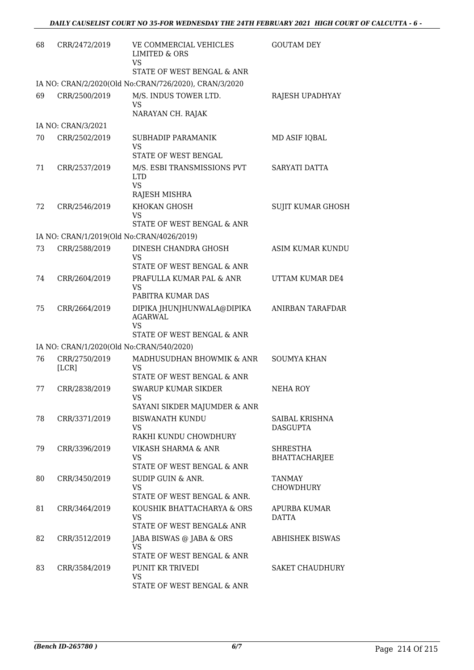| 68 | CRR/2472/2019          | VE COMMERCIAL VEHICLES<br><b>LIMITED &amp; ORS</b><br><b>VS</b>         | <b>GOUTAM DEY</b>                 |
|----|------------------------|-------------------------------------------------------------------------|-----------------------------------|
|    |                        | STATE OF WEST BENGAL & ANR                                              |                                   |
|    |                        | IA NO: CRAN/2/2020(Old No:CRAN/726/2020), CRAN/3/2020                   |                                   |
| 69 | CRR/2500/2019          | M/S. INDUS TOWER LTD.<br>VS<br>NARAYAN CH. RAJAK                        | RAJESH UPADHYAY                   |
|    | IA NO: CRAN/3/2021     |                                                                         |                                   |
| 70 | CRR/2502/2019          | SUBHADIP PARAMANIK                                                      | MD ASIF IQBAL                     |
|    |                        | <b>VS</b><br>STATE OF WEST BENGAL                                       |                                   |
| 71 | CRR/2537/2019          | M/S. ESBI TRANSMISSIONS PVT<br><b>LTD</b><br><b>VS</b><br>RAJESH MISHRA | SARYATI DATTA                     |
| 72 | CRR/2546/2019          | KHOKAN GHOSH                                                            | SUJIT KUMAR GHOSH                 |
|    |                        | <b>VS</b><br>STATE OF WEST BENGAL & ANR                                 |                                   |
|    |                        | IA NO: CRAN/1/2019(Old No:CRAN/4026/2019)                               |                                   |
| 73 | CRR/2588/2019          | DINESH CHANDRA GHOSH<br><b>VS</b>                                       | ASIM KUMAR KUNDU                  |
|    |                        | STATE OF WEST BENGAL & ANR                                              |                                   |
| 74 | CRR/2604/2019          | PRAFULLA KUMAR PAL & ANR<br><b>VS</b><br>PABITRA KUMAR DAS              | UTTAM KUMAR DE4                   |
| 75 | CRR/2664/2019          | DIPIKA JHUNJHUNWALA@DIPIKA<br><b>AGARWAL</b>                            | ANIRBAN TARAFDAR                  |
|    |                        | <b>VS</b><br>STATE OF WEST BENGAL & ANR                                 |                                   |
|    |                        | IA NO: CRAN/1/2020(Old No:CRAN/540/2020)                                |                                   |
| 76 | CRR/2750/2019<br>[LCR] | MADHUSUDHAN BHOWMIK & ANR<br><b>VS</b><br>STATE OF WEST BENGAL & ANR    | <b>SOUMYA KHAN</b>                |
| 77 | CRR/2838/2019          | SWARUP KUMAR SIKDER                                                     | NEHA ROY                          |
|    |                        | VS<br>SAYANI SIKDER MAJUMDER & ANR                                      |                                   |
| 78 | CRR/3371/2019          | <b>BISWANATH KUNDU</b>                                                  | SAIBAL KRISHNA                    |
|    |                        | <b>VS</b><br>RAKHI KUNDU CHOWDHURY                                      | <b>DASGUPTA</b>                   |
| 79 | CRR/3396/2019          | VIKASH SHARMA & ANR                                                     | <b>SHRESTHA</b>                   |
|    |                        | <b>VS</b><br>STATE OF WEST BENGAL & ANR                                 | <b>BHATTACHARJEE</b>              |
| 80 | CRR/3450/2019          | SUDIP GUIN & ANR.<br><b>VS</b>                                          | <b>TANMAY</b><br><b>CHOWDHURY</b> |
|    |                        | STATE OF WEST BENGAL & ANR.                                             |                                   |
| 81 | CRR/3464/2019          | KOUSHIK BHATTACHARYA & ORS<br><b>VS</b><br>STATE OF WEST BENGAL& ANR    | APURBA KUMAR<br><b>DATTA</b>      |
| 82 | CRR/3512/2019          | JABA BISWAS @ JABA & ORS<br><b>VS</b>                                   | <b>ABHISHEK BISWAS</b>            |
|    |                        | STATE OF WEST BENGAL & ANR                                              |                                   |
| 83 | CRR/3584/2019          | PUNIT KR TRIVEDI<br><b>VS</b>                                           | <b>SAKET CHAUDHURY</b>            |
|    |                        | STATE OF WEST BENGAL & ANR                                              |                                   |